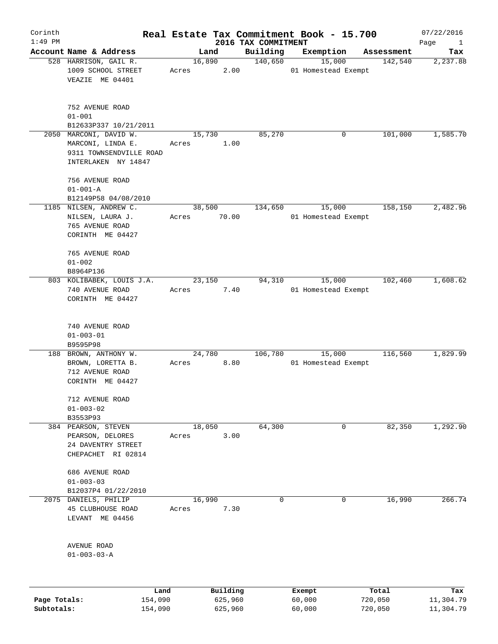| Corinth   |                                                                                               |                 |          |                                 | Real Estate Tax Commitment Book - 15.700 |            | 07/22/2016                  |
|-----------|-----------------------------------------------------------------------------------------------|-----------------|----------|---------------------------------|------------------------------------------|------------|-----------------------------|
| $1:49$ PM | Account Name & Address                                                                        |                 | Land     | 2016 TAX COMMITMENT<br>Building | Exemption                                | Assessment | Page<br>$\mathbf{1}$<br>Tax |
|           | 528 HARRISON, GAIL R.<br>1009 SCHOOL STREET<br>VEAZIE ME 04401                                | 16,890<br>Acres | 2.00     | 140,650                         | 15,000<br>01 Homestead Exempt            | 142,540    | 2,237.88                    |
|           | 752 AVENUE ROAD<br>$01 - 001$<br>B12633P337 10/21/2011                                        |                 |          |                                 |                                          |            |                             |
|           | 2050 MARCONI, DAVID W.<br>MARCONI, LINDA E.<br>9311 TOWNSENDVILLE ROAD<br>INTERLAKEN NY 14847 | 15,730<br>Acres | 1.00     | 85,270                          | 0                                        | 101,000    | 1,585.70                    |
|           | 756 AVENUE ROAD<br>$01 - 001 - A$<br>B12149P58 04/08/2010                                     |                 |          |                                 |                                          |            |                             |
|           | 1185 NILSEN, ANDREW C.<br>NILSEN, LAURA J.<br>765 AVENUE ROAD<br>CORINTH ME 04427             | 38,500<br>Acres | 70.00    | 134,650                         | 15,000<br>01 Homestead Exempt            | 158,150    | 2,482.96                    |
|           | 765 AVENUE ROAD<br>$01 - 002$<br>B8964P136                                                    |                 |          |                                 |                                          |            |                             |
|           | 803 KOLIBABEK, LOUIS J.A.<br>740 AVENUE ROAD<br>CORINTH ME 04427                              | 23,150<br>Acres | 7.40     | 94,310                          | 15,000<br>01 Homestead Exempt            | 102,460    | 1,608.62                    |
|           | 740 AVENUE ROAD<br>$01 - 003 - 01$<br>B9595P98                                                |                 |          |                                 |                                          |            |                             |
|           | 188 BROWN, ANTHONY W.<br>BROWN, LORETTA B.<br>712 AVENUE ROAD<br>CORINTH ME 04427             | 24,780<br>Acres | 8.80     | 106,780                         | 15,000<br>01 Homestead Exempt            | 116,560    | 1,829.99                    |
|           | 712 AVENUE ROAD<br>$01 - 003 - 02$<br>B3553P93                                                |                 |          |                                 |                                          |            |                             |
|           | 384 PEARSON, STEVEN<br>PEARSON, DELORES<br>24 DAVENTRY STREET<br>CHEPACHET RI 02814           | 18,050<br>Acres | 3.00     | 64,300                          | 0                                        | 82,350     | 1,292.90                    |
|           | 686 AVENUE ROAD<br>$01 - 003 - 03$<br>B12037P4 01/22/2010                                     |                 |          |                                 |                                          |            |                             |
| 2075      | DANIELS, PHILIP<br>45 CLUBHOUSE ROAD<br>LEVANT ME 04456                                       | 16,990<br>Acres | 7.30     | 0                               | 0                                        | 16,990     | 266.74                      |
|           | AVENUE ROAD<br>$01 - 003 - 03 - A$                                                            |                 |          |                                 |                                          |            |                             |
|           | Land                                                                                          |                 | Building |                                 | Exempt                                   | Total      | Tax                         |

**Subtotals:** 154,090 625,960 60,000 720,050 11,304.79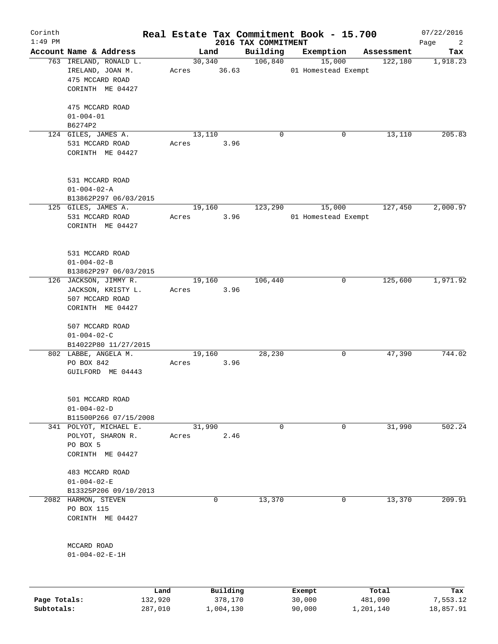| Corinth      |                                                                 |                 |             |                |                     |                     | Real Estate Tax Commitment Book - 15.700 |   |                  | 07/22/2016            |
|--------------|-----------------------------------------------------------------|-----------------|-------------|----------------|---------------------|---------------------|------------------------------------------|---|------------------|-----------------------|
| $1:49$ PM    |                                                                 |                 |             |                |                     | 2016 TAX COMMITMENT |                                          |   |                  | Page<br>2             |
|              | Account Name & Address<br>763 IRELAND, RONALD L.                |                 |             | Land<br>30,340 |                     | Building<br>106,840 | Exemption<br>15,000                      |   | Assessment       | Tax<br>1,918.23       |
|              | IRELAND, JOAN M.<br>475 MCCARD ROAD<br>CORINTH ME 04427         |                 | Acres 36.63 |                |                     |                     | 01 Homestead Exempt                      |   | 122,180          |                       |
|              | 475 MCCARD ROAD<br>$01 - 004 - 01$                              |                 |             |                |                     |                     |                                          |   |                  |                       |
|              | B6274P2                                                         |                 |             |                |                     |                     |                                          |   |                  |                       |
|              | 124 GILES, JAMES A.<br>531 MCCARD ROAD<br>CORINTH ME 04427      |                 | Acres       | 13,110         | 3.96                | 0                   |                                          | 0 | 13,110           | 205.83                |
|              | 531 MCCARD ROAD<br>$01 - 004 - 02 - A$<br>B13862P297 06/03/2015 |                 |             |                |                     |                     |                                          |   |                  |                       |
|              | 125 GILES, JAMES A.                                             |                 |             | 19,160         |                     | 123,290             | 15,000                                   |   | 127,450          | 2,000.97              |
|              | 531 MCCARD ROAD<br>CORINTH ME 04427                             |                 | Acres       |                | 3.96                |                     | 01 Homestead Exempt                      |   |                  |                       |
|              | 531 MCCARD ROAD<br>$01 - 004 - 02 - B$<br>B13862P297 06/03/2015 |                 |             |                |                     |                     |                                          |   |                  |                       |
|              | 126 JACKSON, JIMMY R.                                           |                 |             | 19,160         |                     | 106,440             |                                          | 0 | 125,600          | 1,971.92              |
|              | JACKSON, KRISTY L.<br>507 MCCARD ROAD<br>CORINTH ME 04427       |                 | Acres       |                | 3.96                |                     |                                          |   |                  |                       |
|              | 507 MCCARD ROAD<br>$01 - 004 - 02 - C$                          |                 |             |                |                     |                     |                                          |   |                  |                       |
|              | B14022P80 11/27/2015                                            |                 |             |                |                     |                     |                                          |   |                  |                       |
|              | 802 LABBE, ANGELA M.<br>PO BOX 842<br>GUILFORD ME 04443         |                 | Acres       | 19,160         | 3.96                | 28,230              |                                          | 0 | 47,390           | 744.02                |
|              | 501 MCCARD ROAD<br>$01 - 004 - 02 - D$<br>B11500P266 07/15/2008 |                 |             |                |                     |                     |                                          |   |                  |                       |
|              | 341 POLYOT, MICHAEL E.                                          |                 |             | 31,990         |                     | 0                   |                                          | 0 | 31,990           | 502.24                |
|              | POLYOT, SHARON R.<br>PO BOX 5<br>CORINTH ME 04427               |                 | Acres       |                | 2.46                |                     |                                          |   |                  |                       |
|              | 483 MCCARD ROAD<br>$01 - 004 - 02 - E$                          |                 |             |                |                     |                     |                                          |   |                  |                       |
|              | B13325P206 09/10/2013                                           |                 |             |                |                     |                     |                                          |   |                  |                       |
| 2082         | HARMON, STEVEN                                                  |                 |             |                | 0                   | 13,370              |                                          | 0 | 13,370           | 209.91                |
|              | PO BOX 115<br>CORINTH ME 04427                                  |                 |             |                |                     |                     |                                          |   |                  |                       |
|              | MCCARD ROAD<br>$01 - 004 - 02 - E - 1H$                         |                 |             |                |                     |                     |                                          |   |                  |                       |
| Page Totals: |                                                                 | Land<br>132,920 |             |                | Building<br>378,170 |                     | Exempt<br>30,000                         |   | Total<br>481,090 | Tax                   |
| Subtotals:   |                                                                 | 287,010         |             |                | 1,004,130           |                     | 90,000                                   |   | 1,201,140        | 7,553.12<br>18,857.91 |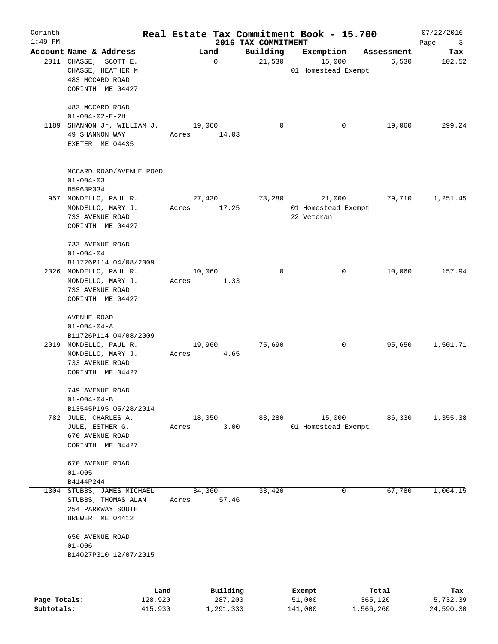| Corinth<br>$1:49$ PM |                                                                                       |                 |                     | 2016 TAX COMMITMENT | Real Estate Tax Commitment Book - 15.700    |                  | 07/22/2016<br>$\mathbf{3}$ |
|----------------------|---------------------------------------------------------------------------------------|-----------------|---------------------|---------------------|---------------------------------------------|------------------|----------------------------|
|                      | Account Name & Address                                                                | Land            |                     | Building            | Exemption                                   | Assessment       | Page<br>Tax                |
|                      | 2011 CHASSE,<br>SCOTT E.<br>CHASSE, HEATHER M.<br>483 MCCARD ROAD<br>CORINTH ME 04427 |                 | $\mathbf 0$         | 21,530              | 15,000<br>01 Homestead Exempt               | 6,530            | 102.52                     |
|                      | 483 MCCARD ROAD<br>$01 - 004 - 02 - E - 2H$                                           |                 |                     |                     |                                             |                  |                            |
|                      | 1189 SHANNON Jr, WILLIAM J.<br>49 SHANNON WAY<br>EXETER ME 04435                      | 19,060<br>Acres | 14.03               | $\mathbf 0$         | 0                                           | 19,060           | 299.24                     |
|                      | MCCARD ROAD/AVENUE ROAD<br>$01 - 004 - 03$<br>B5963P334                               |                 |                     |                     |                                             |                  |                            |
|                      | 957 MONDELLO, PAUL R.<br>MONDELLO, MARY J.<br>733 AVENUE ROAD<br>CORINTH ME 04427     | 27,430<br>Acres | 17.25               | 73,280              | 21,000<br>01 Homestead Exempt<br>22 Veteran | 79,710           | 1,251.45                   |
|                      | 733 AVENUE ROAD<br>$01 - 004 - 04$<br>B11726P114 04/08/2009                           |                 |                     |                     |                                             |                  |                            |
|                      | 2026 MONDELLO, PAUL R.<br>MONDELLO, MARY J.<br>733 AVENUE ROAD<br>CORINTH ME 04427    | 10,060<br>Acres | 1.33                | $\mathbf 0$         | 0                                           | 10,060           | 157.94                     |
|                      | AVENUE ROAD<br>$01 - 004 - 04 - A$<br>B11726P114 04/08/2009                           |                 |                     |                     |                                             |                  |                            |
|                      | 2019 MONDELLO, PAUL R.<br>MONDELLO, MARY J.<br>733 AVENUE ROAD<br>CORINTH ME 04427    | 19,960<br>Acres | 4.65                | 75,690              | 0                                           | 95,650           | 1,501.71                   |
|                      | 749 AVENUE ROAD<br>$01 - 004 - 04 - B$<br>B13545P195 05/28/2014                       |                 |                     |                     |                                             |                  |                            |
|                      | 782 JULE, CHARLES A.<br>JULE, ESTHER G.<br>670 AVENUE ROAD<br>CORINTH ME 04427        | 18,050<br>Acres | 3.00                | 83,280              | 15,000<br>01 Homestead Exempt               | 86,330           | 1,355.38                   |
|                      | 670 AVENUE ROAD<br>$01 - 005$<br>B4144P244                                            |                 |                     |                     |                                             |                  |                            |
| 1304                 | STUBBS, JAMES MICHAEL<br>STUBBS, THOMAS ALAN<br>254 PARKWAY SOUTH<br>BREWER ME 04412  | 34,360<br>Acres | 57.46               | 33,420              | 0                                           | 67,780           | 1,064.15                   |
|                      | 650 AVENUE ROAD<br>$01 - 006$<br>B14027P310 12/07/2015                                |                 |                     |                     |                                             |                  |                            |
|                      | Land                                                                                  |                 |                     |                     |                                             |                  |                            |
| Page Totals:         | 128,920                                                                               |                 | Building<br>287,200 |                     | Exempt<br>51,000                            | Total<br>365,120 | Tax<br>5,732.39            |

**Subtotals:** 415,930 1,291,330 141,000 1,566,260 24,590.30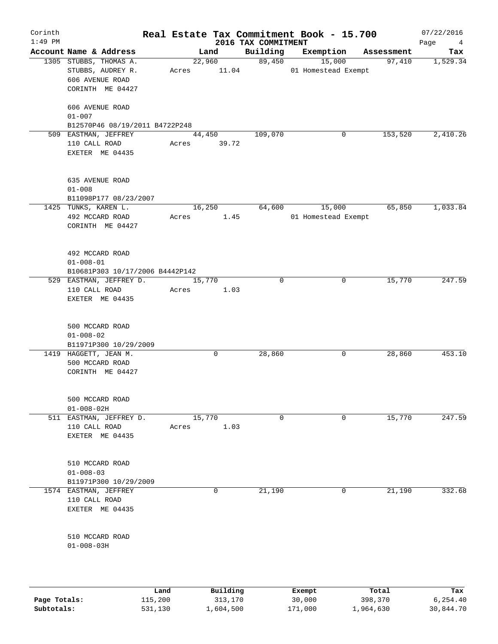| Corinth<br>$1:49$ PM |                                                                                    |       |                       | 2016 TAX COMMITMENT | Real Estate Tax Commitment Book - 15.700 |            | 07/22/2016<br>Page<br>$\overline{4}$ |
|----------------------|------------------------------------------------------------------------------------|-------|-----------------------|---------------------|------------------------------------------|------------|--------------------------------------|
|                      | Account Name & Address                                                             |       | Land                  | Building            | Exemption                                | Assessment | Tax                                  |
|                      | 1305 STUBBS, THOMAS A.<br>STUBBS, AUDREY R.<br>606 AVENUE ROAD<br>CORINTH ME 04427 |       | 22,960<br>Acres 11.04 | 89,450              | 15,000<br>01 Homestead Exempt            | 97,410     | 1,529.34                             |
|                      | 606 AVENUE ROAD<br>$01 - 007$<br>B12570P46 08/19/2011 B4722P248                    |       |                       |                     |                                          |            |                                      |
|                      | 509 EASTMAN, JEFFREY                                                               |       | 44,450                | 109,070             | 0                                        | 153,520    | 2,410.26                             |
|                      | 110 CALL ROAD<br>EXETER ME 04435                                                   |       | Acres 39.72           |                     |                                          |            |                                      |
|                      | 635 AVENUE ROAD<br>$01 - 008$<br>B11098P177 08/23/2007                             |       |                       |                     |                                          |            |                                      |
|                      | 1425 TUNKS, KAREN L.<br>492 MCCARD ROAD<br>CORINTH ME 04427                        | Acres | 16,250<br>1.45        | 64,600              | 15,000<br>01 Homestead Exempt            | 65,850     | 1,033.84                             |
|                      | 492 MCCARD ROAD<br>$01 - 008 - 01$<br>B10681P303 10/17/2006 B4442P142              |       |                       |                     |                                          |            |                                      |
|                      | 529 EASTMAN, JEFFREY D.<br>110 CALL ROAD<br>EXETER ME 04435                        | Acres | 15,770<br>1.03        | $\mathbf 0$         | 0                                        | 15,770     | 247.59                               |
|                      | 500 MCCARD ROAD<br>$01 - 008 - 02$<br>B11971P300 10/29/2009                        |       |                       |                     |                                          |            |                                      |
|                      | 1419 HAGGETT, JEAN M.<br>500 MCCARD ROAD<br>CORINTH ME 04427                       |       | 0                     | 28,860              | 0                                        | 28,860     | 453.10                               |
|                      | 500 MCCARD ROAD<br>$01 - 008 - 02H$                                                |       |                       |                     |                                          |            |                                      |
| 511                  | EASTMAN, JEFFREY D.<br>110 CALL ROAD<br>EXETER ME 04435                            | Acres | 15,770<br>1.03        | $\mathbf 0$         | $\mathbf 0$                              | 15,770     | 247.59                               |
|                      | 510 MCCARD ROAD<br>$01 - 008 - 03$<br>B11971P300 10/29/2009                        |       |                       |                     |                                          |            |                                      |
|                      | 1574 EASTMAN, JEFFREY<br>110 CALL ROAD<br>EXETER ME 04435                          |       | 0                     | 21,190              | 0                                        | 21,190     | 332.68                               |
|                      | 510 MCCARD ROAD<br>$01 - 008 - 03H$                                                |       |                       |                     |                                          |            |                                      |
|                      |                                                                                    | Land  | Building              |                     | Exempt                                   | Total      | Tax                                  |

|              | uanu    | <b>DULLULIN</b> | <b>BACILDL</b> | TOLAT     | ⊥a∧       |
|--------------|---------|-----------------|----------------|-----------|-----------|
| Page Totals: | 115,200 | 313,170         | 30,000         | 398,370   | 6.254.40  |
| Subtotals:   | 531,130 | 1,604,500       | 171,000        | 1,964,630 | 30,844.70 |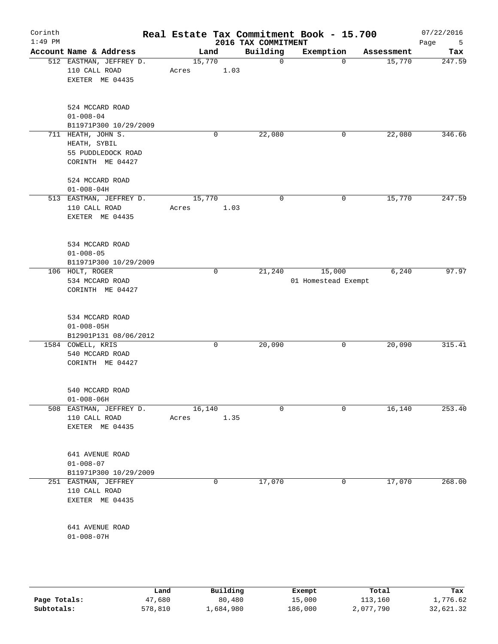|                                                          |                    |                                                                                                                                                                                                                                                                                               |   |                                                   |                                |                          | 07/22/2016<br>Page<br>5                                                   |
|----------------------------------------------------------|--------------------|-----------------------------------------------------------------------------------------------------------------------------------------------------------------------------------------------------------------------------------------------------------------------------------------------|---|---------------------------------------------------|--------------------------------|--------------------------|---------------------------------------------------------------------------|
|                                                          |                    |                                                                                                                                                                                                                                                                                               |   | Building                                          | Exemption                      | Assessment               | Tax                                                                       |
| 110 CALL ROAD<br>EXETER ME 04435                         |                    | Acres                                                                                                                                                                                                                                                                                         |   | $\mathbf 0$                                       | $\Omega$                       | 15,770                   | 247.59                                                                    |
| 524 MCCARD ROAD<br>$01 - 008 - 04$                       |                    |                                                                                                                                                                                                                                                                                               |   |                                                   |                                |                          |                                                                           |
|                                                          |                    |                                                                                                                                                                                                                                                                                               |   |                                                   |                                |                          | 346.66                                                                    |
| HEATH, SYBIL                                             |                    |                                                                                                                                                                                                                                                                                               |   |                                                   |                                |                          |                                                                           |
| 524 MCCARD ROAD<br>$01 - 008 - 04H$                      |                    |                                                                                                                                                                                                                                                                                               |   |                                                   |                                |                          |                                                                           |
| 110 CALL ROAD<br>EXETER ME 04435                         |                    | Acres                                                                                                                                                                                                                                                                                         |   | $\mathbf 0$                                       | 0                              | 15,770                   | 247.59                                                                    |
| 534 MCCARD ROAD<br>$01 - 008 - 05$                       |                    |                                                                                                                                                                                                                                                                                               |   |                                                   |                                |                          |                                                                           |
| 106 HOLT, ROGER<br>534 MCCARD ROAD                       |                    |                                                                                                                                                                                                                                                                                               | 0 | 21,240                                            | 15,000                         | 6,240                    | 97.97                                                                     |
| 534 MCCARD ROAD<br>$01 - 008 - 05H$                      |                    |                                                                                                                                                                                                                                                                                               |   |                                                   |                                |                          |                                                                           |
| 1584 COWELL, KRIS<br>540 MCCARD ROAD                     |                    |                                                                                                                                                                                                                                                                                               | 0 | 20,090                                            | 0                              | 20,090                   | 315.41                                                                    |
| 540 MCCARD ROAD<br>$01 - 008 - 06H$                      |                    |                                                                                                                                                                                                                                                                                               |   |                                                   |                                |                          |                                                                           |
| 110 CALL ROAD<br>EXETER ME 04435                         |                    | Acres                                                                                                                                                                                                                                                                                         |   | $\mathbf 0$                                       | $\Omega$                       | 16,140                   | 253.40                                                                    |
| 641 AVENUE ROAD<br>$01 - 008 - 07$                       |                    |                                                                                                                                                                                                                                                                                               |   |                                                   |                                |                          |                                                                           |
| 251 EASTMAN, JEFFREY<br>110 CALL ROAD<br>EXETER ME 04435 |                    |                                                                                                                                                                                                                                                                                               | 0 | 17,070                                            | 0                              | 17,070                   | 268.00                                                                    |
| 641 AVENUE ROAD<br>$01 - 008 - 07H$                      |                    |                                                                                                                                                                                                                                                                                               |   |                                                   |                                |                          |                                                                           |
|                                                          | 711 HEATH, JOHN S. | Account Name & Address<br>512 EASTMAN, JEFFREY D.<br>B11971P300 10/29/2009<br>55 PUDDLEDOCK ROAD<br>CORINTH ME 04427<br>513 EASTMAN, JEFFREY D.<br>B11971P300 10/29/2009<br>CORINTH ME 04427<br>B12901P131 08/06/2012<br>CORINTH ME 04427<br>508 EASTMAN, JEFFREY D.<br>B11971P300 10/29/2009 |   | Land<br>15,770<br>$\mathbf 0$<br>15,770<br>16,140 | 1.03<br>22,080<br>1.03<br>1.35 | 2016 TAX COMMITMENT<br>0 | Real Estate Tax Commitment Book - 15.700<br>22,080<br>01 Homestead Exempt |

|              | Land    | Building  | Exempt  | Total     | Tax       |
|--------------|---------|-----------|---------|-----------|-----------|
| Page Totals: | 47,680  | 80,480    | 15,000  | 113,160   | 1,776.62  |
| Subtotals:   | 578,810 | .,684,980 | 186,000 | 2,077,790 | 32,621.32 |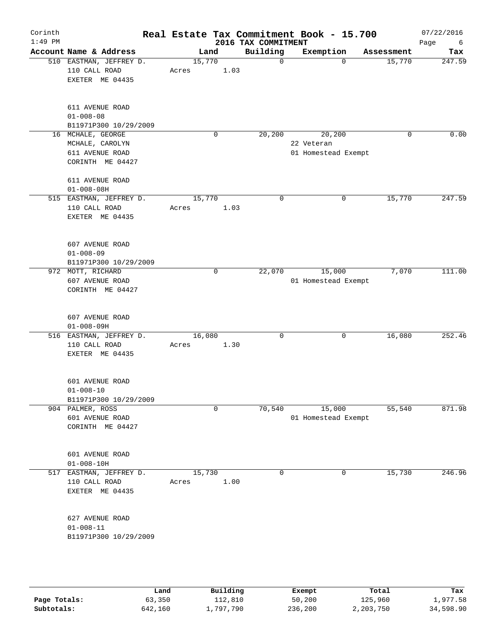| Corinth<br>$1:49$ PM |                                                                             |                 |             |      | Real Estate Tax Commitment Book - 15.700<br>2016 TAX COMMITMENT |                                             |          |            | 07/22/2016<br>Page<br>6 |
|----------------------|-----------------------------------------------------------------------------|-----------------|-------------|------|-----------------------------------------------------------------|---------------------------------------------|----------|------------|-------------------------|
|                      | Account Name & Address                                                      | Land            |             |      | Building                                                        | Exemption                                   |          | Assessment | Tax                     |
|                      | 510 EASTMAN, JEFFREY D.<br>110 CALL ROAD<br>EXETER ME 04435                 | 15,770<br>Acres |             | 1.03 | $\mathbf 0$                                                     |                                             | $\Omega$ | 15,770     | 247.59                  |
|                      | 611 AVENUE ROAD<br>$01 - 008 - 08$<br>B11971P300 10/29/2009                 |                 |             |      |                                                                 |                                             |          |            |                         |
|                      | 16 MCHALE, GEORGE<br>MCHALE, CAROLYN<br>611 AVENUE ROAD<br>CORINTH ME 04427 |                 | $\mathbf 0$ |      | 20,200                                                          | 20,200<br>22 Veteran<br>01 Homestead Exempt |          | 0          | 0.00                    |
|                      | 611 AVENUE ROAD<br>$01 - 008 - 08H$                                         |                 |             |      |                                                                 |                                             |          |            |                         |
|                      | 515 EASTMAN, JEFFREY D.<br>110 CALL ROAD<br>EXETER ME 04435                 | 15,770<br>Acres |             | 1.03 | $\mathbf 0$                                                     |                                             | 0        | 15,770     | 247.59                  |
|                      | 607 AVENUE ROAD<br>$01 - 008 - 09$<br>B11971P300 10/29/2009                 |                 |             |      |                                                                 |                                             |          |            |                         |
|                      | 972 MOTT, RICHARD<br>607 AVENUE ROAD<br>CORINTH ME 04427                    |                 | 0           |      | 22,070                                                          | 15,000<br>01 Homestead Exempt               |          | 7,070      | 111.00                  |
|                      | 607 AVENUE ROAD<br>$01 - 008 - 09H$                                         |                 |             |      |                                                                 |                                             |          |            |                         |
|                      | 516 EASTMAN, JEFFREY D.<br>110 CALL ROAD<br>EXETER ME 04435                 | 16,080<br>Acres |             | 1.30 | 0                                                               |                                             | 0        | 16,080     | 252.46                  |
|                      | 601 AVENUE ROAD<br>$01 - 008 - 10$<br>B11971P300 10/29/2009                 |                 |             |      |                                                                 |                                             |          |            |                         |
|                      | 904 PALMER, ROSS<br>601 AVENUE ROAD<br>CORINTH ME 04427                     |                 | $\mathbf 0$ |      | 70,540                                                          | 15,000<br>01 Homestead Exempt               |          | 55,540     | 871.98                  |
|                      | 601 AVENUE ROAD<br>$01 - 008 - 10H$                                         |                 |             |      |                                                                 |                                             |          |            |                         |
|                      | 517 EASTMAN, JEFFREY D.<br>110 CALL ROAD<br>EXETER ME 04435                 | 15,730<br>Acres |             | 1.00 | 0                                                               |                                             | 0        | 15,730     | 246.96                  |
|                      | 627 AVENUE ROAD<br>$01 - 008 - 11$<br>B11971P300 10/29/2009                 |                 |             |      |                                                                 |                                             |          |            |                         |
|                      |                                                                             |                 |             |      |                                                                 |                                             |          |            |                         |

|              | Land    | Building  | Exempt  | Total     | Tax       |
|--------------|---------|-----------|---------|-----------|-----------|
| Page Totals: | 63,350  | 112,810   | 50,200  | 125,960   | 1,977.58  |
| Subtotals:   | 642,160 | .,797,790 | 236,200 | 2,203,750 | 34,598.90 |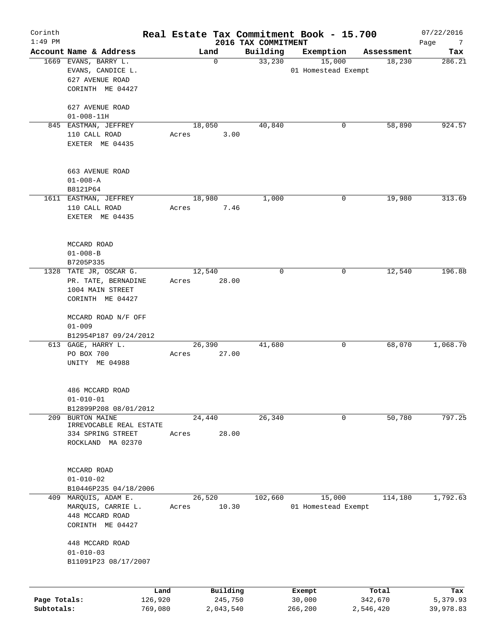| Corinth<br>$1:49$ PM |                                               |                 |                     | 2016 TAX COMMITMENT | Real Estate Tax Commitment Book - 15.700 |                  | 07/22/2016<br>Page<br>$\overline{7}$ |
|----------------------|-----------------------------------------------|-----------------|---------------------|---------------------|------------------------------------------|------------------|--------------------------------------|
|                      | Account Name & Address                        |                 | Land                | Building            | Exemption                                | Assessment       | Tax                                  |
|                      | 1669 EVANS, BARRY L.                          |                 | $\mathbf 0$         | 33,230              | 15,000                                   | 18,230           | 286.21                               |
|                      | EVANS, CANDICE L.                             |                 |                     |                     | 01 Homestead Exempt                      |                  |                                      |
|                      | 627 AVENUE ROAD                               |                 |                     |                     |                                          |                  |                                      |
|                      | CORINTH ME 04427                              |                 |                     |                     |                                          |                  |                                      |
|                      | 627 AVENUE ROAD                               |                 |                     |                     |                                          |                  |                                      |
|                      | $01 - 008 - 11H$                              |                 |                     |                     |                                          |                  |                                      |
|                      | 845 EASTMAN, JEFFREY                          |                 | 18,050              | 40,840              | 0                                        | 58,890           | 924.57                               |
|                      | 110 CALL ROAD                                 | Acres           | 3.00                |                     |                                          |                  |                                      |
|                      | EXETER ME 04435                               |                 |                     |                     |                                          |                  |                                      |
|                      | 663 AVENUE ROAD                               |                 |                     |                     |                                          |                  |                                      |
|                      | $01 - 008 - A$                                |                 |                     |                     |                                          |                  |                                      |
|                      | B8121P64                                      |                 |                     |                     |                                          |                  |                                      |
|                      | 1611 EASTMAN, JEFFREY                         |                 | 18,980              | 1,000               | 0                                        | 19,980           | 313.69                               |
|                      | 110 CALL ROAD                                 | Acres           | 7.46                |                     |                                          |                  |                                      |
|                      | EXETER ME 04435                               |                 |                     |                     |                                          |                  |                                      |
|                      |                                               |                 |                     |                     |                                          |                  |                                      |
|                      | MCCARD ROAD                                   |                 |                     |                     |                                          |                  |                                      |
|                      | $01 - 008 - B$                                |                 |                     |                     |                                          |                  |                                      |
|                      | B7205P335                                     |                 |                     |                     |                                          |                  |                                      |
|                      | 1328 TATE JR, OSCAR G.<br>PR. TATE, BERNADINE |                 | 12,540              | $\mathbf 0$         | 0                                        | 12,540           | 196.88                               |
|                      | 1004 MAIN STREET                              | Acres           | 28.00               |                     |                                          |                  |                                      |
|                      | CORINTH ME 04427                              |                 |                     |                     |                                          |                  |                                      |
|                      |                                               |                 |                     |                     |                                          |                  |                                      |
|                      | MCCARD ROAD N/F OFF                           |                 |                     |                     |                                          |                  |                                      |
|                      | $01 - 009$                                    |                 |                     |                     |                                          |                  |                                      |
|                      | B12954P187 09/24/2012                         |                 |                     |                     |                                          |                  |                                      |
|                      | 613 GAGE, HARRY L.                            |                 | 26,390              | 41,680              | 0                                        | 68,070           | 1,068.70                             |
|                      | PO BOX 700                                    | Acres           | 27.00               |                     |                                          |                  |                                      |
|                      | UNITY ME 04988                                |                 |                     |                     |                                          |                  |                                      |
|                      | 486 MCCARD ROAD                               |                 |                     |                     |                                          |                  |                                      |
|                      | $01 - 010 - 01$                               |                 |                     |                     |                                          |                  |                                      |
|                      | B12899P208 08/01/2012                         |                 |                     |                     |                                          |                  |                                      |
| 209                  | <b>BURTON MAINE</b>                           |                 | 24,440              | 26, 340             | 0                                        | 50,780           | 797.25                               |
|                      | IRREVOCABLE REAL ESTATE                       |                 |                     |                     |                                          |                  |                                      |
|                      | 334 SPRING STREET                             | Acres           | 28.00               |                     |                                          |                  |                                      |
|                      | ROCKLAND MA 02370                             |                 |                     |                     |                                          |                  |                                      |
|                      |                                               |                 |                     |                     |                                          |                  |                                      |
|                      | MCCARD ROAD                                   |                 |                     |                     |                                          |                  |                                      |
|                      | $01 - 010 - 02$                               |                 |                     |                     |                                          |                  |                                      |
|                      | B10446P235 04/18/2006                         |                 |                     |                     |                                          |                  |                                      |
|                      | 409 MARQUIS, ADAM E.                          |                 | 26,520              | 102,660             | 15,000                                   | 114,180          | 1,792.63                             |
|                      | MARQUIS, CARRIE L.                            | Acres           | 10.30               |                     | 01 Homestead Exempt                      |                  |                                      |
|                      | 448 MCCARD ROAD<br>CORINTH ME 04427           |                 |                     |                     |                                          |                  |                                      |
|                      |                                               |                 |                     |                     |                                          |                  |                                      |
|                      | 448 MCCARD ROAD                               |                 |                     |                     |                                          |                  |                                      |
|                      | $01 - 010 - 03$                               |                 |                     |                     |                                          |                  |                                      |
|                      | B11091P23 08/17/2007                          |                 |                     |                     |                                          |                  |                                      |
|                      |                                               |                 |                     |                     |                                          |                  |                                      |
| Page Totals:         |                                               | Land<br>126,920 | Building<br>245,750 |                     | Exempt<br>30,000                         | Total<br>342,670 | Tax<br>5,379.93                      |
| Subtotals:           |                                               | 769,080         | 2,043,540           |                     | 266,200                                  | 2,546,420        | 39,978.83                            |
|                      |                                               |                 |                     |                     |                                          |                  |                                      |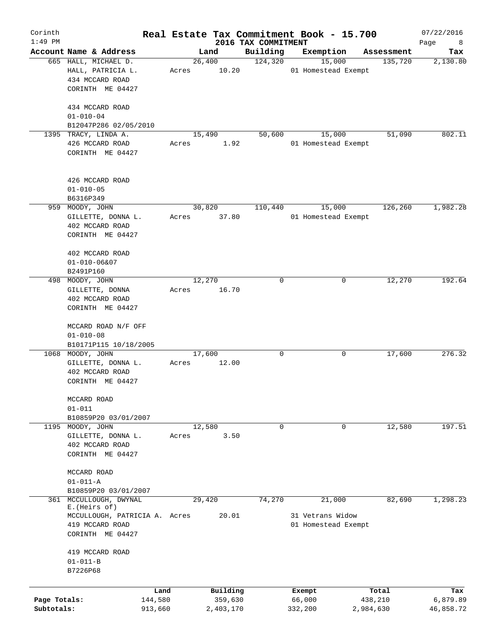| Corinth<br>$1:49$ PM       |                                                                                       |                    |                 |                      | 2016 TAX COMMITMENT | Real Estate Tax Commitment Book - 15.700 |                      | 07/22/2016<br>Page<br>8 |
|----------------------------|---------------------------------------------------------------------------------------|--------------------|-----------------|----------------------|---------------------|------------------------------------------|----------------------|-------------------------|
|                            | Account Name & Address                                                                |                    |                 | Land                 | Building            | Exemption                                | Assessment           | Tax                     |
|                            | 665 HALL, MICHAEL D.<br>HALL, PATRICIA L.<br>434 MCCARD ROAD<br>CORINTH ME 04427      |                    | 26,400<br>Acres | 10.20                | 124,320             | 15,000<br>01 Homestead Exempt            | 135,720              | 2,130.80                |
|                            | 434 MCCARD ROAD<br>$01 - 010 - 04$<br>B12047P286 02/05/2010                           |                    |                 |                      |                     |                                          |                      |                         |
|                            | 1395 TRACY, LINDA A.<br>426 MCCARD ROAD<br>CORINTH ME 04427                           |                    | 15,490<br>Acres | 1.92                 | 50,600              | 15,000<br>01 Homestead Exempt            | 51,090               | 802.11                  |
|                            | 426 MCCARD ROAD<br>$01 - 010 - 05$<br>B6316P349                                       |                    |                 |                      |                     |                                          |                      |                         |
|                            | 959 MOODY, JOHN<br>GILLETTE, DONNA L.<br>402 MCCARD ROAD<br>CORINTH ME 04427          |                    | 30,820<br>Acres | 37.80                | 110,440             | 15,000<br>01 Homestead Exempt            | 126,260              | 1,982.28                |
|                            | 402 MCCARD ROAD<br>$01 - 010 - 06807$<br>B2491P160                                    |                    |                 |                      |                     |                                          |                      |                         |
| 498                        | MOODY, JOHN<br>GILLETTE, DONNA<br>402 MCCARD ROAD<br>CORINTH ME 04427                 |                    | 12,270<br>Acres | 16.70                | $\mathbf 0$         | 0                                        | 12,270               | 192.64                  |
|                            | MCCARD ROAD N/F OFF<br>$01 - 010 - 08$<br>B10171P115 10/18/2005                       |                    |                 |                      |                     |                                          |                      |                         |
| 1068                       | MOODY, JOHN<br>GILLETTE, DONNA L.<br>402 MCCARD ROAD<br>CORINTH ME 04427              |                    | 17,600<br>Acres | 12.00                | $\mathbf 0$         | 0                                        | 17,600               | 276.32                  |
|                            | MCCARD ROAD<br>$01 - 011$<br>B10859P20 03/01/2007                                     |                    |                 |                      |                     |                                          |                      |                         |
|                            | 1195 MOODY, JOHN<br>GILLETTE, DONNA L.<br>402 MCCARD ROAD<br>CORINTH ME 04427         |                    | 12,580<br>Acres | 3.50                 | 0                   | 0                                        | 12,580               | 197.51                  |
|                            | MCCARD ROAD<br>$01 - 011 - A$<br>B10859P20 03/01/2007                                 |                    |                 |                      |                     |                                          |                      |                         |
| 361                        | MCCULLOUGH, DWYNAL                                                                    |                    | 29,420          |                      | 74,270              | 21,000                                   | 82,690               | 1,298.23                |
|                            | E. (Heirs of)<br>MCCULLOUGH, PATRICIA A. Acres<br>419 MCCARD ROAD<br>CORINTH ME 04427 |                    |                 | 20.01                |                     | 31 Vetrans Widow<br>01 Homestead Exempt  |                      |                         |
|                            | 419 MCCARD ROAD<br>$01 - 011 - B$<br>B7226P68                                         |                    |                 |                      |                     |                                          |                      |                         |
|                            |                                                                                       | Land               |                 | Building             |                     | Exempt                                   | Total                | Tax                     |
| Page Totals:<br>Subtotals: |                                                                                       | 144,580<br>913,660 |                 | 359,630<br>2,403,170 |                     | 66,000<br>332,200                        | 438,210<br>2,984,630 | 6,879.89<br>46,858.72   |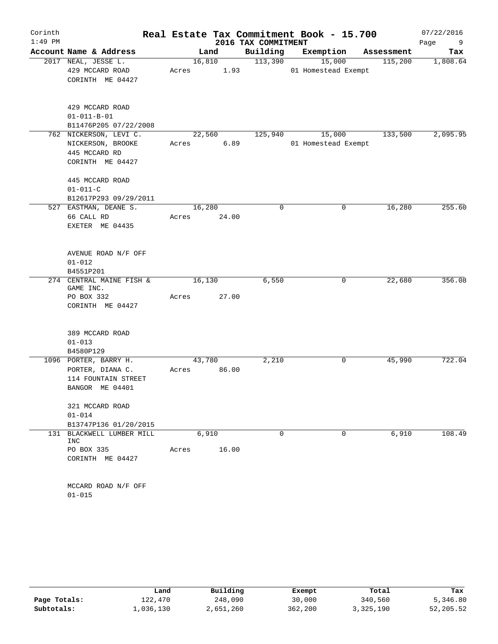| Corinth   |                                        |       |        |                |                     | Real Estate Tax Commitment Book - 15.700 |            | 07/22/2016 |
|-----------|----------------------------------------|-------|--------|----------------|---------------------|------------------------------------------|------------|------------|
| $1:49$ PM |                                        |       |        |                | 2016 TAX COMMITMENT |                                          |            | Page<br>9  |
|           | Account Name & Address                 |       |        | Land           | Building<br>113,390 | Exemption                                | Assessment | Tax        |
|           | 2017 NEAL, JESSE L.<br>429 MCCARD ROAD | Acres |        | 16,810<br>1.93 |                     | 15,000<br>01 Homestead Exempt            | 115,200    | 1,808.64   |
|           | CORINTH ME 04427                       |       |        |                |                     |                                          |            |            |
|           |                                        |       |        |                |                     |                                          |            |            |
|           | 429 MCCARD ROAD                        |       |        |                |                     |                                          |            |            |
|           | $01 - 011 - B - 01$                    |       |        |                |                     |                                          |            |            |
|           | B11476P205 07/22/2008                  |       |        |                |                     |                                          |            |            |
|           | 762 NICKERSON, LEVI C.                 |       |        | 22,560         | 125,940             | 15,000                                   | 133,500    | 2,095.95   |
|           | NICKERSON, BROOKE                      | Acres |        | 6.89           |                     | 01 Homestead Exempt                      |            |            |
|           | 445 MCCARD RD                          |       |        |                |                     |                                          |            |            |
|           | CORINTH ME 04427                       |       |        |                |                     |                                          |            |            |
|           | 445 MCCARD ROAD                        |       |        |                |                     |                                          |            |            |
|           | $01 - 011 - C$                         |       |        |                |                     |                                          |            |            |
|           | B12617P293 09/29/2011                  |       |        |                |                     |                                          |            |            |
|           | 527 EASTMAN, DEANE S.                  |       | 16,280 |                | 0                   | 0                                        | 16,280     | 255.60     |
|           | 66 CALL RD                             | Acres |        | 24.00          |                     |                                          |            |            |
|           | EXETER ME 04435                        |       |        |                |                     |                                          |            |            |
|           | AVENUE ROAD N/F OFF                    |       |        |                |                     |                                          |            |            |
|           | $01 - 012$                             |       |        |                |                     |                                          |            |            |
|           | B4551P201                              |       |        |                |                     |                                          |            |            |
|           | 274 CENTRAL MAINE FISH &               |       | 16,130 |                | 6,550               | 0                                        | 22,680     | 356.08     |
|           | GAME INC.<br>PO BOX 332                | Acres |        | 27.00          |                     |                                          |            |            |
|           | CORINTH ME 04427                       |       |        |                |                     |                                          |            |            |
|           |                                        |       |        |                |                     |                                          |            |            |
|           | 389 MCCARD ROAD                        |       |        |                |                     |                                          |            |            |
|           | $01 - 013$                             |       |        |                |                     |                                          |            |            |
|           | B4580P129                              |       |        |                |                     |                                          |            |            |
|           | 1096 PORTER, BARRY H.                  |       | 43,780 |                | 2,210               | 0                                        | 45,990     | 722.04     |
|           | PORTER, DIANA C.                       | Acres |        | 86.00          |                     |                                          |            |            |
|           | 114 FOUNTAIN STREET                    |       |        |                |                     |                                          |            |            |
|           | BANGOR ME 04401                        |       |        |                |                     |                                          |            |            |
|           | 321 MCCARD ROAD                        |       |        |                |                     |                                          |            |            |
|           | $01 - 014$                             |       |        |                |                     |                                          |            |            |
|           | B13747P136 01/20/2015                  |       |        |                |                     |                                          |            |            |
|           | 131 BLACKWELL LUMBER MILL<br>INC       |       |        | 6,910          | $\Omega$            | $\Omega$                                 | 6,910      | 108.49     |
|           | PO BOX 335                             |       |        | Acres 16.00    |                     |                                          |            |            |
|           | CORINTH ME 04427                       |       |        |                |                     |                                          |            |            |
|           |                                        |       |        |                |                     |                                          |            |            |
|           | MCCARD ROAD N/F OFF                    |       |        |                |                     |                                          |            |            |
|           | $01 - 015$                             |       |        |                |                     |                                          |            |            |

|              | Land      | Building  | Exempt  | Total     | Tax       |
|--------------|-----------|-----------|---------|-----------|-----------|
| Page Totals: | 122,470   | 248,090   | 30,000  | 340,560   | 5,346.80  |
| Subtotals:   | 1,036,130 | 2,651,260 | 362,200 | 3,325,190 | 52,205.52 |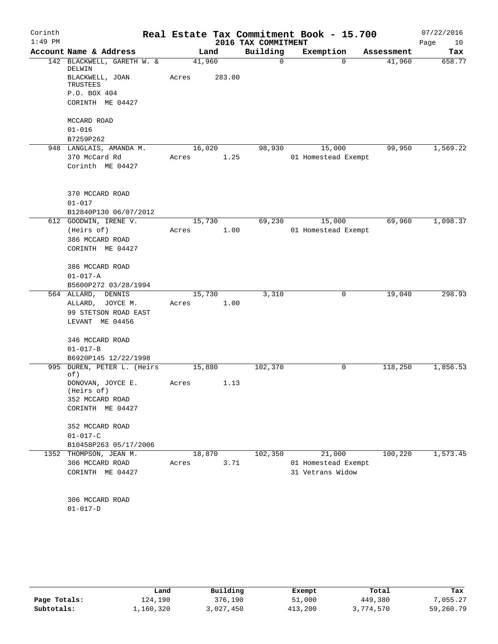| Corinth   |                                      |        |        |                     | Real Estate Tax Commitment Book - 15.700 |            | 07/22/2016 |
|-----------|--------------------------------------|--------|--------|---------------------|------------------------------------------|------------|------------|
| $1:49$ PM |                                      |        |        | 2016 TAX COMMITMENT |                                          |            | Page<br>10 |
|           | Account Name & Address               | Land   |        | Building            | Exemption                                | Assessment | Tax        |
|           | 142 BLACKWELL, GARETH W. &<br>DELWIN | 41,960 |        | 0                   | $\Omega$                                 | 41,960     | 658.77     |
|           | BLACKWELL, JOAN<br>TRUSTEES          | Acres  | 283.00 |                     |                                          |            |            |
|           | P.O. BOX 404                         |        |        |                     |                                          |            |            |
|           | CORINTH ME 04427                     |        |        |                     |                                          |            |            |
|           | MCCARD ROAD                          |        |        |                     |                                          |            |            |
|           | $01 - 016$                           |        |        |                     |                                          |            |            |
|           | B7259P262                            |        |        |                     |                                          |            |            |
|           | 948 LANGLAIS, AMANDA M.              | 16,020 |        | 98,930              | 15,000                                   | 99,950     | 1,569.22   |
|           | 370 McCard Rd                        | Acres  | 1.25   |                     | 01 Homestead Exempt                      |            |            |
|           | Corinth ME 04427                     |        |        |                     |                                          |            |            |
|           | 370 MCCARD ROAD                      |        |        |                     |                                          |            |            |
|           | $01 - 017$                           |        |        |                     |                                          |            |            |
|           | B12840P130 06/07/2012                |        |        |                     |                                          |            |            |
|           | 612 GOODWIN, IRENE V.                | 15,730 |        | 69,230              | 15,000                                   | 69,960     | 1,098.37   |
|           | (Heirs of)                           | Acres  | 1.00   |                     | 01 Homestead Exempt                      |            |            |
|           | 386 MCCARD ROAD<br>CORINTH ME 04427  |        |        |                     |                                          |            |            |
|           |                                      |        |        |                     |                                          |            |            |
|           | 386 MCCARD ROAD                      |        |        |                     |                                          |            |            |
|           | $01 - 017 - A$                       |        |        |                     |                                          |            |            |
|           | B5600P272 03/28/1994                 |        |        |                     |                                          |            |            |
|           | 564 ALLARD, DENNIS                   | 15,730 |        | 3,310               | 0                                        | 19,040     | 298.93     |
|           | ALLARD, JOYCE M.                     | Acres  | 1.00   |                     |                                          |            |            |
|           | 99 STETSON ROAD EAST                 |        |        |                     |                                          |            |            |
|           | LEVANT ME 04456                      |        |        |                     |                                          |            |            |
|           | 346 MCCARD ROAD                      |        |        |                     |                                          |            |            |
|           | $01 - 017 - B$                       |        |        |                     |                                          |            |            |
|           | B6920P145 12/22/1998                 |        |        |                     |                                          |            |            |
| 995       | DUREN, PETER L. (Heirs<br>of)        | 15,880 |        | 102,370             | 0                                        | 118,250    | 1,856.53   |
|           | DONOVAN, JOYCE E.<br>(Heirs of)      | Acres  | 1.13   |                     |                                          |            |            |
|           | 352 MCCARD ROAD                      |        |        |                     |                                          |            |            |
|           | CORINTH ME 04427                     |        |        |                     |                                          |            |            |
|           | 352 MCCARD ROAD                      |        |        |                     |                                          |            |            |
|           | $01 - 017 - C$                       |        |        |                     |                                          |            |            |
|           | B10458P263 05/17/2006                |        |        |                     |                                          |            |            |
|           | 1352 THOMPSON, JEAN M.               | 18,870 |        | 102, 350            | 21,000                                   | 100,220    | 1,573.45   |
|           | 306 MCCARD ROAD                      | Acres  | 3.71   |                     | 01 Homestead Exempt                      |            |            |
|           | CORINTH ME 04427                     |        |        |                     | 31 Vetrans Widow                         |            |            |
|           |                                      |        |        |                     |                                          |            |            |
|           | 306 MCCARD ROAD<br>$01 - 017 - D$    |        |        |                     |                                          |            |            |

|              | Land      | Building  | Exempt  | Total     | Tax       |
|--------------|-----------|-----------|---------|-----------|-----------|
| Page Totals: | 124.190   | 376,190   | 51,000  | 449,380   | 7,055.27  |
| Subtotals:   | 1,160,320 | 3,027,450 | 413,200 | 3,774,570 | 59,260.79 |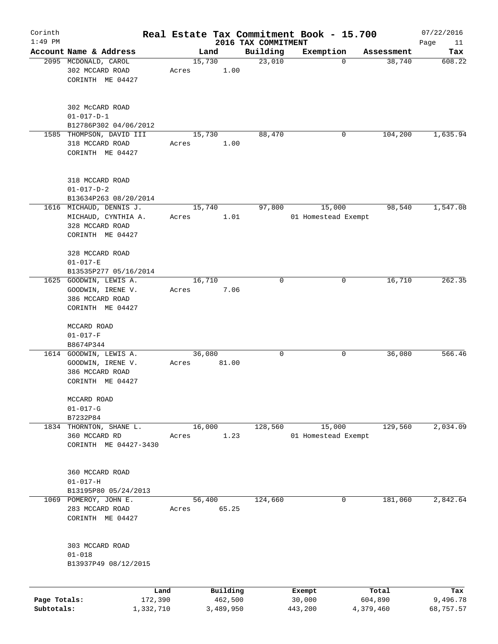| Corinth                    |                                                                                    |                 |                      |                     | Real Estate Tax Commitment Book - 15.700 |                      | 07/22/2016            |
|----------------------------|------------------------------------------------------------------------------------|-----------------|----------------------|---------------------|------------------------------------------|----------------------|-----------------------|
| $1:49$ PM                  |                                                                                    |                 |                      | 2016 TAX COMMITMENT |                                          |                      | Page<br>11            |
|                            | Account Name & Address<br>2095 MCDONALD, CAROL                                     | 15,730          | Land                 | Building<br>23,010  | Exemption<br>$\mathbf 0$                 | Assessment<br>38,740 | Tax<br>608.22         |
|                            | 302 MCCARD ROAD<br>CORINTH ME 04427                                                | Acres           | 1.00                 |                     |                                          |                      |                       |
|                            | 302 McCARD ROAD<br>$01 - 017 - D - 1$                                              |                 |                      |                     |                                          |                      |                       |
|                            | B12786P302 04/06/2012                                                              |                 |                      |                     |                                          |                      |                       |
|                            | 1585 THOMPSON, DAVID III<br>318 MCCARD ROAD<br>CORINTH ME 04427                    | 15,730<br>Acres | 1.00                 | 88,470              | 0                                        | 104,200              | 1,635.94              |
|                            | 318 MCCARD ROAD<br>$01 - 017 - D - 2$                                              |                 |                      |                     |                                          |                      |                       |
|                            | B13634P263 08/20/2014<br>1616 MICHAUD, DENNIS J.                                   | 15,740          |                      | 97,800              | 15,000                                   | 98,540               | 1,547.08              |
|                            | MICHAUD, CYNTHIA A.<br>328 MCCARD ROAD<br>CORINTH ME 04427                         | Acres           | 1.01                 |                     | 01 Homestead Exempt                      |                      |                       |
|                            | 328 MCCARD ROAD<br>$01 - 017 - E$<br>B13535P277 05/16/2014                         |                 |                      |                     |                                          |                      |                       |
|                            | 1625 GOODWIN, LEWIS A.                                                             | 16,710          |                      | 0                   | 0                                        | 16,710               | 262.35                |
|                            | GOODWIN, IRENE V.<br>386 MCCARD ROAD<br>CORINTH ME 04427                           | Acres           | 7.06                 |                     |                                          |                      |                       |
|                            | MCCARD ROAD<br>$01 - 017 - F$<br>B8674P344                                         |                 |                      |                     |                                          |                      |                       |
|                            | 1614 GOODWIN, LEWIS A.<br>GOODWIN, IRENE V.<br>386 MCCARD ROAD<br>CORINTH ME 04427 | 36,080<br>Acres | 81.00                | 0                   | 0                                        | 36,080               | 566.46                |
|                            | MCCARD ROAD<br>$01 - 017 - G$<br>B7232P84                                          |                 |                      |                     |                                          |                      |                       |
|                            | 1834 THORNTON, SHANE L.                                                            | 16,000          |                      | 128,560             | 15,000                                   | 129,560              | 2,034.09              |
|                            | 360 MCCARD RD<br>CORINTH ME 04427-3430                                             | Acres           | 1.23                 |                     | 01 Homestead Exempt                      |                      |                       |
|                            | 360 MCCARD ROAD<br>$01 - 017 - H$<br>B13195P80 05/24/2013                          |                 |                      |                     |                                          |                      |                       |
| 1069                       | POMEROY, JOHN E.                                                                   | 56,400          |                      | 124,660             | 0                                        | 181,060              | 2,842.64              |
|                            | 283 MCCARD ROAD<br>CORINTH ME 04427                                                | Acres           | 65.25                |                     |                                          |                      |                       |
|                            | 303 MCCARD ROAD<br>$01 - 018$<br>B13937P49 08/12/2015                              |                 |                      |                     |                                          |                      |                       |
|                            | Land                                                                               |                 | Building             |                     | Exempt                                   | Total                | Tax                   |
| Page Totals:<br>Subtotals: | 172,390<br>1,332,710                                                               |                 | 462,500<br>3,489,950 |                     | 30,000<br>443,200                        | 604,890<br>4,379,460 | 9,496.78<br>68,757.57 |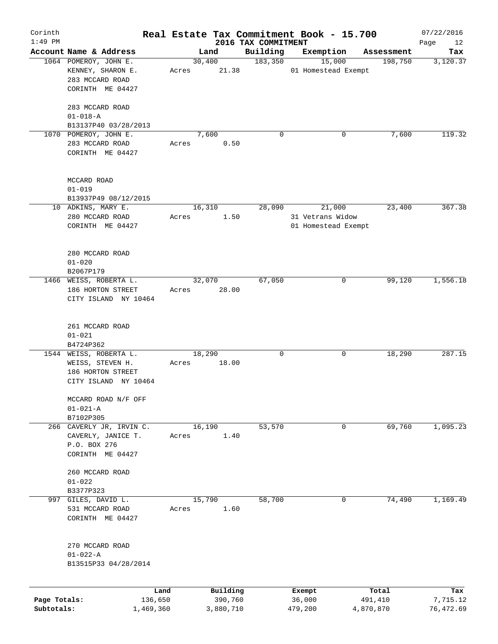| Corinth      |                                       |         |                 |                                 | Real Estate Tax Commitment Book - 15.700 |                       | 07/22/2016        |
|--------------|---------------------------------------|---------|-----------------|---------------------------------|------------------------------------------|-----------------------|-------------------|
| $1:49$ PM    | Account Name & Address                |         |                 | 2016 TAX COMMITMENT<br>Building | Exemption                                |                       | Page<br>12<br>Tax |
|              | 1064 POMEROY, JOHN E.                 |         | Land<br>30,400  | 183,350                         | 15,000                                   | Assessment<br>198,750 | 3,120.37          |
|              | KENNEY, SHARON E.                     | Acres   | 21.38           |                                 | 01 Homestead Exempt                      |                       |                   |
|              | 283 MCCARD ROAD                       |         |                 |                                 |                                          |                       |                   |
|              | CORINTH ME 04427                      |         |                 |                                 |                                          |                       |                   |
|              |                                       |         |                 |                                 |                                          |                       |                   |
|              | 283 MCCARD ROAD                       |         |                 |                                 |                                          |                       |                   |
|              | $01 - 018 - A$                        |         |                 |                                 |                                          |                       |                   |
|              | B13137P40 03/28/2013                  |         |                 |                                 |                                          |                       |                   |
|              | 1070 POMEROY, JOHN E.                 |         | 7,600           | 0                               | 0                                        | 7,600                 | 119.32            |
|              | 283 MCCARD ROAD                       | Acres   | 0.50            |                                 |                                          |                       |                   |
|              | CORINTH ME 04427                      |         |                 |                                 |                                          |                       |                   |
|              |                                       |         |                 |                                 |                                          |                       |                   |
|              |                                       |         |                 |                                 |                                          |                       |                   |
|              | MCCARD ROAD                           |         |                 |                                 |                                          |                       |                   |
|              | $01 - 019$                            |         |                 |                                 |                                          |                       |                   |
|              | B13937P49 08/12/2015                  |         |                 |                                 |                                          |                       |                   |
|              | 10 ADKINS, MARY E.                    |         | 16,310          | 28,090                          | 21,000                                   | 23,400                | 367.38            |
|              | 280 MCCARD ROAD                       | Acres   | 1.50            |                                 | 31 Vetrans Widow                         |                       |                   |
|              | CORINTH ME 04427                      |         |                 |                                 | 01 Homestead Exempt                      |                       |                   |
|              |                                       |         |                 |                                 |                                          |                       |                   |
|              |                                       |         |                 |                                 |                                          |                       |                   |
|              | 280 MCCARD ROAD                       |         |                 |                                 |                                          |                       |                   |
|              | $01 - 020$                            |         |                 |                                 |                                          |                       |                   |
|              | B2067P179                             |         |                 |                                 |                                          |                       |                   |
|              | 1466 WEISS, ROBERTA L.                |         | 32,070          | 67,050                          | 0                                        | 99,120                | 1,556.18          |
|              | 186 HORTON STREET                     | Acres   | 28.00           |                                 |                                          |                       |                   |
|              | CITY ISLAND NY 10464                  |         |                 |                                 |                                          |                       |                   |
|              |                                       |         |                 |                                 |                                          |                       |                   |
|              |                                       |         |                 |                                 |                                          |                       |                   |
|              | 261 MCCARD ROAD                       |         |                 |                                 |                                          |                       |                   |
|              | $01 - 021$                            |         |                 |                                 |                                          |                       |                   |
|              | B4724P362<br>1544 WEISS, ROBERTA L.   |         |                 | 0                               |                                          |                       | 287.15            |
|              |                                       | Acres   | 18,290<br>18.00 |                                 | 0                                        | 18,290                |                   |
|              | WEISS, STEVEN H.<br>186 HORTON STREET |         |                 |                                 |                                          |                       |                   |
|              | CITY ISLAND NY 10464                  |         |                 |                                 |                                          |                       |                   |
|              |                                       |         |                 |                                 |                                          |                       |                   |
|              | MCCARD ROAD N/F OFF                   |         |                 |                                 |                                          |                       |                   |
|              | $01 - 021 - A$                        |         |                 |                                 |                                          |                       |                   |
|              | B7102P305                             |         |                 |                                 |                                          |                       |                   |
|              | 266 CAVERLY JR, IRVIN C.              |         | 16,190          | 53,570                          | 0                                        | 69,760                | 1,095.23          |
|              | CAVERLY, JANICE T.                    | Acres   | 1.40            |                                 |                                          |                       |                   |
|              | P.O. BOX 276                          |         |                 |                                 |                                          |                       |                   |
|              | CORINTH ME 04427                      |         |                 |                                 |                                          |                       |                   |
|              |                                       |         |                 |                                 |                                          |                       |                   |
|              | 260 MCCARD ROAD                       |         |                 |                                 |                                          |                       |                   |
|              | $01 - 022$                            |         |                 |                                 |                                          |                       |                   |
|              | B3377P323                             |         |                 |                                 |                                          |                       |                   |
| 997          | GILES, DAVID L.                       |         | 15,790          | 58,700                          | 0                                        | 74,490                | 1,169.49          |
|              | 531 MCCARD ROAD                       | Acres   | 1.60            |                                 |                                          |                       |                   |
|              | CORINTH ME 04427                      |         |                 |                                 |                                          |                       |                   |
|              |                                       |         |                 |                                 |                                          |                       |                   |
|              |                                       |         |                 |                                 |                                          |                       |                   |
|              | 270 MCCARD ROAD                       |         |                 |                                 |                                          |                       |                   |
|              | $01 - 022 - A$                        |         |                 |                                 |                                          |                       |                   |
|              | B13515P33 04/28/2014                  |         |                 |                                 |                                          |                       |                   |
|              |                                       |         |                 |                                 |                                          |                       |                   |
|              |                                       | Land    | Building        |                                 | Exempt                                   | Total                 | Tax               |
| Page Totals: |                                       | 136,650 | 390,760         |                                 | 36,000                                   | 491,410               | 7,715.12          |
| Subtotals:   | 1,469,360                             |         | 3,880,710       |                                 | 479,200                                  | 4,870,870             | 76,472.69         |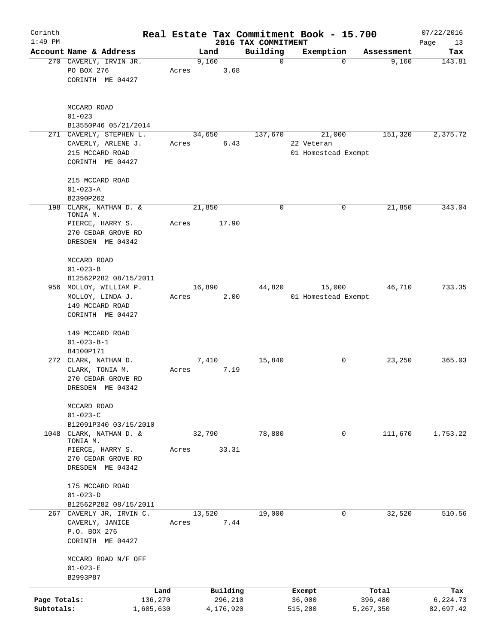| Corinth                    |                                                                                              |       |                                  |                                 | Real Estate Tax Commitment Book - 15.700    |                               | 07/22/2016                   |
|----------------------------|----------------------------------------------------------------------------------------------|-------|----------------------------------|---------------------------------|---------------------------------------------|-------------------------------|------------------------------|
| $1:49$ PM                  | Account Name & Address                                                                       |       | Land                             | 2016 TAX COMMITMENT<br>Building | Exemption                                   | Assessment                    | Page<br>13<br>Tax            |
|                            | 270 CAVERLY, IRVIN JR.<br>PO BOX 276<br>CORINTH ME 04427                                     | Acres | 9,160<br>3.68                    | $\mathbf 0$                     | $\Omega$                                    | 9,160                         | 143.81                       |
|                            | MCCARD ROAD<br>$01 - 023$<br>B13550P46 05/21/2014                                            |       |                                  |                                 |                                             |                               |                              |
|                            | 271 CAVERLY, STEPHEN L.<br>CAVERLY, ARLENE J.<br>215 MCCARD ROAD<br>CORINTH ME 04427         | Acres | 34,650<br>6.43                   | 137,670                         | 21,000<br>22 Veteran<br>01 Homestead Exempt | 151,320                       | 2,375.72                     |
|                            | 215 MCCARD ROAD<br>$01 - 023 - A$<br>B2390P262                                               |       |                                  |                                 |                                             |                               |                              |
| 198                        | CLARK, NATHAN D. &<br>TONIA M.<br>PIERCE, HARRY S.<br>270 CEDAR GROVE RD<br>DRESDEN ME 04342 | Acres | 21,850<br>17.90                  | 0                               | 0                                           | 21,850                        | 343.04                       |
|                            | MCCARD ROAD<br>$01 - 023 - B$<br>B12562P282 08/15/2011                                       |       |                                  |                                 |                                             |                               |                              |
|                            | 956 MOLLOY, WILLIAM P.<br>MOLLOY, LINDA J.<br>149 MCCARD ROAD<br>CORINTH ME 04427            | Acres | 16,890<br>2.00                   | 44,820                          | 15,000<br>01 Homestead Exempt               | 46,710                        | 733.35                       |
|                            | 149 MCCARD ROAD<br>$01 - 023 - B - 1$<br>B4100P171                                           |       |                                  |                                 |                                             |                               |                              |
|                            | 272 CLARK, NATHAN D.<br>CLARK, TONIA M.<br>270 CEDAR GROVE RD<br>DRESDEN ME 04342            | Acres | 7,410<br>7.19                    | 15,840                          | 0                                           | 23,250                        | 365.03                       |
|                            | MCCARD ROAD<br>$01 - 023 - C$<br>B12091P340 03/15/2010                                       |       |                                  |                                 |                                             |                               |                              |
| 1048                       | CLARK, NATHAN D. &<br>TONIA M.                                                               |       | 32,790                           | 78,880                          | $\Omega$                                    | 111,670                       | 1,753.22                     |
|                            | PIERCE, HARRY S.<br>270 CEDAR GROVE RD<br>DRESDEN ME 04342                                   | Acres | 33.31                            |                                 |                                             |                               |                              |
|                            | 175 MCCARD ROAD<br>$01 - 023 - D$<br>B12562P282 08/15/2011                                   |       |                                  |                                 |                                             |                               |                              |
|                            | 267 CAVERLY JR, IRVIN C.                                                                     |       | 13,520                           | 19,000                          | 0                                           | 32,520                        | 510.56                       |
|                            | CAVERLY, JANICE<br>P.O. BOX 276<br>CORINTH ME 04427                                          | Acres | 7.44                             |                                 |                                             |                               |                              |
|                            | MCCARD ROAD N/F OFF<br>$01 - 023 - E$<br>B2993P87                                            |       |                                  |                                 |                                             |                               |                              |
| Page Totals:<br>Subtotals: | 136,270<br>1,605,630                                                                         | Land  | Building<br>296,210<br>4,176,920 |                                 | Exempt<br>36,000<br>515,200                 | Total<br>396,480<br>5,267,350 | Tax<br>6,224.73<br>82,697.42 |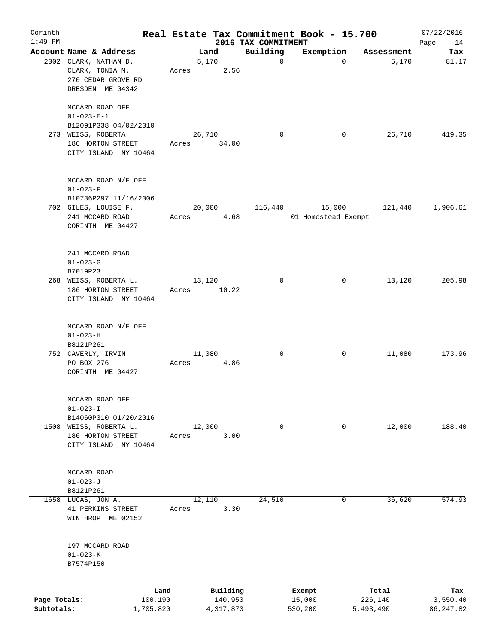| Corinth      |                                         |       |        |           |                                 | Real Estate Tax Commitment Book - 15.700 |            | 07/22/2016        |
|--------------|-----------------------------------------|-------|--------|-----------|---------------------------------|------------------------------------------|------------|-------------------|
| $1:49$ PM    | Account Name & Address                  |       | Land   |           | 2016 TAX COMMITMENT<br>Building | Exemption                                | Assessment | Page<br>14<br>Tax |
|              | 2002 CLARK, NATHAN D.                   |       | 5,170  |           | $\mathbf 0$                     | $\mathbf 0$                              | 5,170      | 81.17             |
|              | CLARK, TONIA M.                         | Acres |        | 2.56      |                                 |                                          |            |                   |
|              | 270 CEDAR GROVE RD                      |       |        |           |                                 |                                          |            |                   |
|              | DRESDEN ME 04342                        |       |        |           |                                 |                                          |            |                   |
|              |                                         |       |        |           |                                 |                                          |            |                   |
|              | MCCARD ROAD OFF                         |       |        |           |                                 |                                          |            |                   |
|              | $01 - 023 - E - 1$                      |       |        |           |                                 |                                          |            |                   |
|              | B12091P338 04/02/2010                   |       | 26,710 |           | $\Omega$                        | 0                                        | 26,710     | 419.35            |
|              | 273 WEISS, ROBERTA<br>186 HORTON STREET | Acres |        | 34.00     |                                 |                                          |            |                   |
|              | CITY ISLAND NY 10464                    |       |        |           |                                 |                                          |            |                   |
|              |                                         |       |        |           |                                 |                                          |            |                   |
|              |                                         |       |        |           |                                 |                                          |            |                   |
|              | MCCARD ROAD N/F OFF<br>$01 - 023 - F$   |       |        |           |                                 |                                          |            |                   |
|              | B10736P297 11/16/2006                   |       |        |           |                                 |                                          |            |                   |
|              | 702 GILES, LOUISE F.                    |       | 20,000 |           | 116,440                         | 15,000                                   | 121,440    | 1,906.61          |
|              | 241 MCCARD ROAD                         | Acres |        | 4.68      |                                 | 01 Homestead Exempt                      |            |                   |
|              | CORINTH ME 04427                        |       |        |           |                                 |                                          |            |                   |
|              |                                         |       |        |           |                                 |                                          |            |                   |
|              |                                         |       |        |           |                                 |                                          |            |                   |
|              | 241 MCCARD ROAD                         |       |        |           |                                 |                                          |            |                   |
|              | $01 - 023 - G$                          |       |        |           |                                 |                                          |            |                   |
|              | B7019P23                                |       |        |           |                                 |                                          |            |                   |
|              | 268 WEISS, ROBERTA L.                   |       | 13,120 |           | 0                               | 0                                        | 13,120     | 205.98            |
|              | 186 HORTON STREET                       | Acres |        | 10.22     |                                 |                                          |            |                   |
|              | CITY ISLAND NY 10464                    |       |        |           |                                 |                                          |            |                   |
|              |                                         |       |        |           |                                 |                                          |            |                   |
|              | MCCARD ROAD N/F OFF                     |       |        |           |                                 |                                          |            |                   |
|              | $01 - 023 - H$                          |       |        |           |                                 |                                          |            |                   |
|              | B8121P261                               |       |        |           |                                 |                                          |            |                   |
|              | 752 CAVERLY, IRVIN                      |       | 11,080 |           | 0                               | 0                                        | 11,080     | 173.96            |
|              | PO BOX 276                              | Acres |        | 4.86      |                                 |                                          |            |                   |
|              | CORINTH ME 04427                        |       |        |           |                                 |                                          |            |                   |
|              |                                         |       |        |           |                                 |                                          |            |                   |
|              | MCCARD ROAD OFF                         |       |        |           |                                 |                                          |            |                   |
|              | $01 - 023 - I$                          |       |        |           |                                 |                                          |            |                   |
|              | B14060P310 01/20/2016                   |       |        |           |                                 |                                          |            |                   |
| 1508         | WEISS, ROBERTA L.                       |       | 12,000 |           | 0                               | 0                                        | 12,000     | 188.40            |
|              | 186 HORTON STREET                       | Acres |        | 3.00      |                                 |                                          |            |                   |
|              | CITY ISLAND NY 10464                    |       |        |           |                                 |                                          |            |                   |
|              |                                         |       |        |           |                                 |                                          |            |                   |
|              | MCCARD ROAD                             |       |        |           |                                 |                                          |            |                   |
|              | $01 - 023 - J$                          |       |        |           |                                 |                                          |            |                   |
|              | B8121P261                               |       |        |           |                                 |                                          |            |                   |
| 1658         | LUCAS, JON A.                           |       | 12,110 |           | 24,510                          | 0                                        | 36,620     | 574.93            |
|              | 41 PERKINS STREET                       | Acres |        | 3.30      |                                 |                                          |            |                   |
|              | WINTHROP ME 02152                       |       |        |           |                                 |                                          |            |                   |
|              |                                         |       |        |           |                                 |                                          |            |                   |
|              | 197 MCCARD ROAD                         |       |        |           |                                 |                                          |            |                   |
|              | $01 - 023 - K$                          |       |        |           |                                 |                                          |            |                   |
|              | B7574P150                               |       |        |           |                                 |                                          |            |                   |
|              |                                         |       |        |           |                                 |                                          |            |                   |
|              |                                         | Land  |        | Building  |                                 | Exempt                                   | Total      | Tax               |
| Page Totals: | 100,190                                 |       |        | 140,950   |                                 | 15,000                                   | 226,140    | 3,550.40          |
| Subtotals:   | 1,705,820                               |       |        | 4,317,870 |                                 | 530,200                                  | 5,493,490  | 86, 247.82        |
|              |                                         |       |        |           |                                 |                                          |            |                   |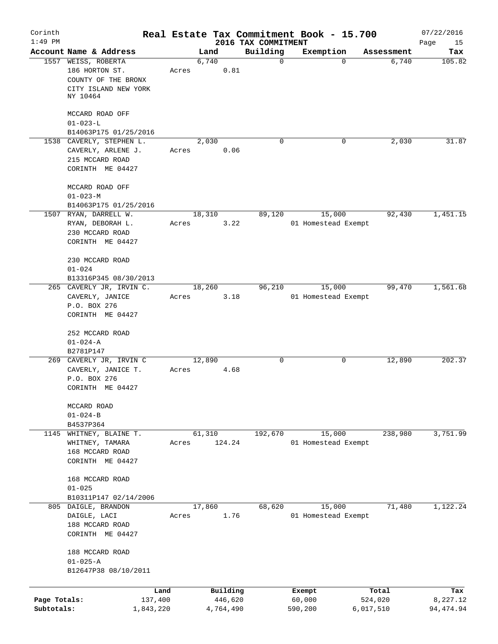| Corinth<br>$1:49$ PM       |                                                                                   |       |                      |                                 | Real Estate Tax Commitment Book - 15.700 |                      | 07/22/2016             |
|----------------------------|-----------------------------------------------------------------------------------|-------|----------------------|---------------------------------|------------------------------------------|----------------------|------------------------|
|                            | Account Name & Address                                                            |       | Land                 | 2016 TAX COMMITMENT<br>Building | Exemption                                | Assessment           | Page<br>15<br>Tax      |
|                            | 1557 WEISS, ROBERTA<br>186 HORTON ST.                                             | Acres | 6,740<br>0.81        | $\mathbf 0$                     | 0                                        | 6,740                | 105.82                 |
|                            | COUNTY OF THE BRONX<br>CITY ISLAND NEW YORK<br>NY 10464                           |       |                      |                                 |                                          |                      |                        |
|                            | MCCARD ROAD OFF<br>$01 - 023 - L$                                                 |       |                      |                                 |                                          |                      |                        |
|                            | B14063P175 01/25/2016<br>1538 CAVERLY, STEPHEN L.                                 |       | 2,030                | $\Omega$                        | 0                                        | 2,030                | 31.87                  |
|                            | CAVERLY, ARLENE J.<br>215 MCCARD ROAD<br>CORINTH ME 04427                         | Acres | 0.06                 |                                 |                                          |                      |                        |
|                            | MCCARD ROAD OFF<br>$01 - 023 - M$<br>B14063P175 01/25/2016                        |       |                      |                                 |                                          |                      |                        |
|                            | 1507 RYAN, DARRELL W.                                                             |       | 18,310               | 89,120                          | 15,000                                   | 92,430               | 1,451.15               |
|                            | RYAN, DEBORAH L.<br>230 MCCARD ROAD<br>CORINTH ME 04427                           | Acres | 3.22                 |                                 | 01 Homestead Exempt                      |                      |                        |
|                            | 230 MCCARD ROAD<br>$01 - 024$<br>B13316P345 08/30/2013                            |       |                      |                                 |                                          |                      |                        |
|                            | 265 CAVERLY JR, IRVIN C.<br>CAVERLY, JANICE<br>P.O. BOX 276                       | Acres | 18,260<br>3.18       | 96,210                          | 15,000<br>01 Homestead Exempt            | 99,470               | 1,561.68               |
|                            | CORINTH ME 04427<br>252 MCCARD ROAD<br>$01 - 024 - A$<br>B2781P147                |       |                      |                                 |                                          |                      |                        |
|                            | 269 CAVERLY JR, IRVIN C<br>CAVERLY, JANICE T.<br>P.O. BOX 276<br>CORINTH ME 04427 | Acres | 12,890<br>4.68       | 0                               | 0                                        | 12,890               | 202.37                 |
|                            | MCCARD ROAD<br>$01 - 024 - B$<br>B4537P364                                        |       |                      |                                 |                                          |                      |                        |
| 1145                       | WHITNEY, BLAINE T.<br>WHITNEY, TAMARA                                             | Acres | 61,310<br>124.24     | 192,670                         | 15,000<br>01 Homestead Exempt            | 238,980              | 3,751.99               |
|                            | 168 MCCARD ROAD<br>CORINTH ME 04427                                               |       |                      |                                 |                                          |                      |                        |
|                            | 168 MCCARD ROAD<br>$01 - 025$<br>B10311P147 02/14/2006                            |       |                      |                                 |                                          |                      |                        |
|                            | 805 DAIGLE, BRANDON                                                               |       | 17,860               | 68,620                          | 15,000                                   | 71,480               | 1,122.24               |
|                            | DAIGLE, LACI<br>188 MCCARD ROAD<br>CORINTH ME 04427                               | Acres | 1.76                 |                                 | 01 Homestead Exempt                      |                      |                        |
|                            | 188 MCCARD ROAD<br>$01 - 025 - A$<br>B12647P38 08/10/2011                         |       |                      |                                 |                                          |                      |                        |
|                            |                                                                                   | Land  | Building             |                                 | Exempt                                   | Total                | Tax                    |
| Page Totals:<br>Subtotals: | 137,400<br>1,843,220                                                              |       | 446,620<br>4,764,490 |                                 | 60,000<br>590,200                        | 524,020<br>6,017,510 | 8,227.12<br>94, 474.94 |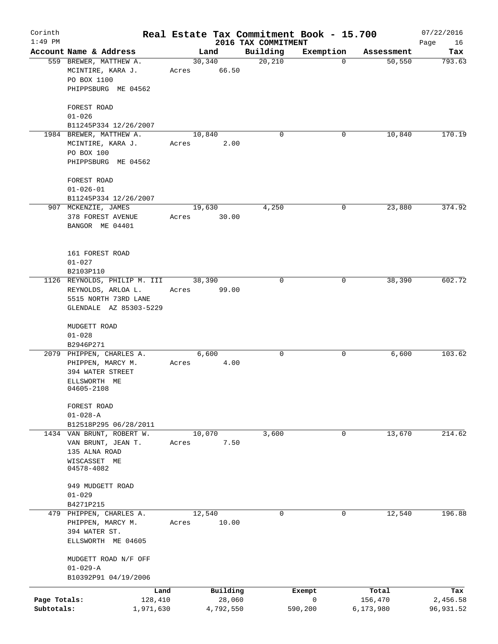| Corinth<br>$1:49$ PM |                                                            |                       |                    | 2016 TAX COMMITMENT | Real Estate Tax Commitment Book - 15.700 |                  | 07/22/2016<br>Page<br>16 |
|----------------------|------------------------------------------------------------|-----------------------|--------------------|---------------------|------------------------------------------|------------------|--------------------------|
|                      | Account Name & Address                                     |                       | Land               | Building            | Exemption                                | Assessment       | Tax                      |
|                      | 559 BREWER, MATTHEW A.<br>MCINTIRE, KARA J.<br>PO BOX 1100 | 30,340<br>Acres 66.50 |                    | 20,210              | 0                                        | 50, 550          | 793.63                   |
|                      | PHIPPSBURG ME 04562<br>FOREST ROAD                         |                       |                    |                     |                                          |                  |                          |
|                      | $01 - 026$<br>B11245P334 12/26/2007                        |                       |                    |                     |                                          |                  |                          |
|                      | 1984 BREWER, MATTHEW A.                                    | 10,840                |                    | $\mathbf 0$         | 0                                        | 10,840           | 170.19                   |
|                      | MCINTIRE, KARA J.<br>PO BOX 100                            | Acres                 | 2.00               |                     |                                          |                  |                          |
|                      | PHIPPSBURG ME 04562                                        |                       |                    |                     |                                          |                  |                          |
|                      | FOREST ROAD                                                |                       |                    |                     |                                          |                  |                          |
|                      | $01 - 026 - 01$                                            |                       |                    |                     |                                          |                  |                          |
|                      | B11245P334 12/26/2007                                      |                       |                    |                     |                                          |                  |                          |
|                      | 907 MCKENZIE, JAMES                                        | 19,630                |                    | 4,250               | 0                                        | 23,880           | 374.92                   |
|                      | 378 FOREST AVENUE                                          | Acres                 | 30.00              |                     |                                          |                  |                          |
|                      | BANGOR ME 04401                                            |                       |                    |                     |                                          |                  |                          |
|                      | 161 FOREST ROAD                                            |                       |                    |                     |                                          |                  |                          |
|                      | $01 - 027$                                                 |                       |                    |                     |                                          |                  |                          |
|                      | B2103P110                                                  |                       |                    |                     |                                          |                  |                          |
|                      | 1126 REYNOLDS, PHILIP M. III                               | 38,390                |                    | 0                   | 0                                        | 38,390           | 602.72                   |
|                      | REYNOLDS, ARLOA L.                                         | Acres                 | 99.00              |                     |                                          |                  |                          |
|                      | 5515 NORTH 73RD LANE                                       |                       |                    |                     |                                          |                  |                          |
|                      | GLENDALE AZ 85303-5229                                     |                       |                    |                     |                                          |                  |                          |
|                      | MUDGETT ROAD                                               |                       |                    |                     |                                          |                  |                          |
|                      | $01 - 028$                                                 |                       |                    |                     |                                          |                  |                          |
|                      | B2946P271                                                  |                       |                    |                     |                                          |                  |                          |
|                      | 2079 PHIPPEN, CHARLES A.                                   | 6,600                 |                    | 0                   | 0                                        | 6,600            | 103.62                   |
|                      | PHIPPEN, MARCY M.                                          | Acres                 | 4.00               |                     |                                          |                  |                          |
|                      | 394 WATER STREET                                           |                       |                    |                     |                                          |                  |                          |
|                      | ELLSWORTH ME<br>04605-2108                                 |                       |                    |                     |                                          |                  |                          |
|                      | FOREST ROAD                                                |                       |                    |                     |                                          |                  |                          |
|                      | $01 - 028 - A$                                             |                       |                    |                     |                                          |                  |                          |
|                      | B12518P295 06/28/2011                                      |                       |                    |                     |                                          |                  |                          |
|                      | 1434 VAN BRUNT, ROBERT W.                                  | 10,070                |                    | 3,600               | $\mathbf 0$                              | 13,670           | 214.62                   |
|                      | VAN BRUNT, JEAN T.                                         | Acres                 | 7.50               |                     |                                          |                  |                          |
|                      | 135 ALNA ROAD                                              |                       |                    |                     |                                          |                  |                          |
|                      | WISCASSET ME<br>04578-4082                                 |                       |                    |                     |                                          |                  |                          |
|                      | 949 MUDGETT ROAD                                           |                       |                    |                     |                                          |                  |                          |
|                      | $01 - 029$                                                 |                       |                    |                     |                                          |                  |                          |
|                      | B4271P215                                                  |                       |                    |                     |                                          |                  |                          |
|                      | 479 PHIPPEN, CHARLES A.                                    | 12,540                |                    | 0                   | 0                                        | 12,540           | 196.88                   |
|                      | PHIPPEN, MARCY M.                                          | Acres                 | 10.00              |                     |                                          |                  |                          |
|                      | 394 WATER ST.<br>ELLSWORTH ME 04605                        |                       |                    |                     |                                          |                  |                          |
|                      | MUDGETT ROAD N/F OFF                                       |                       |                    |                     |                                          |                  |                          |
|                      | $01 - 029 - A$                                             |                       |                    |                     |                                          |                  |                          |
|                      | B10392P91 04/19/2006                                       |                       |                    |                     |                                          |                  |                          |
| Page Totals:         | Land<br>128,410                                            |                       | Building<br>28,060 |                     | Exempt<br>$\mathbf 0$                    | Total<br>156,470 | Tax<br>2,456.58          |
| Subtotals:           | 1,971,630                                                  |                       | 4,792,550          |                     | 590,200                                  | 6,173,980        | 96,931.52                |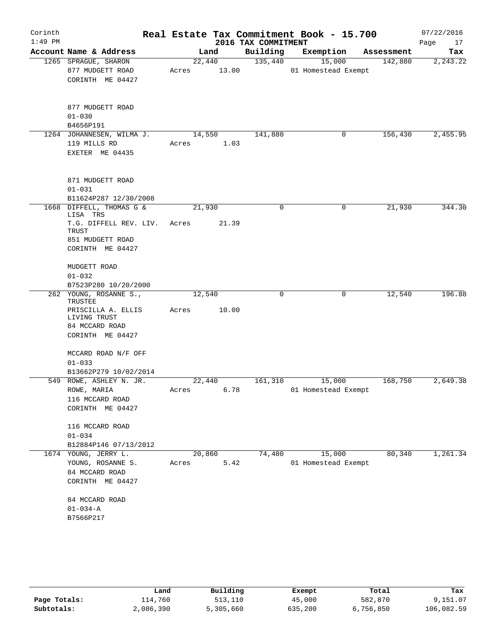| Corinth   |                                      |        |       |                     | Real Estate Tax Commitment Book - 15.700 |            | 07/22/2016 |
|-----------|--------------------------------------|--------|-------|---------------------|------------------------------------------|------------|------------|
| $1:49$ PM |                                      |        |       | 2016 TAX COMMITMENT |                                          |            | Page<br>17 |
|           | Account Name & Address               | Land   |       | Building            | Exemption                                | Assessment | Tax        |
|           | 1265 SPRAGUE, SHARON                 | 22,440 |       | 135,440             | 15,000                                   | 142,880    | 2, 243.22  |
|           | 877 MUDGETT ROAD                     | Acres  | 13.00 |                     | 01 Homestead Exempt                      |            |            |
|           | CORINTH ME 04427                     |        |       |                     |                                          |            |            |
|           | 877 MUDGETT ROAD                     |        |       |                     |                                          |            |            |
|           | $01 - 030$                           |        |       |                     |                                          |            |            |
|           | B4656P191                            |        |       |                     |                                          |            |            |
|           | 1264 JOHANNESEN, WILMA J.            | 14,550 |       | 141,880             | 0                                        | 156,430    | 2,455.95   |
|           | 119 MILLS RD                         | Acres  | 1.03  |                     |                                          |            |            |
|           | EXETER ME 04435                      |        |       |                     |                                          |            |            |
|           | 871 MUDGETT ROAD                     |        |       |                     |                                          |            |            |
|           | $01 - 031$                           |        |       |                     |                                          |            |            |
|           | B11624P287 12/30/2008                |        |       |                     |                                          |            |            |
|           | 1668 DIFFELL, THOMAS G &<br>LISA TRS | 21,930 |       | 0                   | $\mathbf 0$                              | 21,930     | 344.30     |
|           | T.G. DIFFELL REV. LIV.<br>TRUST      | Acres  | 21.39 |                     |                                          |            |            |
|           | 851 MUDGETT ROAD<br>CORINTH ME 04427 |        |       |                     |                                          |            |            |
|           |                                      |        |       |                     |                                          |            |            |
|           | MUDGETT ROAD                         |        |       |                     |                                          |            |            |
|           | $01 - 032$                           |        |       |                     |                                          |            |            |
|           | B7523P280 10/20/2000                 |        |       |                     |                                          |            |            |
|           | 262 YOUNG, ROSANNE S.,<br>TRUSTEE    | 12,540 |       | 0                   | 0                                        | 12,540     | 196.88     |
|           | PRISCILLA A. ELLIS                   | Acres  | 10.00 |                     |                                          |            |            |
|           | LIVING TRUST                         |        |       |                     |                                          |            |            |
|           | 84 MCCARD ROAD                       |        |       |                     |                                          |            |            |
|           | CORINTH ME 04427                     |        |       |                     |                                          |            |            |
|           | MCCARD ROAD N/F OFF                  |        |       |                     |                                          |            |            |
|           | $01 - 033$                           |        |       |                     |                                          |            |            |
|           | B13662P279 10/02/2014                |        |       |                     |                                          |            |            |
|           | 549 ROWE, ASHLEY N. JR.              | 22,440 |       | 161,310             | 15,000                                   | 168,750    | 2,649.38   |
|           | ROWE, MARIA                          | Acres  | 6.78  |                     | 01 Homestead Exempt                      |            |            |
|           | 116 MCCARD ROAD                      |        |       |                     |                                          |            |            |
|           | CORINTH ME 04427                     |        |       |                     |                                          |            |            |
|           | 116 MCCARD ROAD                      |        |       |                     |                                          |            |            |
|           | $01 - 034$                           |        |       |                     |                                          |            |            |
|           | B12884P146 07/13/2012                |        |       |                     |                                          |            |            |
|           | 1674 YOUNG, JERRY L.                 | 20,860 |       | 74,480              | 15,000                                   | 80,340     | 1,261.34   |
|           | YOUNG, ROSANNE S.                    | Acres  | 5.42  |                     | 01 Homestead Exempt                      |            |            |
|           | 84 MCCARD ROAD                       |        |       |                     |                                          |            |            |
|           | CORINTH ME 04427                     |        |       |                     |                                          |            |            |
|           | 84 MCCARD ROAD                       |        |       |                     |                                          |            |            |
|           | $01 - 034 - A$                       |        |       |                     |                                          |            |            |
|           | B7566P217                            |        |       |                     |                                          |            |            |
|           |                                      |        |       |                     |                                          |            |            |

|              | Land      | Building  | Exempt  | Total     | Tax        |
|--------------|-----------|-----------|---------|-----------|------------|
| Page Totals: | 114,760   | 513,110   | 45,000  | 582,870   | 9,151.07   |
| Subtotals:   | 2,086,390 | 5,305,660 | 635,200 | 6,756,850 | 106,082.59 |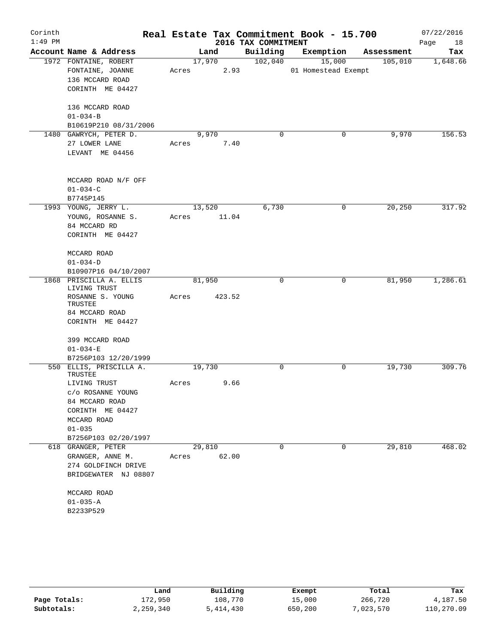| Corinth   |                                    |       |        |        |                     | Real Estate Tax Commitment Book - 15.700 |            | 07/22/2016 |
|-----------|------------------------------------|-------|--------|--------|---------------------|------------------------------------------|------------|------------|
| $1:49$ PM |                                    |       |        |        | 2016 TAX COMMITMENT |                                          |            | Page<br>18 |
|           | Account Name & Address             |       | Land   |        | Building            | Exemption                                | Assessment | Tax        |
|           | 1972 FONTAINE, ROBERT              |       | 17,970 |        | 102,040             | 15,000                                   | 105,010    | 1,648.66   |
|           | FONTAINE, JOANNE                   | Acres |        | 2.93   |                     | 01 Homestead Exempt                      |            |            |
|           | 136 MCCARD ROAD                    |       |        |        |                     |                                          |            |            |
|           | CORINTH ME 04427                   |       |        |        |                     |                                          |            |            |
|           | 136 MCCARD ROAD                    |       |        |        |                     |                                          |            |            |
|           | $01 - 034 - B$                     |       |        |        |                     |                                          |            |            |
|           | B10619P210 08/31/2006              |       |        |        |                     |                                          |            |            |
|           | 1480 GAWRYCH, PETER D.             |       | 9,970  |        | $\mathbf 0$         | 0                                        | 9,970      | 156.53     |
|           | 27 LOWER LANE                      | Acres |        | 7.40   |                     |                                          |            |            |
|           | LEVANT ME 04456                    |       |        |        |                     |                                          |            |            |
|           | MCCARD ROAD N/F OFF                |       |        |        |                     |                                          |            |            |
|           | $01 - 034 - C$                     |       |        |        |                     |                                          |            |            |
|           | B7745P145                          |       |        |        |                     |                                          |            |            |
|           | 1993 YOUNG, JERRY L.               |       | 13,520 |        | 6,730               | 0                                        | 20,250     | 317.92     |
|           | YOUNG, ROSANNE S.                  | Acres |        | 11.04  |                     |                                          |            |            |
|           | 84 MCCARD RD                       |       |        |        |                     |                                          |            |            |
|           | CORINTH ME 04427                   |       |        |        |                     |                                          |            |            |
|           | MCCARD ROAD                        |       |        |        |                     |                                          |            |            |
|           | $01 - 034 - D$                     |       |        |        |                     |                                          |            |            |
|           | B10907P16 04/10/2007               |       |        |        |                     |                                          |            |            |
| 1868      | PRISCILLA A. ELLIS<br>LIVING TRUST |       | 81,950 |        | $\mathbf 0$         | 0                                        | 81,950     | 1,286.61   |
|           | ROSANNE S. YOUNG<br>TRUSTEE        | Acres |        | 423.52 |                     |                                          |            |            |
|           | 84 MCCARD ROAD                     |       |        |        |                     |                                          |            |            |
|           | CORINTH ME 04427                   |       |        |        |                     |                                          |            |            |
|           | 399 MCCARD ROAD                    |       |        |        |                     |                                          |            |            |
|           | $01 - 034 - E$                     |       |        |        |                     |                                          |            |            |
|           | B7256P103 12/20/1999               |       |        |        |                     |                                          |            |            |
|           | 550 ELLIS, PRISCILLA A.<br>TRUSTEE |       | 19,730 |        | $\mathbf 0$         | 0                                        | 19,730     | 309.76     |
|           | LIVING TRUST                       | Acres |        | 9.66   |                     |                                          |            |            |
|           | c/o ROSANNE YOUNG                  |       |        |        |                     |                                          |            |            |
|           | 84 MCCARD ROAD                     |       |        |        |                     |                                          |            |            |
|           | CORINTH ME 04427                   |       |        |        |                     |                                          |            |            |
|           | MCCARD ROAD                        |       |        |        |                     |                                          |            |            |
|           | $01 - 035$                         |       |        |        |                     |                                          |            |            |
|           | B7256P103 02/20/1997               |       |        |        |                     |                                          |            |            |
|           | 618 GRANGER, PETER                 |       | 29,810 |        | $\mathbf 0$         | 0                                        | 29,810     | 468.02     |
|           | GRANGER, ANNE M.                   |       | Acres  | 62.00  |                     |                                          |            |            |
|           | 274 GOLDFINCH DRIVE                |       |        |        |                     |                                          |            |            |
|           | BRIDGEWATER NJ 08807               |       |        |        |                     |                                          |            |            |
|           | MCCARD ROAD                        |       |        |        |                     |                                          |            |            |
|           | $01 - 035 - A$                     |       |        |        |                     |                                          |            |            |
|           | B2233P529                          |       |        |        |                     |                                          |            |            |

|              | Land      | Building  | Exempt  | Total      | Tax        |
|--------------|-----------|-----------|---------|------------|------------|
| Page Totals: | 172,950   | 108,770   | 15,000  | 266,720    | 4,187.50   |
| Subtotals:   | 2,259,340 | 5,414,430 | 650,200 | 7,023,570" | 110,270.09 |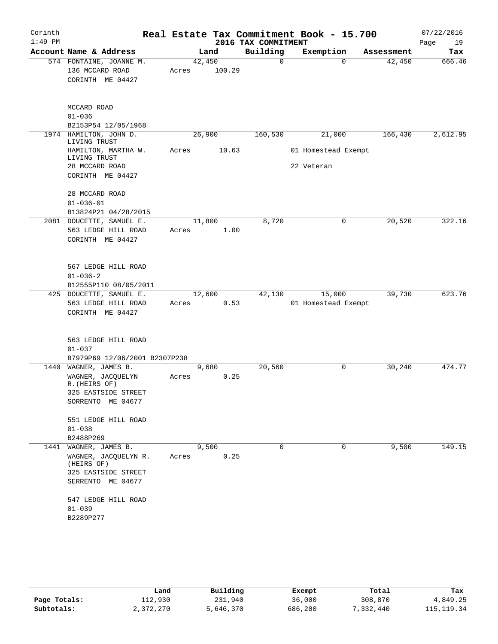| Corinth   |                                        |       |        |                     | Real Estate Tax Commitment Book - 15.700 |            | 07/22/2016 |
|-----------|----------------------------------------|-------|--------|---------------------|------------------------------------------|------------|------------|
| $1:49$ PM |                                        |       |        | 2016 TAX COMMITMENT |                                          |            | Page<br>19 |
|           | Account Name & Address                 |       | Land   | Building            | Exemption                                | Assessment | Tax        |
|           | 574 FONTAINE, JOANNE M.                |       | 42,450 | 0                   | $\Omega$                                 | 42,450     | 666.46     |
|           | 136 MCCARD ROAD<br>CORINTH ME 04427    | Acres | 100.29 |                     |                                          |            |            |
|           |                                        |       |        |                     |                                          |            |            |
|           | MCCARD ROAD                            |       |        |                     |                                          |            |            |
|           | $01 - 036$                             |       |        |                     |                                          |            |            |
|           | B2153P54 12/05/1968                    |       |        |                     |                                          |            |            |
|           | 1974 HAMILTON, JOHN D.<br>LIVING TRUST |       | 26,900 | 160,530             | 21,000                                   | 166,430    | 2,612.95   |
|           | HAMILTON, MARTHA W.<br>LIVING TRUST    | Acres | 10.63  |                     | 01 Homestead Exempt                      |            |            |
|           | 28 MCCARD ROAD                         |       |        |                     | 22 Veteran                               |            |            |
|           | CORINTH ME 04427                       |       |        |                     |                                          |            |            |
|           | 28 MCCARD ROAD<br>$01 - 036 - 01$      |       |        |                     |                                          |            |            |
|           | B13824P21 04/28/2015                   |       |        |                     |                                          |            |            |
|           | 2081 DOUCETTE, SAMUEL E.               |       | 11,800 | 8,720               | 0                                        | 20,520     | 322.16     |
|           | 563 LEDGE HILL ROAD                    | Acres | 1.00   |                     |                                          |            |            |
|           | CORINTH ME 04427                       |       |        |                     |                                          |            |            |
|           | 567 LEDGE HILL ROAD                    |       |        |                     |                                          |            |            |
|           | $01 - 036 - 2$                         |       |        |                     |                                          |            |            |
|           | B12555P110 08/05/2011                  |       |        |                     |                                          |            |            |
|           | 425 DOUCETTE, SAMUEL E.                |       | 12,600 | 42,130              | 15,000                                   | 39,730     | 623.76     |
|           | 563 LEDGE HILL ROAD                    | Acres | 0.53   |                     | 01 Homestead Exempt                      |            |            |
|           | CORINTH ME 04427                       |       |        |                     |                                          |            |            |
|           | 563 LEDGE HILL ROAD                    |       |        |                     |                                          |            |            |
|           | $01 - 037$                             |       |        |                     |                                          |            |            |
|           | B7979P69 12/06/2001 B2307P238          |       |        |                     |                                          |            |            |
|           | 1440 WAGNER, JAMES B.                  |       | 9,680  | 20,560              | 0                                        | 30,240     | 474.77     |
|           | WAGNER, JACQUELYN<br>R. (HEIRS OF)     | Acres | 0.25   |                     |                                          |            |            |
|           | 325 EASTSIDE STREET                    |       |        |                     |                                          |            |            |
|           | SORRENTO ME 04677                      |       |        |                     |                                          |            |            |
|           | 551 LEDGE HILL ROAD                    |       |        |                     |                                          |            |            |
|           | $01 - 038$<br>B2488P269                |       |        |                     |                                          |            |            |
|           | 1441 WAGNER, JAMES B.                  |       | 9,500  | $\Omega$            | $\Omega$                                 | 9,500      | 149.15     |
|           | WAGNER, JACQUELYN R.                   | Acres | 0.25   |                     |                                          |            |            |
|           | (HEIRS OF)<br>325 EASTSIDE STREET      |       |        |                     |                                          |            |            |
|           | SERRENTO ME 04677                      |       |        |                     |                                          |            |            |
|           | 547 LEDGE HILL ROAD                    |       |        |                     |                                          |            |            |
|           | $01 - 039$                             |       |        |                     |                                          |            |            |
|           | B2289P277                              |       |        |                     |                                          |            |            |

|              | Land      | Building  | Exempt  | Total     | Tax        |
|--------------|-----------|-----------|---------|-----------|------------|
| Page Totals: | 112,930   | 231,940   | 36,000  | 308,870   | 4,849.25   |
| Subtotals:   | 2,372,270 | 5,646,370 | 686,200 | 7,332,440 | 115,119.34 |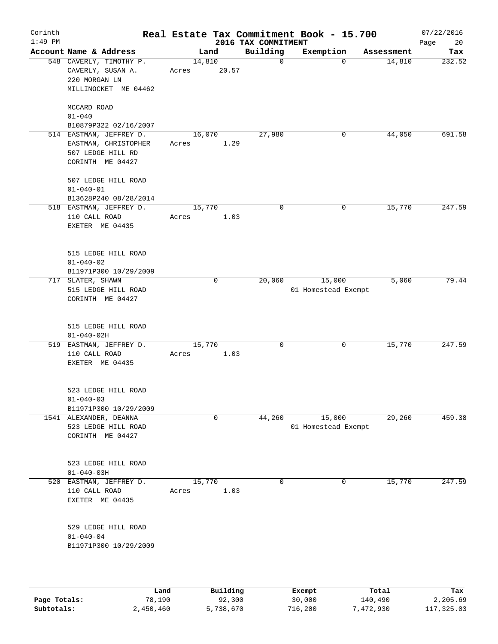| Corinth   |                                                                                          | Real Estate Tax Commitment Book - 15.700 |                                 |                               |            | 07/22/2016        |
|-----------|------------------------------------------------------------------------------------------|------------------------------------------|---------------------------------|-------------------------------|------------|-------------------|
| $1:49$ PM | Account Name & Address                                                                   | Land                                     | 2016 TAX COMMITMENT<br>Building | Exemption                     | Assessment | Page<br>20<br>Tax |
|           | 548 CAVERLY, TIMOTHY P.<br>CAVERLY, SUSAN A.<br>220 MORGAN LN<br>MILLINOCKET ME 04462    | 14,810<br>20.57<br>Acres                 | $\mathbf 0$                     | 0                             | 14,810     | 232.52            |
|           | MCCARD ROAD<br>$01 - 040$<br>B10879P322 02/16/2007                                       |                                          |                                 |                               |            |                   |
|           | 514 EASTMAN, JEFFREY D.<br>EASTMAN, CHRISTOPHER<br>507 LEDGE HILL RD<br>CORINTH ME 04427 | 16,070<br>Acres<br>1.29                  | 27,980                          | 0                             | 44,050     | 691.58            |
|           | 507 LEDGE HILL ROAD<br>$01 - 040 - 01$<br>B13628P240 08/28/2014                          |                                          |                                 |                               |            |                   |
|           | 518 EASTMAN, JEFFREY D.<br>110 CALL ROAD<br>EXETER ME 04435                              | 15,770<br>1.03<br>Acres                  | $\mathbf 0$                     | 0                             | 15,770     | 247.59            |
|           | 515 LEDGE HILL ROAD<br>$01 - 040 - 02$                                                   |                                          |                                 |                               |            |                   |
| 717       | B11971P300 10/29/2009<br>SLATER, SHAWN<br>515 LEDGE HILL ROAD<br>CORINTH ME 04427        | $\mathbf 0$                              | 20,060                          | 15,000<br>01 Homestead Exempt | 5,060      | 79.44             |
|           | 515 LEDGE HILL ROAD<br>$01 - 040 - 02H$                                                  |                                          |                                 |                               |            |                   |
|           | 519 EASTMAN, JEFFREY D.<br>110 CALL ROAD<br>EXETER ME 04435                              | 15,770<br>1.03<br>Acres                  | $\mathbf 0$                     | 0                             | 15,770     | 247.59            |
|           | 523 LEDGE HILL ROAD<br>$01 - 040 - 03$<br>B11971P300 10/29/2009                          |                                          |                                 |                               |            |                   |
|           | 1541 ALEXANDER, DEANNA<br>523 LEDGE HILL ROAD<br>CORINTH ME 04427                        | 0                                        | 44,260                          | 15,000<br>01 Homestead Exempt | 29,260     | 459.38            |
|           | 523 LEDGE HILL ROAD<br>$01 - 040 - 03H$                                                  |                                          |                                 |                               |            |                   |
| 520       | EASTMAN, JEFFREY D.<br>110 CALL ROAD<br>EXETER ME 04435                                  | 15,770<br>1.03<br>Acres                  | $\mathbf 0$                     | 0                             | 15,770     | 247.59            |
|           | 529 LEDGE HILL ROAD<br>$01 - 040 - 04$<br>B11971P300 10/29/2009                          |                                          |                                 |                               |            |                   |
|           | Land.                                                                                    | <b>Building</b>                          |                                 | $F$ vemnt                     | $T$ otal   |                   |

|              | Land      | Building  | Exempt  | Total     | Tax        |
|--------------|-----------|-----------|---------|-----------|------------|
| Page Totals: | 78,190    | 92,300    | 30,000  | 140,490   | 2,205.69   |
| Subtotals:   | 2,450,460 | 5,738,670 | 716,200 | 7,472,930 | 117,325.03 |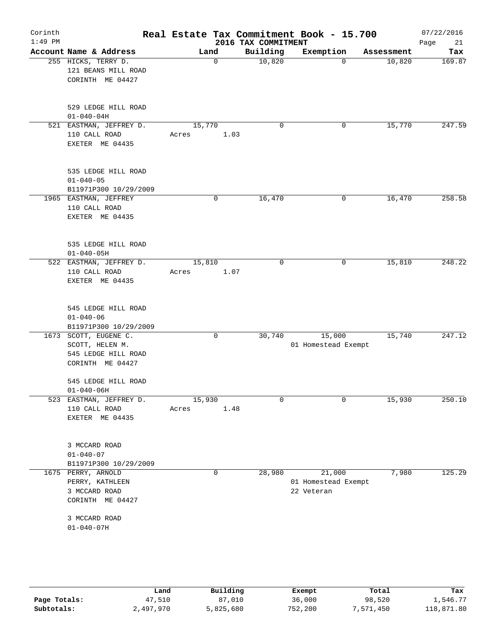| Corinth<br>$1:49$ PM |                                                                                     |                         | 2016 TAX COMMITMENT | Real Estate Tax Commitment Book - 15.700    |            | 07/22/2016<br>21<br>Page |
|----------------------|-------------------------------------------------------------------------------------|-------------------------|---------------------|---------------------------------------------|------------|--------------------------|
|                      | Account Name & Address                                                              | Land                    | Building            | Exemption                                   | Assessment | Tax                      |
|                      | 255 HICKS, TERRY D.<br>121 BEANS MILL ROAD<br>CORINTH ME 04427                      | $\mathbf 0$             | 10,820              | $\Omega$                                    | 10,820     | 169.87                   |
|                      | 529 LEDGE HILL ROAD<br>$01 - 040 - 04H$                                             |                         |                     |                                             |            |                          |
|                      | 521 EASTMAN, JEFFREY D.<br>110 CALL ROAD<br>EXETER ME 04435                         | 15,770<br>1.03<br>Acres | 0                   | 0                                           | 15,770     | 247.59                   |
|                      | 535 LEDGE HILL ROAD<br>$01 - 040 - 05$<br>B11971P300 10/29/2009                     |                         |                     |                                             |            |                          |
|                      | 1965 EASTMAN, JEFFREY<br>110 CALL ROAD<br>EXETER ME 04435                           | 0                       | 16,470              | 0                                           | 16,470     | 258.58                   |
|                      | 535 LEDGE HILL ROAD<br>$01 - 040 - 05H$                                             |                         |                     |                                             |            |                          |
|                      | 522 EASTMAN, JEFFREY D.<br>110 CALL ROAD<br>EXETER ME 04435                         | 15,810<br>Acres<br>1.07 | 0                   | 0                                           | 15,810     | 248.22                   |
|                      | 545 LEDGE HILL ROAD<br>$01 - 040 - 06$<br>B11971P300 10/29/2009                     |                         |                     |                                             |            |                          |
|                      | 1673 SCOTT, EUGENE C.<br>SCOTT, HELEN M.<br>545 LEDGE HILL ROAD<br>CORINTH ME 04427 | 0                       | 30,740              | 15,000<br>01 Homestead Exempt               | 15,740     | 247.12                   |
|                      | 545 LEDGE HILL ROAD<br>$01 - 040 - 06H$                                             |                         |                     |                                             |            |                          |
|                      | 523 EASTMAN, JEFFREY D.<br>110 CALL ROAD<br>EXETER ME 04435                         | 15,930<br>1.48<br>Acres | 0                   | 0                                           | 15,930     | 250.10                   |
|                      | 3 MCCARD ROAD<br>$01 - 040 - 07$<br>B11971P300 10/29/2009                           |                         |                     |                                             |            |                          |
|                      | 1675 PERRY, ARNOLD<br>PERRY, KATHLEEN<br>3 MCCARD ROAD<br>CORINTH ME 04427          | 0                       | 28,980              | 21,000<br>01 Homestead Exempt<br>22 Veteran | 7,980      | 125.29                   |
|                      | 3 MCCARD ROAD<br>$01 - 040 - 07H$                                                   |                         |                     |                                             |            |                          |
|                      |                                                                                     |                         |                     |                                             |            |                          |

|              | Land      | Building  | Exempt  | Total    | Tax        |
|--------------|-----------|-----------|---------|----------|------------|
| Page Totals: | 47,510    | 87,010    | 36,000  | 98,520   | 1,546.77   |
| Subtotals:   | 2,497,970 | 5,825,680 | 752,200 | ,571,450 | 118,871.80 |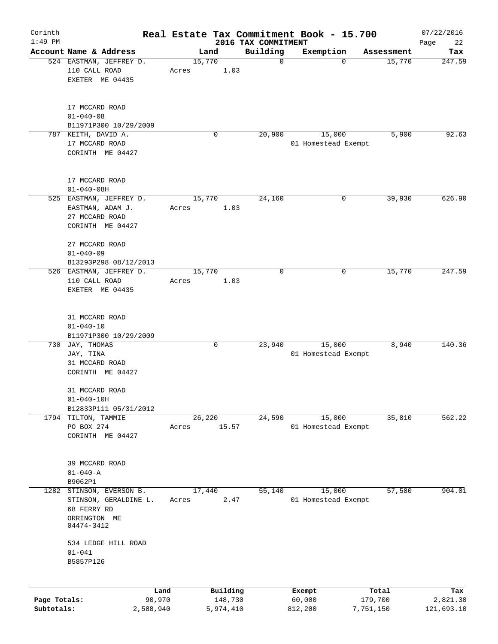| Corinth      |                                                             |                |                 |                     |                                 | Real Estate Tax Commitment Book - 15.700 |                       | 07/22/2016        |
|--------------|-------------------------------------------------------------|----------------|-----------------|---------------------|---------------------------------|------------------------------------------|-----------------------|-------------------|
| $1:49$ PM    | Account Name & Address                                      |                |                 | Land                | 2016 TAX COMMITMENT<br>Building | Exemption                                | Assessment            | Page<br>22<br>Tax |
|              | 524 EASTMAN, JEFFREY D.<br>110 CALL ROAD<br>EXETER ME 04435 |                | 15,770<br>Acres | 1.03                | $\mathbf 0$                     |                                          | 15,770<br>$\mathbf 0$ | 247.59            |
|              |                                                             |                |                 |                     |                                 |                                          |                       |                   |
|              | 17 MCCARD ROAD<br>$01 - 040 - 08$<br>B11971P300 10/29/2009  |                |                 |                     |                                 |                                          |                       |                   |
|              | 787 KEITH, DAVID A.                                         |                |                 | $\mathbf 0$         | 20,900                          | 15,000                                   | 5,900                 | 92.63             |
|              | 17 MCCARD ROAD<br>CORINTH ME 04427                          |                |                 |                     |                                 | 01 Homestead Exempt                      |                       |                   |
|              | 17 MCCARD ROAD<br>$01 - 040 - 08H$                          |                |                 |                     |                                 |                                          |                       |                   |
|              | 525 EASTMAN, JEFFREY D.                                     |                | 15,770          |                     | 24,160                          |                                          | 0<br>39,930           | 626.90            |
|              | EASTMAN, ADAM J.                                            |                | Acres           | 1.03                |                                 |                                          |                       |                   |
|              | 27 MCCARD ROAD<br>CORINTH ME 04427                          |                |                 |                     |                                 |                                          |                       |                   |
|              | 27 MCCARD ROAD<br>$01 - 040 - 09$                           |                |                 |                     |                                 |                                          |                       |                   |
|              | B13293P298 08/12/2013                                       |                |                 |                     |                                 |                                          |                       |                   |
|              | 526 EASTMAN, JEFFREY D.                                     |                | 15,770          |                     | $\mathbf 0$                     |                                          | 15,770<br>0           | 247.59            |
|              | 110 CALL ROAD<br>EXETER ME 04435                            |                | Acres           | 1.03                |                                 |                                          |                       |                   |
|              | 31 MCCARD ROAD                                              |                |                 |                     |                                 |                                          |                       |                   |
|              | $01 - 040 - 10$<br>B11971P300 10/29/2009                    |                |                 |                     |                                 |                                          |                       |                   |
| 730          | JAY, THOMAS                                                 |                |                 | 0                   | 23,940                          | 15,000                                   | 8,940                 | 140.36            |
|              | JAY, TINA                                                   |                |                 |                     |                                 | 01 Homestead Exempt                      |                       |                   |
|              | 31 MCCARD ROAD                                              |                |                 |                     |                                 |                                          |                       |                   |
|              | CORINTH ME 04427                                            |                |                 |                     |                                 |                                          |                       |                   |
|              | 31 MCCARD ROAD                                              |                |                 |                     |                                 |                                          |                       |                   |
|              | $01 - 040 - 10H$                                            |                |                 |                     |                                 |                                          |                       |                   |
|              | B12833P111 05/31/2012                                       |                |                 |                     |                                 |                                          |                       |                   |
|              | 1794 TILTON, TAMMIE                                         |                | 26,220          |                     | 24,590                          | 15,000                                   | 35,810                | 562.22            |
|              | PO BOX 274<br>CORINTH ME 04427                              |                | Acres           | 15.57               |                                 | 01 Homestead Exempt                      |                       |                   |
|              | 39 MCCARD ROAD                                              |                |                 |                     |                                 |                                          |                       |                   |
|              | $01 - 040 - A$                                              |                |                 |                     |                                 |                                          |                       |                   |
|              | B9062P1                                                     |                |                 |                     |                                 |                                          |                       |                   |
| 1282         | STINSON, EVERSON B.                                         |                | 17,440          |                     | 55,140                          | 15,000                                   | 57,580                | 904.01            |
|              | STINSON, GERALDINE L.                                       |                | Acres           | 2.47                |                                 | 01 Homestead Exempt                      |                       |                   |
|              | 68 FERRY RD<br>ORRINGTON ME<br>04474-3412                   |                |                 |                     |                                 |                                          |                       |                   |
|              | 534 LEDGE HILL ROAD                                         |                |                 |                     |                                 |                                          |                       |                   |
|              | $01 - 041$<br>B5857P126                                     |                |                 |                     |                                 |                                          |                       |                   |
|              |                                                             |                |                 |                     |                                 |                                          |                       |                   |
| Page Totals: |                                                             | Land<br>90,970 |                 | Building<br>148,730 |                                 | Exempt<br>60,000                         | Total<br>179,700      | Tax<br>2,821.30   |
| Subtotals:   |                                                             | 2,588,940      |                 | 5,974,410           |                                 | 812,200                                  | 7,751,150             | 121,693.10        |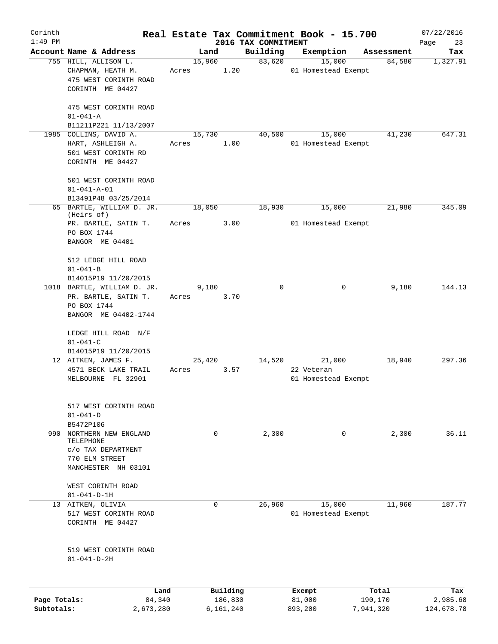| Corinth      |                                         |       |               |                     | Real Estate Tax Commitment Book - 15.700 |                      | 07/22/2016      |
|--------------|-----------------------------------------|-------|---------------|---------------------|------------------------------------------|----------------------|-----------------|
| $1:49$ PM    | Account Name & Address                  |       | Land          | 2016 TAX COMMITMENT |                                          |                      | Page<br>23      |
|              | 755 HILL, ALLISON L.                    |       | 15,960        | Building<br>83,620  | Exemption<br>15,000                      | Assessment<br>84,580 | Tax<br>1,327.91 |
|              | CHAPMAN, HEATH M.                       | Acres | 1.20          |                     | 01 Homestead Exempt                      |                      |                 |
|              | 475 WEST CORINTH ROAD                   |       |               |                     |                                          |                      |                 |
|              | CORINTH ME 04427                        |       |               |                     |                                          |                      |                 |
|              | 475 WEST CORINTH ROAD                   |       |               |                     |                                          |                      |                 |
|              | $01 - 041 - A$                          |       |               |                     |                                          |                      |                 |
|              | B11211P221 11/13/2007                   |       |               |                     |                                          |                      |                 |
|              | 1985 COLLINS, DAVID A.                  |       | 15,730        | 40,500              | 15,000                                   | 41,230               | 647.31          |
|              | HART, ASHLEIGH A.                       | Acres | 1.00          |                     | 01 Homestead Exempt                      |                      |                 |
|              | 501 WEST CORINTH RD                     |       |               |                     |                                          |                      |                 |
|              | CORINTH ME 04427                        |       |               |                     |                                          |                      |                 |
|              |                                         |       |               |                     |                                          |                      |                 |
|              | 501 WEST CORINTH ROAD                   |       |               |                     |                                          |                      |                 |
|              | $01 - 041 - A - 01$                     |       |               |                     |                                          |                      |                 |
|              | B13491P48 03/25/2014                    |       |               |                     |                                          |                      |                 |
|              | 65 BARTLE, WILLIAM D. JR.<br>(Heirs of) |       | 18,050        | 18,930              | 15,000                                   | 21,980               | 345.09          |
|              | PR. BARTLE, SATIN T.                    | Acres | 3.00          |                     | 01 Homestead Exempt                      |                      |                 |
|              | PO BOX 1744                             |       |               |                     |                                          |                      |                 |
|              | BANGOR ME 04401                         |       |               |                     |                                          |                      |                 |
|              |                                         |       |               |                     |                                          |                      |                 |
|              | 512 LEDGE HILL ROAD                     |       |               |                     |                                          |                      |                 |
|              | $01 - 041 - B$                          |       |               |                     |                                          |                      |                 |
|              | B14015P19 11/20/2015                    |       |               | $\Omega$            | $\Omega$                                 |                      |                 |
|              | 1018 BARTLE, WILLIAM D. JR.             |       | 9,180<br>3.70 |                     |                                          | 9,180                | 144.13          |
|              | PR. BARTLE, SATIN T.<br>PO BOX 1744     | Acres |               |                     |                                          |                      |                 |
|              | BANGOR ME 04402-1744                    |       |               |                     |                                          |                      |                 |
|              |                                         |       |               |                     |                                          |                      |                 |
|              | LEDGE HILL ROAD N/F                     |       |               |                     |                                          |                      |                 |
|              | $01 - 041 - C$                          |       |               |                     |                                          |                      |                 |
|              | B14015P19 11/20/2015                    |       |               |                     |                                          |                      |                 |
|              | 12 AITKEN, JAMES F.                     |       | 25,420        | 14,520              | 21,000                                   | 18,940               | 297.36          |
|              | 4571 BECK LAKE TRAIL                    | Acres | 3.57          |                     | 22 Veteran                               |                      |                 |
|              | MELBOURNE FL 32901                      |       |               |                     | 01 Homestead Exempt                      |                      |                 |
|              |                                         |       |               |                     |                                          |                      |                 |
|              | 517 WEST CORINTH ROAD                   |       |               |                     |                                          |                      |                 |
|              | $01 - 041 - D$                          |       |               |                     |                                          |                      |                 |
|              | B5472P106                               |       |               |                     |                                          |                      |                 |
| 990          | NORTHERN NEW ENGLAND                    |       | 0             | 2,300               | 0                                        | 2,300                | 36.11           |
|              | TELEPHONE                               |       |               |                     |                                          |                      |                 |
|              | C/O TAX DEPARTMENT                      |       |               |                     |                                          |                      |                 |
|              | 770 ELM STREET                          |       |               |                     |                                          |                      |                 |
|              | MANCHESTER NH 03101                     |       |               |                     |                                          |                      |                 |
|              | WEST CORINTH ROAD                       |       |               |                     |                                          |                      |                 |
|              | $01 - 041 - D - 1H$                     |       |               |                     |                                          |                      |                 |
|              | 13 AITKEN, OLIVIA                       |       | 0             | 26,960              | 15,000                                   | 11,960               | 187.77          |
|              | 517 WEST CORINTH ROAD                   |       |               |                     | 01 Homestead Exempt                      |                      |                 |
|              | CORINTH ME 04427                        |       |               |                     |                                          |                      |                 |
|              |                                         |       |               |                     |                                          |                      |                 |
|              |                                         |       |               |                     |                                          |                      |                 |
|              | 519 WEST CORINTH ROAD                   |       |               |                     |                                          |                      |                 |
|              | $01 - 041 - D - 2H$                     |       |               |                     |                                          |                      |                 |
|              |                                         |       |               |                     |                                          |                      |                 |
|              | Land                                    |       | Building      |                     | Exempt                                   | Total                | Tax             |
| Page Totals: | 84,340                                  |       | 186,830       |                     | 81,000                                   | 190,170              | 2,985.68        |
| Subtotals:   | 2,673,280                               |       | 6,161,240     |                     | 893,200                                  | 7,941,320            | 124,678.78      |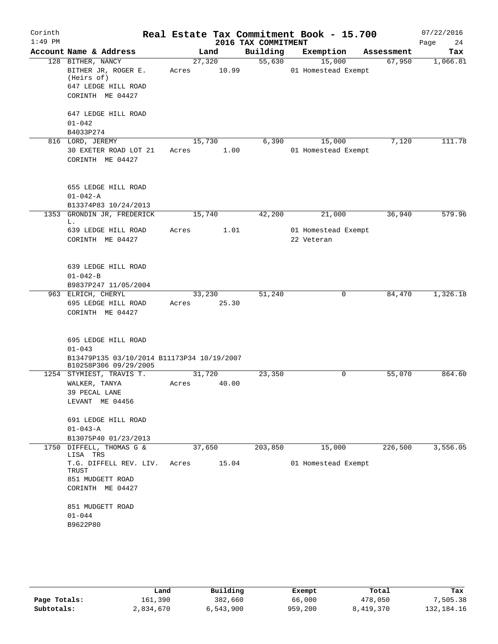| Corinth   |                                                                                                   |                 |       |                     | Real Estate Tax Commitment Book - 15.700 |            | 07/22/2016 |
|-----------|---------------------------------------------------------------------------------------------------|-----------------|-------|---------------------|------------------------------------------|------------|------------|
| $1:49$ PM |                                                                                                   |                 |       | 2016 TAX COMMITMENT |                                          |            | 24<br>Page |
|           | Account Name & Address                                                                            |                 | Land  | Building            | Exemption                                | Assessment | Tax        |
|           | 128 BITHER, NANCY<br>BITHER JR, ROGER E.<br>(Heirs of)<br>647 LEDGE HILL ROAD<br>CORINTH ME 04427 | 27,320<br>Acres | 10.99 | 55,630              | 15,000<br>01 Homestead Exempt            | 67,950     | 1,066.81   |
|           | 647 LEDGE HILL ROAD<br>$01 - 042$                                                                 |                 |       |                     |                                          |            |            |
|           | B4033P274                                                                                         |                 |       | 6,390               |                                          | 7,120      | 111.78     |
|           | 816 LORD, JEREMY<br>30 EXETER ROAD LOT 21<br>CORINTH ME 04427                                     | 15,730<br>Acres | 1.00  |                     | 15,000<br>01 Homestead Exempt            |            |            |
|           | 655 LEDGE HILL ROAD<br>$01 - 042 - A$                                                             |                 |       |                     |                                          |            |            |
|           | B13374P83 10/24/2013                                                                              |                 |       |                     |                                          |            |            |
|           | 1353 GRONDIN JR, FREDERICK<br>L.                                                                  | 15,740          |       | 42,200              | 21,000                                   | 36,940     | 579.96     |
|           | 639 LEDGE HILL ROAD<br>CORINTH ME 04427                                                           | Acres           | 1.01  |                     | 01 Homestead Exempt<br>22 Veteran        |            |            |
|           | 639 LEDGE HILL ROAD<br>$01 - 042 - B$                                                             |                 |       |                     |                                          |            |            |
|           | B9837P247 11/05/2004                                                                              |                 |       |                     |                                          |            |            |
|           | 963 ELRICH, CHERYL                                                                                | 33,230          |       | 51,240              | 0                                        | 84,470     | 1,326.18   |
|           | 695 LEDGE HILL ROAD                                                                               | Acres           | 25.30 |                     |                                          |            |            |
|           | CORINTH ME 04427                                                                                  |                 |       |                     |                                          |            |            |
|           | 695 LEDGE HILL ROAD<br>$01 - 043$                                                                 |                 |       |                     |                                          |            |            |
|           | B13479P135 03/10/2014 B11173P34 10/19/2007<br>B10258P306 09/29/2005                               |                 |       |                     |                                          |            |            |
|           | 1254 STYMIEST, TRAVIS T.                                                                          | 31,720          |       | 23,350              | 0                                        | 55,070     | 864.60     |
|           | WALKER, TANYA                                                                                     | Acres           | 40.00 |                     |                                          |            |            |
|           | 39 PECAL LANE<br>LEVANT ME 04456                                                                  |                 |       |                     |                                          |            |            |
|           | 691 LEDGE HILL ROAD                                                                               |                 |       |                     |                                          |            |            |
|           | $01 - 043 - A$                                                                                    |                 |       |                     |                                          |            |            |
|           | B13075P40 01/23/2013                                                                              |                 |       |                     |                                          |            |            |
| 1750      | DIFFELL, THOMAS G &<br>LISA TRS                                                                   | 37,650          |       | 203,850             | 15,000                                   | 226,500    | 3,556.05   |
|           | T.G. DIFFELL REV. LIV.<br>TRUST<br>851 MUDGETT ROAD                                               | Acres           | 15.04 |                     | 01 Homestead Exempt                      |            |            |
|           | CORINTH ME 04427                                                                                  |                 |       |                     |                                          |            |            |
|           | 851 MUDGETT ROAD                                                                                  |                 |       |                     |                                          |            |            |
|           | $01 - 044$                                                                                        |                 |       |                     |                                          |            |            |
|           | B9622P80                                                                                          |                 |       |                     |                                          |            |            |

|              | Land      | Building  | Exempt  | Total     | Tax          |
|--------------|-----------|-----------|---------|-----------|--------------|
| Page Totals: | 161,390   | 382,660   | 66,000  | 478,050   | 7,505.38     |
| Subtotals:   | 2,834,670 | 6,543,900 | 959,200 | 8,419,370 | 132, 184. 16 |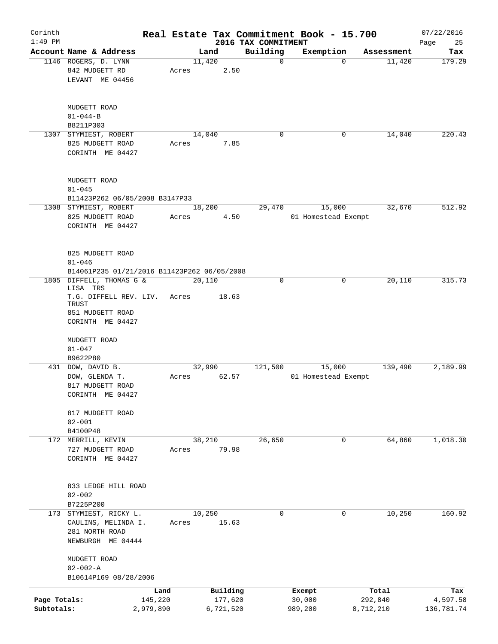| Corinth      |                                             |           |       |                |                         | Real Estate Tax Commitment Book - 15.700 |                      | 07/22/2016    |
|--------------|---------------------------------------------|-----------|-------|----------------|-------------------------|------------------------------------------|----------------------|---------------|
| $1:49$ PM    | Account Name & Address                      |           |       |                | 2016 TAX COMMITMENT     | Exemption                                |                      | Page<br>25    |
|              | 1146 ROGERS, D. LYNN                        |           |       | Land<br>11,420 | Building<br>$\mathbf 0$ | $\Omega$                                 | Assessment<br>11,420 | Tax<br>179.29 |
|              | 842 MUDGETT RD                              |           | Acres | 2.50           |                         |                                          |                      |               |
|              | LEVANT ME 04456                             |           |       |                |                         |                                          |                      |               |
|              |                                             |           |       |                |                         |                                          |                      |               |
|              |                                             |           |       |                |                         |                                          |                      |               |
|              | MUDGETT ROAD<br>$01 - 044 - B$              |           |       |                |                         |                                          |                      |               |
|              | B8211P303                                   |           |       |                |                         |                                          |                      |               |
|              | 1307 STYMIEST, ROBERT                       |           |       | 14,040         | 0                       | 0                                        | 14,040               | 220.43        |
|              | 825 MUDGETT ROAD                            |           | Acres | 7.85           |                         |                                          |                      |               |
|              | CORINTH ME 04427                            |           |       |                |                         |                                          |                      |               |
|              |                                             |           |       |                |                         |                                          |                      |               |
|              | MUDGETT ROAD                                |           |       |                |                         |                                          |                      |               |
|              | $01 - 045$                                  |           |       |                |                         |                                          |                      |               |
|              | B11423P262 06/05/2008 B3147P33              |           |       |                |                         |                                          |                      |               |
|              | 1308 STYMIEST, ROBERT                       |           |       | 18,200         | 29,470                  | 15,000                                   | 32,670               | 512.92        |
|              | 825 MUDGETT ROAD                            |           | Acres | 4.50           |                         | 01 Homestead Exempt                      |                      |               |
|              |                                             |           |       |                |                         |                                          |                      |               |
|              | CORINTH ME 04427                            |           |       |                |                         |                                          |                      |               |
|              |                                             |           |       |                |                         |                                          |                      |               |
|              | 825 MUDGETT ROAD                            |           |       |                |                         |                                          |                      |               |
|              | $01 - 046$                                  |           |       |                |                         |                                          |                      |               |
|              | B14061P235 01/21/2016 B11423P262 06/05/2008 |           |       |                |                         |                                          |                      |               |
| 1805         | DIFFELL, THOMAS G &<br>LISA TRS             |           |       | 20,110         | 0                       | 0                                        | 20,110               | 315.73        |
|              | T.G. DIFFELL REV. LIV.                      |           | Acres | 18.63          |                         |                                          |                      |               |
|              | TRUST                                       |           |       |                |                         |                                          |                      |               |
|              | 851 MUDGETT ROAD                            |           |       |                |                         |                                          |                      |               |
|              | CORINTH ME 04427                            |           |       |                |                         |                                          |                      |               |
|              | MUDGETT ROAD                                |           |       |                |                         |                                          |                      |               |
|              | $01 - 047$                                  |           |       |                |                         |                                          |                      |               |
|              | B9622P80                                    |           |       |                |                         |                                          |                      |               |
|              | 431 DOW, DAVID B.                           |           |       | 32,990         | 121,500                 | 15,000                                   | 139,490              | 2,189.99      |
|              | DOW, GLENDA T.                              |           | Acres | 62.57          |                         | 01 Homestead Exempt                      |                      |               |
|              | 817 MUDGETT ROAD                            |           |       |                |                         |                                          |                      |               |
|              | CORINTH ME 04427                            |           |       |                |                         |                                          |                      |               |
|              |                                             |           |       |                |                         |                                          |                      |               |
|              | 817 MUDGETT ROAD                            |           |       |                |                         |                                          |                      |               |
|              | $02 - 001$                                  |           |       |                |                         |                                          |                      |               |
|              | B4100P48                                    |           |       |                |                         |                                          |                      |               |
|              | 172 MERRILL, KEVIN                          |           |       | 38,210         | 26,650                  | 0                                        | 64,860               | 1,018.30      |
|              | 727 MUDGETT ROAD                            |           | Acres | 79.98          |                         |                                          |                      |               |
|              | CORINTH ME 04427                            |           |       |                |                         |                                          |                      |               |
|              |                                             |           |       |                |                         |                                          |                      |               |
|              |                                             |           |       |                |                         |                                          |                      |               |
|              | 833 LEDGE HILL ROAD                         |           |       |                |                         |                                          |                      |               |
|              | $02 - 002$                                  |           |       |                |                         |                                          |                      |               |
|              | B7225P200                                   |           |       |                |                         |                                          |                      |               |
|              | 173 STYMIEST, RICKY L.                      |           |       | 10,250         | 0                       | 0                                        | 10,250               | 160.92        |
|              | CAULINS, MELINDA I.                         |           | Acres | 15.63          |                         |                                          |                      |               |
|              | 281 NORTH ROAD                              |           |       |                |                         |                                          |                      |               |
|              | NEWBURGH ME 04444                           |           |       |                |                         |                                          |                      |               |
|              | MUDGETT ROAD                                |           |       |                |                         |                                          |                      |               |
|              | $02 - 002 - A$                              |           |       |                |                         |                                          |                      |               |
|              | B10614P169 08/28/2006                       |           |       |                |                         |                                          |                      |               |
|              |                                             | Land      |       | Building       |                         | Exempt                                   | Total                | Tax           |
| Page Totals: |                                             | 145,220   |       | 177,620        |                         | 30,000                                   | 292,840              | 4,597.58      |
| Subtotals:   |                                             | 2,979,890 |       | 6,721,520      |                         | 989,200                                  | 8,712,210            | 136,781.74    |
|              |                                             |           |       |                |                         |                                          |                      |               |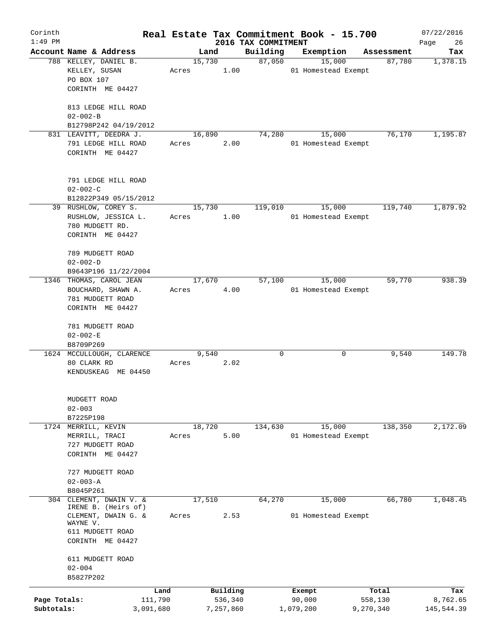| Corinth      |                                 |         |        |           |                                 | Real Estate Tax Commitment Book - 15.700 |           |                      | 07/22/2016      |
|--------------|---------------------------------|---------|--------|-----------|---------------------------------|------------------------------------------|-----------|----------------------|-----------------|
| $1:49$ PM    | Account Name & Address          |         | Land   |           | 2016 TAX COMMITMENT<br>Building |                                          |           |                      | Page<br>26      |
|              | 788 KELLEY, DANIEL B.           |         | 15,730 |           | 87,050                          | Exemption<br>15,000                      |           | Assessment<br>87,780 | Tax<br>1,378.15 |
|              | KELLEY, SUSAN                   | Acres   |        | 1.00      |                                 | 01 Homestead Exempt                      |           |                      |                 |
|              | PO BOX 107                      |         |        |           |                                 |                                          |           |                      |                 |
|              | CORINTH ME 04427                |         |        |           |                                 |                                          |           |                      |                 |
|              |                                 |         |        |           |                                 |                                          |           |                      |                 |
|              | 813 LEDGE HILL ROAD             |         |        |           |                                 |                                          |           |                      |                 |
|              | $02 - 002 - B$                  |         |        |           |                                 |                                          |           |                      |                 |
|              | B12798P242 04/19/2012           |         |        |           |                                 |                                          |           |                      |                 |
|              | 831 LEAVITT, DEEDRA J.          |         | 16,890 |           | 74,280                          | 15,000                                   |           | 76,170               | 1,195.87        |
|              | 791 LEDGE HILL ROAD             | Acres   |        | 2.00      |                                 | 01 Homestead Exempt                      |           |                      |                 |
|              | CORINTH ME 04427                |         |        |           |                                 |                                          |           |                      |                 |
|              |                                 |         |        |           |                                 |                                          |           |                      |                 |
|              |                                 |         |        |           |                                 |                                          |           |                      |                 |
|              | 791 LEDGE HILL ROAD             |         |        |           |                                 |                                          |           |                      |                 |
|              | $02 - 002 - C$                  |         |        |           |                                 |                                          |           |                      |                 |
|              | B12822P349 05/15/2012           |         |        |           |                                 |                                          |           |                      |                 |
|              | 39 RUSHLOW, COREY S.            |         | 15,730 |           | 119,010                         | 15,000                                   |           | 119,740              | 1,879.92        |
|              | RUSHLOW, JESSICA L.             | Acres   |        | 1.00      |                                 | 01 Homestead Exempt                      |           |                      |                 |
|              | 780 MUDGETT RD.                 |         |        |           |                                 |                                          |           |                      |                 |
|              | CORINTH ME 04427                |         |        |           |                                 |                                          |           |                      |                 |
|              | 789 MUDGETT ROAD                |         |        |           |                                 |                                          |           |                      |                 |
|              | $02 - 002 - D$                  |         |        |           |                                 |                                          |           |                      |                 |
|              | B9643P196 11/22/2004            |         |        |           |                                 |                                          |           |                      |                 |
| 1346         | THOMAS, CAROL JEAN              |         | 17,670 |           | 57,100                          | 15,000                                   |           | 59,770               | 938.39          |
|              | BOUCHARD, SHAWN A.              | Acres   |        | 4.00      |                                 | 01 Homestead Exempt                      |           |                      |                 |
|              | 781 MUDGETT ROAD                |         |        |           |                                 |                                          |           |                      |                 |
|              | CORINTH ME 04427                |         |        |           |                                 |                                          |           |                      |                 |
|              |                                 |         |        |           |                                 |                                          |           |                      |                 |
|              | 781 MUDGETT ROAD                |         |        |           |                                 |                                          |           |                      |                 |
|              | $02 - 002 - E$                  |         |        |           |                                 |                                          |           |                      |                 |
|              | B8709P269                       |         |        |           |                                 |                                          |           |                      |                 |
|              | 1624 MCCULLOUGH, CLARENCE       |         | 9,540  |           | 0                               |                                          | 0         | 9,540                | 149.78          |
|              | 80 CLARK RD                     | Acres   |        | 2.02      |                                 |                                          |           |                      |                 |
|              | KENDUSKEAG ME 04450             |         |        |           |                                 |                                          |           |                      |                 |
|              |                                 |         |        |           |                                 |                                          |           |                      |                 |
|              | MUDGETT ROAD                    |         |        |           |                                 |                                          |           |                      |                 |
|              | $02 - 003$                      |         |        |           |                                 |                                          |           |                      |                 |
|              | B7225P198                       |         |        |           |                                 |                                          |           |                      |                 |
| 1724         | MERRILL, KEVIN                  |         | 18,720 |           | 134,630                         | 15,000                                   |           | 138,350              | 2,172.09        |
|              | MERRILL, TRACI                  | Acres   |        | 5.00      |                                 | 01 Homestead Exempt                      |           |                      |                 |
|              | 727 MUDGETT ROAD                |         |        |           |                                 |                                          |           |                      |                 |
|              | CORINTH ME 04427                |         |        |           |                                 |                                          |           |                      |                 |
|              |                                 |         |        |           |                                 |                                          |           |                      |                 |
|              | 727 MUDGETT ROAD                |         |        |           |                                 |                                          |           |                      |                 |
|              | $02 - 003 - A$                  |         |        |           |                                 |                                          |           |                      |                 |
|              | B8045P261                       |         |        |           |                                 |                                          |           |                      |                 |
|              | 304 CLEMENT, DWAIN V. &         |         | 17,510 |           | 64,270                          | 15,000                                   |           | 66,780               | 1,048.45        |
|              | IRENE B. (Heirs of)             |         |        |           |                                 |                                          |           |                      |                 |
|              | CLEMENT, DWAIN G. &<br>WAYNE V. | Acres   |        | 2.53      |                                 | 01 Homestead Exempt                      |           |                      |                 |
|              | 611 MUDGETT ROAD                |         |        |           |                                 |                                          |           |                      |                 |
|              | CORINTH ME 04427                |         |        |           |                                 |                                          |           |                      |                 |
|              |                                 |         |        |           |                                 |                                          |           |                      |                 |
|              | 611 MUDGETT ROAD                |         |        |           |                                 |                                          |           |                      |                 |
|              | $02 - 004$                      |         |        |           |                                 |                                          |           |                      |                 |
|              | B5827P202                       |         |        |           |                                 |                                          |           |                      |                 |
|              |                                 | Land    |        | Building  |                                 | Exempt                                   |           | Total                | Tax             |
| Page Totals: |                                 | 111,790 |        | 536,340   |                                 | 90,000                                   |           | 558,130              | 8,762.65        |
| Subtotals:   | 3,091,680                       |         |        | 7,257,860 |                                 | 1,079,200                                | 9,270,340 |                      | 145,544.39      |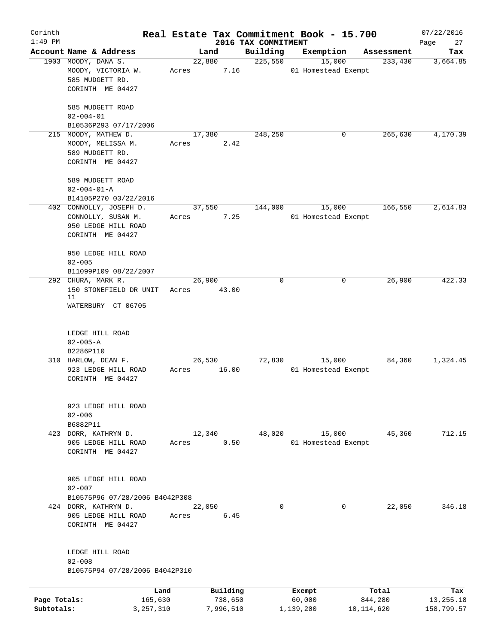| Corinth      |                                             |       |           |                     | Real Estate Tax Commitment Book - 15.700 |                       | 07/22/2016      |
|--------------|---------------------------------------------|-------|-----------|---------------------|------------------------------------------|-----------------------|-----------------|
| $1:49$ PM    | Account Name & Address                      |       | Land      | 2016 TAX COMMITMENT |                                          |                       | Page<br>27      |
|              | 1903 MOODY, DANA S.                         |       | 22,880    | Building<br>225,550 | Exemption<br>15,000                      | Assessment<br>233,430 | Tax<br>3,664.85 |
|              | MOODY, VICTORIA W.                          | Acres | 7.16      |                     | 01 Homestead Exempt                      |                       |                 |
|              | 585 MUDGETT RD.                             |       |           |                     |                                          |                       |                 |
|              | CORINTH ME 04427                            |       |           |                     |                                          |                       |                 |
|              |                                             |       |           |                     |                                          |                       |                 |
|              | 585 MUDGETT ROAD                            |       |           |                     |                                          |                       |                 |
|              | $02 - 004 - 01$                             |       |           |                     |                                          |                       |                 |
|              | B10536P293 07/17/2006                       |       |           |                     |                                          |                       |                 |
|              | 215 MOODY, MATHEW D.                        |       | 17,380    | 248,250             | 0                                        | 265,630               | 4,170.39        |
|              | MOODY, MELISSA M.                           | Acres | 2.42      |                     |                                          |                       |                 |
|              | 589 MUDGETT RD.                             |       |           |                     |                                          |                       |                 |
|              | CORINTH ME 04427                            |       |           |                     |                                          |                       |                 |
|              |                                             |       |           |                     |                                          |                       |                 |
|              | 589 MUDGETT ROAD                            |       |           |                     |                                          |                       |                 |
|              | $02 - 004 - 01 - A$                         |       |           |                     |                                          |                       |                 |
|              | B14105P270 03/22/2016                       |       |           |                     |                                          |                       |                 |
|              | 402 CONNOLLY, JOSEPH D.                     |       | 37,550    | 144,000             | 15,000                                   | 166,550               | 2,614.83        |
|              | CONNOLLY, SUSAN M.                          | Acres | 7.25      |                     | 01 Homestead Exempt                      |                       |                 |
|              | 950 LEDGE HILL ROAD                         |       |           |                     |                                          |                       |                 |
|              | CORINTH ME 04427                            |       |           |                     |                                          |                       |                 |
|              |                                             |       |           |                     |                                          |                       |                 |
|              | 950 LEDGE HILL ROAD                         |       |           |                     |                                          |                       |                 |
|              | $02 - 005$                                  |       |           |                     |                                          |                       |                 |
|              | B11099P109 08/22/2007<br>292 CHURA, MARK R. |       | 26,900    | 0                   | 0                                        | 26,900                | 422.33          |
|              | 150 STONEFIELD DR UNIT                      | Acres | 43.00     |                     |                                          |                       |                 |
|              | 11                                          |       |           |                     |                                          |                       |                 |
|              | WATERBURY CT 06705                          |       |           |                     |                                          |                       |                 |
|              |                                             |       |           |                     |                                          |                       |                 |
|              |                                             |       |           |                     |                                          |                       |                 |
|              | LEDGE HILL ROAD                             |       |           |                     |                                          |                       |                 |
|              | $02 - 005 - A$                              |       |           |                     |                                          |                       |                 |
|              | B2286P110                                   |       |           |                     |                                          |                       |                 |
|              | 310 HARLOW, DEAN F.                         |       | 26,530    | 72,830              | 15,000                                   | 84,360                | 1,324.45        |
|              | 923 LEDGE HILL ROAD                         | Acres | 16.00     |                     | 01 Homestead Exempt                      |                       |                 |
|              | CORINTH ME 04427                            |       |           |                     |                                          |                       |                 |
|              |                                             |       |           |                     |                                          |                       |                 |
|              | 923 LEDGE HILL ROAD                         |       |           |                     |                                          |                       |                 |
|              | $02 - 006$                                  |       |           |                     |                                          |                       |                 |
|              | B6882P11                                    |       |           |                     |                                          |                       |                 |
| 423          | DORR, KATHRYN D.                            |       | 12,340    | 48,020              | 15,000                                   | 45,360                | 712.15          |
|              | 905 LEDGE HILL ROAD                         | Acres | 0.50      |                     | 01 Homestead Exempt                      |                       |                 |
|              | CORINTH ME 04427                            |       |           |                     |                                          |                       |                 |
|              |                                             |       |           |                     |                                          |                       |                 |
|              |                                             |       |           |                     |                                          |                       |                 |
|              | 905 LEDGE HILL ROAD                         |       |           |                     |                                          |                       |                 |
|              | $02 - 007$                                  |       |           |                     |                                          |                       |                 |
|              | B10575P96 07/28/2006 B4042P308              |       |           |                     |                                          |                       |                 |
|              | 424 DORR, KATHRYN D.                        |       | 22,050    | 0                   | $\mathbf 0$                              | 22,050                | 346.18          |
|              | 905 LEDGE HILL ROAD                         | Acres | 6.45      |                     |                                          |                       |                 |
|              | CORINTH ME 04427                            |       |           |                     |                                          |                       |                 |
|              |                                             |       |           |                     |                                          |                       |                 |
|              | LEDGE HILL ROAD                             |       |           |                     |                                          |                       |                 |
|              | $02 - 008$                                  |       |           |                     |                                          |                       |                 |
|              | B10575P94 07/28/2006 B4042P310              |       |           |                     |                                          |                       |                 |
|              |                                             |       |           |                     |                                          |                       |                 |
|              | Land                                        |       | Building  |                     | Exempt                                   | Total                 | Tax             |
| Page Totals: | 165,630                                     |       | 738,650   |                     | 60,000                                   | 844,280               | 13,255.18       |
| Subtotals:   | 3, 257, 310                                 |       | 7,996,510 |                     | 1,139,200                                | 10,114,620            | 158,799.57      |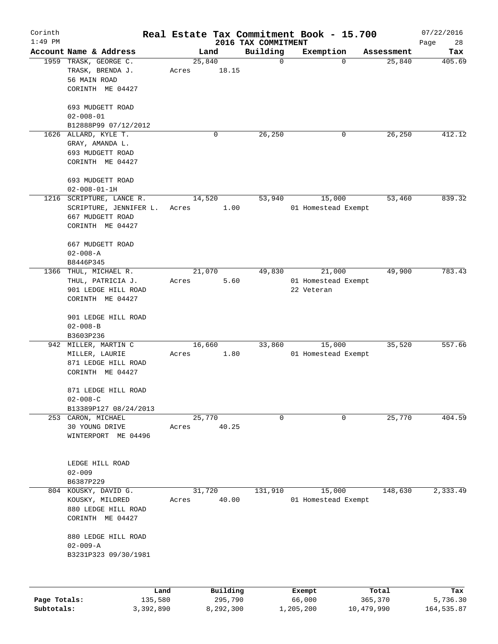| Corinth      |                                         |                 |                 |                     |                                 | Real Estate Tax Commitment Book - 15.700 |                  | 07/22/2016        |
|--------------|-----------------------------------------|-----------------|-----------------|---------------------|---------------------------------|------------------------------------------|------------------|-------------------|
| $1:49$ PM    | Account Name & Address                  |                 |                 | Land                | 2016 TAX COMMITMENT<br>Building | Exemption                                | Assessment       | Page<br>28<br>Tax |
|              | 1959 TRASK, GEORGE C.                   |                 | 25,840          |                     | 0                               | $\Omega$                                 | 25,840           | 405.69            |
|              | TRASK, BRENDA J.<br>56 MAIN ROAD        |                 | Acres           | 18.15               |                                 |                                          |                  |                   |
|              | CORINTH ME 04427                        |                 |                 |                     |                                 |                                          |                  |                   |
|              | 693 MUDGETT ROAD<br>$02 - 008 - 01$     |                 |                 |                     |                                 |                                          |                  |                   |
|              | B12888P99 07/12/2012                    |                 |                 |                     |                                 |                                          |                  |                   |
|              | 1626 ALLARD, KYLE T.                    |                 |                 | 0                   | 26,250                          | $\mathbf 0$                              | 26,250           | 412.12            |
|              | GRAY, AMANDA L.                         |                 |                 |                     |                                 |                                          |                  |                   |
|              | 693 MUDGETT ROAD                        |                 |                 |                     |                                 |                                          |                  |                   |
|              | CORINTH ME 04427                        |                 |                 |                     |                                 |                                          |                  |                   |
|              | 693 MUDGETT ROAD                        |                 |                 |                     |                                 |                                          |                  |                   |
|              | $02 - 008 - 01 - 1H$                    |                 |                 |                     |                                 |                                          |                  |                   |
|              | 1216 SCRIPTURE, LANCE R.                |                 | 14,520          |                     | 53,940                          | 15,000                                   | 53,460           | 839.32            |
|              | SCRIPTURE, JENNIFER L.                  |                 | Acres           | 1.00                |                                 | 01 Homestead Exempt                      |                  |                   |
|              | 667 MUDGETT ROAD                        |                 |                 |                     |                                 |                                          |                  |                   |
|              | CORINTH ME 04427                        |                 |                 |                     |                                 |                                          |                  |                   |
|              | 667 MUDGETT ROAD                        |                 |                 |                     |                                 |                                          |                  |                   |
|              | $02 - 008 - A$                          |                 |                 |                     |                                 |                                          |                  |                   |
|              | B8446P345                               |                 |                 |                     |                                 |                                          |                  |                   |
| 1366         | THUL, MICHAEL R.                        |                 | 21,070          |                     | 49,830                          | 21,000                                   | 49,900           | 783.43            |
|              | THUL, PATRICIA J.                       |                 | Acres           | 5.60                |                                 | 01 Homestead Exempt                      |                  |                   |
|              | 901 LEDGE HILL ROAD                     |                 |                 |                     |                                 | 22 Veteran                               |                  |                   |
|              | CORINTH ME 04427                        |                 |                 |                     |                                 |                                          |                  |                   |
|              | 901 LEDGE HILL ROAD                     |                 |                 |                     |                                 |                                          |                  |                   |
|              | $02 - 008 - B$                          |                 |                 |                     |                                 |                                          |                  |                   |
|              | B3603P236                               |                 |                 |                     |                                 |                                          |                  |                   |
| 942          | MILLER, MARTIN C                        |                 | 16,660          |                     | 33,860                          | 15,000                                   | 35,520           | 557.66            |
|              | MILLER, LAURIE                          |                 | Acres           | 1.80                |                                 | 01 Homestead Exempt                      |                  |                   |
|              | 871 LEDGE HILL ROAD<br>CORINTH ME 04427 |                 |                 |                     |                                 |                                          |                  |                   |
|              |                                         |                 |                 |                     |                                 |                                          |                  |                   |
|              | 871 LEDGE HILL ROAD                     |                 |                 |                     |                                 |                                          |                  |                   |
|              | $02 - 008 - C$                          |                 |                 |                     |                                 |                                          |                  |                   |
|              | B13389P127 08/24/2013                   |                 |                 |                     | 0                               |                                          | 25,770           | 404.59            |
|              | 253 CARON, MICHAEL<br>30 YOUNG DRIVE    |                 | 25,770<br>Acres | 40.25               |                                 | 0                                        |                  |                   |
|              | WINTERPORT ME 04496                     |                 |                 |                     |                                 |                                          |                  |                   |
|              |                                         |                 |                 |                     |                                 |                                          |                  |                   |
|              |                                         |                 |                 |                     |                                 |                                          |                  |                   |
|              | LEDGE HILL ROAD<br>$02 - 009$           |                 |                 |                     |                                 |                                          |                  |                   |
|              | B6387P229                               |                 |                 |                     |                                 |                                          |                  |                   |
|              | 804 KOUSKY, DAVID G.                    |                 | 31,720          |                     | 131,910                         | 15,000                                   | 148,630          | 2,333.49          |
|              | KOUSKY, MILDRED                         |                 | Acres           | 40.00               |                                 | 01 Homestead Exempt                      |                  |                   |
|              | 880 LEDGE HILL ROAD                     |                 |                 |                     |                                 |                                          |                  |                   |
|              | CORINTH ME 04427                        |                 |                 |                     |                                 |                                          |                  |                   |
|              | 880 LEDGE HILL ROAD                     |                 |                 |                     |                                 |                                          |                  |                   |
|              | $02 - 009 - A$                          |                 |                 |                     |                                 |                                          |                  |                   |
|              | B3231P323 09/30/1981                    |                 |                 |                     |                                 |                                          |                  |                   |
|              |                                         |                 |                 |                     |                                 |                                          |                  |                   |
|              |                                         |                 |                 |                     |                                 |                                          |                  |                   |
| Page Totals: |                                         | Land<br>135,580 |                 | Building<br>295,790 |                                 | Exempt<br>66,000                         | Total<br>365,370 | Tax<br>5,736.30   |
| Subtotals:   |                                         | 3,392,890       |                 | 8,292,300           |                                 | 1,205,200                                | 10,479,990       | 164, 535.87       |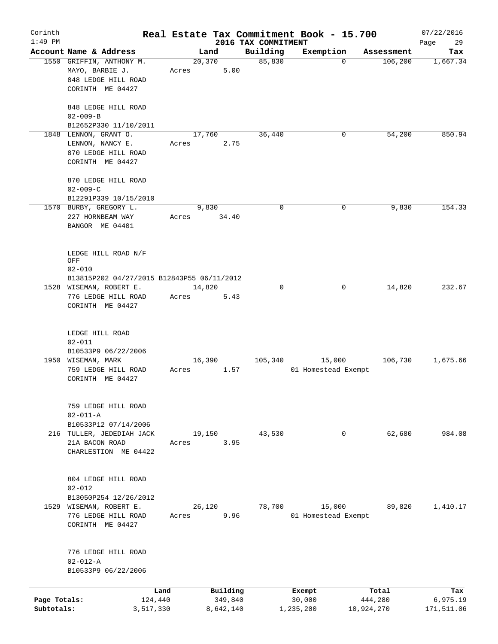| Corinth      |                                                    |       |                 |                     | Real Estate Tax Commitment Book - 15.700 |                        | 07/22/2016      |
|--------------|----------------------------------------------------|-------|-----------------|---------------------|------------------------------------------|------------------------|-----------------|
| $1:49$ PM    |                                                    |       |                 | 2016 TAX COMMITMENT |                                          |                        | Page<br>29      |
|              | Account Name & Address<br>1550 GRIFFIN, ANTHONY M. |       | Land<br>20, 370 | Building<br>85,830  | Exemption<br>$\mathbf 0$                 | Assessment<br>106, 200 | Tax<br>1,667.34 |
|              |                                                    |       |                 |                     |                                          |                        |                 |
|              | MAYO, BARBIE J.                                    | Acres | 5.00            |                     |                                          |                        |                 |
|              | 848 LEDGE HILL ROAD                                |       |                 |                     |                                          |                        |                 |
|              | CORINTH ME 04427                                   |       |                 |                     |                                          |                        |                 |
|              | 848 LEDGE HILL ROAD                                |       |                 |                     |                                          |                        |                 |
|              | $02 - 009 - B$                                     |       |                 |                     |                                          |                        |                 |
|              | B12652P330 11/10/2011                              |       |                 |                     |                                          |                        |                 |
|              | 1848 LENNON, GRANT O.                              |       | 17,760          | 36,440              | 0                                        | 54,200                 | 850.94          |
|              | LENNON, NANCY E.                                   | Acres | 2.75            |                     |                                          |                        |                 |
|              | 870 LEDGE HILL ROAD                                |       |                 |                     |                                          |                        |                 |
|              | CORINTH ME 04427                                   |       |                 |                     |                                          |                        |                 |
|              |                                                    |       |                 |                     |                                          |                        |                 |
|              | 870 LEDGE HILL ROAD                                |       |                 |                     |                                          |                        |                 |
|              | $02 - 009 - C$                                     |       |                 |                     |                                          |                        |                 |
|              | B12291P339 10/15/2010                              |       |                 |                     |                                          |                        |                 |
|              | 1570 BURBY, GREGORY L.                             |       | 9,830           | $\mathbf 0$         | 0                                        | 9,830                  | 154.33          |
|              | 227 HORNBEAM WAY                                   | Acres | 34.40           |                     |                                          |                        |                 |
|              | BANGOR ME 04401                                    |       |                 |                     |                                          |                        |                 |
|              |                                                    |       |                 |                     |                                          |                        |                 |
|              |                                                    |       |                 |                     |                                          |                        |                 |
|              | LEDGE HILL ROAD N/F                                |       |                 |                     |                                          |                        |                 |
|              | OFF                                                |       |                 |                     |                                          |                        |                 |
|              | $02 - 010$                                         |       |                 |                     |                                          |                        |                 |
|              | B13815P202 04/27/2015 B12843P55 06/11/2012         |       |                 |                     |                                          |                        |                 |
|              | 1528 WISEMAN, ROBERT E.                            |       | 14,820          | 0                   | 0                                        | 14,820                 | 232.67          |
|              | 776 LEDGE HILL ROAD                                | Acres | 5.43            |                     |                                          |                        |                 |
|              | CORINTH ME 04427                                   |       |                 |                     |                                          |                        |                 |
|              |                                                    |       |                 |                     |                                          |                        |                 |
|              |                                                    |       |                 |                     |                                          |                        |                 |
|              | LEDGE HILL ROAD                                    |       |                 |                     |                                          |                        |                 |
|              | $02 - 011$                                         |       |                 |                     |                                          |                        |                 |
|              | B10533P9 06/22/2006                                |       |                 |                     |                                          |                        |                 |
|              | 1950 WISEMAN, MARK                                 |       | 16,390          | 105,340             | 15,000                                   | 106,730                | 1,675.66        |
|              | 759 LEDGE HILL ROAD                                | Acres | 1.57            |                     | 01 Homestead Exempt                      |                        |                 |
|              | CORINTH ME 04427                                   |       |                 |                     |                                          |                        |                 |
|              |                                                    |       |                 |                     |                                          |                        |                 |
|              |                                                    |       |                 |                     |                                          |                        |                 |
|              | 759 LEDGE HILL ROAD                                |       |                 |                     |                                          |                        |                 |
|              | $02 - 011 - A$                                     |       |                 |                     |                                          |                        |                 |
|              | B10533P12 07/14/2006                               |       |                 |                     |                                          |                        |                 |
| 216          | TULLER, JEDEDIAH JACK                              |       | 19,150          | 43,530              | 0                                        | 62,680                 | 984.08          |
|              | 21A BACON ROAD                                     | Acres | 3.95            |                     |                                          |                        |                 |
|              | CHARLESTION ME 04422                               |       |                 |                     |                                          |                        |                 |
|              |                                                    |       |                 |                     |                                          |                        |                 |
|              |                                                    |       |                 |                     |                                          |                        |                 |
|              | 804 LEDGE HILL ROAD                                |       |                 |                     |                                          |                        |                 |
|              | $02 - 012$                                         |       |                 |                     |                                          |                        |                 |
|              | B13050P254 12/26/2012                              |       |                 |                     |                                          |                        |                 |
|              | 1529 WISEMAN, ROBERT E.                            |       | 26,120          | 78,700              | 15,000                                   | 89,820                 | 1,410.17        |
|              | 776 LEDGE HILL ROAD                                | Acres | 9.96            |                     | 01 Homestead Exempt                      |                        |                 |
|              | CORINTH ME 04427                                   |       |                 |                     |                                          |                        |                 |
|              |                                                    |       |                 |                     |                                          |                        |                 |
|              |                                                    |       |                 |                     |                                          |                        |                 |
|              | 776 LEDGE HILL ROAD                                |       |                 |                     |                                          |                        |                 |
|              | $02 - 012 - A$                                     |       |                 |                     |                                          |                        |                 |
|              | B10533P9 06/22/2006                                |       |                 |                     |                                          |                        |                 |
|              |                                                    |       |                 |                     |                                          |                        |                 |
|              |                                                    | Land  | Building        |                     | Exempt                                   | Total                  | Tax             |
| Page Totals: | 124,440                                            |       | 349,840         |                     | 30,000                                   | 444,280                | 6,975.19        |
| Subtotals:   | 3,517,330                                          |       | 8,642,140       |                     | 1,235,200                                | 10,924,270             | 171,511.06      |
|              |                                                    |       |                 |                     |                                          |                        |                 |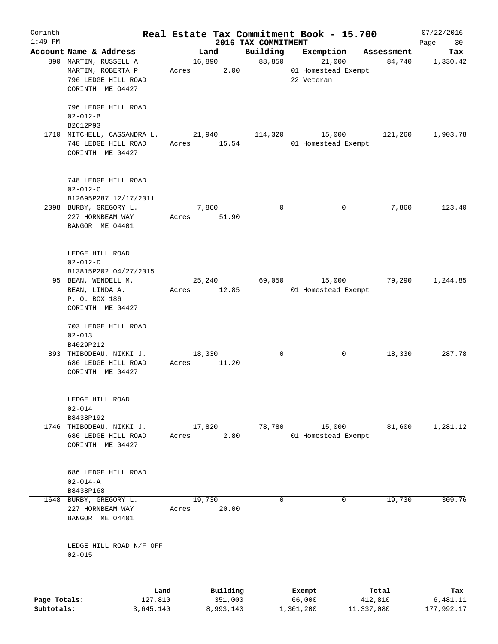| Corinth      |                                                                    |       |                     |                                 | Real Estate Tax Commitment Book - 15.700 |                  |            | 07/22/2016        |
|--------------|--------------------------------------------------------------------|-------|---------------------|---------------------------------|------------------------------------------|------------------|------------|-------------------|
| $1:49$ PM    | Account Name & Address                                             |       | Land                | 2016 TAX COMMITMENT<br>Building | Exemption                                |                  | Assessment | Page<br>30<br>Tax |
|              | 890 MARTIN, RUSSELL A.<br>MARTIN, ROBERTA P.                       | Acres | 16,890<br>2.00      | 88,850                          | 21,000<br>01 Homestead Exempt            |                  | 84,740     | 1,330.42          |
|              | 796 LEDGE HILL ROAD<br>CORINTH ME 04427                            |       |                     |                                 | 22 Veteran                               |                  |            |                   |
|              | 796 LEDGE HILL ROAD<br>$02 - 012 - B$                              |       |                     |                                 |                                          |                  |            |                   |
|              | B2612P93<br>1710 MITCHELL, CASSANDRA L.                            |       |                     |                                 |                                          |                  |            |                   |
|              | 748 LEDGE HILL ROAD<br>CORINTH ME 04427                            | Acres | 21,940<br>15.54     | 114,320                         | 15,000<br>01 Homestead Exempt            |                  | 121,260    | 1,903.78          |
|              | 748 LEDGE HILL ROAD<br>$02 - 012 - C$                              |       |                     |                                 |                                          |                  |            |                   |
|              | B12695P287 12/17/2011                                              |       | 7,860               | $\mathbf 0$                     |                                          | 0                |            | 123.40            |
|              | 2098 BURBY, GREGORY L.<br>227 HORNBEAM WAY<br>BANGOR ME 04401      | Acres | 51.90               |                                 |                                          |                  | 7,860      |                   |
|              | LEDGE HILL ROAD<br>$02 - 012 - D$                                  |       |                     |                                 |                                          |                  |            |                   |
|              | B13815P202 04/27/2015                                              |       |                     |                                 |                                          |                  |            |                   |
|              | 95 BEAN, WENDELL M.                                                |       | 25,240              | 69,050                          | 15,000                                   |                  | 79,290     | 1,244.85          |
|              | BEAN, LINDA A.                                                     | Acres | 12.85               |                                 | 01 Homestead Exempt                      |                  |            |                   |
|              | P. O. BOX 186<br>CORINTH ME 04427                                  |       |                     |                                 |                                          |                  |            |                   |
|              | 703 LEDGE HILL ROAD                                                |       |                     |                                 |                                          |                  |            |                   |
|              | $02 - 013$<br>B4029P212                                            |       |                     |                                 |                                          |                  |            |                   |
|              | 893 THIBODEAU, NIKKI J.<br>686 LEDGE HILL ROAD<br>CORINTH ME 04427 | Acres | 18,330<br>11.20     | 0                               |                                          | 0                | 18,330     | 287.78            |
|              | LEDGE HILL ROAD                                                    |       |                     |                                 |                                          |                  |            |                   |
|              | $02 - 014$<br>B8438P192                                            |       |                     |                                 |                                          |                  |            |                   |
| 1746         | THIBODEAU, NIKKI J.                                                |       | 17,820              | 78,780                          | 15,000                                   |                  | 81,600     | 1,281.12          |
|              | 686 LEDGE HILL ROAD<br>CORINTH ME 04427                            | Acres | 2.80                |                                 | 01 Homestead Exempt                      |                  |            |                   |
|              | 686 LEDGE HILL ROAD<br>$02 - 014 - A$                              |       |                     |                                 |                                          |                  |            |                   |
|              | B8438P168                                                          |       |                     |                                 |                                          |                  |            |                   |
| 1648         | BURBY, GREGORY L.<br>227 HORNBEAM WAY<br>BANGOR ME 04401           | Acres | 19,730<br>20.00     | 0                               |                                          | 0                | 19,730     | 309.76            |
|              | LEDGE HILL ROAD N/F OFF<br>$02 - 015$                              |       |                     |                                 |                                          |                  |            |                   |
|              |                                                                    |       |                     |                                 |                                          |                  |            |                   |
| Page Totals: | Land<br>127,810                                                    |       | Building<br>351,000 |                                 | Exempt<br>66,000                         | Total<br>412,810 |            | Tax<br>6,481.11   |
|              |                                                                    |       |                     |                                 |                                          |                  |            |                   |

**Subtotals:** 3,645,140 8,993,140 1,301,200 11,337,080 177,992.17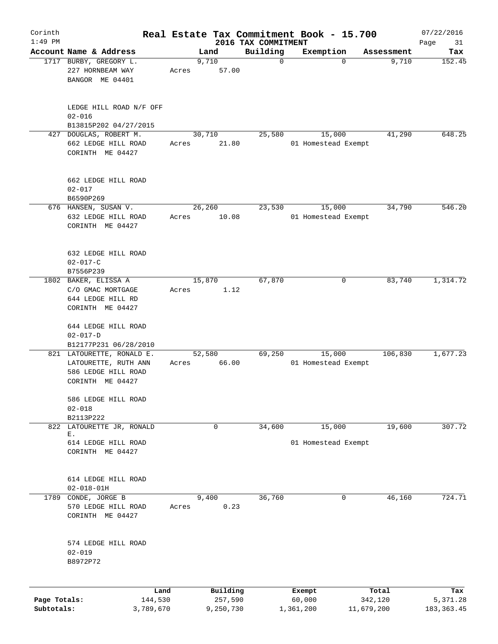| Corinth<br>$1:49$ PM |                                         |       |           |                                 | Real Estate Tax Commitment Book - 15.700 |            | 07/22/2016        |
|----------------------|-----------------------------------------|-------|-----------|---------------------------------|------------------------------------------|------------|-------------------|
|                      | Account Name & Address                  |       | Land      | 2016 TAX COMMITMENT<br>Building | Exemption                                | Assessment | Page<br>31<br>Tax |
|                      | 1717 BURBY, GREGORY L.                  |       | 9,710     | $\mathbf 0$                     | $\mathbf 0$                              | 9,710      | 152.45            |
|                      | 227 HORNBEAM WAY                        | Acres | 57.00     |                                 |                                          |            |                   |
|                      | BANGOR ME 04401                         |       |           |                                 |                                          |            |                   |
|                      |                                         |       |           |                                 |                                          |            |                   |
|                      | LEDGE HILL ROAD N/F OFF                 |       |           |                                 |                                          |            |                   |
|                      | $02 - 016$<br>B13815P202 04/27/2015     |       |           |                                 |                                          |            |                   |
| 427                  | DOUGLAS, ROBERT M.                      |       | 30,710    | 25,580                          | 15,000                                   | 41,290     | 648.25            |
|                      | 662 LEDGE HILL ROAD                     | Acres | 21.80     |                                 | 01 Homestead Exempt                      |            |                   |
|                      | CORINTH ME 04427                        |       |           |                                 |                                          |            |                   |
|                      | 662 LEDGE HILL ROAD                     |       |           |                                 |                                          |            |                   |
|                      | $02 - 017$                              |       |           |                                 |                                          |            |                   |
|                      | B6590P269                               |       |           |                                 |                                          |            |                   |
|                      | 676 HANSEN, SUSAN V.                    |       | 26,260    | 23,530                          | 15,000                                   | 34,790     | 546.20            |
|                      | 632 LEDGE HILL ROAD                     | Acres | 10.08     |                                 | 01 Homestead Exempt                      |            |                   |
|                      | CORINTH ME 04427                        |       |           |                                 |                                          |            |                   |
|                      | 632 LEDGE HILL ROAD                     |       |           |                                 |                                          |            |                   |
|                      | $02 - 017 - C$                          |       |           |                                 |                                          |            |                   |
|                      | B7556P239                               |       |           |                                 |                                          |            |                   |
|                      | 1802 BAKER, ELISSA A                    |       | 15,870    | 67,870                          | 0                                        | 83,740     | 1,314.72          |
|                      | C/O GMAC MORTGAGE                       | Acres | 1.12      |                                 |                                          |            |                   |
|                      | 644 LEDGE HILL RD                       |       |           |                                 |                                          |            |                   |
|                      | CORINTH ME 04427                        |       |           |                                 |                                          |            |                   |
|                      | 644 LEDGE HILL ROAD                     |       |           |                                 |                                          |            |                   |
|                      | $02 - 017 - D$                          |       |           |                                 |                                          |            |                   |
|                      | B12177P231 06/28/2010                   |       |           |                                 |                                          |            |                   |
|                      | 821 LATOURETTE, RONALD E.               |       | 52,580    | 69,250                          | 15,000                                   | 106,830    | 1,677.23          |
|                      | LATOURETTE, RUTH ANN                    | Acres | 66.00     |                                 | 01 Homestead Exempt                      |            |                   |
|                      | 586 LEDGE HILL ROAD<br>CORINTH ME 04427 |       |           |                                 |                                          |            |                   |
|                      |                                         |       |           |                                 |                                          |            |                   |
|                      | 586 LEDGE HILL ROAD                     |       |           |                                 |                                          |            |                   |
|                      | $02 - 018$<br>B2113P222                 |       |           |                                 |                                          |            |                   |
| 822                  | LATOURETTE JR, RONALD                   |       | 0         | 34,600                          | 15,000                                   | 19,600     | 307.72            |
|                      | Ε.                                      |       |           |                                 |                                          |            |                   |
|                      | 614 LEDGE HILL ROAD                     |       |           |                                 | 01 Homestead Exempt                      |            |                   |
|                      | CORINTH ME 04427                        |       |           |                                 |                                          |            |                   |
|                      |                                         |       |           |                                 |                                          |            |                   |
|                      | 614 LEDGE HILL ROAD<br>$02 - 018 - 01H$ |       |           |                                 |                                          |            |                   |
|                      | 1789 CONDE, JORGE B                     |       | 9,400     | 36,760                          | 0                                        | 46,160     | 724.71            |
|                      | 570 LEDGE HILL ROAD                     | Acres | 0.23      |                                 |                                          |            |                   |
|                      | CORINTH ME 04427                        |       |           |                                 |                                          |            |                   |
|                      |                                         |       |           |                                 |                                          |            |                   |
|                      | 574 LEDGE HILL ROAD<br>$02 - 019$       |       |           |                                 |                                          |            |                   |
|                      | B8972P72                                |       |           |                                 |                                          |            |                   |
|                      |                                         |       |           |                                 |                                          |            |                   |
|                      | Land                                    |       | Building  |                                 | Exempt                                   | Total      | Tax               |
| Page Totals:         | 144,530                                 |       | 257,590   |                                 | 60,000                                   | 342,120    | 5,371.28          |
| Subtotals:           | 3,789,670                               |       | 9,250,730 |                                 | 1,361,200                                | 11,679,200 | 183, 363.45       |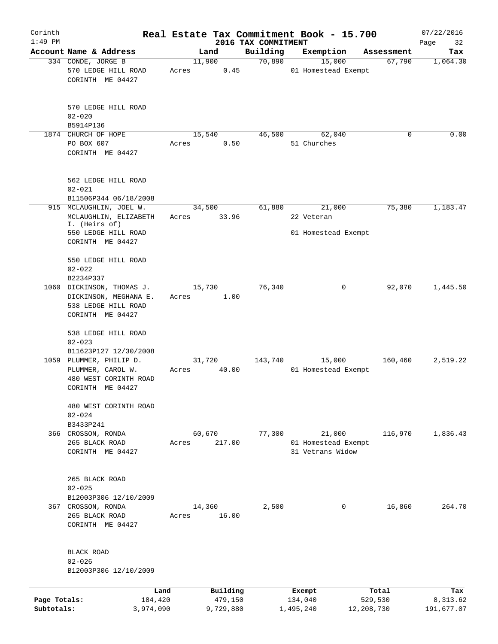| Corinth                    |                                                                                               |                          |                                 | Real Estate Tax Commitment Book - 15.700 |                       | 07/22/2016             |
|----------------------------|-----------------------------------------------------------------------------------------------|--------------------------|---------------------------------|------------------------------------------|-----------------------|------------------------|
| $1:49$ PM                  | Account Name & Address                                                                        | Land                     | 2016 TAX COMMITMENT<br>Building | Exemption                                | Assessment            | Page<br>32<br>Tax      |
|                            | 334 CONDE, JORGE B                                                                            | 11,900                   | 70,890                          | 15,000                                   | 67,790                | 1,064.30               |
|                            | 570 LEDGE HILL ROAD<br>CORINTH ME 04427                                                       | 0.45<br>Acres            |                                 | 01 Homestead Exempt                      |                       |                        |
|                            | 570 LEDGE HILL ROAD<br>$02 - 020$                                                             |                          |                                 |                                          |                       |                        |
|                            | B5914P136                                                                                     |                          |                                 |                                          |                       |                        |
|                            | 1874 CHURCH OF HOPE<br>PO BOX 607<br>CORINTH ME 04427                                         | 15,540<br>0.50<br>Acres  | 46,500                          | 62,040<br>51 Churches                    | 0                     | 0.00                   |
|                            | 562 LEDGE HILL ROAD<br>$02 - 021$<br>B11506P344 06/18/2008                                    |                          |                                 |                                          |                       |                        |
|                            | 915 MCLAUGHLIN, JOEL W.                                                                       | 34,500                   | 61,880                          | 21,000                                   | 75,380                | 1,183.47               |
|                            | MCLAUGHLIN, ELIZABETH<br>I. (Heirs of)                                                        | 33.96<br>Acres           |                                 | 22 Veteran                               |                       |                        |
|                            | 550 LEDGE HILL ROAD<br>CORINTH ME 04427                                                       |                          |                                 | 01 Homestead Exempt                      |                       |                        |
|                            | 550 LEDGE HILL ROAD<br>$02 - 022$<br>B2234P337                                                |                          |                                 |                                          |                       |                        |
|                            | 1060 DICKINSON, THOMAS J.<br>DICKINSON, MEGHANA E.<br>538 LEDGE HILL ROAD<br>CORINTH ME 04427 | 15,730<br>1.00<br>Acres  | 76,340                          | 0                                        | 92,070                | 1,445.50               |
|                            | 538 LEDGE HILL ROAD<br>$02 - 023$<br>B11623P127 12/30/2008                                    |                          |                                 |                                          |                       |                        |
|                            | 1059 PLUMMER, PHILIP D.<br>PLUMMER, CAROL W.<br>480 WEST CORINTH ROAD<br>CORINTH ME 04427     | 31,720<br>40.00<br>Acres | 143,740                         | 15,000<br>01 Homestead Exempt            | 160,460               | 2,519.22               |
|                            | 480 WEST CORINTH ROAD<br>$02 - 024$<br>B3433P241                                              |                          |                                 |                                          |                       |                        |
|                            | 366 CROSSON, RONDA                                                                            | 60,670                   | 77,300                          | 21,000                                   | 116,970               | 1,836.43               |
|                            | 265 BLACK ROAD<br>CORINTH ME 04427                                                            | 217.00<br>Acres          |                                 | 01 Homestead Exempt<br>31 Vetrans Widow  |                       |                        |
|                            | 265 BLACK ROAD<br>$02 - 025$<br>B12003P306 12/10/2009                                         |                          |                                 |                                          |                       |                        |
|                            | 367 CROSSON, RONDA<br>265 BLACK ROAD<br>CORINTH ME 04427                                      | 14,360<br>16.00<br>Acres | 2,500                           | 0                                        | 16,860                | 264.70                 |
|                            | BLACK ROAD<br>$02 - 026$<br>B12003P306 12/10/2009                                             |                          |                                 |                                          |                       |                        |
|                            | Land                                                                                          | Building                 |                                 | Exempt                                   | Total                 | Tax                    |
| Page Totals:<br>Subtotals: | 184,420<br>3,974,090                                                                          | 479,150<br>9,729,880     |                                 | 134,040<br>1,495,240                     | 529,530<br>12,208,730 | 8,313.62<br>191,677.07 |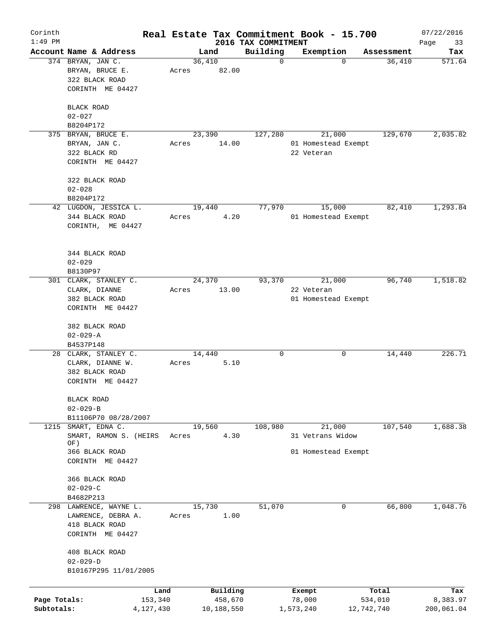| Corinth      |                                      |                 |       |                     |                                 | Real Estate Tax Commitment Book - 15.700 |                  | 07/22/2016        |
|--------------|--------------------------------------|-----------------|-------|---------------------|---------------------------------|------------------------------------------|------------------|-------------------|
| $1:49$ PM    | Account Name & Address               |                 |       | Land                | 2016 TAX COMMITMENT<br>Building | Exemption                                | Assessment       | Page<br>33<br>Tax |
|              | 374 BRYAN, JAN C.                    |                 |       | 36,410              | $\mathbf 0$                     | 0                                        | 36,410           | 571.64            |
|              | BRYAN, BRUCE E.                      |                 | Acres | 82.00               |                                 |                                          |                  |                   |
|              | 322 BLACK ROAD                       |                 |       |                     |                                 |                                          |                  |                   |
|              | CORINTH ME 04427                     |                 |       |                     |                                 |                                          |                  |                   |
|              |                                      |                 |       |                     |                                 |                                          |                  |                   |
|              | BLACK ROAD                           |                 |       |                     |                                 |                                          |                  |                   |
|              | $02 - 027$                           |                 |       |                     |                                 |                                          |                  |                   |
|              | B8204P172                            |                 |       |                     |                                 |                                          | 129,670          |                   |
|              | 375 BRYAN, BRUCE E.<br>BRYAN, JAN C. |                 |       | 23,390              | 127,280                         | 21,000<br>01 Homestead Exempt            |                  | 2,035.82          |
|              |                                      |                 | Acres | 14.00               |                                 |                                          |                  |                   |
|              | 322 BLACK RD<br>CORINTH ME 04427     |                 |       |                     |                                 | 22 Veteran                               |                  |                   |
|              |                                      |                 |       |                     |                                 |                                          |                  |                   |
|              | 322 BLACK ROAD                       |                 |       |                     |                                 |                                          |                  |                   |
|              | $02 - 028$                           |                 |       |                     |                                 |                                          |                  |                   |
|              | B8204P172                            |                 |       |                     |                                 |                                          |                  |                   |
|              | 42 LUGDON, JESSICA L.                |                 |       | 19,440              | 77,970                          | 15,000                                   | 82,410           | 1,293.84          |
|              | 344 BLACK ROAD                       |                 | Acres | 4.20                |                                 | 01 Homestead Exempt                      |                  |                   |
|              | CORINTH, ME 04427                    |                 |       |                     |                                 |                                          |                  |                   |
|              |                                      |                 |       |                     |                                 |                                          |                  |                   |
|              |                                      |                 |       |                     |                                 |                                          |                  |                   |
|              | 344 BLACK ROAD                       |                 |       |                     |                                 |                                          |                  |                   |
|              | $02 - 029$                           |                 |       |                     |                                 |                                          |                  |                   |
|              | B8130P97                             |                 |       |                     |                                 |                                          |                  |                   |
|              | 301 CLARK, STANLEY C.                |                 |       | 24,370              | 93,370                          | 21,000                                   | 96,740           | 1,518.82          |
|              | CLARK, DIANNE                        |                 | Acres | 13.00               |                                 | 22 Veteran                               |                  |                   |
|              | 382 BLACK ROAD                       |                 |       |                     |                                 | 01 Homestead Exempt                      |                  |                   |
|              | CORINTH ME 04427                     |                 |       |                     |                                 |                                          |                  |                   |
|              |                                      |                 |       |                     |                                 |                                          |                  |                   |
|              | 382 BLACK ROAD                       |                 |       |                     |                                 |                                          |                  |                   |
|              | $02 - 029 - A$                       |                 |       |                     |                                 |                                          |                  |                   |
|              | B4537P148                            |                 |       |                     |                                 |                                          |                  |                   |
|              | 28 CLARK, STANLEY C.                 |                 |       | 14,440              | 0                               | 0                                        | 14,440           | 226.71            |
|              | CLARK, DIANNE W.                     |                 | Acres | 5.10                |                                 |                                          |                  |                   |
|              | 382 BLACK ROAD                       |                 |       |                     |                                 |                                          |                  |                   |
|              | CORINTH ME 04427                     |                 |       |                     |                                 |                                          |                  |                   |
|              |                                      |                 |       |                     |                                 |                                          |                  |                   |
|              | BLACK ROAD<br>$02 - 029 - B$         |                 |       |                     |                                 |                                          |                  |                   |
|              | B11106P70 08/28/2007                 |                 |       |                     |                                 |                                          |                  |                   |
| 1215         | SMART, EDNA C.                       |                 |       | 19,560              | 108,980                         | 21,000                                   | 107,540          | 1,688.38          |
|              | SMART, RAMON S. (HEIRS               |                 | Acres | 4.30                |                                 | 31 Vetrans Widow                         |                  |                   |
|              | OF)                                  |                 |       |                     |                                 |                                          |                  |                   |
|              | 366 BLACK ROAD                       |                 |       |                     |                                 | 01 Homestead Exempt                      |                  |                   |
|              | CORINTH ME 04427                     |                 |       |                     |                                 |                                          |                  |                   |
|              |                                      |                 |       |                     |                                 |                                          |                  |                   |
|              | 366 BLACK ROAD                       |                 |       |                     |                                 |                                          |                  |                   |
|              | $02 - 029 - C$                       |                 |       |                     |                                 |                                          |                  |                   |
|              | B4682P213                            |                 |       |                     |                                 |                                          |                  |                   |
|              | 298 LAWRENCE, WAYNE L.               |                 |       | 15,730              | 51,070                          | 0                                        | 66,800           | 1,048.76          |
|              | LAWRENCE, DEBRA A.                   |                 | Acres | 1.00                |                                 |                                          |                  |                   |
|              | 418 BLACK ROAD                       |                 |       |                     |                                 |                                          |                  |                   |
|              | CORINTH ME 04427                     |                 |       |                     |                                 |                                          |                  |                   |
|              |                                      |                 |       |                     |                                 |                                          |                  |                   |
|              | 408 BLACK ROAD                       |                 |       |                     |                                 |                                          |                  |                   |
|              | $02 - 029 - D$                       |                 |       |                     |                                 |                                          |                  |                   |
|              | B10167P295 11/01/2005                |                 |       |                     |                                 |                                          |                  |                   |
|              |                                      |                 |       |                     |                                 |                                          |                  |                   |
| Page Totals: |                                      | Land<br>153,340 |       | Building<br>458,670 |                                 | Exempt<br>78,000                         | Total<br>534,010 | Tax<br>8,383.97   |
| Subtotals:   |                                      | 4,127,430       |       | 10,188,550          |                                 | 1,573,240                                | 12,742,740       | 200,061.04        |
|              |                                      |                 |       |                     |                                 |                                          |                  |                   |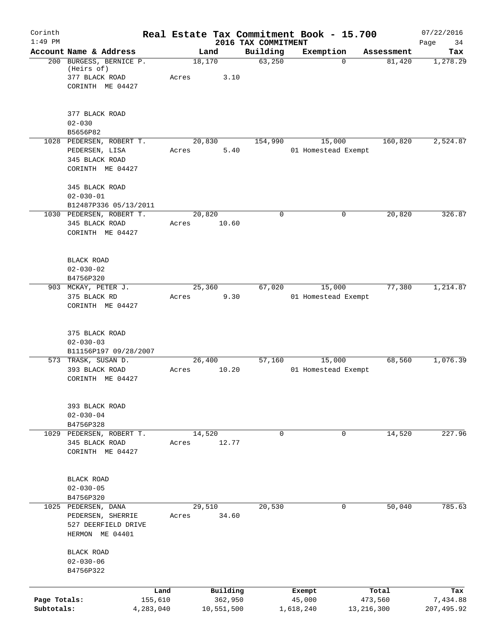| Corinth      |                                                                                    | Real Estate Tax Commitment Book - 15.700 |                                 |                               |            | 07/22/2016        |
|--------------|------------------------------------------------------------------------------------|------------------------------------------|---------------------------------|-------------------------------|------------|-------------------|
| $1:49$ PM    | Account Name & Address                                                             | Land                                     | 2016 TAX COMMITMENT<br>Building | Exemption                     | Assessment | 34<br>Page<br>Tax |
|              | 200 BURGESS, BERNICE P.<br>(Heirs of)<br>377 BLACK ROAD<br>CORINTH ME 04427        | 18,170<br>3.10<br>Acres                  | 63,250                          | $\Omega$                      | 81,420     | 1,278.29          |
|              | 377 BLACK ROAD<br>$02 - 030$<br>B5656P82                                           |                                          |                                 |                               |            |                   |
|              | 1028 PEDERSEN, ROBERT T.<br>PEDERSEN, LISA<br>345 BLACK ROAD<br>CORINTH ME 04427   | 20,830<br>5.40<br>Acres                  | 154,990                         | 15,000<br>01 Homestead Exempt | 160,820    | 2,524.87          |
|              | 345 BLACK ROAD<br>$02 - 030 - 01$<br>B12487P336 05/13/2011                         |                                          |                                 |                               |            |                   |
|              | 1030 PEDERSEN, ROBERT T.<br>345 BLACK ROAD<br>CORINTH ME 04427                     | 20,820<br>10.60<br>Acres                 | $\mathbf 0$                     | 0                             | 20,820     | 326.87            |
|              | BLACK ROAD<br>$02 - 030 - 02$<br>B4756P320                                         |                                          |                                 |                               |            |                   |
|              | 903 MCKAY, PETER J.<br>375 BLACK RD<br>CORINTH ME 04427                            | 25,360<br>9.30<br>Acres                  | 67,020                          | 15,000<br>01 Homestead Exempt | 77,380     | 1,214.87          |
|              | 375 BLACK ROAD<br>$02 - 030 - 03$<br>B11156P197 09/28/2007                         |                                          |                                 |                               |            |                   |
|              | 573 TRASK, SUSAN D.<br>393 BLACK ROAD<br>CORINTH ME 04427                          | 26,400<br>10.20<br>Acres                 | 57,160                          | 15,000<br>01 Homestead Exempt | 68,560     | 1,076.39          |
|              | 393 BLACK ROAD<br>$02 - 030 - 04$<br>B4756P328                                     |                                          |                                 |                               |            |                   |
|              | 1029 PEDERSEN, ROBERT T.<br>345 BLACK ROAD<br>CORINTH ME 04427                     | 14,520<br>12.77<br>Acres                 | $\mathbf 0$                     | 0                             | 14,520     | 227.96            |
|              | BLACK ROAD<br>$02 - 030 - 05$<br>B4756P320                                         |                                          |                                 |                               |            |                   |
|              | 1025 PEDERSEN, DANA<br>PEDERSEN, SHERRIE<br>527 DEERFIELD DRIVE<br>HERMON ME 04401 | 29,510<br>34.60<br>Acres                 | 20,530                          | 0                             | 50,040     | 785.63            |
|              | BLACK ROAD<br>$02 - 030 - 06$<br>B4756P322                                         |                                          |                                 |                               |            |                   |
|              | Land                                                                               | Building                                 |                                 | Exempt                        | Total      | Tax               |
| Page Totals: | 155,610                                                                            | 362,950                                  |                                 | 45,000                        | 473,560    | 7,434.88          |
| Subtotals:   | 4,283,040                                                                          | 10,551,500                               |                                 | 1,618,240                     | 13,216,300 | 207,495.92        |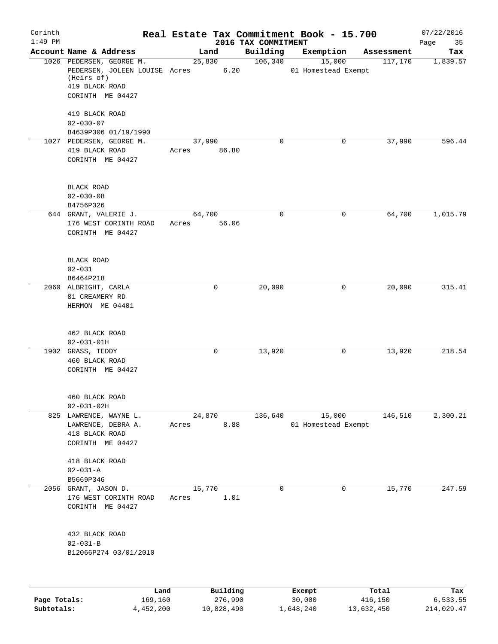| Corinth<br>$1:49$ PM |                                                                                        |             |                |                                 | Real Estate Tax Commitment Book - 15.700 |            | 07/22/2016        |
|----------------------|----------------------------------------------------------------------------------------|-------------|----------------|---------------------------------|------------------------------------------|------------|-------------------|
|                      | Account Name & Address                                                                 |             | Land           | 2016 TAX COMMITMENT<br>Building | Exemption                                | Assessment | Page<br>35<br>Tax |
|                      | 1026 PEDERSEN, GEORGE M.                                                               |             | 25,830         | 106,340                         | 15,000                                   | 117,170    | 1,839.57          |
|                      | PEDERSEN, JOLEEN LOUISE Acres 6.20<br>(Heirs of)<br>419 BLACK ROAD<br>CORINTH ME 04427 |             |                |                                 | 01 Homestead Exempt                      |            |                   |
|                      | 419 BLACK ROAD<br>$02 - 030 - 07$                                                      |             |                |                                 |                                          |            |                   |
|                      | B4639P306 01/19/1990                                                                   |             |                |                                 |                                          |            |                   |
|                      | 1027 PEDERSEN, GEORGE M.<br>419 BLACK ROAD<br>CORINTH ME 04427                         | Acres 86.80 | 37,990         | $\Omega$                        | 0                                        | 37,990     | 596.44            |
|                      | BLACK ROAD<br>$02 - 030 - 08$                                                          |             |                |                                 |                                          |            |                   |
|                      | B4756P326                                                                              |             |                | $\mathbf 0$                     |                                          |            |                   |
|                      | 644 GRANT, VALERIE J.<br>176 WEST CORINTH ROAD<br>CORINTH ME 04427                     | Acres 56.06 | 64,700         |                                 | 0                                        | 64,700     | 1,015.79          |
|                      | <b>BLACK ROAD</b><br>$02 - 031$                                                        |             |                |                                 |                                          |            |                   |
|                      | B6464P218<br>2060 ALBRIGHT, CARLA                                                      |             | $\mathbf 0$    | 20,090                          | 0                                        | 20,090     | 315.41            |
|                      | 81 CREAMERY RD<br>HERMON ME 04401                                                      |             |                |                                 |                                          |            |                   |
|                      | 462 BLACK ROAD<br>$02 - 031 - 01H$                                                     |             |                |                                 |                                          |            |                   |
|                      | 1902 GRASS, TEDDY<br>460 BLACK ROAD<br>CORINTH ME 04427                                |             | 0              | 13,920                          | 0                                        | 13,920     | 218.54            |
|                      | 460 BLACK ROAD<br>$02 - 031 - 02H$                                                     |             |                |                                 |                                          |            |                   |
|                      | 825 LAWRENCE, WAYNE L.<br>LAWRENCE, DEBRA A.<br>418 BLACK ROAD<br>CORINTH ME 04427     | Acres       | 24,870<br>8.88 | 136,640                         | 15,000<br>01 Homestead Exempt            | 146,510    | 2,300.21          |
|                      | 418 BLACK ROAD<br>$02 - 031 - A$<br>B5669P346                                          |             |                |                                 |                                          |            |                   |
|                      | 2056 GRANT, JASON D.<br>176 WEST CORINTH ROAD<br>CORINTH ME 04427                      | Acres       | 15,770<br>1.01 | $\mathbf 0$                     | 0                                        | 15,770     | 247.59            |
|                      | 432 BLACK ROAD<br>$02 - 031 - B$<br>B12066P274 03/01/2010                              |             |                |                                 |                                          |            |                   |
|                      | Land                                                                                   |             | Building       |                                 | Exempt                                   | Total      | Tax               |
| Page Totals:         | 169,160                                                                                |             | 276,990        |                                 | 30,000                                   | 416,150    | 6,533.55          |

**Subtotals:** 4,452,200 10,828,490 1,648,240 13,632,450 214,029.47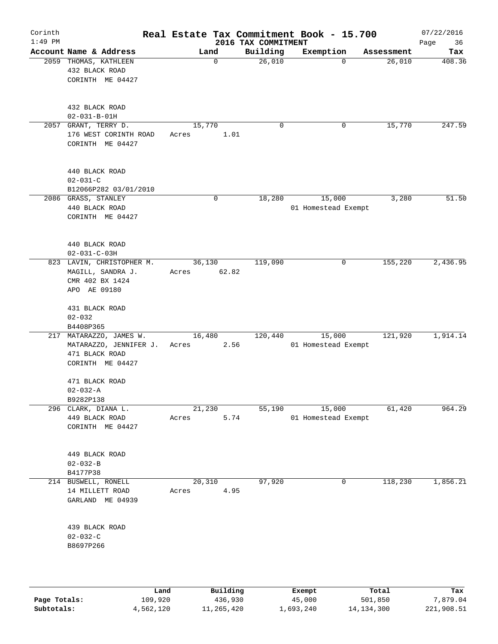| Corinth<br>$1:49$ PM |                                                                                         |      |                       |          | 2016 TAX COMMITMENT | Real Estate Tax Commitment Book - 15.700 |            | 07/22/2016<br>Page<br>36 |
|----------------------|-----------------------------------------------------------------------------------------|------|-----------------------|----------|---------------------|------------------------------------------|------------|--------------------------|
|                      | Account Name & Address                                                                  |      | Land                  |          | Building            | Exemption                                | Assessment | Tax                      |
|                      | 2059 THOMAS, KATHLEEN<br>432 BLACK ROAD<br>CORINTH ME 04427                             |      |                       | 0        | 26,010              | $\Omega$                                 | 26,010     | 408.36                   |
|                      | 432 BLACK ROAD<br>$02 - 031 - B - 01H$                                                  |      |                       |          |                     |                                          |            |                          |
|                      | 2057 GRANT, TERRY D.<br>176 WEST CORINTH ROAD<br>CORINTH ME 04427                       |      | 15,770<br>Acres       | 1.01     | $\mathbf 0$         | 0                                        | 15,770     | 247.59                   |
|                      | 440 BLACK ROAD<br>$02 - 031 - C$<br>B12066P282 03/01/2010                               |      |                       |          |                     |                                          |            |                          |
|                      | 2086 GRASS, STANLEY<br>440 BLACK ROAD<br>CORINTH ME 04427                               |      |                       | 0        | 18,280              | 15,000<br>01 Homestead Exempt            | 3,280      | 51.50                    |
|                      | 440 BLACK ROAD<br>$02 - 031 - C - 03H$                                                  |      |                       |          |                     |                                          |            |                          |
|                      | 823 LAVIN, CHRISTOPHER M.<br>MAGILL, SANDRA J.<br>CMR 402 BX 1424<br>APO AE 09180       |      | 36,130<br>Acres 62.82 |          | 119,090             | 0                                        | 155,220    | 2,436.95                 |
|                      | 431 BLACK ROAD<br>$02 - 032$<br>B4408P365                                               |      |                       |          |                     |                                          |            |                          |
|                      | 217 MATARAZZO, JAMES W.<br>MATARAZZO, JENNIFER J.<br>471 BLACK ROAD<br>CORINTH ME 04427 |      | 16,480<br>Acres       | 2.56     | 120,440             | 15,000<br>01 Homestead Exempt            | 121,920    | 1,914.14                 |
|                      | 471 BLACK ROAD<br>$02 - 032 - A$                                                        |      |                       |          |                     |                                          |            |                          |
|                      | B9282P138<br>296 CLARK, DIANA L.<br>449 BLACK ROAD<br>CORINTH ME 04427                  |      | 21,230<br>Acres       | 5.74     | 55,190              | 15,000<br>01 Homestead Exempt            | 61,420     | 964.29                   |
|                      | 449 BLACK ROAD<br>$02 - 032 - B$<br>B4177P38                                            |      |                       |          |                     |                                          |            |                          |
|                      | 214 BUSWELL, RONELL<br>14 MILLETT ROAD<br>GARLAND ME 04939                              |      | 20,310<br>Acres       | 4.95     | 97,920              | 0                                        | 118,230    | 1,856.21                 |
|                      | 439 BLACK ROAD<br>$02 - 032 - C$<br>B8697P266                                           |      |                       |          |                     |                                          |            |                          |
|                      |                                                                                         | Land |                       | Building |                     | Exempt                                   | Total      | Tax                      |

|              | Land      | Building   | Exempt    | Total      | тах        |
|--------------|-----------|------------|-----------|------------|------------|
| Page Totals: | 109,920   | 436,930    | 45,000    | 501,850    | 7,879.04   |
| Subtotals:   | 4,562,120 | 11,265,420 | 1,693,240 | 14,134,300 | 221,908.51 |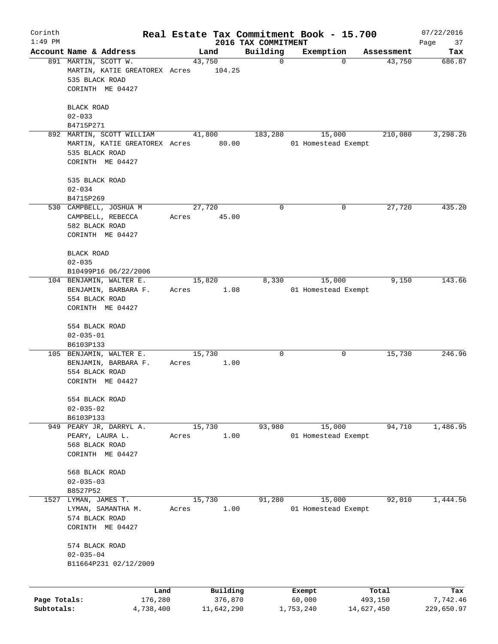| Corinth                    |                                                                                                        |       |                       |                                 | Real Estate Tax Commitment Book - 15.700 |                       | 07/22/2016             |
|----------------------------|--------------------------------------------------------------------------------------------------------|-------|-----------------------|---------------------------------|------------------------------------------|-----------------------|------------------------|
| $1:49$ PM                  | Account Name & Address                                                                                 |       | Land                  | 2016 TAX COMMITMENT<br>Building | Exemption                                | Assessment            | Page<br>37<br>Tax      |
|                            | 891 MARTIN, SCOTT W.<br>MARTIN, KATIE GREATOREX Acres<br>535 BLACK ROAD<br>CORINTH ME 04427            |       | 43,750<br>104.25      | $\mathbf 0$                     | $\mathbf 0$                              | 43,750                | 686.87                 |
|                            | <b>BLACK ROAD</b><br>$02 - 033$<br>B4715P271                                                           |       |                       |                                 |                                          |                       |                        |
|                            | 892 MARTIN, SCOTT WILLIAM<br>MARTIN, KATIE GREATOREX Acres 80.00<br>535 BLACK ROAD<br>CORINTH ME 04427 |       | 41,800                | 183,280                         | 15,000<br>01 Homestead Exempt            | 210,080               | 3,298.26               |
|                            | 535 BLACK ROAD<br>$02 - 034$<br>B4715P269                                                              |       |                       |                                 |                                          |                       |                        |
|                            | 530 CAMPBELL, JOSHUA M<br>CAMPBELL, REBECCA<br>582 BLACK ROAD<br>CORINTH ME 04427                      | Acres | 27,720<br>45.00       | 0                               | 0                                        | 27,720                | 435.20                 |
|                            | <b>BLACK ROAD</b><br>$02 - 035$<br>B10499P16 06/22/2006                                                |       |                       |                                 |                                          |                       |                        |
|                            | 104 BENJAMIN, WALTER E.<br>BENJAMIN, BARBARA F.<br>554 BLACK ROAD<br>CORINTH ME 04427                  | Acres | 15,820<br>1.08        | 8,330                           | 15,000<br>01 Homestead Exempt            | 9,150                 | 143.66                 |
|                            | 554 BLACK ROAD<br>$02 - 035 - 01$                                                                      |       |                       |                                 |                                          |                       |                        |
|                            | B6103P133<br>105 BENJAMIN, WALTER E.<br>BENJAMIN, BARBARA F.<br>554 BLACK ROAD<br>CORINTH ME 04427     | Acres | 15,730<br>1.00        | 0                               | 0                                        | 15,730                | 246.96                 |
|                            | 554 BLACK ROAD<br>$02 - 035 - 02$                                                                      |       |                       |                                 |                                          |                       |                        |
|                            | B6103P133<br>949 PEARY JR, DARRYL A.<br>PEARY, LAURA L.<br>568 BLACK ROAD<br>CORINTH ME 04427          | Acres | 15,730<br>1.00        | 93,980                          | 15,000<br>01 Homestead Exempt            | 94,710                | 1,486.95               |
|                            | 568 BLACK ROAD<br>$02 - 035 - 03$                                                                      |       |                       |                                 |                                          |                       |                        |
| 1527                       | B8527P52<br>LYMAN, JAMES T.<br>LYMAN, SAMANTHA M.<br>574 BLACK ROAD<br>CORINTH ME 04427                | Acres | 15,730<br>1.00        | 91,280                          | 15,000<br>01 Homestead Exempt            | 92,010                | 1,444.56               |
|                            | 574 BLACK ROAD<br>$02 - 035 - 04$<br>B11664P231 02/12/2009                                             |       |                       |                                 |                                          |                       |                        |
|                            | Land                                                                                                   |       | Building              |                                 | Exempt                                   | Total                 | Tax                    |
| Page Totals:<br>Subtotals: | 176,280<br>4,738,400                                                                                   |       | 376,870<br>11,642,290 |                                 | 60,000<br>1,753,240                      | 493,150<br>14,627,450 | 7,742.46<br>229,650.97 |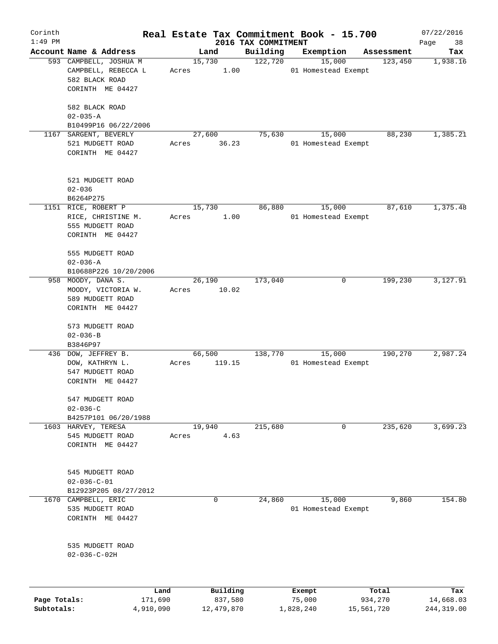| Corinth      |                                      |        |                     |                                 | Real Estate Tax Commitment Book - 15.700 |                  | 07/22/2016        |
|--------------|--------------------------------------|--------|---------------------|---------------------------------|------------------------------------------|------------------|-------------------|
| $1:49$ PM    | Account Name & Address               |        | Land                | 2016 TAX COMMITMENT<br>Building | Exemption                                | Assessment       | Page<br>38<br>Tax |
|              | 593 CAMPBELL, JOSHUA M               | 15,730 |                     | 122,720                         | 15,000                                   | 123,450          | 1,938.16          |
|              | CAMPBELL, REBECCA L                  | Acres  | 1.00                |                                 | 01 Homestead Exempt                      |                  |                   |
|              | 582 BLACK ROAD                       |        |                     |                                 |                                          |                  |                   |
|              | CORINTH ME 04427                     |        |                     |                                 |                                          |                  |                   |
|              |                                      |        |                     |                                 |                                          |                  |                   |
|              | 582 BLACK ROAD                       |        |                     |                                 |                                          |                  |                   |
|              | $02 - 035 - A$                       |        |                     |                                 |                                          |                  |                   |
|              | B10499P16 06/22/2006                 |        |                     |                                 |                                          |                  |                   |
| 1167         | SARGENT, BEVERLY                     | 27,600 |                     | 75,630                          | 15,000                                   | 88,230           | 1,385.21          |
|              | 521 MUDGETT ROAD                     | Acres  | 36.23               |                                 | 01 Homestead Exempt                      |                  |                   |
|              | CORINTH ME 04427                     |        |                     |                                 |                                          |                  |                   |
|              |                                      |        |                     |                                 |                                          |                  |                   |
|              | 521 MUDGETT ROAD                     |        |                     |                                 |                                          |                  |                   |
|              | $02 - 036$                           |        |                     |                                 |                                          |                  |                   |
|              | B6264P275                            |        |                     |                                 |                                          |                  |                   |
|              | 1151 RICE, ROBERT P                  | 15,730 |                     | 86,880                          | 15,000                                   | 87,610           | 1,375.48          |
|              | RICE, CHRISTINE M.                   | Acres  | 1.00                |                                 | 01 Homestead Exempt                      |                  |                   |
|              | 555 MUDGETT ROAD                     |        |                     |                                 |                                          |                  |                   |
|              | CORINTH ME 04427                     |        |                     |                                 |                                          |                  |                   |
|              | 555 MUDGETT ROAD                     |        |                     |                                 |                                          |                  |                   |
|              | $02 - 036 - A$                       |        |                     |                                 |                                          |                  |                   |
|              | B10688P226 10/20/2006                |        |                     |                                 |                                          |                  |                   |
|              | 958 MOODY, DANA S.                   | 26,190 |                     | 173,040                         | 0                                        | 199,230          | 3,127.91          |
|              | MOODY, VICTORIA W.                   | Acres  | 10.02               |                                 |                                          |                  |                   |
|              | 589 MUDGETT ROAD                     |        |                     |                                 |                                          |                  |                   |
|              | CORINTH ME 04427                     |        |                     |                                 |                                          |                  |                   |
|              |                                      |        |                     |                                 |                                          |                  |                   |
|              | 573 MUDGETT ROAD                     |        |                     |                                 |                                          |                  |                   |
|              | $02 - 036 - B$<br>B3846P97           |        |                     |                                 |                                          |                  |                   |
|              | 436 DOW, JEFFREY B.                  | 66,500 |                     | 138,770                         | 15,000                                   | 190,270          | 2,987.24          |
|              | DOW, KATHRYN L.                      | Acres  | 119.15              |                                 | 01 Homestead Exempt                      |                  |                   |
|              | 547 MUDGETT ROAD                     |        |                     |                                 |                                          |                  |                   |
|              | CORINTH ME 04427                     |        |                     |                                 |                                          |                  |                   |
|              |                                      |        |                     |                                 |                                          |                  |                   |
|              | 547 MUDGETT ROAD<br>$02 - 036 - C$   |        |                     |                                 |                                          |                  |                   |
|              |                                      |        |                     |                                 |                                          |                  |                   |
|              | B4257P101 06/20/1988                 |        |                     | 215,680                         |                                          | 235,620          | 3,699.23          |
|              | 1603 HARVEY, TERESA                  | 19,940 |                     |                                 | 0                                        |                  |                   |
|              | 545 MUDGETT ROAD<br>CORINTH ME 04427 | Acres  | 4.63                |                                 |                                          |                  |                   |
|              |                                      |        |                     |                                 |                                          |                  |                   |
|              | 545 MUDGETT ROAD                     |        |                     |                                 |                                          |                  |                   |
|              | $02 - 036 - C - 01$                  |        |                     |                                 |                                          |                  |                   |
|              | B12923P205 08/27/2012                |        |                     |                                 |                                          |                  |                   |
| 1670         | CAMPBELL, ERIC                       |        | 0                   | 24,860                          | 15,000                                   | 9,860            | 154.80            |
|              | 535 MUDGETT ROAD                     |        |                     |                                 | 01 Homestead Exempt                      |                  |                   |
|              | CORINTH ME 04427                     |        |                     |                                 |                                          |                  |                   |
|              |                                      |        |                     |                                 |                                          |                  |                   |
|              | 535 MUDGETT ROAD                     |        |                     |                                 |                                          |                  |                   |
|              | $02 - 036 - C - 02H$                 |        |                     |                                 |                                          |                  |                   |
|              |                                      |        |                     |                                 |                                          |                  |                   |
|              |                                      |        |                     |                                 |                                          |                  |                   |
| Page Totals: | Land<br>171,690                      |        | Building<br>837,580 |                                 | Exempt<br>75,000                         | Total<br>934,270 | Tax<br>14,668.03  |

**Subtotals:** 4,910,090 12,479,870 1,828,240 15,561,720 244,319.00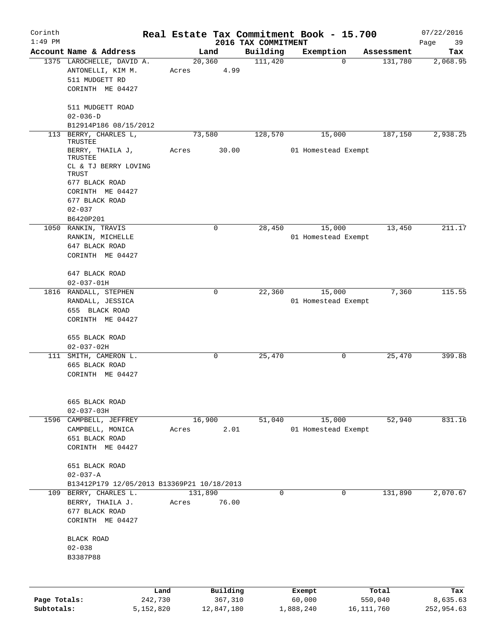| Corinth      |                                            |           |         |             | Real Estate Tax Commitment Book - 15.700 |           |                     |            |            | 07/22/2016        |
|--------------|--------------------------------------------|-----------|---------|-------------|------------------------------------------|-----------|---------------------|------------|------------|-------------------|
| $1:49$ PM    | Account Name & Address                     |           |         | Land        | 2016 TAX COMMITMENT<br>Building          |           | Exemption           |            | Assessment | 39<br>Page<br>Tax |
|              | 1375 LAROCHELLE, DAVID A.                  |           |         | 20, 360     | 111,420                                  |           | $\Omega$            |            | 131,780    | 2,068.95          |
|              | ANTONELLI, KIM M.                          |           | Acres   | 4.99        |                                          |           |                     |            |            |                   |
|              | 511 MUDGETT RD                             |           |         |             |                                          |           |                     |            |            |                   |
|              | CORINTH ME 04427                           |           |         |             |                                          |           |                     |            |            |                   |
|              |                                            |           |         |             |                                          |           |                     |            |            |                   |
|              | 511 MUDGETT ROAD                           |           |         |             |                                          |           |                     |            |            |                   |
|              | $02 - 036 - D$                             |           |         |             |                                          |           |                     |            |            |                   |
|              | B12914P186 08/15/2012                      |           |         |             |                                          |           |                     |            |            |                   |
|              | 113 BERRY, CHARLES L,                      |           |         | 73,580      | 128,570                                  |           | 15,000              |            | 187,150    | 2,938.25          |
|              | TRUSTEE                                    |           |         |             |                                          |           |                     |            |            |                   |
|              | BERRY, THAILA J,<br>TRUSTEE                |           | Acres   | 30.00       |                                          |           | 01 Homestead Exempt |            |            |                   |
|              | CL & TJ BERRY LOVING                       |           |         |             |                                          |           |                     |            |            |                   |
|              | TRUST                                      |           |         |             |                                          |           |                     |            |            |                   |
|              | 677 BLACK ROAD                             |           |         |             |                                          |           |                     |            |            |                   |
|              | CORINTH ME 04427                           |           |         |             |                                          |           |                     |            |            |                   |
|              | 677 BLACK ROAD                             |           |         |             |                                          |           |                     |            |            |                   |
|              | $02 - 037$                                 |           |         |             |                                          |           |                     |            |            |                   |
|              | B6420P201                                  |           |         |             |                                          |           |                     |            |            |                   |
|              | 1050 RANKIN, TRAVIS                        |           |         | $\mathbf 0$ | 28,450                                   |           | 15,000              |            | 13,450     | 211.17            |
|              | RANKIN, MICHELLE                           |           |         |             |                                          |           | 01 Homestead Exempt |            |            |                   |
|              | 647 BLACK ROAD                             |           |         |             |                                          |           |                     |            |            |                   |
|              | CORINTH ME 04427                           |           |         |             |                                          |           |                     |            |            |                   |
|              |                                            |           |         |             |                                          |           |                     |            |            |                   |
|              | 647 BLACK ROAD                             |           |         |             |                                          |           |                     |            |            |                   |
|              | $02 - 037 - 01H$                           |           |         |             |                                          |           |                     |            |            |                   |
|              | 1816 RANDALL, STEPHEN                      |           |         | 0           | 22,360                                   |           | 15,000              |            | 7,360      | 115.55            |
|              | RANDALL, JESSICA                           |           |         |             |                                          |           | 01 Homestead Exempt |            |            |                   |
|              | 655 BLACK ROAD                             |           |         |             |                                          |           |                     |            |            |                   |
|              | CORINTH ME 04427                           |           |         |             |                                          |           |                     |            |            |                   |
|              |                                            |           |         |             |                                          |           |                     |            |            |                   |
|              | 655 BLACK ROAD                             |           |         |             |                                          |           |                     |            |            |                   |
|              | $02 - 037 - 02H$                           |           |         |             |                                          |           |                     |            |            |                   |
|              | 111 SMITH, CAMERON L.                      |           |         | 0           | 25,470                                   |           | 0                   |            | 25,470     | 399.88            |
|              | 665 BLACK ROAD                             |           |         |             |                                          |           |                     |            |            |                   |
|              | CORINTH ME 04427                           |           |         |             |                                          |           |                     |            |            |                   |
|              |                                            |           |         |             |                                          |           |                     |            |            |                   |
|              | 665 BLACK ROAD                             |           |         |             |                                          |           |                     |            |            |                   |
|              | $02 - 037 - 03H$                           |           |         |             |                                          |           |                     |            |            |                   |
|              | 1596 CAMPBELL, JEFFREY                     |           |         | 16,900      | 51,040                                   |           | 15,000              |            | 52,940     | 831.16            |
|              | CAMPBELL, MONICA                           |           | Acres   | 2.01        |                                          |           | 01 Homestead Exempt |            |            |                   |
|              | 651 BLACK ROAD                             |           |         |             |                                          |           |                     |            |            |                   |
|              | CORINTH ME 04427                           |           |         |             |                                          |           |                     |            |            |                   |
|              |                                            |           |         |             |                                          |           |                     |            |            |                   |
|              | 651 BLACK ROAD                             |           |         |             |                                          |           |                     |            |            |                   |
|              | $02 - 037 - A$                             |           |         |             |                                          |           |                     |            |            |                   |
|              | B13412P179 12/05/2013 B13369P21 10/18/2013 |           |         |             |                                          |           |                     |            |            |                   |
|              | 109 BERRY, CHARLES L.                      |           | 131,890 |             |                                          | 0         | 0                   |            | 131,890    | 2,070.67          |
|              | BERRY, THAILA J.                           |           | Acres   | 76.00       |                                          |           |                     |            |            |                   |
|              | 677 BLACK ROAD                             |           |         |             |                                          |           |                     |            |            |                   |
|              | CORINTH ME 04427                           |           |         |             |                                          |           |                     |            |            |                   |
|              |                                            |           |         |             |                                          |           |                     |            |            |                   |
|              | <b>BLACK ROAD</b>                          |           |         |             |                                          |           |                     |            |            |                   |
|              | $02 - 038$                                 |           |         |             |                                          |           |                     |            |            |                   |
|              | B3387P88                                   |           |         |             |                                          |           |                     |            |            |                   |
|              |                                            |           |         |             |                                          |           |                     |            |            |                   |
|              |                                            |           |         |             |                                          |           |                     |            |            |                   |
|              |                                            | Land      |         | Building    |                                          | Exempt    |                     |            | Total      | Tax               |
| Page Totals: |                                            | 242,730   |         | 367,310     |                                          | 60,000    |                     |            | 550,040    | 8,635.63          |
| Subtotals:   |                                            | 5,152,820 |         | 12,847,180  |                                          | 1,888,240 |                     | 16,111,760 |            | 252,954.63        |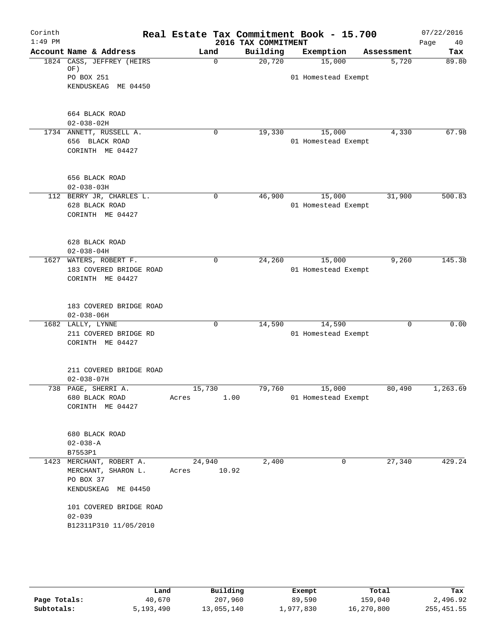| Corinth<br>$1:49$ PM |                                                 | Real Estate Tax Commitment Book - 15.700 | 2016 TAX COMMITMENT |                     |            | 07/22/2016<br>Page<br>40 |
|----------------------|-------------------------------------------------|------------------------------------------|---------------------|---------------------|------------|--------------------------|
|                      | Account Name & Address                          | Land                                     | Building            | Exemption           | Assessment | Tax                      |
|                      | 1824 CASS, JEFFREY (HEIRS                       | $\Omega$                                 | 20,720              | 15,000              | 5,720      | 89.80                    |
|                      | OF)<br>PO BOX 251                               |                                          |                     | 01 Homestead Exempt |            |                          |
|                      | KENDUSKEAG ME 04450                             |                                          |                     |                     |            |                          |
|                      |                                                 |                                          |                     |                     |            |                          |
|                      | 664 BLACK ROAD                                  |                                          |                     |                     |            |                          |
|                      | $02 - 038 - 02H$                                |                                          |                     |                     |            |                          |
|                      | 1734 ANNETT, RUSSELL A.                         | 0                                        | 19,330              | 15,000              | 4,330      | 67.98                    |
|                      | 656 BLACK ROAD                                  |                                          |                     | 01 Homestead Exempt |            |                          |
|                      | CORINTH ME 04427                                |                                          |                     |                     |            |                          |
|                      | 656 BLACK ROAD                                  |                                          |                     |                     |            |                          |
|                      | $02 - 038 - 03H$                                |                                          |                     |                     |            |                          |
|                      | 112 BERRY JR, CHARLES L.                        | 0                                        | 46,900              | 15,000              | 31,900     | 500.83                   |
|                      | 628 BLACK ROAD                                  |                                          |                     | 01 Homestead Exempt |            |                          |
|                      | CORINTH ME 04427                                |                                          |                     |                     |            |                          |
|                      | 628 BLACK ROAD                                  |                                          |                     |                     |            |                          |
|                      | $02 - 038 - 04H$                                |                                          |                     |                     |            |                          |
| 1627                 | WATERS, ROBERT F.                               | $\mathbf 0$                              | 24,260              | 15,000              | 9,260      | 145.38                   |
|                      | 183 COVERED BRIDGE ROAD                         |                                          |                     | 01 Homestead Exempt |            |                          |
|                      | CORINTH ME 04427                                |                                          |                     |                     |            |                          |
|                      | 183 COVERED BRIDGE ROAD                         |                                          |                     |                     |            |                          |
|                      | $02 - 038 - 06H$                                |                                          |                     |                     |            |                          |
|                      | 1682 LALLY, LYNNE                               | 0                                        | 14,590              | 14,590              | 0          | 0.00                     |
|                      | 211 COVERED BRIDGE RD                           |                                          |                     | 01 Homestead Exempt |            |                          |
|                      | CORINTH ME 04427                                |                                          |                     |                     |            |                          |
|                      | 211 COVERED BRIDGE ROAD                         |                                          |                     |                     |            |                          |
|                      | $02 - 038 - 07H$                                |                                          |                     |                     |            |                          |
| 738                  | PAGE, SHERRI A.                                 | 15,730                                   | 79,760              | 15,000              | 80,490     | 1,263.69                 |
|                      | 680 BLACK ROAD                                  | 1.00<br>Acres                            |                     | 01 Homestead Exempt |            |                          |
|                      | CORINTH ME 04427                                |                                          |                     |                     |            |                          |
|                      | 680 BLACK ROAD                                  |                                          |                     |                     |            |                          |
|                      | $02 - 038 - A$                                  |                                          |                     |                     |            |                          |
|                      | B7553P1                                         |                                          |                     |                     |            |                          |
|                      | 1423 MERCHANT, ROBERT A.<br>MERCHANT, SHARON L. | 24,940<br>10.92<br>Acres                 | 2,400               | 0                   | 27,340     | 429.24                   |
|                      | PO BOX 37<br>KENDUSKEAG ME 04450                |                                          |                     |                     |            |                          |
|                      | 101 COVERED BRIDGE ROAD                         |                                          |                     |                     |            |                          |
|                      | $02 - 039$                                      |                                          |                     |                     |            |                          |
|                      | B12311P310 11/05/2010                           |                                          |                     |                     |            |                          |
|                      |                                                 |                                          |                     |                     |            |                          |
|                      |                                                 |                                          |                     |                     |            |                          |

|              | Land      | Building   | Exempt    | Total      | Tax         |
|--------------|-----------|------------|-----------|------------|-------------|
| Page Totals: | 40,670    | 207,960    | 89,590    | 159,040    | 2,496.92    |
| Subtotals:   | 5,193,490 | 13,055,140 | 1,977,830 | 16,270,800 | 255, 451.55 |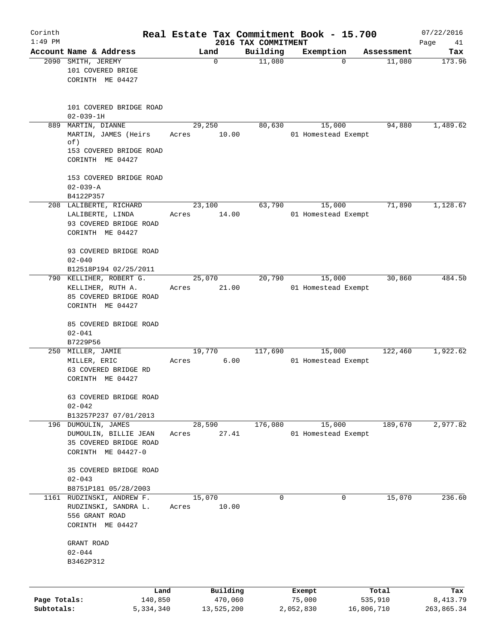| Corinth<br>$1:49$ PM       |                                                                                         | Real Estate Tax Commitment Book - 15.700 |                                 |                     |                       | 07/22/2016             |
|----------------------------|-----------------------------------------------------------------------------------------|------------------------------------------|---------------------------------|---------------------|-----------------------|------------------------|
|                            | Account Name & Address                                                                  | Land                                     | 2016 TAX COMMITMENT<br>Building | Exemption           | Assessment            | Page<br>41<br>Tax      |
|                            | 2090 SMITH, JEREMY<br>101 COVERED BRIGE                                                 | 0                                        | 11,080                          | $\Omega$            | 11,080                | 173.96                 |
|                            | CORINTH ME 04427                                                                        |                                          |                                 |                     |                       |                        |
|                            | 101 COVERED BRIDGE ROAD<br>$02 - 039 - 1H$                                              |                                          |                                 |                     |                       |                        |
| 889                        | MARTIN, DIANNE                                                                          | 29,250                                   | 80,630                          | 15,000              | 94,880                | 1,489.62               |
|                            | MARTIN, JAMES (Heirs<br>of)<br>153 COVERED BRIDGE ROAD<br>CORINTH ME 04427              | 10.00<br>Acres                           |                                 | 01 Homestead Exempt |                       |                        |
|                            | 153 COVERED BRIDGE ROAD<br>$02 - 039 - A$<br>B4122P357                                  |                                          |                                 |                     |                       |                        |
|                            | 208 LALIBERTE, RICHARD                                                                  | 23,100                                   | 63,790                          | 15,000              | 71,890                | 1,128.67               |
|                            | LALIBERTE, LINDA<br>93 COVERED BRIDGE ROAD<br>CORINTH ME 04427                          | 14.00<br>Acres                           |                                 | 01 Homestead Exempt |                       |                        |
|                            | 93 COVERED BRIDGE ROAD<br>$02 - 040$                                                    |                                          |                                 |                     |                       |                        |
|                            | B12518P194 02/25/2011<br>790 KELLIHER, ROBERT G.                                        | 25,070                                   | 20,790                          | 15,000              | 30,860                | 484.50                 |
|                            | KELLIHER, RUTH A.<br>85 COVERED BRIDGE ROAD<br>CORINTH ME 04427                         | 21.00<br>Acres                           |                                 | 01 Homestead Exempt |                       |                        |
|                            | 85 COVERED BRIDGE ROAD<br>$02 - 041$<br>B7229P56                                        |                                          |                                 |                     |                       |                        |
|                            | 250 MILLER, JAMIE                                                                       | 19,770                                   | 117,690                         | 15,000              | 122,460               | 1,922.62               |
|                            | MILLER, ERIC<br>63 COVERED BRIDGE RD<br>CORINTH ME 04427                                | 6.00<br>Acres                            |                                 | 01 Homestead Exempt |                       |                        |
|                            | 63 COVERED BRIDGE ROAD<br>$02 - 042$                                                    |                                          |                                 |                     |                       |                        |
|                            | B13257P237 07/01/2013<br>196 DUMOULIN, JAMES                                            | 28,590                                   | 176,080                         | 15,000              | 189,670               | 2,977.82               |
|                            | DUMOULIN, BILLIE JEAN<br>35 COVERED BRIDGE ROAD<br>CORINTH ME 04427-0                   | 27.41<br>Acres                           |                                 | 01 Homestead Exempt |                       |                        |
|                            | 35 COVERED BRIDGE ROAD<br>$02 - 043$                                                    |                                          |                                 |                     |                       |                        |
|                            | B8751P181 05/28/2003                                                                    |                                          |                                 |                     |                       |                        |
|                            | 1161 RUDZINSKI, ANDREW F.<br>RUDZINSKI, SANDRA L.<br>556 GRANT ROAD<br>CORINTH ME 04427 | 15,070<br>10.00<br>Acres                 | $\Omega$                        | 0                   | 15,070                | 236.60                 |
|                            | GRANT ROAD<br>$02 - 044$<br>B3462P312                                                   |                                          |                                 |                     |                       |                        |
|                            |                                                                                         |                                          |                                 |                     |                       |                        |
|                            | Land                                                                                    | Building                                 |                                 | Exempt              | Total                 | Tax                    |
| Page Totals:<br>Subtotals: | 140,850<br>5,334,340                                                                    | 470,060<br>13,525,200                    |                                 | 75,000<br>2,052,830 | 535,910<br>16,806,710 | 8,413.79<br>263,865.34 |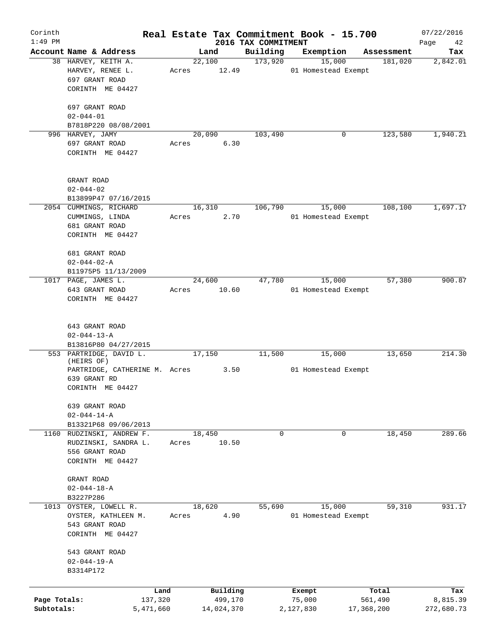| Corinth<br>$1:49$ PM       |                                                                                         |       |                                   | 2016 TAX COMMITMENT | Real Estate Tax Commitment Book - 15.700 |                                | 07/22/2016<br>Page<br>42      |
|----------------------------|-----------------------------------------------------------------------------------------|-------|-----------------------------------|---------------------|------------------------------------------|--------------------------------|-------------------------------|
|                            | Account Name & Address                                                                  |       | Land                              | Building            | Exemption                                | Assessment                     | Tax                           |
|                            | 38 HARVEY, KEITH A.<br>HARVEY, RENEE L.<br>697 GRANT ROAD                               | Acres | 22,100<br>12.49                   | 173,920             | 15,000<br>01 Homestead Exempt            | 181,020                        | 2,842.01                      |
|                            | CORINTH ME 04427<br>697 GRANT ROAD                                                      |       |                                   |                     |                                          |                                |                               |
|                            | $02 - 044 - 01$<br>B7818P220 08/08/2001                                                 |       |                                   |                     |                                          |                                |                               |
|                            | 996 HARVEY, JAMY                                                                        |       | 20,090                            | 103,490             | 0                                        | 123,580                        | 1,940.21                      |
|                            | 697 GRANT ROAD<br>CORINTH ME 04427                                                      | Acres | 6.30                              |                     |                                          |                                |                               |
|                            | GRANT ROAD<br>$02 - 044 - 02$                                                           |       |                                   |                     |                                          |                                |                               |
|                            | B13899P47 07/16/2015                                                                    |       |                                   | 106,790             |                                          | 108,100                        | 1,697.17                      |
|                            | 2054 CUMMINGS, RICHARD<br>CUMMINGS, LINDA<br>681 GRANT ROAD<br>CORINTH ME 04427         | Acres | 16,310<br>2.70                    |                     | 15,000<br>01 Homestead Exempt            |                                |                               |
|                            | 681 GRANT ROAD<br>$02 - 044 - 02 - A$                                                   |       |                                   |                     |                                          |                                |                               |
|                            | B11975P5 11/13/2009                                                                     |       |                                   |                     |                                          |                                |                               |
|                            | 1017 PAGE, JAMES L.<br>643 GRANT ROAD<br>CORINTH ME 04427                               | Acres | 24,600<br>10.60                   | 47,780              | 15,000<br>01 Homestead Exempt            | 57,380                         | 900.87                        |
|                            | 643 GRANT ROAD<br>$02 - 044 - 13 - A$<br>B13816P80 04/27/2015                           |       |                                   |                     |                                          |                                |                               |
|                            | 553 PARTRIDGE, DAVID L.                                                                 |       | 17,150                            | 11,500              | 15,000                                   | 13,650                         | 214.30                        |
|                            | (HEIRS OF)<br>PARTRIDGE, CATHERINE M. Acres<br>639 GRANT RD<br>CORINTH ME 04427         |       | 3.50                              |                     | 01 Homestead Exempt                      |                                |                               |
|                            | 639 GRANT ROAD<br>$02 - 044 - 14 - A$<br>B13321P68 09/06/2013                           |       |                                   |                     |                                          |                                |                               |
|                            | 1160 RUDZINSKI, ANDREW F.<br>RUDZINSKI, SANDRA L.<br>556 GRANT ROAD<br>CORINTH ME 04427 | Acres | 18,450<br>10.50                   | $\mathbf 0$         | 0                                        | 18,450                         | 289.66                        |
|                            | GRANT ROAD<br>$02 - 044 - 18 - A$<br>B3227P286                                          |       |                                   |                     |                                          |                                |                               |
|                            | 1013 OYSTER, LOWELL R.<br>OYSTER, KATHLEEN M.<br>543 GRANT ROAD<br>CORINTH ME 04427     | Acres | 18,620<br>4.90                    | 55,690              | 15,000<br>01 Homestead Exempt            | 59,310                         | 931.17                        |
|                            | 543 GRANT ROAD<br>$02 - 044 - 19 - A$<br>B3314P172                                      |       |                                   |                     |                                          |                                |                               |
|                            |                                                                                         |       |                                   |                     |                                          |                                |                               |
| Page Totals:<br>Subtotals: | Land<br>137,320<br>5,471,660                                                            |       | Building<br>499,170<br>14,024,370 |                     | Exempt<br>75,000<br>2,127,830            | Total<br>561,490<br>17,368,200 | Tax<br>8,815.39<br>272,680.73 |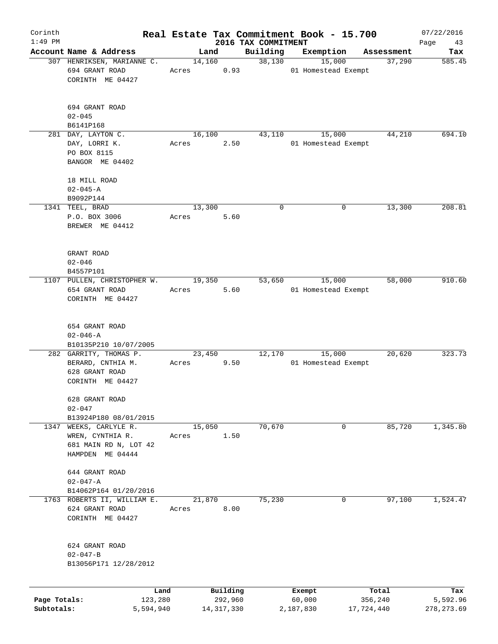| Corinth      |                                                                       |           |         |              |                     | Real Estate Tax Commitment Book - 15.700 |   |                      | 07/22/2016    |
|--------------|-----------------------------------------------------------------------|-----------|---------|--------------|---------------------|------------------------------------------|---|----------------------|---------------|
| $1:49$ PM    | Account Name & Address                                                |           |         |              | 2016 TAX COMMITMENT |                                          |   |                      | Page<br>43    |
|              | 307 HENRIKSEN, MARIANNE C.                                            |           | 14,160  | Land         | Building<br>38,130  | Exemption<br>15,000                      |   | Assessment<br>37,290 | Tax<br>585.45 |
|              | 694 GRANT ROAD<br>CORINTH ME 04427                                    |           | Acres   | 0.93         |                     | 01 Homestead Exempt                      |   |                      |               |
|              | 694 GRANT ROAD<br>$02 - 045$                                          |           |         |              |                     |                                          |   |                      |               |
|              | B6141P168                                                             |           | 16, 100 |              |                     |                                          |   | 44,210               | 694.10        |
|              | 281 DAY, LAYTON C.<br>DAY, LORRI K.<br>PO BOX 8115<br>BANGOR ME 04402 |           | Acres   | 2.50         | 43,110              | 15,000<br>01 Homestead Exempt            |   |                      |               |
|              | 18 MILL ROAD                                                          |           |         |              |                     |                                          |   |                      |               |
|              | $02 - 045 - A$                                                        |           |         |              |                     |                                          |   |                      |               |
|              | B9092P144                                                             |           |         |              |                     |                                          |   |                      |               |
|              | 1341 TEEL, BRAD                                                       |           | 13,300  |              | 0                   |                                          | 0 | 13,300               | 208.81        |
|              | P.O. BOX 3006<br>BREWER ME 04412                                      |           | Acres   | 5.60         |                     |                                          |   |                      |               |
|              | GRANT ROAD                                                            |           |         |              |                     |                                          |   |                      |               |
|              | $02 - 046$                                                            |           |         |              |                     |                                          |   |                      |               |
|              | B4557P101                                                             |           |         |              |                     |                                          |   |                      |               |
|              | 1107 PULLEN, CHRISTOPHER W.                                           |           | 19,350  |              | 53,650              | 15,000                                   |   | 58,000               | 910.60        |
|              | 654 GRANT ROAD<br>CORINTH ME 04427                                    |           | Acres   | 5.60         |                     | 01 Homestead Exempt                      |   |                      |               |
|              | 654 GRANT ROAD<br>$02 - 046 - A$<br>B10135P210 10/07/2005             |           |         |              |                     |                                          |   |                      |               |
|              | 282 GARRITY, THOMAS P.                                                |           | 23,450  |              | 12,170              | 15,000                                   |   | 20,620               | 323.73        |
|              | BERARD, CNTHIA M.<br>628 GRANT ROAD<br>CORINTH ME 04427               |           | Acres   | 9.50         |                     | 01 Homestead Exempt                      |   |                      |               |
|              |                                                                       |           |         |              |                     |                                          |   |                      |               |
|              | 628 GRANT ROAD<br>$02 - 047$                                          |           |         |              |                     |                                          |   |                      |               |
|              | B13924P180 08/01/2015                                                 |           |         |              |                     |                                          |   |                      |               |
| 1347         | WEEKS, CARLYLE R.                                                     |           | 15,050  |              | 70,670              |                                          | 0 | 85,720               | 1,345.80      |
|              | WREN, CYNTHIA R.                                                      |           | Acres   | 1.50         |                     |                                          |   |                      |               |
|              | 681 MAIN RD N, LOT 42<br>HAMPDEN ME 04444                             |           |         |              |                     |                                          |   |                      |               |
|              |                                                                       |           |         |              |                     |                                          |   |                      |               |
|              | 644 GRANT ROAD                                                        |           |         |              |                     |                                          |   |                      |               |
|              | $02 - 047 - A$                                                        |           |         |              |                     |                                          |   |                      |               |
|              | B14062P164 01/20/2016                                                 |           |         |              |                     |                                          |   |                      |               |
|              | 1763 ROBERTS II, WILLIAM E.                                           |           | 21,870  |              | 75,230              |                                          | 0 | 97,100               | 1,524.47      |
|              | 624 GRANT ROAD<br>CORINTH ME 04427                                    |           | Acres   | 8.00         |                     |                                          |   |                      |               |
|              | 624 GRANT ROAD                                                        |           |         |              |                     |                                          |   |                      |               |
|              | $02 - 047 - B$                                                        |           |         |              |                     |                                          |   |                      |               |
|              | B13056P171 12/28/2012                                                 |           |         |              |                     |                                          |   |                      |               |
|              |                                                                       | Land      |         | Building     |                     | Exempt                                   |   | Total                | Tax           |
| Page Totals: |                                                                       | 123,280   |         | 292,960      |                     | 60,000                                   |   | 356,240              | 5,592.96      |
| Subtotals:   |                                                                       | 5,594,940 |         | 14, 317, 330 |                     | 2,187,830                                |   | 17,724,440           | 278, 273.69   |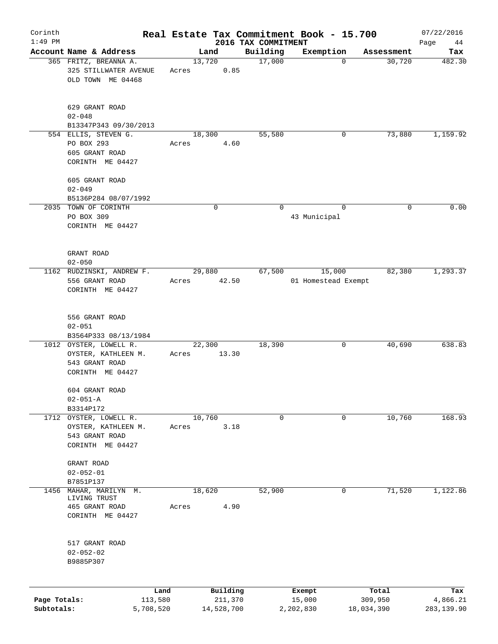| Corinth                    |                                                                                     |                 |                                 | Real Estate Tax Commitment Book - 15.700 |                                | 07/22/2016                    |
|----------------------------|-------------------------------------------------------------------------------------|-----------------|---------------------------------|------------------------------------------|--------------------------------|-------------------------------|
| $1:49$ PM                  | Account Name & Address                                                              | Land            | 2016 TAX COMMITMENT<br>Building | Exemption                                | Assessment                     | Page<br>44<br>Tax             |
|                            | 365 FRITZ, BREANNA A.<br>325 STILLWATER AVENUE<br>OLD TOWN ME 04468                 | 13,720<br>Acres | 17,000<br>0.85                  | 0                                        | 30,720                         | 482.30                        |
|                            | 629 GRANT ROAD<br>$02 - 048$<br>B13347P343 09/30/2013                               |                 |                                 |                                          |                                |                               |
|                            | 554 ELLIS, STEVEN G.<br>PO BOX 293<br>605 GRANT ROAD<br>CORINTH ME 04427            | 18,300<br>Acres | 55,580<br>4.60                  | 0                                        | 73,880                         | 1,159.92                      |
|                            | 605 GRANT ROAD<br>$02 - 049$<br>B5136P284 08/07/1992                                |                 |                                 |                                          |                                |                               |
|                            | 2035 TOWN OF CORINTH<br>PO BOX 309<br>CORINTH ME 04427                              | 0               | 0                               | $\mathbf 0$<br>43 Municipal              | 0                              | 0.00                          |
|                            | GRANT ROAD<br>$02 - 050$                                                            |                 |                                 |                                          |                                |                               |
|                            | 1162 RUDZINSKI, ANDREW F.<br>556 GRANT ROAD<br>CORINTH ME 04427                     | 29,880<br>Acres | 67,500<br>42.50                 | 15,000<br>01 Homestead Exempt            | 82,380                         | 1,293.37                      |
|                            | 556 GRANT ROAD<br>$02 - 051$<br>B3564P333 08/13/1984                                |                 |                                 |                                          |                                |                               |
|                            | 1012 OYSTER, LOWELL R.<br>OYSTER, KATHLEEN M.<br>543 GRANT ROAD<br>CORINTH ME 04427 | 22,300<br>Acres | 18,390<br>13.30                 | 0                                        | 40,690                         | 638.83                        |
|                            | 604 GRANT ROAD<br>$02 - 051 - A$<br>B3314P172                                       |                 |                                 |                                          |                                |                               |
| 1712                       | OYSTER, LOWELL R.<br>OYSTER, KATHLEEN M.<br>543 GRANT ROAD<br>CORINTH ME 04427      | 10,760<br>Acres | 0<br>3.18                       | 0                                        | 10,760                         | 168.93                        |
|                            | GRANT ROAD<br>$02 - 052 - 01$<br>B7851P137                                          |                 |                                 |                                          |                                |                               |
| 1456                       | MAHAR, MARILYN M.<br>LIVING TRUST<br>465 GRANT ROAD<br>CORINTH ME 04427             | 18,620<br>Acres | 52,900<br>4.90                  | 0                                        | 71,520                         | 1,122.86                      |
|                            | 517 GRANT ROAD<br>$02 - 052 - 02$<br>B9885P307                                      |                 |                                 |                                          |                                |                               |
| Page Totals:<br>Subtotals: | Land<br>113,580<br>5,708,520                                                        | 14,528,700      | Building<br>211,370             | Exempt<br>15,000<br>2,202,830            | Total<br>309,950<br>18,034,390 | Tax<br>4,866.21<br>283,139.90 |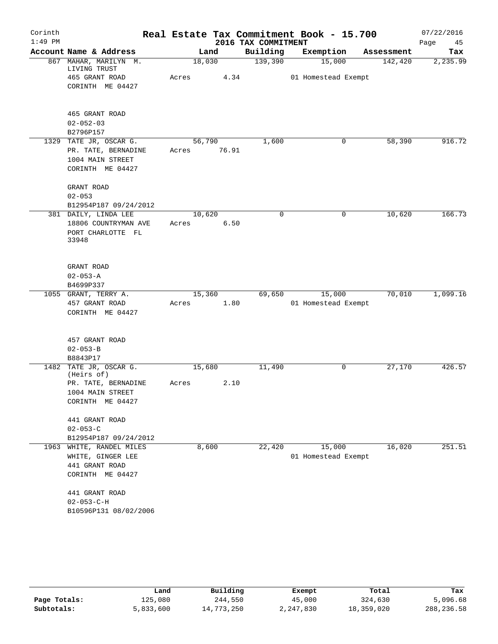| Corinth   |                                       |        |       |                     | Real Estate Tax Commitment Book - 15.700 |            | 07/22/2016 |
|-----------|---------------------------------------|--------|-------|---------------------|------------------------------------------|------------|------------|
| $1:49$ PM |                                       |        |       | 2016 TAX COMMITMENT |                                          |            | Page<br>45 |
|           | Account Name & Address                |        | Land  | Building            | Exemption                                | Assessment | Tax        |
|           | 867 MAHAR, MARILYN M.<br>LIVING TRUST | 18,030 |       | 139,390             | 15,000                                   | 142,420    | 2,235.99   |
|           | 465 GRANT ROAD                        | Acres  | 4.34  |                     | 01 Homestead Exempt                      |            |            |
|           | CORINTH ME 04427                      |        |       |                     |                                          |            |            |
|           | 465 GRANT ROAD                        |        |       |                     |                                          |            |            |
|           | $02 - 052 - 03$                       |        |       |                     |                                          |            |            |
|           | B2796P157                             |        |       |                     |                                          |            |            |
|           | 1329 TATE JR, OSCAR G.                | 56,790 |       | 1,600               | 0                                        | 58,390     | 916.72     |
|           | PR. TATE, BERNADINE                   | Acres  | 76.91 |                     |                                          |            |            |
|           | 1004 MAIN STREET                      |        |       |                     |                                          |            |            |
|           | CORINTH ME 04427                      |        |       |                     |                                          |            |            |
|           | GRANT ROAD                            |        |       |                     |                                          |            |            |
|           | $02 - 053$                            |        |       |                     |                                          |            |            |
|           | B12954P187 09/24/2012                 |        |       |                     |                                          |            |            |
|           | 381 DAILY, LINDA LEE                  | 10,620 |       | 0                   | 0                                        | 10,620     | 166.73     |
|           | 18806 COUNTRYMAN AVE                  | Acres  | 6.50  |                     |                                          |            |            |
|           | PORT CHARLOTTE FL<br>33948            |        |       |                     |                                          |            |            |
|           |                                       |        |       |                     |                                          |            |            |
|           | GRANT ROAD                            |        |       |                     |                                          |            |            |
|           | $02 - 053 - A$                        |        |       |                     |                                          |            |            |
|           | B4699P337                             |        |       |                     |                                          |            |            |
|           | 1055 GRANT, TERRY A.                  | 15,360 |       | 69,650              | 15,000                                   | 70,010     | 1,099.16   |
|           | 457 GRANT ROAD                        | Acres  | 1.80  |                     | 01 Homestead Exempt                      |            |            |
|           | CORINTH ME 04427                      |        |       |                     |                                          |            |            |
|           | 457 GRANT ROAD                        |        |       |                     |                                          |            |            |
|           | $02 - 053 - B$                        |        |       |                     |                                          |            |            |
|           | B8843P17                              |        |       |                     |                                          |            |            |
|           | 1482 TATE JR, OSCAR G.<br>(Heirs of)  | 15,680 |       | 11,490              | 0                                        | 27,170     | 426.57     |
|           | PR. TATE, BERNADINE                   | Acres  | 2.10  |                     |                                          |            |            |
|           | 1004 MAIN STREET                      |        |       |                     |                                          |            |            |
|           | CORINTH ME 04427                      |        |       |                     |                                          |            |            |
|           | 441 GRANT ROAD                        |        |       |                     |                                          |            |            |
|           | $02 - 053 - C$                        |        |       |                     |                                          |            |            |
|           | B12954P187 09/24/2012                 |        |       |                     |                                          |            |            |
|           | 1963 WHITE, RANDEL MILES              |        | 8,600 | 22,420              | 15,000                                   | 16,020     | 251.51     |
|           | WHITE, GINGER LEE                     |        |       |                     | 01 Homestead Exempt                      |            |            |
|           | 441 GRANT ROAD                        |        |       |                     |                                          |            |            |
|           | CORINTH ME 04427                      |        |       |                     |                                          |            |            |
|           | 441 GRANT ROAD                        |        |       |                     |                                          |            |            |
|           | $02 - 053 - C - H$                    |        |       |                     |                                          |            |            |
|           | B10596P131 08/02/2006                 |        |       |                     |                                          |            |            |

|              | Land      | Building   | Exempt    | Total      | Tax         |
|--------------|-----------|------------|-----------|------------|-------------|
| Page Totals: | 125,080   | 244,550    | 45,000    | 324,630    | 5,096.68    |
| Subtotals:   | 5,833,600 | 14,773,250 | 2,247,830 | 18,359,020 | 288, 236.58 |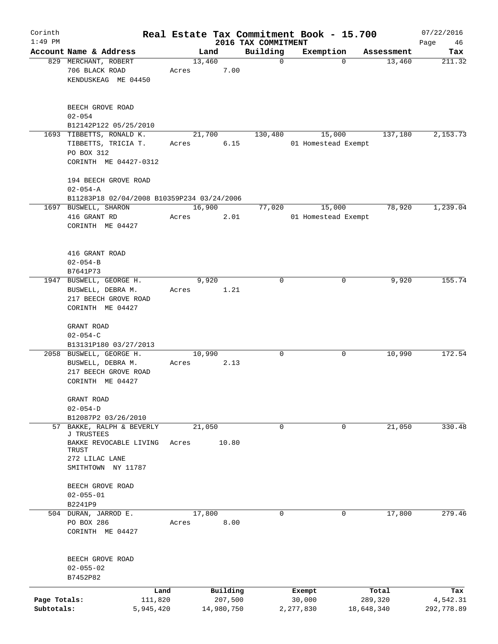| Corinth      |                                                            |       |                |            |                         | Real Estate Tax Commitment Book - 15.700 |             |                      | 07/22/2016    |
|--------------|------------------------------------------------------------|-------|----------------|------------|-------------------------|------------------------------------------|-------------|----------------------|---------------|
| $1:49$ PM    | Account Name & Address                                     |       |                |            | 2016 TAX COMMITMENT     |                                          |             |                      | Page<br>46    |
|              | 829 MERCHANT, ROBERT                                       |       | Land<br>13,460 |            | Building<br>$\mathbf 0$ | Exemption                                | $\mathbf 0$ | Assessment<br>13,460 | Tax<br>211.32 |
|              | 706 BLACK ROAD<br>KENDUSKEAG ME 04450                      | Acres |                | 7.00       |                         |                                          |             |                      |               |
|              | BEECH GROVE ROAD<br>$02 - 054$                             |       |                |            |                         |                                          |             |                      |               |
|              | B12142P122 05/25/2010                                      |       |                |            |                         |                                          |             |                      |               |
|              | 1693 TIBBETTS, RONALD K.                                   |       | 21,700         |            | 130,480                 | 15,000                                   |             | 137,180              | 2,153.73      |
|              | TIBBETTS, TRICIA T.<br>PO BOX 312<br>CORINTH ME 04427-0312 | Acres |                | 6.15       |                         | 01 Homestead Exempt                      |             |                      |               |
|              | 194 BEECH GROVE ROAD                                       |       |                |            |                         |                                          |             |                      |               |
|              | $02 - 054 - A$                                             |       |                |            |                         |                                          |             |                      |               |
|              | B11283P18 02/04/2008 B10359P234 03/24/2006                 |       |                |            |                         |                                          |             |                      |               |
|              | 1697 BUSWELL, SHARON<br>416 GRANT RD                       | Acres | 16,900         | 2.01       | 77,020                  | 15,000<br>01 Homestead Exempt            |             | 78,920               | 1,239.04      |
|              | CORINTH ME 04427                                           |       |                |            |                         |                                          |             |                      |               |
|              | 416 GRANT ROAD                                             |       |                |            |                         |                                          |             |                      |               |
|              | $02 - 054 - B$                                             |       |                |            |                         |                                          |             |                      |               |
|              | B7641P73                                                   |       |                |            |                         |                                          |             |                      |               |
|              | 1947 BUSWELL, GEORGE H.                                    |       | 9,920          |            | 0                       |                                          | 0           | 9,920                | 155.74        |
|              | BUSWELL, DEBRA M.                                          | Acres |                | 1.21       |                         |                                          |             |                      |               |
|              | 217 BEECH GROVE ROAD                                       |       |                |            |                         |                                          |             |                      |               |
|              | CORINTH ME 04427                                           |       |                |            |                         |                                          |             |                      |               |
|              | GRANT ROAD<br>$02 - 054 - C$                               |       |                |            |                         |                                          |             |                      |               |
|              | B13131P180 03/27/2013                                      |       |                |            |                         |                                          |             |                      |               |
|              | 2058 BUSWELL, GEORGE H.                                    |       | 10,990         |            | 0                       | 0                                        |             | 10,990               | 172.54        |
|              | BUSWELL, DEBRA M.                                          | Acres |                | 2.13       |                         |                                          |             |                      |               |
|              | 217 BEECH GROVE ROAD                                       |       |                |            |                         |                                          |             |                      |               |
|              | CORINTH ME 04427                                           |       |                |            |                         |                                          |             |                      |               |
|              | GRANT ROAD                                                 |       |                |            |                         |                                          |             |                      |               |
|              | $02 - 054 - D$                                             |       |                |            |                         |                                          |             |                      |               |
|              | B12087P2 03/26/2010                                        |       |                |            |                         |                                          |             |                      |               |
| 57           | BAKKE, RALPH & BEVERLY<br>J TRUSTEES                       |       | 21,050         |            | 0                       | 0                                        |             | 21,050               | 330.48        |
|              | BAKKE REVOCABLE LIVING<br>TRUST                            | Acres |                | 10.80      |                         |                                          |             |                      |               |
|              | 272 LILAC LANE                                             |       |                |            |                         |                                          |             |                      |               |
|              | SMITHTOWN NY 11787                                         |       |                |            |                         |                                          |             |                      |               |
|              | BEECH GROVE ROAD                                           |       |                |            |                         |                                          |             |                      |               |
|              | $02 - 055 - 01$                                            |       |                |            |                         |                                          |             |                      |               |
|              | B2241P9                                                    |       |                |            |                         |                                          |             |                      |               |
|              | 504 DURAN, JARROD E.                                       |       | 17,800         |            | 0                       |                                          | 0           | 17,800               | 279.46        |
|              | PO BOX 286                                                 | Acres |                | 8.00       |                         |                                          |             |                      |               |
|              | CORINTH ME 04427                                           |       |                |            |                         |                                          |             |                      |               |
|              | BEECH GROVE ROAD                                           |       |                |            |                         |                                          |             |                      |               |
|              | $02 - 055 - 02$                                            |       |                |            |                         |                                          |             |                      |               |
|              | B7452P82                                                   |       |                |            |                         |                                          |             |                      |               |
|              |                                                            | Land  |                | Building   |                         | Exempt                                   |             | Total                | Tax           |
| Page Totals: | 111,820                                                    |       |                | 207,500    |                         | 30,000                                   | 289,320     |                      | 4,542.31      |
| Subtotals:   | 5,945,420                                                  |       |                | 14,980,750 |                         | 2, 277, 830                              | 18,648,340  |                      | 292,778.89    |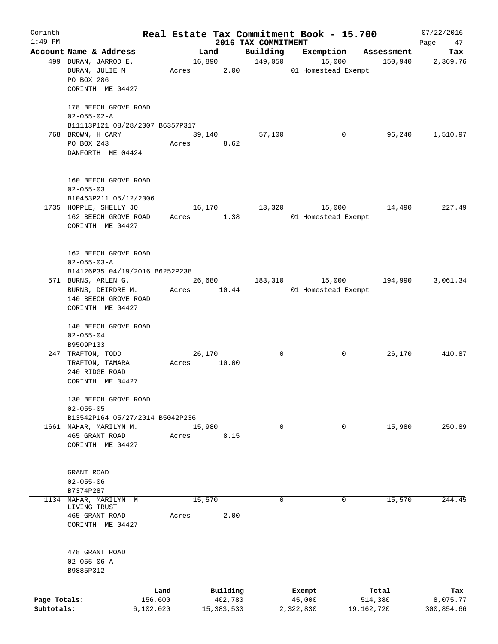| Corinth      |                                   |           |       |                |                     | Real Estate Tax Commitment Book - 15.700 |                       | 07/22/2016      |
|--------------|-----------------------------------|-----------|-------|----------------|---------------------|------------------------------------------|-----------------------|-----------------|
| $1:49$ PM    | Account Name & Address            |           |       |                | 2016 TAX COMMITMENT |                                          |                       | Page<br>47      |
|              | 499 DURAN, JARROD E.              |           |       | Land<br>16,890 | Building<br>149,050 | Exemption<br>15,000                      | Assessment<br>150,940 | Tax<br>2,369.76 |
|              | DURAN, JULIE M                    |           | Acres | 2.00           |                     | 01 Homestead Exempt                      |                       |                 |
|              | PO BOX 286                        |           |       |                |                     |                                          |                       |                 |
|              | CORINTH ME 04427                  |           |       |                |                     |                                          |                       |                 |
|              |                                   |           |       |                |                     |                                          |                       |                 |
|              | 178 BEECH GROVE ROAD              |           |       |                |                     |                                          |                       |                 |
|              | $02 - 055 - 02 - A$               |           |       |                |                     |                                          |                       |                 |
|              | B11113P121 08/28/2007 B6357P317   |           |       |                |                     |                                          |                       |                 |
|              | 768 BROWN, H CARY                 |           |       | 39,140         | 57,100              | 0                                        | 96,240                | 1,510.97        |
|              | PO BOX 243                        |           | Acres | 8.62           |                     |                                          |                       |                 |
|              | DANFORTH ME 04424                 |           |       |                |                     |                                          |                       |                 |
|              |                                   |           |       |                |                     |                                          |                       |                 |
|              |                                   |           |       |                |                     |                                          |                       |                 |
|              | 160 BEECH GROVE ROAD              |           |       |                |                     |                                          |                       |                 |
|              | $02 - 055 - 03$                   |           |       |                |                     |                                          |                       |                 |
|              | B10463P211 05/12/2006             |           |       |                |                     |                                          |                       |                 |
|              | 1735 HOPPLE, SHELLY JO            |           |       | 16,170         | 13,320              | 15,000                                   | 14,490                | 227.49          |
|              | 162 BEECH GROVE ROAD              |           | Acres | 1.38           |                     | 01 Homestead Exempt                      |                       |                 |
|              | CORINTH ME 04427                  |           |       |                |                     |                                          |                       |                 |
|              |                                   |           |       |                |                     |                                          |                       |                 |
|              |                                   |           |       |                |                     |                                          |                       |                 |
|              | 162 BEECH GROVE ROAD              |           |       |                |                     |                                          |                       |                 |
|              | $02 - 055 - 03 - A$               |           |       |                |                     |                                          |                       |                 |
|              | B14126P35 04/19/2016 B6252P238    |           |       |                |                     |                                          |                       |                 |
|              | 571 BURNS, ARLEN G.               |           |       | 26,680         | 183,310             | 15,000                                   | 194,990               | 3,061.34        |
|              | BURNS, DEIRDRE M.                 |           | Acres | 10.44          |                     | 01 Homestead Exempt                      |                       |                 |
|              | 140 BEECH GROVE ROAD              |           |       |                |                     |                                          |                       |                 |
|              | CORINTH ME 04427                  |           |       |                |                     |                                          |                       |                 |
|              |                                   |           |       |                |                     |                                          |                       |                 |
|              | 140 BEECH GROVE ROAD              |           |       |                |                     |                                          |                       |                 |
|              | $02 - 055 - 04$                   |           |       |                |                     |                                          |                       |                 |
|              | B9509P133                         |           |       |                |                     |                                          |                       |                 |
|              | 247 TRAFTON, TODD                 |           |       | 26,170         | $\mathbf 0$         | 0                                        | 26,170                | 410.87          |
|              | TRAFTON, TAMARA                   |           | Acres | 10.00          |                     |                                          |                       |                 |
|              | 240 RIDGE ROAD                    |           |       |                |                     |                                          |                       |                 |
|              | CORINTH ME 04427                  |           |       |                |                     |                                          |                       |                 |
|              |                                   |           |       |                |                     |                                          |                       |                 |
|              | 130 BEECH GROVE ROAD              |           |       |                |                     |                                          |                       |                 |
|              | $02 - 055 - 05$                   |           |       |                |                     |                                          |                       |                 |
|              | B13542P164 05/27/2014 B5042P236   |           |       |                |                     |                                          |                       |                 |
|              | 1661 MAHAR, MARILYN M.            |           |       | 15,980         | 0                   | 0                                        | 15,980                | 250.89          |
|              | 465 GRANT ROAD                    |           | Acres | 8.15           |                     |                                          |                       |                 |
|              | CORINTH ME 04427                  |           |       |                |                     |                                          |                       |                 |
|              |                                   |           |       |                |                     |                                          |                       |                 |
|              |                                   |           |       |                |                     |                                          |                       |                 |
|              | GRANT ROAD                        |           |       |                |                     |                                          |                       |                 |
|              | $02 - 055 - 06$                   |           |       |                |                     |                                          |                       |                 |
|              | B7374P287                         |           |       |                |                     |                                          |                       |                 |
| 1134         | MAHAR, MARILYN M.<br>LIVING TRUST |           |       | 15,570         | 0                   | 0                                        | 15,570                | 244.45          |
|              | 465 GRANT ROAD                    |           | Acres | 2.00           |                     |                                          |                       |                 |
|              | CORINTH ME 04427                  |           |       |                |                     |                                          |                       |                 |
|              |                                   |           |       |                |                     |                                          |                       |                 |
|              |                                   |           |       |                |                     |                                          |                       |                 |
|              | 478 GRANT ROAD                    |           |       |                |                     |                                          |                       |                 |
|              | $02 - 055 - 06 - A$               |           |       |                |                     |                                          |                       |                 |
|              | B9885P312                         |           |       |                |                     |                                          |                       |                 |
|              |                                   |           |       |                |                     |                                          |                       |                 |
|              |                                   | Land      |       | Building       |                     | Exempt                                   | Total                 | Tax             |
| Page Totals: |                                   | 156,600   |       | 402,780        |                     | 45,000                                   | 514,380               | 8,075.77        |
| Subtotals:   |                                   | 6,102,020 |       | 15,383,530     |                     | 2,322,830                                | 19,162,720            | 300,854.66      |
|              |                                   |           |       |                |                     |                                          |                       |                 |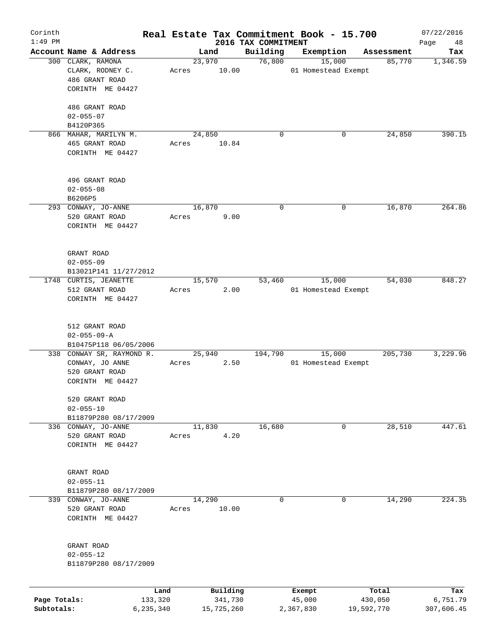| Corinth      |                                    |           |       |            |                                 | Real Estate Tax Commitment Book - 15.700 |            |            | 07/22/2016        |
|--------------|------------------------------------|-----------|-------|------------|---------------------------------|------------------------------------------|------------|------------|-------------------|
| $1:49$ PM    | Account Name & Address             |           |       | Land       | 2016 TAX COMMITMENT<br>Building | Exemption                                |            | Assessment | Page<br>48<br>Tax |
|              | 300 CLARK, RAMONA                  |           |       | 23,970     | 76,800                          | 15,000                                   |            | 85,770     | 1,346.59          |
|              | CLARK, RODNEY C.<br>486 GRANT ROAD |           | Acres | 10.00      |                                 | 01 Homestead Exempt                      |            |            |                   |
|              | CORINTH ME 04427                   |           |       |            |                                 |                                          |            |            |                   |
|              | 486 GRANT ROAD                     |           |       |            |                                 |                                          |            |            |                   |
|              | $02 - 055 - 07$                    |           |       |            |                                 |                                          |            |            |                   |
|              | B4120P365                          |           |       |            |                                 |                                          |            |            |                   |
|              | 866 MAHAR, MARILYN M.              |           |       | 24,850     |                                 | 0                                        | 0          | 24,850     | 390.15            |
|              | 465 GRANT ROAD<br>CORINTH ME 04427 |           | Acres | 10.84      |                                 |                                          |            |            |                   |
|              | 496 GRANT ROAD                     |           |       |            |                                 |                                          |            |            |                   |
|              | $02 - 055 - 08$                    |           |       |            |                                 |                                          |            |            |                   |
|              | B6206P5                            |           |       |            |                                 |                                          |            |            |                   |
|              | 293 CONWAY, JO-ANNE                |           |       | 16,870     |                                 | 0                                        | 0          | 16,870     | 264.86            |
|              | 520 GRANT ROAD                     |           | Acres | 9.00       |                                 |                                          |            |            |                   |
|              | CORINTH ME 04427                   |           |       |            |                                 |                                          |            |            |                   |
|              | GRANT ROAD                         |           |       |            |                                 |                                          |            |            |                   |
|              | $02 - 055 - 09$                    |           |       |            |                                 |                                          |            |            |                   |
|              | B13021P141 11/27/2012              |           |       |            |                                 |                                          |            |            |                   |
|              | 1748 CURTIS, JEANETTE              |           |       | 15,570     | 53,460                          | 15,000                                   |            | 54,030     | 848.27            |
|              | 512 GRANT ROAD                     |           | Acres | 2.00       |                                 | 01 Homestead Exempt                      |            |            |                   |
|              | CORINTH ME 04427                   |           |       |            |                                 |                                          |            |            |                   |
|              |                                    |           |       |            |                                 |                                          |            |            |                   |
|              | 512 GRANT ROAD                     |           |       |            |                                 |                                          |            |            |                   |
|              | $02 - 055 - 09 - A$                |           |       |            |                                 |                                          |            |            |                   |
|              | B10475P118 06/05/2006              |           |       |            |                                 |                                          |            |            |                   |
|              | 338 CONWAY SR, RAYMOND R.          |           |       | 25,940     | 194,790                         | 15,000                                   |            | 205,730    | 3,229.96          |
|              | CONWAY, JO ANNE                    |           | Acres | 2.50       |                                 | 01 Homestead Exempt                      |            |            |                   |
|              | 520 GRANT ROAD                     |           |       |            |                                 |                                          |            |            |                   |
|              | CORINTH ME 04427                   |           |       |            |                                 |                                          |            |            |                   |
|              | 520 GRANT ROAD                     |           |       |            |                                 |                                          |            |            |                   |
|              | $02 - 055 - 10$                    |           |       |            |                                 |                                          |            |            |                   |
|              | B11879P280 08/17/2009              |           |       |            |                                 |                                          |            |            |                   |
|              | 336 CONWAY, JO-ANNE                |           |       | 11,830     | 16,680                          |                                          | 0          | 28,510     | 447.61            |
|              | 520 GRANT ROAD                     |           | Acres | 4.20       |                                 |                                          |            |            |                   |
|              | CORINTH ME 04427                   |           |       |            |                                 |                                          |            |            |                   |
|              |                                    |           |       |            |                                 |                                          |            |            |                   |
|              | GRANT ROAD                         |           |       |            |                                 |                                          |            |            |                   |
|              | $02 - 055 - 11$                    |           |       |            |                                 |                                          |            |            |                   |
|              | B11879P280 08/17/2009              |           |       |            |                                 |                                          |            |            |                   |
| 339          | CONWAY, JO-ANNE                    |           |       | 14,290     |                                 | 0                                        | 0          | 14,290     | 224.35            |
|              | 520 GRANT ROAD                     |           | Acres | 10.00      |                                 |                                          |            |            |                   |
|              | CORINTH ME 04427                   |           |       |            |                                 |                                          |            |            |                   |
|              | GRANT ROAD                         |           |       |            |                                 |                                          |            |            |                   |
|              | $02 - 055 - 12$                    |           |       |            |                                 |                                          |            |            |                   |
|              | B11879P280 08/17/2009              |           |       |            |                                 |                                          |            |            |                   |
|              |                                    | Land      |       | Building   |                                 | Exempt                                   |            | Total      | Tax               |
| Page Totals: |                                    | 133,320   |       | 341,730    |                                 | 45,000                                   |            | 430,050    | 6,751.79          |
| Subtotals:   |                                    | 6,235,340 |       | 15,725,260 |                                 | 2,367,830                                | 19,592,770 |            | 307,606.45        |
|              |                                    |           |       |            |                                 |                                          |            |            |                   |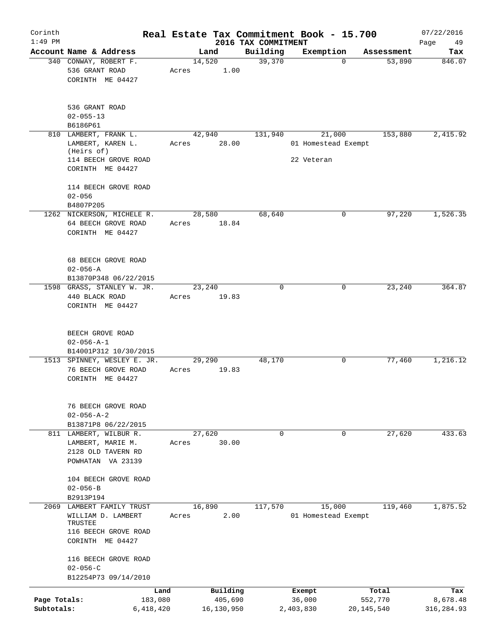| Corinth      |                                                             | Real Estate Tax Commitment Book - 15.700 |                                 |                                   |                      | 07/22/2016      |
|--------------|-------------------------------------------------------------|------------------------------------------|---------------------------------|-----------------------------------|----------------------|-----------------|
| $1:49$ PM    | Account Name & Address                                      | Land                                     | 2016 TAX COMMITMENT<br>Building |                                   |                      | Page<br>49      |
|              | 340 CONWAY, ROBERT F.<br>536 GRANT ROAD<br>CORINTH ME 04427 | 14,520<br>1.00<br>Acres                  | 39,370                          | Exemption<br>$\Omega$             | Assessment<br>53,890 | Tax<br>846.07   |
|              | 536 GRANT ROAD<br>$02 - 055 - 13$<br>B6186P61               |                                          |                                 |                                   |                      |                 |
|              | 810 LAMBERT, FRANK L.                                       | 42,940                                   | 131,940                         | 21,000                            | 153,880              | 2,415.92        |
|              | LAMBERT, KAREN L.<br>(Heirs of)<br>114 BEECH GROVE ROAD     | 28.00<br>Acres                           |                                 | 01 Homestead Exempt<br>22 Veteran |                      |                 |
|              | CORINTH ME 04427                                            |                                          |                                 |                                   |                      |                 |
|              | 114 BEECH GROVE ROAD<br>$02 - 056$                          |                                          |                                 |                                   |                      |                 |
|              | B4807P205                                                   |                                          |                                 |                                   |                      |                 |
|              | 1262 NICKERSON, MICHELE R.                                  | 28,580                                   | 68,640                          | 0                                 | 97,220               | 1,526.35        |
|              | 64 BEECH GROVE ROAD<br>CORINTH ME 04427                     | Acres<br>18.84                           |                                 |                                   |                      |                 |
|              | 68 BEECH GROVE ROAD<br>$02 - 056 - A$                       |                                          |                                 |                                   |                      |                 |
|              | B13870P348 06/22/2015                                       |                                          |                                 |                                   |                      |                 |
|              | 1598 GRASS, STANLEY W. JR.<br>440 BLACK ROAD                | 23,240                                   | $\Omega$                        | 0                                 | 23,240               | 364.87          |
|              | CORINTH ME 04427                                            | 19.83<br>Acres                           |                                 |                                   |                      |                 |
|              | BEECH GROVE ROAD<br>$02 - 056 - A - 1$                      |                                          |                                 |                                   |                      |                 |
|              | B14001P312 10/30/2015                                       |                                          |                                 |                                   |                      | 1,216.12        |
|              | 1513 SPINNEY, WESLEY E. JR.<br>76 BEECH GROVE ROAD          | 29,290<br>19.83<br>Acres                 | 48,170                          | 0                                 | 77,460               |                 |
|              | CORINTH ME 04427                                            |                                          |                                 |                                   |                      |                 |
|              | 76 BEECH GROVE ROAD<br>$02 - 056 - A - 2$                   |                                          |                                 |                                   |                      |                 |
|              | B13871P8 06/22/2015                                         |                                          |                                 |                                   |                      |                 |
|              | 811 LAMBERT, WILBUR R.<br>LAMBERT, MARIE M.                 | 27,620<br>30.00<br>Acres                 | $\mathbf 0$                     | $\mathbf 0$                       | 27,620               | 433.63          |
|              | 2128 OLD TAVERN RD                                          |                                          |                                 |                                   |                      |                 |
|              | POWHATAN VA 23139                                           |                                          |                                 |                                   |                      |                 |
|              | 104 BEECH GROVE ROAD                                        |                                          |                                 |                                   |                      |                 |
|              | $02 - 056 - B$                                              |                                          |                                 |                                   |                      |                 |
|              | B2913P194                                                   |                                          |                                 |                                   |                      |                 |
|              | 2069 LAMBERT FAMILY TRUST<br>WILLIAM D. LAMBERT<br>TRUSTEE  | 16,890<br>2.00<br>Acres                  | 117,570                         | 15,000<br>01 Homestead Exempt     | 119,460              | 1,875.52        |
|              | 116 BEECH GROVE ROAD<br>CORINTH ME 04427                    |                                          |                                 |                                   |                      |                 |
|              | 116 BEECH GROVE ROAD<br>$02 - 056 - C$                      |                                          |                                 |                                   |                      |                 |
|              | B12254P73 09/14/2010                                        |                                          |                                 |                                   |                      |                 |
| Page Totals: | Land<br>183,080                                             | Building<br>405,690                      |                                 | Exempt<br>36,000                  | Total<br>552,770     | Tax<br>8,678.48 |
| Subtotals:   | 6,418,420                                                   | 16,130,950                               |                                 | 2,403,830                         | 20,145,540           | 316,284.93      |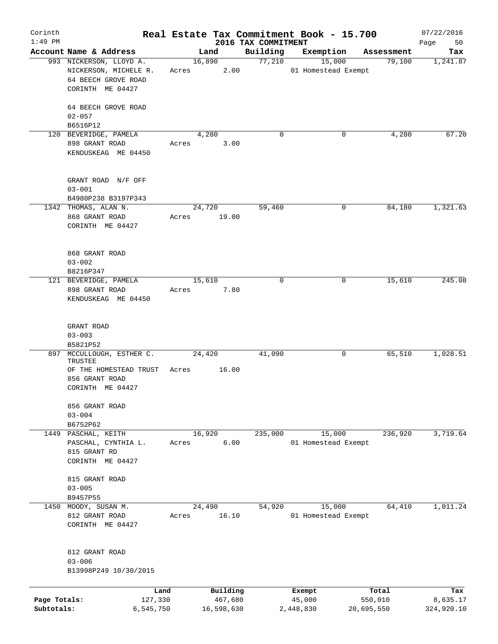| Corinth      |                         |       |            |                                 | Real Estate Tax Commitment Book - 15.700 |            | 07/22/2016        |
|--------------|-------------------------|-------|------------|---------------------------------|------------------------------------------|------------|-------------------|
| $1:49$ PM    | Account Name & Address  |       | Land       | 2016 TAX COMMITMENT<br>Building | Exemption                                | Assessment | Page<br>50<br>Tax |
|              | 993 NICKERSON, LLOYD A. |       | 16,890     | 77,210                          | 15,000                                   | 79,100     | 1,241.87          |
|              | NICKERSON, MICHELE R.   | Acres | 2.00       |                                 | 01 Homestead Exempt                      |            |                   |
|              | 64 BEECH GROVE ROAD     |       |            |                                 |                                          |            |                   |
|              | CORINTH ME 04427        |       |            |                                 |                                          |            |                   |
|              |                         |       |            |                                 |                                          |            |                   |
|              | 64 BEECH GROVE ROAD     |       |            |                                 |                                          |            |                   |
|              | $02 - 057$              |       |            |                                 |                                          |            |                   |
|              | B6516P12                |       |            |                                 |                                          |            |                   |
|              | 120 BEVERIDGE, PAMELA   |       | 4,280      | 0                               | 0                                        | 4,280      | 67.20             |
|              | 898 GRANT ROAD          | Acres | 3.00       |                                 |                                          |            |                   |
|              | KENDUSKEAG ME 04450     |       |            |                                 |                                          |            |                   |
|              |                         |       |            |                                 |                                          |            |                   |
|              |                         |       |            |                                 |                                          |            |                   |
|              | GRANT ROAD N/F OFF      |       |            |                                 |                                          |            |                   |
|              | $03 - 001$              |       |            |                                 |                                          |            |                   |
|              | B4980P238 B3197P343     |       |            |                                 |                                          |            |                   |
|              | 1342 THOMAS, ALAN N.    |       | 24,720     | 59,460                          | 0                                        | 84,180     | 1,321.63          |
|              | 868 GRANT ROAD          | Acres | 19.00      |                                 |                                          |            |                   |
|              | CORINTH ME 04427        |       |            |                                 |                                          |            |                   |
|              |                         |       |            |                                 |                                          |            |                   |
|              |                         |       |            |                                 |                                          |            |                   |
|              | 868 GRANT ROAD          |       |            |                                 |                                          |            |                   |
|              | $03 - 002$              |       |            |                                 |                                          |            |                   |
|              | B8216P347               |       |            |                                 |                                          |            |                   |
|              | 121 BEVERIDGE, PAMELA   |       | 15,610     | $\mathbf 0$                     | 0                                        | 15,610     | 245.08            |
|              | 898 GRANT ROAD          | Acres | 7.80       |                                 |                                          |            |                   |
|              | KENDUSKEAG ME 04450     |       |            |                                 |                                          |            |                   |
|              |                         |       |            |                                 |                                          |            |                   |
|              |                         |       |            |                                 |                                          |            |                   |
|              | GRANT ROAD              |       |            |                                 |                                          |            |                   |
|              | $03 - 003$<br>B5821P52  |       |            |                                 |                                          |            |                   |
| 897          | MCCULLOUGH, ESTHER C.   |       | 24,420     | 41,090                          | 0                                        | 65,510     | 1,028.51          |
|              | TRUSTEE                 |       |            |                                 |                                          |            |                   |
|              | OF THE HOMESTEAD TRUST  | Acres | 16.00      |                                 |                                          |            |                   |
|              | 856 GRANT ROAD          |       |            |                                 |                                          |            |                   |
|              | CORINTH ME 04427        |       |            |                                 |                                          |            |                   |
|              |                         |       |            |                                 |                                          |            |                   |
|              | 856 GRANT ROAD          |       |            |                                 |                                          |            |                   |
|              | $03 - 004$              |       |            |                                 |                                          |            |                   |
|              | B6752P62                |       |            |                                 |                                          |            |                   |
|              | 1449 PASCHAL, KEITH     |       | 16,920     | 235,000                         | 15,000                                   | 236,920    | 3,719.64          |
|              | PASCHAL, CYNTHIA L.     | Acres | 6.00       |                                 | 01 Homestead Exempt                      |            |                   |
|              | 815 GRANT RD            |       |            |                                 |                                          |            |                   |
|              | CORINTH ME 04427        |       |            |                                 |                                          |            |                   |
|              |                         |       |            |                                 |                                          |            |                   |
|              | 815 GRANT ROAD          |       |            |                                 |                                          |            |                   |
|              | $03 - 005$              |       |            |                                 |                                          |            |                   |
|              | B9457P55                |       |            |                                 |                                          |            |                   |
|              | 1450 MOODY, SUSAN M.    |       | 24,490     | 54,920                          | 15,000                                   | 64,410     | 1,011.24          |
|              | 812 GRANT ROAD          | Acres | 16.10      |                                 | 01 Homestead Exempt                      |            |                   |
|              | CORINTH ME 04427        |       |            |                                 |                                          |            |                   |
|              |                         |       |            |                                 |                                          |            |                   |
|              | 812 GRANT ROAD          |       |            |                                 |                                          |            |                   |
|              | $03 - 006$              |       |            |                                 |                                          |            |                   |
|              | B13998P249 10/30/2015   |       |            |                                 |                                          |            |                   |
|              |                         |       |            |                                 |                                          |            |                   |
|              | Land                    |       | Building   |                                 | Exempt                                   | Total      | Tax               |
| Page Totals: | 127,330                 |       | 467,680    |                                 | 45,000                                   | 550,010    | 8,635.17          |
| Subtotals:   | 6,545,750               |       | 16,598,630 |                                 | 2,448,830                                | 20,695,550 | 324,920.10        |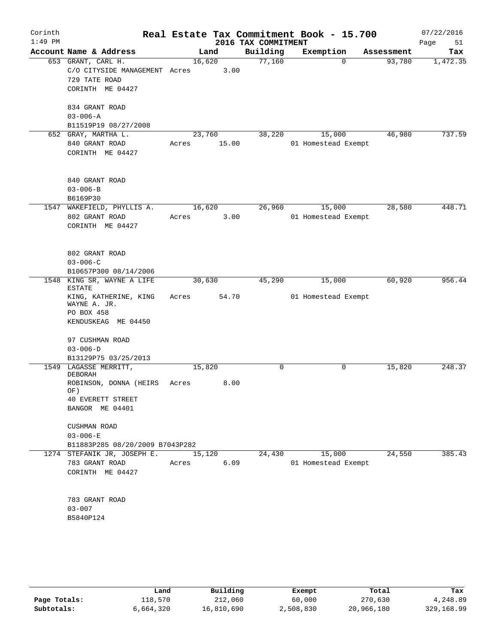| Corinth<br>$1:49$ PM |                                                                                               |                 |       | 2016 TAX COMMITMENT | Real Estate Tax Commitment Book - 15.700 |            | 07/22/2016<br>Page<br>51 |
|----------------------|-----------------------------------------------------------------------------------------------|-----------------|-------|---------------------|------------------------------------------|------------|--------------------------|
|                      | Account Name & Address                                                                        |                 | Land  | Building            | Exemption                                | Assessment | Tax                      |
|                      | 653 GRANT, CARL H.<br>C/O CITYSIDE MANAGEMENT Acres<br>729 TATE ROAD<br>CORINTH ME 04427      | 16,620          | 3.00  | 77,160              | $\Omega$                                 | 93,780     | 1,472.35                 |
|                      | 834 GRANT ROAD<br>$03 - 006 - A$                                                              |                 |       |                     |                                          |            |                          |
|                      | B11519P19 08/27/2008                                                                          |                 |       |                     |                                          |            |                          |
|                      | 652 GRAY, MARTHA L.<br>840 GRANT ROAD<br>CORINTH ME 04427                                     | 23,760<br>Acres | 15.00 | 38,220              | 15,000<br>01 Homestead Exempt            | 46,980     | 737.59                   |
|                      | 840 GRANT ROAD<br>$03 - 006 - B$<br>B6169P30                                                  |                 |       |                     |                                          |            |                          |
| 1547                 | WAKEFIELD, PHYLLIS A.<br>802 GRANT ROAD<br>CORINTH ME 04427                                   | 16,620<br>Acres | 3.00  | 26,960              | 15,000<br>01 Homestead Exempt            | 28,580     | 448.71                   |
|                      | 802 GRANT ROAD<br>$03 - 006 - C$<br>B10657P300 08/14/2006                                     |                 |       |                     |                                          |            |                          |
|                      | 1548 KING SR, WAYNE A LIFE                                                                    | 30,630          |       | 45,290              | 15,000                                   | 60,920     | 956.44                   |
|                      | <b>ESTATE</b><br>KING, KATHERINE, KING<br>WAYNE A. JR.<br>PO BOX 458<br>KENDUSKEAG ME 04450   | Acres           | 54.70 |                     | 01 Homestead Exempt                      |            |                          |
|                      | 97 CUSHMAN ROAD<br>$03 - 006 - D$                                                             |                 |       |                     |                                          |            |                          |
|                      | B13129P75 03/25/2013                                                                          |                 |       |                     |                                          |            |                          |
|                      | 1549 LAGASSE MERRITT,<br>DEBORAH<br>ROBINSON, DONNA (HEIRS<br>OF)<br><b>40 EVERETT STREET</b> | 15,820<br>Acres | 8.00  | 0                   | 0                                        | 15,820     | 248.37                   |
|                      | BANGOR ME 04401                                                                               |                 |       |                     |                                          |            |                          |
|                      | CUSHMAN ROAD<br>$03 - 006 - E$<br>B11883P285 08/20/2009 B7043P282                             |                 |       |                     |                                          |            |                          |
|                      | 1274 STEFANIK JR, JOSEPH E. 15,120                                                            |                 |       | 24,430              | 15,000                                   | 24,550     | 385.43                   |
|                      | 783 GRANT ROAD<br>CORINTH ME 04427                                                            | Acres           | 6.09  |                     | 01 Homestead Exempt                      |            |                          |
|                      | 783 GRANT ROAD<br>$03 - 007$                                                                  |                 |       |                     |                                          |            |                          |
|                      | B5840P124                                                                                     |                 |       |                     |                                          |            |                          |
|                      |                                                                                               |                 |       |                     |                                          |            |                          |

|              | Land      | Building   | Exempt    | Total      | Tax        |
|--------------|-----------|------------|-----------|------------|------------|
| Page Totals: | 118,570   | 212,060    | 60,000    | 270,630    | 4,248.89   |
| Subtotals:   | 6,664,320 | 16,810,690 | 2,508,830 | 20,966,180 | 329,168.99 |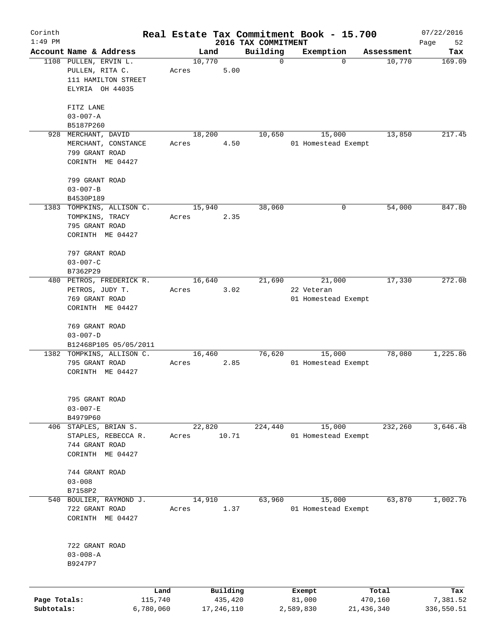| Corinth      |                           |         |            |          |                                 | Real Estate Tax Commitment Book - 15.700 |                      | 07/22/2016        |
|--------------|---------------------------|---------|------------|----------|---------------------------------|------------------------------------------|----------------------|-------------------|
| $1:49$ PM    | Account Name & Address    |         | Land       |          | 2016 TAX COMMITMENT<br>Building |                                          |                      | Page<br>52<br>Tax |
|              | 1108 PULLEN, ERVIN L.     |         | 10,770     |          | $\mathbf 0$                     | Exemption<br>$\mathbf 0$                 | Assessment<br>10,770 | 169.09            |
|              | PULLEN, RITA C.           | Acres   |            | 5.00     |                                 |                                          |                      |                   |
|              | 111 HAMILTON STREET       |         |            |          |                                 |                                          |                      |                   |
|              | ELYRIA OH 44035           |         |            |          |                                 |                                          |                      |                   |
|              |                           |         |            |          |                                 |                                          |                      |                   |
|              | FITZ LANE                 |         |            |          |                                 |                                          |                      |                   |
|              | $03 - 007 - A$            |         |            |          |                                 |                                          |                      |                   |
|              | B5187P260                 |         |            |          |                                 |                                          |                      |                   |
|              | 928 MERCHANT, DAVID       |         | 18,200     |          | 10,650                          | 15,000                                   | 13,850               | 217.45            |
|              | MERCHANT, CONSTANCE       | Acres   |            | 4.50     |                                 | 01 Homestead Exempt                      |                      |                   |
|              | 799 GRANT ROAD            |         |            |          |                                 |                                          |                      |                   |
|              | CORINTH ME 04427          |         |            |          |                                 |                                          |                      |                   |
|              | 799 GRANT ROAD            |         |            |          |                                 |                                          |                      |                   |
|              | $03 - 007 - B$            |         |            |          |                                 |                                          |                      |                   |
|              | B4530P189                 |         |            |          |                                 |                                          |                      |                   |
|              | 1383 TOMPKINS, ALLISON C. |         | 15,940     |          | 38,060                          | 0                                        | 54,000               | 847.80            |
|              | TOMPKINS, TRACY           | Acres   |            | 2.35     |                                 |                                          |                      |                   |
|              | 795 GRANT ROAD            |         |            |          |                                 |                                          |                      |                   |
|              | CORINTH ME 04427          |         |            |          |                                 |                                          |                      |                   |
|              |                           |         |            |          |                                 |                                          |                      |                   |
|              | 797 GRANT ROAD            |         |            |          |                                 |                                          |                      |                   |
|              | $03 - 007 - C$            |         |            |          |                                 |                                          |                      |                   |
|              | B7362P29                  |         |            |          |                                 |                                          |                      |                   |
|              | 480 PETROS, FREDERICK R.  |         | 16,640     |          | 21,690                          | 21,000                                   | 17,330               | 272.08            |
|              | PETROS, JUDY T.           | Acres   |            | 3.02     |                                 | 22 Veteran                               |                      |                   |
|              | 769 GRANT ROAD            |         |            |          |                                 | 01 Homestead Exempt                      |                      |                   |
|              | CORINTH ME 04427          |         |            |          |                                 |                                          |                      |                   |
|              | 769 GRANT ROAD            |         |            |          |                                 |                                          |                      |                   |
|              | $03 - 007 - D$            |         |            |          |                                 |                                          |                      |                   |
|              | B12468P105 05/05/2011     |         |            |          |                                 |                                          |                      |                   |
|              | 1382 TOMPKINS, ALLISON C. |         | 16,460     |          | 76,620                          | 15,000                                   | 78,080               | 1,225.86          |
|              | 795 GRANT ROAD            | Acres   |            | 2.85     |                                 | 01 Homestead Exempt                      |                      |                   |
|              | CORINTH ME 04427          |         |            |          |                                 |                                          |                      |                   |
|              |                           |         |            |          |                                 |                                          |                      |                   |
|              | 795 GRANT ROAD            |         |            |          |                                 |                                          |                      |                   |
|              | $03 - 007 - E$            |         |            |          |                                 |                                          |                      |                   |
|              | B4979P60                  |         |            |          |                                 |                                          |                      |                   |
|              | 406 STAPLES, BRIAN S.     |         | 22,820     |          | 224,440                         | 15,000                                   | 232,260              | 3,646.48          |
|              | STAPLES, REBECCA R.       | Acres   |            | 10.71    |                                 | 01 Homestead Exempt                      |                      |                   |
|              | 744 GRANT ROAD            |         |            |          |                                 |                                          |                      |                   |
|              | CORINTH ME 04427          |         |            |          |                                 |                                          |                      |                   |
|              |                           |         |            |          |                                 |                                          |                      |                   |
|              | 744 GRANT ROAD            |         |            |          |                                 |                                          |                      |                   |
|              | $03 - 008$                |         |            |          |                                 |                                          |                      |                   |
|              | B7158P2                   |         |            |          |                                 |                                          |                      |                   |
| 540          | BOULIER, RAYMOND J.       |         | 14,910     |          | 63,960                          | 15,000                                   | 63,870               | 1,002.76          |
|              | 722 GRANT ROAD            | Acres   |            | 1.37     |                                 | 01 Homestead Exempt                      |                      |                   |
|              | CORINTH ME 04427          |         |            |          |                                 |                                          |                      |                   |
|              |                           |         |            |          |                                 |                                          |                      |                   |
|              | 722 GRANT ROAD            |         |            |          |                                 |                                          |                      |                   |
|              | $03 - 008 - A$            |         |            |          |                                 |                                          |                      |                   |
|              | B9247P7                   |         |            |          |                                 |                                          |                      |                   |
|              |                           |         |            |          |                                 |                                          |                      |                   |
|              |                           | Land    |            | Building |                                 | Exempt                                   | Total                | Tax               |
| Page Totals: |                           | 115,740 |            | 435,420  |                                 | 81,000                                   | 470,160              | 7,381.52          |
| Subtotals:   | 6,780,060                 |         | 17,246,110 |          |                                 | 2,589,830                                | 21, 436, 340         | 336,550.51        |
|              |                           |         |            |          |                                 |                                          |                      |                   |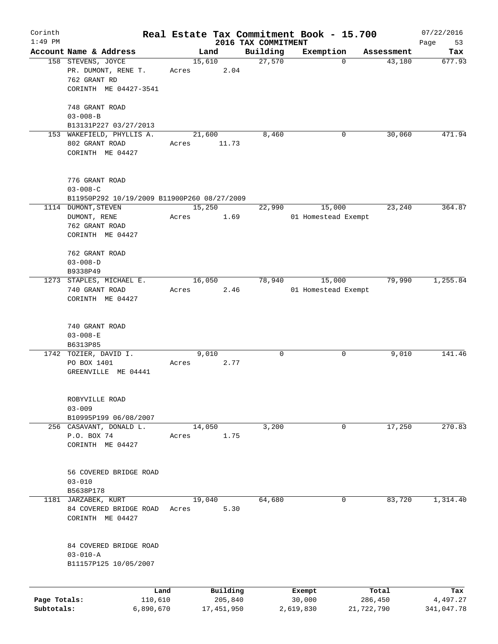| Corinth<br>$1:49$ PM |                                                                 |         |        |                 |                                 | Real Estate Tax Commitment Book - 15.700 |            | 07/22/2016        |
|----------------------|-----------------------------------------------------------------|---------|--------|-----------------|---------------------------------|------------------------------------------|------------|-------------------|
|                      | Account Name & Address                                          |         |        | Land            | 2016 TAX COMMITMENT<br>Building | Exemption                                | Assessment | 53<br>Page<br>Tax |
|                      | 158 STEVENS, JOYCE<br>PR. DUMONT, RENE T.                       | Acres   | 15,610 | 2.04            | 27,570                          | $\mathbf 0$                              | 43,180     | 677.93            |
|                      | 762 GRANT RD<br>CORINTH ME 04427-3541                           |         |        |                 |                                 |                                          |            |                   |
|                      | 748 GRANT ROAD                                                  |         |        |                 |                                 |                                          |            |                   |
|                      | $03 - 008 - B$                                                  |         |        |                 |                                 |                                          |            |                   |
|                      | B13131P227 03/27/2013                                           |         |        |                 |                                 |                                          |            |                   |
|                      | 153 WAKEFIELD, PHYLLIS A.<br>802 GRANT ROAD<br>CORINTH ME 04427 | Acres   |        | 21,600<br>11.73 | 8,460                           | 0                                        | 30,060     | 471.94            |
|                      | 776 GRANT ROAD<br>$03 - 008 - C$                                |         |        |                 |                                 |                                          |            |                   |
|                      | B11950P292 10/19/2009 B11900P260 08/27/2009                     |         |        |                 |                                 |                                          |            |                   |
|                      | 1114 DUMONT, STEVEN                                             |         |        | 15,250          | 22,990                          | 15,000                                   | 23,240     | 364.87            |
|                      | DUMONT, RENE<br>762 GRANT ROAD                                  | Acres   |        | 1.69            |                                 | 01 Homestead Exempt                      |            |                   |
|                      | CORINTH ME 04427                                                |         |        |                 |                                 |                                          |            |                   |
|                      | 762 GRANT ROAD                                                  |         |        |                 |                                 |                                          |            |                   |
|                      | $03 - 008 - D$                                                  |         |        |                 |                                 |                                          |            |                   |
|                      | B9338P49                                                        |         |        |                 |                                 |                                          |            |                   |
|                      | 1273 STAPLES, MICHAEL E.                                        |         |        | 16,050          | 78,940                          | 15,000                                   | 79,990     | 1,255.84          |
|                      | 740 GRANT ROAD<br>CORINTH ME 04427                              | Acres   |        | 2.46            |                                 | 01 Homestead Exempt                      |            |                   |
|                      | 740 GRANT ROAD                                                  |         |        |                 |                                 |                                          |            |                   |
|                      | $03 - 008 - E$                                                  |         |        |                 |                                 |                                          |            |                   |
|                      | B6313P85                                                        |         |        |                 |                                 |                                          |            |                   |
|                      | 1742 TOZIER, DAVID I.<br>PO BOX 1401<br>GREENVILLE ME 04441     | Acres   |        | 9,010<br>2.77   | 0                               | 0                                        | 9,010      | 141.46            |
|                      | ROBYVILLE ROAD                                                  |         |        |                 |                                 |                                          |            |                   |
|                      | $03 - 009$                                                      |         |        |                 |                                 |                                          |            |                   |
|                      | B10995P199 06/08/2007                                           |         |        |                 |                                 | 0                                        |            | 270.83            |
|                      | 256 CASAVANT, DONALD L.<br>P.O. BOX 74<br>CORINTH ME 04427      | Acres   | 14,050 | 1.75            | 3,200                           |                                          | 17,250     |                   |
|                      |                                                                 |         |        |                 |                                 |                                          |            |                   |
|                      | 56 COVERED BRIDGE ROAD                                          |         |        |                 |                                 |                                          |            |                   |
|                      | $03 - 010$<br>B5638P178                                         |         |        |                 |                                 |                                          |            |                   |
| 1181                 | JARZABEK, KURT                                                  |         | 19,040 |                 | 64,680                          | 0                                        | 83,720     | 1,314.40          |
|                      | 84 COVERED BRIDGE ROAD<br>CORINTH ME 04427                      | Acres   |        | 5.30            |                                 |                                          |            |                   |
|                      | 84 COVERED BRIDGE ROAD<br>$03 - 010 - A$                        |         |        |                 |                                 |                                          |            |                   |
|                      | B11157P125 10/05/2007                                           |         |        |                 |                                 |                                          |            |                   |
|                      |                                                                 | Land    |        | Building        |                                 | Exempt                                   | Total      | Tax               |
| Page Totals:         |                                                                 | 110,610 |        | 205,840         |                                 | 30,000                                   | 286,450    | 4,497.27          |
| Subtotals:           | 6,890,670                                                       |         |        | 17,451,950      |                                 | 2,619,830                                | 21,722,790 | 341,047.78        |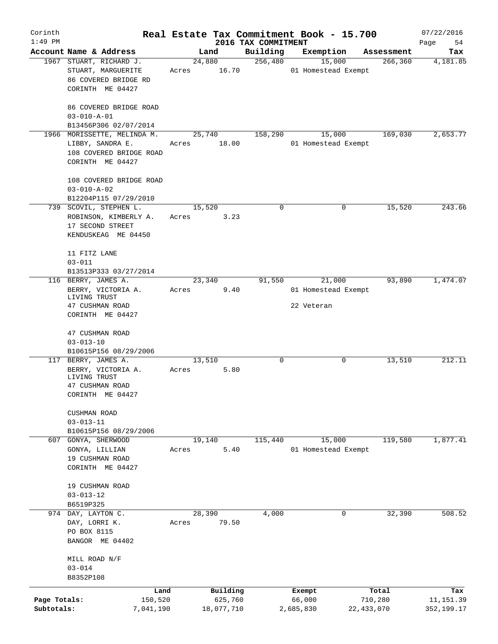| Corinth      |                                                                                                |       |                 |                                 | Real Estate Tax Commitment Book - 15.700 |              | 07/22/2016        |
|--------------|------------------------------------------------------------------------------------------------|-------|-----------------|---------------------------------|------------------------------------------|--------------|-------------------|
| $1:49$ PM    | Account Name & Address                                                                         |       | Land            | 2016 TAX COMMITMENT<br>Building | Exemption                                | Assessment   | Page<br>54<br>Tax |
|              | 1967 STUART, RICHARD J.<br>STUART, MARGUERITE                                                  | Acres | 24,880<br>16.70 | 256,480                         | 15,000<br>01 Homestead Exempt            | 266, 360     | 4,181.85          |
|              | 86 COVERED BRIDGE RD<br>CORINTH ME 04427                                                       |       |                 |                                 |                                          |              |                   |
|              | 86 COVERED BRIDGE ROAD<br>$03 - 010 - A - 01$                                                  |       |                 |                                 |                                          |              |                   |
|              | B13456P306 02/07/2014                                                                          |       |                 |                                 |                                          |              |                   |
|              | 1966 MORISSETTE, MELINDA M.<br>LIBBY, SANDRA E.<br>108 COVERED BRIDGE ROAD<br>CORINTH ME 04427 | Acres | 25,740<br>18.00 | 158,290                         | 15,000<br>01 Homestead Exempt            | 169,030      | 2,653.77          |
|              | 108 COVERED BRIDGE ROAD<br>$03 - 010 - A - 02$                                                 |       |                 |                                 |                                          |              |                   |
|              | B12204P115 07/29/2010                                                                          |       |                 |                                 |                                          |              |                   |
|              | 739 SCOVIL, STEPHEN L.<br>ROBINSON, KIMBERLY A.<br>17 SECOND STREET<br>KENDUSKEAG ME 04450     | Acres | 15,520<br>3.23  | 0                               | 0                                        | 15,520       | 243.66            |
|              | 11 FITZ LANE<br>$03 - 011$                                                                     |       |                 |                                 |                                          |              |                   |
|              | B13513P333 03/27/2014<br>116 BERRY, JAMES A.                                                   |       | 23,340          | 91,550                          | 21,000                                   | 93,890       | 1,474.07          |
|              | BERRY, VICTORIA A.<br>LIVING TRUST                                                             | Acres | 9.40            |                                 | 01 Homestead Exempt                      |              |                   |
|              | 47 CUSHMAN ROAD<br>CORINTH ME 04427                                                            |       |                 |                                 | 22 Veteran                               |              |                   |
|              | 47 CUSHMAN ROAD<br>$03 - 013 - 10$                                                             |       |                 |                                 |                                          |              |                   |
|              | B10615P156 08/29/2006                                                                          |       |                 |                                 |                                          |              |                   |
|              | 117 BERRY, JAMES A.                                                                            |       | 13,510          | 0                               | 0                                        | 13,510       | 212.11            |
|              | BERRY, VICTORIA A.<br>LIVING TRUST<br>47 CUSHMAN ROAD                                          | Acres | 5.80            |                                 |                                          |              |                   |
|              | CORINTH ME 04427                                                                               |       |                 |                                 |                                          |              |                   |
|              | CUSHMAN ROAD<br>$03 - 013 - 11$<br>B10615P156 08/29/2006                                       |       |                 |                                 |                                          |              |                   |
|              | 607 GONYA, SHERWOOD                                                                            |       | 19,140          | 115,440                         | 15,000                                   | 119,580      | 1,877.41          |
|              | GONYA, LILLIAN<br>19 CUSHMAN ROAD<br>CORINTH ME 04427                                          | Acres | 5.40            |                                 | 01 Homestead Exempt                      |              |                   |
|              | 19 CUSHMAN ROAD<br>$03 - 013 - 12$                                                             |       |                 |                                 |                                          |              |                   |
|              | B6519P325<br>974 DAY, LAYTON C.                                                                |       | 28,390          | 4,000                           | 0                                        | 32,390       | 508.52            |
|              | DAY, LORRI K.<br>PO BOX 8115<br>BANGOR ME 04402                                                | Acres | 79.50           |                                 |                                          |              |                   |
|              | MILL ROAD N/F<br>$03 - 014$<br>B8352P108                                                       |       |                 |                                 |                                          |              |                   |
|              | Land                                                                                           |       | Building        |                                 | Exempt                                   | Total        | Tax               |
| Page Totals: | 150,520                                                                                        |       | 625,760         |                                 | 66,000                                   | 710,280      | 11,151.39         |
| Subtotals:   | 7,041,190                                                                                      |       | 18,077,710      |                                 | 2,685,830                                | 22, 433, 070 | 352,199.17        |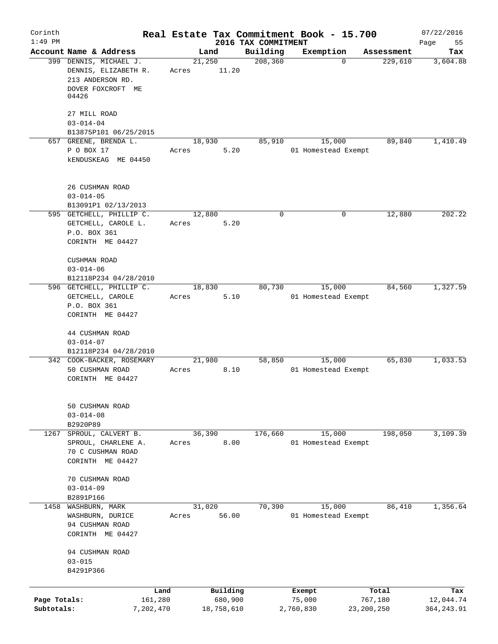| Corinth<br>$1:49$ PM |                                                    |        |            | Real Estate Tax Commitment Book - 15.700 |                     |              |            | 07/22/2016        |
|----------------------|----------------------------------------------------|--------|------------|------------------------------------------|---------------------|--------------|------------|-------------------|
|                      | Account Name & Address                             | Land   |            | 2016 TAX COMMITMENT<br>Building          | Exemption           |              | Assessment | Page<br>55<br>Tax |
|                      | 399 DENNIS, MICHAEL J.                             | 21,250 |            | 208, 360                                 |                     | 0            | 229,610    | 3,604.88          |
|                      | DENNIS, ELIZABETH R.                               | Acres  | 11.20      |                                          |                     |              |            |                   |
|                      | 213 ANDERSON RD.                                   |        |            |                                          |                     |              |            |                   |
|                      | DOVER FOXCROFT ME<br>04426                         |        |            |                                          |                     |              |            |                   |
|                      | 27 MILL ROAD                                       |        |            |                                          |                     |              |            |                   |
|                      | $03 - 014 - 04$                                    |        |            |                                          |                     |              |            |                   |
|                      | B13875P101 06/25/2015<br>657 GREENE, BRENDA L.     | 18,930 |            | 85,910                                   |                     | 15,000       | 89,840     | 1,410.49          |
|                      | P O BOX 17                                         | Acres  | 5.20       |                                          | 01 Homestead Exempt |              |            |                   |
|                      | <b>kENDUSKEAG ME 04450</b>                         |        |            |                                          |                     |              |            |                   |
|                      | 26 CUSHMAN ROAD                                    |        |            |                                          |                     |              |            |                   |
|                      | $03 - 014 - 05$                                    |        |            |                                          |                     |              |            |                   |
|                      | B13091P1 02/13/2013                                |        |            |                                          |                     |              |            |                   |
|                      | 595 GETCHELL, PHILLIP C.                           | 12,880 |            | $\mathbf 0$                              |                     | 0            | 12,880     | 202.22            |
|                      | GETCHELL, CAROLE L.                                | Acres  | 5.20       |                                          |                     |              |            |                   |
|                      | P.O. BOX 361                                       |        |            |                                          |                     |              |            |                   |
|                      | CORINTH ME 04427                                   |        |            |                                          |                     |              |            |                   |
|                      | <b>CUSHMAN ROAD</b>                                |        |            |                                          |                     |              |            |                   |
|                      | $03 - 014 - 06$                                    |        |            |                                          |                     |              |            |                   |
|                      | B12118P234 04/28/2010                              |        |            |                                          |                     |              |            |                   |
|                      | 596 GETCHELL, PHILLIP C.                           | 18,830 |            | 80,730                                   |                     | 15,000       | 84,560     | 1,327.59          |
|                      | GETCHELL, CAROLE                                   | Acres  | 5.10       |                                          | 01 Homestead Exempt |              |            |                   |
|                      | P.O. BOX 361                                       |        |            |                                          |                     |              |            |                   |
|                      | CORINTH ME 04427                                   |        |            |                                          |                     |              |            |                   |
|                      |                                                    |        |            |                                          |                     |              |            |                   |
|                      | 44 CUSHMAN ROAD                                    |        |            |                                          |                     |              |            |                   |
|                      | $03 - 014 - 07$                                    |        |            |                                          |                     |              |            |                   |
|                      | B12118P234 04/28/2010<br>342 COOK-BACKER, ROSEMARY | 21,980 |            | 58,850                                   |                     | 15,000       | 65,830     | 1,033.53          |
|                      | 50 CUSHMAN ROAD                                    | Acres  | 8.10       |                                          | 01 Homestead Exempt |              |            |                   |
|                      | CORINTH ME 04427                                   |        |            |                                          |                     |              |            |                   |
|                      | 50 CUSHMAN ROAD                                    |        |            |                                          |                     |              |            |                   |
|                      | $03 - 014 - 08$                                    |        |            |                                          |                     |              |            |                   |
|                      | B2920P89                                           |        |            |                                          |                     |              |            |                   |
| 1267                 | SPROUL, CALVERT B.                                 | 36,390 |            | 176,660                                  |                     | 15,000       | 198,050    | 3,109.39          |
|                      | SPROUL, CHARLENE A.                                | Acres  | 8.00       |                                          | 01 Homestead Exempt |              |            |                   |
|                      | 70 C CUSHMAN ROAD                                  |        |            |                                          |                     |              |            |                   |
|                      | CORINTH ME 04427                                   |        |            |                                          |                     |              |            |                   |
|                      | 70 CUSHMAN ROAD                                    |        |            |                                          |                     |              |            |                   |
|                      | $03 - 014 - 09$                                    |        |            |                                          |                     |              |            |                   |
|                      | B2891P166                                          |        |            |                                          |                     |              |            |                   |
| 1458                 | WASHBURN, MARK                                     | 31,020 |            | 70,390                                   |                     | 15,000       | 86,410     | 1,356.64          |
|                      | WASHBURN, DURICE                                   | Acres  | 56.00      |                                          | 01 Homestead Exempt |              |            |                   |
|                      | 94 CUSHMAN ROAD                                    |        |            |                                          |                     |              |            |                   |
|                      | CORINTH ME 04427                                   |        |            |                                          |                     |              |            |                   |
|                      |                                                    |        |            |                                          |                     |              |            |                   |
|                      | 94 CUSHMAN ROAD                                    |        |            |                                          |                     |              |            |                   |
|                      | $03 - 015$<br>B4291P366                            |        |            |                                          |                     |              |            |                   |
|                      |                                                    |        |            |                                          |                     |              |            |                   |
|                      | Land                                               |        | Building   |                                          | Exempt              |              | Total      | Tax               |
| Page Totals:         | 161,280                                            |        | 680,900    |                                          | 75,000              |              | 767,180    | 12,044.74         |
| Subtotals:           | 7,202,470                                          |        | 18,758,610 |                                          | 2,760,830           | 23, 200, 250 |            | 364, 243.91       |
|                      |                                                    |        |            |                                          |                     |              |            |                   |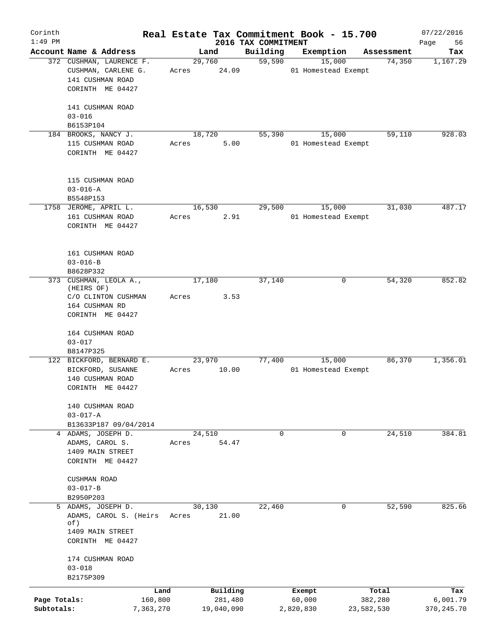| Corinth<br>$1:49$ PM |                                          |                 |                     |                                 | Real Estate Tax Commitment Book - 15.700 |                  | 07/22/2016        |
|----------------------|------------------------------------------|-----------------|---------------------|---------------------------------|------------------------------------------|------------------|-------------------|
|                      | Account Name & Address                   |                 | Land                | 2016 TAX COMMITMENT<br>Building | Exemption                                | Assessment       | Page<br>56<br>Tax |
|                      | 372 CUSHMAN, LAURENCE F.                 |                 | 29,760              | 59,590                          | 15,000                                   | 74,350           | 1,167.29          |
|                      | CUSHMAN, CARLENE G.                      | Acres           | 24.09               |                                 | 01 Homestead Exempt                      |                  |                   |
|                      | 141 CUSHMAN ROAD                         |                 |                     |                                 |                                          |                  |                   |
|                      | CORINTH ME 04427                         |                 |                     |                                 |                                          |                  |                   |
|                      |                                          |                 |                     |                                 |                                          |                  |                   |
|                      | 141 CUSHMAN ROAD                         |                 |                     |                                 |                                          |                  |                   |
|                      | $03 - 016$                               |                 |                     |                                 |                                          |                  |                   |
|                      | B6153P104                                |                 |                     |                                 |                                          |                  | 928.03            |
|                      | 184 BROOKS, NANCY J.<br>115 CUSHMAN ROAD | Acres           | 18,720<br>5.00      | 55,390                          | 15,000<br>01 Homestead Exempt            | 59,110           |                   |
|                      | CORINTH ME 04427                         |                 |                     |                                 |                                          |                  |                   |
|                      |                                          |                 |                     |                                 |                                          |                  |                   |
|                      |                                          |                 |                     |                                 |                                          |                  |                   |
|                      | 115 CUSHMAN ROAD                         |                 |                     |                                 |                                          |                  |                   |
|                      | $03 - 016 - A$                           |                 |                     |                                 |                                          |                  |                   |
|                      | B5548P153                                |                 |                     |                                 |                                          |                  |                   |
|                      | 1758 JEROME, APRIL L.                    |                 | 16,530              | 29,500                          | 15,000                                   | 31,030           | 487.17            |
|                      | 161 CUSHMAN ROAD                         | Acres           | 2.91                |                                 | 01 Homestead Exempt                      |                  |                   |
|                      | CORINTH ME 04427                         |                 |                     |                                 |                                          |                  |                   |
|                      |                                          |                 |                     |                                 |                                          |                  |                   |
|                      | 161 CUSHMAN ROAD                         |                 |                     |                                 |                                          |                  |                   |
|                      | $03 - 016 - B$                           |                 |                     |                                 |                                          |                  |                   |
|                      | B8628P332                                |                 |                     |                                 |                                          |                  |                   |
|                      | 373 CUSHMAN, LEOLA A.,                   |                 | 17,180              | 37,140                          | 0                                        | 54,320           | 852.82            |
|                      | (HEIRS OF)                               |                 |                     |                                 |                                          |                  |                   |
|                      | C/O CLINTON CUSHMAN                      | Acres           | 3.53                |                                 |                                          |                  |                   |
|                      | 164 CUSHMAN RD                           |                 |                     |                                 |                                          |                  |                   |
|                      | CORINTH ME 04427                         |                 |                     |                                 |                                          |                  |                   |
|                      | 164 CUSHMAN ROAD                         |                 |                     |                                 |                                          |                  |                   |
|                      | $03 - 017$                               |                 |                     |                                 |                                          |                  |                   |
|                      | B8147P325                                |                 |                     |                                 |                                          |                  |                   |
|                      | 122 BICKFORD, BERNARD E.                 |                 | 23,970              | 77,400                          | 15,000                                   | 86,370           | 1,356.01          |
|                      | BICKFORD, SUSANNE                        | Acres           | 10.00               |                                 | 01 Homestead Exempt                      |                  |                   |
|                      | 140 CUSHMAN ROAD                         |                 |                     |                                 |                                          |                  |                   |
|                      | CORINTH ME 04427                         |                 |                     |                                 |                                          |                  |                   |
|                      |                                          |                 |                     |                                 |                                          |                  |                   |
|                      | 140 CUSHMAN ROAD                         |                 |                     |                                 |                                          |                  |                   |
|                      | $03 - 017 - A$<br>B13633P187 09/04/2014  |                 |                     |                                 |                                          |                  |                   |
|                      | 4 ADAMS, JOSEPH D.                       |                 | 24,510              | $\mathbf 0$                     | 0                                        | 24,510           | 384.81            |
|                      | ADAMS, CAROL S.                          | Acres           | 54.47               |                                 |                                          |                  |                   |
|                      | 1409 MAIN STREET                         |                 |                     |                                 |                                          |                  |                   |
|                      | CORINTH ME 04427                         |                 |                     |                                 |                                          |                  |                   |
|                      |                                          |                 |                     |                                 |                                          |                  |                   |
|                      | CUSHMAN ROAD                             |                 |                     |                                 |                                          |                  |                   |
|                      | $03 - 017 - B$                           |                 |                     |                                 |                                          |                  |                   |
|                      | B2950P203                                |                 |                     |                                 |                                          |                  |                   |
|                      | 5 ADAMS, JOSEPH D.                       |                 | 30,130              | 22,460                          | $\mathbf 0$                              | 52,590           | 825.66            |
|                      | ADAMS, CAROL S. (Heirs<br>of)            | Acres           | 21.00               |                                 |                                          |                  |                   |
|                      | 1409 MAIN STREET                         |                 |                     |                                 |                                          |                  |                   |
|                      | CORINTH ME 04427                         |                 |                     |                                 |                                          |                  |                   |
|                      |                                          |                 |                     |                                 |                                          |                  |                   |
|                      | 174 CUSHMAN ROAD                         |                 |                     |                                 |                                          |                  |                   |
|                      | $03 - 018$                               |                 |                     |                                 |                                          |                  |                   |
|                      | B2175P309                                |                 |                     |                                 |                                          |                  |                   |
| Page Totals:         |                                          | Land<br>160,800 | Building<br>281,480 |                                 | Exempt<br>60,000                         | Total<br>382,280 | Tax<br>6,001.79   |
| Subtotals:           |                                          | 7,363,270       | 19,040,090          |                                 | 2,820,830                                | 23,582,530       | 370, 245.70       |
|                      |                                          |                 |                     |                                 |                                          |                  |                   |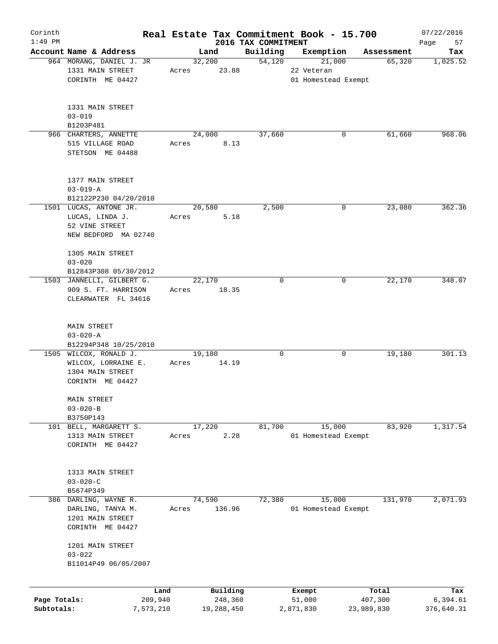| Corinth      |                                                 |       |                |                                 | Real Estate Tax Commitment Book - 15.700 |            | 07/22/2016        |
|--------------|-------------------------------------------------|-------|----------------|---------------------------------|------------------------------------------|------------|-------------------|
| $1:49$ PM    | Account Name & Address                          |       | Land           | 2016 TAX COMMITMENT<br>Building | Exemption                                | Assessment | Page<br>57<br>Tax |
|              | 964 MORANG, DANIEL J. JR                        |       | 32,200         | 54,120                          | 21,000                                   | 65,320     | 1,025.52          |
|              | 1331 MAIN STREET                                | Acres | 23.88          |                                 | 22 Veteran                               |            |                   |
|              | CORINTH ME 04427                                |       |                |                                 | 01 Homestead Exempt                      |            |                   |
|              |                                                 |       |                |                                 |                                          |            |                   |
|              | 1331 MAIN STREET                                |       |                |                                 |                                          |            |                   |
|              | $03 - 019$                                      |       |                |                                 |                                          |            |                   |
|              | B1203P481<br>966 CHARTERS, ANNETTE              |       |                | 37,660                          | 0                                        | 61,660     | 968.06            |
|              | 515 VILLAGE ROAD                                | Acres | 24,000<br>8.13 |                                 |                                          |            |                   |
|              | STETSON ME 04488                                |       |                |                                 |                                          |            |                   |
|              | 1377 MAIN STREET                                |       |                |                                 |                                          |            |                   |
|              |                                                 |       |                |                                 |                                          |            |                   |
|              | $03 - 019 - A$                                  |       |                |                                 |                                          |            |                   |
|              | B12122P230 04/20/2010<br>1501 LUCAS, ANTONE JR. |       | 20,580         | 2,500                           | 0                                        | 23,080     | 362.36            |
|              |                                                 |       |                |                                 |                                          |            |                   |
|              | LUCAS, LINDA J.<br>52 VINE STREET               | Acres | 5.18           |                                 |                                          |            |                   |
|              | NEW BEDFORD MA 02740                            |       |                |                                 |                                          |            |                   |
|              | 1305 MAIN STREET                                |       |                |                                 |                                          |            |                   |
|              | $03 - 020$                                      |       |                |                                 |                                          |            |                   |
|              | B12843P308 05/30/2012                           |       |                |                                 |                                          |            |                   |
|              | 1503 JANNELLI, GILBERT G.                       |       | 22,170         | $\Omega$                        | 0                                        | 22,170     | 348.07            |
|              | 909 S. FT. HARRISON                             | Acres | 18.35          |                                 |                                          |            |                   |
|              | CLEARWATER FL 34616                             |       |                |                                 |                                          |            |                   |
|              |                                                 |       |                |                                 |                                          |            |                   |
|              | <b>MAIN STREET</b>                              |       |                |                                 |                                          |            |                   |
|              | $03 - 020 - A$                                  |       |                |                                 |                                          |            |                   |
|              | B12294P348 10/25/2010                           |       |                |                                 |                                          |            |                   |
|              | 1505 WILCOX, RONALD J.                          |       | 19,180         | 0                               | 0                                        | 19,180     | 301.13            |
|              | WILCOX, LORRAINE E.                             | Acres | 14.19          |                                 |                                          |            |                   |
|              | 1304 MAIN STREET                                |       |                |                                 |                                          |            |                   |
|              | CORINTH ME 04427                                |       |                |                                 |                                          |            |                   |
|              | MAIN STREET                                     |       |                |                                 |                                          |            |                   |
|              | $03 - 020 - B$                                  |       |                |                                 |                                          |            |                   |
|              | B3750P143                                       |       |                |                                 |                                          |            |                   |
|              | 101 BELL, MARGARETT S.                          |       | 17,220         | 81,700                          | 15,000                                   | 83,920     | 1,317.54          |
|              | 1313 MAIN STREET                                | Acres | 2.28           |                                 | 01 Homestead Exempt                      |            |                   |
|              | CORINTH ME 04427                                |       |                |                                 |                                          |            |                   |
|              | 1313 MAIN STREET                                |       |                |                                 |                                          |            |                   |
|              | $03 - 020 - C$                                  |       |                |                                 |                                          |            |                   |
|              | B5674P349                                       |       |                |                                 |                                          |            |                   |
|              | 386 DARLING, WAYNE R.                           |       | 74,590         | 72,380                          | 15,000                                   | 131,970    | 2,071.93          |
|              | DARLING, TANYA M.                               | Acres | 136.96         |                                 | 01 Homestead Exempt                      |            |                   |
|              | 1201 MAIN STREET                                |       |                |                                 |                                          |            |                   |
|              | CORINTH ME 04427                                |       |                |                                 |                                          |            |                   |
|              | 1201 MAIN STREET                                |       |                |                                 |                                          |            |                   |
|              | $03 - 022$                                      |       |                |                                 |                                          |            |                   |
|              | B11014P49 06/05/2007                            |       |                |                                 |                                          |            |                   |
|              |                                                 | Land  | Building       |                                 | Exempt                                   | Total      | Tax               |
| Page Totals: | 209,940                                         |       | 248,360        |                                 | 51,000                                   | 407,300    | 6,394.61          |
| Subtotals:   | 7,573,210                                       |       | 19,288,450     |                                 | 2,871,830                                | 23,989,830 | 376,640.31        |
|              |                                                 |       |                |                                 |                                          |            |                   |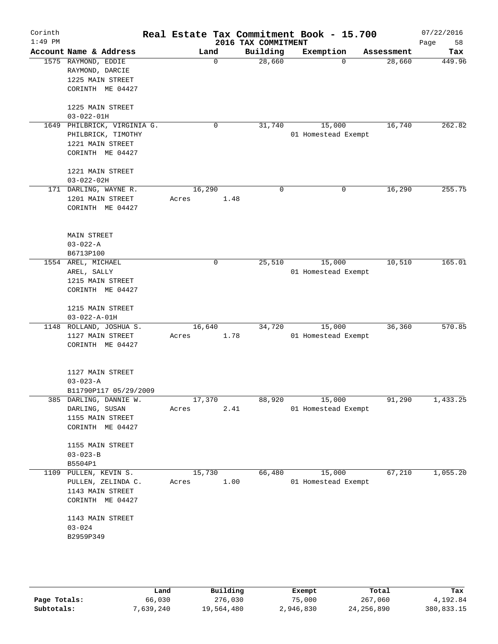| Corinth<br>$1:49$ PM |                                          |        |        | 2016 TAX COMMITMENT | Real Estate Tax Commitment Book - 15.700 |            | 07/22/2016<br>58<br>Page |
|----------------------|------------------------------------------|--------|--------|---------------------|------------------------------------------|------------|--------------------------|
|                      | Account Name & Address                   | Land   |        | Building            | Exemption                                | Assessment | Tax                      |
|                      | 1575 RAYMOND, EDDIE                      |        | 0      | 28,660              | $\Omega$                                 | 28,660     | 449.96                   |
|                      | RAYMOND, DARCIE                          |        |        |                     |                                          |            |                          |
|                      | 1225 MAIN STREET                         |        |        |                     |                                          |            |                          |
|                      | CORINTH ME 04427                         |        |        |                     |                                          |            |                          |
|                      | 1225 MAIN STREET                         |        |        |                     |                                          |            |                          |
|                      | $03 - 022 - 01H$                         |        |        |                     |                                          |            |                          |
|                      | 1649 PHILBRICK, VIRGINIA G.              |        | 0      | 31,740              | 15,000                                   | 16,740     | 262.82                   |
|                      | PHILBRICK, TIMOTHY                       |        |        |                     | 01 Homestead Exempt                      |            |                          |
|                      | 1221 MAIN STREET                         |        |        |                     |                                          |            |                          |
|                      | CORINTH ME 04427                         |        |        |                     |                                          |            |                          |
|                      | 1221 MAIN STREET                         |        |        |                     |                                          |            |                          |
|                      | $03 - 022 - 02H$                         |        |        |                     |                                          |            |                          |
|                      | 171 DARLING, WAYNE R.                    | 16,290 |        | $\Omega$            | 0                                        | 16,290     | 255.75                   |
|                      | 1201 MAIN STREET                         | Acres  |        | 1.48                |                                          |            |                          |
|                      | CORINTH ME 04427                         |        |        |                     |                                          |            |                          |
|                      |                                          |        |        |                     |                                          |            |                          |
|                      | <b>MAIN STREET</b>                       |        |        |                     |                                          |            |                          |
|                      | $03 - 022 - A$                           |        |        |                     |                                          |            |                          |
|                      | B6713P100                                |        |        |                     |                                          |            |                          |
|                      | 1554 AREL, MICHAEL                       |        | 0      | 25,510              | 15,000                                   | 10,510     | 165.01                   |
|                      | AREL, SALLY                              |        |        |                     | 01 Homestead Exempt                      |            |                          |
|                      | 1215 MAIN STREET                         |        |        |                     |                                          |            |                          |
|                      | CORINTH ME 04427                         |        |        |                     |                                          |            |                          |
|                      | 1215 MAIN STREET<br>$03 - 022 - A - 01H$ |        |        |                     |                                          |            |                          |
|                      | 1148 ROLLAND, JOSHUA S.                  | 16,640 |        | 34,720              | 15,000                                   | 36,360     | 570.85                   |
|                      | 1127 MAIN STREET                         | Acres  | 1.78   |                     | 01 Homestead Exempt                      |            |                          |
|                      | CORINTH ME 04427                         |        |        |                     |                                          |            |                          |
|                      |                                          |        |        |                     |                                          |            |                          |
|                      | 1127 MAIN STREET                         |        |        |                     |                                          |            |                          |
|                      | $03 - 023 - A$                           |        |        |                     |                                          |            |                          |
|                      | B11790P117 05/29/2009                    |        |        |                     |                                          |            |                          |
|                      | 385 DARLING, DANNIE W.                   |        | 17,370 |                     | 88,920 15,000                            | 91,290     | 1,433.25                 |
|                      | DARLING, SUSAN                           | Acres  |        | 2.41                | 01 Homestead Exempt                      |            |                          |
|                      | 1155 MAIN STREET                         |        |        |                     |                                          |            |                          |
|                      | CORINTH ME 04427                         |        |        |                     |                                          |            |                          |
|                      | 1155 MAIN STREET                         |        |        |                     |                                          |            |                          |
|                      | $03 - 023 - B$                           |        |        |                     |                                          |            |                          |
|                      | B5504P1                                  |        |        |                     |                                          |            |                          |
|                      | 1109 PULLEN, KEVIN S.                    | 15,730 |        | 66,480              | 15,000                                   | 67,210     | 1,055.20                 |
|                      | PULLEN, ZELINDA C.                       | Acres  | 1.00   |                     | 01 Homestead Exempt                      |            |                          |
|                      | 1143 MAIN STREET                         |        |        |                     |                                          |            |                          |
|                      | CORINTH ME 04427                         |        |        |                     |                                          |            |                          |
|                      | 1143 MAIN STREET                         |        |        |                     |                                          |            |                          |
|                      | $03 - 024$                               |        |        |                     |                                          |            |                          |
|                      | B2959P349                                |        |        |                     |                                          |            |                          |
|                      |                                          |        |        |                     |                                          |            |                          |
|                      |                                          |        |        |                     |                                          |            |                          |
|                      |                                          |        |        |                     |                                          |            |                          |

|              | Land      | Building   | Exempt    | Total      | Tax        |
|--------------|-----------|------------|-----------|------------|------------|
| Page Totals: | 66,030    | 276,030    | 75,000    | 267,060    | 4,192.84   |
| Subtotals:   | 7,639,240 | 19,564,480 | 2,946,830 | 24,256,890 | 380,833.15 |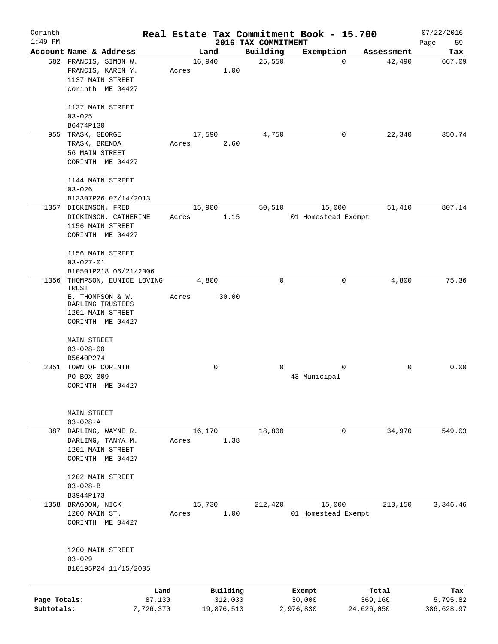| Corinth      |                         |       |            |                     | Real Estate Tax Commitment Book - 15.700 |             | 07/22/2016 |
|--------------|-------------------------|-------|------------|---------------------|------------------------------------------|-------------|------------|
| $1:49$ PM    |                         |       |            | 2016 TAX COMMITMENT |                                          |             | Page<br>59 |
|              | Account Name & Address  |       | Land       | Building            | Exemption                                | Assessment  | Tax        |
|              | 582 FRANCIS, SIMON W.   |       | 16,940     | 25,550              | $\Omega$                                 | 42,490      | 667.09     |
|              | FRANCIS, KAREN Y.       | Acres | 1.00       |                     |                                          |             |            |
|              | 1137 MAIN STREET        |       |            |                     |                                          |             |            |
|              | corinth ME 04427        |       |            |                     |                                          |             |            |
|              | 1137 MAIN STREET        |       |            |                     |                                          |             |            |
|              | $03 - 025$              |       |            |                     |                                          |             |            |
|              | B6474P130               |       |            |                     |                                          |             |            |
|              | 955 TRASK, GEORGE       |       | 17,590     | 4,750               | 0                                        | 22,340      | 350.74     |
|              | TRASK, BRENDA           | Acres | 2.60       |                     |                                          |             |            |
|              | 56 MAIN STREET          |       |            |                     |                                          |             |            |
|              | CORINTH ME 04427        |       |            |                     |                                          |             |            |
|              | 1144 MAIN STREET        |       |            |                     |                                          |             |            |
|              |                         |       |            |                     |                                          |             |            |
|              | $03 - 026$              |       |            |                     |                                          |             |            |
|              | B13307P26 07/14/2013    |       |            |                     |                                          |             |            |
|              | 1357 DICKINSON, FRED    |       | 15,900     | 50, 510             | 15,000                                   | 51,410      | 807.14     |
|              | DICKINSON, CATHERINE    | Acres | 1.15       |                     | 01 Homestead Exempt                      |             |            |
|              | 1156 MAIN STREET        |       |            |                     |                                          |             |            |
|              | CORINTH ME 04427        |       |            |                     |                                          |             |            |
|              | 1156 MAIN STREET        |       |            |                     |                                          |             |            |
|              | $03 - 027 - 01$         |       |            |                     |                                          |             |            |
|              | B10501P218 06/21/2006   |       |            |                     |                                          |             |            |
| 1356         | THOMPSON, EUNICE LOVING |       | 4,800      | 0                   | 0                                        | 4,800       | 75.36      |
|              | TRUST                   |       |            |                     |                                          |             |            |
|              | E. THOMPSON & W.        | Acres | 30.00      |                     |                                          |             |            |
|              | DARLING TRUSTEES        |       |            |                     |                                          |             |            |
|              | 1201 MAIN STREET        |       |            |                     |                                          |             |            |
|              | CORINTH ME 04427        |       |            |                     |                                          |             |            |
|              |                         |       |            |                     |                                          |             |            |
|              | MAIN STREET             |       |            |                     |                                          |             |            |
|              | $03 - 028 - 00$         |       |            |                     |                                          |             |            |
|              | B5640P274               |       |            |                     |                                          |             |            |
|              | 2051 TOWN OF CORINTH    |       | 0          | 0                   | $\Omega$                                 | $\mathbf 0$ | 0.00       |
|              | PO BOX 309              |       |            |                     | 43 Municipal                             |             |            |
|              | CORINTH ME 04427        |       |            |                     |                                          |             |            |
|              |                         |       |            |                     |                                          |             |            |
|              | MAIN STREET             |       |            |                     |                                          |             |            |
|              | $03 - 028 - A$          |       |            |                     |                                          |             |            |
| 387          | DARLING, WAYNE R.       |       | 16,170     | 18,800              | 0                                        | 34,970      | 549.03     |
|              | DARLING, TANYA M.       | Acres | 1.38       |                     |                                          |             |            |
|              | 1201 MAIN STREET        |       |            |                     |                                          |             |            |
|              | CORINTH ME 04427        |       |            |                     |                                          |             |            |
|              |                         |       |            |                     |                                          |             |            |
|              | 1202 MAIN STREET        |       |            |                     |                                          |             |            |
|              | $03 - 028 - B$          |       |            |                     |                                          |             |            |
|              |                         |       |            |                     |                                          |             |            |
|              | B3944P173               |       |            |                     |                                          |             |            |
|              | 1358 BRAGDON, NICK      |       | 15,730     | 212,420             | 15,000                                   | 213,150     | 3,346.46   |
|              | 1200 MAIN ST.           | Acres | 1.00       |                     | 01 Homestead Exempt                      |             |            |
|              | CORINTH ME 04427        |       |            |                     |                                          |             |            |
|              |                         |       |            |                     |                                          |             |            |
|              | 1200 MAIN STREET        |       |            |                     |                                          |             |            |
|              | $03 - 029$              |       |            |                     |                                          |             |            |
|              | B10195P24 11/15/2005    |       |            |                     |                                          |             |            |
|              | Land                    |       | Building   |                     | Exempt                                   | Total       | Tax        |
| Page Totals: | 87,130                  |       | 312,030    |                     | 30,000                                   | 369,160     | 5,795.82   |
| Subtotals:   | 7,726,370               |       | 19,876,510 |                     | 2,976,830                                | 24,626,050  | 386,628.97 |
|              |                         |       |            |                     |                                          |             |            |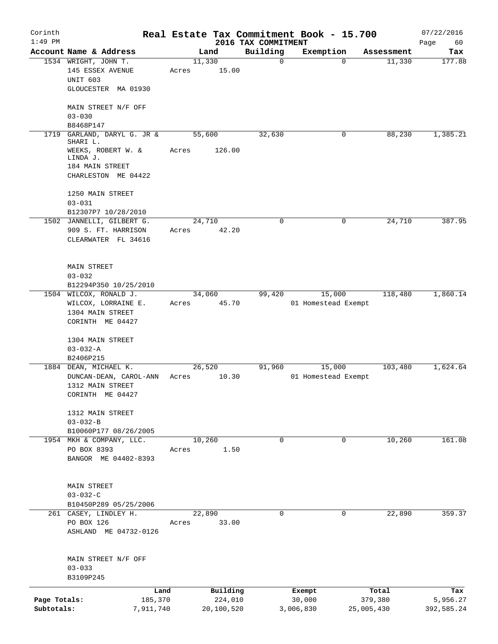| Corinth                    |                                                                                                                |       |                                   |                                 | Real Estate Tax Commitment Book - 15.700 |                                | 07/22/2016                    |
|----------------------------|----------------------------------------------------------------------------------------------------------------|-------|-----------------------------------|---------------------------------|------------------------------------------|--------------------------------|-------------------------------|
| $1:49$ PM                  | Account Name & Address                                                                                         |       | Land                              | 2016 TAX COMMITMENT<br>Building | Exemption                                | Assessment                     | Page<br>60<br>Tax             |
|                            | 1534 WRIGHT, JOHN T.<br>145 ESSEX AVENUE<br>UNIT 603<br>GLOUCESTER MA 01930                                    | Acres | 11,330<br>15.00                   | $\mathbf 0$                     | $\Omega$                                 | 11,330                         | 177.88                        |
|                            | MAIN STREET N/F OFF<br>$03 - 030$<br>B8468P147                                                                 |       |                                   |                                 |                                          |                                |                               |
| 1719                       | GARLAND, DARYL G. JR &<br>SHARI L.<br>WEEKS, ROBERT W. &<br>LINDA J.<br>184 MAIN STREET<br>CHARLESTON ME 04422 | Acres | 55,600<br>126.00                  | 32,630                          | 0                                        | 88,230                         | 1,385.21                      |
|                            | 1250 MAIN STREET<br>$03 - 031$<br>B12307P7 10/28/2010                                                          |       |                                   |                                 |                                          |                                |                               |
|                            | 1502 JANNELLI, GILBERT G.<br>909 S. FT. HARRISON<br>CLEARWATER FL 34616                                        | Acres | 24,710<br>42.20                   | 0                               | 0                                        | 24,710                         | 387.95                        |
|                            | MAIN STREET<br>$03 - 032$<br>B12294P350 10/25/2010                                                             |       |                                   |                                 |                                          |                                |                               |
|                            | 1504 WILCOX, RONALD J.<br>WILCOX, LORRAINE E.<br>1304 MAIN STREET<br>CORINTH ME 04427                          | Acres | 34,060<br>45.70                   | 99,420                          | 15,000<br>01 Homestead Exempt            | 118,480                        | 1,860.14                      |
|                            | 1304 MAIN STREET<br>$03 - 032 - A$<br>B2406P215                                                                |       |                                   |                                 |                                          |                                |                               |
|                            | 1884 DEAN, MICHAEL K.<br>DUNCAN-DEAN, CAROL-ANN<br>1312 MAIN STREET<br>CORINTH ME 04427                        | Acres | 26,520<br>10.30                   | 91,960                          | 15,000<br>01 Homestead Exempt            | 103,480                        | 1,624.64                      |
|                            | 1312 MAIN STREET<br>$03 - 032 - B$<br>B10060P177 08/26/2005                                                    |       |                                   |                                 |                                          |                                |                               |
|                            | 1954 MKH & COMPANY, LLC.<br>PO BOX 8393<br>BANGOR ME 04402-8393                                                | Acres | 10,260<br>1.50                    | $\Omega$                        | 0                                        | 10,260                         | 161.08                        |
|                            | MAIN STREET<br>$03 - 032 - C$<br>B10450P289 05/25/2006                                                         |       |                                   |                                 |                                          |                                |                               |
|                            | 261 CASEY, LINDLEY H.<br>PO BOX 126<br>ASHLAND ME 04732-0126                                                   | Acres | 22,890<br>33.00                   | 0                               | 0                                        | 22,890                         | 359.37                        |
|                            | MAIN STREET N/F OFF<br>$03 - 033$<br>B3109P245                                                                 |       |                                   |                                 |                                          |                                |                               |
| Page Totals:<br>Subtotals: | 185,370<br>7,911,740                                                                                           | Land  | Building<br>224,010<br>20,100,520 |                                 | Exempt<br>30,000<br>3,006,830            | Total<br>379,380<br>25,005,430 | Tax<br>5,956.27<br>392,585.24 |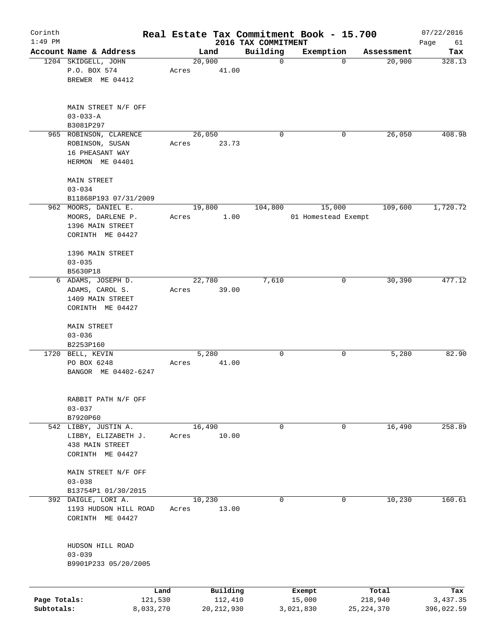| Corinth      |                                           |           |       |        |              |                                 | Real Estate Tax Commitment Book - 15.700 |              | 07/22/2016        |
|--------------|-------------------------------------------|-----------|-------|--------|--------------|---------------------------------|------------------------------------------|--------------|-------------------|
| $1:49$ PM    | Account Name & Address                    |           |       | Land   |              | 2016 TAX COMMITMENT<br>Building | Exemption                                | Assessment   | Page<br>61<br>Tax |
|              | 1204 SKIDGELL, JOHN                       |           |       | 20,900 |              | $\mathbf 0$                     | $\mathbf 0$                              | 20,900       | 328.13            |
|              | P.O. BOX 574                              |           | Acres |        | 41.00        |                                 |                                          |              |                   |
|              | BREWER ME 04412                           |           |       |        |              |                                 |                                          |              |                   |
|              |                                           |           |       |        |              |                                 |                                          |              |                   |
|              |                                           |           |       |        |              |                                 |                                          |              |                   |
|              | MAIN STREET N/F OFF                       |           |       |        |              |                                 |                                          |              |                   |
|              | $03 - 033 - A$                            |           |       |        |              |                                 |                                          |              |                   |
|              | B3081P297                                 |           |       |        |              |                                 |                                          |              |                   |
|              | 965 ROBINSON, CLARENCE<br>ROBINSON, SUSAN |           |       | 26,050 |              | 0                               | 0                                        | 26,050       | 408.98            |
|              | 16 PHEASANT WAY                           |           | Acres |        | 23.73        |                                 |                                          |              |                   |
|              | HERMON ME 04401                           |           |       |        |              |                                 |                                          |              |                   |
|              |                                           |           |       |        |              |                                 |                                          |              |                   |
|              | MAIN STREET                               |           |       |        |              |                                 |                                          |              |                   |
|              | $03 - 034$                                |           |       |        |              |                                 |                                          |              |                   |
|              | B11868P193 07/31/2009                     |           |       |        |              |                                 |                                          |              |                   |
|              | 962 MOORS, DANIEL E.                      |           |       | 19,800 |              | 104,800                         | 15,000                                   | 109,600      | 1,720.72          |
|              | MOORS, DARLENE P.                         |           | Acres |        | 1.00         |                                 | 01 Homestead Exempt                      |              |                   |
|              | 1396 MAIN STREET                          |           |       |        |              |                                 |                                          |              |                   |
|              | CORINTH ME 04427                          |           |       |        |              |                                 |                                          |              |                   |
|              | 1396 MAIN STREET                          |           |       |        |              |                                 |                                          |              |                   |
|              | $03 - 035$                                |           |       |        |              |                                 |                                          |              |                   |
|              | B5630P18                                  |           |       |        |              |                                 |                                          |              |                   |
|              | 6 ADAMS, JOSEPH D.                        |           |       | 22,780 |              | 7,610                           | 0                                        | 30,390       | 477.12            |
|              | ADAMS, CAROL S.                           |           | Acres |        | 39.00        |                                 |                                          |              |                   |
|              | 1409 MAIN STREET                          |           |       |        |              |                                 |                                          |              |                   |
|              | CORINTH ME 04427                          |           |       |        |              |                                 |                                          |              |                   |
|              |                                           |           |       |        |              |                                 |                                          |              |                   |
|              | MAIN STREET                               |           |       |        |              |                                 |                                          |              |                   |
|              | $03 - 036$                                |           |       |        |              |                                 |                                          |              |                   |
|              | B2253P160                                 |           |       |        |              |                                 |                                          |              |                   |
|              | 1720 BELL, KEVIN                          |           |       | 5,280  |              | 0                               | 0                                        | 5,280        | 82.90             |
|              | PO BOX 6248<br>BANGOR ME 04402-6247       |           | Acres |        | 41.00        |                                 |                                          |              |                   |
|              |                                           |           |       |        |              |                                 |                                          |              |                   |
|              |                                           |           |       |        |              |                                 |                                          |              |                   |
|              | RABBIT PATH N/F OFF                       |           |       |        |              |                                 |                                          |              |                   |
|              | $03 - 037$                                |           |       |        |              |                                 |                                          |              |                   |
|              | B7920P60                                  |           |       |        |              |                                 |                                          |              |                   |
|              | 542 LIBBY, JUSTIN A.                      |           |       | 16,490 |              | 0                               | 0                                        | 16,490       | 258.89            |
|              | LIBBY, ELIZABETH J.                       |           | Acres |        | 10.00        |                                 |                                          |              |                   |
|              | 438 MAIN STREET                           |           |       |        |              |                                 |                                          |              |                   |
|              | CORINTH ME 04427                          |           |       |        |              |                                 |                                          |              |                   |
|              | MAIN STREET N/F OFF                       |           |       |        |              |                                 |                                          |              |                   |
|              | $03 - 038$                                |           |       |        |              |                                 |                                          |              |                   |
|              | B13754P1 01/30/2015                       |           |       |        |              |                                 |                                          |              |                   |
|              | 392 DAIGLE, LORI A.                       |           |       | 10,230 |              | 0                               | 0                                        | 10,230       | 160.61            |
|              | 1193 HUDSON HILL ROAD                     |           | Acres |        | 13.00        |                                 |                                          |              |                   |
|              | CORINTH ME 04427                          |           |       |        |              |                                 |                                          |              |                   |
|              |                                           |           |       |        |              |                                 |                                          |              |                   |
|              |                                           |           |       |        |              |                                 |                                          |              |                   |
|              | HUDSON HILL ROAD                          |           |       |        |              |                                 |                                          |              |                   |
|              | $03 - 039$                                |           |       |        |              |                                 |                                          |              |                   |
|              | B9901P233 05/20/2005                      |           |       |        |              |                                 |                                          |              |                   |
|              |                                           |           |       |        |              |                                 |                                          |              |                   |
|              |                                           | Land      |       |        | Building     |                                 | Exempt                                   | Total        | Tax               |
| Page Totals: |                                           | 121,530   |       |        | 112,410      |                                 | 15,000                                   | 218,940      | 3,437.35          |
| Subtotals:   |                                           | 8,033,270 |       |        | 20, 212, 930 |                                 | 3,021,830                                | 25, 224, 370 | 396,022.59        |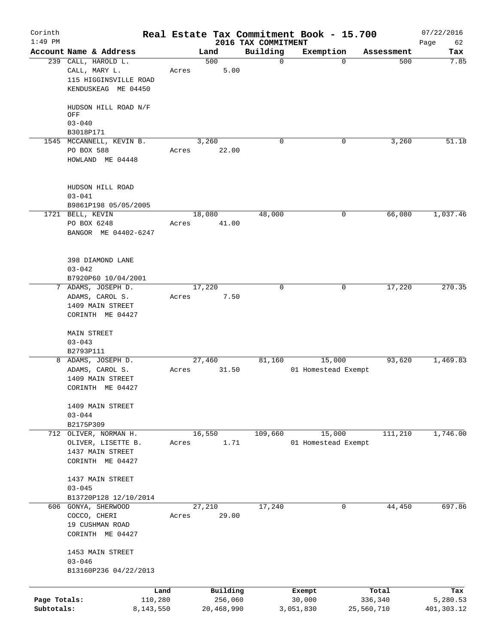| Corinth<br>$1:49$ PM       |                                                                                      | Real Estate Tax Commitment Book - 15.700 | 2016 TAX COMMITMENT |                               |                       | 07/22/2016<br>Page<br>62 |
|----------------------------|--------------------------------------------------------------------------------------|------------------------------------------|---------------------|-------------------------------|-----------------------|--------------------------|
|                            | Account Name & Address                                                               | Land                                     | Building            | Exemption                     | Assessment            | Tax                      |
|                            | 239 CALL, HAROLD L.<br>CALL, MARY L.<br>115 HIGGINSVILLE ROAD<br>KENDUSKEAG ME 04450 | 500<br>Acres                             | 0<br>5.00           | $\Omega$                      | 500                   | 7.85                     |
|                            | HUDSON HILL ROAD N/F<br>OFF<br>$03 - 040$                                            |                                          |                     |                               |                       |                          |
|                            | B3018P171                                                                            |                                          |                     |                               |                       |                          |
|                            | 1545 MCCANNELL, KEVIN B.<br>PO BOX 588<br>HOWLAND ME 04448                           | 3,260<br>Acres                           | 0<br>22.00          | 0                             | 3,260                 | 51.18                    |
|                            | HUDSON HILL ROAD<br>$03 - 041$<br>B9861P198 05/05/2005                               |                                          |                     |                               |                       |                          |
|                            | 1721 BELL, KEVIN<br>PO BOX 6248<br>BANGOR ME 04402-6247                              | 18,080<br>Acres                          | 48,000<br>41.00     | 0                             | 66,080                | 1,037.46                 |
|                            | 398 DIAMOND LANE<br>$03 - 042$<br>B7920P60 10/04/2001                                |                                          |                     |                               |                       |                          |
| 7                          | ADAMS, JOSEPH D.<br>ADAMS, CAROL S.<br>1409 MAIN STREET<br>CORINTH ME 04427          | 17,220<br>Acres                          | 0<br>7.50           | 0                             | 17,220                | 270.35                   |
|                            | MAIN STREET<br>$03 - 043$<br>B2793P111                                               |                                          |                     |                               |                       |                          |
|                            | 8 ADAMS, JOSEPH D.<br>ADAMS, CAROL S.<br>1409 MAIN STREET<br>CORINTH ME 04427        | 27,460<br>Acres                          | 81,160<br>31.50     | 15,000<br>01 Homestead Exempt | 93,620                | 1,469.83                 |
|                            | 1409 MAIN STREET<br>$03 - 044$<br>B2175P309                                          |                                          |                     |                               |                       |                          |
|                            | 712 OLIVER, NORMAN H.<br>OLIVER, LISETTE B.<br>1437 MAIN STREET<br>CORINTH ME 04427  | 16,550<br>Acres                          | 109,660<br>1.71     | 15,000<br>01 Homestead Exempt | 111,210               | 1,746.00                 |
|                            | 1437 MAIN STREET<br>$03 - 045$<br>B13720P128 12/10/2014                              |                                          |                     |                               |                       |                          |
|                            | 606 GONYA, SHERWOOD<br>COCCO, CHERI<br>19 CUSHMAN ROAD<br>CORINTH ME 04427           | 27,210<br>Acres                          | 17,240<br>29.00     | 0                             | 44,450                | 697.86                   |
|                            | 1453 MAIN STREET<br>$03 - 046$<br>B13160P236 04/22/2013                              |                                          |                     |                               |                       |                          |
|                            |                                                                                      | Building<br>Land                         |                     | Exempt                        | Total                 | Tax                      |
| Page Totals:<br>Subtotals: | 110,280<br>8,143,550                                                                 | 20,468,990                               | 256,060             | 30,000<br>3,051,830           | 336,340<br>25,560,710 | 5,280.53<br>401,303.12   |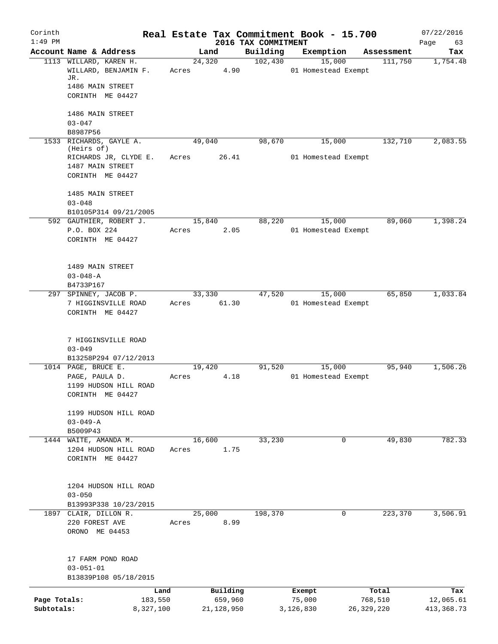| Corinth      |                                                  |       |              |                                 | Real Estate Tax Commitment Book - 15.700 |              | 07/22/2016      |
|--------------|--------------------------------------------------|-------|--------------|---------------------------------|------------------------------------------|--------------|-----------------|
| $1:49$ PM    | Account Name & Address                           |       | Land         | 2016 TAX COMMITMENT<br>Building | Exemption                                | Assessment   | Page<br>63      |
|              | 1113 WILLARD, KAREN H.                           |       | 24,320       | 102,430                         | 15,000                                   | 111,750      | Tax<br>1,754.48 |
|              | WILLARD, BENJAMIN F.<br>JR.                      | Acres | 4.90         |                                 | 01 Homestead Exempt                      |              |                 |
|              | 1486 MAIN STREET                                 |       |              |                                 |                                          |              |                 |
|              | CORINTH ME 04427                                 |       |              |                                 |                                          |              |                 |
|              | 1486 MAIN STREET                                 |       |              |                                 |                                          |              |                 |
|              | $03 - 047$                                       |       |              |                                 |                                          |              |                 |
|              | B8987P56<br>1533 RICHARDS, GAYLE A.              |       | 49,040       | 98,670                          | 15,000                                   | 132,710      | 2,083.55        |
|              | (Heirs of)                                       |       |              |                                 |                                          |              |                 |
|              | RICHARDS JR, CLYDE E.                            | Acres | 26.41        |                                 | 01 Homestead Exempt                      |              |                 |
|              | 1487 MAIN STREET<br>CORINTH ME 04427             |       |              |                                 |                                          |              |                 |
|              |                                                  |       |              |                                 |                                          |              |                 |
|              | 1485 MAIN STREET                                 |       |              |                                 |                                          |              |                 |
|              | $03 - 048$                                       |       |              |                                 |                                          |              |                 |
|              | B10105P314 09/21/2005<br>592 GAUTHIER, ROBERT J. |       | 15,840       | 88,220                          | 15,000                                   | 89,060       | 1,398.24        |
|              | P.O. BOX 224                                     | Acres | 2.05         |                                 | 01 Homestead Exempt                      |              |                 |
|              | CORINTH ME 04427                                 |       |              |                                 |                                          |              |                 |
|              |                                                  |       |              |                                 |                                          |              |                 |
|              | 1489 MAIN STREET<br>$03 - 048 - A$               |       |              |                                 |                                          |              |                 |
|              | B4733P167                                        |       |              |                                 |                                          |              |                 |
|              | 297 SPINNEY, JACOB P.                            |       | 33,330       | 47,520                          | 15,000                                   | 65,850       | 1,033.84        |
|              | 7 HIGGINSVILLE ROAD                              | Acres | 61.30        |                                 | 01 Homestead Exempt                      |              |                 |
|              | CORINTH ME 04427                                 |       |              |                                 |                                          |              |                 |
|              | 7 HIGGINSVILLE ROAD                              |       |              |                                 |                                          |              |                 |
|              | $03 - 049$                                       |       |              |                                 |                                          |              |                 |
|              | B13258P294 07/12/2013                            |       |              |                                 |                                          |              |                 |
|              | 1014 PAGE, BRUCE E.                              |       | 19,420       | 91,520                          | 15,000                                   | 95,940       | 1,506.26        |
|              | PAGE, PAULA D.                                   | Acres | 4.18         |                                 | 01 Homestead Exempt                      |              |                 |
|              | 1199 HUDSON HILL ROAD                            |       |              |                                 |                                          |              |                 |
|              | CORINTH ME 04427                                 |       |              |                                 |                                          |              |                 |
|              | 1199 HUDSON HILL ROAD                            |       |              |                                 |                                          |              |                 |
|              | $03 - 049 - A$                                   |       |              |                                 |                                          |              |                 |
|              | B5009P43                                         |       |              |                                 |                                          |              |                 |
|              | 1444 WAITE, AMANDA M.                            |       | 16,600       | 33,230                          | $\mathbf 0$                              | 49,830       | 782.33          |
|              | 1204 HUDSON HILL ROAD                            | Acres | 1.75         |                                 |                                          |              |                 |
|              | CORINTH ME 04427                                 |       |              |                                 |                                          |              |                 |
|              | 1204 HUDSON HILL ROAD                            |       |              |                                 |                                          |              |                 |
|              | $03 - 050$                                       |       |              |                                 |                                          |              |                 |
|              | B13993P338 10/23/2015                            |       |              |                                 |                                          |              |                 |
|              | 1897 CLAIR, DILLON R.                            |       | 25,000       | 198,370                         | 0                                        | 223,370      | 3,506.91        |
|              | 220 FOREST AVE                                   | Acres | 8.99         |                                 |                                          |              |                 |
|              | ORONO ME 04453                                   |       |              |                                 |                                          |              |                 |
|              | 17 FARM POND ROAD                                |       |              |                                 |                                          |              |                 |
|              | $03 - 051 - 01$                                  |       |              |                                 |                                          |              |                 |
|              | B13839P108 05/18/2015                            |       |              |                                 |                                          |              |                 |
|              |                                                  | Land  | Building     |                                 | Exempt                                   | Total        | Tax             |
| Page Totals: | 183,550                                          |       | 659,960      |                                 | 75,000                                   | 768,510      | 12,065.61       |
| Subtotals:   | 8,327,100                                        |       | 21, 128, 950 |                                 | 3,126,830                                | 26, 329, 220 | 413, 368.73     |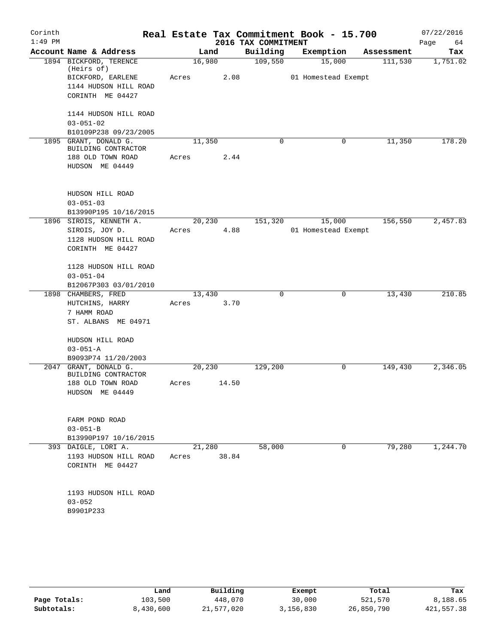| Corinth   |                                              |         |       |                     | Real Estate Tax Commitment Book - 15.700 |            | 07/22/2016 |
|-----------|----------------------------------------------|---------|-------|---------------------|------------------------------------------|------------|------------|
| $1:49$ PM |                                              |         |       | 2016 TAX COMMITMENT |                                          |            | Page<br>64 |
|           | Account Name & Address                       |         | Land  | Building            | Exemption                                | Assessment | Tax        |
|           | 1894 BICKFORD, TERENCE<br>(Heirs of)         | 16,980  |       | 109,550             | 15,000                                   | 111,530    | 1,751.02   |
|           | BICKFORD, EARLENE                            | Acres   | 2.08  |                     | 01 Homestead Exempt                      |            |            |
|           | 1144 HUDSON HILL ROAD                        |         |       |                     |                                          |            |            |
|           | CORINTH ME 04427                             |         |       |                     |                                          |            |            |
|           | 1144 HUDSON HILL ROAD                        |         |       |                     |                                          |            |            |
|           | $03 - 051 - 02$                              |         |       |                     |                                          |            |            |
|           | B10109P238 09/23/2005                        |         |       |                     |                                          |            |            |
|           | 1895 GRANT, DONALD G.<br>BUILDING CONTRACTOR | 11,350  |       | $\Omega$            | 0                                        | 11,350     | 178.20     |
|           | 188 OLD TOWN ROAD                            | Acres   | 2.44  |                     |                                          |            |            |
|           | HUDSON ME 04449                              |         |       |                     |                                          |            |            |
|           | HUDSON HILL ROAD                             |         |       |                     |                                          |            |            |
|           | $03 - 051 - 03$                              |         |       |                     |                                          |            |            |
|           | B13990P195 10/16/2015                        |         |       |                     |                                          |            |            |
|           | 1896 SIROIS, KENNETH A.                      | 20, 230 |       | 151,320             | 15,000                                   | 156,550    | 2,457.83   |
|           | SIROIS, JOY D.                               | Acres   | 4.88  |                     | 01 Homestead Exempt                      |            |            |
|           | 1128 HUDSON HILL ROAD                        |         |       |                     |                                          |            |            |
|           | CORINTH ME 04427                             |         |       |                     |                                          |            |            |
|           | 1128 HUDSON HILL ROAD                        |         |       |                     |                                          |            |            |
|           | $03 - 051 - 04$                              |         |       |                     |                                          |            |            |
|           | B12067P303 03/01/2010                        |         |       |                     |                                          |            |            |
|           | 1898 CHAMBERS, FRED                          | 13,430  |       | 0                   | 0                                        | 13,430     | 210.85     |
|           | HUTCHINS, HARRY                              | Acres   | 3.70  |                     |                                          |            |            |
|           | 7 HAMM ROAD                                  |         |       |                     |                                          |            |            |
|           | ST. ALBANS ME 04971                          |         |       |                     |                                          |            |            |
|           | HUDSON HILL ROAD                             |         |       |                     |                                          |            |            |
|           | $03 - 051 - A$                               |         |       |                     |                                          |            |            |
|           | B9093P74 11/20/2003                          |         |       |                     |                                          |            |            |
| 2047      | GRANT, DONALD G.                             | 20,230  |       | 129,200             | 0                                        | 149,430    | 2,346.05   |
|           | BUILDING CONTRACTOR                          |         |       |                     |                                          |            |            |
|           | 188 OLD TOWN ROAD<br>HUDSON ME 04449         | Acres   | 14.50 |                     |                                          |            |            |
|           |                                              |         |       |                     |                                          |            |            |
|           | FARM POND ROAD                               |         |       |                     |                                          |            |            |
|           | $03 - 051 - B$                               |         |       |                     |                                          |            |            |
|           | B13990P197 10/16/2015                        |         |       |                     |                                          |            |            |
|           | 393 DAIGLE, LORI A.                          | 21,280  |       | 58,000              | $\mathbf 0$                              | 79,280     | 1,244.70   |
|           | 1193 HUDSON HILL ROAD                        | Acres   | 38.84 |                     |                                          |            |            |
|           | CORINTH ME 04427                             |         |       |                     |                                          |            |            |
|           |                                              |         |       |                     |                                          |            |            |
|           | 1193 HUDSON HILL ROAD<br>$03 - 052$          |         |       |                     |                                          |            |            |
|           | B9901P233                                    |         |       |                     |                                          |            |            |
|           |                                              |         |       |                     |                                          |            |            |

|              | Land      | Building   | Exempt    | Total      | Tax        |
|--------------|-----------|------------|-----------|------------|------------|
| Page Totals: | 103,500   | 448,070    | 30,000    | 521,570    | 8,188.65   |
| Subtotals:   | 8,430,600 | 21,577,020 | 3,156,830 | 26,850,790 | 421,557.38 |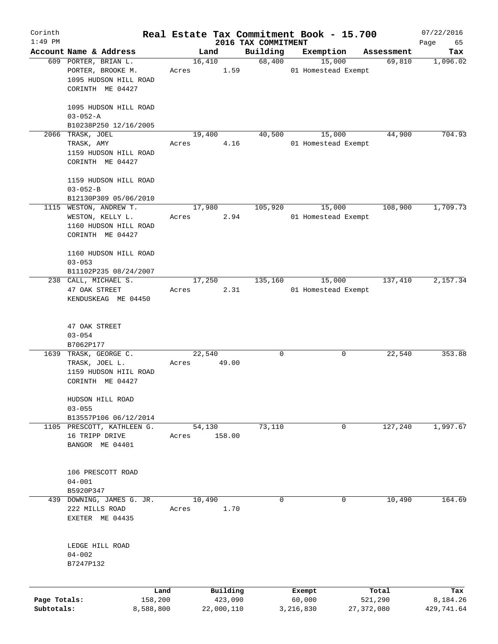| Corinth      |                            |       |                |                     | Real Estate Tax Commitment Book - 15.700 |                      | 07/22/2016      |
|--------------|----------------------------|-------|----------------|---------------------|------------------------------------------|----------------------|-----------------|
| $1:49$ PM    | Account Name & Address     |       |                | 2016 TAX COMMITMENT |                                          |                      | Page<br>65      |
|              | 609 PORTER, BRIAN L.       |       | Land<br>16,410 | Building<br>68,400  | Exemption<br>15,000                      | Assessment<br>69,810 | Tax<br>1,096.02 |
|              | PORTER, BROOKE M.          | Acres | 1.59           |                     | 01 Homestead Exempt                      |                      |                 |
|              |                            |       |                |                     |                                          |                      |                 |
|              | 1095 HUDSON HILL ROAD      |       |                |                     |                                          |                      |                 |
|              | CORINTH ME 04427           |       |                |                     |                                          |                      |                 |
|              |                            |       |                |                     |                                          |                      |                 |
|              | 1095 HUDSON HILL ROAD      |       |                |                     |                                          |                      |                 |
|              | $03 - 052 - A$             |       |                |                     |                                          |                      |                 |
|              | B10238P250 12/16/2005      |       |                |                     |                                          |                      |                 |
|              | 2066 TRASK, JOEL           |       | 19,400         | 40,500              | 15,000                                   | 44,900               | 704.93          |
|              | TRASK, AMY                 | Acres | 4.16           |                     | 01 Homestead Exempt                      |                      |                 |
|              | 1159 HUDSON HILL ROAD      |       |                |                     |                                          |                      |                 |
|              | CORINTH ME 04427           |       |                |                     |                                          |                      |                 |
|              |                            |       |                |                     |                                          |                      |                 |
|              | 1159 HUDSON HILL ROAD      |       |                |                     |                                          |                      |                 |
|              | $03 - 052 - B$             |       |                |                     |                                          |                      |                 |
|              | B12130P309 05/06/2010      |       |                |                     |                                          |                      |                 |
|              | 1115 WESTON, ANDREW T.     |       | 17,980         | 105,920             | 15,000                                   | 108,900              | 1,709.73        |
|              | WESTON, KELLY L.           | Acres | 2.94           |                     | 01 Homestead Exempt                      |                      |                 |
|              | 1160 HUDSON HILL ROAD      |       |                |                     |                                          |                      |                 |
|              | CORINTH ME 04427           |       |                |                     |                                          |                      |                 |
|              |                            |       |                |                     |                                          |                      |                 |
|              | 1160 HUDSON HILL ROAD      |       |                |                     |                                          |                      |                 |
|              | $03 - 053$                 |       |                |                     |                                          |                      |                 |
|              | B11102P235 08/24/2007      |       |                |                     |                                          |                      |                 |
|              | 238 CALL, MICHAEL S.       |       | 17,250         | 135,160             | 15,000                                   | 137,410              | 2,157.34        |
|              | 47 OAK STREET              | Acres | 2.31           |                     | 01 Homestead Exempt                      |                      |                 |
|              | KENDUSKEAG ME 04450        |       |                |                     |                                          |                      |                 |
|              |                            |       |                |                     |                                          |                      |                 |
|              |                            |       |                |                     |                                          |                      |                 |
|              | 47 OAK STREET              |       |                |                     |                                          |                      |                 |
|              | $03 - 054$                 |       |                |                     |                                          |                      |                 |
|              | B7062P177                  |       |                |                     |                                          |                      |                 |
| 1639         | TRASK, GEORGE C.           |       | 22,540         | $\mathbf 0$         | 0                                        | 22,540               | 353.88          |
|              | TRASK, JOEL L.             | Acres | 49.00          |                     |                                          |                      |                 |
|              | 1159 HUDSON HIIL ROAD      |       |                |                     |                                          |                      |                 |
|              | CORINTH ME 04427           |       |                |                     |                                          |                      |                 |
|              |                            |       |                |                     |                                          |                      |                 |
|              | HUDSON HILL ROAD           |       |                |                     |                                          |                      |                 |
|              | $03 - 055$                 |       |                |                     |                                          |                      |                 |
|              | B13557P106 06/12/2014      |       |                |                     |                                          |                      |                 |
|              | 1105 PRESCOTT, KATHLEEN G. |       | 54,130         | 73,110              | 0                                        | 127,240              | 1,997.67        |
|              | 16 TRIPP DRIVE             | Acres | 158.00         |                     |                                          |                      |                 |
|              | BANGOR ME 04401            |       |                |                     |                                          |                      |                 |
|              |                            |       |                |                     |                                          |                      |                 |
|              |                            |       |                |                     |                                          |                      |                 |
|              | 106 PRESCOTT ROAD          |       |                |                     |                                          |                      |                 |
|              | $04 - 001$                 |       |                |                     |                                          |                      |                 |
|              | B5920P347                  |       |                |                     |                                          |                      |                 |
|              | 439 DOWNING, JAMES G. JR.  |       | 10,490         | 0                   | 0                                        | 10,490               | 164.69          |
|              | 222 MILLS ROAD             | Acres | 1.70           |                     |                                          |                      |                 |
|              | EXETER ME 04435            |       |                |                     |                                          |                      |                 |
|              |                            |       |                |                     |                                          |                      |                 |
|              |                            |       |                |                     |                                          |                      |                 |
|              | LEDGE HILL ROAD            |       |                |                     |                                          |                      |                 |
|              | $04 - 002$                 |       |                |                     |                                          |                      |                 |
|              | B7247P132                  |       |                |                     |                                          |                      |                 |
|              |                            |       |                |                     |                                          |                      |                 |
|              |                            |       |                |                     |                                          |                      |                 |
|              |                            | Land  | Building       |                     | Exempt                                   | Total                | Tax             |
| Page Totals: | 158,200                    |       | 423,090        |                     | 60,000                                   | 521,290              | 8,184.26        |
| Subtotals:   | 8,588,800                  |       | 22,000,110     |                     | 3,216,830                                | 27, 372, 080         | 429,741.64      |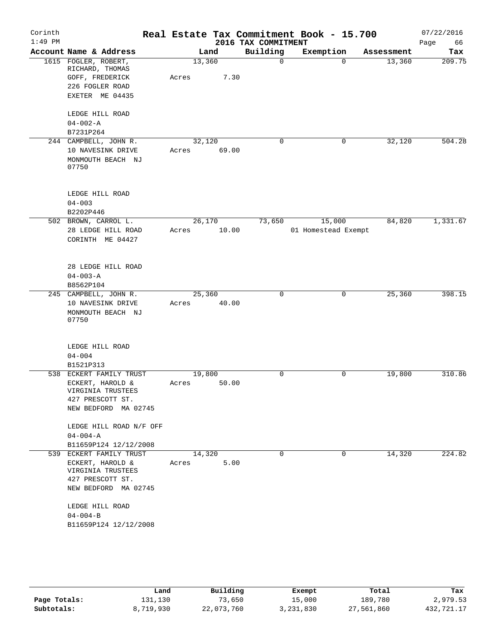| Corinth<br>$1:49$ PM |                                       |        |       | 2016 TAX COMMITMENT | Real Estate Tax Commitment Book - 15.700 |                       | 07/22/2016<br>66<br>Page |
|----------------------|---------------------------------------|--------|-------|---------------------|------------------------------------------|-----------------------|--------------------------|
|                      | Account Name & Address                |        | Land  | Building            | Exemption                                | Assessment            | Tax                      |
|                      | 1615 FOGLER, ROBERT,                  | 13,360 |       | $\mathbf 0$         |                                          | 13,360<br>$\Omega$    | 209.75                   |
|                      | RICHARD, THOMAS                       |        |       |                     |                                          |                       |                          |
|                      | GOFF, FREDERICK                       | Acres  | 7.30  |                     |                                          |                       |                          |
|                      | 226 FOGLER ROAD                       |        |       |                     |                                          |                       |                          |
|                      | EXETER ME 04435                       |        |       |                     |                                          |                       |                          |
|                      | LEDGE HILL ROAD                       |        |       |                     |                                          |                       |                          |
|                      | $04 - 002 - A$                        |        |       |                     |                                          |                       |                          |
|                      | B7231P264                             |        |       |                     |                                          |                       |                          |
|                      | 244 CAMPBELL, JOHN R.                 | 32,120 |       | 0                   |                                          | 32,120<br>0           | 504.28                   |
|                      | 10 NAVESINK DRIVE                     | Acres  | 69.00 |                     |                                          |                       |                          |
|                      | MONMOUTH BEACH NJ                     |        |       |                     |                                          |                       |                          |
|                      | 07750                                 |        |       |                     |                                          |                       |                          |
|                      |                                       |        |       |                     |                                          |                       |                          |
|                      | LEDGE HILL ROAD                       |        |       |                     |                                          |                       |                          |
|                      | $04 - 003$                            |        |       |                     |                                          |                       |                          |
|                      | B2202P446                             |        |       |                     |                                          |                       |                          |
|                      | 502 BROWN, CARROL L.                  | 26,170 |       | 73,650              | 15,000                                   | 84,820                | 1,331.67                 |
|                      | 28 LEDGE HILL ROAD                    | Acres  | 10.00 |                     | 01 Homestead Exempt                      |                       |                          |
|                      | CORINTH ME 04427                      |        |       |                     |                                          |                       |                          |
|                      | 28 LEDGE HILL ROAD                    |        |       |                     |                                          |                       |                          |
|                      | $04 - 003 - A$                        |        |       |                     |                                          |                       |                          |
|                      | B8562P104                             |        |       |                     |                                          |                       |                          |
|                      | 245 CAMPBELL, JOHN R.                 | 25,360 |       | 0                   |                                          | 25,360<br>0           | 398.15                   |
|                      | 10 NAVESINK DRIVE                     | Acres  | 40.00 |                     |                                          |                       |                          |
|                      | MONMOUTH BEACH NJ                     |        |       |                     |                                          |                       |                          |
|                      | 07750                                 |        |       |                     |                                          |                       |                          |
|                      | LEDGE HILL ROAD                       |        |       |                     |                                          |                       |                          |
|                      | $04 - 004$                            |        |       |                     |                                          |                       |                          |
|                      | B1521P313                             |        |       |                     |                                          |                       |                          |
|                      | 538 ECKERT FAMILY TRUST               | 19,800 |       | $\mathbf 0$         |                                          | $\mathbf 0$<br>19,800 | 310.86                   |
|                      | ECKERT, HAROLD &                      | Acres  | 50.00 |                     |                                          |                       |                          |
|                      | VIRGINIA TRUSTEES                     |        |       |                     |                                          |                       |                          |
|                      | 427 PRESCOTT ST.                      |        |       |                     |                                          |                       |                          |
|                      | NEW BEDFORD MA 02745                  |        |       |                     |                                          |                       |                          |
|                      | LEDGE HILL ROAD N/F OFF               |        |       |                     |                                          |                       |                          |
|                      | $04 - 004 - A$                        |        |       |                     |                                          |                       |                          |
|                      | B11659P124 12/12/2008                 |        |       |                     |                                          |                       |                          |
|                      | 539 ECKERT FAMILY TRUST               | 14,320 |       | 0                   |                                          | 0<br>14,320           | 224.82                   |
|                      | ECKERT, HAROLD &<br>VIRGINIA TRUSTEES | Acres  | 5.00  |                     |                                          |                       |                          |
|                      | 427 PRESCOTT ST.                      |        |       |                     |                                          |                       |                          |
|                      | NEW BEDFORD MA 02745                  |        |       |                     |                                          |                       |                          |
|                      | LEDGE HILL ROAD                       |        |       |                     |                                          |                       |                          |
|                      | $04 - 004 - B$                        |        |       |                     |                                          |                       |                          |
|                      | B11659P124 12/12/2008                 |        |       |                     |                                          |                       |                          |
|                      |                                       |        |       |                     |                                          |                       |                          |
|                      |                                       |        |       |                     |                                          |                       |                          |

|              | Land      | Building   | Exempt    | Total      | Tax        |
|--------------|-----------|------------|-----------|------------|------------|
| Page Totals: | 131,130   | 73,650     | 15,000    | 189,780    | 2,979.53   |
| Subtotals:   | 8,719,930 | 22,073,760 | 3,231,830 | 27,561,860 | 432,721.17 |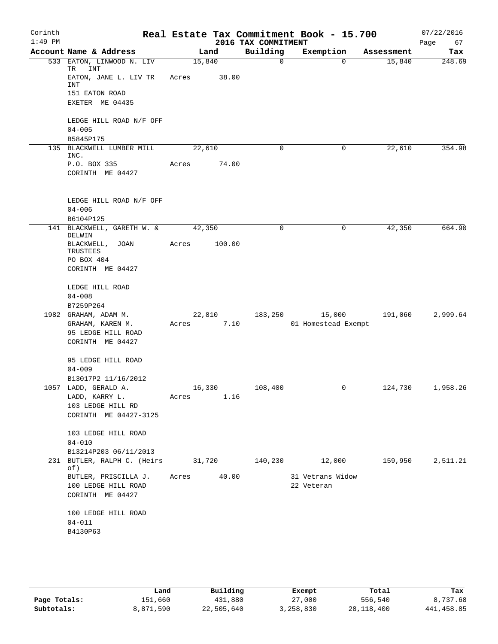| Corinth<br>$1:49$ PM |                                           |        |        | 2016 TAX COMMITMENT | Real Estate Tax Commitment Book - 15.700 |            | 07/22/2016<br>Page<br>67 |
|----------------------|-------------------------------------------|--------|--------|---------------------|------------------------------------------|------------|--------------------------|
|                      | Account Name & Address                    | Land   |        | Building            | Exemption                                | Assessment | Tax                      |
| 533                  | EATON, LINWOOD N. LIV<br><b>INT</b><br>TR | 15,840 |        | $\Omega$            | $\Omega$                                 | 15,840     | 248.69                   |
|                      | EATON, JANE L. LIV TR<br>INT              | Acres  | 38.00  |                     |                                          |            |                          |
|                      | 151 EATON ROAD                            |        |        |                     |                                          |            |                          |
|                      | EXETER ME 04435                           |        |        |                     |                                          |            |                          |
|                      | LEDGE HILL ROAD N/F OFF                   |        |        |                     |                                          |            |                          |
|                      | $04 - 005$                                |        |        |                     |                                          |            |                          |
| 135                  | B5845P175<br>BLACKWELL LUMBER MILL        | 22,610 |        | 0                   | 0                                        | 22,610     | 354.98                   |
|                      | INC.                                      |        |        |                     |                                          |            |                          |
|                      | P.O. BOX 335                              | Acres  | 74.00  |                     |                                          |            |                          |
|                      | CORINTH ME 04427                          |        |        |                     |                                          |            |                          |
|                      | LEDGE HILL ROAD N/F OFF                   |        |        |                     |                                          |            |                          |
|                      | $04 - 006$                                |        |        |                     |                                          |            |                          |
|                      | B6104P125                                 |        |        |                     |                                          |            |                          |
|                      | 141 BLACKWELL, GARETH W. &<br>DELWIN      | 42,350 |        | 0                   | 0                                        | 42,350     | 664.90                   |
|                      | BLACKWELL, JOAN<br>TRUSTEES               | Acres  | 100.00 |                     |                                          |            |                          |
|                      | PO BOX 404                                |        |        |                     |                                          |            |                          |
|                      | CORINTH ME 04427                          |        |        |                     |                                          |            |                          |
|                      | LEDGE HILL ROAD                           |        |        |                     |                                          |            |                          |
|                      | $04 - 008$                                |        |        |                     |                                          |            |                          |
|                      | B7259P264                                 |        |        |                     |                                          |            |                          |
|                      | 1982 GRAHAM, ADAM M.<br>GRAHAM, KAREN M.  | 22,810 | 7.10   | 183,250             | 15,000<br>01 Homestead Exempt            | 191,060    | 2,999.64                 |
|                      | 95 LEDGE HILL ROAD                        | Acres  |        |                     |                                          |            |                          |
|                      | CORINTH ME 04427                          |        |        |                     |                                          |            |                          |
|                      | 95 LEDGE HILL ROAD                        |        |        |                     |                                          |            |                          |
|                      | $04 - 009$                                |        |        |                     |                                          |            |                          |
|                      | B13017P2 11/16/2012                       |        |        |                     |                                          |            |                          |
|                      | 1057 LADD, GERALD A.                      | 16,330 |        | 108,400             | 0                                        | 124,730    | 1,958.26                 |
|                      | LADD, KARRY L.                            | Acres  | 1.16   |                     |                                          |            |                          |
|                      | 103 LEDGE HILL RD                         |        |        |                     |                                          |            |                          |
|                      | CORINTH ME 04427-3125                     |        |        |                     |                                          |            |                          |
|                      | 103 LEDGE HILL ROAD                       |        |        |                     |                                          |            |                          |
|                      | $04 - 010$                                |        |        |                     |                                          |            |                          |
|                      | B13214P203 06/11/2013                     |        |        |                     |                                          |            |                          |
| 231                  | BUTLER, RALPH C. (Heirs<br>of)            | 31,720 |        | 140,230             | 12,000                                   | 159,950    | 2,511.21                 |
|                      | BUTLER, PRISCILLA J.                      | Acres  | 40.00  |                     | 31 Vetrans Widow                         |            |                          |
|                      | 100 LEDGE HILL ROAD                       |        |        |                     | 22 Veteran                               |            |                          |
|                      | CORINTH ME 04427                          |        |        |                     |                                          |            |                          |
|                      | 100 LEDGE HILL ROAD                       |        |        |                     |                                          |            |                          |
|                      | $04 - 011$                                |        |        |                     |                                          |            |                          |
|                      | B4130P63                                  |        |        |                     |                                          |            |                          |
|                      |                                           |        |        |                     |                                          |            |                          |
|                      |                                           |        |        |                     |                                          |            |                          |

|              | Land      | Building   | Exempt    | Total      | Tax        |
|--------------|-----------|------------|-----------|------------|------------|
| Page Totals: | 151,660   | 431,880    | 27,000    | 556,540    | 8,737.68   |
| Subtotals:   | 8,871,590 | 22,505,640 | 3,258,830 | 28,118,400 | 441,458.85 |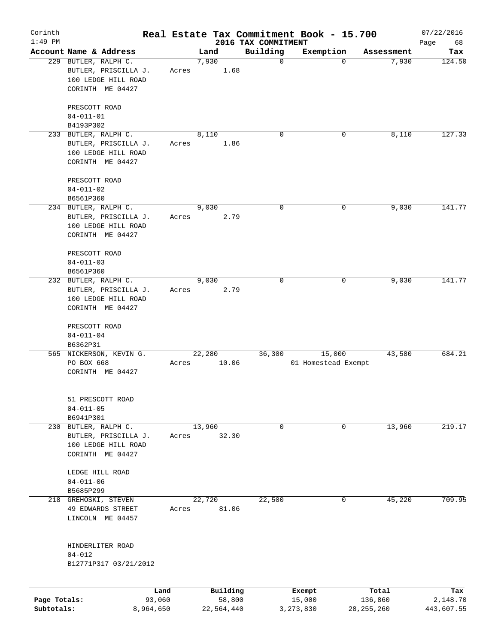| Corinth<br>$1:49$ PM |                                  |                |       |        |                    |                                 | Real Estate Tax Commitment Book - 15.700 |             |                  | 07/22/2016        |
|----------------------|----------------------------------|----------------|-------|--------|--------------------|---------------------------------|------------------------------------------|-------------|------------------|-------------------|
|                      | Account Name & Address           |                |       | Land   |                    | 2016 TAX COMMITMENT<br>Building | Exemption                                |             | Assessment       | Page<br>68<br>Tax |
|                      | 229 BUTLER, RALPH C.             |                |       | 7,930  |                    | $\mathbf 0$                     |                                          | 0           | 7,930            | 124.50            |
|                      | BUTLER, PRISCILLA J.             |                | Acres |        | 1.68               |                                 |                                          |             |                  |                   |
|                      | 100 LEDGE HILL ROAD              |                |       |        |                    |                                 |                                          |             |                  |                   |
|                      | CORINTH ME 04427                 |                |       |        |                    |                                 |                                          |             |                  |                   |
|                      |                                  |                |       |        |                    |                                 |                                          |             |                  |                   |
|                      | PRESCOTT ROAD<br>$04 - 011 - 01$ |                |       |        |                    |                                 |                                          |             |                  |                   |
|                      |                                  |                |       |        |                    |                                 |                                          |             |                  |                   |
|                      | B4193P302                        |                |       |        |                    |                                 |                                          |             |                  |                   |
|                      | 233 BUTLER, RALPH C.             |                |       | 8,110  |                    | $\Omega$                        |                                          | 0           | 8,110            | 127.33            |
|                      | BUTLER, PRISCILLA J.             |                | Acres |        | 1.86               |                                 |                                          |             |                  |                   |
|                      | 100 LEDGE HILL ROAD              |                |       |        |                    |                                 |                                          |             |                  |                   |
|                      | CORINTH ME 04427                 |                |       |        |                    |                                 |                                          |             |                  |                   |
|                      | PRESCOTT ROAD                    |                |       |        |                    |                                 |                                          |             |                  |                   |
|                      | $04 - 011 - 02$                  |                |       |        |                    |                                 |                                          |             |                  |                   |
|                      | B6561P360                        |                |       |        |                    |                                 |                                          |             |                  |                   |
|                      | 234 BUTLER, RALPH C.             |                |       | 9,030  |                    | 0                               |                                          | 0           | 9,030            | 141.77            |
|                      | BUTLER, PRISCILLA J.             |                | Acres |        | 2.79               |                                 |                                          |             |                  |                   |
|                      | 100 LEDGE HILL ROAD              |                |       |        |                    |                                 |                                          |             |                  |                   |
|                      | CORINTH ME 04427                 |                |       |        |                    |                                 |                                          |             |                  |                   |
|                      |                                  |                |       |        |                    |                                 |                                          |             |                  |                   |
|                      | PRESCOTT ROAD                    |                |       |        |                    |                                 |                                          |             |                  |                   |
|                      | $04 - 011 - 03$                  |                |       |        |                    |                                 |                                          |             |                  |                   |
|                      | B6561P360                        |                |       |        |                    |                                 |                                          |             |                  |                   |
|                      | 232 BUTLER, RALPH C.             |                |       | 9,030  |                    | $\mathbf 0$                     |                                          | $\mathbf 0$ | 9,030            | 141.77            |
|                      | BUTLER, PRISCILLA J.             |                | Acres |        | 2.79               |                                 |                                          |             |                  |                   |
|                      | 100 LEDGE HILL ROAD              |                |       |        |                    |                                 |                                          |             |                  |                   |
|                      | CORINTH ME 04427                 |                |       |        |                    |                                 |                                          |             |                  |                   |
|                      |                                  |                |       |        |                    |                                 |                                          |             |                  |                   |
|                      | PRESCOTT ROAD                    |                |       |        |                    |                                 |                                          |             |                  |                   |
|                      | $04 - 011 - 04$                  |                |       |        |                    |                                 |                                          |             |                  |                   |
|                      | B6362P31                         |                |       |        |                    |                                 |                                          |             |                  |                   |
|                      | 565 NICKERSON, KEVIN G.          |                |       | 22,280 |                    | 36,300                          | 15,000                                   |             | 43,580           | 684.21            |
|                      | PO BOX 668                       |                | Acres |        | 10.06              |                                 | 01 Homestead Exempt                      |             |                  |                   |
|                      | CORINTH ME 04427                 |                |       |        |                    |                                 |                                          |             |                  |                   |
|                      |                                  |                |       |        |                    |                                 |                                          |             |                  |                   |
|                      |                                  |                |       |        |                    |                                 |                                          |             |                  |                   |
|                      | 51 PRESCOTT ROAD                 |                |       |        |                    |                                 |                                          |             |                  |                   |
|                      | $04 - 011 - 05$                  |                |       |        |                    |                                 |                                          |             |                  |                   |
|                      | B6941P301                        |                |       |        |                    |                                 |                                          |             |                  |                   |
|                      | 230 BUTLER, RALPH C.             |                |       | 13,960 |                    | 0                               |                                          | 0           | 13,960           | 219.17            |
|                      | BUTLER, PRISCILLA J.             |                | Acres |        | 32.30              |                                 |                                          |             |                  |                   |
|                      | 100 LEDGE HILL ROAD              |                |       |        |                    |                                 |                                          |             |                  |                   |
|                      | CORINTH ME 04427                 |                |       |        |                    |                                 |                                          |             |                  |                   |
|                      | LEDGE HILL ROAD                  |                |       |        |                    |                                 |                                          |             |                  |                   |
|                      | $04 - 011 - 06$                  |                |       |        |                    |                                 |                                          |             |                  |                   |
|                      | B5685P299                        |                |       |        |                    |                                 |                                          |             |                  |                   |
|                      | 218 GREHOSKI, STEVEN             |                |       | 22,720 |                    | 22,500                          |                                          | 0           | 45,220           | 709.95            |
|                      | 49 EDWARDS STREET                |                |       |        | 81.06              |                                 |                                          |             |                  |                   |
|                      |                                  |                | Acres |        |                    |                                 |                                          |             |                  |                   |
|                      | LINCOLN ME 04457                 |                |       |        |                    |                                 |                                          |             |                  |                   |
|                      |                                  |                |       |        |                    |                                 |                                          |             |                  |                   |
|                      | HINDERLITER ROAD                 |                |       |        |                    |                                 |                                          |             |                  |                   |
|                      | $04 - 012$                       |                |       |        |                    |                                 |                                          |             |                  |                   |
|                      | B12771P317 03/21/2012            |                |       |        |                    |                                 |                                          |             |                  |                   |
|                      |                                  |                |       |        |                    |                                 |                                          |             |                  |                   |
| Page Totals:         |                                  | Land<br>93,060 |       |        | Building<br>58,800 |                                 | Exempt<br>15,000                         |             | Total<br>136,860 | Tax<br>2,148.70   |
|                      |                                  |                |       |        |                    |                                 |                                          |             |                  |                   |

**Subtotals:** 8,964,650 22,564,440 3,273,830 28,255,260 443,607.55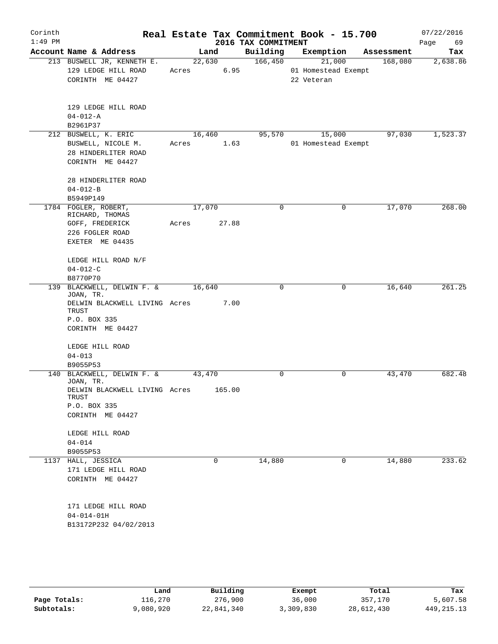| Corinth<br>$1:49$ PM |                                                                          |        |                | Real Estate Tax Commitment Book - 15.700<br>2016 TAX COMMITMENT |                                             |             |            | 07/22/2016<br>69<br>Page |
|----------------------|--------------------------------------------------------------------------|--------|----------------|-----------------------------------------------------------------|---------------------------------------------|-------------|------------|--------------------------|
|                      | Account Name & Address                                                   |        | Land           | Building                                                        | Exemption                                   |             | Assessment | Tax                      |
|                      | 213 BUSWELL JR, KENNETH E.<br>129 LEDGE HILL ROAD<br>CORINTH ME 04427    | Acres  | 22,630<br>6.95 | 166,450                                                         | 21,000<br>01 Homestead Exempt<br>22 Veteran |             | 168,080    | 2,638.86                 |
|                      | 129 LEDGE HILL ROAD<br>$04 - 012 - A$                                    |        |                |                                                                 |                                             |             |            |                          |
|                      | B2961P37<br>212 BUSWELL, K. ERIC                                         | 16,460 |                | 95,570                                                          | 15,000                                      |             | 97,030     | 1,523.37                 |
|                      | BUSWELL, NICOLE M.<br>28 HINDERLITER ROAD<br>CORINTH ME 04427            | Acres  | 1.63           |                                                                 | 01 Homestead Exempt                         |             |            |                          |
|                      | 28 HINDERLITER ROAD<br>$04 - 012 - B$                                    |        |                |                                                                 |                                             |             |            |                          |
|                      | B5949P149                                                                |        |                |                                                                 |                                             |             |            |                          |
|                      | 1784 FOGLER, ROBERT,<br>RICHARD, THOMAS                                  | 17,070 |                | 0                                                               |                                             | 0           | 17,070     | 268.00                   |
|                      | GOFF, FREDERICK<br>226 FOGLER ROAD<br>EXETER ME 04435                    | Acres  | 27.88          |                                                                 |                                             |             |            |                          |
|                      | LEDGE HILL ROAD N/F                                                      |        |                |                                                                 |                                             |             |            |                          |
|                      | $04 - 012 - C$<br>B8770P70                                               |        |                |                                                                 |                                             |             |            |                          |
|                      | 139 BLACKWELL, DELWIN F. &<br>JOAN, TR.                                  | 16,640 |                | $\Omega$                                                        |                                             | 0           | 16,640     | 261.25                   |
|                      | DELWIN BLACKWELL LIVING Acres<br>TRUST<br>P.O. BOX 335                   |        | 7.00           |                                                                 |                                             |             |            |                          |
|                      | CORINTH ME 04427                                                         |        |                |                                                                 |                                             |             |            |                          |
|                      | LEDGE HILL ROAD                                                          |        |                |                                                                 |                                             |             |            |                          |
|                      | $04 - 013$                                                               |        |                |                                                                 |                                             |             |            |                          |
|                      | B9055P53                                                                 |        |                |                                                                 |                                             |             |            |                          |
|                      | 140 BLACKWELL, DELWIN F. &<br>JOAN, TR.<br>DELWIN BLACKWELL LIVING Acres | 43,470 | 165.00         | 0                                                               |                                             | $\mathbf 0$ | 43,470     | 682.48                   |
|                      | TRUST<br>P.O. BOX 335                                                    |        |                |                                                                 |                                             |             |            |                          |
|                      | CORINTH ME 04427                                                         |        |                |                                                                 |                                             |             |            |                          |
|                      | LEDGE HILL ROAD                                                          |        |                |                                                                 |                                             |             |            |                          |
|                      | $04 - 014$<br>B9055P53                                                   |        |                |                                                                 |                                             |             |            |                          |
| 1137                 | HALL, JESSICA                                                            |        | 0              | 14,880                                                          |                                             | 0           | 14,880     | 233.62                   |
|                      | 171 LEDGE HILL ROAD<br>CORINTH ME 04427                                  |        |                |                                                                 |                                             |             |            |                          |
|                      | 171 LEDGE HILL ROAD                                                      |        |                |                                                                 |                                             |             |            |                          |
|                      | $04 - 014 - 01H$                                                         |        |                |                                                                 |                                             |             |            |                          |
|                      | B13172P232 04/02/2013                                                    |        |                |                                                                 |                                             |             |            |                          |
|                      |                                                                          |        |                |                                                                 |                                             |             |            |                          |
|                      |                                                                          |        |                |                                                                 |                                             |             |            |                          |

|              | Land      | Building   | Exempt    | Total      | Tax          |
|--------------|-----------|------------|-----------|------------|--------------|
| Page Totals: | 116,270   | 276,900    | 36,000    | 357,170    | 5,607.58     |
| Subtotals:   | 9,080,920 | 22,841,340 | 3,309,830 | 28,612,430 | 449, 215. 13 |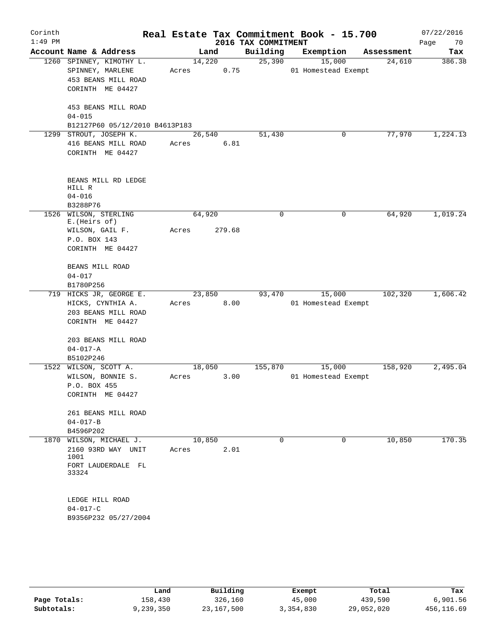|                                                                                         |                                                                                                                                                                     |                                         | 2016 TAX COMMITMENT                                                        | Real Estate Tax Commitment Book - 15.700 |             | 07/22/2016<br>Page<br>70                                                                         |
|-----------------------------------------------------------------------------------------|---------------------------------------------------------------------------------------------------------------------------------------------------------------------|-----------------------------------------|----------------------------------------------------------------------------|------------------------------------------|-------------|--------------------------------------------------------------------------------------------------|
| Account Name & Address                                                                  |                                                                                                                                                                     |                                         | Building                                                                   | Exemption                                | Assessment  | Tax                                                                                              |
| 1260 SPINNEY, KIMOTHY L.<br>SPINNEY, MARLENE<br>453 BEANS MILL ROAD<br>CORINTH ME 04427 | Acres                                                                                                                                                               | 0.75                                    | 25,390                                                                     | 15,000                                   | 24,610      | 386.38                                                                                           |
| 453 BEANS MILL ROAD<br>$04 - 015$                                                       |                                                                                                                                                                     |                                         |                                                                            |                                          |             |                                                                                                  |
|                                                                                         |                                                                                                                                                                     |                                         |                                                                            |                                          |             | 1,224.13                                                                                         |
| 416 BEANS MILL ROAD<br>CORINTH ME 04427                                                 | Acres                                                                                                                                                               | 6.81                                    |                                                                            |                                          |             |                                                                                                  |
| BEANS MILL RD LEDGE<br>HILL R<br>$04 - 016$<br>B3288P76                                 |                                                                                                                                                                     |                                         |                                                                            |                                          |             |                                                                                                  |
| 1526 WILSON, STERLING                                                                   |                                                                                                                                                                     |                                         | 0                                                                          | 0                                        | 64,920      | 1,019.24                                                                                         |
|                                                                                         |                                                                                                                                                                     |                                         |                                                                            |                                          |             |                                                                                                  |
|                                                                                         |                                                                                                                                                                     |                                         |                                                                            |                                          |             |                                                                                                  |
| CORINTH ME 04427                                                                        |                                                                                                                                                                     |                                         |                                                                            |                                          |             |                                                                                                  |
| BEANS MILL ROAD                                                                         |                                                                                                                                                                     |                                         |                                                                            |                                          |             |                                                                                                  |
|                                                                                         |                                                                                                                                                                     |                                         |                                                                            |                                          |             |                                                                                                  |
|                                                                                         |                                                                                                                                                                     |                                         |                                                                            |                                          |             | 1,606.42                                                                                         |
| HICKS, CYNTHIA A.<br>203 BEANS MILL ROAD<br>CORINTH ME 04427                            | Acres                                                                                                                                                               | 8.00                                    |                                                                            |                                          |             |                                                                                                  |
| 203 BEANS MILL ROAD<br>$04 - 017 - A$                                                   |                                                                                                                                                                     |                                         |                                                                            |                                          |             |                                                                                                  |
| B5102P246                                                                               |                                                                                                                                                                     |                                         |                                                                            |                                          |             |                                                                                                  |
| 1522 WILSON, SCOTT A.                                                                   |                                                                                                                                                                     |                                         | 155,870                                                                    | 15,000                                   | 158,920     | 2,495.04                                                                                         |
| WILSON, BONNIE S.<br>P.O. BOX 455<br>CORINTH ME 04427                                   | Acres                                                                                                                                                               | 3.00                                    |                                                                            |                                          |             |                                                                                                  |
| 261 BEANS MILL ROAD<br>$04 - 017 - B$                                                   |                                                                                                                                                                     |                                         |                                                                            |                                          |             |                                                                                                  |
|                                                                                         |                                                                                                                                                                     |                                         | $\Omega$                                                                   | $\Omega$                                 |             | 170.35                                                                                           |
| 2160 93RD WAY UNIT<br>1001                                                              | Acres                                                                                                                                                               | 2.01                                    |                                                                            |                                          |             |                                                                                                  |
| FORT LAUDERDALE FL<br>33324                                                             |                                                                                                                                                                     |                                         |                                                                            |                                          |             |                                                                                                  |
| LEDGE HILL ROAD<br>$04 - 017 - C$                                                       |                                                                                                                                                                     |                                         |                                                                            |                                          |             |                                                                                                  |
|                                                                                         | STROUT, JOSEPH K.<br>E. (Heirs of)<br>WILSON, GAIL F.<br>P.O. BOX 143<br>$04 - 017$<br>B1780P256<br>719 HICKS JR, GEORGE E.<br>B4596P202<br>1870 WILSON, MICHAEL J. | B12127P60 05/12/2010 B4613P183<br>Acres | Land<br>14,220<br>26,540<br>64,920<br>279.68<br>23,850<br>18,050<br>10,850 | 51,430<br>93,470                         | 0<br>15,000 | 01 Homestead Exempt<br>77,970<br>102,320<br>01 Homestead Exempt<br>01 Homestead Exempt<br>10,850 |

|              | Land      | Building   | Exempt    | Total      | Tax        |
|--------------|-----------|------------|-----------|------------|------------|
| Page Totals: | 158,430   | 326,160    | 45,000    | 439,590    | 6,901.56   |
| Subtotals:   | 9,239,350 | 23,167,500 | 3,354,830 | 29,052,020 | 456,116.69 |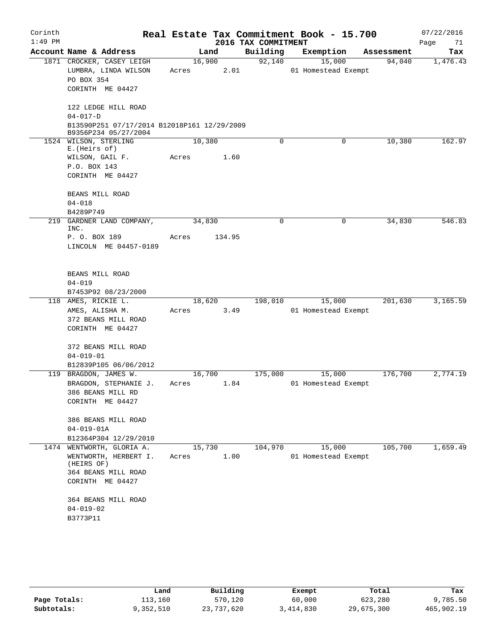| Corinth<br>$1:49$ PM |                                                                                                                                                                   |                 |        | 2016 TAX COMMITMENT | Real Estate Tax Commitment Book - 15.700 |            | 07/22/2016<br>Page<br>71 |
|----------------------|-------------------------------------------------------------------------------------------------------------------------------------------------------------------|-----------------|--------|---------------------|------------------------------------------|------------|--------------------------|
|                      | Account Name & Address                                                                                                                                            |                 | Land   | Building            | Exemption                                | Assessment | Tax                      |
|                      | 1871 CROCKER, CASEY LEIGH<br>LUMBRA, LINDA WILSON<br>PO BOX 354<br>CORINTH ME 04427                                                                               | 16,900<br>Acres | 2.01   | 92,140              | 15,000<br>01 Homestead Exempt            | 94,040     | 1,476.43                 |
|                      | 122 LEDGE HILL ROAD<br>$04 - 017 - D$<br>B13590P251 07/17/2014 B12018P161 12/29/2009<br>B9356P234 05/27/2004                                                      |                 |        |                     |                                          |            |                          |
|                      | 1524 WILSON, STERLING<br>E. (Heirs of)<br>WILSON, GAIL F.<br>P.O. BOX 143<br>CORINTH ME 04427<br>BEANS MILL ROAD                                                  | 10,380<br>Acres | 1.60   | 0                   | 0                                        | 10,380     | 162.97                   |
|                      | $04 - 018$<br>B4289P749                                                                                                                                           |                 |        |                     |                                          |            |                          |
| 219                  | GARDNER LAND COMPANY,<br>INC.<br>P. O. BOX 189<br>LINCOLN ME 04457-0189                                                                                           | 34,830<br>Acres | 134.95 | $\Omega$            | $\mathbf 0$                              | 34,830     | 546.83                   |
|                      | BEANS MILL ROAD<br>$04 - 019$<br>B7453P92 08/23/2000                                                                                                              |                 |        |                     |                                          |            |                          |
|                      | 118 AMES, RICKIE L.<br>AMES, ALISHA M.<br>372 BEANS MILL ROAD<br>CORINTH ME 04427                                                                                 | 18,620<br>Acres | 3.49   | 198,010             | 15,000<br>01 Homestead Exempt            | 201,630    | 3,165.59                 |
|                      | 372 BEANS MILL ROAD<br>$04 - 019 - 01$<br>B12839P105 06/06/2012                                                                                                   |                 |        |                     |                                          |            |                          |
|                      | 119 BRAGDON, JAMES W.<br>BRAGDON, STEPHANIE J.<br>386 BEANS MILL RD<br>CORINTH ME 04427                                                                           | 16,700<br>Acres | 1.84   | 175,000             | 15,000<br>01 Homestead Exempt            | 176,700    | 2,774.19                 |
|                      | 386 BEANS MILL ROAD<br>$04 - 019 - 01A$<br>B12364P304 12/29/2010                                                                                                  |                 |        |                     |                                          |            |                          |
|                      | 1474 WENTWORTH, GLORIA A.<br>WENTWORTH, HERBERT I.<br>(HEIRS OF)<br>364 BEANS MILL ROAD<br>CORINTH ME 04427<br>364 BEANS MILL ROAD<br>$04 - 019 - 02$<br>B3773P11 | 15,730<br>Acres | 1.00   | 104,970             | 15,000<br>01 Homestead Exempt            | 105,700    | 1,659.49                 |

|              | Land      | Building   | Exempt    | Total      | Tax        |
|--------------|-----------|------------|-----------|------------|------------|
| Page Totals: | 113,160   | 570,120    | 60,000    | 623,280    | 9,785.50   |
| Subtotals:   | 9,352,510 | 23,737,620 | 3,414,830 | 29,675,300 | 465,902.19 |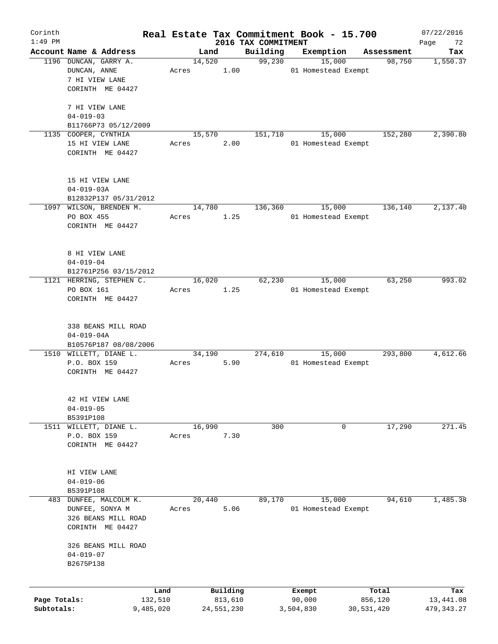| Corinth<br>$1:49$ PM       |                                                                                  |       |                       |                                 | Real Estate Tax Commitment Book - 15.700 |                       | 07/22/2016               |
|----------------------------|----------------------------------------------------------------------------------|-------|-----------------------|---------------------------------|------------------------------------------|-----------------------|--------------------------|
|                            | Account Name & Address                                                           |       | Land                  | 2016 TAX COMMITMENT<br>Building | Exemption                                | Assessment            | Page<br>72<br>Tax        |
|                            | 1196 DUNCAN, GARRY A.<br>DUNCAN, ANNE<br>7 HI VIEW LANE<br>CORINTH ME 04427      | Acres | 14,520                | 99,230<br>1.00                  | 15,000<br>01 Homestead Exempt            | 98,750                | 1,550.37                 |
|                            | 7 HI VIEW LANE<br>$04 - 019 - 03$<br>B11766P73 05/12/2009                        |       |                       |                                 |                                          |                       |                          |
|                            | 1135 COOPER, CYNTHIA<br>15 HI VIEW LANE<br>CORINTH ME 04427                      | Acres | 15,570                | 151,710<br>2.00                 | 15,000<br>01 Homestead Exempt            | 152,280               | 2,390.80                 |
|                            | 15 HI VIEW LANE<br>$04 - 019 - 03A$<br>B12832P137 05/31/2012                     |       |                       |                                 |                                          |                       |                          |
|                            | 1097 WILSON, BRENDEN M.<br>PO BOX 455<br>CORINTH ME 04427                        | Acres | 14,780                | 136,360<br>1.25                 | 15,000<br>01 Homestead Exempt            | 136,140               | 2,137.40                 |
|                            | 8 HI VIEW LANE<br>$04 - 019 - 04$<br>B12761P256 03/15/2012                       |       |                       |                                 |                                          |                       |                          |
|                            | 1121 HERRING, STEPHEN C.<br>PO BOX 161<br>CORINTH ME 04427                       | Acres | 16,020                | 62,230<br>1.25                  | 15,000<br>01 Homestead Exempt            | 63,250                | 993.02                   |
|                            | 338 BEANS MILL ROAD<br>$04 - 019 - 04A$<br>B10576P187 08/08/2006                 |       |                       |                                 |                                          |                       |                          |
|                            | 1510 WILLETT, DIANE L.<br>P.O. BOX 159<br>CORINTH ME 04427                       | Acres | 34,190                | 274,610<br>5.90                 | 15,000<br>01 Homestead Exempt            | 293,800               | 4,612.66                 |
|                            | 42 HI VIEW LANE<br>$04 - 019 - 05$<br>B5391P108                                  |       |                       |                                 |                                          |                       |                          |
| 1511                       | WILLETT, DIANE L.<br>P.O. BOX 159<br>CORINTH ME 04427                            | Acres | 16,990                | 300<br>7.30                     | 0                                        | 17,290                | 271.45                   |
|                            | HI VIEW LANE<br>$04 - 019 - 06$<br>B5391P108                                     |       |                       |                                 |                                          |                       |                          |
| 483                        | DUNFEE, MALCOLM K.<br>DUNFEE, SONYA M<br>326 BEANS MILL ROAD<br>CORINTH ME 04427 | Acres | 20,440                | 89,170<br>5.06                  | 15,000<br>01 Homestead Exempt            | 94,610                | 1,485.38                 |
|                            | 326 BEANS MILL ROAD<br>$04 - 019 - 07$<br>B2675P138                              |       |                       |                                 |                                          |                       |                          |
|                            |                                                                                  | Land  | Building              |                                 | Exempt                                   | Total                 | Tax                      |
| Page Totals:<br>Subtotals: | 132,510<br>9,485,020                                                             |       | 813,610<br>24,551,230 |                                 | 90,000<br>3,504,830                      | 856,120<br>30,531,420 | 13,441.08<br>479, 343.27 |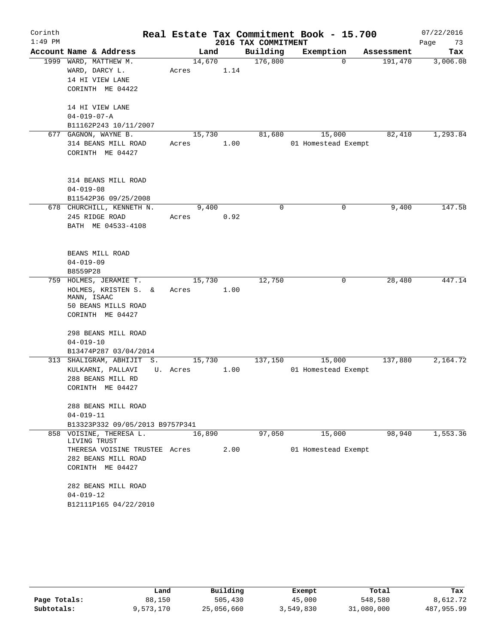| Corinth   |                 |                                         |          |        |      |                     | Real Estate Tax Commitment Book - 15.700 |          |            | 07/22/2016 |
|-----------|-----------------|-----------------------------------------|----------|--------|------|---------------------|------------------------------------------|----------|------------|------------|
| $1:49$ PM |                 |                                         |          |        |      | 2016 TAX COMMITMENT |                                          |          |            | Page<br>73 |
|           |                 | Account Name & Address                  |          | Land   |      | Building            | Exemption                                |          | Assessment | Tax        |
|           |                 | 1999 WARD, MATTHEW M.                   |          | 14,670 |      | 176,800             |                                          | $\Omega$ | 191,470    | 3,006.08   |
|           |                 | WARD, DARCY L.                          | Acres    |        | 1.14 |                     |                                          |          |            |            |
|           |                 | 14 HI VIEW LANE                         |          |        |      |                     |                                          |          |            |            |
|           |                 | CORINTH ME 04422                        |          |        |      |                     |                                          |          |            |            |
|           |                 | 14 HI VIEW LANE                         |          |        |      |                     |                                          |          |            |            |
|           |                 | $04 - 019 - 07 - A$                     |          |        |      |                     |                                          |          |            |            |
|           |                 | B11162P243 10/11/2007                   |          |        |      |                     |                                          |          |            |            |
|           |                 | 677 GAGNON, WAYNE B.                    |          | 15,730 |      | 81,680              | 15,000                                   |          | 82,410     | 1,293.84   |
|           |                 | 314 BEANS MILL ROAD                     | Acres    |        | 1.00 |                     | 01 Homestead Exempt                      |          |            |            |
|           |                 | CORINTH ME 04427                        |          |        |      |                     |                                          |          |            |            |
|           |                 |                                         |          |        |      |                     |                                          |          |            |            |
|           |                 |                                         |          |        |      |                     |                                          |          |            |            |
|           |                 | 314 BEANS MILL ROAD                     |          |        |      |                     |                                          |          |            |            |
|           | $04 - 019 - 08$ |                                         |          |        |      |                     |                                          |          |            |            |
|           |                 | B11542P36 09/25/2008                    |          |        |      |                     |                                          |          |            |            |
|           |                 | 678 CHURCHILL, KENNETH N.               |          | 9,400  |      | 0                   |                                          | 0        | 9,400      | 147.58     |
|           |                 | 245 RIDGE ROAD                          | Acres    |        | 0.92 |                     |                                          |          |            |            |
|           |                 | BATH ME 04533-4108                      |          |        |      |                     |                                          |          |            |            |
|           |                 |                                         |          |        |      |                     |                                          |          |            |            |
|           |                 | BEANS MILL ROAD                         |          |        |      |                     |                                          |          |            |            |
|           | $04 - 019 - 09$ |                                         |          |        |      |                     |                                          |          |            |            |
|           | B8559P28        |                                         |          |        |      |                     |                                          |          |            |            |
| 759       |                 | HOLMES, JERAMIE T.                      |          | 15,730 |      | 12,750              |                                          | 0        | 28,480     | 447.14     |
|           |                 | HOLMES, KRISTEN S. &                    | Acres    |        | 1.00 |                     |                                          |          |            |            |
|           |                 | MANN, ISAAC                             |          |        |      |                     |                                          |          |            |            |
|           |                 | 50 BEANS MILLS ROAD                     |          |        |      |                     |                                          |          |            |            |
|           |                 | CORINTH ME 04427                        |          |        |      |                     |                                          |          |            |            |
|           |                 | 298 BEANS MILL ROAD                     |          |        |      |                     |                                          |          |            |            |
|           | $04 - 019 - 10$ |                                         |          |        |      |                     |                                          |          |            |            |
|           |                 | B13474P287 03/04/2014                   |          |        |      |                     |                                          |          |            |            |
|           |                 | 313 SHALIGRAM, ABHIJIT S.               |          | 15,730 |      | 137,150             | 15,000                                   |          | 137,880    | 2,164.72   |
|           |                 | KULKARNI, PALLAVI                       | U. Acres |        | 1.00 |                     | 01 Homestead Exempt                      |          |            |            |
|           |                 | 288 BEANS MILL RD                       |          |        |      |                     |                                          |          |            |            |
|           |                 | CORINTH ME 04427                        |          |        |      |                     |                                          |          |            |            |
|           |                 |                                         |          |        |      |                     |                                          |          |            |            |
|           |                 | 288 BEANS MILL ROAD                     |          |        |      |                     |                                          |          |            |            |
|           | $04 - 019 - 11$ |                                         |          |        |      |                     |                                          |          |            |            |
|           |                 | B13323P332 09/05/2013 B9757P341         |          |        |      |                     |                                          |          |            |            |
|           |                 | 858 VOISINE, THERESA L.<br>LIVING TRUST |          | 16,890 |      | 97,050              | 15,000                                   |          | 98,940     | 1,553.36   |
|           |                 | THERESA VOISINE TRUSTEE Acres           |          |        | 2.00 |                     | 01 Homestead Exempt                      |          |            |            |
|           |                 | 282 BEANS MILL ROAD                     |          |        |      |                     |                                          |          |            |            |
|           |                 | CORINTH ME 04427                        |          |        |      |                     |                                          |          |            |            |
|           |                 |                                         |          |        |      |                     |                                          |          |            |            |
|           |                 | 282 BEANS MILL ROAD                     |          |        |      |                     |                                          |          |            |            |
|           | $04 - 019 - 12$ |                                         |          |        |      |                     |                                          |          |            |            |
|           |                 | B12111P165 04/22/2010                   |          |        |      |                     |                                          |          |            |            |

|              | Land      | Building   | Exempt    | Total      | Tax        |
|--------------|-----------|------------|-----------|------------|------------|
| Page Totals: | 88,150    | 505,430    | 45,000    | 548,580    | 8,612.72   |
| Subtotals:   | 9,573,170 | 25,056,660 | 3,549,830 | 31,080,000 | 487,955.99 |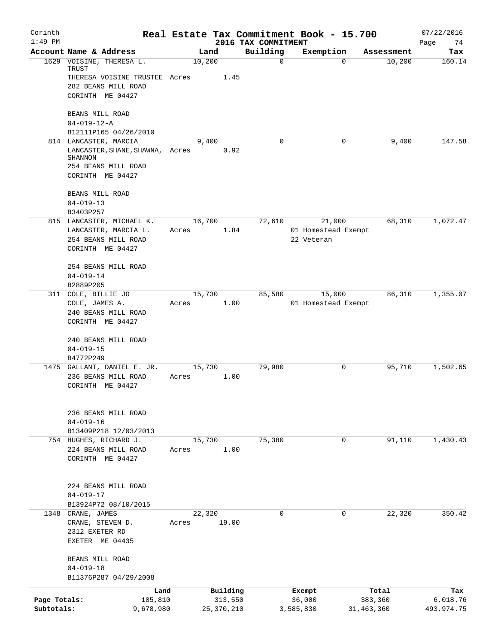| Corinth<br>$1:49$ PM       |                                                                                                                |       |                         | 2016 TAX COMMITMENT | Real Estate Tax Commitment Book - 15.700    |                         | 07/22/2016<br>Page<br>74 |
|----------------------------|----------------------------------------------------------------------------------------------------------------|-------|-------------------------|---------------------|---------------------------------------------|-------------------------|--------------------------|
|                            | Account Name & Address                                                                                         |       | Land                    | Building            | Exemption                                   | Assessment              | Tax                      |
|                            | 1629 VOISINE, THERESA L.<br>TRUST<br>THERESA VOISINE TRUSTEE Acres<br>282 BEANS MILL ROAD                      |       | 10,200<br>1.45          | $\mathbf 0$         |                                             | 10,200<br>$\Omega$      | 160.14                   |
|                            | CORINTH ME 04427<br>BEANS MILL ROAD                                                                            |       |                         |                     |                                             |                         |                          |
|                            | $04 - 019 - 12 - A$                                                                                            |       |                         |                     |                                             |                         |                          |
|                            | B12111P165 04/26/2010                                                                                          |       |                         |                     |                                             |                         |                          |
|                            | 814 LANCASTER, MARCIA<br>LANCASTER, SHANE, SHAWNA, Acres<br>SHANNON<br>254 BEANS MILL ROAD<br>CORINTH ME 04427 |       | 9,400<br>0.92           | $\Omega$            |                                             | 0<br>9,400              | 147.58                   |
|                            | BEANS MILL ROAD<br>$04 - 019 - 13$                                                                             |       |                         |                     |                                             |                         |                          |
|                            | B3403P257                                                                                                      |       |                         |                     |                                             |                         |                          |
|                            | 815 LANCASTER, MICHAEL K.<br>LANCASTER, MARCIA L.<br>254 BEANS MILL ROAD<br>CORINTH ME 04427                   | Acres | 16,700                  | 72,610<br>1.84      | 21,000<br>01 Homestead Exempt<br>22 Veteran | 68,310                  | 1,072.47                 |
|                            | 254 BEANS MILL ROAD<br>$04 - 019 - 14$<br>B2889P205                                                            |       |                         |                     |                                             |                         |                          |
|                            | 311 COLE, BILLIE JO                                                                                            |       | 15,730                  | 85,580              | 15,000                                      | 86,310                  | 1,355.07                 |
|                            | COLE, JAMES A.<br>240 BEANS MILL ROAD<br>CORINTH ME 04427                                                      | Acres | 1.00                    |                     | 01 Homestead Exempt                         |                         |                          |
|                            | 240 BEANS MILL ROAD<br>$04 - 019 - 15$<br>B4772P249                                                            |       |                         |                     |                                             |                         |                          |
|                            | 1475 GALLANT, DANIEL E. JR.<br>236 BEANS MILL ROAD<br>CORINTH ME 04427                                         | Acres | 15,730<br>1.00          | 79,980              |                                             | 95,710<br>0             | 1,502.65                 |
|                            | 236 BEANS MILL ROAD<br>$04 - 019 - 16$<br>B13409P218 12/03/2013                                                |       |                         |                     |                                             |                         |                          |
|                            | 754 HUGHES, RICHARD J.                                                                                         |       | 15,730                  | 75,380              |                                             | 91,110<br>$\mathbf 0$   | 1,430.43                 |
|                            | 224 BEANS MILL ROAD<br>CORINTH ME 04427                                                                        | Acres | 1.00                    |                     |                                             |                         |                          |
|                            | 224 BEANS MILL ROAD<br>$04 - 019 - 17$                                                                         |       |                         |                     |                                             |                         |                          |
|                            | B13924P72 08/10/2015<br>1348 CRANE, JAMES                                                                      |       | 22,320                  | 0                   |                                             | 22,320<br>0             | 350.42                   |
|                            | CRANE, STEVEN D.<br>2312 EXETER RD<br>EXETER ME 04435                                                          | Acres | 19.00                   |                     |                                             |                         |                          |
|                            | BEANS MILL ROAD<br>$04 - 019 - 18$<br>B11376P287 04/29/2008                                                    |       |                         |                     |                                             |                         |                          |
|                            | Land                                                                                                           |       | Building                |                     | Exempt                                      | Total                   | Tax                      |
| Page Totals:<br>Subtotals: | 105,810<br>9,678,980                                                                                           |       | 313,550<br>25, 370, 210 |                     | 36,000<br>3,585,830                         | 383,360<br>31, 463, 360 | 6,018.76<br>493,974.75   |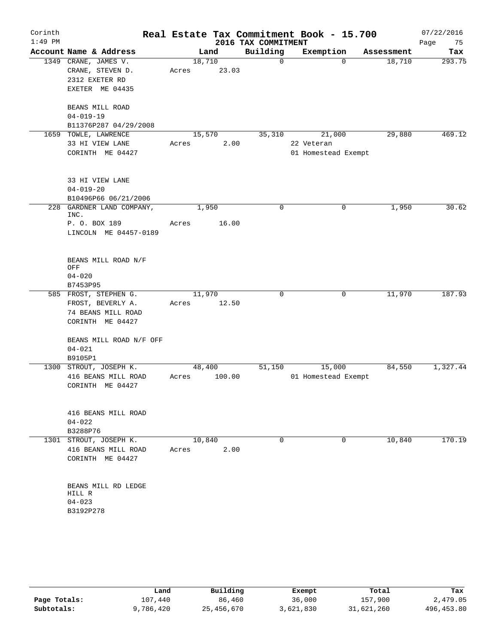| Corinth   |                                               |                 |        |                     | Real Estate Tax Commitment Book - 15.700 |                    | 07/22/2016 |
|-----------|-----------------------------------------------|-----------------|--------|---------------------|------------------------------------------|--------------------|------------|
| $1:49$ PM |                                               |                 |        | 2016 TAX COMMITMENT |                                          |                    | Page<br>75 |
|           | Account Name & Address                        |                 | Land   | Building            | Exemption                                | Assessment         | Tax        |
|           | 1349 CRANE, JAMES V.<br>CRANE, STEVEN D.      | 18,710<br>Acres | 23.03  | 0                   |                                          | 18,710<br>$\Omega$ | 293.75     |
|           | 2312 EXETER RD<br>EXETER ME 04435             |                 |        |                     |                                          |                    |            |
|           | BEANS MILL ROAD<br>$04 - 019 - 19$            |                 |        |                     |                                          |                    |            |
|           | B11376P287 04/29/2008                         |                 |        |                     |                                          |                    |            |
|           | 1659 TOWLE, LAWRENCE                          | 15,570          |        | 35,310              | 21,000                                   | 29,880             | 469.12     |
|           | 33 HI VIEW LANE                               | Acres           | 2.00   |                     | 22 Veteran                               |                    |            |
|           | CORINTH ME 04427                              |                 |        |                     | 01 Homestead Exempt                      |                    |            |
|           | 33 HI VIEW LANE                               |                 |        |                     |                                          |                    |            |
|           | $04 - 019 - 20$<br>B10496P66 06/21/2006       |                 |        |                     |                                          |                    |            |
| 228       | GARDNER LAND COMPANY,<br>INC.                 |                 | 1,950  | 0                   |                                          | 1,950<br>0         | 30.62      |
|           | P. O. BOX 189<br>LINCOLN ME 04457-0189        | Acres           | 16.00  |                     |                                          |                    |            |
|           | BEANS MILL ROAD N/F<br>OFF                    |                 |        |                     |                                          |                    |            |
|           | $04 - 020$                                    |                 |        |                     |                                          |                    |            |
|           | B7453P95                                      |                 |        |                     |                                          |                    |            |
|           | 585 FROST, STEPHEN G.                         | 11,970          |        | 0                   |                                          | 11,970<br>0        | 187.93     |
|           | FROST, BEVERLY A.                             | Acres           | 12.50  |                     |                                          |                    |            |
|           | 74 BEANS MILL ROAD                            |                 |        |                     |                                          |                    |            |
|           | CORINTH ME 04427                              |                 |        |                     |                                          |                    |            |
|           | BEANS MILL ROAD N/F OFF<br>$04 - 021$         |                 |        |                     |                                          |                    |            |
|           | B9105P1                                       |                 |        |                     |                                          |                    |            |
|           | 1300 STROUT, JOSEPH K.                        | 48,400          |        | 51,150              | 15,000                                   | 84,550             | 1,327.44   |
|           | 416 BEANS MILL ROAD                           | Acres           | 100.00 |                     | 01 Homestead Exempt                      |                    |            |
|           | CORINTH ME 04427                              |                 |        |                     |                                          |                    |            |
|           | 416 BEANS MILL ROAD                           |                 |        |                     |                                          |                    |            |
|           | $04 - 022$                                    |                 |        |                     |                                          |                    |            |
|           | B3288P76                                      |                 |        | $\Omega$            |                                          | 10,840<br>0        | 170.19     |
|           | 1301 STROUT, JOSEPH K.<br>416 BEANS MILL ROAD | 10,840<br>Acres | 2.00   |                     |                                          |                    |            |
|           | CORINTH ME 04427                              |                 |        |                     |                                          |                    |            |
|           | BEANS MILL RD LEDGE<br>HILL R                 |                 |        |                     |                                          |                    |            |
|           | $04 - 023$                                    |                 |        |                     |                                          |                    |            |
|           | B3192P278                                     |                 |        |                     |                                          |                    |            |
|           |                                               |                 |        |                     |                                          |                    |            |

|              | Land      | Building   | Exempt    | Total      | Tax         |
|--------------|-----------|------------|-----------|------------|-------------|
| Page Totals: | 107,440   | 86,460     | 36,000    | 157,900    | 2,479.05    |
| Subtotals:   | 9,786,420 | 25,456,670 | 3,621,830 | 31,621,260 | 496, 453.80 |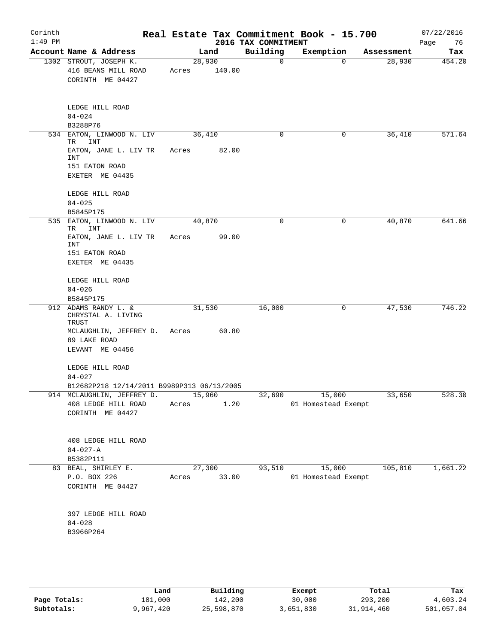| Corinth<br>$1:49$ PM |                                                                   |                 |        | 2016 TAX COMMITMENT | Real Estate Tax Commitment Book - 15.700 |            | 07/22/2016<br>Page<br>76 |
|----------------------|-------------------------------------------------------------------|-----------------|--------|---------------------|------------------------------------------|------------|--------------------------|
|                      | Account Name & Address                                            |                 | Land   | Building            | Exemption                                | Assessment | Tax                      |
|                      | 1302 STROUT, JOSEPH K.<br>416 BEANS MILL ROAD<br>CORINTH ME 04427 | 28,930<br>Acres | 140.00 | $\mathbf 0$         | $\overline{0}$                           | 28,930     | 454.20                   |
|                      | LEDGE HILL ROAD<br>$04 - 024$<br>B3288P76                         |                 |        |                     |                                          |            |                          |
|                      | 534 EATON, LINWOOD N. LIV<br>INT<br>TR                            | 36,410          |        | 0                   | 0                                        | 36,410     | 571.64                   |
|                      | EATON, JANE L. LIV TR<br>INT<br>151 EATON ROAD                    | Acres           | 82.00  |                     |                                          |            |                          |
|                      | EXETER ME 04435                                                   |                 |        |                     |                                          |            |                          |
|                      | LEDGE HILL ROAD<br>$04 - 025$<br>B5845P175                        |                 |        |                     |                                          |            |                          |
|                      | 535 EATON, LINWOOD N. LIV                                         | 40,870          |        | 0                   | 0                                        | 40,870     | 641.66                   |
|                      | TR<br>INT<br>EATON, JANE L. LIV TR                                | Acres           | 99.00  |                     |                                          |            |                          |
|                      | INT<br>151 EATON ROAD                                             |                 |        |                     |                                          |            |                          |
|                      | EXETER ME 04435                                                   |                 |        |                     |                                          |            |                          |
|                      | LEDGE HILL ROAD<br>$04 - 026$                                     |                 |        |                     |                                          |            |                          |
|                      | B5845P175                                                         |                 |        |                     |                                          |            |                          |
|                      | 912 ADAMS RANDY L. &<br>CHRYSTAL A. LIVING<br>TRUST               | 31,530          |        | 16,000              | 0                                        | 47,530     | 746.22                   |
|                      | MCLAUGHLIN, JEFFREY D. Acres 60.80<br>89 LAKE ROAD                |                 |        |                     |                                          |            |                          |
|                      | LEVANT ME 04456                                                   |                 |        |                     |                                          |            |                          |
|                      | LEDGE HILL ROAD<br>$04 - 027$                                     |                 |        |                     |                                          |            |                          |
|                      | B12682P218 12/14/2011 B9989P313 06/13/2005                        |                 |        |                     |                                          |            |                          |
|                      | 914 MCLAUGHLIN, JEFFREY D. 15,960<br>408 LEDGE HILL ROAD          | Acres           | 1.20   |                     | 32,690 15,000<br>01 Homestead Exempt     | 33,650     | 528.30                   |
|                      | CORINTH ME 04427                                                  |                 |        |                     |                                          |            |                          |
|                      | 408 LEDGE HILL ROAD                                               |                 |        |                     |                                          |            |                          |
|                      | $04 - 027 - A$<br>B5382P111                                       |                 |        |                     |                                          |            |                          |
|                      | 83 BEAL, SHIRLEY E.                                               |                 | 27,300 | 93,510              | 15,000                                   | 105,810    | 1,661.22                 |
|                      | P.O. BOX 226<br>CORINTH ME 04427                                  | Acres 33.00     |        |                     | 01 Homestead Exempt                      |            |                          |
|                      | 397 LEDGE HILL ROAD<br>$04 - 028$                                 |                 |        |                     |                                          |            |                          |
|                      | B3966P264                                                         |                 |        |                     |                                          |            |                          |
|                      |                                                                   |                 |        |                     |                                          |            |                          |
|                      |                                                                   |                 |        |                     |                                          |            |                          |

|              | Land      | Building   | Exempt    | Total      | Tax        |
|--------------|-----------|------------|-----------|------------|------------|
| Page Totals: | 181,000   | 142,200    | 30,000    | 293,200    | 4,603.24   |
| Subtotals:   | 9,967,420 | 25,598,870 | 3,651,830 | 31,914,460 | 501,057.04 |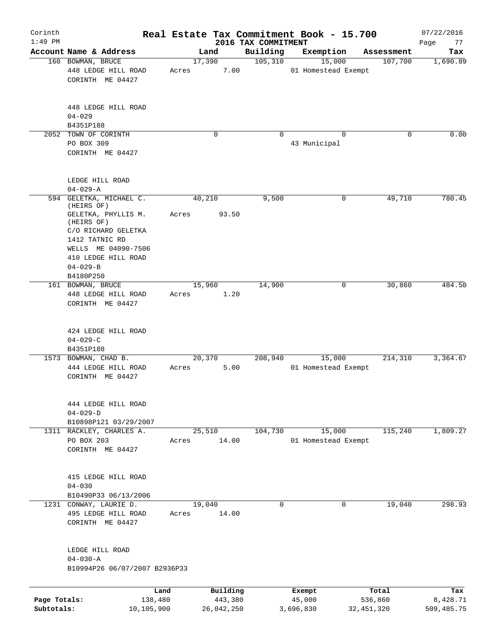| Corinth<br>$1:49$ PM       |                                                                                                                     |                 |                       | 2016 TAX COMMITMENT | Real Estate Tax Commitment Book - 15.700 |                         | 07/22/2016<br>Page<br>77 |
|----------------------------|---------------------------------------------------------------------------------------------------------------------|-----------------|-----------------------|---------------------|------------------------------------------|-------------------------|--------------------------|
|                            | Account Name & Address                                                                                              | Land            |                       | Building            | Exemption                                | Assessment              | Tax                      |
|                            | 160 BOWMAN, BRUCE<br>448 LEDGE HILL ROAD<br>CORINTH ME 04427                                                        | 17,390<br>Acres | 7.00                  | 105, 310            | 15,000<br>01 Homestead Exempt            | 107,700                 | 1,690.89                 |
|                            | 448 LEDGE HILL ROAD<br>$04 - 029$<br>B4351P188                                                                      |                 |                       |                     |                                          |                         |                          |
| 2052                       | TOWN OF CORINTH<br>PO BOX 309<br>CORINTH ME 04427                                                                   |                 | $\mathbf 0$           | $\Omega$            | $\Omega$<br>43 Municipal                 | 0                       | 0.00                     |
|                            | LEDGE HILL ROAD<br>$04 - 029 - A$                                                                                   |                 |                       |                     |                                          |                         |                          |
|                            | 594 GELETKA, MICHAEL C.<br>(HEIRS OF)<br>GELETKA, PHYLLIS M.                                                        | 40,210<br>Acres | 93.50                 | 9,500               | 0                                        | 49,710                  | 780.45                   |
|                            | (HEIRS OF)<br>C/O RICHARD GELETKA<br>1412 TATNIC RD<br>WELLS ME 04090-7506<br>410 LEDGE HILL ROAD<br>$04 - 029 - B$ |                 |                       |                     |                                          |                         |                          |
|                            | B4180P250                                                                                                           |                 |                       |                     |                                          |                         |                          |
|                            | 161 BOWMAN, BRUCE<br>448 LEDGE HILL ROAD<br>CORINTH ME 04427                                                        | 15,960<br>Acres | 1.20                  | 14,900              | 0                                        | 30,860                  | 484.50                   |
|                            | 424 LEDGE HILL ROAD<br>$04 - 029 - C$<br>B4351P188                                                                  |                 |                       |                     |                                          |                         |                          |
|                            | 1573 BOWMAN, CHAD B.<br>444 LEDGE HILL ROAD<br>CORINTH ME 04427                                                     | 20,370<br>Acres | 5.00                  | 208,940             | 15,000<br>01 Homestead Exempt            | 214,310                 | 3,364.67                 |
|                            | 444 LEDGE HILL ROAD<br>$04 - 029 - D$<br>B10898P121 03/29/2007                                                      |                 |                       |                     |                                          |                         |                          |
| 1311                       | RACKLEY, CHARLES A.<br>PO BOX 203<br>CORINTH ME 04427                                                               | 25,510<br>Acres | 14.00                 | 104,730             | 15,000<br>01 Homestead Exempt            | 115,240                 | 1,809.27                 |
|                            | 415 LEDGE HILL ROAD<br>$04 - 030$<br>B10490P33 06/13/2006                                                           |                 |                       |                     |                                          |                         |                          |
|                            | 1231 CONWAY, LAURIE D.<br>495 LEDGE HILL ROAD<br>CORINTH ME 04427                                                   | 19,040<br>Acres | 14.00                 | 0                   | 0                                        | 19,040                  | 298.93                   |
|                            | LEDGE HILL ROAD<br>$04 - 030 - A$<br>B10994P26 06/07/2007 B2936P33                                                  |                 |                       |                     |                                          |                         |                          |
|                            | Land                                                                                                                |                 | Building              |                     | Exempt                                   | Total                   | Tax                      |
| Page Totals:<br>Subtotals: | 138,480<br>10,105,900                                                                                               |                 | 443,380<br>26,042,250 |                     | 45,000<br>3,696,830                      | 536,860<br>32, 451, 320 | 8,428.71<br>509,485.75   |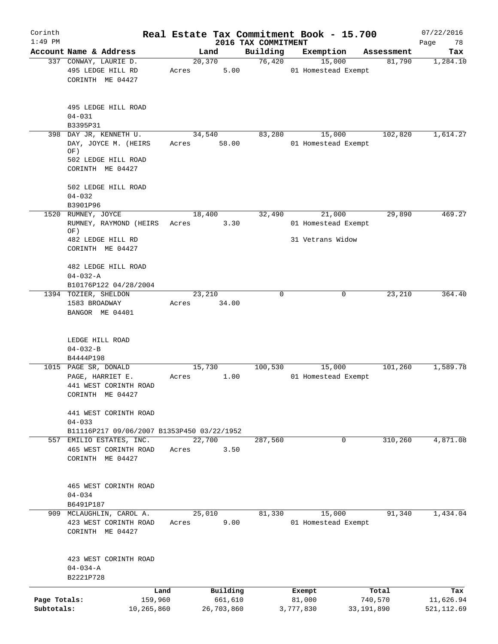| Corinth<br>$1:49$ PM |                                                       |        |                 | 2016 TAX COMMITMENT | Real Estate Tax Commitment Book - 15.700 |              | 07/22/2016<br>Page<br>78 |
|----------------------|-------------------------------------------------------|--------|-----------------|---------------------|------------------------------------------|--------------|--------------------------|
|                      | Account Name & Address                                |        | Land            | Building            | Exemption                                | Assessment   | Tax                      |
|                      | 337 CONWAY, LAURIE D.                                 |        | 20, 370         | 76,420              | 15,000                                   | 81,790       | 1,284.10                 |
|                      | 495 LEDGE HILL RD<br>CORINTH ME 04427                 | Acres  | 5.00            |                     | 01 Homestead Exempt                      |              |                          |
|                      | 495 LEDGE HILL ROAD<br>$04 - 031$                     |        |                 |                     |                                          |              |                          |
|                      | B3395P31                                              |        |                 |                     |                                          |              |                          |
|                      | 398 DAY JR, KENNETH U.<br>DAY, JOYCE M. (HEIRS<br>OF) | Acres  | 34,540<br>58.00 | 83,280              | 15,000<br>01 Homestead Exempt            | 102,820      | 1,614.27                 |
|                      | 502 LEDGE HILL ROAD<br>CORINTH ME 04427               |        |                 |                     |                                          |              |                          |
|                      | 502 LEDGE HILL ROAD                                   |        |                 |                     |                                          |              |                          |
|                      | $04 - 032$                                            |        |                 |                     |                                          |              |                          |
|                      | B3901P96<br>1520 RUMNEY, JOYCE                        |        | 18,400          | 32,490              | 21,000                                   | 29,890       | 469.27                   |
|                      | RUMNEY, RAYMOND (HEIRS<br>OF)                         | Acres  | 3.30            |                     | 01 Homestead Exempt                      |              |                          |
|                      | 482 LEDGE HILL RD                                     |        |                 |                     | 31 Vetrans Widow                         |              |                          |
|                      | CORINTH ME 04427                                      |        |                 |                     |                                          |              |                          |
|                      | 482 LEDGE HILL ROAD<br>$04 - 032 - A$                 |        |                 |                     |                                          |              |                          |
|                      | B10176P122 04/28/2004                                 |        |                 |                     |                                          |              |                          |
|                      | 1394 TOZIER, SHELDON                                  |        | 23,210          | 0                   | 0                                        | 23,210       | 364.40                   |
|                      | 1583 BROADWAY<br>BANGOR ME 04401                      | Acres  | 34.00           |                     |                                          |              |                          |
|                      | LEDGE HILL ROAD                                       |        |                 |                     |                                          |              |                          |
|                      | $04 - 032 - B$                                        |        |                 |                     |                                          |              |                          |
|                      | B4444P198                                             |        |                 |                     |                                          |              |                          |
|                      | 1015 PAGE SR, DONALD                                  |        | 15,730          | 100,530             | 15,000                                   | 101,260      | 1,589.78                 |
|                      | PAGE, HARRIET E.                                      | Acres  | 1.00            |                     | 01 Homestead Exempt                      |              |                          |
|                      | 441 WEST CORINTH ROAD<br>CORINTH ME 04427             |        |                 |                     |                                          |              |                          |
|                      | 441 WEST CORINTH ROAD<br>$04 - 033$                   |        |                 |                     |                                          |              |                          |
|                      | B11116P217 09/06/2007 B1353P450 03/22/1952            |        |                 |                     |                                          |              |                          |
|                      | 557 EMILIO ESTATES, INC.                              |        | 22,700          | 287,560             | 0                                        | 310,260      | 4,871.08                 |
|                      | 465 WEST CORINTH ROAD<br>CORINTH ME 04427             | Acres  | 3.50            |                     |                                          |              |                          |
|                      | 465 WEST CORINTH ROAD<br>$04 - 034$                   |        |                 |                     |                                          |              |                          |
|                      | B6491P187                                             |        |                 |                     |                                          |              |                          |
|                      | 909 MCLAUGHLIN, CAROL A.                              | 25,010 |                 | 81,330              | 15,000                                   | 91,340       | 1,434.04                 |
|                      | 423 WEST CORINTH ROAD<br>CORINTH ME 04427             | Acres  | 9.00            |                     | 01 Homestead Exempt                      |              |                          |
|                      | 423 WEST CORINTH ROAD<br>$04 - 034 - A$               |        |                 |                     |                                          |              |                          |
|                      | B2221P728                                             |        |                 |                     |                                          |              |                          |
|                      | Land                                                  |        | Building        |                     | Exempt                                   | Total        | Tax                      |
| Page Totals:         | 159,960                                               |        | 661,610         |                     | 81,000                                   | 740,570      | 11,626.94                |
| Subtotals:           | 10,265,860                                            |        | 26,703,860      |                     | 3,777,830                                | 33, 191, 890 | 521, 112.69              |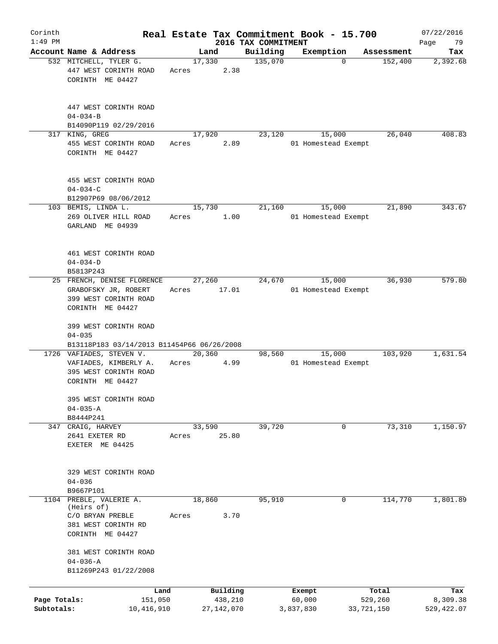| Corinth      |                                                                                                 |       |                 |                     | Real Estate Tax Commitment Book - 15.700 |            | 07/22/2016  |
|--------------|-------------------------------------------------------------------------------------------------|-------|-----------------|---------------------|------------------------------------------|------------|-------------|
| $1:49$ PM    |                                                                                                 |       |                 | 2016 TAX COMMITMENT |                                          |            | 79<br>Page  |
|              | Account Name & Address                                                                          |       | Land            | Building            | Exemption<br>$\Omega$                    | Assessment | Tax         |
|              | 532 MITCHELL, TYLER G.<br>447 WEST CORINTH ROAD                                                 | Acres | 17,330<br>2.38  | 135,070             |                                          | 152,400    | 2,392.68    |
|              | CORINTH ME 04427                                                                                |       |                 |                     |                                          |            |             |
|              | 447 WEST CORINTH ROAD                                                                           |       |                 |                     |                                          |            |             |
|              | $04 - 034 - B$                                                                                  |       |                 |                     |                                          |            |             |
|              | B14090P119 02/29/2016<br>317 KING, GREG                                                         |       | 17,920          | 23,120              | 15,000                                   | 26,040     | 408.83      |
|              | 455 WEST CORINTH ROAD<br>CORINTH ME 04427                                                       | Acres | 2.89            |                     | 01 Homestead Exempt                      |            |             |
|              | 455 WEST CORINTH ROAD<br>$04 - 034 - C$                                                         |       |                 |                     |                                          |            |             |
|              | B12907P69 08/06/2012                                                                            |       |                 |                     |                                          |            |             |
|              | 103 BEMIS, LINDA L.<br>269 OLIVER HILL ROAD<br>GARLAND ME 04939                                 | Acres | 15,730<br>1.00  | 21,160              | 15,000<br>01 Homestead Exempt            | 21,890     | 343.67      |
|              | 461 WEST CORINTH ROAD<br>$04 - 034 - D$                                                         |       |                 |                     |                                          |            |             |
|              | B5813P243                                                                                       |       |                 |                     |                                          |            |             |
|              | 25 FRENCH, DENISE FLORENCE<br>GRABOFSKY JR, ROBERT<br>399 WEST CORINTH ROAD<br>CORINTH ME 04427 | Acres | 27,260<br>17.01 | 24,670              | 15,000<br>01 Homestead Exempt            | 36,930     | 579.80      |
|              | 399 WEST CORINTH ROAD<br>$04 - 035$                                                             |       |                 |                     |                                          |            |             |
|              | B13118P183 03/14/2013 B11454P66 06/26/2008                                                      |       |                 |                     |                                          |            |             |
|              | 1726 VAFIADES, STEVEN V.<br>VAFIADES, KIMBERLY A.<br>395 WEST CORINTH ROAD<br>CORINTH ME 04427  | Acres | 20,360<br>4.99  | 98,560              | 15,000<br>01 Homestead Exempt            | 103,920    | 1,631.54    |
|              | 395 WEST CORINTH ROAD<br>$04 - 035 - A$                                                         |       |                 |                     |                                          |            |             |
|              | B8444P241                                                                                       |       |                 |                     |                                          |            |             |
|              | 347 CRAIG, HARVEY                                                                               |       | 33,590          | 39,720              | 0                                        | 73,310     | 1,150.97    |
|              | 2641 EXETER RD<br>EXETER ME 04425                                                               | Acres | 25.80           |                     |                                          |            |             |
|              | 329 WEST CORINTH ROAD<br>$04 - 036$                                                             |       |                 |                     |                                          |            |             |
|              | B9667P101                                                                                       |       |                 |                     |                                          |            |             |
| 1104         | PREBLE, VALERIE A.<br>(Heirs of)                                                                |       | 18,860          | 95,910              | $\mathbf{0}$                             | 114,770    | 1,801.89    |
|              | C/O BRYAN PREBLE<br>381 WEST CORINTH RD<br>CORINTH ME 04427                                     | Acres | 3.70            |                     |                                          |            |             |
|              | 381 WEST CORINTH ROAD<br>$04 - 036 - A$<br>B11269P243 01/22/2008                                |       |                 |                     |                                          |            |             |
|              | Land                                                                                            |       | Building        |                     |                                          | Total      | Tax         |
| Page Totals: | 151,050                                                                                         |       | 438,210         |                     | Exempt<br>60,000                         | 529,260    | 8,309.38    |
| Subtotals:   | 10,416,910                                                                                      |       | 27,142,070      |                     | 3,837,830                                | 33,721,150 | 529, 422.07 |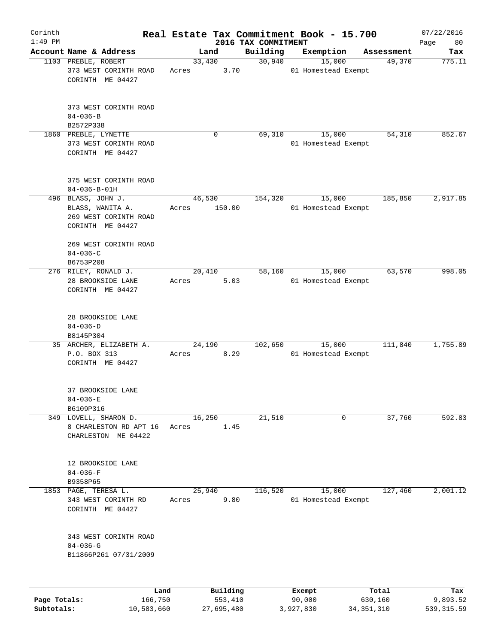| Corinth<br>$1:49$ PM |                                                                                     |                 |                     | 2016 TAX COMMITMENT | Real Estate Tax Commitment Book - 15.700 |                  | 07/22/2016        |
|----------------------|-------------------------------------------------------------------------------------|-----------------|---------------------|---------------------|------------------------------------------|------------------|-------------------|
|                      | Account Name & Address                                                              |                 | Land                | Building            | Exemption                                | Assessment       | Page<br>80<br>Tax |
|                      | 1103 PREBLE, ROBERT<br>373 WEST CORINTH ROAD<br>CORINTH ME 04427                    | 33,430<br>Acres | 3.70                | 30,940              | 15,000<br>01 Homestead Exempt            | 49,370           | 775.11            |
|                      | 373 WEST CORINTH ROAD<br>$04 - 036 - B$<br>B2572P338                                |                 |                     |                     |                                          |                  |                   |
|                      | 1860 PREBLE, LYNETTE<br>373 WEST CORINTH ROAD<br>CORINTH ME 04427                   |                 | $\mathbf 0$         | 69,310              | 15,000<br>01 Homestead Exempt            | 54,310           | 852.67            |
|                      | 375 WEST CORINTH ROAD<br>$04 - 036 - B - 01H$                                       |                 |                     |                     |                                          |                  |                   |
|                      | 496 BLASS, JOHN J.<br>BLASS, WANITA A.<br>269 WEST CORINTH ROAD<br>CORINTH ME 04427 | 46,530<br>Acres | 150.00              | 154,320             | 15,000<br>01 Homestead Exempt            | 185,850          | 2,917.85          |
|                      | 269 WEST CORINTH ROAD<br>$04 - 036 - C$<br>B6753P208                                |                 |                     |                     |                                          |                  |                   |
|                      | 276 RILEY, RONALD J.<br>28 BROOKSIDE LANE<br>CORINTH ME 04427                       | 20,410<br>Acres | 5.03                | 58,160              | 15,000<br>01 Homestead Exempt            | 63,570           | 998.05            |
|                      | 28 BROOKSIDE LANE<br>$04 - 036 - D$<br>B8145P304                                    |                 |                     |                     |                                          |                  |                   |
|                      | 35 ARCHER, ELIZABETH A.<br>P.O. BOX 313<br>CORINTH ME 04427                         | 24,190<br>Acres | 8.29                | 102,650             | 15,000<br>01 Homestead Exempt            | 111,840          | 1,755.89          |
|                      | 37 BROOKSIDE LANE<br>$04 - 036 - E$<br>B6109P316                                    |                 |                     |                     |                                          |                  |                   |
|                      | 349 LOVELL, SHARON D.<br>8 CHARLESTON RD APT 16<br>CHARLESTON ME 04422              | 16,250<br>Acres | 1.45                | 21,510              | 0                                        | 37,760           | 592.83            |
|                      | 12 BROOKSIDE LANE<br>$04 - 036 - F$<br>B9358P65                                     |                 |                     |                     |                                          |                  |                   |
|                      | 1853 PAGE, TERESA L.<br>343 WEST CORINTH RD<br>CORINTH ME 04427                     | 25,940<br>Acres | 9.80                | 116,520             | 15,000<br>01 Homestead Exempt            | 127,460          | 2,001.12          |
|                      | 343 WEST CORINTH ROAD<br>$04 - 036 - G$<br>B11866P261 07/31/2009                    |                 |                     |                     |                                          |                  |                   |
|                      |                                                                                     |                 |                     |                     |                                          |                  |                   |
| Page Totals:         | Land<br>166,750                                                                     |                 | Building<br>553,410 |                     | Exempt<br>90,000                         | Total<br>630,160 | Tax<br>9,893.52   |

**Subtotals:** 10,583,660 27,695,480 3,927,830 34,351,310 539,315.59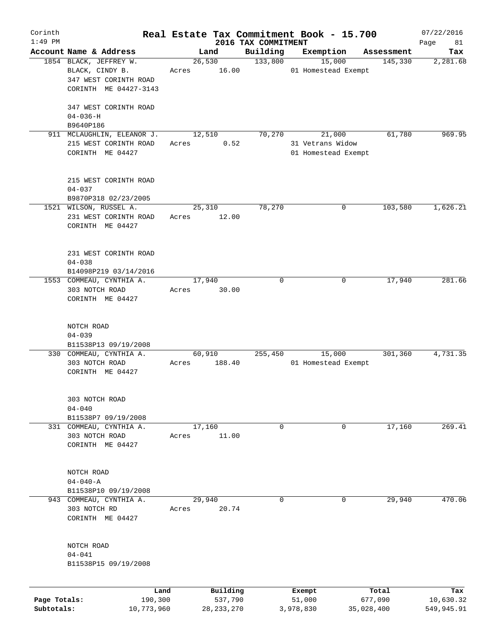| Corinth      |                            |       |              |                                 | Real Estate Tax Commitment Book - 15.700 |                       | 07/22/2016        |
|--------------|----------------------------|-------|--------------|---------------------------------|------------------------------------------|-----------------------|-------------------|
| $1:49$ PM    | Account Name & Address     |       | Land         | 2016 TAX COMMITMENT<br>Building | Exemption                                |                       | Page<br>81<br>Tax |
|              | 1854 BLACK, JEFFREY W.     |       | 26,530       | 133,800                         | 15,000                                   | Assessment<br>145,330 |                   |
|              | BLACK, CINDY B.            |       | 16.00        |                                 | 01 Homestead Exempt                      |                       | 2,281.68          |
|              | 347 WEST CORINTH ROAD      | Acres |              |                                 |                                          |                       |                   |
|              |                            |       |              |                                 |                                          |                       |                   |
|              | CORINTH ME 04427-3143      |       |              |                                 |                                          |                       |                   |
|              | 347 WEST CORINTH ROAD      |       |              |                                 |                                          |                       |                   |
|              | $04 - 036 - H$             |       |              |                                 |                                          |                       |                   |
|              | B9640P186                  |       |              |                                 |                                          |                       |                   |
|              | 911 MCLAUGHLIN, ELEANOR J. |       | 12,510       | 70,270                          | 21,000                                   | 61,780                | 969.95            |
|              | 215 WEST CORINTH ROAD      | Acres | 0.52         |                                 | 31 Vetrans Widow                         |                       |                   |
|              | CORINTH ME 04427           |       |              |                                 | 01 Homestead Exempt                      |                       |                   |
|              |                            |       |              |                                 |                                          |                       |                   |
|              |                            |       |              |                                 |                                          |                       |                   |
|              | 215 WEST CORINTH ROAD      |       |              |                                 |                                          |                       |                   |
|              | $04 - 037$                 |       |              |                                 |                                          |                       |                   |
|              | B9870P318 02/23/2005       |       |              |                                 |                                          |                       |                   |
|              | 1521 WILSON, RUSSEL A.     |       | 25,310       | 78,270                          | 0                                        | 103,580               | 1,626.21          |
|              | 231 WEST CORINTH ROAD      | Acres | 12.00        |                                 |                                          |                       |                   |
|              | CORINTH ME 04427           |       |              |                                 |                                          |                       |                   |
|              |                            |       |              |                                 |                                          |                       |                   |
|              |                            |       |              |                                 |                                          |                       |                   |
|              | 231 WEST CORINTH ROAD      |       |              |                                 |                                          |                       |                   |
|              | $04 - 038$                 |       |              |                                 |                                          |                       |                   |
|              | B14098P219 03/14/2016      |       |              |                                 |                                          |                       |                   |
|              | 1553 COMMEAU, CYNTHIA A.   |       | 17,940       | $\mathbf 0$                     | 0                                        | 17,940                | 281.66            |
|              | 303 NOTCH ROAD             | Acres | 30.00        |                                 |                                          |                       |                   |
|              | CORINTH ME 04427           |       |              |                                 |                                          |                       |                   |
|              |                            |       |              |                                 |                                          |                       |                   |
|              |                            |       |              |                                 |                                          |                       |                   |
|              | NOTCH ROAD                 |       |              |                                 |                                          |                       |                   |
|              | $04 - 039$                 |       |              |                                 |                                          |                       |                   |
|              | B11538P13 09/19/2008       |       |              |                                 |                                          |                       |                   |
|              | 330 COMMEAU, CYNTHIA A.    |       | 60,910       | 255,450                         | 15,000                                   | 301,360               | 4,731.35          |
|              | 303 NOTCH ROAD             | Acres | 188.40       |                                 | 01 Homestead Exempt                      |                       |                   |
|              | CORINTH ME 04427           |       |              |                                 |                                          |                       |                   |
|              |                            |       |              |                                 |                                          |                       |                   |
|              |                            |       |              |                                 |                                          |                       |                   |
|              | 303 NOTCH ROAD             |       |              |                                 |                                          |                       |                   |
|              | $04 - 040$                 |       |              |                                 |                                          |                       |                   |
|              | B11538P7 09/19/2008        |       |              |                                 |                                          |                       |                   |
|              | 331 COMMEAU, CYNTHIA A.    |       | 17,160       | 0                               | 0                                        | 17,160                | 269.41            |
|              | 303 NOTCH ROAD             | Acres | 11.00        |                                 |                                          |                       |                   |
|              | CORINTH ME 04427           |       |              |                                 |                                          |                       |                   |
|              |                            |       |              |                                 |                                          |                       |                   |
|              |                            |       |              |                                 |                                          |                       |                   |
|              | NOTCH ROAD                 |       |              |                                 |                                          |                       |                   |
|              | $04 - 040 - A$             |       |              |                                 |                                          |                       |                   |
|              | B11538P10 09/19/2008       |       |              |                                 |                                          |                       |                   |
|              | 943 COMMEAU, CYNTHIA A.    |       | 29,940       | 0                               | 0                                        | 29,940                | 470.06            |
|              | 303 NOTCH RD               | Acres | 20.74        |                                 |                                          |                       |                   |
|              | CORINTH ME 04427           |       |              |                                 |                                          |                       |                   |
|              |                            |       |              |                                 |                                          |                       |                   |
|              | NOTCH ROAD                 |       |              |                                 |                                          |                       |                   |
|              | $04 - 041$                 |       |              |                                 |                                          |                       |                   |
|              | B11538P15 09/19/2008       |       |              |                                 |                                          |                       |                   |
|              |                            |       |              |                                 |                                          |                       |                   |
|              |                            |       |              |                                 |                                          |                       |                   |
|              |                            | Land  | Building     |                                 | Exempt                                   | Total                 | Tax               |
| Page Totals: | 190,300                    |       | 537,790      |                                 | 51,000                                   | 677,090               | 10,630.32         |
| Subtotals:   | 10,773,960                 |       | 28, 233, 270 |                                 | 3,978,830                                | 35,028,400            | 549,945.91        |
|              |                            |       |              |                                 |                                          |                       |                   |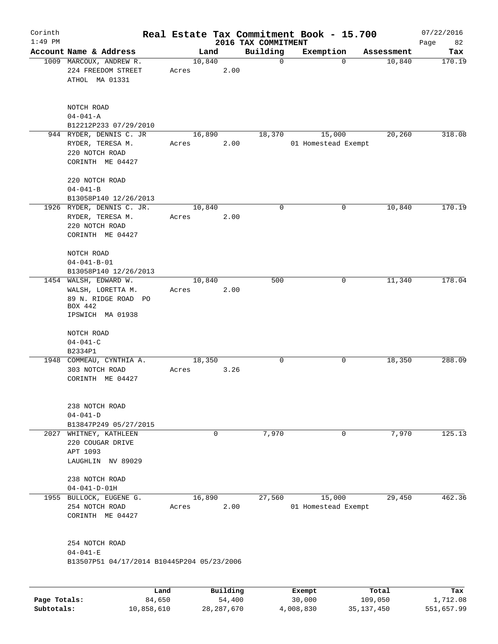| Corinth      |                                                              |                         |          |                         | Real Estate Tax Commitment Book - 15.700 |                      | 07/22/2016    |
|--------------|--------------------------------------------------------------|-------------------------|----------|-------------------------|------------------------------------------|----------------------|---------------|
| $1:49$ PM    | Account Name & Address                                       |                         |          | 2016 TAX COMMITMENT     |                                          |                      | Page<br>82    |
|              | 1009 MARCOUX, ANDREW R.<br>224 FREEDOM STREET                | Land<br>10,840<br>Acres | 2.00     | Building<br>$\mathbf 0$ | Exemption<br>$\mathbf 0$                 | Assessment<br>10,840 | Tax<br>170.19 |
|              | ATHOL MA 01331                                               |                         |          |                         |                                          |                      |               |
|              | NOTCH ROAD<br>$04 - 041 - A$                                 |                         |          |                         |                                          |                      |               |
|              | B12212P233 07/29/2010                                        |                         |          |                         |                                          |                      |               |
|              | 944 RYDER, DENNIS C. JR                                      | 16,890                  |          | 18,370                  | 15,000                                   | 20,260               | 318.08        |
|              | RYDER, TERESA M.<br>220 NOTCH ROAD<br>CORINTH ME 04427       | Acres                   | 2.00     |                         | 01 Homestead Exempt                      |                      |               |
|              | 220 NOTCH ROAD<br>$04 - 041 - B$                             |                         |          |                         |                                          |                      |               |
|              | B13058P140 12/26/2013                                        |                         |          |                         |                                          |                      |               |
|              | 1926 RYDER, DENNIS C. JR.                                    | 10,840                  |          | 0                       | 0                                        | 10,840               | 170.19        |
|              | RYDER, TERESA M.                                             | Acres                   | 2.00     |                         |                                          |                      |               |
|              | 220 NOTCH ROAD<br>CORINTH ME 04427                           |                         |          |                         |                                          |                      |               |
|              | NOTCH ROAD                                                   |                         |          |                         |                                          |                      |               |
|              | $04 - 041 - B - 01$                                          |                         |          |                         |                                          |                      |               |
|              | B13058P140 12/26/2013                                        |                         |          |                         |                                          |                      |               |
|              | 1454 WALSH, EDWARD W.                                        | 10,840                  |          | 500                     | 0                                        | 11,340               | 178.04        |
|              | WALSH, LORETTA M.<br>89 N. RIDGE ROAD PO                     | Acres                   | 2.00     |                         |                                          |                      |               |
|              | BOX 442<br>IPSWICH MA 01938                                  |                         |          |                         |                                          |                      |               |
|              | NOTCH ROAD                                                   |                         |          |                         |                                          |                      |               |
|              | $04 - 041 - C$                                               |                         |          |                         |                                          |                      |               |
|              | B2334P1                                                      |                         |          |                         |                                          |                      |               |
|              | 1948 COMMEAU, CYNTHIA A.                                     | 18,350                  |          | 0                       | 0                                        | 18,350               | 288.09        |
|              | 303 NOTCH ROAD<br>CORINTH ME 04427                           | Acres                   | 3.26     |                         |                                          |                      |               |
|              | 238 NOTCH ROAD<br>$04 - 041 - D$                             |                         |          |                         |                                          |                      |               |
|              | B13847P249 05/27/2015                                        |                         |          |                         |                                          |                      |               |
|              | 2027 WHITNEY, KATHLEEN                                       |                         | 0        | 7,970                   | $\mathbf 0$                              | 7,970                | 125.13        |
|              | 220 COUGAR DRIVE                                             |                         |          |                         |                                          |                      |               |
|              | APT 1093<br>LAUGHLIN NV 89029                                |                         |          |                         |                                          |                      |               |
|              |                                                              |                         |          |                         |                                          |                      |               |
|              | 238 NOTCH ROAD<br>$04 - 041 - D - 01H$                       |                         |          |                         |                                          |                      |               |
|              | 1955 BULLOCK, EUGENE G.                                      | 16,890                  |          | 27,560                  | 15,000                                   | 29,450               | 462.36        |
|              | 254 NOTCH ROAD<br>CORINTH ME 04427                           | Acres                   | 2.00     |                         | 01 Homestead Exempt                      |                      |               |
|              | 254 NOTCH ROAD                                               |                         |          |                         |                                          |                      |               |
|              | $04 - 041 - E$<br>B13507P51 04/17/2014 B10445P204 05/23/2006 |                         |          |                         |                                          |                      |               |
|              |                                                              |                         |          |                         |                                          |                      |               |
|              |                                                              | Land                    | Building |                         | Exempt                                   | Total                | Tax           |
| Page Totals: | 84,650                                                       |                         | 54,400   |                         | 30,000                                   | 109,050              | 1,712.08      |

**Subtotals:** 10,858,610 28,287,670 4,008,830 35,137,450 551,657.99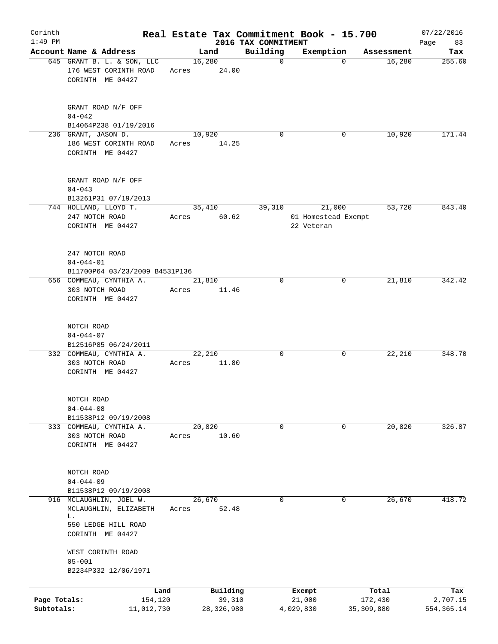| Corinth                    |                                                                  |       |                      |                                 | Real Estate Tax Commitment Book - 15.700 |                       | 07/22/2016               |
|----------------------------|------------------------------------------------------------------|-------|----------------------|---------------------------------|------------------------------------------|-----------------------|--------------------------|
| $1:49$ PM                  | Account Name & Address                                           |       | Land                 | 2016 TAX COMMITMENT<br>Building | Exemption                                | Assessment            | 83<br>Page<br>Tax        |
|                            | 645 GRANT B. L. & SON, LLC                                       |       | 16,280               | $\mathbf 0$                     | 0                                        | 16,280                | 255.60                   |
|                            | 176 WEST CORINTH ROAD<br>CORINTH ME 04427                        | Acres | 24.00                |                                 |                                          |                       |                          |
|                            | GRANT ROAD N/F OFF<br>$04 - 042$                                 |       |                      |                                 |                                          |                       |                          |
|                            | B14064P238 01/19/2016                                            |       |                      |                                 |                                          |                       |                          |
|                            | 236 GRANT, JASON D.<br>186 WEST CORINTH ROAD<br>CORINTH ME 04427 | Acres | 10,920<br>14.25      | $\Omega$                        | 0                                        | 10,920                | 171.44                   |
|                            | GRANT ROAD N/F OFF<br>$04 - 043$<br>B13261P31 07/19/2013         |       |                      |                                 |                                          |                       |                          |
|                            | 744 HOLLAND, LLOYD T.                                            |       | 35,410               | 39,310                          | 21,000                                   | 53,720                | 843.40                   |
|                            | 247 NOTCH ROAD<br>CORINTH ME 04427                               | Acres | 60.62                |                                 | 01 Homestead Exempt<br>22 Veteran        |                       |                          |
|                            | 247 NOTCH ROAD<br>$04 - 044 - 01$                                |       |                      |                                 |                                          |                       |                          |
|                            | B11700P64 03/23/2009 B4531P136<br>656 COMMEAU, CYNTHIA A.        |       | 21,810               | $\Omega$                        | 0                                        | 21,810                | 342.42                   |
|                            | 303 NOTCH ROAD<br>CORINTH ME 04427                               | Acres | 11.46                |                                 |                                          |                       |                          |
|                            | NOTCH ROAD<br>$04 - 044 - 07$                                    |       |                      |                                 |                                          |                       |                          |
|                            | B12516P85 06/24/2011                                             |       |                      |                                 |                                          |                       |                          |
|                            | 332 COMMEAU, CYNTHIA A.<br>303 NOTCH ROAD<br>CORINTH ME 04427    | Acres | 22,210<br>11.80      | 0                               | 0                                        | 22,210                | 348.70                   |
|                            | NOTCH ROAD<br>$04 - 044 - 08$                                    |       |                      |                                 |                                          |                       |                          |
|                            | B11538P12 09/19/2008                                             |       |                      |                                 |                                          |                       |                          |
|                            | 333 COMMEAU, CYNTHIA A.<br>303 NOTCH ROAD<br>CORINTH ME 04427    | Acres | 20,820<br>10.60      | 0                               | 0                                        | 20,820                | 326.87                   |
|                            | NOTCH ROAD<br>$04 - 044 - 09$<br>B11538P12 09/19/2008            |       |                      |                                 |                                          |                       |                          |
|                            | 916 MCLAUGHLIN, JOEL W.<br>MCLAUGHLIN, ELIZABETH<br>L.           | Acres | 26,670<br>52.48      | 0                               | 0                                        | 26,670                | 418.72                   |
|                            | 550 LEDGE HILL ROAD<br>CORINTH ME 04427                          |       |                      |                                 |                                          |                       |                          |
|                            | WEST CORINTH ROAD<br>$05 - 001$<br>B2234P332 12/06/1971          |       |                      |                                 |                                          |                       |                          |
|                            | Land                                                             |       | Building             |                                 | Exempt                                   | Total                 | Tax                      |
| Page Totals:<br>Subtotals: | 154,120<br>11,012,730                                            |       | 39,310<br>28,326,980 |                                 | 21,000<br>4,029,830                      | 172,430<br>35,309,880 | 2,707.15<br>554, 365. 14 |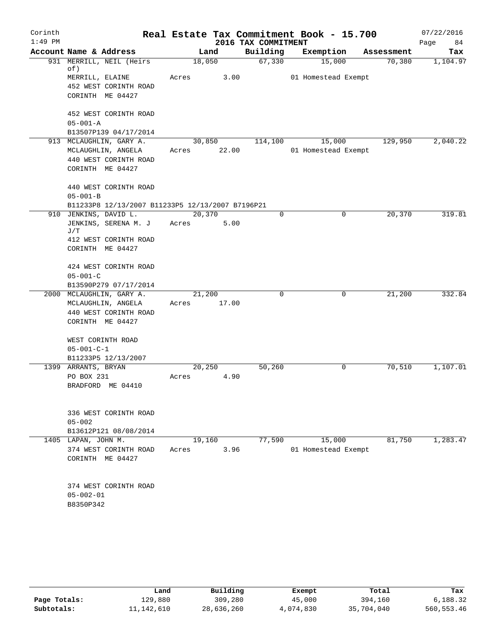| $1:49$ PM<br>2016 TAX COMMITMENT<br>Page<br>84<br>Building<br>Account Name & Address<br>Land<br>Exemption<br>Assessment<br>Tax<br>931 MERRILL, NEIL (Heirs)<br>67,330<br>15,000<br>18,050<br>70,380<br>1,104.97<br>of)<br>MERRILL, ELAINE<br>3.00<br>Acres<br>01 Homestead Exempt<br>452 WEST CORINTH ROAD<br>CORINTH ME 04427<br>452 WEST CORINTH ROAD<br>$05 - 001 - A$<br>B13507P139 04/17/2014<br>129,950<br>913 MCLAUGHLIN, GARY A.<br>30,850<br>114,100<br>15,000<br>2,040.22<br>22.00<br>01 Homestead Exempt<br>MCLAUGHLIN, ANGELA<br>Acres<br>440 WEST CORINTH ROAD<br>CORINTH ME 04427<br>440 WEST CORINTH ROAD<br>$05 - 001 - B$<br>B11233P8 12/13/2007 B11233P5 12/13/2007 B7196P21<br>910 JENKINS, DAVID L.<br>20,370<br>$\Omega$<br>$\mathbf 0$<br>20,370<br>319.81<br>JENKINS, SERENA M. J<br>5.00<br>Acres<br>J/T<br>412 WEST CORINTH ROAD<br>CORINTH ME 04427<br>424 WEST CORINTH ROAD<br>$05 - 001 - C$<br>B13590P279 07/17/2014<br>332.84<br>2000 MCLAUGHLIN, GARY A.<br>21,200<br>0<br>0<br>21,200<br>17.00<br>MCLAUGHLIN, ANGELA<br>Acres<br>440 WEST CORINTH ROAD<br>CORINTH ME 04427<br>WEST CORINTH ROAD<br>$05 - 001 - C - 1$<br>B11233P5 12/13/2007<br>50,260<br>70,510<br>1,107.01<br>1399 ARRANTS, BRYAN<br>20,250<br>0<br>PO BOX 231<br>4.90<br>Acres<br>BRADFORD ME 04410<br>336 WEST CORINTH ROAD<br>$05 - 002$<br>B13612P121 08/08/2014<br>77,590<br>15,000<br>81,750<br>1,283.47<br>1405<br>LAPAN, JOHN M.<br>19,160<br>3.96<br>01 Homestead Exempt<br>374 WEST CORINTH ROAD<br>Acres<br>CORINTH ME 04427<br>374 WEST CORINTH ROAD<br>$05 - 002 - 01$<br>B8350P342 | Corinth |  |  |  | Real Estate Tax Commitment Book - 15.700 |  | 07/22/2016 |
|----------------------------------------------------------------------------------------------------------------------------------------------------------------------------------------------------------------------------------------------------------------------------------------------------------------------------------------------------------------------------------------------------------------------------------------------------------------------------------------------------------------------------------------------------------------------------------------------------------------------------------------------------------------------------------------------------------------------------------------------------------------------------------------------------------------------------------------------------------------------------------------------------------------------------------------------------------------------------------------------------------------------------------------------------------------------------------------------------------------------------------------------------------------------------------------------------------------------------------------------------------------------------------------------------------------------------------------------------------------------------------------------------------------------------------------------------------------------------------------------------------------------------------------------------------------------------------------------------|---------|--|--|--|------------------------------------------|--|------------|
|                                                                                                                                                                                                                                                                                                                                                                                                                                                                                                                                                                                                                                                                                                                                                                                                                                                                                                                                                                                                                                                                                                                                                                                                                                                                                                                                                                                                                                                                                                                                                                                                    |         |  |  |  |                                          |  |            |
|                                                                                                                                                                                                                                                                                                                                                                                                                                                                                                                                                                                                                                                                                                                                                                                                                                                                                                                                                                                                                                                                                                                                                                                                                                                                                                                                                                                                                                                                                                                                                                                                    |         |  |  |  |                                          |  |            |
|                                                                                                                                                                                                                                                                                                                                                                                                                                                                                                                                                                                                                                                                                                                                                                                                                                                                                                                                                                                                                                                                                                                                                                                                                                                                                                                                                                                                                                                                                                                                                                                                    |         |  |  |  |                                          |  |            |
|                                                                                                                                                                                                                                                                                                                                                                                                                                                                                                                                                                                                                                                                                                                                                                                                                                                                                                                                                                                                                                                                                                                                                                                                                                                                                                                                                                                                                                                                                                                                                                                                    |         |  |  |  |                                          |  |            |
|                                                                                                                                                                                                                                                                                                                                                                                                                                                                                                                                                                                                                                                                                                                                                                                                                                                                                                                                                                                                                                                                                                                                                                                                                                                                                                                                                                                                                                                                                                                                                                                                    |         |  |  |  |                                          |  |            |
|                                                                                                                                                                                                                                                                                                                                                                                                                                                                                                                                                                                                                                                                                                                                                                                                                                                                                                                                                                                                                                                                                                                                                                                                                                                                                                                                                                                                                                                                                                                                                                                                    |         |  |  |  |                                          |  |            |
|                                                                                                                                                                                                                                                                                                                                                                                                                                                                                                                                                                                                                                                                                                                                                                                                                                                                                                                                                                                                                                                                                                                                                                                                                                                                                                                                                                                                                                                                                                                                                                                                    |         |  |  |  |                                          |  |            |
|                                                                                                                                                                                                                                                                                                                                                                                                                                                                                                                                                                                                                                                                                                                                                                                                                                                                                                                                                                                                                                                                                                                                                                                                                                                                                                                                                                                                                                                                                                                                                                                                    |         |  |  |  |                                          |  |            |
|                                                                                                                                                                                                                                                                                                                                                                                                                                                                                                                                                                                                                                                                                                                                                                                                                                                                                                                                                                                                                                                                                                                                                                                                                                                                                                                                                                                                                                                                                                                                                                                                    |         |  |  |  |                                          |  |            |
|                                                                                                                                                                                                                                                                                                                                                                                                                                                                                                                                                                                                                                                                                                                                                                                                                                                                                                                                                                                                                                                                                                                                                                                                                                                                                                                                                                                                                                                                                                                                                                                                    |         |  |  |  |                                          |  |            |
|                                                                                                                                                                                                                                                                                                                                                                                                                                                                                                                                                                                                                                                                                                                                                                                                                                                                                                                                                                                                                                                                                                                                                                                                                                                                                                                                                                                                                                                                                                                                                                                                    |         |  |  |  |                                          |  |            |
|                                                                                                                                                                                                                                                                                                                                                                                                                                                                                                                                                                                                                                                                                                                                                                                                                                                                                                                                                                                                                                                                                                                                                                                                                                                                                                                                                                                                                                                                                                                                                                                                    |         |  |  |  |                                          |  |            |
|                                                                                                                                                                                                                                                                                                                                                                                                                                                                                                                                                                                                                                                                                                                                                                                                                                                                                                                                                                                                                                                                                                                                                                                                                                                                                                                                                                                                                                                                                                                                                                                                    |         |  |  |  |                                          |  |            |
|                                                                                                                                                                                                                                                                                                                                                                                                                                                                                                                                                                                                                                                                                                                                                                                                                                                                                                                                                                                                                                                                                                                                                                                                                                                                                                                                                                                                                                                                                                                                                                                                    |         |  |  |  |                                          |  |            |
|                                                                                                                                                                                                                                                                                                                                                                                                                                                                                                                                                                                                                                                                                                                                                                                                                                                                                                                                                                                                                                                                                                                                                                                                                                                                                                                                                                                                                                                                                                                                                                                                    |         |  |  |  |                                          |  |            |
|                                                                                                                                                                                                                                                                                                                                                                                                                                                                                                                                                                                                                                                                                                                                                                                                                                                                                                                                                                                                                                                                                                                                                                                                                                                                                                                                                                                                                                                                                                                                                                                                    |         |  |  |  |                                          |  |            |
|                                                                                                                                                                                                                                                                                                                                                                                                                                                                                                                                                                                                                                                                                                                                                                                                                                                                                                                                                                                                                                                                                                                                                                                                                                                                                                                                                                                                                                                                                                                                                                                                    |         |  |  |  |                                          |  |            |
|                                                                                                                                                                                                                                                                                                                                                                                                                                                                                                                                                                                                                                                                                                                                                                                                                                                                                                                                                                                                                                                                                                                                                                                                                                                                                                                                                                                                                                                                                                                                                                                                    |         |  |  |  |                                          |  |            |
|                                                                                                                                                                                                                                                                                                                                                                                                                                                                                                                                                                                                                                                                                                                                                                                                                                                                                                                                                                                                                                                                                                                                                                                                                                                                                                                                                                                                                                                                                                                                                                                                    |         |  |  |  |                                          |  |            |
|                                                                                                                                                                                                                                                                                                                                                                                                                                                                                                                                                                                                                                                                                                                                                                                                                                                                                                                                                                                                                                                                                                                                                                                                                                                                                                                                                                                                                                                                                                                                                                                                    |         |  |  |  |                                          |  |            |
|                                                                                                                                                                                                                                                                                                                                                                                                                                                                                                                                                                                                                                                                                                                                                                                                                                                                                                                                                                                                                                                                                                                                                                                                                                                                                                                                                                                                                                                                                                                                                                                                    |         |  |  |  |                                          |  |            |
|                                                                                                                                                                                                                                                                                                                                                                                                                                                                                                                                                                                                                                                                                                                                                                                                                                                                                                                                                                                                                                                                                                                                                                                                                                                                                                                                                                                                                                                                                                                                                                                                    |         |  |  |  |                                          |  |            |
|                                                                                                                                                                                                                                                                                                                                                                                                                                                                                                                                                                                                                                                                                                                                                                                                                                                                                                                                                                                                                                                                                                                                                                                                                                                                                                                                                                                                                                                                                                                                                                                                    |         |  |  |  |                                          |  |            |
|                                                                                                                                                                                                                                                                                                                                                                                                                                                                                                                                                                                                                                                                                                                                                                                                                                                                                                                                                                                                                                                                                                                                                                                                                                                                                                                                                                                                                                                                                                                                                                                                    |         |  |  |  |                                          |  |            |
|                                                                                                                                                                                                                                                                                                                                                                                                                                                                                                                                                                                                                                                                                                                                                                                                                                                                                                                                                                                                                                                                                                                                                                                                                                                                                                                                                                                                                                                                                                                                                                                                    |         |  |  |  |                                          |  |            |
|                                                                                                                                                                                                                                                                                                                                                                                                                                                                                                                                                                                                                                                                                                                                                                                                                                                                                                                                                                                                                                                                                                                                                                                                                                                                                                                                                                                                                                                                                                                                                                                                    |         |  |  |  |                                          |  |            |
|                                                                                                                                                                                                                                                                                                                                                                                                                                                                                                                                                                                                                                                                                                                                                                                                                                                                                                                                                                                                                                                                                                                                                                                                                                                                                                                                                                                                                                                                                                                                                                                                    |         |  |  |  |                                          |  |            |
|                                                                                                                                                                                                                                                                                                                                                                                                                                                                                                                                                                                                                                                                                                                                                                                                                                                                                                                                                                                                                                                                                                                                                                                                                                                                                                                                                                                                                                                                                                                                                                                                    |         |  |  |  |                                          |  |            |
|                                                                                                                                                                                                                                                                                                                                                                                                                                                                                                                                                                                                                                                                                                                                                                                                                                                                                                                                                                                                                                                                                                                                                                                                                                                                                                                                                                                                                                                                                                                                                                                                    |         |  |  |  |                                          |  |            |
|                                                                                                                                                                                                                                                                                                                                                                                                                                                                                                                                                                                                                                                                                                                                                                                                                                                                                                                                                                                                                                                                                                                                                                                                                                                                                                                                                                                                                                                                                                                                                                                                    |         |  |  |  |                                          |  |            |
|                                                                                                                                                                                                                                                                                                                                                                                                                                                                                                                                                                                                                                                                                                                                                                                                                                                                                                                                                                                                                                                                                                                                                                                                                                                                                                                                                                                                                                                                                                                                                                                                    |         |  |  |  |                                          |  |            |
|                                                                                                                                                                                                                                                                                                                                                                                                                                                                                                                                                                                                                                                                                                                                                                                                                                                                                                                                                                                                                                                                                                                                                                                                                                                                                                                                                                                                                                                                                                                                                                                                    |         |  |  |  |                                          |  |            |
|                                                                                                                                                                                                                                                                                                                                                                                                                                                                                                                                                                                                                                                                                                                                                                                                                                                                                                                                                                                                                                                                                                                                                                                                                                                                                                                                                                                                                                                                                                                                                                                                    |         |  |  |  |                                          |  |            |
|                                                                                                                                                                                                                                                                                                                                                                                                                                                                                                                                                                                                                                                                                                                                                                                                                                                                                                                                                                                                                                                                                                                                                                                                                                                                                                                                                                                                                                                                                                                                                                                                    |         |  |  |  |                                          |  |            |
|                                                                                                                                                                                                                                                                                                                                                                                                                                                                                                                                                                                                                                                                                                                                                                                                                                                                                                                                                                                                                                                                                                                                                                                                                                                                                                                                                                                                                                                                                                                                                                                                    |         |  |  |  |                                          |  |            |
|                                                                                                                                                                                                                                                                                                                                                                                                                                                                                                                                                                                                                                                                                                                                                                                                                                                                                                                                                                                                                                                                                                                                                                                                                                                                                                                                                                                                                                                                                                                                                                                                    |         |  |  |  |                                          |  |            |
|                                                                                                                                                                                                                                                                                                                                                                                                                                                                                                                                                                                                                                                                                                                                                                                                                                                                                                                                                                                                                                                                                                                                                                                                                                                                                                                                                                                                                                                                                                                                                                                                    |         |  |  |  |                                          |  |            |
|                                                                                                                                                                                                                                                                                                                                                                                                                                                                                                                                                                                                                                                                                                                                                                                                                                                                                                                                                                                                                                                                                                                                                                                                                                                                                                                                                                                                                                                                                                                                                                                                    |         |  |  |  |                                          |  |            |
|                                                                                                                                                                                                                                                                                                                                                                                                                                                                                                                                                                                                                                                                                                                                                                                                                                                                                                                                                                                                                                                                                                                                                                                                                                                                                                                                                                                                                                                                                                                                                                                                    |         |  |  |  |                                          |  |            |
|                                                                                                                                                                                                                                                                                                                                                                                                                                                                                                                                                                                                                                                                                                                                                                                                                                                                                                                                                                                                                                                                                                                                                                                                                                                                                                                                                                                                                                                                                                                                                                                                    |         |  |  |  |                                          |  |            |
|                                                                                                                                                                                                                                                                                                                                                                                                                                                                                                                                                                                                                                                                                                                                                                                                                                                                                                                                                                                                                                                                                                                                                                                                                                                                                                                                                                                                                                                                                                                                                                                                    |         |  |  |  |                                          |  |            |
|                                                                                                                                                                                                                                                                                                                                                                                                                                                                                                                                                                                                                                                                                                                                                                                                                                                                                                                                                                                                                                                                                                                                                                                                                                                                                                                                                                                                                                                                                                                                                                                                    |         |  |  |  |                                          |  |            |
|                                                                                                                                                                                                                                                                                                                                                                                                                                                                                                                                                                                                                                                                                                                                                                                                                                                                                                                                                                                                                                                                                                                                                                                                                                                                                                                                                                                                                                                                                                                                                                                                    |         |  |  |  |                                          |  |            |
|                                                                                                                                                                                                                                                                                                                                                                                                                                                                                                                                                                                                                                                                                                                                                                                                                                                                                                                                                                                                                                                                                                                                                                                                                                                                                                                                                                                                                                                                                                                                                                                                    |         |  |  |  |                                          |  |            |
|                                                                                                                                                                                                                                                                                                                                                                                                                                                                                                                                                                                                                                                                                                                                                                                                                                                                                                                                                                                                                                                                                                                                                                                                                                                                                                                                                                                                                                                                                                                                                                                                    |         |  |  |  |                                          |  |            |
|                                                                                                                                                                                                                                                                                                                                                                                                                                                                                                                                                                                                                                                                                                                                                                                                                                                                                                                                                                                                                                                                                                                                                                                                                                                                                                                                                                                                                                                                                                                                                                                                    |         |  |  |  |                                          |  |            |
|                                                                                                                                                                                                                                                                                                                                                                                                                                                                                                                                                                                                                                                                                                                                                                                                                                                                                                                                                                                                                                                                                                                                                                                                                                                                                                                                                                                                                                                                                                                                                                                                    |         |  |  |  |                                          |  |            |
|                                                                                                                                                                                                                                                                                                                                                                                                                                                                                                                                                                                                                                                                                                                                                                                                                                                                                                                                                                                                                                                                                                                                                                                                                                                                                                                                                                                                                                                                                                                                                                                                    |         |  |  |  |                                          |  |            |

|              | Land       | Building   | Exempt    | Total      | Tax        |
|--------------|------------|------------|-----------|------------|------------|
| Page Totals: | 129,880    | 309,280    | 45,000    | 394,160    | 6,188.32   |
| Subtotals:   | 11,142,610 | 28,636,260 | 4,074,830 | 35,704,040 | 560,553.46 |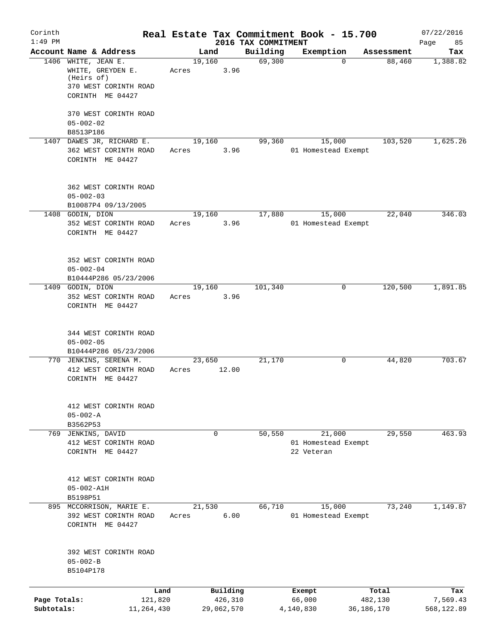| Corinth                    |                                                                                                     | Real Estate Tax Commitment Book - 15.700 |          |                                 |                                   |             |                       | 07/22/2016             |
|----------------------------|-----------------------------------------------------------------------------------------------------|------------------------------------------|----------|---------------------------------|-----------------------------------|-------------|-----------------------|------------------------|
| $1:49$ PM                  | Account Name & Address                                                                              | Land                                     |          | 2016 TAX COMMITMENT<br>Building | Exemption                         |             | Assessment            | Page<br>85<br>Tax      |
|                            | 1406 WHITE, JEAN E.<br>WHITE, GREYDEN E.<br>(Heirs of)<br>370 WEST CORINTH ROAD<br>CORINTH ME 04427 | 19,160<br>Acres                          | 3.96     | 69,300                          |                                   | $\mathbf 0$ | 88,460                | 1,388.82               |
|                            | 370 WEST CORINTH ROAD<br>$05 - 002 - 02$<br>B8513P186                                               |                                          |          |                                 |                                   |             |                       |                        |
|                            | 1407 DAWES JR, RICHARD E.<br>362 WEST CORINTH ROAD<br>CORINTH ME 04427                              | 19,160<br>Acres                          | 3.96     | 99,360                          | 01 Homestead Exempt               | 15,000      | 103,520               | 1,625.26               |
|                            | 362 WEST CORINTH ROAD<br>$05 - 002 - 03$<br>B10087P4 09/13/2005                                     |                                          |          |                                 |                                   |             |                       |                        |
|                            | 1408 GODIN, DION<br>352 WEST CORINTH ROAD<br>CORINTH ME 04427                                       | 19,160<br>Acres                          | 3.96     | 17,880                          | 01 Homestead Exempt               | 15,000      | 22,040                | 346.03                 |
|                            | 352 WEST CORINTH ROAD<br>$05 - 002 - 04$<br>B10444P286 05/23/2006                                   |                                          |          |                                 |                                   |             |                       |                        |
|                            | 1409 GODIN, DION<br>352 WEST CORINTH ROAD<br>CORINTH ME 04427                                       | 19,160<br>Acres                          | 3.96     | 101,340                         |                                   | 0           | 120,500               | 1,891.85               |
|                            | 344 WEST CORINTH ROAD<br>$05 - 002 - 05$<br>B10444P286 05/23/2006                                   |                                          |          |                                 |                                   |             |                       |                        |
|                            | 770 JENKINS, SERENA M.<br>412 WEST CORINTH ROAD<br>CORINTH ME 04427                                 | 23,650<br>Acres                          | 12.00    | 21,170                          |                                   | 0           | 44,820                | 703.67                 |
|                            | 412 WEST CORINTH ROAD<br>$05 - 002 - A$<br>B3562P53                                                 |                                          |          |                                 |                                   |             |                       |                        |
| 769                        | JENKINS, DAVID<br>412 WEST CORINTH ROAD<br>CORINTH ME 04427                                         | 0                                        |          | 50,550                          | 01 Homestead Exempt<br>22 Veteran | 21,000      | 29,550                | 463.93                 |
|                            | 412 WEST CORINTH ROAD<br>$05 - 002 - A1H$<br>B5198P51                                               |                                          |          |                                 |                                   |             |                       |                        |
|                            | 895 MCCORRISON, MARIE E.<br>392 WEST CORINTH ROAD<br>CORINTH ME 04427                               | 21,530<br>Acres                          | 6.00     | 66,710                          | 01 Homestead Exempt               | 15,000      | 73,240                | 1,149.87               |
|                            | 392 WEST CORINTH ROAD<br>$05 - 002 - B$<br>B5104P178                                                |                                          |          |                                 |                                   |             |                       |                        |
|                            | Land                                                                                                |                                          | Building |                                 | Exempt                            |             | Total                 | Tax                    |
| Page Totals:<br>Subtotals: | 121,820<br>11,264,430                                                                               | 29,062,570                               | 426,310  |                                 | 66,000<br>4,140,830               |             | 482,130<br>36,186,170 | 7,569.43<br>568,122.89 |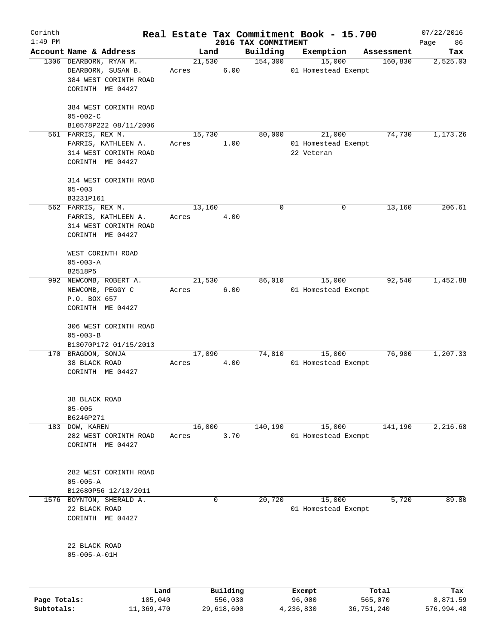| Corinth      |                                             |        |          |                     | Real Estate Tax Commitment Book - 15.700 |                       | 07/22/2016      |
|--------------|---------------------------------------------|--------|----------|---------------------|------------------------------------------|-----------------------|-----------------|
| $1:49$ PM    | Account Name & Address                      |        |          | 2016 TAX COMMITMENT |                                          |                       | Page<br>86      |
|              | 1306 DEARBORN, RYAN M.                      | 21,530 | Land     | Building<br>154,300 | Exemption<br>15,000                      | Assessment<br>160,830 | Tax<br>2,525.03 |
|              | DEARBORN, SUSAN B.<br>384 WEST CORINTH ROAD | Acres  | 6.00     |                     | 01 Homestead Exempt                      |                       |                 |
|              | CORINTH ME 04427                            |        |          |                     |                                          |                       |                 |
|              | 384 WEST CORINTH ROAD<br>$05 - 002 - C$     |        |          |                     |                                          |                       |                 |
|              | B10578P222 08/11/2006                       |        |          |                     |                                          |                       |                 |
|              | 561 FARRIS, REX M.                          | 15,730 |          | 80,000              | 21,000                                   | 74,730                | 1,173.26        |
|              | FARRIS, KATHLEEN A.                         | Acres  | 1.00     |                     | 01 Homestead Exempt                      |                       |                 |
|              | 314 WEST CORINTH ROAD                       |        |          |                     | 22 Veteran                               |                       |                 |
|              | CORINTH ME 04427                            |        |          |                     |                                          |                       |                 |
|              | 314 WEST CORINTH ROAD                       |        |          |                     |                                          |                       |                 |
|              | $05 - 003$<br>B3231P161                     |        |          |                     |                                          |                       |                 |
|              | 562 FARRIS, REX M.                          | 13,160 |          | 0                   | 0                                        | 13,160                | 206.61          |
|              | FARRIS, KATHLEEN A.                         | Acres  | 4.00     |                     |                                          |                       |                 |
|              | 314 WEST CORINTH ROAD                       |        |          |                     |                                          |                       |                 |
|              | CORINTH ME 04427                            |        |          |                     |                                          |                       |                 |
|              | WEST CORINTH ROAD                           |        |          |                     |                                          |                       |                 |
|              | $05 - 003 - A$                              |        |          |                     |                                          |                       |                 |
|              | B2518P5                                     |        |          |                     |                                          |                       |                 |
|              | 992 NEWCOMB, ROBERT A.                      | 21,530 |          | 86,010              | 15,000                                   | 92,540                | 1,452.88        |
|              | NEWCOMB, PEGGY C                            | Acres  | 6.00     |                     | 01 Homestead Exempt                      |                       |                 |
|              | P.O. BOX 657                                |        |          |                     |                                          |                       |                 |
|              | CORINTH ME 04427                            |        |          |                     |                                          |                       |                 |
|              | 306 WEST CORINTH ROAD                       |        |          |                     |                                          |                       |                 |
|              | $05 - 003 - B$                              |        |          |                     |                                          |                       |                 |
|              | B13070P172 01/15/2013                       |        |          |                     |                                          |                       |                 |
|              | 170 BRAGDON, SONJA                          | 17,090 |          | 74,810              | 15,000                                   | 76,900                | 1, 207.33       |
|              | 38 BLACK ROAD                               | Acres  | 4.00     |                     | 01 Homestead Exempt                      |                       |                 |
|              | CORINTH ME 04427                            |        |          |                     |                                          |                       |                 |
|              | 38 BLACK ROAD                               |        |          |                     |                                          |                       |                 |
|              | $05 - 005$                                  |        |          |                     |                                          |                       |                 |
|              | B6246P271                                   |        |          |                     |                                          |                       |                 |
|              | DOW, KAREN                                  |        |          | 140,190             |                                          |                       | 2,216.68        |
| 183          |                                             | 16,000 |          |                     | 15,000                                   | 141,190               |                 |
|              | 282 WEST CORINTH ROAD                       | Acres  | 3.70     |                     | 01 Homestead Exempt                      |                       |                 |
|              | CORINTH ME 04427                            |        |          |                     |                                          |                       |                 |
|              | 282 WEST CORINTH ROAD                       |        |          |                     |                                          |                       |                 |
|              | $05 - 005 - A$                              |        |          |                     |                                          |                       |                 |
|              | B12680P56 12/13/2011                        |        |          |                     |                                          |                       |                 |
| 1576         | BOYNTON, SHERALD A.                         |        | 0        | 20,720              | 15,000                                   | 5,720                 | 89.80           |
|              | 22 BLACK ROAD                               |        |          |                     | 01 Homestead Exempt                      |                       |                 |
|              | CORINTH ME 04427                            |        |          |                     |                                          |                       |                 |
|              | 22 BLACK ROAD                               |        |          |                     |                                          |                       |                 |
|              | $05 - 005 - A - 01H$                        |        |          |                     |                                          |                       |                 |
|              |                                             |        |          |                     |                                          |                       |                 |
|              | Land                                        |        | Building |                     | Exempt                                   | Total                 | Tax             |
| Page Totals: | 105,040                                     |        | 556,030  |                     | 96,000                                   | 565,070               | 8,871.59        |

**Subtotals:** 11,369,470 29,618,600 4,236,830 36,751,240 576,994.48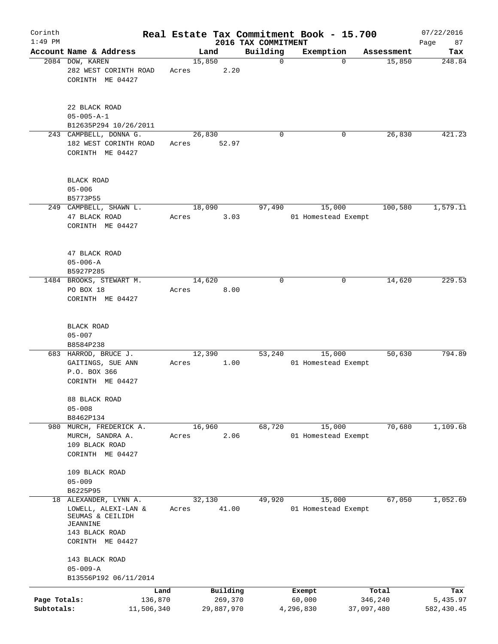| Corinth                    |                                                                                           |       |                                   |                         | Real Estate Tax Commitment Book - 15.700 |                                | 07/22/2016                    |
|----------------------------|-------------------------------------------------------------------------------------------|-------|-----------------------------------|-------------------------|------------------------------------------|--------------------------------|-------------------------------|
| $1:49$ PM                  | Account Name & Address                                                                    |       |                                   | 2016 TAX COMMITMENT     |                                          |                                | 87<br>Page                    |
|                            | 2084 DOW, KAREN                                                                           |       | Land<br>15,850                    | Building<br>$\mathbf 0$ | Exemption<br>$\Omega$                    | Assessment<br>15,850           | Tax<br>248.84                 |
|                            | 282 WEST CORINTH ROAD<br>CORINTH ME 04427                                                 | Acres | 2.20                              |                         |                                          |                                |                               |
|                            | 22 BLACK ROAD<br>$05 - 005 - A - 1$                                                       |       |                                   |                         |                                          |                                |                               |
|                            | B12635P294 10/26/2011                                                                     |       |                                   |                         |                                          |                                |                               |
|                            | 243 CAMPBELL, DONNA G.<br>182 WEST CORINTH ROAD<br>CORINTH ME 04427                       | Acres | 26,830<br>52.97                   | $\mathbf 0$             | 0                                        | 26,830                         | 421.23                        |
|                            | <b>BLACK ROAD</b><br>$05 - 006$<br>B5773P55                                               |       |                                   |                         |                                          |                                |                               |
|                            | 249 CAMPBELL, SHAWN L.                                                                    |       | 18,090                            | 97,490                  | 15,000                                   | 100,580                        | 1,579.11                      |
|                            | 47 BLACK ROAD<br>CORINTH ME 04427                                                         | Acres | 3.03                              |                         | 01 Homestead Exempt                      |                                |                               |
|                            | 47 BLACK ROAD<br>$05 - 006 - A$<br>B5927P285                                              |       |                                   |                         |                                          |                                |                               |
|                            | 1484 BROOKS, STEWART M.                                                                   |       | 14,620                            | $\mathbf 0$             | 0                                        | 14,620                         | 229.53                        |
|                            | PO BOX 18<br>CORINTH ME 04427                                                             | Acres | 8.00                              |                         |                                          |                                |                               |
|                            | BLACK ROAD<br>$05 - 007$<br>B8584P238                                                     |       |                                   |                         |                                          |                                |                               |
|                            | 683 HARROD, BRUCE J.                                                                      |       | 12,390                            | 53,240                  | 15,000                                   | 50,630                         | 794.89                        |
|                            | GAITINGS, SUE ANN<br>P.O. BOX 366<br>CORINTH ME 04427                                     | Acres | 1.00                              |                         | 01 Homestead Exempt                      |                                |                               |
|                            | 88 BLACK ROAD<br>$05 - 008$                                                               |       |                                   |                         |                                          |                                |                               |
|                            | B8462P134                                                                                 |       |                                   |                         |                                          | 70,680                         | 1,109.68                      |
| 980                        | MURCH, FREDERICK A.<br>MURCH, SANDRA A.<br>109 BLACK ROAD<br>CORINTH ME 04427             | Acres | 16,960<br>2.06                    | 68,720                  | 15,000<br>01 Homestead Exempt            |                                |                               |
|                            | 109 BLACK ROAD                                                                            |       |                                   |                         |                                          |                                |                               |
|                            | $05 - 009$                                                                                |       |                                   |                         |                                          |                                |                               |
| 18                         | B6225P95<br>ALEXANDER, LYNN A.                                                            |       | 32,130                            | 49,920                  | 15,000                                   | 67,050                         | 1,052.69                      |
|                            | LOWELL, ALEXI-LAN &<br>SEUMAS & CEILIDH<br>JEANNINE<br>143 BLACK ROAD<br>CORINTH ME 04427 | Acres | 41.00                             |                         | 01 Homestead Exempt                      |                                |                               |
|                            | 143 BLACK ROAD<br>$05 - 009 - A$                                                          |       |                                   |                         |                                          |                                |                               |
|                            | B13556P192 06/11/2014                                                                     |       |                                   |                         |                                          |                                |                               |
| Page Totals:<br>Subtotals: | 136,870<br>11,506,340                                                                     | Land  | Building<br>269,370<br>29,887,970 |                         | Exempt<br>60,000<br>4,296,830            | Total<br>346,240<br>37,097,480 | Tax<br>5,435.97<br>582,430.45 |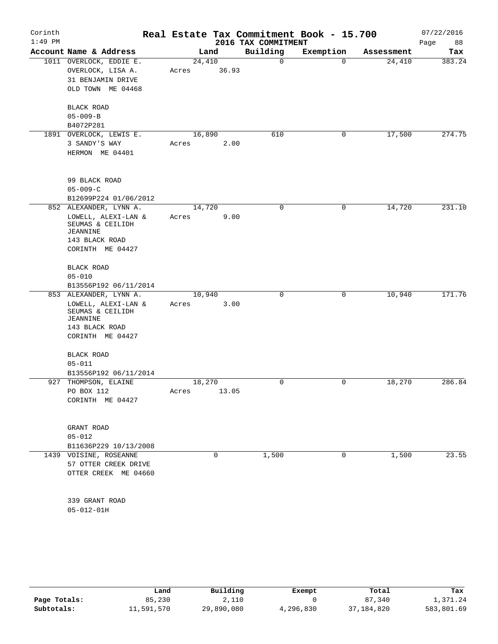| Corinth<br>$1:49$ PM |                                                                                                                            |                 |       | 2016 TAX COMMITMENT | Real Estate Tax Commitment Book - 15.700 |            | 07/22/2016<br>Page<br>88 |
|----------------------|----------------------------------------------------------------------------------------------------------------------------|-----------------|-------|---------------------|------------------------------------------|------------|--------------------------|
|                      | Account Name & Address                                                                                                     | Land            |       | Building            | Exemption                                | Assessment | Tax                      |
|                      | 1011 OVERLOCK, EDDIE E.<br>OVERLOCK, LISA A.<br>31 BENJAMIN DRIVE<br>OLD TOWN ME 04468                                     | 24,410<br>Acres | 36.93 | 0                   | $\mathbf 0$                              | 24,410     | 383.24                   |
|                      | BLACK ROAD<br>$05 - 009 - B$<br>B4072P281                                                                                  |                 |       |                     |                                          |            |                          |
|                      | 1891 OVERLOCK, LEWIS E.<br>3 SANDY'S WAY<br>HERMON ME 04401                                                                | 16,890<br>Acres | 2.00  | 610                 | 0                                        | 17,500     | 274.75                   |
|                      | 99 BLACK ROAD<br>$05 - 009 - C$<br>B12699P224 01/06/2012                                                                   |                 |       |                     |                                          |            |                          |
|                      | 852 ALEXANDER, LYNN A.<br>LOWELL, ALEXI-LAN &<br>SEUMAS & CEILIDH<br><b>JEANNINE</b><br>143 BLACK ROAD<br>CORINTH ME 04427 | 14,720<br>Acres | 9.00  | 0                   | 0                                        | 14,720     | 231.10                   |
|                      | <b>BLACK ROAD</b><br>$05 - 010$<br>B13556P192 06/11/2014                                                                   |                 |       |                     |                                          |            |                          |
|                      | 853 ALEXANDER, LYNN A.<br>LOWELL, ALEXI-LAN &<br>SEUMAS & CEILIDH<br>JEANNINE<br>143 BLACK ROAD<br>CORINTH ME 04427        | 10,940<br>Acres | 3.00  | 0                   | 0                                        | 10,940     | 171.76                   |
|                      | <b>BLACK ROAD</b><br>$05 - 011$<br>B13556P192 06/11/2014                                                                   |                 |       |                     |                                          |            |                          |
| 927                  | THOMPSON, ELAINE<br>PO BOX 112<br>CORINTH ME 04427                                                                         | 18,270<br>Acres | 13.05 | 0                   | 0                                        | 18,270     | 286.84                   |
|                      | GRANT ROAD<br>$05 - 012$<br>B11636P229 10/13/2008                                                                          |                 |       |                     |                                          |            |                          |
|                      | 1439 VOISINE, ROSEANNE<br>57 OTTER CREEK DRIVE<br>OTTER CREEK ME 04660                                                     |                 | 0     | 1,500               | 0                                        | 1,500      | 23.55                    |
|                      | 339 GRANT ROAD<br>$05 - 012 - 01H$                                                                                         |                 |       |                     |                                          |            |                          |

|              | Land       | Building   | Exempt    | Total      | Tax        |
|--------------|------------|------------|-----------|------------|------------|
| Page Totals: | 85,230     | 2,110      |           | 87,340     | 1,371.24   |
| Subtotals:   | 11,591,570 | 29,890,080 | 4,296,830 | 37,184,820 | 583,801.69 |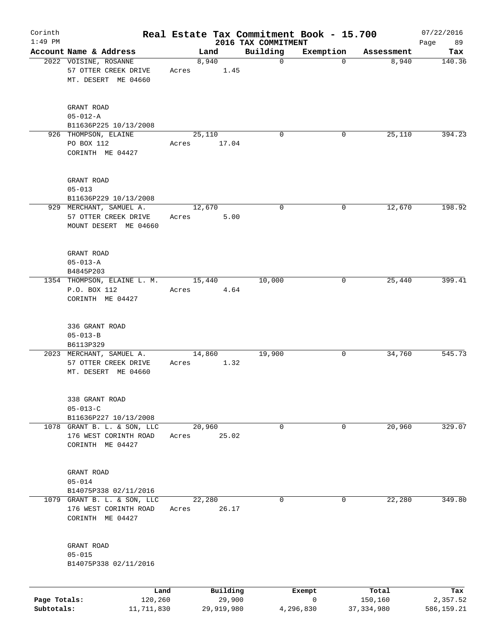| Corinth      |                                                                          |       |                    |                         | Real Estate Tax Commitment Book - 15.700 |                     | 07/22/2016      |
|--------------|--------------------------------------------------------------------------|-------|--------------------|-------------------------|------------------------------------------|---------------------|-----------------|
| $1:49$ PM    | Account Name & Address                                                   |       |                    | 2016 TAX COMMITMENT     |                                          |                     | 89<br>Page      |
|              | 2022 VOISINE, ROSANNE                                                    |       | Land<br>8,940      | Building<br>$\mathbf 0$ | Exemption<br>$\mathbf 0$                 | Assessment<br>8,940 | Tax<br>140.36   |
|              | 57 OTTER CREEK DRIVE<br>MT. DESERT ME 04660                              | Acres | 1.45               |                         |                                          |                     |                 |
|              | GRANT ROAD<br>$05 - 012 - A$<br>B11636P225 10/13/2008                    |       |                    |                         |                                          |                     |                 |
|              | 926 THOMPSON, ELAINE                                                     |       | 25,110             | $\mathbf 0$             | 0                                        | 25,110              | 394.23          |
|              | PO BOX 112<br>CORINTH ME 04427                                           | Acres | 17.04              |                         |                                          |                     |                 |
|              | GRANT ROAD<br>$05 - 013$                                                 |       |                    |                         |                                          |                     |                 |
|              | B11636P229 10/13/2008<br>929 MERCHANT, SAMUEL A.                         |       | 12,670             | 0                       | 0                                        | 12,670              | 198.92          |
|              | 57 OTTER CREEK DRIVE<br>MOUNT DESERT ME 04660                            | Acres | 5.00               |                         |                                          |                     |                 |
|              | GRANT ROAD<br>$05 - 013 - A$                                             |       |                    |                         |                                          |                     |                 |
|              | B4845P203                                                                |       |                    |                         |                                          |                     |                 |
|              | 1354 THOMPSON, ELAINE L. M.<br>P.O. BOX 112<br>CORINTH ME 04427          | Acres | 15,440<br>4.64     | 10,000                  | 0                                        | 25,440              | 399.41          |
|              | 336 GRANT ROAD<br>$05 - 013 - B$<br>B6113P329                            |       |                    |                         |                                          |                     |                 |
|              | 2023 MERCHANT, SAMUEL A.                                                 |       | 14,860             | 19,900                  | 0                                        | 34,760              | 545.73          |
|              | 57 OTTER CREEK DRIVE<br>MT. DESERT ME 04660                              | Acres | 1.32               |                         |                                          |                     |                 |
|              | 338 GRANT ROAD<br>$05 - 013 - C$                                         |       |                    |                         |                                          |                     |                 |
|              | B11636P227 10/13/2008                                                    |       |                    |                         |                                          |                     |                 |
|              | 1078 GRANT B. L. & SON, LLC<br>176 WEST CORINTH ROAD<br>CORINTH ME 04427 | Acres | 20,960<br>25.02    | 0                       | 0                                        | 20,960              | 329.07          |
|              | GRANT ROAD<br>$05 - 014$                                                 |       |                    |                         |                                          |                     |                 |
|              | B14075P338 02/11/2016                                                    |       |                    |                         |                                          |                     |                 |
|              | 1079 GRANT B. L. & SON, LLC<br>176 WEST CORINTH ROAD<br>CORINTH ME 04427 | Acres | 22,280<br>26.17    | 0                       | 0                                        | 22,280              | 349.80          |
|              | GRANT ROAD<br>$05 - 015$<br>B14075P338 02/11/2016                        |       |                    |                         |                                          |                     |                 |
| Page Totals: | Land<br>120,260                                                          |       | Building<br>29,900 |                         | Exempt<br>$\mathsf{O}$                   | Total<br>150,160    | Tax<br>2,357.52 |
| Subtotals:   | 11,711,830                                                               |       | 29,919,980         |                         | 4,296,830                                | 37, 334, 980        | 586,159.21      |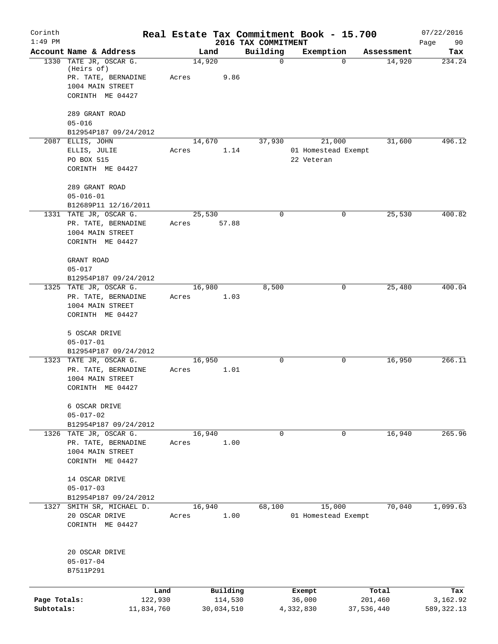| Corinth<br>$1:49$ PM       |                                                                                                     | Real Estate Tax Commitment Book - 15.700 | 2016 TAX COMMITMENT |                                             |                       | 07/22/2016              |
|----------------------------|-----------------------------------------------------------------------------------------------------|------------------------------------------|---------------------|---------------------------------------------|-----------------------|-------------------------|
|                            | Account Name & Address                                                                              | Land                                     | Building            | Exemption                                   | Assessment            | Page<br>90<br>Tax       |
|                            | 1330 TATE JR, OSCAR G.<br>(Heirs of)<br>PR. TATE, BERNADINE<br>1004 MAIN STREET<br>CORINTH ME 04427 | 14,920<br>Acres<br>9.86                  | $\mathbf 0$         | $\Omega$                                    | 14,920                | 234.24                  |
|                            | 289 GRANT ROAD<br>$05 - 016$<br>B12954P187 09/24/2012                                               |                                          |                     |                                             |                       |                         |
|                            | 2087 ELLIS, JOHN<br>ELLIS, JULIE<br>PO BOX 515<br>CORINTH ME 04427                                  | 14,670<br>1.14<br>Acres                  | 37,930              | 21,000<br>01 Homestead Exempt<br>22 Veteran | 31,600                | 496.12                  |
|                            | 289 GRANT ROAD<br>$05 - 016 - 01$<br>B12689P11 12/16/2011<br>1331 TATE JR, OSCAR G.                 | 25,530                                   | 0                   | 0                                           | 25,530                | 400.82                  |
|                            | PR. TATE, BERNADINE<br>1004 MAIN STREET<br>CORINTH ME 04427                                         | Acres<br>57.88                           |                     |                                             |                       |                         |
|                            | GRANT ROAD<br>$05 - 017$<br>B12954P187 09/24/2012                                                   |                                          |                     |                                             |                       |                         |
|                            | 1325 TATE JR, OSCAR G.<br>PR. TATE, BERNADINE<br>1004 MAIN STREET<br>CORINTH ME 04427               | 16,980<br>1.03<br>Acres                  | 8,500               | 0                                           | 25,480                | 400.04                  |
|                            | 5 OSCAR DRIVE<br>$05 - 017 - 01$<br>B12954P187 09/24/2012                                           |                                          |                     |                                             |                       |                         |
|                            | 1323 TATE JR, OSCAR G.<br>PR. TATE, BERNADINE<br>1004 MAIN STREET<br>CORINTH ME 04427               | 16,950<br>1.01<br>Acres                  | $\mathbf 0$         | 0                                           | 16,950                | 266.11                  |
|                            | 6 OSCAR DRIVE<br>$05 - 017 - 02$<br>B12954P187 09/24/2012                                           |                                          |                     |                                             |                       |                         |
|                            | 1326 TATE JR, OSCAR G.<br>PR. TATE, BERNADINE<br>1004 MAIN STREET<br>CORINTH ME 04427               | 16,940<br>1.00<br>Acres                  | $\mathbf 0$         | $\mathbf 0$                                 | 16,940                | 265.96                  |
|                            | 14 OSCAR DRIVE<br>$05 - 017 - 03$<br>B12954P187 09/24/2012                                          |                                          |                     |                                             |                       |                         |
| 1327                       | SMITH SR, MICHAEL D.<br>20 OSCAR DRIVE<br>CORINTH ME 04427                                          | 16,940<br>1.00<br>Acres                  | 68,100              | 15,000<br>01 Homestead Exempt               | 70,040                | 1,099.63                |
|                            | 20 OSCAR DRIVE<br>$05 - 017 - 04$<br>B7511P291                                                      |                                          |                     |                                             |                       |                         |
|                            | Land                                                                                                | Building                                 |                     | Exempt                                      | Total                 | Tax                     |
| Page Totals:<br>Subtotals: | 122,930<br>11,834,760                                                                               | 114,530<br>30,034,510                    |                     | 36,000<br>4,332,830                         | 201,460<br>37,536,440 | 3,162.92<br>589, 322.13 |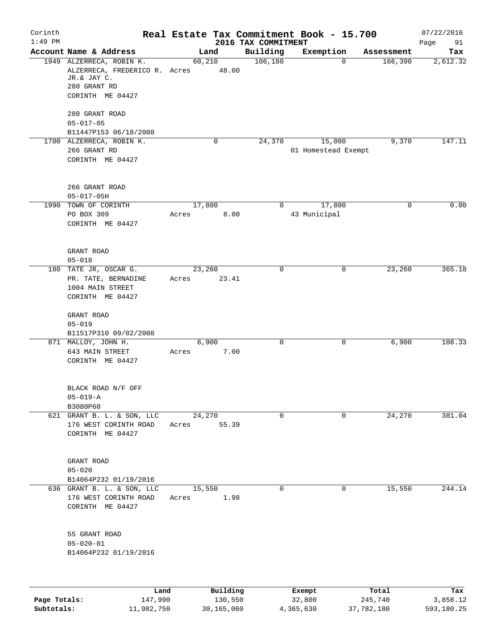| Corinth      |                                                                                                              |                 |                     |                                 | Real Estate Tax Commitment Book - 15.700 |                  | 07/22/2016        |
|--------------|--------------------------------------------------------------------------------------------------------------|-----------------|---------------------|---------------------------------|------------------------------------------|------------------|-------------------|
| $1:49$ PM    | Account Name & Address                                                                                       |                 | Land                | 2016 TAX COMMITMENT<br>Building | Exemption                                | Assessment       | Page<br>91<br>Tax |
|              | 1949 ALZERRECA, ROBIN K.<br>ALZERRECA, FREDERICO R. Acres<br>JR.& JAY C.<br>280 GRANT RD<br>CORINTH ME 04427 | 60,210          | 48.00               | 106, 180                        | $\mathbf 0$                              | 166,390          | 2,612.32          |
|              | 280 GRANT ROAD<br>$05 - 017 - 05$                                                                            |                 |                     |                                 |                                          |                  |                   |
|              | B11447P153 06/18/2008<br>1700 ALZERRECA, ROBIN K.                                                            |                 | 0                   | 24,370                          | 15,000                                   | 9,370            | 147.11            |
|              | 266 GRANT RD<br>CORINTH ME 04427                                                                             |                 |                     |                                 | 01 Homestead Exempt                      |                  |                   |
|              | 266 GRANT ROAD<br>$05 - 017 - 05H$                                                                           |                 |                     |                                 |                                          |                  |                   |
|              | 1990 TOWN OF CORINTH<br>PO BOX 309<br>CORINTH ME 04427                                                       | 17,800<br>Acres | 8.00                | 0                               | 17,800<br>43 Municipal                   | 0                | 0.00              |
|              | GRANT ROAD<br>$05 - 018$                                                                                     |                 |                     |                                 |                                          |                  |                   |
|              | 180 TATE JR, OSCAR G.<br>PR. TATE, BERNADINE<br>1004 MAIN STREET<br>CORINTH ME 04427                         | 23,260<br>Acres | 23.41               | $\mathbf 0$                     | 0                                        | 23,260           | 365.18            |
|              | GRANT ROAD<br>$05 - 019$<br>B11517P310 09/02/2008                                                            |                 |                     |                                 |                                          |                  |                   |
|              | 871 MALLOY, JOHN H.<br>643 MAIN STREET<br>CORINTH ME 04427                                                   | 6,900<br>Acres  | 7.00                | $\mathbf 0$                     | 0                                        | 6,900            | 108.33            |
|              | BLACK ROAD N/F OFF<br>$05 - 019 - A$<br>B3080P60                                                             |                 |                     |                                 |                                          |                  |                   |
|              | 621 GRANT B. L. & SON, LLC<br>176 WEST CORINTH ROAD<br>CORINTH ME 04427                                      | 24,270<br>Acres | 55.39               | 0                               | $\mathbf 0$                              | 24,270           | 381.04            |
|              | GRANT ROAD<br>$05 - 020$<br>B14064P232 01/19/2016                                                            |                 |                     |                                 |                                          |                  |                   |
|              | 636 GRANT B. L. & SON, LLC<br>176 WEST CORINTH ROAD<br>CORINTH ME 04427                                      | 15,550<br>Acres | 1.98                | $\mathbf 0$                     | $\mathbf{0}$                             | 15,550           | 244.14            |
|              | 55 GRANT ROAD<br>$05 - 020 - 01$<br>B14064P232 01/19/2016                                                    |                 |                     |                                 |                                          |                  |                   |
|              |                                                                                                              |                 |                     |                                 |                                          |                  |                   |
| Page Totals: | Land<br>147,990                                                                                              |                 | Building<br>130,550 |                                 | Exempt<br>32,800                         | Total<br>245,740 | Tax<br>3,858.12   |

**Subtotals:** 11,982,750 30,165,060 4,365,630 37,782,180 593,180.25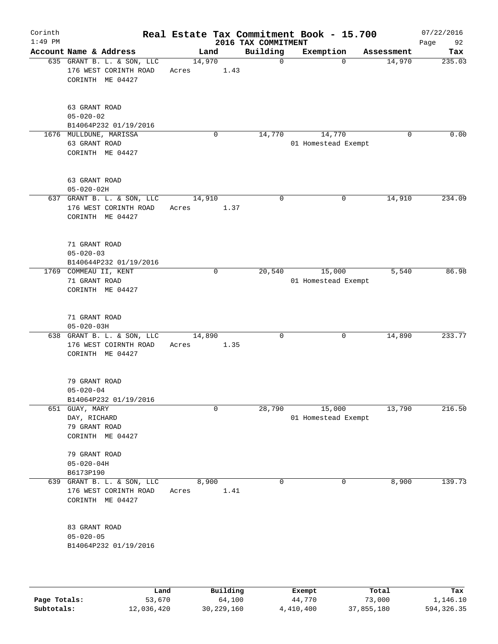| Corinth<br>$1:49$ PM |                                                                         |      |       |        |          | Real Estate Tax Commitment Book - 15.700<br>2016 TAX COMMITMENT |                               |             |             | 07/22/2016<br>Page<br>92 |
|----------------------|-------------------------------------------------------------------------|------|-------|--------|----------|-----------------------------------------------------------------|-------------------------------|-------------|-------------|--------------------------|
|                      | Account Name & Address                                                  |      |       | Land   |          | Building                                                        | Exemption                     |             | Assessment  | Tax                      |
|                      | 635 GRANT B. L. & SON, LLC<br>176 WEST CORINTH ROAD<br>CORINTH ME 04427 |      | Acres | 14,970 | 1.43     | $\mathbf 0$                                                     |                               | $\Omega$    | 14,970      | 235.03                   |
|                      | 63 GRANT ROAD<br>$05 - 020 - 02$<br>B14064P232 01/19/2016               |      |       |        |          |                                                                 |                               |             |             |                          |
|                      | 1676 MULLDUNE, MARISSA<br>63 GRANT ROAD<br>CORINTH ME 04427             |      |       | 0      |          | 14,770                                                          | 14,770<br>01 Homestead Exempt |             | $\mathbf 0$ | 0.00                     |
|                      | 63 GRANT ROAD<br>$05 - 020 - 02H$                                       |      |       |        |          |                                                                 |                               |             |             |                          |
|                      | 637 GRANT B. L. & SON, LLC<br>176 WEST CORINTH ROAD<br>CORINTH ME 04427 |      | Acres | 14,910 | 1.37     | $\mathbf 0$                                                     |                               | $\mathbf 0$ | 14,910      | 234.09                   |
|                      | 71 GRANT ROAD<br>$05 - 020 - 03$<br>B140644P232 01/19/2016              |      |       |        |          |                                                                 |                               |             |             |                          |
|                      | 1769 COMMEAU II, KENT<br>71 GRANT ROAD<br>CORINTH ME 04427              |      |       | 0      |          | 20,540                                                          | 15,000<br>01 Homestead Exempt |             | 5,540       | 86.98                    |
|                      | 71 GRANT ROAD<br>$05 - 020 - 03H$                                       |      |       |        |          |                                                                 |                               |             |             |                          |
| 638                  | GRANT B. L. & SON, LLC<br>176 WEST COIRNTH ROAD<br>CORINTH ME 04427     |      | Acres | 14,890 | 1.35     | $\mathbf 0$                                                     |                               | 0           | 14,890      | 233.77                   |
|                      | 79 GRANT ROAD<br>$05 - 020 - 04$<br>B14064P232 01/19/2016               |      |       |        |          |                                                                 |                               |             |             |                          |
|                      | 651 GUAY, MARY<br>DAY, RICHARD<br>79 GRANT ROAD<br>CORINTH ME 04427     |      |       | 0      |          | 28,790                                                          | 15,000<br>01 Homestead Exempt |             | 13,790      | 216.50                   |
|                      | 79 GRANT ROAD<br>$05 - 020 - 04H$<br>B6173P190                          |      |       |        |          |                                                                 |                               |             |             |                          |
| 639                  | GRANT B. L. & SON, LLC<br>176 WEST CORINTH ROAD<br>CORINTH ME 04427     |      | Acres | 8,900  | 1.41     | $\mathbf 0$                                                     |                               | 0           | 8,900       | 139.73                   |
|                      | 83 GRANT ROAD<br>$05 - 020 - 05$<br>B14064P232 01/19/2016               |      |       |        |          |                                                                 |                               |             |             |                          |
|                      |                                                                         | Land |       |        | Building |                                                                 | Exempt                        |             | Total       | Tax                      |

|              | Land       | Building   | Exempt    | Total      | Tax        |
|--------------|------------|------------|-----------|------------|------------|
| Page Totals: | 53,670     | 64,100     | 44,770    | 73,000     | 1,146.10   |
| Subtotals:   | 12,036,420 | 30,229,160 | 4,410,400 | 37,855,180 | 594,326.35 |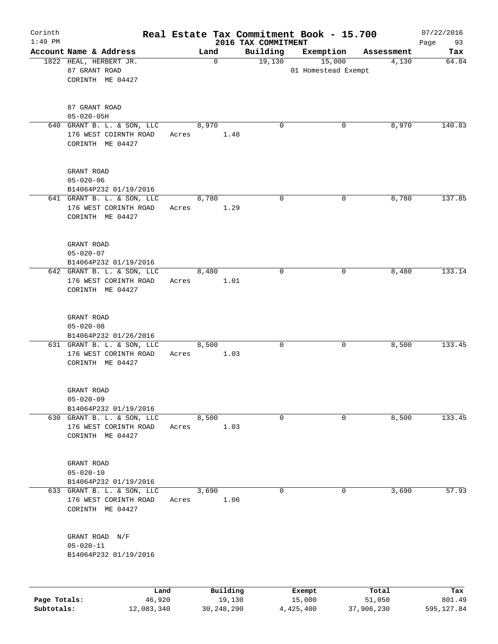| Corinth<br>$1:49$ PM |                                                                         |                |               |                                 | Real Estate Tax Commitment Book - 15.700 |            | 07/22/2016        |
|----------------------|-------------------------------------------------------------------------|----------------|---------------|---------------------------------|------------------------------------------|------------|-------------------|
|                      | Account Name & Address                                                  |                | Land          | 2016 TAX COMMITMENT<br>Building | Exemption                                | Assessment | Page<br>93<br>Tax |
|                      | 1822 HEAL, HERBERT JR.<br>87 GRANT ROAD<br>CORINTH ME 04427             |                | 0             | 19,130                          | 15,000<br>01 Homestead Exempt            | 4,130      | 64.84             |
|                      | 87 GRANT ROAD<br>$05 - 020 - 05H$                                       |                |               |                                 |                                          |            |                   |
|                      | 640 GRANT B. L. & SON, LLC<br>176 WEST COIRNTH ROAD<br>CORINTH ME 04427 | Acres          | 8,970<br>1.48 | $\mathbf 0$                     | 0                                        | 8,970      | 140.83            |
|                      | GRANT ROAD<br>$05 - 020 - 06$<br>B14064P232 01/19/2016                  |                |               |                                 |                                          |            |                   |
|                      | 641 GRANT B. L. & SON, LLC<br>176 WEST CORINTH ROAD<br>CORINTH ME 04427 | Acres          | 8,780<br>1.29 | $\mathbf 0$                     | 0                                        | 8,780      | 137.85            |
|                      | GRANT ROAD<br>$05 - 020 - 07$<br>B14064P232 01/19/2016                  |                |               |                                 |                                          |            |                   |
|                      | 642 GRANT B. L. & SON, LLC<br>176 WEST CORINTH ROAD<br>CORINTH ME 04427 | 8,480<br>Acres | 1.01          | $\mathbf 0$                     | 0                                        | 8,480      | 133.14            |
|                      | GRANT ROAD<br>$05 - 020 - 08$<br>B14064P232 01/26/2016                  |                |               |                                 |                                          |            |                   |
|                      | 631 GRANT B. L. & SON, LLC<br>176 WEST CORINTH ROAD<br>CORINTH ME 04427 | 8,500<br>Acres | 1.03          | $\mathbf 0$                     | 0                                        | 8,500      | 133.45            |
|                      | GRANT ROAD<br>$05 - 020 - 09$<br>B14064P232 01/19/2016                  |                |               |                                 |                                          |            |                   |
|                      | 630 GRANT B. L. & SON, LLC<br>176 WEST CORINTH ROAD<br>CORINTH ME 04427 | 8,500<br>Acres | 1.03          | $\mathbf 0$                     | 0                                        | 8,500      | 133.45            |
|                      | GRANT ROAD<br>$05 - 020 - 10$<br>B14064P232 01/19/2016                  |                |               |                                 |                                          |            |                   |
|                      | 633 GRANT B. L. & SON, LLC<br>176 WEST CORINTH ROAD<br>CORINTH ME 04427 | 3,690<br>Acres | 1.06          | $\mathbf 0$                     | 0                                        | 3,690      | 57.93             |
|                      | GRANT ROAD N/F<br>$05 - 020 - 11$<br>B14064P232 01/19/2016              |                |               |                                 |                                          |            |                   |
|                      | Land                                                                    |                | Building      |                                 | Exempt                                   | Total      | Tax               |
| Page Totals:         | 46,920                                                                  |                | 19,130        |                                 | 15,000                                   | 51,050     | 801.49            |

**Subtotals:** 12,083,340 30,248,290 4,425,400 37,906,230 595,127.84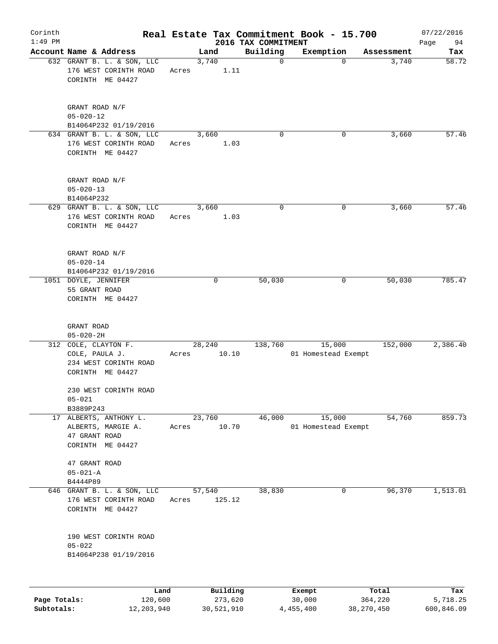| Corinth      |                                                                               |       |               |          |                         | Real Estate Tax Commitment Book - 15.700 |          |                     | 07/22/2016                |
|--------------|-------------------------------------------------------------------------------|-------|---------------|----------|-------------------------|------------------------------------------|----------|---------------------|---------------------------|
| $1:49$ PM    |                                                                               |       |               |          | 2016 TAX COMMITMENT     |                                          |          |                     | Page<br>94                |
|              | Account Name & Address<br>632 GRANT B. L. & SON, LLC<br>176 WEST CORINTH ROAD | Acres | Land<br>3,740 | 1.11     | Building<br>$\mathbf 0$ | Exemption                                | $\Omega$ | Assessment<br>3,740 | Tax<br>$\overline{58.72}$ |
|              | CORINTH ME 04427                                                              |       |               |          |                         |                                          |          |                     |                           |
|              | GRANT ROAD N/F<br>$05 - 020 - 12$                                             |       |               |          |                         |                                          |          |                     |                           |
|              | B14064P232 01/19/2016                                                         |       |               |          |                         |                                          |          |                     |                           |
|              | 634 GRANT B. L. & SON, LLC<br>176 WEST CORINTH ROAD<br>CORINTH ME 04427       | Acres | 3,660         | 1.03     | $\mathbf 0$             |                                          | 0        | 3,660               | 57.46                     |
|              | GRANT ROAD N/F<br>$05 - 020 - 13$<br>B14064P232                               |       |               |          |                         |                                          |          |                     |                           |
|              | 629 GRANT B. L. & SON, LLC<br>176 WEST CORINTH ROAD<br>CORINTH ME 04427       | Acres | 3,660         | 1.03     | $\mathbf 0$             |                                          | 0        | 3,660               | 57.46                     |
|              | GRANT ROAD N/F<br>$05 - 020 - 14$<br>B14064P232 01/19/2016                    |       |               |          |                         |                                          |          |                     |                           |
|              | 1051 DOYLE, JENNIFER<br>55 GRANT ROAD<br>CORINTH ME 04427                     |       |               | 0        | 50,030                  |                                          | 0        | 50,030              | 785.47                    |
|              | GRANT ROAD<br>$05 - 020 - 2H$                                                 |       |               |          |                         |                                          |          |                     |                           |
|              | 312 COLE, CLAYTON F.                                                          |       | 28,240        |          | 138,760                 | 15,000                                   |          | 152,000             | 2,386.40                  |
|              | COLE, PAULA J.<br>234 WEST CORINTH ROAD<br>CORINTH ME 04427                   | Acres |               | 10.10    |                         | 01 Homestead Exempt                      |          |                     |                           |
|              | 230 WEST CORINTH ROAD<br>$05 - 021$                                           |       |               |          |                         |                                          |          |                     |                           |
|              | B3889P243<br>17 ALBERTS, ANTHONY L.                                           |       | 23,760        |          | 46,000                  | 15,000                                   |          | 54,760              | 859.73                    |
|              | ALBERTS, MARGIE A.<br>47 GRANT ROAD<br>CORINTH ME 04427                       | Acres |               | 10.70    |                         | 01 Homestead Exempt                      |          |                     |                           |
|              | 47 GRANT ROAD<br>$05 - 021 - A$                                               |       |               |          |                         |                                          |          |                     |                           |
|              | B4444P89                                                                      |       |               |          |                         |                                          |          |                     |                           |
|              | 646 GRANT B. L. & SON, LLC<br>176 WEST CORINTH ROAD<br>CORINTH ME 04427       | Acres | 57,540        | 125.12   | 38,830                  |                                          | 0        | 96,370              | 1,513.01                  |
|              | 190 WEST CORINTH ROAD<br>$05 - 022$                                           |       |               |          |                         |                                          |          |                     |                           |
|              | B14064P238 01/19/2016                                                         |       |               |          |                         |                                          |          |                     |                           |
|              | Land                                                                          |       |               | Building |                         | Exempt                                   |          | Total               | Tax                       |
| Page Totals: | 120,600                                                                       |       |               | 273,620  |                         | 30,000                                   |          | 364,220             | 5,718.25                  |

**Subtotals:** 12,203,940 30,521,910 4,455,400 38,270,450 600,846.09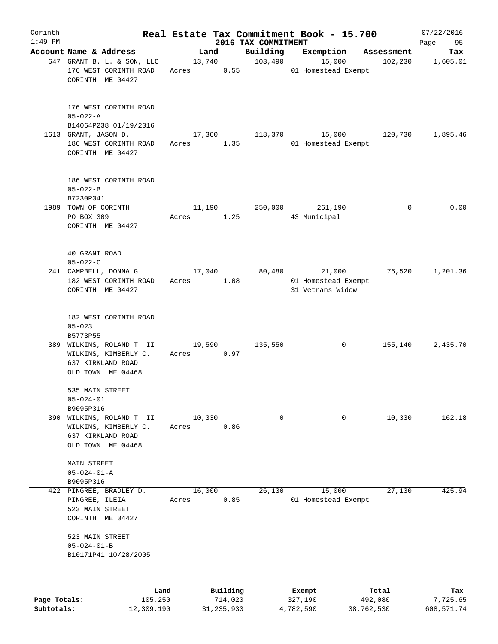| Corinth      |                                                        |                                                                                             |                 |                |                     | Real Estate Tax Commitment Book - 15.700          |            | 07/22/2016      |
|--------------|--------------------------------------------------------|---------------------------------------------------------------------------------------------|-----------------|----------------|---------------------|---------------------------------------------------|------------|-----------------|
| $1:49$ PM    |                                                        | Account Name & Address                                                                      |                 |                | 2016 TAX COMMITMENT |                                                   | Assessment | 95<br>Page      |
|              |                                                        | 647 GRANT B. L. & SON, LLC<br>176 WEST CORINTH ROAD<br>CORINTH ME 04427                     | Land<br>Acres   | 13,740<br>0.55 | Building<br>103,490 | Exemption<br>15,000<br>01 Homestead Exempt        | 102,230    | Tax<br>1,605.01 |
|              | $05 - 022 - A$                                         | 176 WEST CORINTH ROAD<br>B14064P238 01/19/2016                                              |                 |                |                     |                                                   |            |                 |
|              | 1613 GRANT, JASON D.                                   | 186 WEST CORINTH ROAD<br>CORINTH ME 04427                                                   | 17,360<br>Acres | 1.35           | 118,370             | 15,000<br>01 Homestead Exempt                     | 120,730    | 1,895.46        |
|              | $05 - 022 - B$<br>B7230P341                            | 186 WEST CORINTH ROAD                                                                       |                 |                |                     |                                                   |            |                 |
|              | 1989 TOWN OF CORINTH<br>PO BOX 309                     | CORINTH ME 04427                                                                            | 11,190<br>Acres | 1.25           | 250,000             | 261,190<br>43 Municipal                           | 0          | 0.00            |
|              | 40 GRANT ROAD<br>$05 - 022 - C$                        |                                                                                             |                 |                |                     |                                                   |            |                 |
|              |                                                        | 241 CAMPBELL, DONNA G.<br>182 WEST CORINTH ROAD<br>CORINTH ME 04427                         | 17,040<br>Acres | 1.08           | 80,480              | 21,000<br>01 Homestead Exempt<br>31 Vetrans Widow | 76,520     | 1,201.36        |
|              | $05 - 023$<br>B5773P55                                 | 182 WEST CORINTH ROAD                                                                       |                 |                |                     |                                                   |            |                 |
|              |                                                        | 389 WILKINS, ROLAND T. II<br>WILKINS, KIMBERLY C.<br>637 KIRKLAND ROAD<br>OLD TOWN ME 04468 | 19,590<br>Acres | 0.97           | 135,550             | 0                                                 | 155,140    | 2,435.70        |
|              | 535 MAIN STREET<br>$05 - 024 - 01$                     |                                                                                             |                 |                |                     |                                                   |            |                 |
| 390          | B9095P316                                              | WILKINS, ROLAND T. II<br>WILKINS, KIMBERLY C.<br>637 KIRKLAND ROAD<br>OLD TOWN ME 04468     | 10,330<br>Acres | 0.86           | $\mathbf 0$         | $\mathbf 0$                                       | 10,330     | 162.18          |
|              | <b>MAIN STREET</b><br>$05 - 024 - 01 - A$<br>B9095P316 |                                                                                             |                 |                |                     |                                                   |            |                 |
| 422          | PINGREE, ILEIA<br>523 MAIN STREET                      | PINGREE, BRADLEY D.<br>CORINTH ME 04427                                                     | 16,000<br>Acres | 0.85           | 26,130              | 15,000<br>01 Homestead Exempt                     | 27,130     | 425.94          |
|              | 523 MAIN STREET<br>$05 - 024 - 01 - B$                 | B10171P41 10/28/2005                                                                        |                 |                |                     |                                                   |            |                 |
|              |                                                        | Land                                                                                        |                 | Building       |                     | Exempt                                            | Total      | Tax             |
| Page Totals: |                                                        | 105,250                                                                                     |                 | 714,020        |                     | 327,190                                           | 492,080    | 7,725.65        |

**Subtotals:** 12,309,190 31,235,930 4,782,590 38,762,530 608,571.74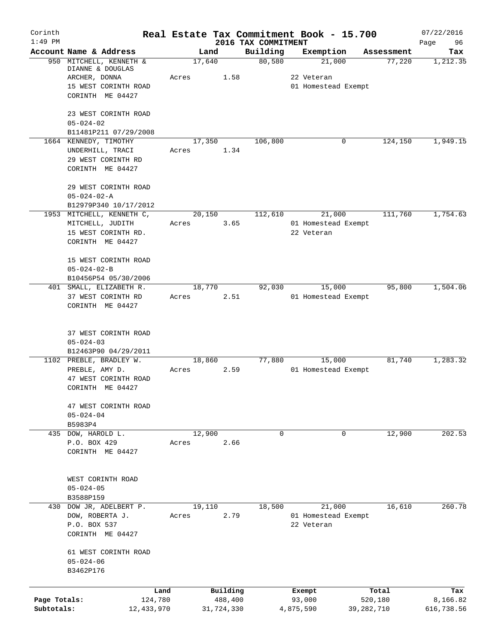| Corinth<br>$1:49$ PM       |                                                                                                          |                 | 2016 TAX COMMITMENT | Real Estate Tax Commitment Book - 15.700    |                         | 07/22/2016<br>96<br>Page |
|----------------------------|----------------------------------------------------------------------------------------------------------|-----------------|---------------------|---------------------------------------------|-------------------------|--------------------------|
|                            | Account Name & Address                                                                                   | Land            | Building            | Exemption                                   | Assessment              | Tax                      |
|                            | 950 MITCHELL, KENNETH &<br>DIANNE & DOUGLAS<br>ARCHER, DONNA<br>15 WEST CORINTH ROAD<br>CORINTH ME 04427 | 17,640<br>Acres | 80,580<br>1.58      | 21,000<br>22 Veteran<br>01 Homestead Exempt | 77,220                  | 1,212.35                 |
|                            | 23 WEST CORINTH ROAD<br>$05 - 024 - 02$<br>B11481P211 07/29/2008                                         |                 |                     |                                             |                         |                          |
|                            | 1664 KENNEDY, TIMOTHY<br>UNDERHILL, TRACI<br>29 WEST CORINTH RD<br>CORINTH ME 04427                      | 17,350<br>Acres | 106,800<br>1.34     | $\mathbf 0$                                 | 124,150                 | 1,949.15                 |
|                            | 29 WEST CORINTH ROAD<br>$05 - 024 - 02 - A$<br>B12979P340 10/17/2012                                     |                 |                     |                                             |                         |                          |
|                            | 1953 MITCHELL, KENNETH C,<br>MITCHELL, JUDITH<br>15 WEST CORINTH RD.<br>CORINTH ME 04427                 | 20,150<br>Acres | 112,610<br>3.65     | 21,000<br>01 Homestead Exempt<br>22 Veteran | 111,760                 | 1,754.63                 |
|                            | 15 WEST CORINTH ROAD<br>$05 - 024 - 02 - B$<br>B10456P54 05/30/2006                                      |                 |                     |                                             |                         |                          |
|                            | 401 SMALL, ELIZABETH R.<br>37 WEST CORINTH RD<br>CORINTH ME 04427                                        | 18,770<br>Acres | 92,030<br>2.51      | 15,000<br>01 Homestead Exempt               | 95,800                  | 1,504.06                 |
|                            | 37 WEST CORINTH ROAD<br>$05 - 024 - 03$<br>B12463P90 04/29/2011                                          |                 |                     |                                             |                         |                          |
|                            | 1102 PREBLE, BRADLEY W.<br>PREBLE, AMY D.<br>47 WEST CORINTH ROAD<br>CORINTH ME 04427                    | 18,860<br>Acres | 77,880<br>2.59      | 15,000<br>01 Homestead Exempt               | 81,740                  | 1,283.32                 |
|                            | 47 WEST CORINTH ROAD<br>$05 - 024 - 04$<br>B5983P4                                                       |                 |                     |                                             |                         |                          |
|                            | 435 DOW, HAROLD L.<br>P.O. BOX 429<br>CORINTH ME 04427                                                   | 12,900<br>Acres | $\mathbf 0$<br>2.66 | 0                                           | 12,900                  | 202.53                   |
|                            | WEST CORINTH ROAD<br>$05 - 024 - 05$<br>B3588P159                                                        |                 |                     |                                             |                         |                          |
|                            | 430 DOW JR, ADELBERT P.<br>DOW, ROBERTA J.<br>P.O. BOX 537<br>CORINTH ME 04427                           | 19,110<br>Acres | 18,500<br>2.79      | 21,000<br>01 Homestead Exempt<br>22 Veteran | 16,610                  | 260.78                   |
|                            | 61 WEST CORINTH ROAD<br>$05 - 024 - 06$<br>B3462P176                                                     |                 |                     |                                             |                         |                          |
|                            | Land                                                                                                     |                 | Building            | Exempt                                      | Total                   | Tax                      |
| Page Totals:<br>Subtotals: | 124,780<br>12,433,970                                                                                    | 31,724,330      | 488,400             | 93,000<br>4,875,590                         | 520,180<br>39, 282, 710 | 8,166.82<br>616,738.56   |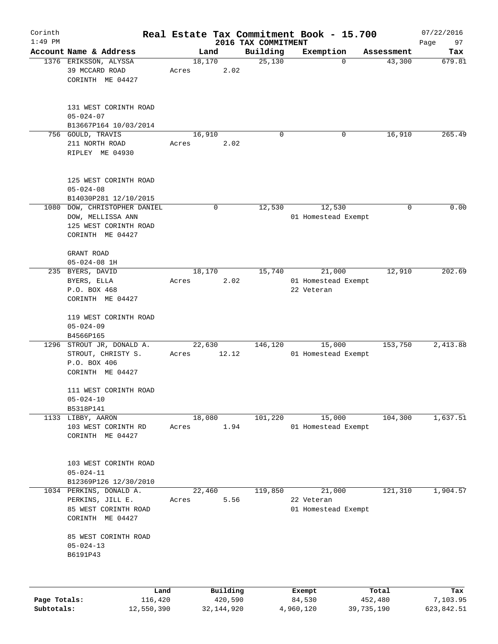| Corinth                    |                                                                                                |       |                         |                                 | Real Estate Tax Commitment Book - 15.700    |                       | 07/22/2016             |
|----------------------------|------------------------------------------------------------------------------------------------|-------|-------------------------|---------------------------------|---------------------------------------------|-----------------------|------------------------|
| $1:49$ PM                  | Account Name & Address                                                                         |       | Land                    | 2016 TAX COMMITMENT<br>Building |                                             |                       | Page<br>97             |
|                            | 1376 ERIKSSON, ALYSSA<br>39 MCCARD ROAD<br>CORINTH ME 04427                                    | Acres | 18,170<br>2.02          | 25,130                          | Exemption<br>0                              | Assessment<br>43,300  | Tax<br>679.81          |
|                            | 131 WEST CORINTH ROAD<br>$05 - 024 - 07$<br>B13667P164 10/03/2014                              |       |                         |                                 |                                             |                       |                        |
|                            | 756 GOULD, TRAVIS<br>211 NORTH ROAD<br>RIPLEY ME 04930                                         | Acres | 16,910<br>2.02          | 0                               | 0                                           | 16,910                | 265.49                 |
|                            | 125 WEST CORINTH ROAD<br>$05 - 024 - 08$<br>B14030P281 12/10/2015                              |       |                         |                                 |                                             |                       |                        |
|                            | 1080 DOW, CHRISTOPHER DANIEL<br>DOW, MELLISSA ANN<br>125 WEST CORINTH ROAD<br>CORINTH ME 04427 |       | 0                       | 12,530                          | 12,530<br>01 Homestead Exempt               | 0                     | 0.00                   |
|                            | GRANT ROAD<br>$05 - 024 - 08$ 1H                                                               |       |                         |                                 |                                             |                       |                        |
|                            | 235 BYERS, DAVID<br>BYERS, ELLA<br>P.O. BOX 468<br>CORINTH ME 04427                            | Acres | 18,170<br>2.02          | 15,740                          | 21,000<br>01 Homestead Exempt<br>22 Veteran | 12,910                | 202.69                 |
|                            | 119 WEST CORINTH ROAD<br>$05 - 024 - 09$<br>B4566P165                                          |       |                         |                                 |                                             |                       |                        |
|                            | 1296 STROUT JR, DONALD A.<br>STROUT, CHRISTY S.<br>P.O. BOX 406<br>CORINTH ME 04427            | Acres | 22,630<br>12.12         | 146,120                         | 15,000<br>01 Homestead Exempt               | 153,750               | 2,413.88               |
|                            | 111 WEST CORINTH ROAD<br>$05 - 024 - 10$<br>B5318P141                                          |       |                         |                                 |                                             |                       |                        |
|                            | 1133 LIBBY, AARON<br>103 WEST CORINTH RD<br>CORINTH ME 04427                                   | Acres | 18,080<br>1.94          | 101,220                         | 15,000<br>01 Homestead Exempt               | 104,300               | 1,637.51               |
|                            | 103 WEST CORINTH ROAD<br>$05 - 024 - 11$<br>B12369P126 12/30/2010                              |       |                         |                                 |                                             |                       |                        |
|                            | 1034 PERKINS, DONALD A.<br>PERKINS, JILL E.<br>85 WEST CORINTH ROAD<br>CORINTH ME 04427        | Acres | 22,460<br>5.56          | 119,850                         | 21,000<br>22 Veteran<br>01 Homestead Exempt | 121,310               | 1,904.57               |
|                            | 85 WEST CORINTH ROAD<br>$05 - 024 - 13$<br>B6191P43                                            |       |                         |                                 |                                             |                       |                        |
|                            |                                                                                                | Land  | Building                |                                 | Exempt                                      | Total                 | Tax                    |
| Page Totals:<br>Subtotals: | 116,420<br>12,550,390                                                                          |       | 420,590<br>32, 144, 920 |                                 | 84,530<br>4,960,120                         | 452,480<br>39,735,190 | 7,103.95<br>623,842.51 |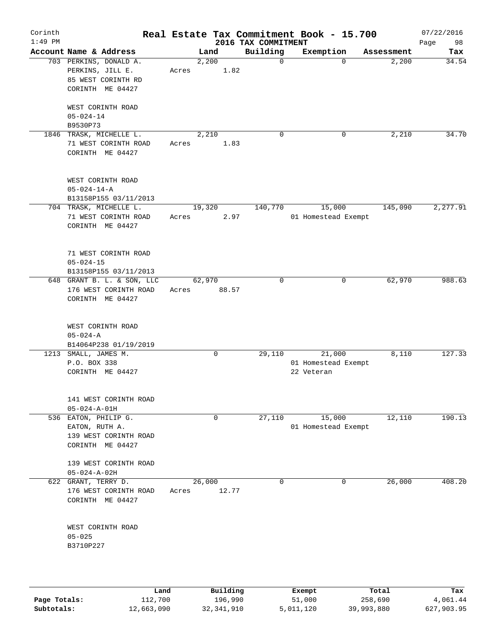| Corinth<br>$1:49$ PM |                                                                                      |       |                 | 2016 TAX COMMITMENT | Real Estate Tax Commitment Book - 15.700    |            | 07/22/2016<br>98<br>Page |
|----------------------|--------------------------------------------------------------------------------------|-------|-----------------|---------------------|---------------------------------------------|------------|--------------------------|
|                      | Account Name & Address                                                               |       | Land            | Building            | Exemption                                   | Assessment | Tax                      |
|                      | 703 PERKINS, DONALD A.<br>PERKINS, JILL E.<br>85 WEST CORINTH RD<br>CORINTH ME 04427 | Acres | 2,200<br>1.82   | $\mathbf 0$         | 0                                           | 2,200      | 34.54                    |
|                      | WEST CORINTH ROAD<br>$05 - 024 - 14$<br>B9530P73                                     |       |                 |                     |                                             |            |                          |
| 1846                 | TRASK, MICHELLE L.<br>71 WEST CORINTH ROAD<br>CORINTH ME 04427                       | Acres | 2,210<br>1.83   | $\mathbf 0$         | 0                                           | 2,210      | 34.70                    |
|                      | WEST CORINTH ROAD<br>$05 - 024 - 14 - A$                                             |       |                 |                     |                                             |            |                          |
|                      | B13158P155 03/11/2013<br>704 TRASK, MICHELLE L.                                      |       |                 | 140,770             | 15,000                                      | 145,090    | 2, 277.91                |
|                      | 71 WEST CORINTH ROAD<br>CORINTH ME 04427                                             | Acres | 19,320<br>2.97  |                     | 01 Homestead Exempt                         |            |                          |
|                      | 71 WEST CORINTH ROAD<br>$05 - 024 - 15$<br>B13158P155 03/11/2013                     |       |                 |                     |                                             |            |                          |
|                      | 648 GRANT B. L. & SON, LLC                                                           |       | 62,970          | $\mathbf 0$         | 0                                           | 62,970     | 988.63                   |
|                      | 176 WEST CORINTH ROAD<br>CORINTH ME 04427                                            | Acres | 88.57           |                     |                                             |            |                          |
|                      | WEST CORINTH ROAD<br>$05 - 024 - A$<br>B14064P238 01/19/2019                         |       |                 |                     |                                             |            |                          |
|                      | 1213 SMALL, JAMES M.<br>P.O. BOX 338<br>CORINTH ME 04427                             |       | $\mathbf 0$     | 29,110              | 21,000<br>01 Homestead Exempt<br>22 Veteran | 8,110      | 127.33                   |
|                      | 141 WEST CORINTH ROAD<br>$05 - 024 - A - 01H$                                        |       |                 |                     |                                             |            |                          |
|                      | 536 EATON, PHILIP G.<br>EATON, RUTH A.<br>139 WEST CORINTH ROAD<br>CORINTH ME 04427  |       | $\mathbf 0$     | 27,110              | 15,000<br>01 Homestead Exempt               | 12,110     | 190.13                   |
|                      | 139 WEST CORINTH ROAD<br>$05 - 024 - A - 02H$                                        |       |                 |                     |                                             |            |                          |
| 622                  | GRANT, TERRY D.<br>176 WEST CORINTH ROAD<br>CORINTH ME 04427                         | Acres | 26,000<br>12.77 | $\mathbf 0$         | 0                                           | 26,000     | 408.20                   |
|                      | WEST CORINTH ROAD<br>$05 - 025$<br>B3710P227                                         |       |                 |                     |                                             |            |                          |
|                      |                                                                                      |       |                 |                     |                                             |            |                          |

|              | Land       | Building   | Exempt    | Total      | Tax        |
|--------------|------------|------------|-----------|------------|------------|
| Page Totals: | 112,700    | 196,990    | 51,000    | 258,690    | 4,061.44   |
| Subtotals:   | 12,663,090 | 32,341,910 | 5,011,120 | 39,993,880 | 627,903.95 |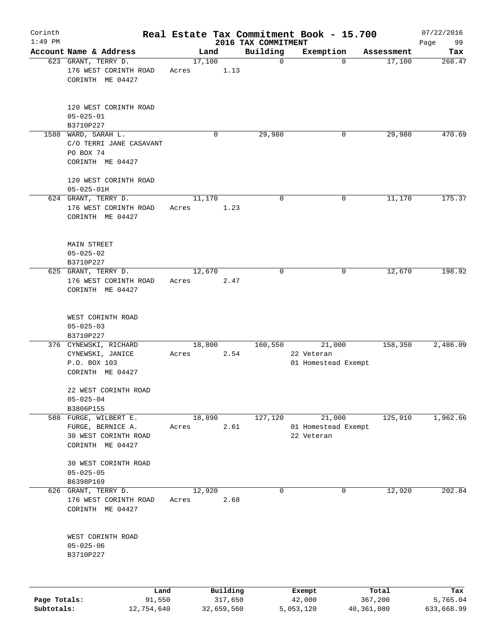| Corinth      |                                                                                 |                 |          |                                 | Real Estate Tax Commitment Book - 15.700    |            | 07/22/2016    |
|--------------|---------------------------------------------------------------------------------|-----------------|----------|---------------------------------|---------------------------------------------|------------|---------------|
| $1:49$ PM    | Account Name & Address                                                          | Land            |          | 2016 TAX COMMITMENT<br>Building |                                             | Assessment | 99<br>Page    |
|              | 623 GRANT, TERRY D.                                                             | 17,100          |          | $\mathbf 0$                     | Exemption<br>$\mathbf 0$                    | 17,100     | Tax<br>268.47 |
|              | 176 WEST CORINTH ROAD<br>CORINTH ME 04427                                       | Acres           | 1.13     |                                 |                                             |            |               |
|              | 120 WEST CORINTH ROAD<br>$05 - 025 - 01$<br>B3710P227                           |                 |          |                                 |                                             |            |               |
|              | 1588 WARD, SARAH L.<br>C/O TERRI JANE CASAVANT<br>PO BOX 74<br>CORINTH ME 04427 |                 | 0        | 29,980                          | 0                                           | 29,980     | 470.69        |
|              | 120 WEST CORINTH ROAD<br>$05 - 025 - 01H$                                       |                 |          |                                 |                                             |            |               |
|              | 624 GRANT, TERRY D.                                                             | 11,170          |          | 0                               | 0                                           | 11,170     | 175.37        |
|              | 176 WEST CORINTH ROAD<br>CORINTH ME 04427                                       | Acres           | 1.23     |                                 |                                             |            |               |
|              | <b>MAIN STREET</b><br>$05 - 025 - 02$                                           |                 |          |                                 |                                             |            |               |
|              | B3710P227                                                                       |                 |          |                                 |                                             |            |               |
|              | 625 GRANT, TERRY D.                                                             | 12,670          |          | $\mathbf 0$                     | 0                                           | 12,670     | 198.92        |
|              | 176 WEST CORINTH ROAD<br>CORINTH ME 04427                                       | Acres           | 2.47     |                                 |                                             |            |               |
|              | WEST CORINTH ROAD<br>$05 - 025 - 03$<br>B3710P227                               |                 |          |                                 |                                             |            |               |
|              | 376 CYNEWSKI, RICHARD<br>CYNEWSKI, JANICE<br>P.O. BOX 103<br>CORINTH ME 04427   | 18,800<br>Acres | 2.54     | 160,550                         | 21,000<br>22 Veteran<br>01 Homestead Exempt | 158,350    | 2,486.09      |
|              | 22 WEST CORINTH ROAD<br>$05 - 025 - 04$                                         |                 |          |                                 |                                             |            |               |
|              | B3806P155<br>588 FURGE, WILBERT E.                                              | 18,890          |          | 127,120                         | 21,000                                      | 125,010    | 1,962.66      |
|              | FURGE, BERNICE A.<br>30 WEST CORINTH ROAD<br>CORINTH ME 04427                   | Acres           | 2.61     |                                 | 01 Homestead Exempt<br>22 Veteran           |            |               |
|              | 30 WEST CORINTH ROAD<br>$05 - 025 - 05$                                         |                 |          |                                 |                                             |            |               |
|              | B6398P169                                                                       |                 |          |                                 |                                             |            |               |
|              | 626 GRANT, TERRY D.<br>176 WEST CORINTH ROAD<br>CORINTH ME 04427                | 12,920<br>Acres | 2.68     | 0                               | 0                                           | 12,920     | 202.84        |
|              | WEST CORINTH ROAD<br>$05 - 025 - 06$<br>B3710P227                               |                 |          |                                 |                                             |            |               |
|              | Land                                                                            |                 | Building |                                 | Exempt                                      | Total      | Tax           |
| Page Totals: | 91,550                                                                          |                 | 317,650  |                                 | 42,000                                      | 367,200    | 5,765.04      |

**Subtotals:** 12,754,640 32,659,560 5,053,120 40,361,080 633,668.99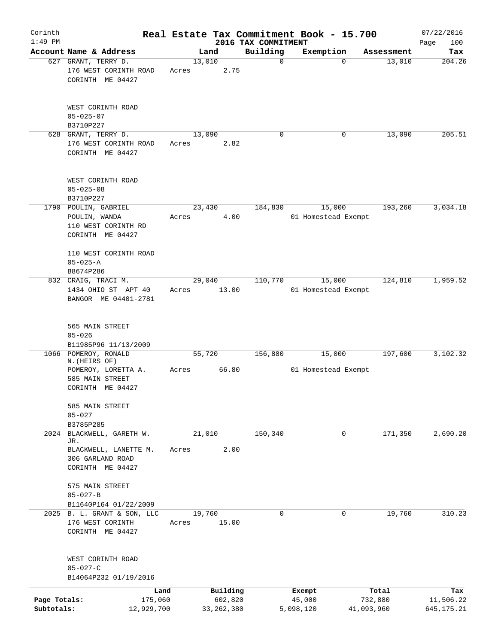| Corinth                    |                                                                             |       |                         |                         | Real Estate Tax Commitment Book - 15.700 |                       | 07/22/2016              |
|----------------------------|-----------------------------------------------------------------------------|-------|-------------------------|-------------------------|------------------------------------------|-----------------------|-------------------------|
| $1:49$ PM                  |                                                                             |       |                         | 2016 TAX COMMITMENT     |                                          |                       | 100<br>Page             |
|                            | Account Name & Address<br>627 GRANT, TERRY D.                               |       | Land<br>13,010          | Building<br>$\mathbf 0$ | Exemption<br>$\mathbf 0$                 | Assessment<br>13,010  | Tax<br>204.26           |
|                            | 176 WEST CORINTH ROAD<br>CORINTH ME 04427                                   | Acres | 2.75                    |                         |                                          |                       |                         |
|                            | WEST CORINTH ROAD<br>$05 - 025 - 07$<br>B3710P227                           |       |                         |                         |                                          |                       |                         |
|                            | 628 GRANT, TERRY D.                                                         |       | 13,090                  | $\Omega$                | 0                                        | 13,090                | 205.51                  |
|                            | 176 WEST CORINTH ROAD<br>CORINTH ME 04427                                   | Acres | 2.82                    |                         |                                          |                       |                         |
|                            | WEST CORINTH ROAD<br>$05 - 025 - 08$<br>B3710P227                           |       |                         |                         |                                          |                       |                         |
|                            | 1790 POULIN, GABRIEL                                                        |       | 23,430                  | 184,830                 | 15,000                                   | 193,260               | 3,034.18                |
|                            | POULIN, WANDA<br>110 WEST CORINTH RD<br>CORINTH ME 04427                    | Acres | 4.00                    |                         | 01 Homestead Exempt                      |                       |                         |
|                            | 110 WEST CORINTH ROAD<br>$05 - 025 - A$<br>B8674P286                        |       |                         |                         |                                          |                       |                         |
|                            | 832 CRAIG, TRACI M.                                                         |       | 29,040                  | 110,770                 | 15,000                                   | 124,810               | 1,959.52                |
|                            | 1434 OHIO ST APT 40<br>BANGOR ME 04401-2781                                 | Acres | 13.00                   |                         | 01 Homestead Exempt                      |                       |                         |
|                            | 565 MAIN STREET<br>$05 - 026$<br>B11985P96 11/13/2009                       |       |                         |                         |                                          |                       |                         |
|                            | 1066 POMEROY, RONALD                                                        |       | 55,720                  | 156,880                 | 15,000                                   | 197,600               | 3,102.32                |
|                            | N. (HEIRS OF)<br>POMEROY, LORETTA A.<br>585 MAIN STREET<br>CORINTH ME 04427 | Acres | 66.80                   |                         | 01 Homestead Exempt                      |                       |                         |
|                            | 585 MAIN STREET<br>$05 - 027$                                               |       |                         |                         |                                          |                       |                         |
|                            | B3785P285<br>2024 BLACKWELL, GARETH W.                                      |       | 21,010                  | 150, 340                | 0                                        | 171,350               | 2,690.20                |
|                            | JR.<br>BLACKWELL, LANETTE M.<br>306 GARLAND ROAD<br>CORINTH ME 04427        | Acres | 2.00                    |                         |                                          |                       |                         |
|                            | 575 MAIN STREET<br>$05 - 027 - B$                                           |       |                         |                         |                                          |                       |                         |
|                            | B11640P164 01/22/2009<br>2025 B. L. GRANT & SON, LLC                        |       | 19,760                  | 0                       | 0                                        | 19,760                | 310.23                  |
|                            | 176 WEST CORINTH<br>CORINTH ME 04427                                        | Acres | 15.00                   |                         |                                          |                       |                         |
|                            | WEST CORINTH ROAD<br>$05 - 027 - C$<br>B14064P232 01/19/2016                |       |                         |                         |                                          |                       |                         |
|                            | Land                                                                        |       | Building                |                         | Exempt                                   | Total                 | Tax                     |
| Page Totals:<br>Subtotals: | 175,060<br>12,929,700                                                       |       | 602,820<br>33, 262, 380 |                         | 45,000<br>5,098,120                      | 732,880<br>41,093,960 | 11,506.22<br>645,175.21 |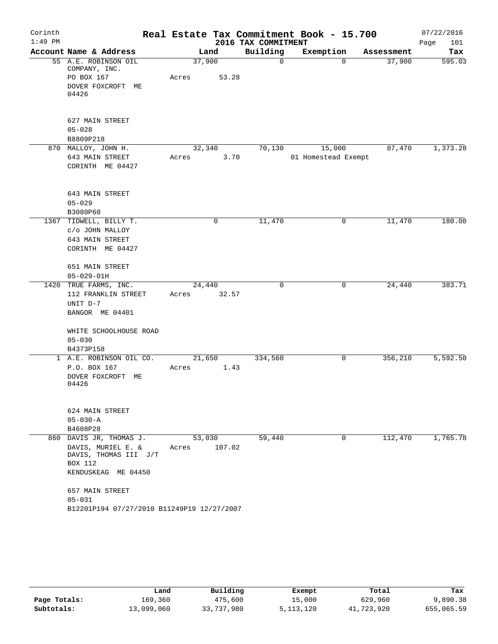| Corinth      |                                             |        |        |                                 | Real Estate Tax Commitment Book - 15.700 |            | 07/22/2016         |
|--------------|---------------------------------------------|--------|--------|---------------------------------|------------------------------------------|------------|--------------------|
| $1:49$ PM    | Account Name & Address                      | Land   |        | 2016 TAX COMMITMENT<br>Building | Exemption                                | Assessment | 101<br>Page<br>Tax |
|              | 55 A.E. ROBINSON OIL                        | 37,900 |        | 0                               | $\mathbf 0$                              | 37,900     | 595.03             |
|              | COMPANY, INC.                               |        |        |                                 |                                          |            |                    |
|              | PO BOX 167                                  | Acres  | 53.28  |                                 |                                          |            |                    |
|              | DOVER FOXCROFT ME<br>04426                  |        |        |                                 |                                          |            |                    |
|              | 627 MAIN STREET                             |        |        |                                 |                                          |            |                    |
|              | $05 - 028$                                  |        |        |                                 |                                          |            |                    |
|              | B8809P218                                   |        |        |                                 |                                          |            |                    |
|              | 870 MALLOY, JOHN H.                         | 32,340 |        | 70,130                          | 15,000                                   | 87,470     | 1,373.28           |
|              | 643 MAIN STREET<br>CORINTH ME 04427         | Acres  | 3.70   |                                 | 01 Homestead Exempt                      |            |                    |
|              | 643 MAIN STREET                             |        |        |                                 |                                          |            |                    |
|              | $05 - 029$                                  |        |        |                                 |                                          |            |                    |
| 1367         | B3080P60<br>TIDWELL, BILLY T.               |        | 0      | 11,470                          | 0                                        | 11,470     | 180.08             |
|              | c/o JOHN MALLOY                             |        |        |                                 |                                          |            |                    |
|              | 643 MAIN STREET                             |        |        |                                 |                                          |            |                    |
|              | CORINTH ME 04427                            |        |        |                                 |                                          |            |                    |
|              | 651 MAIN STREET                             |        |        |                                 |                                          |            |                    |
|              | $05 - 029 - 01H$                            |        |        |                                 |                                          |            |                    |
|              | 1420 TRUE FARMS, INC.                       | 24,440 |        | 0                               | 0                                        | 24,440     | 383.71             |
|              | 112 FRANKLIN STREET                         | Acres  | 32.57  |                                 |                                          |            |                    |
|              | UNIT D-7                                    |        |        |                                 |                                          |            |                    |
|              | BANGOR ME 04401                             |        |        |                                 |                                          |            |                    |
|              | WHITE SCHOOLHOUSE ROAD                      |        |        |                                 |                                          |            |                    |
|              | $05 - 030$                                  |        |        |                                 |                                          |            |                    |
|              | B4373P158                                   |        |        |                                 |                                          |            |                    |
| $\mathbf{1}$ | A.E. ROBINSON OIL CO.                       | 21,650 |        | 334,560                         | 0                                        | 356, 210   | 5,592.50           |
|              | P.O. BOX 167                                | Acres  | 1.43   |                                 |                                          |            |                    |
|              | DOVER FOXCROFT ME<br>04426                  |        |        |                                 |                                          |            |                    |
|              | 624 MAIN STREET                             |        |        |                                 |                                          |            |                    |
|              | $05 - 030 - A$                              |        |        |                                 |                                          |            |                    |
|              | B4608P28                                    |        |        |                                 |                                          |            |                    |
|              | 860 DAVIS JR, THOMAS J.                     | 53,030 |        | 59,440                          | $\mathbf 0$                              | 112,470    | 1,765.78           |
|              | DAVIS, MURIEL E. &<br>DAVIS, THOMAS III J/T | Acres  | 107.02 |                                 |                                          |            |                    |
|              | <b>BOX 112</b><br>KENDUSKEAG ME 04450       |        |        |                                 |                                          |            |                    |
|              | 657 MAIN STREET                             |        |        |                                 |                                          |            |                    |
|              | $05 - 031$                                  |        |        |                                 |                                          |            |                    |
|              | B12201P194 07/27/2010 B11249P19 12/27/2007  |        |        |                                 |                                          |            |                    |

|              | Land       | Building   | Exempt    | Total      | Tax        |
|--------------|------------|------------|-----------|------------|------------|
| Page Totals: | 169,360    | 475,600    | 15,000    | 629,960    | 9,890.38   |
| Subtotals:   | 13,099,060 | 33,737,980 | 5,113,120 | 41,723,920 | 655,065.59 |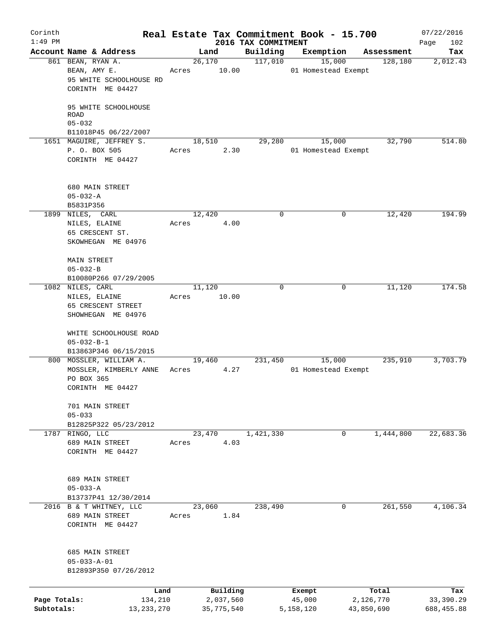| Corinth<br>$1:49$ PM       |                                                                                       |                          |                                 | Real Estate Tax Commitment Book - 15.700 |                         | 07/22/2016               |
|----------------------------|---------------------------------------------------------------------------------------|--------------------------|---------------------------------|------------------------------------------|-------------------------|--------------------------|
|                            | Account Name & Address                                                                | Land                     | 2016 TAX COMMITMENT<br>Building | Exemption                                | Assessment              | Page<br>102<br>Tax       |
|                            | 861 BEAN, RYAN A.<br>BEAN, AMY E.<br>95 WHITE SCHOOLHOUSE RD<br>CORINTH ME 04427      | 26,170<br>10.00<br>Acres | 117,010                         | 15,000<br>01 Homestead Exempt            | 128,180                 | 2,012.43                 |
|                            | 95 WHITE SCHOOLHOUSE<br><b>ROAD</b><br>$05 - 032$                                     |                          |                                 |                                          |                         |                          |
|                            | B11018P45 06/22/2007<br>1651 MAGUIRE, JEFFREY S.<br>P. O. BOX 505<br>CORINTH ME 04427 | 18,510<br>2.30<br>Acres  | 29,280                          | 15,000<br>01 Homestead Exempt            | 32,790                  | 514.80                   |
|                            | 680 MAIN STREET<br>$05 - 032 - A$<br>B5831P356                                        |                          |                                 |                                          |                         |                          |
|                            | 1899 NILES, CARL<br>NILES, ELAINE<br>65 CRESCENT ST.<br>SKOWHEGAN ME 04976            | 12,420<br>4.00<br>Acres  | 0                               | 0                                        | 12,420                  | 194.99                   |
|                            | <b>MAIN STREET</b><br>$05 - 032 - B$<br>B10080P266 07/29/2005                         |                          |                                 |                                          |                         |                          |
|                            | 1082 NILES, CARL<br>NILES, ELAINE<br>65 CRESCENT STREET<br>SHOWHEGAN ME 04976         | 11,120<br>10.00<br>Acres | $\Omega$                        | 0                                        | 11,120                  | 174.58                   |
|                            | WHITE SCHOOLHOUSE ROAD<br>$05 - 032 - B - 1$<br>B13863P346 06/15/2015                 |                          |                                 |                                          |                         |                          |
|                            | 800 MOSSLER, WILLIAM A.<br>MOSSLER, KIMBERLY ANNE<br>PO BOX 365<br>CORINTH ME 04427   | 19,460<br>4.27<br>Acres  | 231,450                         | 15,000<br>01 Homestead Exempt            | 235,910                 | 3,703.79                 |
|                            | 701 MAIN STREET<br>$05 - 033$<br>B12825P322 05/23/2012                                |                          |                                 |                                          |                         |                          |
|                            | 1787 RINGO, LLC<br>689 MAIN STREET<br>CORINTH ME 04427                                | 23,470<br>4.03<br>Acres  | 1,421,330                       | 0                                        | 1,444,800               | 22,683.36                |
|                            | 689 MAIN STREET<br>$05 - 033 - A$<br>B13737P41 12/30/2014                             |                          |                                 |                                          |                         |                          |
|                            | 2016 B & T WHITNEY, LLC<br>689 MAIN STREET<br>CORINTH ME 04427                        | 23,060<br>1.84<br>Acres  | 238,490                         | 0                                        | 261,550                 | 4,106.34                 |
|                            | 685 MAIN STREET<br>$05 - 033 - A - 01$<br>B12893P350 07/26/2012                       |                          |                                 |                                          |                         |                          |
|                            | Land                                                                                  | Building                 |                                 | Exempt                                   | Total                   | Tax                      |
| Page Totals:<br>Subtotals: | 134,210<br>13, 233, 270                                                               | 2,037,560<br>35,775,540  |                                 | 45,000<br>5,158,120                      | 2,126,770<br>43,850,690 | 33,390.29<br>688, 455.88 |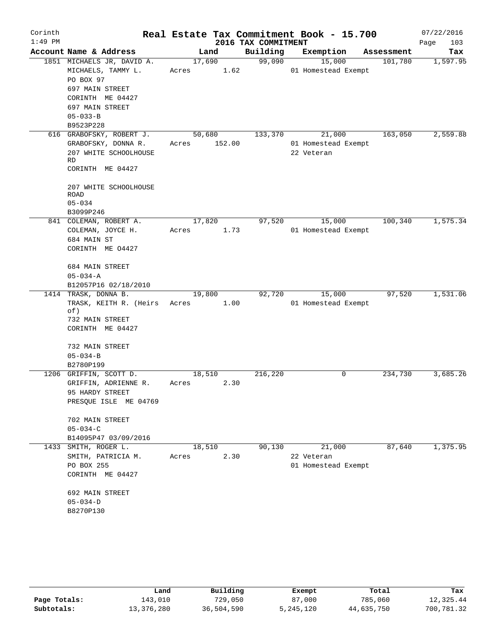| Corinth   |                                                                                 |                 |        |                     | Real Estate Tax Commitment Book - 15.700    |            | 07/22/2016  |
|-----------|---------------------------------------------------------------------------------|-----------------|--------|---------------------|---------------------------------------------|------------|-------------|
| $1:49$ PM |                                                                                 |                 |        | 2016 TAX COMMITMENT |                                             |            | 103<br>Page |
|           | Account Name & Address                                                          |                 | Land   | Building            | Exemption                                   | Assessment | Tax         |
|           | 1851 MICHAELS JR, DAVID A.<br>MICHAELS, TAMMY L.<br>PO BOX 97                   | 17,690<br>Acres | 1.62   | 99,090              | 15,000<br>01 Homestead Exempt               | 101,780    | 1,597.95    |
|           | 697 MAIN STREET<br>CORINTH ME 04427                                             |                 |        |                     |                                             |            |             |
|           | 697 MAIN STREET                                                                 |                 |        |                     |                                             |            |             |
|           | $05 - 033 - B$                                                                  |                 |        |                     |                                             |            |             |
|           | B9523P228                                                                       |                 |        |                     |                                             |            |             |
|           | 616 GRABOFSKY, ROBERT J.<br>GRABOFSKY, DONNA R.<br>207 WHITE SCHOOLHOUSE<br>RD. | 50,680<br>Acres | 152.00 | 133,370             | 21,000<br>01 Homestead Exempt<br>22 Veteran | 163,050    | 2,559.88    |
|           | CORINTH ME 04427                                                                |                 |        |                     |                                             |            |             |
|           | 207 WHITE SCHOOLHOUSE<br>ROAD<br>$05 - 034$                                     |                 |        |                     |                                             |            |             |
|           | B3099P246                                                                       |                 |        |                     |                                             |            |             |
|           | 841 COLEMAN, ROBERT A.                                                          | 17,820          |        | 97,520              | 15,000                                      | 100,340    | 1,575.34    |
|           | COLEMAN, JOYCE H.                                                               | Acres           | 1.73   |                     | 01 Homestead Exempt                         |            |             |
|           | 684 MAIN ST                                                                     |                 |        |                     |                                             |            |             |
|           | CORINTH ME 04427                                                                |                 |        |                     |                                             |            |             |
|           | 684 MAIN STREET                                                                 |                 |        |                     |                                             |            |             |
|           | $05 - 034 - A$                                                                  |                 |        |                     |                                             |            |             |
|           | B12057P16 02/18/2010                                                            |                 |        |                     |                                             |            |             |
|           | 1414 TRASK, DONNA B.                                                            | 19,800          |        | 92,720              | 15,000                                      | 97,520     | 1,531.06    |
|           | TRASK, KEITH R. (Heirs<br>of)                                                   | Acres           | 1.00   |                     | 01 Homestead Exempt                         |            |             |
|           | 732 MAIN STREET                                                                 |                 |        |                     |                                             |            |             |
|           | CORINTH ME 04427                                                                |                 |        |                     |                                             |            |             |
|           | 732 MAIN STREET                                                                 |                 |        |                     |                                             |            |             |
|           | $05 - 034 - B$                                                                  |                 |        |                     |                                             |            |             |
|           | B2780P199                                                                       |                 |        |                     |                                             |            |             |
|           | 1206 GRIFFIN, SCOTT D.                                                          | 18,510          |        | 216,220             | 0                                           | 234,730    | 3,685.26    |
|           | GRIFFIN, ADRIENNE R.<br>95 HARDY STREET                                         | Acres           | 2.30   |                     |                                             |            |             |
|           | PRESQUE ISLE ME 04769                                                           |                 |        |                     |                                             |            |             |
|           |                                                                                 |                 |        |                     |                                             |            |             |
|           | 702 MAIN STREET                                                                 |                 |        |                     |                                             |            |             |
|           | $05 - 034 - C$                                                                  |                 |        |                     |                                             |            |             |
|           | B14095P47 03/09/2016<br>1433 SMITH, ROGER L.                                    | 18,510          |        | 90,130              | 21,000                                      | 87,640     | 1,375.95    |
|           | SMITH, PATRICIA M.                                                              | Acres           | 2.30   |                     | 22 Veteran                                  |            |             |
|           | PO BOX 255                                                                      |                 |        |                     | 01 Homestead Exempt                         |            |             |
|           | CORINTH ME 04427                                                                |                 |        |                     |                                             |            |             |
|           | 692 MAIN STREET                                                                 |                 |        |                     |                                             |            |             |
|           | $05 - 034 - D$                                                                  |                 |        |                     |                                             |            |             |
|           | B8270P130                                                                       |                 |        |                     |                                             |            |             |
|           |                                                                                 |                 |        |                     |                                             |            |             |

|              | Land       | Building   | Exempt    | Total      | Tax        |
|--------------|------------|------------|-----------|------------|------------|
| Page Totals: | 143,010    | 729,050    | 87,000    | 785,060    | 12,325.44  |
| Subtotals:   | 13,376,280 | 36,504,590 | 5,245,120 | 44,635,750 | 700,781.32 |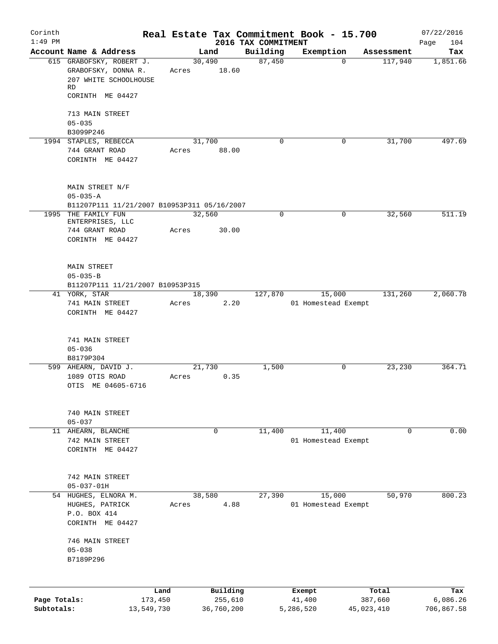| Corinth                    |                                                                                                    |                         |                       |                     | Real Estate Tax Commitment Book - 15.700 |                       | 07/22/2016                    |
|----------------------------|----------------------------------------------------------------------------------------------------|-------------------------|-----------------------|---------------------|------------------------------------------|-----------------------|-------------------------------|
| $1:49$ PM                  | Account Name & Address                                                                             |                         |                       | 2016 TAX COMMITMENT |                                          |                       | 104<br>Page                   |
|                            | 615 GRABOFSKY, ROBERT J.<br>GRABOFSKY, DONNA R.<br>207 WHITE SCHOOLHOUSE<br>RD<br>CORINTH ME 04427 | Land<br>30,490<br>Acres | 18.60                 | Building<br>87,450  | Exemption<br>$\mathbf 0$                 | Assessment<br>117,940 | Tax<br>1,851.66               |
|                            | 713 MAIN STREET<br>$05 - 035$<br>B3099P246                                                         |                         |                       |                     |                                          |                       |                               |
|                            | 1994 STAPLES, REBECCA<br>744 GRANT ROAD<br>CORINTH ME 04427                                        | 31,700<br>Acres         | 88.00                 | $\Omega$            | 0                                        | 31,700                | 497.69                        |
|                            | MAIN STREET N/F<br>$05 - 035 - A$<br>B11207P111 11/21/2007 B10953P311 05/16/2007                   |                         |                       |                     |                                          |                       |                               |
|                            | 1995 THE FAMILY FUN<br>ENTERPRISES, LLC<br>744 GRANT ROAD<br>CORINTH ME 04427                      | 32,560<br>Acres         | 30.00                 | $\mathbf 0$         | 0                                        | 32,560                | 511.19                        |
|                            | <b>MAIN STREET</b><br>$05 - 035 - B$<br>B11207P111 11/21/2007 B10953P315                           |                         |                       |                     |                                          |                       |                               |
|                            | 41 YORK, STAR<br>741 MAIN STREET<br>CORINTH ME 04427                                               | 18,390<br>Acres         | 2.20                  | 127,870             | 15,000<br>01 Homestead Exempt            | 131,260               | 2,060.78                      |
|                            | 741 MAIN STREET<br>$05 - 036$<br>B8179P304                                                         |                         |                       |                     |                                          |                       |                               |
|                            | 599 AHEARN, DAVID J.<br>1089 OTIS ROAD<br>OTIS ME 04605-6716                                       | 21,730<br>Acres         | 0.35                  | 1,500               | 0                                        | 23,230                | 364.71                        |
|                            | 740 MAIN STREET<br>$05 - 037$                                                                      |                         |                       |                     |                                          |                       |                               |
| 11                         | AHEARN, BLANCHE<br>742 MAIN STREET<br>CORINTH ME 04427                                             |                         | $\mathbf 0$           | 11,400              | 11,400<br>01 Homestead Exempt            | 0                     | 0.00                          |
|                            | 742 MAIN STREET<br>$05 - 037 - 01H$                                                                |                         |                       |                     |                                          |                       |                               |
|                            | 54 HUGHES, ELNORA M.<br>HUGHES, PATRICK<br>P.O. BOX 414<br>CORINTH ME 04427                        | 38,580<br>Acres         | 4.88                  | 27,390              | 15,000<br>01 Homestead Exempt            | 50,970                | 800.23                        |
|                            | 746 MAIN STREET<br>$05 - 038$<br>B7189P296                                                         |                         |                       |                     |                                          |                       |                               |
|                            | Land                                                                                               |                         | Building              |                     | Exempt                                   | Total                 |                               |
| Page Totals:<br>Subtotals: | 173,450<br>13,549,730                                                                              |                         | 255,610<br>36,760,200 |                     | 41,400<br>5,286,520                      | 387,660<br>45,023,410 | Tax<br>6,086.26<br>706,867.58 |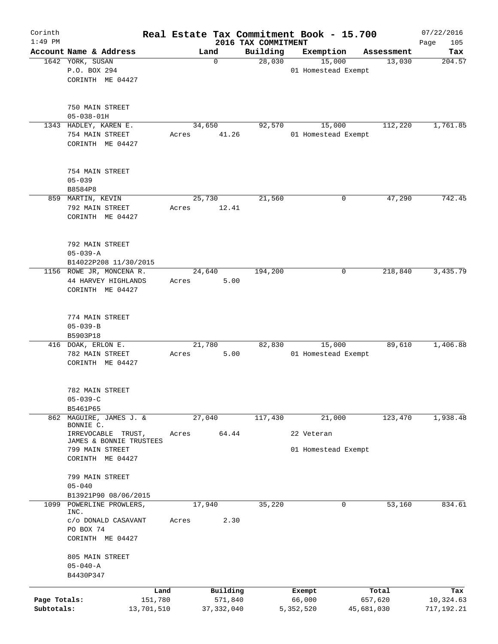| Corinth                    |                                            |        |                         |                                 | Real Estate Tax Commitment Book - 15.700 |                       | 07/22/2016              |
|----------------------------|--------------------------------------------|--------|-------------------------|---------------------------------|------------------------------------------|-----------------------|-------------------------|
| $1:49$ PM                  | Account Name & Address                     |        | Land                    | 2016 TAX COMMITMENT<br>Building | Exemption                                | Assessment            | 105<br>Page<br>Tax      |
|                            | 1642 YORK, SUSAN                           |        | $\mathbf 0$             | 28,030                          | 15,000                                   | 13,030                | 204.57                  |
|                            | P.O. BOX 294                               |        |                         |                                 | 01 Homestead Exempt                      |                       |                         |
|                            | CORINTH ME 04427                           |        |                         |                                 |                                          |                       |                         |
|                            |                                            |        |                         |                                 |                                          |                       |                         |
|                            |                                            |        |                         |                                 |                                          |                       |                         |
|                            | 750 MAIN STREET<br>$05 - 038 - 01H$        |        |                         |                                 |                                          |                       |                         |
|                            | 1343 HADLEY, KAREN E.                      |        | 34,650                  | 92,570                          | 15,000                                   | 112,220               | 1,761.85                |
|                            | 754 MAIN STREET                            | Acres  | 41.26                   |                                 | 01 Homestead Exempt                      |                       |                         |
|                            | CORINTH ME 04427                           |        |                         |                                 |                                          |                       |                         |
|                            |                                            |        |                         |                                 |                                          |                       |                         |
|                            |                                            |        |                         |                                 |                                          |                       |                         |
|                            | 754 MAIN STREET                            |        |                         |                                 |                                          |                       |                         |
|                            | $05 - 039$<br>B8584P8                      |        |                         |                                 |                                          |                       |                         |
|                            | 859 MARTIN, KEVIN                          | 25,730 |                         | 21,560                          | 0                                        | 47,290                | 742.45                  |
|                            | 792 MAIN STREET                            | Acres  | 12.41                   |                                 |                                          |                       |                         |
|                            | CORINTH ME 04427                           |        |                         |                                 |                                          |                       |                         |
|                            |                                            |        |                         |                                 |                                          |                       |                         |
|                            |                                            |        |                         |                                 |                                          |                       |                         |
|                            | 792 MAIN STREET                            |        |                         |                                 |                                          |                       |                         |
|                            | $05 - 039 - A$<br>B14022P208 11/30/2015    |        |                         |                                 |                                          |                       |                         |
|                            | 1156 ROWE JR, MONCENA R.                   | 24,640 |                         | 194,200                         | 0                                        | 218,840               | 3,435.79                |
|                            | 44 HARVEY HIGHLANDS                        | Acres  | 5.00                    |                                 |                                          |                       |                         |
|                            | CORINTH ME 04427                           |        |                         |                                 |                                          |                       |                         |
|                            |                                            |        |                         |                                 |                                          |                       |                         |
|                            |                                            |        |                         |                                 |                                          |                       |                         |
|                            | 774 MAIN STREET                            |        |                         |                                 |                                          |                       |                         |
|                            | $05 - 039 - B$<br>B5903P18                 |        |                         |                                 |                                          |                       |                         |
|                            | 416 DOAK, ERLON E.                         | 21,780 |                         | 82,830                          | 15,000                                   | 89,610                | 1,406.88                |
|                            | 782 MAIN STREET                            | Acres  | 5.00                    |                                 | 01 Homestead Exempt                      |                       |                         |
|                            | CORINTH ME 04427                           |        |                         |                                 |                                          |                       |                         |
|                            |                                            |        |                         |                                 |                                          |                       |                         |
|                            |                                            |        |                         |                                 |                                          |                       |                         |
|                            | 782 MAIN STREET                            |        |                         |                                 |                                          |                       |                         |
|                            | $05 - 039 - C$<br>B5461P65                 |        |                         |                                 |                                          |                       |                         |
| 862                        | MAGUIRE, JAMES J. &                        | 27,040 |                         | 117,430                         | 21,000                                   | 123,470               | 1,938.48                |
|                            | BONNIE C.                                  |        |                         |                                 |                                          |                       |                         |
|                            | IRREVOCABLE<br>TRUST,                      | Acres  | 64.44                   |                                 | 22 Veteran                               |                       |                         |
|                            | JAMES & BONNIE TRUSTEES<br>799 MAIN STREET |        |                         |                                 | 01 Homestead Exempt                      |                       |                         |
|                            | CORINTH ME 04427                           |        |                         |                                 |                                          |                       |                         |
|                            |                                            |        |                         |                                 |                                          |                       |                         |
|                            | 799 MAIN STREET                            |        |                         |                                 |                                          |                       |                         |
|                            | $05 - 040$                                 |        |                         |                                 |                                          |                       |                         |
|                            | B13921P90 08/06/2015                       |        |                         |                                 |                                          |                       |                         |
| 1099                       | POWERLINE PROWLERS,<br>INC.                | 17,940 |                         | 35,220                          | 0                                        | 53,160                | 834.61                  |
|                            | c/o DONALD CASAVANT                        | Acres  | 2.30                    |                                 |                                          |                       |                         |
|                            | PO BOX 74                                  |        |                         |                                 |                                          |                       |                         |
|                            | CORINTH ME 04427                           |        |                         |                                 |                                          |                       |                         |
|                            |                                            |        |                         |                                 |                                          |                       |                         |
|                            | 805 MAIN STREET<br>$05 - 040 - A$          |        |                         |                                 |                                          |                       |                         |
|                            | B4430P347                                  |        |                         |                                 |                                          |                       |                         |
|                            |                                            |        |                         |                                 |                                          |                       |                         |
|                            | Land                                       |        | Building                |                                 | Exempt                                   | Total                 | Tax                     |
| Page Totals:<br>Subtotals: | 151,780<br>13,701,510                      |        | 571,840<br>37, 332, 040 |                                 | 66,000<br>5,352,520                      | 657,620<br>45,681,030 | 10,324.63<br>717,192.21 |
|                            |                                            |        |                         |                                 |                                          |                       |                         |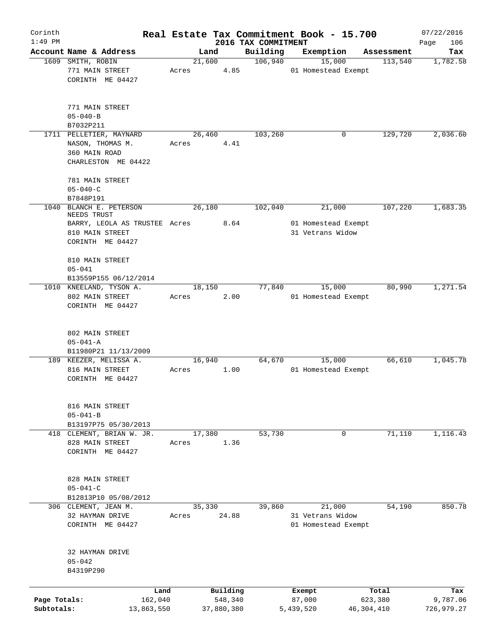| Corinth      |                                              |        |            |                                 | Real Estate Tax Commitment Book - 15.700 |                       | 07/22/2016      |
|--------------|----------------------------------------------|--------|------------|---------------------------------|------------------------------------------|-----------------------|-----------------|
| $1:49$ PM    | Account Name & Address                       | Land   |            | 2016 TAX COMMITMENT<br>Building |                                          |                       | 106<br>Page     |
|              | 1609 SMITH, ROBIN                            | 21,600 |            | 106,940                         | Exemption<br>15,000                      | Assessment<br>113,540 | Tax<br>1,782.58 |
|              | 771 MAIN STREET                              | Acres  | 4.85       |                                 | 01 Homestead Exempt                      |                       |                 |
|              | CORINTH ME 04427                             |        |            |                                 |                                          |                       |                 |
|              | 771 MAIN STREET                              |        |            |                                 |                                          |                       |                 |
|              | $05 - 040 - B$                               |        |            |                                 |                                          |                       |                 |
|              | B7032P211                                    |        |            |                                 |                                          |                       |                 |
|              | 1711 PELLETIER, MAYNARD                      | 26,460 |            | 103,260                         | 0                                        | 129,720               | 2,036.60        |
|              | NASON, THOMAS M.<br>360 MAIN ROAD            | Acres  | 4.41       |                                 |                                          |                       |                 |
|              | CHARLESTON ME 04422                          |        |            |                                 |                                          |                       |                 |
|              | 781 MAIN STREET                              |        |            |                                 |                                          |                       |                 |
|              | $05 - 040 - C$                               |        |            |                                 |                                          |                       |                 |
|              | B7848P191                                    |        |            |                                 |                                          |                       |                 |
| 1040         | BLANCH E. PETERSON                           | 26,180 |            | 102,040                         | 21,000                                   | 107,220               | 1,683.35        |
|              | NEEDS TRUST<br>BARRY, LEOLA AS TRUSTEE Acres |        | 8.64       |                                 | 01 Homestead Exempt                      |                       |                 |
|              | 810 MAIN STREET                              |        |            |                                 | 31 Vetrans Widow                         |                       |                 |
|              | CORINTH ME 04427                             |        |            |                                 |                                          |                       |                 |
|              | 810 MAIN STREET                              |        |            |                                 |                                          |                       |                 |
|              | $05 - 041$                                   |        |            |                                 |                                          |                       |                 |
|              | B13559P155 06/12/2014                        |        |            |                                 |                                          |                       |                 |
|              | 1010 KNEELAND, TYSON A.                      | 18,150 |            | 77,840                          | 15,000                                   | 80,990                | 1,271.54        |
|              | 802 MAIN STREET                              | Acres  | 2.00       |                                 | 01 Homestead Exempt                      |                       |                 |
|              | CORINTH ME 04427                             |        |            |                                 |                                          |                       |                 |
|              |                                              |        |            |                                 |                                          |                       |                 |
|              | 802 MAIN STREET                              |        |            |                                 |                                          |                       |                 |
|              | $05 - 041 - A$                               |        |            |                                 |                                          |                       |                 |
|              | B11980P21 11/13/2009                         |        |            |                                 |                                          |                       |                 |
|              | 189 KEEZER, MELISSA A.                       | 16,940 |            | 64,670                          | 15,000                                   | 66,610                | 1,045.78        |
|              | 816 MAIN STREET                              | Acres  | 1.00       |                                 | 01 Homestead Exempt                      |                       |                 |
|              | CORINTH ME 04427                             |        |            |                                 |                                          |                       |                 |
|              |                                              |        |            |                                 |                                          |                       |                 |
|              | 816 MAIN STREET<br>$05 - 041 - B$            |        |            |                                 |                                          |                       |                 |
|              | B13197P75 05/30/2013                         |        |            |                                 |                                          |                       |                 |
|              | 418 CLEMENT, BRIAN W. JR.                    | 17,380 |            | 53,730                          | 0                                        | 71,110                | 1,116.43        |
|              | 828 MAIN STREET                              | Acres  | 1.36       |                                 |                                          |                       |                 |
|              | CORINTH ME 04427                             |        |            |                                 |                                          |                       |                 |
|              |                                              |        |            |                                 |                                          |                       |                 |
|              | 828 MAIN STREET                              |        |            |                                 |                                          |                       |                 |
|              | $05 - 041 - C$                               |        |            |                                 |                                          |                       |                 |
|              | B12813P10 05/08/2012                         |        |            |                                 |                                          |                       |                 |
|              | 306 CLEMENT, JEAN M.                         | 35,330 |            | 39,860                          | 21,000                                   | 54,190                | 850.78          |
|              | 32 HAYMAN DRIVE                              | Acres  | 24.88      |                                 | 31 Vetrans Widow                         |                       |                 |
|              | CORINTH ME 04427                             |        |            |                                 | 01 Homestead Exempt                      |                       |                 |
|              |                                              |        |            |                                 |                                          |                       |                 |
|              | 32 HAYMAN DRIVE                              |        |            |                                 |                                          |                       |                 |
|              | $05 - 042$                                   |        |            |                                 |                                          |                       |                 |
|              | B4319P290                                    |        |            |                                 |                                          |                       |                 |
|              | Land                                         |        | Building   |                                 | Exempt                                   | Total                 | Tax             |
| Page Totals: | 162,040                                      |        | 548,340    |                                 | 87,000                                   | 623,380               | 9,787.06        |
| Subtotals:   | 13,863,550                                   |        | 37,880,380 |                                 | 5,439,520                                | 46,304,410            | 726,979.27      |
|              |                                              |        |            |                                 |                                          |                       |                 |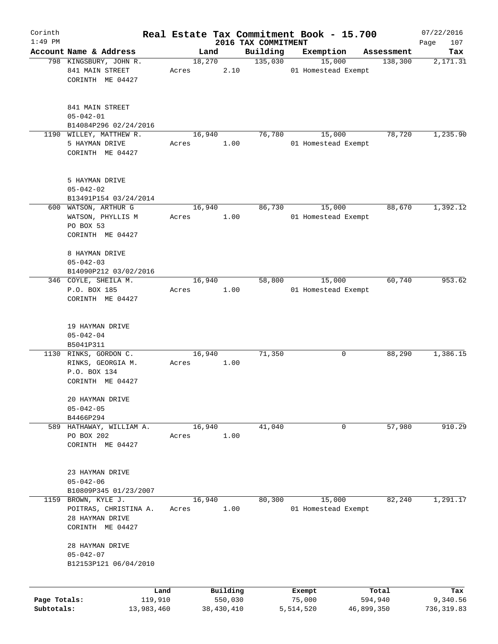| Corinth      |                                          |       |            |                                 | Real Estate Tax Commitment Book - 15.700 |            | 07/22/2016         |
|--------------|------------------------------------------|-------|------------|---------------------------------|------------------------------------------|------------|--------------------|
| $1:49$ PM    | Account Name & Address                   |       | Land       | 2016 TAX COMMITMENT<br>Building | Exemption                                | Assessment | 107<br>Page<br>Tax |
|              | 798 KINGSBURY, JOHN R.                   |       | 18,270     | 135,030                         | 15,000                                   | 138,300    | 2,171.31           |
|              | 841 MAIN STREET                          | Acres | 2.10       |                                 | 01 Homestead Exempt                      |            |                    |
|              | CORINTH ME 04427                         |       |            |                                 |                                          |            |                    |
|              |                                          |       |            |                                 |                                          |            |                    |
|              | 841 MAIN STREET                          |       |            |                                 |                                          |            |                    |
|              | $05 - 042 - 01$                          |       |            |                                 |                                          |            |                    |
|              | B14084P296 02/24/2016                    |       |            |                                 |                                          |            |                    |
|              | 1190 WILLEY, MATTHEW R.                  |       | 16,940     | 76,780                          | 15,000                                   | 78,720     | 1,235.90           |
|              | 5 HAYMAN DRIVE                           | Acres | 1.00       |                                 | 01 Homestead Exempt                      |            |                    |
|              | CORINTH ME 04427                         |       |            |                                 |                                          |            |                    |
|              |                                          |       |            |                                 |                                          |            |                    |
|              | 5 HAYMAN DRIVE                           |       |            |                                 |                                          |            |                    |
|              | $05 - 042 - 02$                          |       |            |                                 |                                          |            |                    |
|              | B13491P154 03/24/2014                    |       |            |                                 |                                          |            |                    |
|              | 600 WATSON, ARTHUR G                     |       | 16,940     | 86,730                          | 15,000                                   | 88,670     | 1,392.12           |
|              | WATSON, PHYLLIS M                        | Acres | 1.00       |                                 | 01 Homestead Exempt                      |            |                    |
|              | PO BOX 53                                |       |            |                                 |                                          |            |                    |
|              | CORINTH ME 04427                         |       |            |                                 |                                          |            |                    |
|              | 8 HAYMAN DRIVE                           |       |            |                                 |                                          |            |                    |
|              | $05 - 042 - 03$                          |       |            |                                 |                                          |            |                    |
|              | B14090P212 03/02/2016                    |       |            |                                 |                                          |            |                    |
|              | 346 COYLE, SHEILA M.                     |       | 16,940     | 58,800                          | 15,000                                   | 60,740     | 953.62             |
|              | P.O. BOX 185                             | Acres | 1.00       |                                 | 01 Homestead Exempt                      |            |                    |
|              | CORINTH ME 04427                         |       |            |                                 |                                          |            |                    |
|              |                                          |       |            |                                 |                                          |            |                    |
|              | 19 HAYMAN DRIVE                          |       |            |                                 |                                          |            |                    |
|              | $05 - 042 - 04$                          |       |            |                                 |                                          |            |                    |
|              | B5041P311                                |       |            |                                 |                                          |            |                    |
|              | 1130 RINKS, GORDON C.                    |       | 16,940     | 71,350                          | 0                                        | 88,290     | 1,386.15           |
|              | RINKS, GEORGIA M.                        | Acres | 1.00       |                                 |                                          |            |                    |
|              | P.O. BOX 134                             |       |            |                                 |                                          |            |                    |
|              | CORINTH ME 04427                         |       |            |                                 |                                          |            |                    |
|              | 20 HAYMAN DRIVE                          |       |            |                                 |                                          |            |                    |
|              | $05 - 042 - 05$                          |       |            |                                 |                                          |            |                    |
|              | B4466P294                                |       |            |                                 |                                          |            |                    |
|              | 589 HATHAWAY, WILLIAM A.                 |       | 16,940     | 41,040                          | 0                                        | 57,980     | 910.29             |
|              | PO BOX 202                               | Acres | 1.00       |                                 |                                          |            |                    |
|              | CORINTH ME 04427                         |       |            |                                 |                                          |            |                    |
|              |                                          |       |            |                                 |                                          |            |                    |
|              | 23 HAYMAN DRIVE                          |       |            |                                 |                                          |            |                    |
|              | $05 - 042 - 06$                          |       |            |                                 |                                          |            |                    |
|              | B10809P345 01/23/2007                    |       |            |                                 |                                          |            |                    |
| 1159         | BROWN, KYLE J.                           |       | 16,940     | 80,300                          | 15,000                                   | 82,240     | 1,291.17           |
|              | POITRAS, CHRISTINA A.                    | Acres | 1.00       |                                 | 01 Homestead Exempt                      |            |                    |
|              | 28 HAYMAN DRIVE                          |       |            |                                 |                                          |            |                    |
|              | CORINTH ME 04427                         |       |            |                                 |                                          |            |                    |
|              | 28 HAYMAN DRIVE                          |       |            |                                 |                                          |            |                    |
|              | $05 - 042 - 07$<br>B12153P121 06/04/2010 |       |            |                                 |                                          |            |                    |
|              |                                          |       |            |                                 |                                          |            |                    |
|              | Land                                     |       | Building   |                                 | Exempt                                   | Total      | Tax                |
| Page Totals: | 119,910                                  |       | 550,030    |                                 | 75,000                                   | 594,940    | 9,340.56           |
| Subtotals:   | 13,983,460                               |       | 38,430,410 |                                 | 5,514,520                                | 46,899,350 | 736, 319.83        |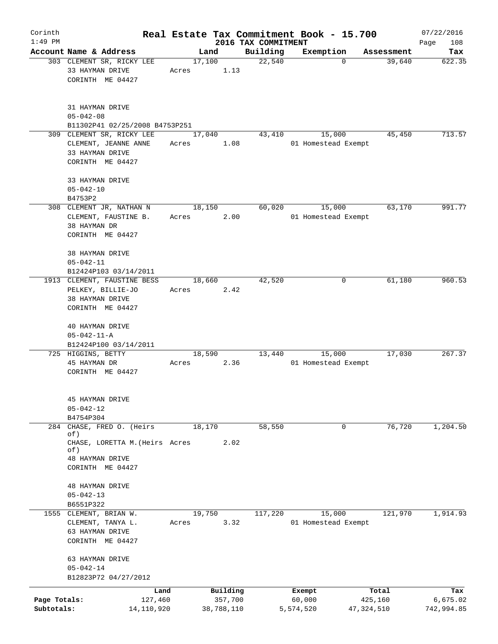| Corinth      |                                                                                                 |       |                        |                     | Real Estate Tax Commitment Book - 15.700 |                       | 07/22/2016             |
|--------------|-------------------------------------------------------------------------------------------------|-------|------------------------|---------------------|------------------------------------------|-----------------------|------------------------|
| $1:49$ PM    |                                                                                                 |       |                        | 2016 TAX COMMITMENT |                                          |                       | 108<br>Page            |
|              | Account Name & Address<br>303 CLEMENT SR, RICKY LEE<br>33 HAYMAN DRIVE<br>CORINTH ME 04427      | Acres | Land<br>17,100<br>1.13 | Building<br>22,540  | Exemption<br>$\mathbf 0$                 | Assessment<br>39,640  | Tax<br>622.35          |
|              | 31 HAYMAN DRIVE<br>$05 - 042 - 08$<br>B11302P41 02/25/2008 B4753P251                            |       |                        |                     |                                          |                       |                        |
|              | 309 CLEMENT SR, RICKY LEE<br>CLEMENT, JEANNE ANNE<br>33 HAYMAN DRIVE<br>CORINTH ME 04427        | Acres | 17,040<br>1.08         | 43,410              | 15,000<br>01 Homestead Exempt            | 45,450                | 713.57                 |
|              | 33 HAYMAN DRIVE<br>$05 - 042 - 10$<br>B4753P2                                                   |       |                        |                     |                                          |                       |                        |
|              | 308 CLEMENT JR, NATHAN N<br>CLEMENT, FAUSTINE B.<br>38 HAYMAN DR<br>CORINTH ME 04427            | Acres | 18,150<br>2.00         | 60,020              | 15,000<br>01 Homestead Exempt            | 63,170                | 991.77                 |
|              | 38 HAYMAN DRIVE<br>$05 - 042 - 11$<br>B12424P103 03/14/2011                                     |       |                        |                     |                                          |                       |                        |
|              | 1913 CLEMENT, FAUSTINE BESS<br>PELKEY, BILLIE-JO<br>38 HAYMAN DRIVE<br>CORINTH ME 04427         | Acres | 18,660<br>2.42         | 42,520              | 0                                        | 61,180                | 960.53                 |
|              | 40 HAYMAN DRIVE<br>$05 - 042 - 11 - A$<br>B12424P100 03/14/2011                                 |       |                        |                     |                                          |                       |                        |
|              | 725 HIGGINS, BETTY<br>45 HAYMAN DR<br>CORINTH ME 04427                                          | Acres | 18,590<br>2.36         | 13,440              | 15,000<br>01 Homestead Exempt            | 17,030                | 267.37                 |
|              | 45 HAYMAN DRIVE<br>$05 - 042 - 12$<br>B4754P304                                                 |       |                        |                     |                                          |                       |                        |
| 284          | CHASE, FRED O. (Heirs<br>of)<br>CHASE, LORETTA M. (Heirs Acres<br>of)<br><b>48 HAYMAN DRIVE</b> |       | 18,170<br>2.02         | 58,550              | 0                                        | 76,720                | 1,204.50               |
|              | CORINTH ME 04427<br><b>48 HAYMAN DRIVE</b><br>$05 - 042 - 13$<br>B6551P322                      |       |                        |                     |                                          |                       |                        |
|              | 1555 CLEMENT, BRIAN W.<br>CLEMENT, TANYA L.<br>63 HAYMAN DRIVE<br>CORINTH ME 04427              | Acres | 19,750<br>3.32         | 117,220             | 15,000<br>01 Homestead Exempt            | 121,970               | 1,914.93               |
|              | 63 HAYMAN DRIVE<br>$05 - 042 - 14$<br>B12823P72 04/27/2012                                      |       |                        |                     |                                          |                       |                        |
| Page Totals: |                                                                                                 | Land  | Building               |                     | Exempt                                   | Total                 | Tax                    |
| Subtotals:   | 127,460<br>14,110,920                                                                           |       | 357,700<br>38,788,110  |                     | 60,000<br>5,574,520                      | 425,160<br>47,324,510 | 6,675.02<br>742,994.85 |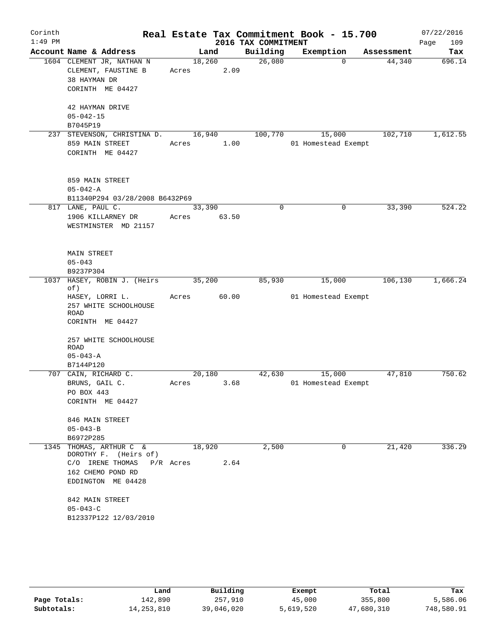| Corinth<br>$1:49$ PM |                                                                                                                                                                               |                     |       | 2016 TAX COMMITMENT | Real Estate Tax Commitment Book - 15.700 |            | 07/22/2016<br>109<br>Page |
|----------------------|-------------------------------------------------------------------------------------------------------------------------------------------------------------------------------|---------------------|-------|---------------------|------------------------------------------|------------|---------------------------|
|                      | Account Name & Address                                                                                                                                                        | Land                |       | Building            | Exemption                                | Assessment | Tax                       |
|                      | 1604 CLEMENT JR, NATHAN N<br>CLEMENT, FAUSTINE B<br>38 HAYMAN DR<br>CORINTH ME 04427                                                                                          | 18,260<br>Acres     | 2.09  | 26,080              | $\Omega$                                 | 44,340     | 696.14                    |
|                      | 42 HAYMAN DRIVE<br>$05 - 042 - 15$<br>B7045P19                                                                                                                                |                     |       |                     |                                          |            |                           |
|                      | 237 STEVENSON, CHRISTINA D.<br>859 MAIN STREET<br>CORINTH ME 04427                                                                                                            | 16,940<br>Acres     | 1.00  | 100,770             | 15,000<br>01 Homestead Exempt            | 102,710    | 1,612.55                  |
|                      | 859 MAIN STREET<br>$05 - 042 - A$<br>B11340P294 03/28/2008 B6432P69                                                                                                           |                     |       |                     |                                          |            |                           |
|                      | 817 LANE, PAUL C.<br>1906 KILLARNEY DR<br>WESTMINSTER MD 21157                                                                                                                | 33,390<br>Acres     | 63.50 | $\Omega$            | $\mathbf 0$                              | 33,390     | 524.22                    |
|                      | MAIN STREET<br>$05 - 043$<br>B9237P304                                                                                                                                        |                     |       |                     |                                          |            |                           |
| 1037                 | HASEY, ROBIN J. (Heirs                                                                                                                                                        | 35,200              |       | 85,930              | 15,000                                   | 106, 130   | 1,666.24                  |
|                      | of)<br>HASEY, LORRI L.<br>257 WHITE SCHOOLHOUSE<br>ROAD<br>CORINTH ME 04427                                                                                                   | Acres               | 60.00 |                     | 01 Homestead Exempt                      |            |                           |
|                      | 257 WHITE SCHOOLHOUSE<br><b>ROAD</b><br>$05 - 043 - A$<br>B7144P120                                                                                                           |                     |       |                     |                                          |            |                           |
|                      | 707 CAIN, RICHARD C.                                                                                                                                                          | 20,180              |       | 42,630              | 15,000                                   | 47,810     | 750.62                    |
|                      | BRUNS, GAIL C.<br>PO BOX 443<br>CORINTH ME 04427                                                                                                                              | Acres               | 3.68  |                     | 01 Homestead Exempt                      |            |                           |
|                      | 846 MAIN STREET<br>$05 - 043 - B$<br>B6972P285                                                                                                                                |                     |       |                     |                                          |            |                           |
|                      | 1345 THOMAS, ARTHUR C &<br>DOROTHY F. (Heirs of)<br>C/O IRENE THOMAS<br>162 CHEMO POND RD<br>EDDINGTON ME 04428<br>842 MAIN STREET<br>$05 - 043 - C$<br>B12337P122 12/03/2010 | 18,920<br>P/R Acres | 2.64  | 2,500               | 0                                        | 21,420     | 336.29                    |

|              | Land         | Building   | Exempt    | Total      | Tax        |
|--------------|--------------|------------|-----------|------------|------------|
| Page Totals: | 142,890      | 257,910    | 45,000    | 355,800    | 5,586.06   |
| Subtotals:   | 14, 253, 810 | 39,046,020 | 5,619,520 | 47,680,310 | 748,580.91 |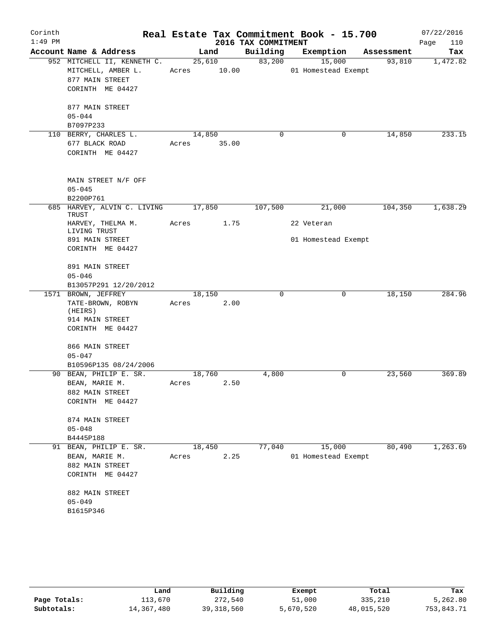| Corinth   |                               |       |        |                     | Real Estate Tax Commitment Book - 15.700 |             |            | 07/22/2016  |
|-----------|-------------------------------|-------|--------|---------------------|------------------------------------------|-------------|------------|-------------|
| $1:49$ PM |                               |       |        | 2016 TAX COMMITMENT |                                          |             |            | Page<br>110 |
|           | Account Name & Address        |       | Land   | Building            | Exemption                                |             | Assessment | Tax         |
|           | 952 MITCHELL II, KENNETH C.   |       | 25,610 | 83,200              | 15,000                                   |             | 93,810     | 1,472.82    |
|           | MITCHELL, AMBER L.            | Acres | 10.00  |                     | 01 Homestead Exempt                      |             |            |             |
|           | 877 MAIN STREET               |       |        |                     |                                          |             |            |             |
|           | CORINTH ME 04427              |       |        |                     |                                          |             |            |             |
|           | 877 MAIN STREET               |       |        |                     |                                          |             |            |             |
|           | $05 - 044$                    |       |        |                     |                                          |             |            |             |
|           | B7097P233                     |       |        |                     |                                          |             |            |             |
|           | 110 BERRY, CHARLES L.         |       | 14,850 | 0                   |                                          | 0           | 14,850     | 233.15      |
|           | 677 BLACK ROAD                | Acres | 35.00  |                     |                                          |             |            |             |
|           | CORINTH ME 04427              |       |        |                     |                                          |             |            |             |
|           | MAIN STREET N/F OFF           |       |        |                     |                                          |             |            |             |
|           | $05 - 045$                    |       |        |                     |                                          |             |            |             |
|           | B2200P761                     |       |        |                     |                                          |             |            |             |
|           | 685 HARVEY, ALVIN C. LIVING   |       | 17,850 | 107,500             | 21,000                                   |             | 104,350    | 1,638.29    |
|           | TRUST<br>HARVEY, THELMA M.    | Acres | 1.75   |                     | 22 Veteran                               |             |            |             |
|           | LIVING TRUST                  |       |        |                     |                                          |             |            |             |
|           | 891 MAIN STREET               |       |        |                     | 01 Homestead Exempt                      |             |            |             |
|           | CORINTH ME 04427              |       |        |                     |                                          |             |            |             |
|           | 891 MAIN STREET               |       |        |                     |                                          |             |            |             |
|           | $05 - 046$                    |       |        |                     |                                          |             |            |             |
|           | B13057P291 12/20/2012         |       |        |                     |                                          |             |            |             |
|           | 1571 BROWN, JEFFREY           |       | 18,150 | $\mathbf 0$         |                                          | $\mathbf 0$ | 18,150     | 284.96      |
|           | TATE-BROWN, ROBYN<br>(HEIRS)  | Acres | 2.00   |                     |                                          |             |            |             |
|           | 914 MAIN STREET               |       |        |                     |                                          |             |            |             |
|           | CORINTH ME 04427              |       |        |                     |                                          |             |            |             |
|           |                               |       |        |                     |                                          |             |            |             |
|           | 866 MAIN STREET<br>$05 - 047$ |       |        |                     |                                          |             |            |             |
|           | B10596P135 08/24/2006         |       |        |                     |                                          |             |            |             |
|           | 90 BEAN, PHILIP E. SR.        |       | 18,760 | 4,800               |                                          | 0           | 23,560     | 369.89      |
|           | BEAN, MARIE M.                | Acres | 2.50   |                     |                                          |             |            |             |
|           | 882 MAIN STREET               |       |        |                     |                                          |             |            |             |
|           | CORINTH ME 04427              |       |        |                     |                                          |             |            |             |
|           | 874 MAIN STREET               |       |        |                     |                                          |             |            |             |
|           | $05 - 048$                    |       |        |                     |                                          |             |            |             |
|           | B4445P188                     |       |        |                     |                                          |             |            |             |
|           | 91 BEAN, PHILIP E. SR.        |       | 18,450 | 77,040              | 15,000                                   |             | 80,490     | 1, 263.69   |
|           | BEAN, MARIE M.                | Acres | 2.25   |                     | 01 Homestead Exempt                      |             |            |             |
|           | 882 MAIN STREET               |       |        |                     |                                          |             |            |             |
|           | CORINTH ME 04427              |       |        |                     |                                          |             |            |             |
|           | 882 MAIN STREET               |       |        |                     |                                          |             |            |             |
|           | $05 - 049$                    |       |        |                     |                                          |             |            |             |
|           | B1615P346                     |       |        |                     |                                          |             |            |             |
|           |                               |       |        |                     |                                          |             |            |             |

|              | Land       | Building     | Exempt    | Total      | Tax        |
|--------------|------------|--------------|-----------|------------|------------|
| Page Totals: | 113,670    | 272,540      | 51,000    | 335,210    | 5,262.80   |
| Subtotals:   | 14,367,480 | 39, 318, 560 | 5,670,520 | 48,015,520 | 753,843.71 |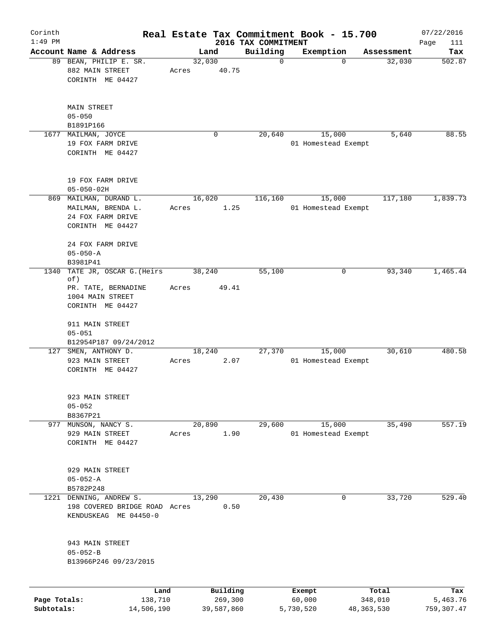| Corinth<br>$1:49$ PM       |                                                               |                       |                 |                       |                                 | Real Estate Tax Commitment Book - 15.700 |                         | 07/22/2016              |
|----------------------------|---------------------------------------------------------------|-----------------------|-----------------|-----------------------|---------------------------------|------------------------------------------|-------------------------|-------------------------|
|                            | Account Name & Address                                        |                       |                 | Land                  | 2016 TAX COMMITMENT<br>Building | Exemption                                | Assessment              | Page<br>111<br>Tax      |
|                            | 89 BEAN, PHILIP E. SR.<br>882 MAIN STREET<br>CORINTH ME 04427 |                       | 32,030<br>Acres | 40.75                 | $\mathbf 0$                     | $\mathbf 0$                              | 32,030                  | 502.87                  |
|                            | <b>MAIN STREET</b><br>$05 - 050$                              |                       |                 |                       |                                 |                                          |                         |                         |
|                            | B1891P166<br>1677 MAILMAN, JOYCE                              |                       |                 | $\mathbf 0$           | 20,640                          | 15,000                                   | 5,640                   | 88.55                   |
|                            | 19 FOX FARM DRIVE<br>CORINTH ME 04427                         |                       |                 |                       |                                 | 01 Homestead Exempt                      |                         |                         |
|                            | 19 FOX FARM DRIVE<br>$05 - 050 - 02H$                         |                       |                 |                       |                                 |                                          |                         |                         |
|                            | 869 MAILMAN, DURAND L.                                        |                       |                 | 16,020                | 116,160                         | 15,000                                   | 117,180                 | 1,839.73                |
|                            | MAILMAN, BRENDA L.<br>24 FOX FARM DRIVE<br>CORINTH ME 04427   |                       | Acres           | 1.25                  |                                 | 01 Homestead Exempt                      |                         |                         |
|                            | 24 FOX FARM DRIVE<br>$05 - 050 - A$                           |                       |                 |                       |                                 |                                          |                         |                         |
|                            | B3981P41                                                      |                       |                 |                       |                                 |                                          |                         |                         |
| 1340                       | TATE JR, OSCAR G. (Heirs<br>of)                               |                       |                 | 38,240                | 55,100                          | 0                                        | 93,340                  | 1,465.44                |
|                            | PR. TATE, BERNADINE<br>1004 MAIN STREET                       |                       | Acres           | 49.41                 |                                 |                                          |                         |                         |
|                            | CORINTH ME 04427                                              |                       |                 |                       |                                 |                                          |                         |                         |
|                            | 911 MAIN STREET<br>$05 - 051$                                 |                       |                 |                       |                                 |                                          |                         |                         |
|                            | B12954P187 09/24/2012                                         |                       |                 |                       |                                 |                                          |                         |                         |
|                            | 127 SMEN, ANTHONY D.<br>923 MAIN STREET<br>CORINTH ME 04427   |                       | Acres           | 18,240<br>2.07        | 27,370                          | 15,000<br>01 Homestead Exempt            | 30,610                  | 480.58                  |
|                            | 923 MAIN STREET<br>$05 - 052$<br>B8367P21                     |                       |                 |                       |                                 |                                          |                         |                         |
|                            | 977 MUNSON, NANCY S.                                          |                       |                 | 20,890                | 29,600                          | 15,000                                   | 35,490                  | 557.19                  |
|                            | 929 MAIN STREET<br>CORINTH ME 04427                           |                       | Acres           | 1.90                  |                                 | 01 Homestead Exempt                      |                         |                         |
|                            | 929 MAIN STREET<br>$05 - 052 - A$<br>B5782P248                |                       |                 |                       |                                 |                                          |                         |                         |
|                            | 1221 DENNING, ANDREW S.                                       |                       |                 | 13,290                | 20,430                          | 0                                        | 33,720                  | 529.40                  |
|                            | 198 COVERED BRIDGE ROAD Acres<br>KENDUSKEAG ME 04450-0        |                       |                 | 0.50                  |                                 |                                          |                         |                         |
|                            | 943 MAIN STREET<br>$05 - 052 - B$<br>B13966P246 09/23/2015    |                       |                 |                       |                                 |                                          |                         |                         |
|                            |                                                               | Land                  |                 | Building              |                                 | Exempt                                   | Total                   | Tax                     |
| Page Totals:<br>Subtotals: |                                                               | 138,710<br>14,506,190 |                 | 269,300<br>39,587,860 |                                 | 60,000<br>5,730,520                      | 348,010<br>48, 363, 530 | 5,463.76<br>759, 307.47 |
|                            |                                                               |                       |                 |                       |                                 |                                          |                         |                         |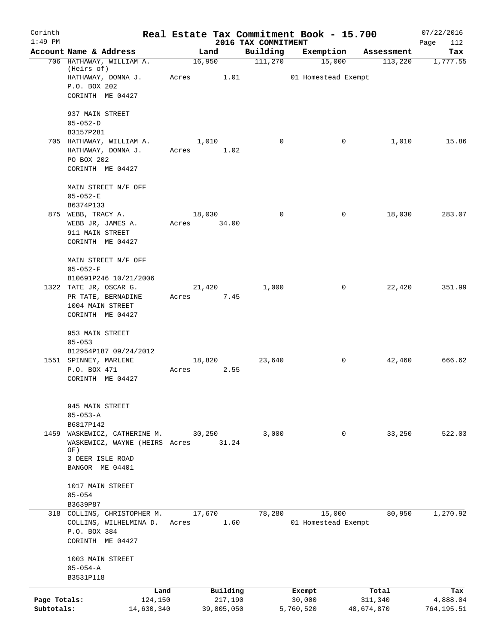| Corinth<br>$1:49$ PM |                                      | Real Estate Tax Commitment Book - 15.700 |                                 |                     |            | 07/22/2016         |
|----------------------|--------------------------------------|------------------------------------------|---------------------------------|---------------------|------------|--------------------|
|                      | Account Name & Address               | Land                                     | 2016 TAX COMMITMENT<br>Building | Exemption           | Assessment | Page<br>112<br>Tax |
|                      | 706 HATHAWAY, WILLIAM A.             | 16,950                                   | 111,270                         | 15,000              | 113,220    | 1,777.55           |
|                      | (Heirs of)<br>HATHAWAY, DONNA J.     | Acres<br>1.01                            |                                 | 01 Homestead Exempt |            |                    |
|                      | P.O. BOX 202                         |                                          |                                 |                     |            |                    |
|                      | CORINTH ME 04427                     |                                          |                                 |                     |            |                    |
|                      | 937 MAIN STREET                      |                                          |                                 |                     |            |                    |
|                      | $05 - 052 - D$                       |                                          |                                 |                     |            |                    |
|                      | B3157P281                            |                                          |                                 |                     |            |                    |
|                      | 705 HATHAWAY, WILLIAM A.             | 1,010                                    | $\Omega$                        | 0                   | 1,010      | 15.86              |
|                      | HATHAWAY, DONNA J.                   | 1.02<br>Acres                            |                                 |                     |            |                    |
|                      | PO BOX 202                           |                                          |                                 |                     |            |                    |
|                      | CORINTH ME 04427                     |                                          |                                 |                     |            |                    |
|                      | MAIN STREET N/F OFF                  |                                          |                                 |                     |            |                    |
|                      | $05 - 052 - E$                       |                                          |                                 |                     |            |                    |
|                      | B6374P133                            |                                          |                                 |                     |            |                    |
|                      | 875 WEBB, TRACY A.                   | 18,030                                   | $\mathbf 0$                     | 0                   | 18,030     | 283.07             |
|                      | WEBB JR, JAMES A.                    | 34.00<br>Acres                           |                                 |                     |            |                    |
|                      | 911 MAIN STREET                      |                                          |                                 |                     |            |                    |
|                      | CORINTH ME 04427                     |                                          |                                 |                     |            |                    |
|                      | MAIN STREET N/F OFF                  |                                          |                                 |                     |            |                    |
|                      | $05 - 052 - F$                       |                                          |                                 |                     |            |                    |
|                      | B10691P246 10/21/2006                |                                          |                                 |                     |            |                    |
|                      | 1322 TATE JR, OSCAR G.               | 21,420                                   | 1,000                           | 0                   | 22,420     | 351.99             |
|                      | PR TATE, BERNADINE                   | 7.45<br>Acres                            |                                 |                     |            |                    |
|                      | 1004 MAIN STREET                     |                                          |                                 |                     |            |                    |
|                      | CORINTH ME 04427                     |                                          |                                 |                     |            |                    |
|                      | 953 MAIN STREET                      |                                          |                                 |                     |            |                    |
|                      | $05 - 053$                           |                                          |                                 |                     |            |                    |
|                      | B12954P187 09/24/2012                |                                          |                                 |                     |            |                    |
|                      | 1551 SPINNEY, MARLENE                | 18,820                                   | 23,640                          | 0                   | 42,460     | 666.62             |
|                      | P.O. BOX 471                         | 2.55<br>Acres                            |                                 |                     |            |                    |
|                      | CORINTH ME 04427                     |                                          |                                 |                     |            |                    |
|                      |                                      |                                          |                                 |                     |            |                    |
|                      | 945 MAIN STREET                      |                                          |                                 |                     |            |                    |
|                      | $05 - 053 - A$                       |                                          |                                 |                     |            |                    |
| 1459                 | B6817P142<br>WASKEWICZ, CATHERINE M. | 30,250                                   | 3,000                           | 0                   | 33,250     | 522.03             |
|                      | WASKEWICZ, WAYNE (HEIRS Acres        | 31.24                                    |                                 |                     |            |                    |
|                      | OF)                                  |                                          |                                 |                     |            |                    |
|                      | 3 DEER ISLE ROAD                     |                                          |                                 |                     |            |                    |
|                      | BANGOR ME 04401                      |                                          |                                 |                     |            |                    |
|                      | 1017 MAIN STREET                     |                                          |                                 |                     |            |                    |
|                      | $05 - 054$                           |                                          |                                 |                     |            |                    |
|                      | B3639P87                             |                                          |                                 |                     |            |                    |
|                      | 318 COLLINS, CHRISTOPHER M.          | 17,670                                   | 78,280                          | 15,000              | 80,950     | 1,270.92           |
|                      | COLLINS, WILHELMINA D.               | 1.60<br>Acres                            |                                 | 01 Homestead Exempt |            |                    |
|                      | P.O. BOX 384                         |                                          |                                 |                     |            |                    |
|                      | CORINTH ME 04427                     |                                          |                                 |                     |            |                    |
|                      | 1003 MAIN STREET                     |                                          |                                 |                     |            |                    |
|                      | $05 - 054 - A$                       |                                          |                                 |                     |            |                    |
|                      | B3531P118                            |                                          |                                 |                     |            |                    |
|                      | Land                                 | Building                                 |                                 | Exempt              | Total      | Tax                |
| Page Totals:         | 124,150                              | 217,190                                  |                                 | 30,000              | 311,340    | 4,888.04           |
| Subtotals:           | 14,630,340                           | 39,805,050                               |                                 | 5,760,520           | 48,674,870 | 764,195.51         |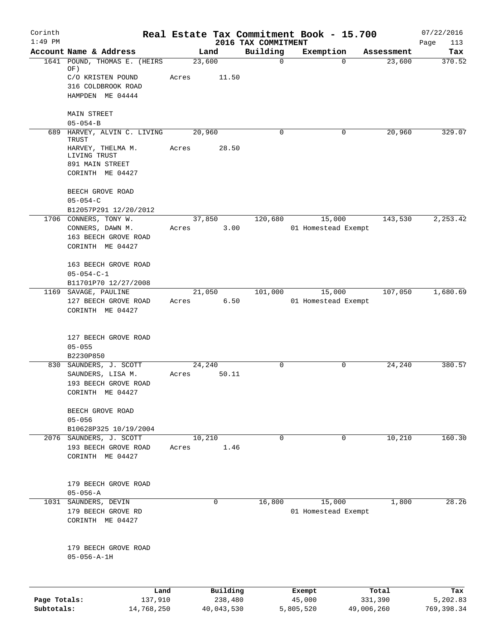| Corinth                    |                                                  |       |                       |                                 | Real Estate Tax Commitment Book - 15.700 |                       | 07/22/2016              |
|----------------------------|--------------------------------------------------|-------|-----------------------|---------------------------------|------------------------------------------|-----------------------|-------------------------|
| $1:49$ PM                  | Account Name & Address                           |       | Land                  | 2016 TAX COMMITMENT<br>Building | Exemption                                | Assessment            | Page<br>113<br>Tax      |
|                            | 1641 POUND, THOMAS E. (HEIRS                     |       | 23,600                | $\mathbf 0$                     |                                          | 23,600<br>$\mathbf 0$ | 370.52                  |
|                            | OF)<br>C/O KRISTEN POUND                         | Acres | 11.50                 |                                 |                                          |                       |                         |
|                            | 316 COLDBROOK ROAD                               |       |                       |                                 |                                          |                       |                         |
|                            | HAMPDEN ME 04444                                 |       |                       |                                 |                                          |                       |                         |
|                            | <b>MAIN STREET</b>                               |       |                       |                                 |                                          |                       |                         |
|                            | $05 - 054 - B$                                   |       |                       |                                 |                                          |                       |                         |
|                            | 689 HARVEY, ALVIN C. LIVING<br>TRUST             |       | 20,960                | $\Omega$                        |                                          | 20,960<br>0           | 329.07                  |
|                            | HARVEY, THELMA M.                                | Acres | 28.50                 |                                 |                                          |                       |                         |
|                            | LIVING TRUST<br>891 MAIN STREET                  |       |                       |                                 |                                          |                       |                         |
|                            | CORINTH ME 04427                                 |       |                       |                                 |                                          |                       |                         |
|                            | BEECH GROVE ROAD                                 |       |                       |                                 |                                          |                       |                         |
|                            | $05 - 054 - C$                                   |       |                       |                                 |                                          |                       |                         |
|                            | B12057P291 12/20/2012                            |       |                       |                                 |                                          |                       |                         |
|                            | 1706 CONNERS, TONY W.                            |       | 37,850                | 120,680                         | 15,000                                   | 143,530               | 2,253.42                |
|                            | CONNERS, DAWN M.                                 | Acres | 3.00                  |                                 | 01 Homestead Exempt                      |                       |                         |
|                            | 163 BEECH GROVE ROAD                             |       |                       |                                 |                                          |                       |                         |
|                            | CORINTH ME 04427                                 |       |                       |                                 |                                          |                       |                         |
|                            | 163 BEECH GROVE ROAD                             |       |                       |                                 |                                          |                       |                         |
|                            | $05 - 054 - C - 1$                               |       |                       |                                 |                                          |                       |                         |
|                            | B11701P70 12/27/2008                             |       |                       |                                 |                                          |                       |                         |
| 1169                       | SAVAGE, PAULINE                                  |       | 21,050                | 101,000                         | 15,000                                   | 107,050               | 1,680.69                |
|                            | 127 BEECH GROVE ROAD<br>CORINTH ME 04427         | Acres | 6.50                  |                                 | 01 Homestead Exempt                      |                       |                         |
|                            | 127 BEECH GROVE ROAD                             |       |                       |                                 |                                          |                       |                         |
|                            | $05 - 055$                                       |       |                       |                                 |                                          |                       |                         |
|                            | B2230P850                                        |       |                       |                                 |                                          |                       |                         |
| 830                        | SAUNDERS, J. SCOTT                               |       | 24,240                | $\mathbf 0$                     |                                          | 0<br>24,240           | 380.57                  |
|                            | SAUNDERS, LISA M.<br>193 BEECH GROVE ROAD        | Acres | 50.11                 |                                 |                                          |                       |                         |
|                            | CORINTH ME 04427                                 |       |                       |                                 |                                          |                       |                         |
|                            |                                                  |       |                       |                                 |                                          |                       |                         |
|                            | BEECH GROVE ROAD                                 |       |                       |                                 |                                          |                       |                         |
|                            | $05 - 056$                                       |       |                       |                                 |                                          |                       |                         |
|                            | B10628P325 10/19/2004<br>2076 SAUNDERS, J. SCOTT |       | 10,210                | $\mathbf 0$                     |                                          | 10,210<br>$\mathbf 0$ | 160.30                  |
|                            | 193 BEECH GROVE ROAD                             | Acres | 1.46                  |                                 |                                          |                       |                         |
|                            | CORINTH ME 04427                                 |       |                       |                                 |                                          |                       |                         |
|                            |                                                  |       |                       |                                 |                                          |                       |                         |
|                            | 179 BEECH GROVE ROAD                             |       |                       |                                 |                                          |                       |                         |
|                            | $05 - 056 - A$                                   |       |                       |                                 |                                          |                       |                         |
|                            | 1031 SAUNDERS, DEVIN                             |       | $\mathbf 0$           | 16,800                          | 15,000                                   | 1,800                 | 28.26                   |
|                            | 179 BEECH GROVE RD                               |       |                       |                                 | 01 Homestead Exempt                      |                       |                         |
|                            | CORINTH ME 04427                                 |       |                       |                                 |                                          |                       |                         |
|                            |                                                  |       |                       |                                 |                                          |                       |                         |
|                            | 179 BEECH GROVE ROAD                             |       |                       |                                 |                                          |                       |                         |
|                            | $05 - 056 - A - 1H$                              |       |                       |                                 |                                          |                       |                         |
|                            |                                                  |       |                       |                                 |                                          |                       |                         |
|                            |                                                  | Land  | Building              |                                 | Exempt                                   | Total                 | Tax                     |
| Page Totals:<br>Subtotals: | 137,910<br>14,768,250                            |       | 238,480<br>40,043,530 |                                 | 45,000<br>5,805,520                      | 331,390<br>49,006,260 | 5,202.83<br>769, 398.34 |
|                            |                                                  |       |                       |                                 |                                          |                       |                         |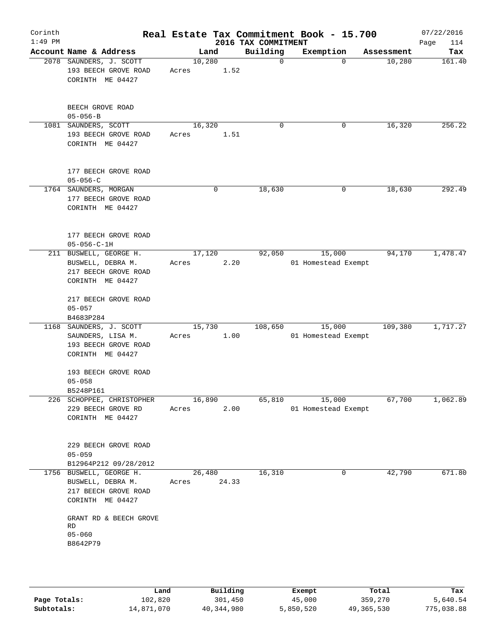| Corinth<br>$1:49$ PM |                                                                                          |                 |        | 2016 TAX COMMITMENT | Real Estate Tax Commitment Book - 15.700 |            | 07/22/2016<br>114<br>Page |
|----------------------|------------------------------------------------------------------------------------------|-----------------|--------|---------------------|------------------------------------------|------------|---------------------------|
|                      | Account Name & Address                                                                   | Land            |        | Building            | Exemption                                | Assessment | Tax                       |
|                      | 2078 SAUNDERS, J. SCOTT<br>193 BEECH GROVE ROAD<br>CORINTH ME 04427                      | 10,280<br>Acres | 1.52   | $\Omega$            | $\Omega$                                 | 10,280     | 161.40                    |
|                      | BEECH GROVE ROAD<br>$05 - 056 - B$                                                       |                 |        |                     |                                          |            |                           |
|                      | 1081 SAUNDERS, SCOTT<br>193 BEECH GROVE ROAD<br>CORINTH ME 04427                         | 16,320<br>Acres | 1.51   | $\Omega$            | 0                                        | 16,320     | 256.22                    |
|                      | 177 BEECH GROVE ROAD<br>$05 - 056 - C$                                                   |                 |        |                     |                                          |            |                           |
|                      | 1764 SAUNDERS, MORGAN<br>177 BEECH GROVE ROAD<br>CORINTH ME 04427                        |                 | 0      | 18,630              | 0                                        | 18,630     | 292.49                    |
|                      | 177 BEECH GROVE ROAD<br>$05 - 056 - C - 1H$                                              |                 |        |                     |                                          |            |                           |
|                      | 211 BUSWELL, GEORGE H.<br>BUSWELL, DEBRA M.<br>217 BEECH GROVE ROAD<br>CORINTH ME 04427  | 17,120<br>Acres | 2.20   | 92,050              | 15,000<br>01 Homestead Exempt            | 94,170     | 1,478.47                  |
|                      | 217 BEECH GROVE ROAD<br>$05 - 057$<br>B4683P284                                          |                 |        |                     |                                          |            |                           |
|                      | 1168 SAUNDERS, J. SCOTT<br>SAUNDERS, LISA M.<br>193 BEECH GROVE ROAD<br>CORINTH ME 04427 | 15,730<br>Acres | 1.00   | 108,650             | 15,000<br>01 Homestead Exempt            | 109,380    | 1,717.27                  |
|                      | 193 BEECH GROVE ROAD<br>$05 - 058$<br>B5248P161                                          |                 |        |                     |                                          |            |                           |
|                      | 226 SCHOPPEE, CHRISTOPHER<br>229 BEECH GROVE RD<br>CORINTH ME 04427                      | 16,890<br>Acres | 2.00   |                     | 65,810 15,000<br>01 Homestead Exempt     | 67,700     | 1,062.89                  |
|                      | 229 BEECH GROVE ROAD<br>$05 - 059$<br>B12964P212 09/28/2012                              |                 |        |                     |                                          |            |                           |
|                      | 1756 BUSWELL, GEORGE H.<br>BUSWELL, DEBRA M.<br>217 BEECH GROVE ROAD<br>CORINTH ME 04427 | Acres 24.33     | 26,480 | 16,310              | 0                                        | 42,790     | 671.80                    |
|                      | GRANT RD & BEECH GROVE<br>RD<br>$05 - 060$<br>B8642P79                                   |                 |        |                     |                                          |            |                           |

|              | Land       | Building   | Exempt    | Total      | Tax        |
|--------------|------------|------------|-----------|------------|------------|
| Page Totals: | 102,820    | 301,450    | 45,000    | 359,270    | 5,640.54   |
| Subtotals:   | 14,871,070 | 40,344,980 | 5,850,520 | 49,365,530 | 775,038.88 |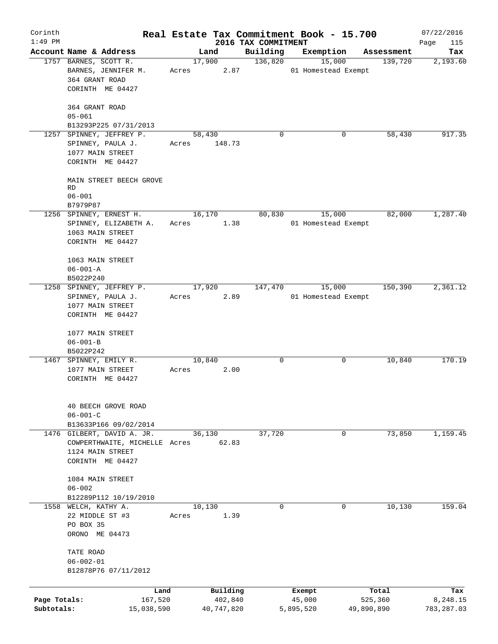| Corinth                    |                                                                                                      |                 |                       |                                 | Real Estate Tax Commitment Book - 15.700 |                       | 07/22/2016             |
|----------------------------|------------------------------------------------------------------------------------------------------|-----------------|-----------------------|---------------------------------|------------------------------------------|-----------------------|------------------------|
| $1:49$ PM                  | Account Name & Address                                                                               | Land            |                       | 2016 TAX COMMITMENT<br>Building | Exemption                                | Assessment            | Page<br>115<br>Tax     |
|                            | 1757 BARNES, SCOTT R.<br>BARNES, JENNIFER M.<br>364 GRANT ROAD<br>CORINTH ME 04427                   | 17,900<br>Acres | 2.87                  | 136,820                         | 15,000<br>01 Homestead Exempt            | 139,720               | 2,193.60               |
|                            | 364 GRANT ROAD<br>$05 - 061$<br>B13293P225 07/31/2013                                                |                 |                       |                                 |                                          |                       |                        |
| 1257                       | SPINNEY, JEFFREY P.<br>SPINNEY, PAULA J.<br>1077 MAIN STREET<br>CORINTH ME 04427                     | 58,430<br>Acres | 148.73                | $\Omega$                        |                                          | 0<br>58,430           | 917.35                 |
|                            | MAIN STREET BEECH GROVE<br>RD<br>$06 - 001$                                                          |                 |                       |                                 |                                          |                       |                        |
|                            | B7979P87<br>1256 SPINNEY, ERNEST H.<br>SPINNEY, ELIZABETH A.<br>1063 MAIN STREET<br>CORINTH ME 04427 | 16,170<br>Acres | 1.38                  | 80,830                          | 15,000<br>01 Homestead Exempt            | 82,000                | 1,287.40               |
|                            | 1063 MAIN STREET<br>$06 - 001 - A$<br>B5022P240                                                      |                 |                       |                                 |                                          |                       |                        |
|                            | 1258 SPINNEY, JEFFREY P.<br>SPINNEY, PAULA J.<br>1077 MAIN STREET<br>CORINTH ME 04427                | 17,920<br>Acres | 2.89                  | 147,470                         | 15,000<br>01 Homestead Exempt            | 150,390               | 2,361.12               |
|                            | 1077 MAIN STREET<br>$06 - 001 - B$<br>B5022P242                                                      |                 |                       |                                 |                                          |                       |                        |
|                            | 1467 SPINNEY, EMILY R.<br>1077 MAIN STREET<br>CORINTH ME 04427                                       | 10,840<br>Acres | 2.00                  | 0                               |                                          | 10,840<br>0           | 170.19                 |
|                            | 40 BEECH GROVE ROAD<br>$06 - 001 - C$<br>B13633P166 09/02/2014                                       |                 |                       |                                 |                                          |                       |                        |
|                            | 1476 GILBERT, DAVID A. JR.<br>COWPERTHWAITE, MICHELLE Acres<br>1124 MAIN STREET<br>CORINTH ME 04427  | 36,130          | 62.83                 | 37,720                          |                                          | 73,850<br>0           | 1,159.45               |
|                            | 1084 MAIN STREET<br>$06 - 002$<br>B12289P112 10/19/2010                                              |                 |                       |                                 |                                          |                       |                        |
|                            | 1558 WELCH, KATHY A.<br>22 MIDDLE ST #3<br>PO BOX 35<br>ORONO ME 04473                               | 10,130<br>Acres | 1.39                  | $\mathbf 0$                     |                                          | $\Omega$<br>10,130    | 159.04                 |
|                            | TATE ROAD<br>$06 - 002 - 01$<br>B12878P76 07/11/2012                                                 |                 |                       |                                 |                                          |                       |                        |
|                            | Land                                                                                                 |                 | Building              |                                 | Exempt                                   | Total                 | Tax                    |
| Page Totals:<br>Subtotals: | 167,520<br>15,038,590                                                                                |                 | 402,840<br>40,747,820 |                                 | 45,000<br>5,895,520                      | 525,360<br>49,890,890 | 8,248.15<br>783,287.03 |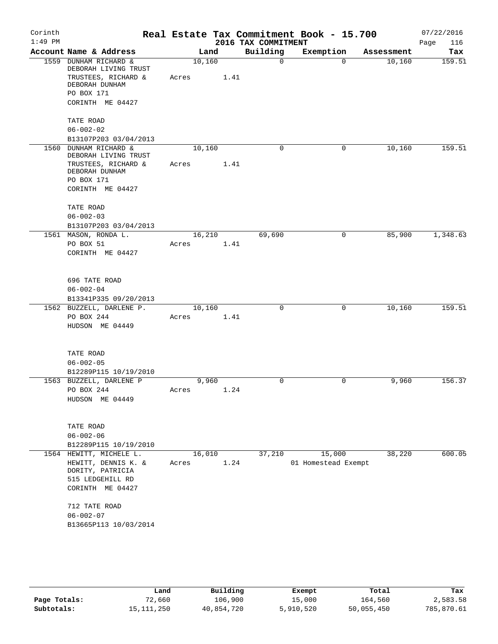| Corinth<br>$1:49$ PM |                                                               |        |      | 2016 TAX COMMITMENT | Real Estate Tax Commitment Book - 15.700 |            | 07/22/2016<br>116 |
|----------------------|---------------------------------------------------------------|--------|------|---------------------|------------------------------------------|------------|-------------------|
|                      | Account Name & Address                                        | Land   |      | Building            | Exemption                                | Assessment | Page<br>Tax       |
|                      | 1559 DUNHAM RICHARD &                                         | 10,160 |      | $\mathbf 0$         | $\Omega$                                 | 10,160     | 159.51            |
|                      | DEBORAH LIVING TRUST<br>TRUSTEES, RICHARD &<br>DEBORAH DUNHAM | Acres  | 1.41 |                     |                                          |            |                   |
|                      | PO BOX 171                                                    |        |      |                     |                                          |            |                   |
|                      | CORINTH ME 04427                                              |        |      |                     |                                          |            |                   |
|                      | TATE ROAD                                                     |        |      |                     |                                          |            |                   |
|                      | $06 - 002 - 02$                                               |        |      |                     |                                          |            |                   |
|                      | B13107P203 03/04/2013                                         |        |      |                     |                                          |            |                   |
| 1560                 | DUNHAM RICHARD &<br>DEBORAH LIVING TRUST                      | 10,160 |      | $\mathbf 0$         | $\mathbf 0$                              | 10,160     | 159.51            |
|                      | TRUSTEES, RICHARD &                                           | Acres  | 1.41 |                     |                                          |            |                   |
|                      | DEBORAH DUNHAM                                                |        |      |                     |                                          |            |                   |
|                      | PO BOX 171<br>CORINTH ME 04427                                |        |      |                     |                                          |            |                   |
|                      |                                                               |        |      |                     |                                          |            |                   |
|                      | TATE ROAD<br>$06 - 002 - 03$                                  |        |      |                     |                                          |            |                   |
|                      | B13107P203 03/04/2013                                         |        |      |                     |                                          |            |                   |
|                      | 1561 MASON, RONDA L.                                          | 16,210 |      | 69,690              | 0                                        | 85,900     | 1,348.63          |
|                      | PO BOX 51                                                     | Acres  | 1.41 |                     |                                          |            |                   |
|                      | CORINTH ME 04427                                              |        |      |                     |                                          |            |                   |
|                      |                                                               |        |      |                     |                                          |            |                   |
|                      | 696 TATE ROAD                                                 |        |      |                     |                                          |            |                   |
|                      | $06 - 002 - 04$                                               |        |      |                     |                                          |            |                   |
|                      | B13341P335 09/20/2013                                         |        |      |                     |                                          |            |                   |
|                      | 1562 BUZZELL, DARLENE P.                                      | 10,160 |      | $\mathbf 0$         | 0                                        | 10,160     | 159.51            |
|                      | PO BOX 244                                                    | Acres  | 1.41 |                     |                                          |            |                   |
|                      | HUDSON ME 04449                                               |        |      |                     |                                          |            |                   |
|                      |                                                               |        |      |                     |                                          |            |                   |
|                      | TATE ROAD                                                     |        |      |                     |                                          |            |                   |
|                      | $06 - 002 - 05$<br>B12289P115 10/19/2010                      |        |      |                     |                                          |            |                   |
|                      | 1563 BUZZELL, DARLENE P                                       | 9,960  |      | $\mathbf 0$         | 0                                        | 9,960      | 156.37            |
|                      | PO BOX 244                                                    | Acres  | 1.24 |                     |                                          |            |                   |
|                      | HUDSON ME 04449                                               |        |      |                     |                                          |            |                   |
|                      |                                                               |        |      |                     |                                          |            |                   |
|                      | TATE ROAD                                                     |        |      |                     |                                          |            |                   |
|                      | $06 - 002 - 06$                                               |        |      |                     |                                          |            |                   |
|                      | B12289P115 10/19/2010                                         |        |      |                     |                                          |            |                   |
|                      | 1564 HEWITT, MICHELE L.                                       | 16,010 |      | 37,210              | 15,000                                   | 38,220     | 600.05            |
|                      | HEWITT, DENNIS K. &                                           | Acres  | 1.24 |                     | 01 Homestead Exempt                      |            |                   |
|                      | DORITY, PATRICIA                                              |        |      |                     |                                          |            |                   |
|                      | 515 LEDGEHILL RD<br>CORINTH ME 04427                          |        |      |                     |                                          |            |                   |
|                      |                                                               |        |      |                     |                                          |            |                   |
|                      | 712 TATE ROAD                                                 |        |      |                     |                                          |            |                   |
|                      | $06 - 002 - 07$                                               |        |      |                     |                                          |            |                   |
|                      | B13665P113 10/03/2014                                         |        |      |                     |                                          |            |                   |
|                      |                                                               |        |      |                     |                                          |            |                   |

|              | Land       | Building   | Exempt    | Total      | Tax        |
|--------------|------------|------------|-----------|------------|------------|
| Page Totals: | 72,660     | 106,900    | 15,000    | 164,560    | 2,583.58   |
| Subtotals:   | 15,111,250 | 40,854,720 | 5,910,520 | 50,055,450 | 785,870.61 |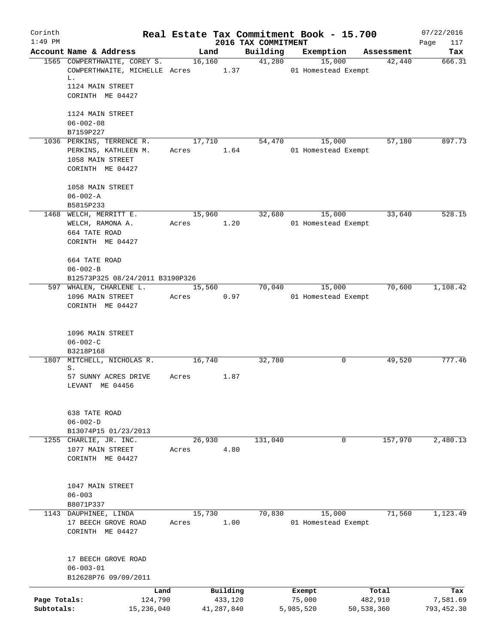| Corinth      |                                                                          |                 |                |                     |           | Real Estate Tax Commitment Book - 15.700 |            | 07/22/2016  |
|--------------|--------------------------------------------------------------------------|-----------------|----------------|---------------------|-----------|------------------------------------------|------------|-------------|
| $1:49$ PM    |                                                                          |                 |                | 2016 TAX COMMITMENT |           |                                          |            | Page<br>117 |
|              | Account Name & Address                                                   |                 | Land           | Building            | Exemption |                                          | Assessment | Tax         |
|              | 1565 COWPERTHWAITE, COREY S.<br>COWPERTHWAITE, MICHELLE Acres 1.37<br>L. |                 | 16,160         |                     | 41,280    | 15,000<br>01 Homestead Exempt            | 42,440     | 666.31      |
|              | 1124 MAIN STREET<br>CORINTH ME 04427                                     |                 |                |                     |           |                                          |            |             |
|              | 1124 MAIN STREET                                                         |                 |                |                     |           |                                          |            |             |
|              | $06 - 002 - 08$                                                          |                 |                |                     |           |                                          |            |             |
|              | B7159P227                                                                |                 |                |                     |           |                                          |            |             |
|              | 1036 PERKINS, TERRENCE R.<br>PERKINS, KATHLEEN M.                        | Acres           | 17,710<br>1.64 | 54,470              |           | 15,000<br>01 Homestead Exempt            | 57,180     | 897.73      |
|              | 1058 MAIN STREET<br>CORINTH ME 04427                                     |                 |                |                     |           |                                          |            |             |
|              | 1058 MAIN STREET<br>$06 - 002 - A$                                       |                 |                |                     |           |                                          |            |             |
|              | B5815P233                                                                |                 |                |                     |           |                                          |            |             |
|              | 1468 WELCH, MERRITT E.                                                   |                 | 15,960         | 32,680              |           | 15,000                                   | 33,640     | 528.15      |
|              | WELCH, RAMONA A.                                                         | Acres           | 1.20           |                     |           | 01 Homestead Exempt                      |            |             |
|              | 664 TATE ROAD                                                            |                 |                |                     |           |                                          |            |             |
|              | CORINTH ME 04427                                                         |                 |                |                     |           |                                          |            |             |
|              | 664 TATE ROAD                                                            |                 |                |                     |           |                                          |            |             |
|              | $06 - 002 - B$                                                           |                 |                |                     |           |                                          |            |             |
|              | B12573P325 08/24/2011 B3190P326                                          |                 |                |                     |           |                                          |            |             |
|              | 597 WHALEN, CHARLENE L.                                                  | 15,560          |                | 70,040              |           | 15,000                                   | 70,600     | 1,108.42    |
|              | 1096 MAIN STREET                                                         | Acres           | 0.97           |                     |           | 01 Homestead Exempt                      |            |             |
|              | CORINTH ME 04427                                                         |                 |                |                     |           |                                          |            |             |
|              | 1096 MAIN STREET                                                         |                 |                |                     |           |                                          |            |             |
|              | $06 - 002 - C$                                                           |                 |                |                     |           |                                          |            |             |
|              | B3218P168                                                                |                 |                |                     |           |                                          |            |             |
|              | 1807 MITCHELL, NICHOLAS R.<br>S.                                         | 16,740          |                | 32,780              |           | 0                                        | 49,520     | 777.46      |
|              | 57 SUNNY ACRES DRIVE<br>LEVANT ME 04456                                  | Acres           | 1.87           |                     |           |                                          |            |             |
|              | 638 TATE ROAD                                                            |                 |                |                     |           |                                          |            |             |
|              | $06 - 002 - D$                                                           |                 |                |                     |           |                                          |            |             |
|              | B13074P15 01/23/2013                                                     |                 |                |                     |           |                                          |            |             |
|              | 1255 CHARLIE, JR. INC.<br>1077 MAIN STREET                               | 26,930<br>Acres | 4.80           | 131,040             |           | 0                                        | 157,970    | 2,480.13    |
|              | CORINTH ME 04427                                                         |                 |                |                     |           |                                          |            |             |
|              | 1047 MAIN STREET                                                         |                 |                |                     |           |                                          |            |             |
|              | $06 - 003$                                                               |                 |                |                     |           |                                          |            |             |
|              | B8071P337                                                                |                 |                |                     |           |                                          |            |             |
|              | 1143 DAUPHINEE, LINDA                                                    | 15,730          |                | 70,830              |           | 15,000                                   | 71,560     | 1,123.49    |
|              | 17 BEECH GROVE ROAD<br>CORINTH ME 04427                                  | Acres           | 1.00           |                     |           | 01 Homestead Exempt                      |            |             |
|              | 17 BEECH GROVE ROAD<br>$06 - 003 - 01$                                   |                 |                |                     |           |                                          |            |             |
|              | B12628P76 09/09/2011                                                     |                 |                |                     |           |                                          |            |             |
|              | Land                                                                     |                 | Building       |                     | Exempt    |                                          | Total      | Tax         |
| Page Totals: | 124,790                                                                  |                 | 433,120        |                     | 75,000    |                                          | 482,910    | 7,581.69    |
| Subtotals:   | 15,236,040                                                               |                 | 41,287,840     |                     | 5,985,520 | 50,538,360                               |            | 793,452.30  |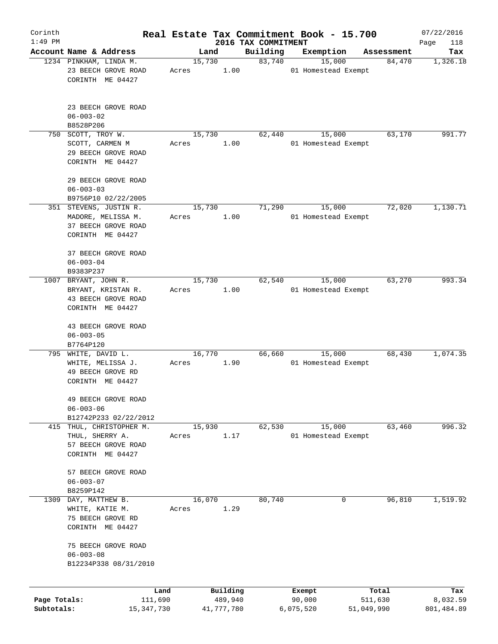| Corinth                    |                                                                                        |       |                       |                                 | Real Estate Tax Commitment Book - 15.700 |                       | 07/22/2016             |
|----------------------------|----------------------------------------------------------------------------------------|-------|-----------------------|---------------------------------|------------------------------------------|-----------------------|------------------------|
| $1:49$ PM                  | Account Name & Address                                                                 |       |                       | 2016 TAX COMMITMENT<br>Building | Exemption                                |                       | Page<br>118<br>Tax     |
|                            | 1234 PINKHAM, LINDA M.                                                                 |       | Land<br>15,730        | 83,740                          | 15,000                                   | Assessment<br>84,470  | 1,326.18               |
|                            | 23 BEECH GROVE ROAD<br>CORINTH ME 04427                                                | Acres | 1.00                  |                                 | 01 Homestead Exempt                      |                       |                        |
|                            | 23 BEECH GROVE ROAD<br>$06 - 003 - 02$<br>B8528P206                                    |       |                       |                                 |                                          |                       |                        |
|                            | 750 SCOTT, TROY W.                                                                     |       | 15,730                | 62,440                          | 15,000                                   | 63,170                | 991.77                 |
|                            | SCOTT, CARMEN M<br>29 BEECH GROVE ROAD<br>CORINTH ME 04427                             | Acres | 1.00                  |                                 | 01 Homestead Exempt                      |                       |                        |
|                            | 29 BEECH GROVE ROAD<br>$06 - 003 - 03$                                                 |       |                       |                                 |                                          |                       |                        |
|                            | B9756P10 02/22/2005<br>351 STEVENS, JUSTIN R.                                          |       | 15,730                | 71,290                          | 15,000                                   | 72,020                | 1,130.71               |
|                            | MADORE, MELISSA M.<br>37 BEECH GROVE ROAD<br>CORINTH ME 04427                          | Acres | 1.00                  |                                 | 01 Homestead Exempt                      |                       |                        |
|                            | 37 BEECH GROVE ROAD<br>$06 - 003 - 04$<br>B9383P237                                    |       |                       |                                 |                                          |                       |                        |
| 1007                       | BRYANT, JOHN R.                                                                        |       | 15,730                | 62,540                          | 15,000                                   | 63,270                | 993.34                 |
|                            | BRYANT, KRISTAN R.<br>43 BEECH GROVE ROAD<br>CORINTH ME 04427                          | Acres | 1.00                  |                                 | 01 Homestead Exempt                      |                       |                        |
|                            | 43 BEECH GROVE ROAD<br>$06 - 003 - 05$<br>B7764P120                                    |       |                       |                                 |                                          |                       |                        |
| 795                        | WHITE, DAVID L.                                                                        |       | 16,770                | 66,660                          | 15,000                                   | 68,430                | 1,074.35               |
|                            | WHITE, MELISSA J.<br>49 BEECH GROVE RD<br>CORINTH ME 04427                             | Acres | 1.90                  |                                 | 01 Homestead Exempt                      |                       |                        |
|                            | 49 BEECH GROVE ROAD<br>$06 - 003 - 06$                                                 |       |                       |                                 |                                          |                       |                        |
|                            | B12742P233 02/22/2012                                                                  |       |                       |                                 |                                          | 63,460                | 996.32                 |
|                            | 415 THUL, CHRISTOPHER M.<br>THUL, SHERRY A.<br>57 BEECH GROVE ROAD<br>CORINTH ME 04427 | Acres | 15,930<br>1.17        | 62,530                          | 15,000<br>01 Homestead Exempt            |                       |                        |
|                            | 57 BEECH GROVE ROAD<br>$06 - 003 - 07$                                                 |       |                       |                                 |                                          |                       |                        |
|                            | B8259P142                                                                              |       |                       |                                 |                                          | 96,810                |                        |
| 1309                       | DAY, MATTHEW B.<br>WHITE, KATIE M.<br>75 BEECH GROVE RD<br>CORINTH ME 04427            | Acres | 16,070<br>1.29        | 80,740                          | 0                                        |                       | 1,519.92               |
|                            | 75 BEECH GROVE ROAD<br>$06 - 003 - 08$<br>B12234P338 08/31/2010                        |       |                       |                                 |                                          |                       |                        |
|                            | Land                                                                                   |       | Building              |                                 | Exempt                                   | Total                 | Tax                    |
| Page Totals:<br>Subtotals: | 111,690<br>15,347,730                                                                  |       | 489,940<br>41,777,780 |                                 | 90,000<br>6,075,520                      | 511,630<br>51,049,990 | 8,032.59<br>801,484.89 |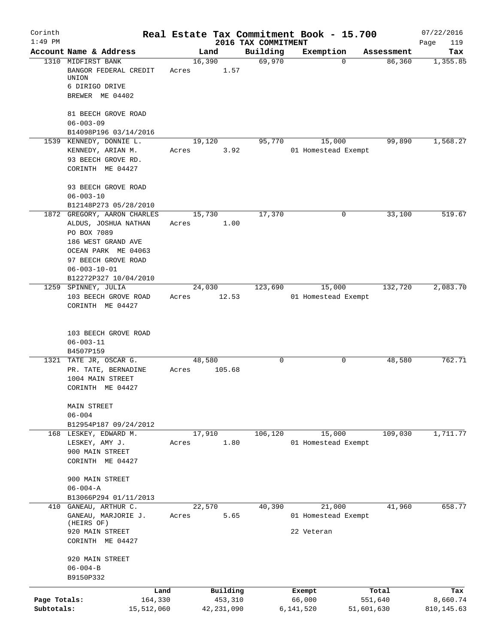| Corinth      |                                                                        | Real Estate Tax Commitment Book - 15.700 |              |                                 |                     |             | 07/22/2016         |
|--------------|------------------------------------------------------------------------|------------------------------------------|--------------|---------------------------------|---------------------|-------------|--------------------|
| $1:49$ PM    | Account Name & Address                                                 | Land                                     |              | 2016 TAX COMMITMENT<br>Building | Exemption           | Assessment  | Page<br>119<br>Tax |
|              | 1310 MIDFIRST BANK<br>BANGOR FEDERAL CREDIT<br>UNION<br>6 DIRIGO DRIVE | 16,390<br>Acres                          | 1.57         | 69,970                          |                     | 86,360<br>0 | 1,355.85           |
|              | BREWER ME 04402                                                        |                                          |              |                                 |                     |             |                    |
|              | 81 BEECH GROVE ROAD<br>$06 - 003 - 09$<br>B14098P196 03/14/2016        |                                          |              |                                 |                     |             |                    |
|              | 1539 KENNEDY, DONNIE L.                                                | 19,120                                   |              | 95,770                          | 15,000              | 99,890      | 1,568.27           |
|              | KENNEDY, ARIAN M.<br>93 BEECH GROVE RD.                                | Acres                                    | 3.92         |                                 | 01 Homestead Exempt |             |                    |
|              | CORINTH ME 04427                                                       |                                          |              |                                 |                     |             |                    |
|              | 93 BEECH GROVE ROAD<br>$06 - 003 - 10$                                 |                                          |              |                                 |                     |             |                    |
|              | B12148P273 05/28/2010                                                  |                                          |              |                                 |                     |             |                    |
|              | 1872 GREGORY, AARON CHARLES                                            | 15,730                                   |              | 17,370                          |                     | 0<br>33,100 | 519.67             |
|              | ALDUS, JOSHUA NATHAN<br>PO BOX 7089                                    | Acres                                    | 1.00         |                                 |                     |             |                    |
|              | 186 WEST GRAND AVE                                                     |                                          |              |                                 |                     |             |                    |
|              | OCEAN PARK ME 04063                                                    |                                          |              |                                 |                     |             |                    |
|              | 97 BEECH GROVE ROAD                                                    |                                          |              |                                 |                     |             |                    |
|              | $06 - 003 - 10 - 01$                                                   |                                          |              |                                 |                     |             |                    |
|              | B12272P327 10/04/2010                                                  |                                          |              |                                 |                     |             |                    |
|              | 1259 SPINNEY, JULIA                                                    | 24,030                                   |              | 123,690                         | 15,000              | 132,720     | 2,083.70           |
|              | 103 BEECH GROVE ROAD<br>CORINTH ME 04427                               | Acres                                    | 12.53        |                                 | 01 Homestead Exempt |             |                    |
|              | 103 BEECH GROVE ROAD<br>$06 - 003 - 11$<br>B4507P159                   |                                          |              |                                 |                     |             |                    |
|              | 1321 TATE JR, OSCAR G.                                                 | 48,580                                   |              | 0                               |                     | 48,580<br>0 | 762.71             |
|              | PR. TATE, BERNADINE<br>1004 MAIN STREET<br>CORINTH ME 04427            | Acres                                    | 105.68       |                                 |                     |             |                    |
|              | MAIN STREET<br>$06 - 004$                                              |                                          |              |                                 |                     |             |                    |
|              | B12954P187 09/24/2012                                                  |                                          |              |                                 |                     |             |                    |
|              | 168 LESKEY, EDWARD M.                                                  | 17,910                                   |              | 106,120                         | 15,000              | 109,030     | 1,711.77           |
|              | LESKEY, AMY J.                                                         | Acres                                    | 1.80         |                                 | 01 Homestead Exempt |             |                    |
|              | 900 MAIN STREET<br>CORINTH ME 04427                                    |                                          |              |                                 |                     |             |                    |
|              | 900 MAIN STREET                                                        |                                          |              |                                 |                     |             |                    |
|              | $06 - 004 - A$<br>B13066P294 01/11/2013                                |                                          |              |                                 |                     |             |                    |
|              | 410 GANEAU, ARTHUR C.                                                  | 22,570                                   |              | 40,390                          | 21,000              | 41,960      | 658.77             |
|              | GANEAU, MARJORIE J.                                                    | Acres                                    | 5.65         |                                 | 01 Homestead Exempt |             |                    |
|              | (HEIRS OF)<br>920 MAIN STREET                                          |                                          |              |                                 | 22 Veteran          |             |                    |
|              | CORINTH ME 04427                                                       |                                          |              |                                 |                     |             |                    |
|              | 920 MAIN STREET<br>$06 - 004 - B$                                      |                                          |              |                                 |                     |             |                    |
|              | B9150P332                                                              |                                          |              |                                 |                     |             |                    |
|              |                                                                        | Land                                     | Building     |                                 | Exempt              | Total       | Tax                |
| Page Totals: | 164,330                                                                |                                          | 453,310      |                                 | 66,000              | 551,640     | 8,660.74           |
| Subtotals:   | 15,512,060                                                             |                                          | 42, 231, 090 |                                 | 6,141,520           | 51,601,630  | 810,145.63         |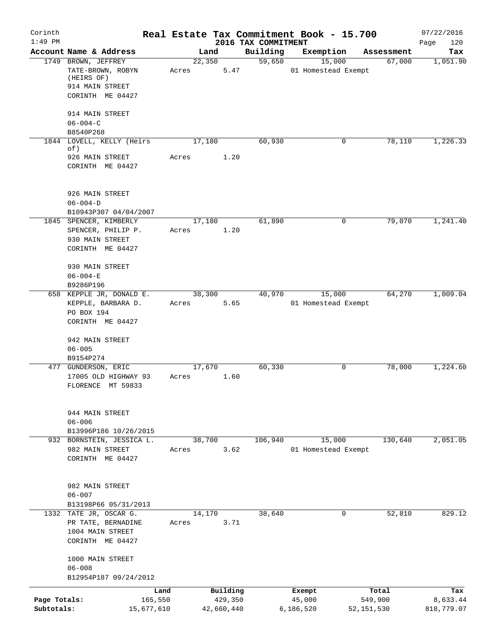| Corinth      |                                                    |       |        |            |                                 | Real Estate Tax Commitment Book - 15.700 |              | 07/22/2016         |
|--------------|----------------------------------------------------|-------|--------|------------|---------------------------------|------------------------------------------|--------------|--------------------|
| $1:49$ PM    | Account Name & Address                             |       | Land   |            | 2016 TAX COMMITMENT<br>Building | Exemption                                | Assessment   | Page<br>120<br>Tax |
|              | 1749 BROWN, JEFFREY                                |       | 22,350 |            | 59,650                          | 15,000                                   | 67,000       | 1,051.90           |
|              | TATE-BROWN, ROBYN<br>(HEIRS OF)                    | Acres |        | 5.47       |                                 | 01 Homestead Exempt                      |              |                    |
|              | 914 MAIN STREET                                    |       |        |            |                                 |                                          |              |                    |
|              | CORINTH ME 04427                                   |       |        |            |                                 |                                          |              |                    |
|              | 914 MAIN STREET                                    |       |        |            |                                 |                                          |              |                    |
|              | $06 - 004 - C$<br>B8540P268                        |       |        |            |                                 |                                          |              |                    |
|              | 1844 LOVELL, KELLY (Heirs                          |       | 17,180 |            | 60,930                          | 0                                        | 78,110       | 1,226.33           |
|              | of)<br>926 MAIN STREET                             | Acres |        | 1.20       |                                 |                                          |              |                    |
|              | CORINTH ME 04427                                   |       |        |            |                                 |                                          |              |                    |
|              | 926 MAIN STREET                                    |       |        |            |                                 |                                          |              |                    |
|              | $06 - 004 - D$<br>B10943P307 04/04/2007            |       |        |            |                                 |                                          |              |                    |
|              | 1845 SPENCER, KIMBERLY                             |       | 17,180 |            | 61,890                          | 0                                        | 79,070       | 1,241.40           |
|              | SPENCER, PHILIP P.                                 | Acres |        | 1.20       |                                 |                                          |              |                    |
|              | 930 MAIN STREET<br>CORINTH ME 04427                |       |        |            |                                 |                                          |              |                    |
|              |                                                    |       |        |            |                                 |                                          |              |                    |
|              | 930 MAIN STREET<br>$06 - 004 - E$                  |       |        |            |                                 |                                          |              |                    |
|              | B9286P196                                          |       |        |            |                                 |                                          |              |                    |
|              | 658 KEPPLE JR, DONALD E.                           |       | 38,300 |            | 40,970                          | 15,000                                   | 64,270       | 1,009.04           |
|              | KEPPLE, BARBARA D.                                 | Acres |        | 5.65       |                                 | 01 Homestead Exempt                      |              |                    |
|              | PO BOX 194<br>CORINTH ME 04427                     |       |        |            |                                 |                                          |              |                    |
|              | 942 MAIN STREET                                    |       |        |            |                                 |                                          |              |                    |
|              | $06 - 005$                                         |       |        |            |                                 |                                          |              |                    |
|              | B9154P274                                          |       |        |            |                                 |                                          |              |                    |
|              | 477 GUNDERSON, ERIC                                |       | 17,670 |            | 60, 330                         | 0                                        | 78,000       | 1,224.60           |
|              | 17005 OLD HIGHWAY 93<br>FLORENCE MT 59833          | Acres |        | 1.60       |                                 |                                          |              |                    |
|              | 944 MAIN STREET                                    |       |        |            |                                 |                                          |              |                    |
|              | $06 - 006$                                         |       |        |            |                                 |                                          |              |                    |
|              | B13996P186 10/26/2015<br>932 BORNSTEIN, JESSICA L. |       | 38,700 |            | 106,940                         | 15,000                                   | 130,640      | 2,051.05           |
|              | 982 MAIN STREET                                    | Acres |        | 3.62       |                                 | 01 Homestead Exempt                      |              |                    |
|              | CORINTH ME 04427                                   |       |        |            |                                 |                                          |              |                    |
|              | 982 MAIN STREET                                    |       |        |            |                                 |                                          |              |                    |
|              | $06 - 007$                                         |       |        |            |                                 |                                          |              |                    |
|              | B13198P66 05/31/2013<br>1332 TATE JR, OSCAR G.     |       | 14,170 |            | 38,640                          | 0                                        | 52,810       | 829.12             |
|              | PR TATE, BERNADINE                                 | Acres |        | 3.71       |                                 |                                          |              |                    |
|              | 1004 MAIN STREET                                   |       |        |            |                                 |                                          |              |                    |
|              | CORINTH ME 04427                                   |       |        |            |                                 |                                          |              |                    |
|              | 1000 MAIN STREET                                   |       |        |            |                                 |                                          |              |                    |
|              | $06 - 008$<br>B12954P187 09/24/2012                |       |        |            |                                 |                                          |              |                    |
|              | Land                                               |       |        | Building   |                                 | Exempt                                   | Total        | Tax                |
| Page Totals: | 165,550                                            |       |        | 429,350    |                                 | 45,000                                   | 549,900      | 8,633.44           |
| Subtotals:   | 15,677,610                                         |       |        | 42,660,440 |                                 | 6,186,520                                | 52, 151, 530 | 818,779.07         |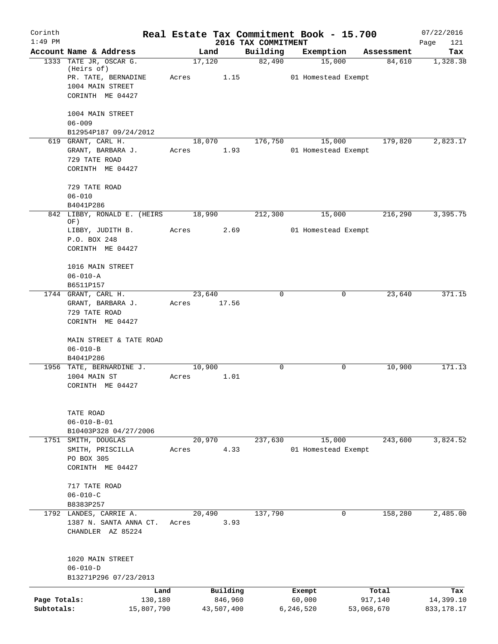| Corinth<br>$1:49$ PM       |                                                                                                     |       |                                   | 2016 TAX COMMITMENT | Real Estate Tax Commitment Book - 15.700 |                                | 07/22/2016<br>Page<br>121        |
|----------------------------|-----------------------------------------------------------------------------------------------------|-------|-----------------------------------|---------------------|------------------------------------------|--------------------------------|----------------------------------|
|                            | Account Name & Address                                                                              |       | Land                              | Building            | Exemption                                | Assessment                     | Tax                              |
|                            | 1333 TATE JR, OSCAR G.<br>(Heirs of)<br>PR. TATE, BERNADINE<br>1004 MAIN STREET<br>CORINTH ME 04427 | Acres | 17,120<br>1.15                    | 82,490              | 15,000<br>01 Homestead Exempt            | 84,610                         | 1,328.38                         |
|                            | 1004 MAIN STREET<br>$06 - 009$<br>B12954P187 09/24/2012                                             |       |                                   |                     |                                          |                                |                                  |
|                            | 619 GRANT, CARL H.<br>GRANT, BARBARA J.<br>729 TATE ROAD<br>CORINTH ME 04427                        | Acres | 18,070<br>1.93                    | 176,750             | 15,000<br>01 Homestead Exempt            | 179,820                        | 2,823.17                         |
|                            | 729 TATE ROAD<br>$06 - 010$<br>B4041P286                                                            |       |                                   |                     |                                          |                                |                                  |
|                            | 842 LIBBY, RONALD E. (HEIRS<br>OF)                                                                  |       | 18,990                            | 212,300             | 15,000                                   | 216,290                        | 3,395.75                         |
|                            | LIBBY, JUDITH B.<br>P.O. BOX 248<br>CORINTH ME 04427                                                | Acres | 2.69                              |                     | 01 Homestead Exempt                      |                                |                                  |
|                            | 1016 MAIN STREET<br>$06 - 010 - A$<br>B6511P157                                                     |       |                                   |                     |                                          |                                |                                  |
|                            | 1744 GRANT, CARL H.<br>GRANT, BARBARA J.<br>729 TATE ROAD<br>CORINTH ME 04427                       | Acres | 23,640<br>17.56                   | 0                   | 0                                        | 23,640                         | 371.15                           |
|                            | MAIN STREET & TATE ROAD<br>$06 - 010 - B$<br>B4041P286                                              |       |                                   |                     |                                          |                                |                                  |
|                            | 1956 TATE, BERNARDINE J.<br>1004 MAIN ST<br>CORINTH ME 04427                                        | Acres | 10,900<br>1.01                    | 0                   | 0                                        | 10,900                         | 171.13                           |
|                            | TATE ROAD<br>$06 - 010 - B - 01$<br>B10403P328 04/27/2006                                           |       |                                   |                     |                                          |                                |                                  |
|                            | 1751 SMITH, DOUGLAS<br>SMITH, PRISCILLA<br>PO BOX 305<br>CORINTH ME 04427                           | Acres | 20,970<br>4.33                    | 237,630             | 15,000<br>01 Homestead Exempt            | 243,600                        | 3,824.52                         |
|                            | 717 TATE ROAD<br>$06 - 010 - C$<br>B8383P257                                                        |       |                                   |                     |                                          |                                |                                  |
|                            | 1792 LANDES, CARRIE A.<br>1387 N. SANTA ANNA CT.<br>CHANDLER AZ 85224                               | Acres | 20,490<br>3.93                    | 137,790             | 0                                        | 158,280                        | 2,485.00                         |
|                            | 1020 MAIN STREET<br>$06 - 010 - D$<br>B13271P296 07/23/2013                                         |       |                                   |                     |                                          |                                |                                  |
| Page Totals:<br>Subtotals: | Land<br>130,180<br>15,807,790                                                                       |       | Building<br>846,960<br>43,507,400 |                     | Exempt<br>60,000<br>6,246,520            | Total<br>917,140<br>53,068,670 | Tax<br>14,399.10<br>833, 178. 17 |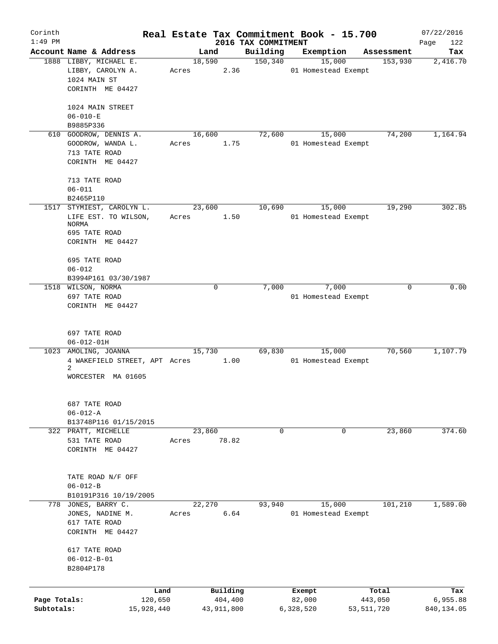| Corinth      |                                                  |       |                     |                      | Real Estate Tax Commitment Book - 15.700 |                       | 07/22/2016      |
|--------------|--------------------------------------------------|-------|---------------------|----------------------|------------------------------------------|-----------------------|-----------------|
| $1:49$ PM    |                                                  |       |                     | 2016 TAX COMMITMENT  |                                          |                       | 122<br>Page     |
|              | Account Name & Address<br>1888 LIBBY, MICHAEL E. |       | Land<br>18,590      | Building<br>150, 340 | Exemption<br>15,000                      | Assessment<br>153,930 | Tax<br>2,416.70 |
|              | LIBBY, CAROLYN A.                                | Acres | 2.36                |                      | 01 Homestead Exempt                      |                       |                 |
|              | 1024 MAIN ST                                     |       |                     |                      |                                          |                       |                 |
|              | CORINTH ME 04427                                 |       |                     |                      |                                          |                       |                 |
|              |                                                  |       |                     |                      |                                          |                       |                 |
|              | 1024 MAIN STREET                                 |       |                     |                      |                                          |                       |                 |
|              | $06 - 010 - E$                                   |       |                     |                      |                                          |                       |                 |
|              | B9885P336                                        |       |                     |                      |                                          |                       |                 |
| 610          | GOODROW, DENNIS A.                               |       | 16,600              | 72,600               | 15,000                                   | 74,200                | 1,164.94        |
|              | GOODROW, WANDA L.                                | Acres | 1.75                |                      | 01 Homestead Exempt                      |                       |                 |
|              | 713 TATE ROAD<br>CORINTH ME 04427                |       |                     |                      |                                          |                       |                 |
|              |                                                  |       |                     |                      |                                          |                       |                 |
|              | 713 TATE ROAD                                    |       |                     |                      |                                          |                       |                 |
|              | $06 - 011$                                       |       |                     |                      |                                          |                       |                 |
|              | B2465P110                                        |       |                     |                      |                                          |                       |                 |
| 1517         | STYMIEST, CAROLYN L.                             |       | 23,600              | 10,690               | 15,000                                   | 19,290                | 302.85          |
|              | LIFE EST. TO WILSON,                             | Acres | 1.50                |                      | 01 Homestead Exempt                      |                       |                 |
|              | NORMA                                            |       |                     |                      |                                          |                       |                 |
|              | 695 TATE ROAD                                    |       |                     |                      |                                          |                       |                 |
|              | CORINTH ME 04427                                 |       |                     |                      |                                          |                       |                 |
|              | 695 TATE ROAD                                    |       |                     |                      |                                          |                       |                 |
|              | $06 - 012$                                       |       |                     |                      |                                          |                       |                 |
|              | B3994P161 03/30/1987                             |       |                     |                      |                                          |                       |                 |
|              | 1518 WILSON, NORMA                               |       | $\Omega$            | 7,000                | 7,000                                    | $\Omega$              | 0.00            |
|              | 697 TATE ROAD                                    |       |                     |                      | 01 Homestead Exempt                      |                       |                 |
|              | CORINTH ME 04427                                 |       |                     |                      |                                          |                       |                 |
|              |                                                  |       |                     |                      |                                          |                       |                 |
|              |                                                  |       |                     |                      |                                          |                       |                 |
|              | 697 TATE ROAD                                    |       |                     |                      |                                          |                       |                 |
|              | $06 - 012 - 01H$                                 |       |                     |                      |                                          |                       |                 |
|              | 1023 AMOLING, JOANNA                             |       | 15,730              | 69,830               | 15,000                                   | 70,560                | 1,107.79        |
|              | 4 WAKEFIELD STREET, APT Acres<br>2               |       | 1.00                |                      | 01 Homestead Exempt                      |                       |                 |
|              | WORCESTER MA 01605                               |       |                     |                      |                                          |                       |                 |
|              |                                                  |       |                     |                      |                                          |                       |                 |
|              |                                                  |       |                     |                      |                                          |                       |                 |
|              | 687 TATE ROAD                                    |       |                     |                      |                                          |                       |                 |
|              | $06 - 012 - A$                                   |       |                     |                      |                                          |                       |                 |
|              | B13748P116 01/15/2015                            |       |                     |                      |                                          |                       |                 |
|              | 322 PRATT, MICHELLE                              |       | 23,860              | $\mathbf 0$          | 0                                        | 23,860                | 374.60          |
|              | 531 TATE ROAD                                    | Acres | 78.82               |                      |                                          |                       |                 |
|              | CORINTH ME 04427                                 |       |                     |                      |                                          |                       |                 |
|              |                                                  |       |                     |                      |                                          |                       |                 |
|              | TATE ROAD N/F OFF                                |       |                     |                      |                                          |                       |                 |
|              | $06 - 012 - B$                                   |       |                     |                      |                                          |                       |                 |
|              | B10191P316 10/19/2005                            |       |                     |                      |                                          |                       |                 |
|              | 778 JONES, BARRY C.                              |       | 22,270              | 93,940               | 15,000                                   | 101,210               | 1,589.00        |
|              | JONES, NADINE M.                                 | Acres | 6.64                |                      | 01 Homestead Exempt                      |                       |                 |
|              | 617 TATE ROAD                                    |       |                     |                      |                                          |                       |                 |
|              | CORINTH ME 04427                                 |       |                     |                      |                                          |                       |                 |
|              |                                                  |       |                     |                      |                                          |                       |                 |
|              | 617 TATE ROAD                                    |       |                     |                      |                                          |                       |                 |
|              | $06 - 012 - B - 01$                              |       |                     |                      |                                          |                       |                 |
|              | B2804P178                                        |       |                     |                      |                                          |                       |                 |
|              |                                                  |       |                     |                      |                                          |                       |                 |
| Page Totals: | Land<br>120,650                                  |       | Building<br>404,400 |                      | Exempt<br>82,000                         | Total<br>443,050      | Tax<br>6,955.88 |
| Subtotals:   | 15,928,440                                       |       | 43,911,800          |                      | 6,328,520                                | 53, 511, 720          | 840,134.05      |
|              |                                                  |       |                     |                      |                                          |                       |                 |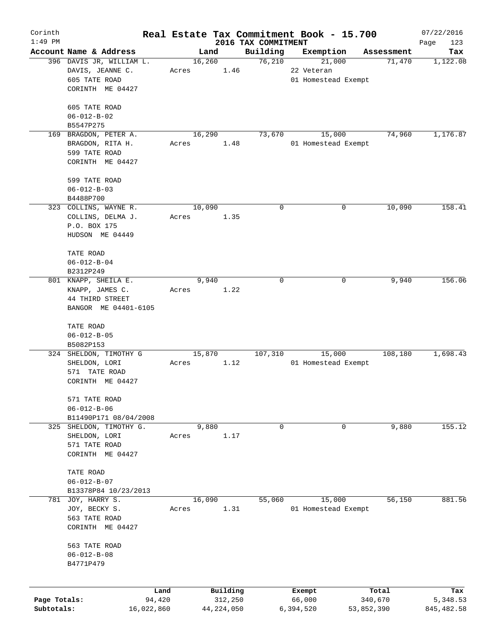| Corinth      |                          |            |       |                |              |                     | Real Estate Tax Commitment Book - 15.700 |                      | 07/22/2016      |
|--------------|--------------------------|------------|-------|----------------|--------------|---------------------|------------------------------------------|----------------------|-----------------|
| $1:49$ PM    | Account Name & Address   |            |       |                |              | 2016 TAX COMMITMENT |                                          |                      | Page<br>123     |
|              | 396 DAVIS JR, WILLIAM L. |            |       | Land<br>16,260 |              | Building<br>76,210  | Exemption<br>21,000                      | Assessment<br>71,470 | Tax<br>1,122.08 |
|              | DAVIS, JEANNE C.         |            | Acres |                | 1.46         |                     | 22 Veteran                               |                      |                 |
|              | 605 TATE ROAD            |            |       |                |              |                     | 01 Homestead Exempt                      |                      |                 |
|              | CORINTH ME 04427         |            |       |                |              |                     |                                          |                      |                 |
|              |                          |            |       |                |              |                     |                                          |                      |                 |
|              | 605 TATE ROAD            |            |       |                |              |                     |                                          |                      |                 |
|              | $06 - 012 - B - 02$      |            |       |                |              |                     |                                          |                      |                 |
|              | B5547P275                |            |       |                |              |                     |                                          |                      |                 |
|              | 169 BRAGDON, PETER A.    |            |       | 16,290         |              | 73,670              | 15,000                                   | 74,960               | 1,176.87        |
|              | BRAGDON, RITA H.         |            | Acres |                | 1.48         |                     | 01 Homestead Exempt                      |                      |                 |
|              | 599 TATE ROAD            |            |       |                |              |                     |                                          |                      |                 |
|              | CORINTH ME 04427         |            |       |                |              |                     |                                          |                      |                 |
|              |                          |            |       |                |              |                     |                                          |                      |                 |
|              | 599 TATE ROAD            |            |       |                |              |                     |                                          |                      |                 |
|              | $06 - 012 - B - 03$      |            |       |                |              |                     |                                          |                      |                 |
|              | B4488P700                |            |       |                |              |                     |                                          |                      |                 |
|              | 323 COLLINS, WAYNE R.    |            |       | 10,090         |              | 0                   | 0                                        | 10,090               | 158.41          |
|              | COLLINS, DELMA J.        |            | Acres |                | 1.35         |                     |                                          |                      |                 |
|              | P.O. BOX 175             |            |       |                |              |                     |                                          |                      |                 |
|              | HUDSON ME 04449          |            |       |                |              |                     |                                          |                      |                 |
|              | TATE ROAD                |            |       |                |              |                     |                                          |                      |                 |
|              | $06 - 012 - B - 04$      |            |       |                |              |                     |                                          |                      |                 |
|              | B2312P249                |            |       |                |              |                     |                                          |                      |                 |
|              | 801 KNAPP, SHEILA E.     |            |       | 9,940          |              | 0                   |                                          | 9,940<br>0           | 156.06          |
|              | KNAPP, JAMES C.          |            | Acres |                | 1.22         |                     |                                          |                      |                 |
|              | 44 THIRD STREET          |            |       |                |              |                     |                                          |                      |                 |
|              | BANGOR ME 04401-6105     |            |       |                |              |                     |                                          |                      |                 |
|              |                          |            |       |                |              |                     |                                          |                      |                 |
|              | TATE ROAD                |            |       |                |              |                     |                                          |                      |                 |
|              | $06 - 012 - B - 05$      |            |       |                |              |                     |                                          |                      |                 |
|              | B5082P153                |            |       |                |              |                     |                                          |                      |                 |
|              | 324 SHELDON, TIMOTHY G   |            |       | 15,870         |              | 107,310             | 15,000                                   | 108,180              | 1,698.43        |
|              | SHELDON, LORI            |            | Acres |                | 1.12         |                     | 01 Homestead Exempt                      |                      |                 |
|              | 571 TATE ROAD            |            |       |                |              |                     |                                          |                      |                 |
|              | CORINTH ME 04427         |            |       |                |              |                     |                                          |                      |                 |
|              |                          |            |       |                |              |                     |                                          |                      |                 |
|              | 571 TATE ROAD            |            |       |                |              |                     |                                          |                      |                 |
|              | $06 - 012 - B - 06$      |            |       |                |              |                     |                                          |                      |                 |
|              | B11490P171 08/04/2008    |            |       |                |              |                     |                                          |                      |                 |
| 325          | SHELDON, TIMOTHY G.      |            |       | 9,880          |              | 0                   |                                          | 9,880<br>0           | 155.12          |
|              | SHELDON, LORI            |            | Acres |                | 1.17         |                     |                                          |                      |                 |
|              | 571 TATE ROAD            |            |       |                |              |                     |                                          |                      |                 |
|              | CORINTH ME 04427         |            |       |                |              |                     |                                          |                      |                 |
|              | TATE ROAD                |            |       |                |              |                     |                                          |                      |                 |
|              | $06 - 012 - B - 07$      |            |       |                |              |                     |                                          |                      |                 |
|              | B13378P84 10/23/2013     |            |       |                |              |                     |                                          |                      |                 |
| 781          | JOY, HARRY S.            |            |       | 16,090         |              | 55,060              | 15,000                                   | 56,150               | 881.56          |
|              | JOY, BECKY S.            |            | Acres |                | 1.31         |                     | 01 Homestead Exempt                      |                      |                 |
|              | 563 TATE ROAD            |            |       |                |              |                     |                                          |                      |                 |
|              | CORINTH ME 04427         |            |       |                |              |                     |                                          |                      |                 |
|              |                          |            |       |                |              |                     |                                          |                      |                 |
|              | 563 TATE ROAD            |            |       |                |              |                     |                                          |                      |                 |
|              | $06 - 012 - B - 08$      |            |       |                |              |                     |                                          |                      |                 |
|              | B4771P479                |            |       |                |              |                     |                                          |                      |                 |
|              |                          |            |       |                |              |                     |                                          |                      |                 |
|              |                          | Land       |       |                | Building     |                     | Exempt                                   | Total                | Tax             |
| Page Totals: |                          | 94,420     |       |                | 312,250      |                     | 66,000                                   | 340,670              | 5,348.53        |
| Subtotals:   |                          | 16,022,860 |       |                | 44, 224, 050 |                     | 6,394,520                                | 53,852,390           | 845, 482.58     |
|              |                          |            |       |                |              |                     |                                          |                      |                 |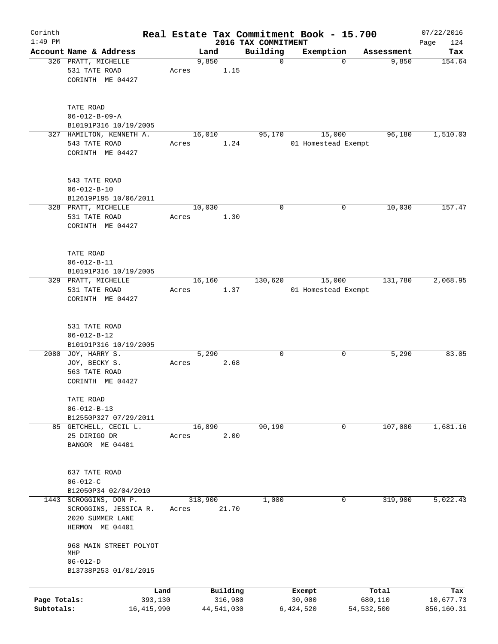| Corinth                    |                                                                                   |       |               |                       |                         | Real Estate Tax Commitment Book - 15.700 |                         | 07/22/2016              |
|----------------------------|-----------------------------------------------------------------------------------|-------|---------------|-----------------------|-------------------------|------------------------------------------|-------------------------|-------------------------|
| $1:49$ PM                  | Account Name & Address                                                            |       |               |                       | 2016 TAX COMMITMENT     |                                          |                         | Page<br>124             |
|                            | 326 PRATT, MICHELLE<br>531 TATE ROAD                                              | Acres | Land<br>9,850 | 1.15                  | Building<br>$\mathbf 0$ | Exemption<br>$\mathbf 0$                 | Assessment<br>9,850     | Tax<br>154.64           |
|                            | CORINTH ME 04427                                                                  |       |               |                       |                         |                                          |                         |                         |
|                            | TATE ROAD<br>$06 - 012 - B - 09 - A$                                              |       |               |                       |                         |                                          |                         |                         |
|                            | B10191P316 10/19/2005<br>327 HAMILTON, KENNETH A.                                 |       | 16,010        |                       | 95,170                  | 15,000                                   | 96,180                  | 1,510.03                |
|                            | 543 TATE ROAD<br>CORINTH ME 04427                                                 | Acres |               | 1.24                  |                         | 01 Homestead Exempt                      |                         |                         |
|                            | 543 TATE ROAD<br>$06 - 012 - B - 10$<br>B12619P195 10/06/2011                     |       |               |                       |                         |                                          |                         |                         |
|                            | 328 PRATT, MICHELLE                                                               |       | 10,030        |                       | 0                       | 0                                        | 10,030                  | 157.47                  |
|                            | 531 TATE ROAD<br>CORINTH ME 04427                                                 | Acres |               | 1.30                  |                         |                                          |                         |                         |
|                            | TATE ROAD<br>$06 - 012 - B - 11$<br>B10191P316 10/19/2005                         |       |               |                       |                         |                                          |                         |                         |
|                            | 329 PRATT, MICHELLE                                                               |       | 16,160        |                       | 130,620                 | 15,000                                   | 131,780                 | 2,068.95                |
|                            | 531 TATE ROAD<br>CORINTH ME 04427                                                 | Acres |               | 1.37                  |                         | 01 Homestead Exempt                      |                         |                         |
|                            | 531 TATE ROAD<br>$06 - 012 - B - 12$                                              |       |               |                       |                         |                                          |                         |                         |
|                            | B10191P316 10/19/2005                                                             |       |               |                       |                         |                                          |                         |                         |
|                            | 2080 JOY, HARRY S.<br>JOY, BECKY S.<br>563 TATE ROAD<br>CORINTH ME 04427          | Acres | 5,290         | 2.68                  | 0                       | 0                                        | 5,290                   | 83.05                   |
|                            | TATE ROAD<br>$06 - 012 - B - 13$<br>B12550P327 07/29/2011                         |       |               |                       |                         |                                          |                         |                         |
|                            | 85 GETCHELL, CECIL L.                                                             |       | 16,890        |                       | 90,190                  | 0                                        | 107,080                 | 1,681.16                |
|                            | 25 DIRIGO DR<br>BANGOR ME 04401                                                   | Acres |               | 2.00                  |                         |                                          |                         |                         |
|                            | 637 TATE ROAD<br>$06 - 012 - C$                                                   |       |               |                       |                         |                                          |                         |                         |
|                            | B12050P34 02/04/2010                                                              |       |               |                       |                         |                                          |                         |                         |
| 1443                       | SCROGGINS, DON P.<br>SCROGGINS, JESSICA R.<br>2020 SUMMER LANE<br>HERMON ME 04401 | Acres | 318,900       | 21.70                 | 1,000                   | 0                                        | 319,900                 | 5,022.43                |
|                            | 968 MAIN STREET POLYOT<br>MHP                                                     |       |               |                       |                         |                                          |                         |                         |
|                            | $06 - 012 - D$<br>B13738P253 01/01/2015                                           |       |               |                       |                         |                                          |                         |                         |
|                            | Land                                                                              |       |               | Building              |                         | Exempt                                   | Total                   | Tax                     |
| Page Totals:<br>Subtotals: | 393,130<br>16, 415, 990                                                           |       |               | 316,980<br>44,541,030 |                         | 30,000<br>6,424,520                      | 680,110<br>54, 532, 500 | 10,677.73<br>856,160.31 |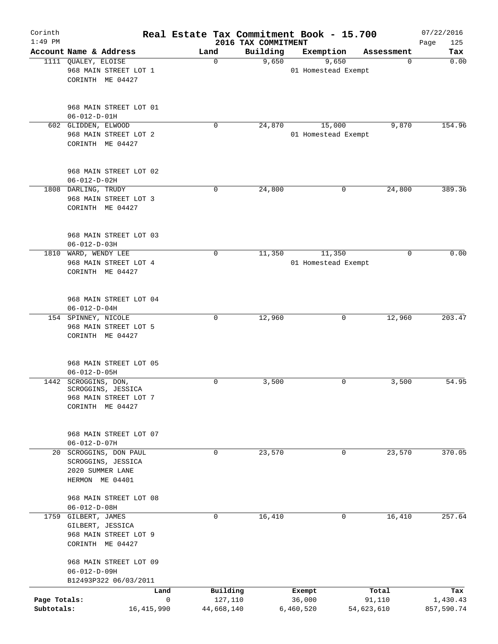| Corinth<br>$1:49$ PM |                        |      |             | 2016 TAX COMMITMENT | Real Estate Tax Commitment Book - 15.700 |            | 07/22/2016<br>125<br>Page |
|----------------------|------------------------|------|-------------|---------------------|------------------------------------------|------------|---------------------------|
|                      | Account Name & Address | Land |             | Building            | Exemption                                | Assessment | Tax                       |
|                      | 1111 QUALEY, ELOISE    |      | 0           | 9,650               | 9,650                                    | $\Omega$   | 0.00                      |
|                      | 968 MAIN STREET LOT 1  |      |             |                     | 01 Homestead Exempt                      |            |                           |
|                      | CORINTH ME 04427       |      |             |                     |                                          |            |                           |
|                      |                        |      |             |                     |                                          |            |                           |
|                      |                        |      |             |                     |                                          |            |                           |
|                      | 968 MAIN STREET LOT 01 |      |             |                     |                                          |            |                           |
|                      | $06 - 012 - D - 01H$   |      |             |                     |                                          |            |                           |
|                      | 602 GLIDDEN, ELWOOD    |      | 0           | 24,870              | 15,000                                   | 9,870      | 154.96                    |
|                      | 968 MAIN STREET LOT 2  |      |             |                     | 01 Homestead Exempt                      |            |                           |
|                      | CORINTH ME 04427       |      |             |                     |                                          |            |                           |
|                      |                        |      |             |                     |                                          |            |                           |
|                      |                        |      |             |                     |                                          |            |                           |
|                      | 968 MAIN STREET LOT 02 |      |             |                     |                                          |            |                           |
|                      | $06 - 012 - D - 02H$   |      |             |                     |                                          |            |                           |
|                      | 1808 DARLING, TRUDY    |      | $\Omega$    | 24,800              | 0                                        | 24,800     | 389.36                    |
|                      | 968 MAIN STREET LOT 3  |      |             |                     |                                          |            |                           |
|                      | CORINTH ME 04427       |      |             |                     |                                          |            |                           |
|                      |                        |      |             |                     |                                          |            |                           |
|                      |                        |      |             |                     |                                          |            |                           |
|                      | 968 MAIN STREET LOT 03 |      |             |                     |                                          |            |                           |
|                      | $06 - 012 - D - 03H$   |      |             |                     |                                          |            |                           |
|                      | 1810 WARD, WENDY LEE   |      | 0           | 11,350              | 11,350                                   | 0          | 0.00                      |
|                      | 968 MAIN STREET LOT 4  |      |             |                     | 01 Homestead Exempt                      |            |                           |
|                      | CORINTH ME 04427       |      |             |                     |                                          |            |                           |
|                      |                        |      |             |                     |                                          |            |                           |
|                      |                        |      |             |                     |                                          |            |                           |
|                      | 968 MAIN STREET LOT 04 |      |             |                     |                                          |            |                           |
|                      | $06 - 012 - D - 04H$   |      |             |                     |                                          |            |                           |
|                      | 154 SPINNEY, NICOLE    |      | $\mathbf 0$ | 12,960              | 0                                        | 12,960     | 203.47                    |
|                      | 968 MAIN STREET LOT 5  |      |             |                     |                                          |            |                           |
|                      | CORINTH ME 04427       |      |             |                     |                                          |            |                           |
|                      |                        |      |             |                     |                                          |            |                           |
|                      |                        |      |             |                     |                                          |            |                           |
|                      | 968 MAIN STREET LOT 05 |      |             |                     |                                          |            |                           |
|                      | $06 - 012 - D - 05H$   |      |             |                     |                                          |            |                           |
| 1442                 | SCROGGINS, DON,        |      | 0           | 3,500               | 0                                        | 3,500      | 54.95                     |
|                      | SCROGGINS, JESSICA     |      |             |                     |                                          |            |                           |
|                      | 968 MAIN STREET LOT 7  |      |             |                     |                                          |            |                           |
|                      | CORINTH ME 04427       |      |             |                     |                                          |            |                           |
|                      |                        |      |             |                     |                                          |            |                           |
|                      |                        |      |             |                     |                                          |            |                           |
|                      | 968 MAIN STREET LOT 07 |      |             |                     |                                          |            |                           |
|                      | $06 - 012 - D - 07H$   |      |             |                     |                                          |            |                           |
|                      | 20 SCROGGINS, DON PAUL |      | 0           | 23,570              | 0                                        | 23,570     | 370.05                    |
|                      | SCROGGINS, JESSICA     |      |             |                     |                                          |            |                           |
|                      | 2020 SUMMER LANE       |      |             |                     |                                          |            |                           |
|                      | HERMON ME 04401        |      |             |                     |                                          |            |                           |
|                      |                        |      |             |                     |                                          |            |                           |
|                      | 968 MAIN STREET LOT 08 |      |             |                     |                                          |            |                           |
|                      | $06 - 012 - D - 08H$   |      |             |                     |                                          |            |                           |
|                      | 1759 GILBERT, JAMES    |      | 0           | 16,410              | $\mathbf 0$                              | 16,410     | 257.64                    |
|                      | GILBERT, JESSICA       |      |             |                     |                                          |            |                           |
|                      | 968 MAIN STREET LOT 9  |      |             |                     |                                          |            |                           |
|                      | CORINTH ME 04427       |      |             |                     |                                          |            |                           |
|                      |                        |      |             |                     |                                          |            |                           |
|                      | 968 MAIN STREET LOT 09 |      |             |                     |                                          |            |                           |
|                      | $06 - 012 - D - 09H$   |      |             |                     |                                          |            |                           |
|                      | B12493P322 06/03/2011  |      |             |                     |                                          |            |                           |
|                      | Land                   |      | Building    |                     | Exempt                                   | Total      | Tax                       |
| Page Totals:         |                        | 0    | 127,110     |                     | 36,000                                   | 91,110     | 1,430.43                  |
| Subtotals:           | 16, 415, 990           |      | 44,668,140  |                     | 6,460,520                                | 54,623,610 | 857,590.74                |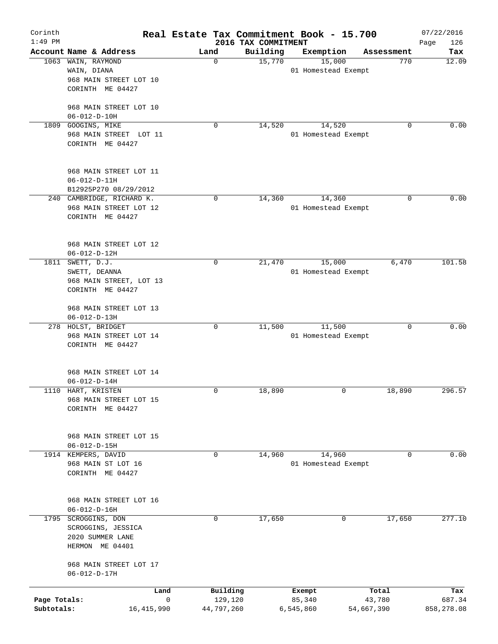| Corinth<br>$1:49$ PM |                                                |              |   |            | Real Estate Tax Commitment Book - 15.700<br>2016 TAX COMMITMENT |                     |        |            | 07/22/2016<br>Page<br>126 |
|----------------------|------------------------------------------------|--------------|---|------------|-----------------------------------------------------------------|---------------------|--------|------------|---------------------------|
|                      | Account Name & Address                         |              |   | Land       | Building                                                        | Exemption           |        | Assessment | Tax                       |
| 1063                 | WAIN, RAYMOND                                  |              |   | 0          | 15,770                                                          |                     | 15,000 | 770        | 12.09                     |
|                      | WAIN, DIANA                                    |              |   |            |                                                                 | 01 Homestead Exempt |        |            |                           |
|                      | 968 MAIN STREET LOT 10                         |              |   |            |                                                                 |                     |        |            |                           |
|                      | CORINTH ME 04427                               |              |   |            |                                                                 |                     |        |            |                           |
|                      |                                                |              |   |            |                                                                 |                     |        |            |                           |
|                      | 968 MAIN STREET LOT 10<br>$06 - 012 - D - 10H$ |              |   |            |                                                                 |                     |        |            |                           |
| 1809                 | GOOGINS, MIKE                                  |              |   | 0          | 14,520                                                          |                     | 14,520 | 0          | 0.00                      |
|                      | 968 MAIN STREET LOT 11                         |              |   |            |                                                                 | 01 Homestead Exempt |        |            |                           |
|                      | CORINTH ME 04427                               |              |   |            |                                                                 |                     |        |            |                           |
|                      | 968 MAIN STREET LOT 11                         |              |   |            |                                                                 |                     |        |            |                           |
|                      | $06 - 012 - D - 11H$                           |              |   |            |                                                                 |                     |        |            |                           |
|                      | B12925P270 08/29/2012                          |              |   |            |                                                                 |                     |        |            |                           |
|                      | 240 CAMBRIDGE, RICHARD K.                      |              |   | 0          | 14,360                                                          |                     | 14,360 | 0          | 0.00                      |
|                      | 968 MAIN STREET LOT 12                         |              |   |            |                                                                 | 01 Homestead Exempt |        |            |                           |
|                      | CORINTH ME 04427                               |              |   |            |                                                                 |                     |        |            |                           |
|                      | 968 MAIN STREET LOT 12                         |              |   |            |                                                                 |                     |        |            |                           |
|                      | $06 - 012 - D - 12H$                           |              |   |            |                                                                 |                     |        |            |                           |
|                      | 1811 SWETT, D.J.                               |              |   | 0          | 21,470                                                          |                     | 15,000 | 6,470      | 101.58                    |
|                      | SWETT, DEANNA                                  |              |   |            |                                                                 | 01 Homestead Exempt |        |            |                           |
|                      | 968 MAIN STREET, LOT 13                        |              |   |            |                                                                 |                     |        |            |                           |
|                      | CORINTH ME 04427                               |              |   |            |                                                                 |                     |        |            |                           |
|                      | 968 MAIN STREET LOT 13                         |              |   |            |                                                                 |                     |        |            |                           |
|                      | $06 - 012 - D - 13H$                           |              |   |            |                                                                 |                     |        |            |                           |
|                      | 278 HOLST, BRIDGET                             |              |   | 0          | 11,500                                                          |                     | 11,500 | $\Omega$   | 0.00                      |
|                      | 968 MAIN STREET LOT 14                         |              |   |            |                                                                 | 01 Homestead Exempt |        |            |                           |
|                      | CORINTH ME 04427                               |              |   |            |                                                                 |                     |        |            |                           |
|                      |                                                |              |   |            |                                                                 |                     |        |            |                           |
|                      | 968 MAIN STREET LOT 14                         |              |   |            |                                                                 |                     |        |            |                           |
|                      | $06 - 012 - D - 14H$<br>1110 HART, KRISTEN     |              |   | 0          |                                                                 |                     | 0      | 18,890     | 296.57                    |
|                      | 968 MAIN STREET LOT 15                         |              |   |            | 18,890                                                          |                     |        |            |                           |
|                      | CORINTH ME 04427                               |              |   |            |                                                                 |                     |        |            |                           |
|                      |                                                |              |   |            |                                                                 |                     |        |            |                           |
|                      | 968 MAIN STREET LOT 15                         |              |   |            |                                                                 |                     |        |            |                           |
|                      | $06 - 012 - D - 15H$                           |              |   |            |                                                                 |                     |        |            |                           |
|                      | 1914 KEMPERS, DAVID                            |              |   | 0          | 14,960                                                          |                     | 14,960 | 0          | 0.00                      |
|                      | 968 MAIN ST LOT 16                             |              |   |            |                                                                 | 01 Homestead Exempt |        |            |                           |
|                      | CORINTH ME 04427                               |              |   |            |                                                                 |                     |        |            |                           |
|                      |                                                |              |   |            |                                                                 |                     |        |            |                           |
|                      | 968 MAIN STREET LOT 16                         |              |   |            |                                                                 |                     |        |            |                           |
|                      | $06 - 012 - D - 16H$                           |              |   |            |                                                                 |                     |        |            |                           |
| 1795                 | SCROGGINS, DON                                 |              |   | 0          | 17,650                                                          |                     | 0      | 17,650     | 277.10                    |
|                      | SCROGGINS, JESSICA                             |              |   |            |                                                                 |                     |        |            |                           |
|                      | 2020 SUMMER LANE<br>HERMON ME 04401            |              |   |            |                                                                 |                     |        |            |                           |
|                      |                                                |              |   |            |                                                                 |                     |        |            |                           |
|                      | 968 MAIN STREET LOT 17                         |              |   |            |                                                                 |                     |        |            |                           |
|                      | $06 - 012 - D - 17H$                           |              |   |            |                                                                 |                     |        |            |                           |
|                      |                                                | Land         |   | Building   |                                                                 | Exempt              |        | Total      | Tax                       |
| Page Totals:         |                                                |              | 0 | 129,120    |                                                                 | 85,340              |        | 43,780     | 687.34                    |
| Subtotals:           |                                                | 16, 415, 990 |   | 44,797,260 |                                                                 | 6,545,860           |        | 54,667,390 | 858,278.08                |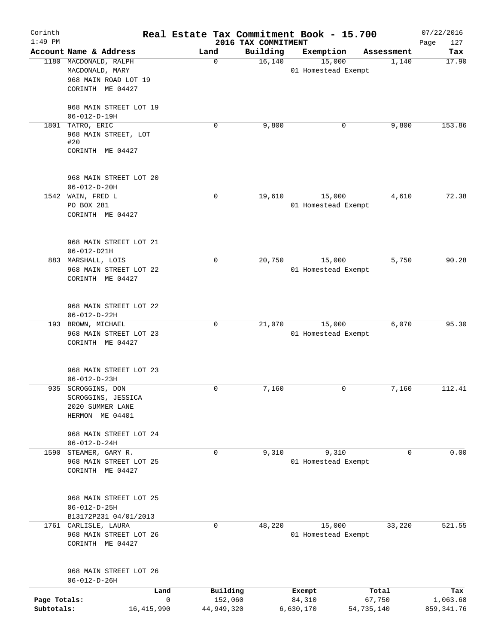| Corinth<br>$1:49$ PM |                                                |             | 2016 TAX COMMITMENT | Real Estate Tax Commitment Book - 15.700 |            | 07/22/2016<br>Page<br>127 |
|----------------------|------------------------------------------------|-------------|---------------------|------------------------------------------|------------|---------------------------|
|                      | Account Name & Address                         | Land        | Building            | Exemption                                | Assessment | Tax                       |
|                      | 1180 MACDONALD, RALPH                          | $\mathbf 0$ | 16,140              | 15,000                                   | 1,140      | 17.90                     |
|                      | MACDONALD, MARY                                |             |                     | 01 Homestead Exempt                      |            |                           |
|                      | 968 MAIN ROAD LOT 19                           |             |                     |                                          |            |                           |
|                      | CORINTH ME 04427                               |             |                     |                                          |            |                           |
|                      |                                                |             |                     |                                          |            |                           |
|                      | 968 MAIN STREET LOT 19                         |             |                     |                                          |            |                           |
|                      | $06 - 012 - D - 19H$                           |             |                     |                                          |            |                           |
|                      | 1801 TATRO, ERIC                               | 0           | 9,800               | 0                                        | 9,800      | 153.86                    |
|                      | 968 MAIN STREET, LOT                           |             |                     |                                          |            |                           |
|                      | #20                                            |             |                     |                                          |            |                           |
|                      | CORINTH ME 04427                               |             |                     |                                          |            |                           |
|                      |                                                |             |                     |                                          |            |                           |
|                      | 968 MAIN STREET LOT 20                         |             |                     |                                          |            |                           |
|                      | $06 - 012 - D - 20H$                           |             |                     |                                          |            |                           |
|                      | 1542 WAIN, FRED L                              | 0           | 19,610              | 15,000                                   | 4,610      | 72.38                     |
|                      | PO BOX 281                                     |             |                     | 01 Homestead Exempt                      |            |                           |
|                      | CORINTH ME 04427                               |             |                     |                                          |            |                           |
|                      |                                                |             |                     |                                          |            |                           |
|                      |                                                |             |                     |                                          |            |                           |
|                      | 968 MAIN STREET LOT 21                         |             |                     |                                          |            |                           |
|                      | $06 - 012 - D21H$                              |             |                     |                                          |            |                           |
| 883                  | MARSHALL, LOIS                                 | 0           | 20,750              | 15,000                                   | 5,750      | 90.28                     |
|                      | 968 MAIN STREET LOT 22                         |             |                     | 01 Homestead Exempt                      |            |                           |
|                      | CORINTH ME 04427                               |             |                     |                                          |            |                           |
|                      |                                                |             |                     |                                          |            |                           |
|                      |                                                |             |                     |                                          |            |                           |
|                      | 968 MAIN STREET LOT 22                         |             |                     |                                          |            |                           |
|                      | $06 - 012 - D - 22H$                           |             |                     |                                          |            |                           |
|                      | 193 BROWN, MICHAEL                             | $\mathbf 0$ | 21,070              | 15,000                                   | 6,070      | 95.30                     |
|                      | 968 MAIN STREET LOT 23                         |             |                     | 01 Homestead Exempt                      |            |                           |
|                      | CORINTH ME 04427                               |             |                     |                                          |            |                           |
|                      |                                                |             |                     |                                          |            |                           |
|                      |                                                |             |                     |                                          |            |                           |
|                      | 968 MAIN STREET LOT 23                         |             |                     |                                          |            |                           |
|                      | $06 - 012 - D - 23H$                           |             |                     |                                          |            |                           |
|                      | 935 SCROGGINS, DON                             | 0           | 7,160               | 0                                        | 7,160      | 112.41                    |
|                      | SCROGGINS, JESSICA                             |             |                     |                                          |            |                           |
|                      | 2020 SUMMER LANE                               |             |                     |                                          |            |                           |
|                      | HERMON ME 04401                                |             |                     |                                          |            |                           |
|                      |                                                |             |                     |                                          |            |                           |
|                      | 968 MAIN STREET LOT 24<br>$06 - 012 - D - 24H$ |             |                     |                                          |            |                           |
| 1590                 | STEAMER, GARY R.                               | 0           | 9,310               | 9,310                                    | 0          | 0.00                      |
|                      | 968 MAIN STREET LOT 25                         |             |                     | 01 Homestead Exempt                      |            |                           |
|                      | CORINTH ME 04427                               |             |                     |                                          |            |                           |
|                      |                                                |             |                     |                                          |            |                           |
|                      |                                                |             |                     |                                          |            |                           |
|                      | 968 MAIN STREET LOT 25                         |             |                     |                                          |            |                           |
|                      | $06 - 012 - D - 25H$                           |             |                     |                                          |            |                           |
|                      | B13172P231 04/01/2013                          |             |                     |                                          |            |                           |
|                      | 1761 CARLISLE, LAURA                           | $\mathbf 0$ | 48,220              | 15,000                                   | 33,220     | 521.55                    |
|                      | 968 MAIN STREET LOT 26                         |             |                     | 01 Homestead Exempt                      |            |                           |
|                      | CORINTH ME 04427                               |             |                     |                                          |            |                           |
|                      |                                                |             |                     |                                          |            |                           |
|                      |                                                |             |                     |                                          |            |                           |
|                      | 968 MAIN STREET LOT 26                         |             |                     |                                          |            |                           |
|                      | $06 - 012 - D - 26H$                           |             |                     |                                          |            |                           |
|                      | Land                                           |             | Building            | Exempt                                   | Total      | Tax                       |
| Page Totals:         |                                                | 0           | 152,060             | 84,310                                   | 67,750     | 1,063.68                  |
| Subtotals:           | 16, 415, 990                                   | 44,949,320  |                     | 6,630,170                                | 54,735,140 | 859, 341.76               |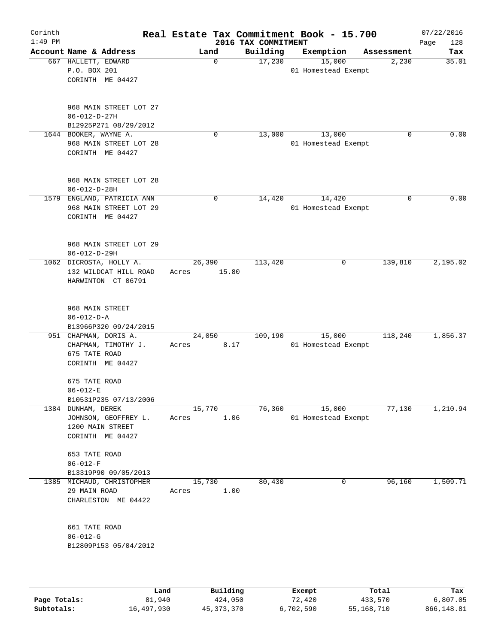| Corinth<br>$1:49$ PM |                                       |                                                                          |                 |             | Real Estate Tax Commitment Book - 15.700<br>2016 TAX COMMITMENT |                               |   |            | 07/22/2016<br>Page<br>128 |
|----------------------|---------------------------------------|--------------------------------------------------------------------------|-----------------|-------------|-----------------------------------------------------------------|-------------------------------|---|------------|---------------------------|
|                      |                                       | Account Name & Address                                                   | Land            |             | Building                                                        | Exemption                     |   | Assessment | Tax                       |
|                      | 667 HALLETT, EDWARD<br>P.O. BOX 201   | CORINTH ME 04427                                                         |                 | $\mathbf 0$ | 17,230                                                          | 15,000<br>01 Homestead Exempt |   | 2,230      | 35.01                     |
|                      | $06 - 012 - D - 27H$                  | 968 MAIN STREET LOT 27<br>B12925P271 08/29/2012                          |                 |             |                                                                 |                               |   |            |                           |
|                      | 1644 BOOKER, WAYNE A.                 | 968 MAIN STREET LOT 28<br>CORINTH ME 04427                               |                 | $\mathbf 0$ | 13,000                                                          | 13,000<br>01 Homestead Exempt |   | 0          | 0.00                      |
|                      | $06 - 012 - D - 28H$                  | 968 MAIN STREET LOT 28                                                   |                 |             |                                                                 |                               |   |            |                           |
|                      |                                       | 1579 ENGLAND, PATRICIA ANN<br>968 MAIN STREET LOT 29<br>CORINTH ME 04427 |                 | 0           | 14,420                                                          | 14,420<br>01 Homestead Exempt |   | $\Omega$   | 0.00                      |
|                      | $06 - 012 - D - 29H$                  | 968 MAIN STREET LOT 29                                                   |                 |             |                                                                 |                               |   |            |                           |
|                      |                                       | 1062 DICROSTA, HOLLY A.<br>132 WILDCAT HILL ROAD<br>HARWINTON CT 06791   | 26,390<br>Acres | 15.80       | 113,420                                                         |                               | 0 | 139,810    | 2,195.02                  |
|                      | 968 MAIN STREET<br>$06 - 012 - D - A$ | B13966P320 09/24/2015                                                    |                 |             |                                                                 |                               |   |            |                           |
|                      | 675 TATE ROAD                         | 951 CHAPMAN, DORIS A.<br>CHAPMAN, TIMOTHY J.<br>CORINTH ME 04427         | 24,050<br>Acres | 8.17        | 109,190                                                         | 15,000<br>01 Homestead Exempt |   | 118,240    | 1,856.37                  |
|                      | 675 TATE ROAD<br>$06 - 012 - E$       | B10531P235 07/13/2006                                                    |                 |             |                                                                 |                               |   |            |                           |
|                      | 1384 DUNHAM, DEREK                    | JOHNSON, GEOFFREY L.<br>1200 MAIN STREET<br>CORINTH ME 04427             | 15,770<br>Acres | 1.06        | 76,360                                                          | 15,000<br>01 Homestead Exempt |   | 77,130     | 1,210.94                  |
|                      | 653 TATE ROAD<br>$06 - 012 - F$       | B13319P90 09/05/2013                                                     |                 |             |                                                                 |                               |   |            |                           |
|                      | 29 MAIN ROAD                          | 1385 MICHAUD, CHRISTOPHER<br>CHARLESTON ME 04422                         | 15,730<br>Acres | 1.00        | 80,430                                                          |                               | 0 | 96,160     | 1,509.71                  |
|                      | 661 TATE ROAD<br>$06 - 012 - G$       | B12809P153 05/04/2012                                                    |                 |             |                                                                 |                               |   |            |                           |
|                      |                                       |                                                                          |                 |             |                                                                 |                               |   |            |                           |

|              | Land       | Building   | Exempt    | Total      | Tax        |
|--------------|------------|------------|-----------|------------|------------|
| Page Totals: | 81,940     | 424,050    | 72,420    | 433,570    | 6,807.05   |
| Subtotals:   | 16,497,930 | 45,373,370 | 6,702,590 | 55,168,710 | 866,148.81 |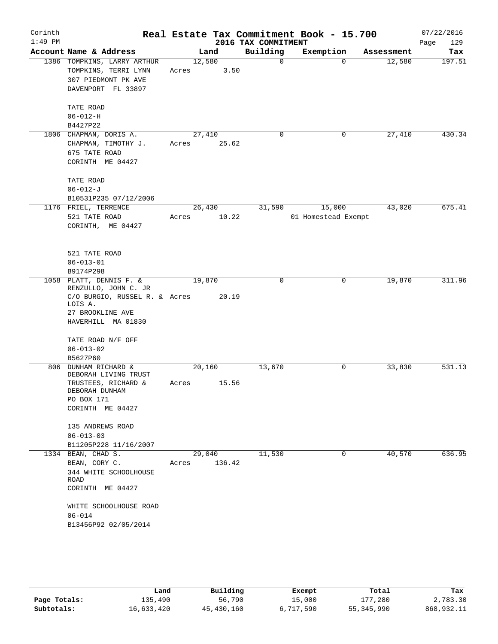| Corinth<br>$1:49$ PM |                                                                                                            |                 |        | 2016 TAX COMMITMENT | Real Estate Tax Commitment Book - 15.700 |            | 07/22/2016<br>129<br>Page |
|----------------------|------------------------------------------------------------------------------------------------------------|-----------------|--------|---------------------|------------------------------------------|------------|---------------------------|
|                      | Account Name & Address                                                                                     |                 | Land   | Building            | Exemption                                | Assessment | Tax                       |
|                      | 1386 TOMPKINS, LARRY ARTHUR<br>TOMPKINS, TERRI LYNN<br>307 PIEDMONT PK AVE<br>DAVENPORT FL 33897           | 12,580<br>Acres | 3.50   | $\Omega$            | $\Omega$                                 | 12,580     | 197.51                    |
|                      | TATE ROAD<br>$06 - 012 - H$                                                                                |                 |        |                     |                                          |            |                           |
|                      | B4427P22                                                                                                   |                 |        | $\mathbf 0$         |                                          |            |                           |
|                      | 1806 CHAPMAN, DORIS A.<br>CHAPMAN, TIMOTHY J.<br>675 TATE ROAD<br>CORINTH ME 04427                         | 27,410<br>Acres | 25.62  |                     | 0                                        | 27,410     | 430.34                    |
|                      | TATE ROAD<br>$06 - 012 - J$<br>B10531P235 07/12/2006                                                       |                 |        |                     |                                          |            |                           |
|                      | 1176 FRIEL, TERRENCE                                                                                       | 26,430          |        | 31,590              | 15,000                                   | 43,020     | 675.41                    |
|                      | 521 TATE ROAD<br>CORINTH, ME 04427                                                                         | Acres           | 10.22  |                     | 01 Homestead Exempt                      |            |                           |
|                      | 521 TATE ROAD<br>$06 - 013 - 01$                                                                           |                 |        |                     |                                          |            |                           |
|                      | B9174P298<br>1058 PLATT, DENNIS F. &                                                                       | 19,870          |        | $\mathbf 0$         | 0                                        | 19,870     | 311.96                    |
|                      | RENZULLO, JOHN C. JR<br>C/O BURGIO, RUSSEL R. & Acres<br>LOIS A.<br>27 BROOKLINE AVE<br>HAVERHILL MA 01830 |                 | 20.19  |                     |                                          |            |                           |
|                      | TATE ROAD N/F OFF<br>$06 - 013 - 02$                                                                       |                 |        |                     |                                          |            |                           |
|                      | B5627P60                                                                                                   |                 |        |                     |                                          |            |                           |
|                      | 806 DUNHAM RICHARD &<br>DEBORAH LIVING TRUST<br>TRUSTEES, RICHARD &                                        | 20,160<br>Acres | 15.56  | 13,670              | 0                                        | 33,830     | 531.13                    |
|                      | DEBORAH DUNHAM<br>PO BOX 171<br>CORINTH ME 04427                                                           |                 |        |                     |                                          |            |                           |
|                      | 135 ANDREWS ROAD<br>$06 - 013 - 03$<br>B11205P228 11/16/2007                                               |                 |        |                     |                                          |            |                           |
|                      | 1334 BEAN, CHAD S.                                                                                         | 29,040          |        | 11,530              | 0                                        | 40,570     | 636.95                    |
|                      | BEAN, CORY C.<br>344 WHITE SCHOOLHOUSE<br>ROAD<br>CORINTH ME 04427                                         | Acres           | 136.42 |                     |                                          |            |                           |
|                      | WHITE SCHOOLHOUSE ROAD<br>$06 - 014$<br>B13456P92 02/05/2014                                               |                 |        |                     |                                          |            |                           |
|                      |                                                                                                            |                 |        |                     |                                          |            |                           |

|              | Land       | Building   | Exempt    | Total        | Tax        |
|--------------|------------|------------|-----------|--------------|------------|
| Page Totals: | 135,490    | 56,790     | 15,000    | 177,280      | 2,783.30   |
| Subtotals:   | 16,633,420 | 45,430,160 | 6,717,590 | 55, 345, 990 | 868,932.11 |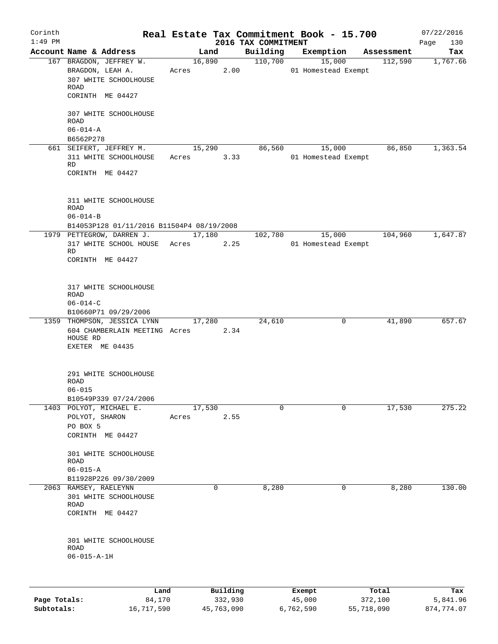| Corinth<br>$1:49$ PM |                                                                                   |            |          |                                 | Real Estate Tax Commitment Book - 15.700 |            | 07/22/2016         |
|----------------------|-----------------------------------------------------------------------------------|------------|----------|---------------------------------|------------------------------------------|------------|--------------------|
|                      | Account Name & Address                                                            |            | Land     | 2016 TAX COMMITMENT<br>Building | Exemption                                | Assessment | 130<br>Page<br>Tax |
|                      | 167 BRAGDON, JEFFREY W.                                                           |            | 16,890   | 110,700                         | 15,000                                   | 112,590    | 1,767.66           |
|                      | BRAGDON, LEAH A.<br>307 WHITE SCHOOLHOUSE<br><b>ROAD</b>                          | Acres 2.00 |          |                                 | 01 Homestead Exempt                      |            |                    |
|                      | CORINTH ME 04427                                                                  |            |          |                                 |                                          |            |                    |
|                      | 307 WHITE SCHOOLHOUSE<br><b>ROAD</b>                                              |            |          |                                 |                                          |            |                    |
|                      | $06 - 014 - A$<br>B6562P278                                                       |            |          |                                 |                                          |            |                    |
|                      | 661 SEIFERT, JEFFREY M.                                                           |            | 15,290   | 86,560                          | 15,000                                   | 86,850     | 1,363.54           |
|                      | 311 WHITE SCHOOLHOUSE<br>RD<br>CORINTH ME 04427                                   | Acres      | 3.33     |                                 | 01 Homestead Exempt                      |            |                    |
|                      | 311 WHITE SCHOOLHOUSE<br><b>ROAD</b><br>$06 - 014 - B$                            |            |          |                                 |                                          |            |                    |
|                      | B14053P128 01/11/2016 B11504P4 08/19/2008                                         |            |          |                                 |                                          |            |                    |
|                      | 1979 PETTEGROW, DARREN J. 17,180                                                  |            |          | 102,780                         | 15,000                                   | 104,960    | 1,647.87           |
|                      | 317 WHITE SCHOOL HOUSE Acres<br><b>RD</b><br>CORINTH ME 04427                     |            | 2.25     |                                 | 01 Homestead Exempt                      |            |                    |
|                      | 317 WHITE SCHOOLHOUSE<br><b>ROAD</b><br>$06 - 014 - C$<br>B10660P71 09/29/2006    |            |          |                                 |                                          |            |                    |
|                      | 1359 THOMPSON, JESSICA LYNN                                                       |            | 17,280   | 24,610                          | 0                                        | 41,890     | 657.67             |
|                      | 604 CHAMBERLAIN MEETING Acres 2.34<br>HOUSE RD<br>EXETER ME 04435                 |            |          |                                 |                                          |            |                    |
|                      | 291 WHITE SCHOOLHOUSE<br>ROAD<br>$06 - 015$                                       |            |          |                                 |                                          |            |                    |
|                      | B10549P339 07/24/2006<br>1403 POLYOT, MICHAEL E.                                  | 17,530     |          | $\mathbf 0$                     | 0                                        | 17,530     | 275.22             |
|                      | POLYOT, SHARON<br>PO BOX 5<br>CORINTH ME 04427                                    | Acres      | 2.55     |                                 |                                          |            |                    |
|                      | 301 WHITE SCHOOLHOUSE<br><b>ROAD</b><br>$06 - 015 - A$                            |            |          |                                 |                                          |            |                    |
|                      | B11928P226 09/30/2009                                                             |            |          |                                 |                                          |            |                    |
|                      | 2063 RAMSEY, RAELEYNN<br>301 WHITE SCHOOLHOUSE<br><b>ROAD</b><br>CORINTH ME 04427 |            | $\Omega$ | 8,280                           | 0                                        | 8,280      | 130.00             |
|                      | 301 WHITE SCHOOLHOUSE<br>ROAD<br>$06 - 015 - A - 1H$                              |            |          |                                 |                                          |            |                    |
|                      |                                                                                   |            |          |                                 |                                          |            |                    |
|                      | Land                                                                              |            | Building |                                 | Exempt                                   | Total      | Tax                |

|              | -----      | --------   | -------   | -----      | .          |
|--------------|------------|------------|-----------|------------|------------|
| Page Totals: | 84,170     | 332,930    | 45,000    | 372,100    | 5,841.96   |
| Subtotals:   | 16,717,590 | 45,763,090 | 6,762,590 | 55,718,090 | 874,774.07 |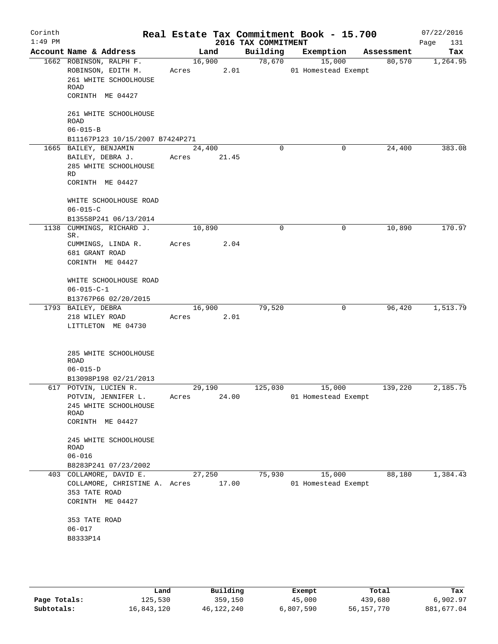| Corinth<br>$1:49$ PM |                                                                                                     |                 |                | 2016 TAX COMMITMENT | Real Estate Tax Commitment Book - 15.700 |            | 07/22/2016<br>Page<br>131 |
|----------------------|-----------------------------------------------------------------------------------------------------|-----------------|----------------|---------------------|------------------------------------------|------------|---------------------------|
|                      | Account Name & Address                                                                              |                 | Land           | Building            | Exemption                                | Assessment | Tax                       |
|                      | 1662 ROBINSON, RALPH F.<br>ROBINSON, EDITH M.<br>261 WHITE SCHOOLHOUSE<br>ROAD<br>CORINTH ME 04427  | Acres           | 16,900<br>2.01 | 78,670              | 15,000<br>01 Homestead Exempt            | 80,570     | 1,264.95                  |
|                      | 261 WHITE SCHOOLHOUSE<br>ROAD<br>$06 - 015 - B$<br>B11167P123 10/15/2007 B7424P271                  |                 |                |                     |                                          |            |                           |
|                      | 1665 BAILEY, BENJAMIN<br>BAILEY, DEBRA J.<br>285 WHITE SCHOOLHOUSE<br>RD<br>CORINTH ME 04427        | 24,400<br>Acres | 21.45          | 0                   | 0                                        | 24,400     | 383.08                    |
|                      | WHITE SCHOOLHOUSE ROAD<br>$06 - 015 - C$<br>B13558P241 06/13/2014                                   |                 |                |                     |                                          |            |                           |
| 1138                 | CUMMINGS, RICHARD J.<br>SR.                                                                         | 10,890          |                | 0                   | 0                                        | 10,890     | 170.97                    |
|                      | CUMMINGS, LINDA R.<br>681 GRANT ROAD<br>CORINTH ME 04427                                            | Acres           | 2.04           |                     |                                          |            |                           |
|                      | WHITE SCHOOLHOUSE ROAD<br>$06 - 015 - C - 1$<br>B13767P66 02/20/2015                                |                 |                |                     |                                          |            |                           |
|                      | 1793 BAILEY, DEBRA<br>218 WILEY ROAD<br>LITTLETON ME 04730                                          | 16,900<br>Acres | 2.01           | 79,520              | 0                                        | 96,420     | 1,513.79                  |
|                      | 285 WHITE SCHOOLHOUSE<br>ROAD<br>$06 - 015 - D$<br>B13098P198 02/21/2013                            |                 |                |                     |                                          |            |                           |
|                      | 617 POTVIN, LUCIEN R.<br>POTVIN, JENNIFER L.<br>245 WHITE SCHOOLHOUSE<br>ROAD<br>CORINTH ME 04427   | 29,190<br>Acres | 24.00          | 125,030             | 15,000<br>01 Homestead Exempt            | 139,220    | 2,185.75                  |
|                      | 245 WHITE SCHOOLHOUSE<br>ROAD<br>$06 - 016$<br>B8283P241 07/23/2002                                 |                 |                |                     |                                          |            |                           |
|                      | 403 COLLAMORE, DAVID E.<br>COLLAMORE, CHRISTINE A. Acres 17.00<br>353 TATE ROAD<br>CORINTH ME 04427 | 27,250          |                | 75,930              | 15,000<br>01 Homestead Exempt            | 88,180     | 1,384.43                  |
|                      | 353 TATE ROAD<br>$06 - 017$<br>B8333P14                                                             |                 |                |                     |                                          |            |                           |

|              | Land       | Building     | Exempt    | Total      | Tax        |
|--------------|------------|--------------|-----------|------------|------------|
| Page Totals: | 125,530    | 359,150      | 45,000    | 439,680    | 6,902.97   |
| Subtotals:   | 16,843,120 | 46, 122, 240 | 6,807,590 | 56,157,770 | 881,677.04 |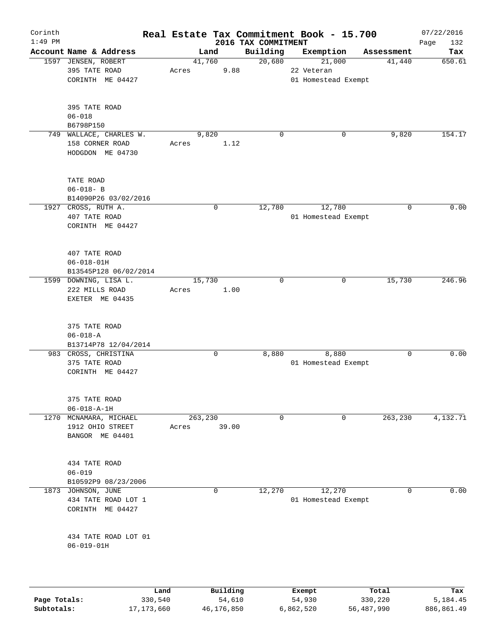| Corinth<br>$1:49$ PM |                                     |         |                    |                                 | Real Estate Tax Commitment Book - 15.700 |            | 07/22/2016         |
|----------------------|-------------------------------------|---------|--------------------|---------------------------------|------------------------------------------|------------|--------------------|
|                      | Account Name & Address              |         | Land               | 2016 TAX COMMITMENT<br>Building | Exemption                                | Assessment | Page<br>132<br>Tax |
|                      | 1597 JENSEN, ROBERT                 |         | 41,760             | 20,680                          | 21,000                                   | 41,440     | 650.61             |
|                      | 395 TATE ROAD                       | Acres   | 9.88               |                                 | 22 Veteran                               |            |                    |
|                      | CORINTH ME 04427                    |         |                    |                                 | 01 Homestead Exempt                      |            |                    |
|                      |                                     |         |                    |                                 |                                          |            |                    |
|                      | 395 TATE ROAD                       |         |                    |                                 |                                          |            |                    |
|                      | $06 - 018$                          |         |                    |                                 |                                          |            |                    |
|                      | B6798P150                           |         |                    |                                 |                                          |            |                    |
|                      | 749 WALLACE, CHARLES W.             |         | 9,820              | $\mathbf 0$                     | 0                                        | 9,820      | 154.17             |
|                      | 158 CORNER ROAD<br>HODGDON ME 04730 | Acres   | 1.12               |                                 |                                          |            |                    |
|                      | TATE ROAD                           |         |                    |                                 |                                          |            |                    |
|                      | $06 - 018 - B$                      |         |                    |                                 |                                          |            |                    |
|                      | B14090P26 03/02/2016                |         |                    |                                 |                                          |            |                    |
|                      | 1927 CROSS, RUTH A.                 |         | $\mathbf 0$        | 12,780                          | 12,780                                   | 0          | 0.00               |
|                      | 407 TATE ROAD                       |         |                    |                                 | 01 Homestead Exempt                      |            |                    |
|                      | CORINTH ME 04427                    |         |                    |                                 |                                          |            |                    |
|                      |                                     |         |                    |                                 |                                          |            |                    |
|                      | 407 TATE ROAD                       |         |                    |                                 |                                          |            |                    |
|                      | $06 - 018 - 01H$                    |         |                    |                                 |                                          |            |                    |
|                      | B13545P128 06/02/2014               |         |                    |                                 |                                          |            |                    |
|                      | 1599 DOWNING, LISA L.               |         | 15,730             | $\mathbf 0$                     | 0                                        | 15,730     | 246.96             |
|                      | 222 MILLS ROAD                      | Acres   | 1.00               |                                 |                                          |            |                    |
|                      | EXETER ME 04435                     |         |                    |                                 |                                          |            |                    |
|                      | 375 TATE ROAD                       |         |                    |                                 |                                          |            |                    |
|                      | $06 - 018 - A$                      |         |                    |                                 |                                          |            |                    |
|                      | B13714P78 12/04/2014                |         |                    |                                 |                                          |            |                    |
|                      | 983 CROSS, CHRISTINA                |         | 0                  | 8,880                           | 8,880                                    | 0          | 0.00               |
|                      | 375 TATE ROAD                       |         |                    |                                 | 01 Homestead Exempt                      |            |                    |
|                      | CORINTH ME 04427                    |         |                    |                                 |                                          |            |                    |
|                      | 375 TATE ROAD                       |         |                    |                                 |                                          |            |                    |
|                      | $06 - 018 - A - 1H$                 |         |                    |                                 |                                          |            |                    |
| 1270                 | MCNAMARA, MICHAEL                   | 263,230 |                    | 0                               | $\mathbf 0$                              | 263,230    | 4,132.71           |
|                      | 1912 OHIO STREET                    | Acres   | 39.00              |                                 |                                          |            |                    |
|                      | BANGOR ME 04401                     |         |                    |                                 |                                          |            |                    |
|                      |                                     |         |                    |                                 |                                          |            |                    |
|                      | 434 TATE ROAD                       |         |                    |                                 |                                          |            |                    |
|                      | $06 - 019$                          |         |                    |                                 |                                          |            |                    |
|                      | B10592P9 08/23/2006                 |         |                    |                                 |                                          |            |                    |
| 1873                 | JOHNSON, JUNE                       |         | $\mathbf 0$        | 12,270                          | 12,270                                   | 0          | 0.00               |
|                      | 434 TATE ROAD LOT 1                 |         |                    |                                 | 01 Homestead Exempt                      |            |                    |
|                      | CORINTH ME 04427                    |         |                    |                                 |                                          |            |                    |
|                      | 434 TATE ROAD LOT 01                |         |                    |                                 |                                          |            |                    |
|                      | $06 - 019 - 01H$                    |         |                    |                                 |                                          |            |                    |
|                      |                                     |         |                    |                                 |                                          |            |                    |
|                      |                                     |         |                    |                                 |                                          |            |                    |
| Page Totals:         | Land<br>330,540                     |         | Building<br>54,610 |                                 | Exempt<br>54,930                         | Total      | Tax<br>5,184.45    |
|                      |                                     |         |                    |                                 |                                          | 330,220    |                    |

**Subtotals:** 17,173,660 46,176,850 6,862,520 56,487,990 886,861.49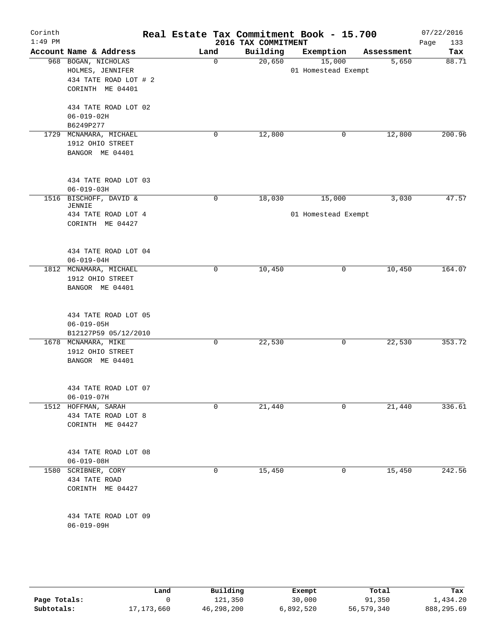| Corinth<br>$1:49$ PM |                                                                                      |      |             | 2016 TAX COMMITMENT | Real Estate Tax Commitment Book - 15.700 |            | 07/22/2016         |
|----------------------|--------------------------------------------------------------------------------------|------|-------------|---------------------|------------------------------------------|------------|--------------------|
|                      | Account Name & Address                                                               | Land |             | Building            | Exemption                                | Assessment | 133<br>Page<br>Tax |
|                      | 968 BOGAN, NICHOLAS<br>HOLMES, JENNIFER<br>434 TATE ROAD LOT # 2<br>CORINTH ME 04401 |      | $\mathbf 0$ | 20,650              | 15,000<br>01 Homestead Exempt            | 5,650      | 88.71              |
|                      | 434 TATE ROAD LOT 02<br>$06 - 019 - 02H$<br>B6249P277                                |      |             |                     |                                          |            |                    |
|                      | 1729 MCNAMARA, MICHAEL<br>1912 OHIO STREET<br>BANGOR ME 04401                        |      | 0           | 12,800              | 0                                        | 12,800     | 200.96             |
|                      | 434 TATE ROAD LOT 03<br>$06 - 019 - 03H$                                             |      |             |                     |                                          |            |                    |
|                      | 1516 BISCHOFF, DAVID &<br>JENNIE<br>434 TATE ROAD LOT 4<br>CORINTH ME 04427          |      | $\mathbf 0$ | 18,030              | 15,000<br>01 Homestead Exempt            | 3,030      | 47.57              |
|                      | 434 TATE ROAD LOT 04<br>$06 - 019 - 04H$                                             |      |             |                     |                                          |            |                    |
|                      | 1812 MCNAMARA, MICHAEL<br>1912 OHIO STREET<br>BANGOR ME 04401                        |      | 0           | 10,450              | 0                                        | 10,450     | 164.07             |
|                      | 434 TATE ROAD LOT 05<br>$06 - 019 - 05H$<br>B12127P59 05/12/2010                     |      |             |                     |                                          |            |                    |
|                      | 1678 MCNAMARA, MIKE<br>1912 OHIO STREET<br>BANGOR ME 04401                           |      | 0           | 22,530              | 0                                        | 22,530     | 353.72             |
|                      | 434 TATE ROAD LOT 07<br>$06 - 019 - 07H$                                             |      |             |                     |                                          |            |                    |
|                      | 1512 HOFFMAN, SARAH<br>434 TATE ROAD LOT 8<br>CORINTH ME 04427                       |      | 0           | 21,440              | 0                                        | 21,440     | 336.61             |
|                      | 434 TATE ROAD LOT 08<br>$06 - 019 - 08H$                                             |      |             |                     |                                          |            |                    |
| 1580                 | SCRIBNER, CORY<br>434 TATE ROAD<br>CORINTH ME 04427                                  |      | 0           | 15,450              | 0                                        | 15,450     | 242.56             |
|                      | 434 TATE ROAD LOT 09<br>$06 - 019 - 09H$                                             |      |             |                     |                                          |            |                    |

|              | Land         | Building   | Exempt    | Total      | Tax        |
|--------------|--------------|------------|-----------|------------|------------|
| Page Totals: |              | 121,350    | 30,000    | 91,350     | l,434.20   |
| Subtotals:   | 17, 173, 660 | 46,298,200 | 6,892,520 | 56,579,340 | 888,295.69 |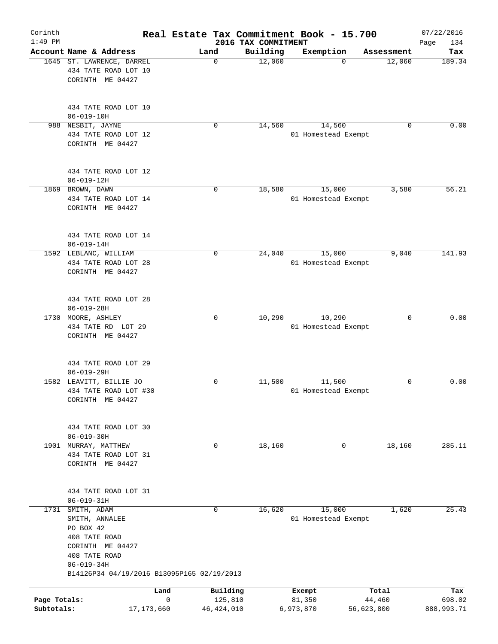| Corinth<br>$1:49$ PM |                                            |              | Real Estate Tax Commitment Book - 15.700 | 2016 TAX COMMITMENT |                     |            | 07/22/2016<br>134<br>Page |
|----------------------|--------------------------------------------|--------------|------------------------------------------|---------------------|---------------------|------------|---------------------------|
|                      | Account Name & Address                     |              | Land                                     | Building            | Exemption           | Assessment | Tax                       |
|                      | 1645 ST. LAWRENCE, DARREL                  |              | $\mathbf 0$                              | 12,060              | $\Omega$            | 12,060     | 189.34                    |
|                      | 434 TATE ROAD LOT 10<br>CORINTH ME 04427   |              |                                          |                     |                     |            |                           |
|                      |                                            |              |                                          |                     |                     |            |                           |
|                      | 434 TATE ROAD LOT 10                       |              |                                          |                     |                     |            |                           |
|                      | $06 - 019 - 10H$                           |              |                                          |                     |                     |            |                           |
|                      | 988 NESBIT, JAYNE                          |              | 0                                        | 14,560              | 14,560              | 0          | 0.00                      |
|                      | 434 TATE ROAD LOT 12                       |              |                                          |                     | 01 Homestead Exempt |            |                           |
|                      | CORINTH ME 04427                           |              |                                          |                     |                     |            |                           |
|                      | 434 TATE ROAD LOT 12                       |              |                                          |                     |                     |            |                           |
|                      | $06 - 019 - 12H$                           |              |                                          |                     |                     |            |                           |
|                      | 1869 BROWN, DAWN                           |              | $\mathbf 0$                              | 18,580              | 15,000              | 3,580      | 56.21                     |
|                      | 434 TATE ROAD LOT 14                       |              |                                          |                     | 01 Homestead Exempt |            |                           |
|                      | CORINTH ME 04427                           |              |                                          |                     |                     |            |                           |
|                      | 434 TATE ROAD LOT 14                       |              |                                          |                     |                     |            |                           |
|                      | $06 - 019 - 14H$                           |              |                                          |                     |                     |            |                           |
|                      | 1592 LEBLANC, WILLIAM                      |              | 0                                        | 24,040              | 15,000              | 9,040      | 141.93                    |
|                      | 434 TATE ROAD LOT 28                       |              |                                          |                     | 01 Homestead Exempt |            |                           |
|                      | CORINTH ME 04427                           |              |                                          |                     |                     |            |                           |
|                      | 434 TATE ROAD LOT 28                       |              |                                          |                     |                     |            |                           |
|                      | $06 - 019 - 28H$                           |              |                                          |                     |                     |            |                           |
|                      | 1730 MOORE, ASHLEY                         |              | $\mathbf 0$                              | 10,290              | 10,290              | 0          | 0.00                      |
|                      | 434 TATE RD LOT 29                         |              |                                          |                     | 01 Homestead Exempt |            |                           |
|                      | CORINTH ME 04427                           |              |                                          |                     |                     |            |                           |
|                      | 434 TATE ROAD LOT 29                       |              |                                          |                     |                     |            |                           |
|                      | $06 - 019 - 29H$                           |              |                                          |                     |                     |            |                           |
|                      | 1582 LEAVITT, BILLIE JO                    |              | 0                                        | 11,500              | 11,500              | 0          | 0.00                      |
|                      | 434 TATE ROAD LOT #30                      |              |                                          |                     | 01 Homestead Exempt |            |                           |
|                      | CORINTH ME 04427                           |              |                                          |                     |                     |            |                           |
|                      | 434 TATE ROAD LOT 30                       |              |                                          |                     |                     |            |                           |
|                      | $06 - 019 - 30H$                           |              |                                          |                     |                     |            |                           |
| 1901                 | MURRAY, MATTHEW                            |              | 0                                        | 18,160              | 0                   | 18,160     | 285.11                    |
|                      | 434 TATE ROAD LOT 31                       |              |                                          |                     |                     |            |                           |
|                      | CORINTH ME 04427                           |              |                                          |                     |                     |            |                           |
|                      | 434 TATE ROAD LOT 31                       |              |                                          |                     |                     |            |                           |
|                      | $06 - 019 - 31H$                           |              |                                          |                     |                     |            |                           |
| 1731                 | SMITH, ADAM                                |              | $\mathbf 0$                              | 16,620              | 15,000              | 1,620      | 25.43                     |
|                      | SMITH, ANNALEE                             |              |                                          |                     | 01 Homestead Exempt |            |                           |
|                      | PO BOX 42                                  |              |                                          |                     |                     |            |                           |
|                      | 408 TATE ROAD                              |              |                                          |                     |                     |            |                           |
|                      | CORINTH ME 04427                           |              |                                          |                     |                     |            |                           |
|                      | 408 TATE ROAD                              |              |                                          |                     |                     |            |                           |
|                      | $06 - 019 - 34H$                           |              |                                          |                     |                     |            |                           |
|                      | B14126P34 04/19/2016 B13095P165 02/19/2013 |              |                                          |                     |                     |            |                           |
|                      |                                            | Land         | Building                                 |                     | Exempt              | Total      | Tax                       |
| Page Totals:         |                                            | 0            | 125,810                                  |                     | 81,350              | 44,460     | 698.02                    |
| Subtotals:           |                                            | 17, 173, 660 | 46, 424, 010                             |                     | 6,973,870           | 56,623,800 | 888,993.71                |
|                      |                                            |              |                                          |                     |                     |            |                           |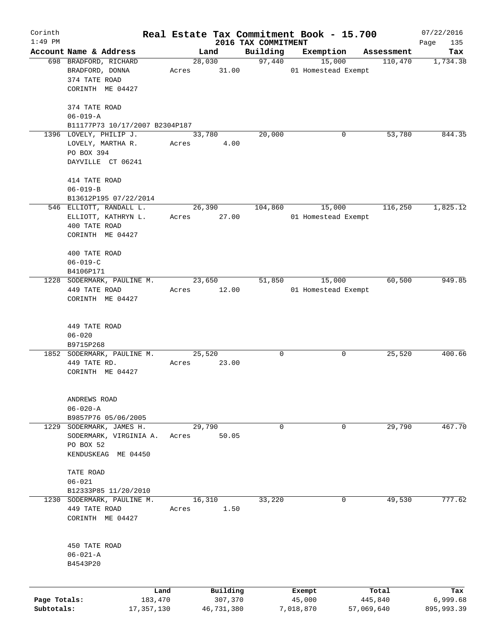| Corinth      |                                                  |            |       |                 |                                 | Real Estate Tax Commitment Book - 15.700 |            | 07/22/2016         |
|--------------|--------------------------------------------------|------------|-------|-----------------|---------------------------------|------------------------------------------|------------|--------------------|
| $1:49$ PM    | Account Name & Address                           |            |       | Land            | 2016 TAX COMMITMENT<br>Building | Exemption                                | Assessment | 135<br>Page<br>Tax |
|              | 698 BRADFORD, RICHARD                            |            |       | 28,030          | 97,440                          | 15,000                                   | 110,470    | 1,734.38           |
|              | BRADFORD, DONNA                                  |            |       | Acres 31.00     |                                 | 01 Homestead Exempt                      |            |                    |
|              | 374 TATE ROAD                                    |            |       |                 |                                 |                                          |            |                    |
|              | CORINTH ME 04427                                 |            |       |                 |                                 |                                          |            |                    |
|              |                                                  |            |       |                 |                                 |                                          |            |                    |
|              | 374 TATE ROAD                                    |            |       |                 |                                 |                                          |            |                    |
|              | $06 - 019 - A$                                   |            |       |                 |                                 |                                          |            |                    |
|              | B11177P73 10/17/2007 B2304P187                   |            |       |                 |                                 |                                          |            |                    |
|              | 1396 LOVELY, PHILIP J.                           |            |       | 33,780          | 20,000                          | 0                                        | 53,780     | 844.35             |
|              | LOVELY, MARTHA R.                                |            | Acres | 4.00            |                                 |                                          |            |                    |
|              | PO BOX 394                                       |            |       |                 |                                 |                                          |            |                    |
|              | DAYVILLE CT 06241                                |            |       |                 |                                 |                                          |            |                    |
|              |                                                  |            |       |                 |                                 |                                          |            |                    |
|              | 414 TATE ROAD                                    |            |       |                 |                                 |                                          |            |                    |
|              | $06 - 019 - B$                                   |            |       |                 |                                 |                                          |            |                    |
|              | B13612P195 07/22/2014<br>546 ELLIOTT, RANDALL L. |            |       | 26,390          | 104,860                         | 15,000                                   | 116,250    | 1,825.12           |
|              | ELLIOTT, KATHRYN L.                              |            |       | Acres 27.00     |                                 | 01 Homestead Exempt                      |            |                    |
|              | 400 TATE ROAD                                    |            |       |                 |                                 |                                          |            |                    |
|              | CORINTH ME 04427                                 |            |       |                 |                                 |                                          |            |                    |
|              |                                                  |            |       |                 |                                 |                                          |            |                    |
|              | 400 TATE ROAD                                    |            |       |                 |                                 |                                          |            |                    |
|              | $06 - 019 - C$                                   |            |       |                 |                                 |                                          |            |                    |
|              | B4106P171                                        |            |       |                 |                                 |                                          |            |                    |
|              | 1228 SODERMARK, PAULINE M.                       |            |       | 23,650          | 51,850                          | 15,000                                   | 60,500     | 949.85             |
|              | 449 TATE ROAD                                    |            | Acres | 12.00           |                                 | 01 Homestead Exempt                      |            |                    |
|              | CORINTH ME 04427                                 |            |       |                 |                                 |                                          |            |                    |
|              |                                                  |            |       |                 |                                 |                                          |            |                    |
|              |                                                  |            |       |                 |                                 |                                          |            |                    |
|              | 449 TATE ROAD                                    |            |       |                 |                                 |                                          |            |                    |
|              | $06 - 020$                                       |            |       |                 |                                 |                                          |            |                    |
|              | B9715P268                                        |            |       |                 | 0                               |                                          | 25,520     | 400.66             |
|              | 1852 SODERMARK, PAULINE M.<br>449 TATE RD.       | Acres      |       | 25,520<br>23.00 |                                 | 0                                        |            |                    |
|              | CORINTH ME 04427                                 |            |       |                 |                                 |                                          |            |                    |
|              |                                                  |            |       |                 |                                 |                                          |            |                    |
|              |                                                  |            |       |                 |                                 |                                          |            |                    |
|              | ANDREWS ROAD                                     |            |       |                 |                                 |                                          |            |                    |
|              | $06 - 020 - A$                                   |            |       |                 |                                 |                                          |            |                    |
|              | B9857P76 05/06/2005                              |            |       |                 |                                 |                                          |            |                    |
| 1229         | SODERMARK, JAMES H.                              |            |       | 29,790          | 0                               | 0                                        | 29,790     | 467.70             |
|              | SODERMARK, VIRGINIA A.                           | Acres      |       | 50.05           |                                 |                                          |            |                    |
|              | PO BOX 52                                        |            |       |                 |                                 |                                          |            |                    |
|              | KENDUSKEAG ME 04450                              |            |       |                 |                                 |                                          |            |                    |
|              |                                                  |            |       |                 |                                 |                                          |            |                    |
|              | TATE ROAD<br>$06 - 021$                          |            |       |                 |                                 |                                          |            |                    |
|              | B12333P85 11/20/2010                             |            |       |                 |                                 |                                          |            |                    |
| 1230         | SODERMARK, PAULINE M.                            |            |       | 16,310          | 33,220                          | 0                                        | 49,530     | 777.62             |
|              | 449 TATE ROAD                                    | Acres      |       | 1.50            |                                 |                                          |            |                    |
|              | CORINTH ME 04427                                 |            |       |                 |                                 |                                          |            |                    |
|              |                                                  |            |       |                 |                                 |                                          |            |                    |
|              |                                                  |            |       |                 |                                 |                                          |            |                    |
|              | 450 TATE ROAD                                    |            |       |                 |                                 |                                          |            |                    |
|              | $06 - 021 - A$                                   |            |       |                 |                                 |                                          |            |                    |
|              | B4543P20                                         |            |       |                 |                                 |                                          |            |                    |
|              |                                                  |            |       |                 |                                 |                                          |            |                    |
|              |                                                  | Land       |       | Building        |                                 | Exempt                                   | Total      | Tax                |
| Page Totals: |                                                  | 183,470    |       | 307,370         |                                 | 45,000                                   | 445,840    | 6,999.68           |
| Subtotals:   |                                                  | 17,357,130 |       | 46,731,380      |                                 | 7,018,870                                | 57,069,640 | 895,993.39         |
|              |                                                  |            |       |                 |                                 |                                          |            |                    |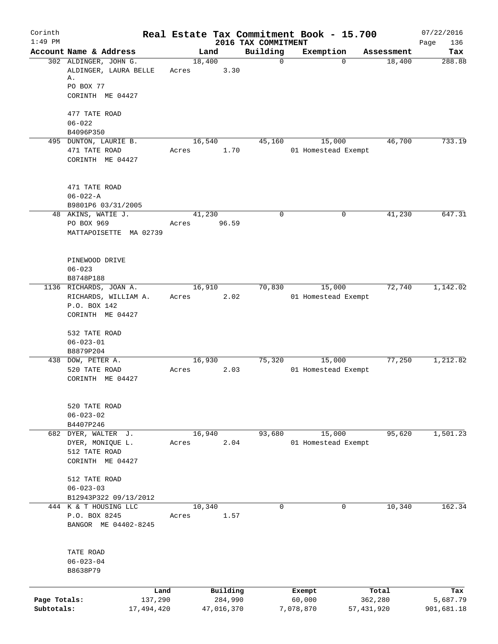| Corinth      |                                                |       |                     |                                 | Real Estate Tax Commitment Book - 15.700 |              |                      | 07/22/2016      |
|--------------|------------------------------------------------|-------|---------------------|---------------------------------|------------------------------------------|--------------|----------------------|-----------------|
| $1:49$ PM    | Account Name & Address                         |       |                     | 2016 TAX COMMITMENT<br>Building |                                          |              |                      | 136<br>Page     |
|              | 302 ALDINGER, JOHN G.                          |       | Land<br>18,400      | $\mathbf 0$                     | Exemption                                | $\Omega$     | Assessment<br>18,400 | Tax<br>288.88   |
|              | ALDINGER, LAURA BELLE<br>Α.                    | Acres | 3.30                |                                 |                                          |              |                      |                 |
|              | PO BOX 77                                      |       |                     |                                 |                                          |              |                      |                 |
|              | CORINTH ME 04427                               |       |                     |                                 |                                          |              |                      |                 |
|              | 477 TATE ROAD                                  |       |                     |                                 |                                          |              |                      |                 |
|              | $06 - 022$<br>B4096P350                        |       |                     |                                 |                                          |              |                      |                 |
|              | 495 DUNTON, LAURIE B.                          |       | 16,540              | 45,160                          | 15,000                                   |              | 46,700               | 733.19          |
|              | 471 TATE ROAD                                  | Acres | 1.70                |                                 | 01 Homestead Exempt                      |              |                      |                 |
|              | CORINTH ME 04427                               |       |                     |                                 |                                          |              |                      |                 |
|              | 471 TATE ROAD                                  |       |                     |                                 |                                          |              |                      |                 |
|              | $06 - 022 - A$                                 |       |                     |                                 |                                          |              |                      |                 |
|              | B9801P6 03/31/2005                             |       |                     |                                 |                                          |              |                      |                 |
|              | 48 AKINS, WATIE J.<br>PO BOX 969               | Acres | 41,230<br>96.59     | $\mathbf 0$                     |                                          | 0            | 41,230               | 647.31          |
|              | MATTAPOISETTE MA 02739                         |       |                     |                                 |                                          |              |                      |                 |
|              |                                                |       |                     |                                 |                                          |              |                      |                 |
|              | PINEWOOD DRIVE                                 |       |                     |                                 |                                          |              |                      |                 |
|              | $06 - 023$                                     |       |                     |                                 |                                          |              |                      |                 |
|              | B8748P188                                      |       |                     |                                 |                                          |              |                      |                 |
|              | 1136 RICHARDS, JOAN A.<br>RICHARDS, WILLIAM A. | Acres | 16,910<br>2.02      | 70,830                          | 15,000<br>01 Homestead Exempt            |              | 72,740               | 1,142.02        |
|              | P.O. BOX 142                                   |       |                     |                                 |                                          |              |                      |                 |
|              | CORINTH ME 04427                               |       |                     |                                 |                                          |              |                      |                 |
|              | 532 TATE ROAD                                  |       |                     |                                 |                                          |              |                      |                 |
|              | $06 - 023 - 01$                                |       |                     |                                 |                                          |              |                      |                 |
|              | B8879P204<br>438 DOW, PETER A.                 |       | 16,930              | 75,320                          | 15,000                                   |              | 77,250               | 1,212.82        |
|              | 520 TATE ROAD                                  | Acres | 2.03                |                                 | 01 Homestead Exempt                      |              |                      |                 |
|              | CORINTH ME 04427                               |       |                     |                                 |                                          |              |                      |                 |
|              | 520 TATE ROAD                                  |       |                     |                                 |                                          |              |                      |                 |
|              | $06 - 023 - 02$                                |       |                     |                                 |                                          |              |                      |                 |
|              | B4407P246                                      |       |                     |                                 |                                          |              |                      |                 |
|              | 682 DYER, WALTER J.                            |       | 16,940              | 93,680                          | 15,000                                   |              | 95,620               | 1,501.23        |
|              | DYER, MONIQUE L.                               | Acres | 2.04                |                                 | 01 Homestead Exempt                      |              |                      |                 |
|              | 512 TATE ROAD<br>CORINTH ME 04427              |       |                     |                                 |                                          |              |                      |                 |
|              | 512 TATE ROAD                                  |       |                     |                                 |                                          |              |                      |                 |
|              | $06 - 023 - 03$                                |       |                     |                                 |                                          |              |                      |                 |
|              | B12943P322 09/13/2012<br>444 K & T HOUSING LLC |       |                     | $\mathbf 0$                     |                                          | 0            |                      | 162.34          |
|              | P.O. BOX 8245                                  | Acres | 10,340<br>1.57      |                                 |                                          |              | 10,340               |                 |
|              | BANGOR ME 04402-8245                           |       |                     |                                 |                                          |              |                      |                 |
|              | TATE ROAD                                      |       |                     |                                 |                                          |              |                      |                 |
|              | $06 - 023 - 04$                                |       |                     |                                 |                                          |              |                      |                 |
|              | B8638P79                                       |       |                     |                                 |                                          |              |                      |                 |
|              |                                                |       |                     |                                 |                                          |              |                      |                 |
| Page Totals: | Land<br>137,290                                |       | Building<br>284,990 |                                 | Exempt<br>60,000                         |              | Total<br>362,280     | Tax<br>5,687.79 |
| Subtotals:   | 17,494,420                                     |       | 47,016,370          |                                 | 7,078,870                                | 57, 431, 920 |                      | 901,681.18      |
|              |                                                |       |                     |                                 |                                          |              |                      |                 |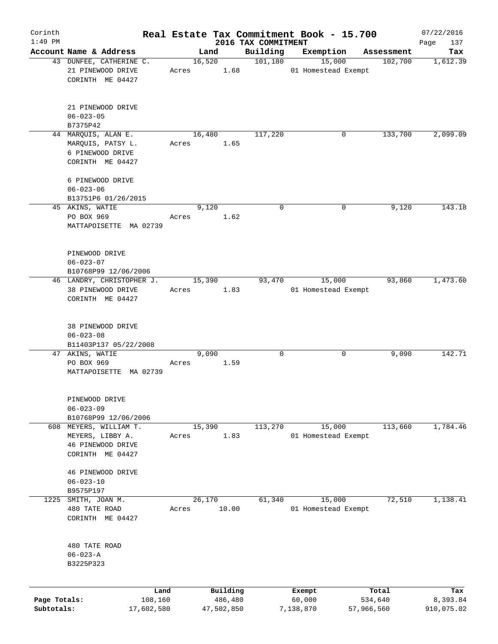| Corinth                    |                                                                                     |       |                       |                                 | Real Estate Tax Commitment Book - 15.700 |                       | 07/22/2016             |
|----------------------------|-------------------------------------------------------------------------------------|-------|-----------------------|---------------------------------|------------------------------------------|-----------------------|------------------------|
| $1:49$ PM                  | Account Name & Address                                                              |       | Land                  | 2016 TAX COMMITMENT<br>Building | Exemption                                |                       | Page<br>137<br>Tax     |
|                            | 43 DUNFEE, CATHERINE C.                                                             |       | 16,520                | 101, 180                        | 15,000                                   | Assessment<br>102,700 | 1,612.39               |
|                            | 21 PINEWOOD DRIVE<br>CORINTH ME 04427                                               | Acres | 1.68                  |                                 | 01 Homestead Exempt                      |                       |                        |
|                            | 21 PINEWOOD DRIVE<br>$06 - 023 - 05$                                                |       |                       |                                 |                                          |                       |                        |
|                            | B7375P42                                                                            |       |                       |                                 |                                          |                       |                        |
|                            | 44 MARQUIS, ALAN E.<br>MARQUIS, PATSY L.<br>6 PINEWOOD DRIVE<br>CORINTH ME 04427    | Acres | 16,480<br>1.65        | 117,220                         | 0                                        | 133,700               | 2,099.09               |
|                            | 6 PINEWOOD DRIVE<br>$06 - 023 - 06$                                                 |       |                       |                                 |                                          |                       |                        |
|                            | B13751P6 01/26/2015<br>45 AKINS, WATIE                                              |       | 9,120                 | 0                               | 0                                        | 9,120                 | 143.18                 |
|                            | PO BOX 969<br>MATTAPOISETTE MA 02739                                                | Acres | 1.62                  |                                 |                                          |                       |                        |
|                            | PINEWOOD DRIVE<br>$06 - 023 - 07$<br>B10768P99 12/06/2006                           |       |                       |                                 |                                          |                       |                        |
|                            | 46 LANDRY, CHRISTOPHER J.                                                           |       | 15,390                | 93,470                          | 15,000                                   | 93,860                | 1,473.60               |
|                            | 38 PINEWOOD DRIVE<br>CORINTH ME 04427                                               | Acres | 1.83                  |                                 | 01 Homestead Exempt                      |                       |                        |
|                            | 38 PINEWOOD DRIVE<br>$06 - 023 - 08$<br>B11403P137 05/22/2008                       |       |                       |                                 |                                          |                       |                        |
|                            | 47 AKINS, WATIE<br>PO BOX 969<br>MATTAPOISETTE MA 02739                             | Acres | 9,090<br>1.59         | 0                               | 0                                        | 9,090                 | 142.71                 |
|                            | PINEWOOD DRIVE<br>$06 - 023 - 09$<br>B10768P99 12/06/2006                           |       |                       |                                 |                                          |                       |                        |
|                            | 608 MEYERS, WILLIAM T.<br>MEYERS, LIBBY A.<br>46 PINEWOOD DRIVE<br>CORINTH ME 04427 | Acres | 15,390<br>1.83        | 113,270                         | 15,000<br>01 Homestead Exempt            | 113,660               | 1,784.46               |
|                            | 46 PINEWOOD DRIVE<br>$06 - 023 - 10$<br>B9575P197                                   |       |                       |                                 |                                          |                       |                        |
| 1225                       | SMITH, JOAN M.<br>480 TATE ROAD<br>CORINTH ME 04427                                 | Acres | 26,170<br>10.00       | 61,340                          | 15,000<br>01 Homestead Exempt            | 72,510                | 1,138.41               |
|                            | 480 TATE ROAD<br>$06 - 023 - A$<br>B3225P323                                        |       |                       |                                 |                                          |                       |                        |
|                            | Land                                                                                |       | Building              |                                 | Exempt                                   | Total                 | Tax                    |
| Page Totals:<br>Subtotals: | 108,160<br>17,602,580                                                               |       | 486,480<br>47,502,850 |                                 | 60,000<br>7,138,870                      | 534,640<br>57,966,560 | 8,393.84<br>910,075.02 |
|                            |                                                                                     |       |                       |                                 |                                          |                       |                        |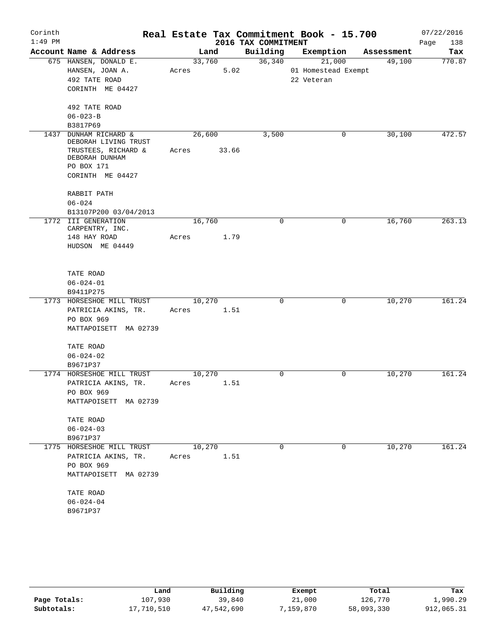| Corinth   |                                          |       |        |                     | Real Estate Tax Commitment Book - 15.700 |            | 07/22/2016  |
|-----------|------------------------------------------|-------|--------|---------------------|------------------------------------------|------------|-------------|
| $1:49$ PM |                                          |       |        | 2016 TAX COMMITMENT |                                          |            | Page<br>138 |
|           | Account Name & Address                   |       | Land   | Building            | Exemption                                | Assessment | Tax         |
|           | 675 HANSEN, DONALD E.                    |       | 33,760 | 36,340              | 21,000                                   | 49,100     | 770.87      |
|           | HANSEN, JOAN A.                          | Acres | 5.02   |                     | 01 Homestead Exempt                      |            |             |
|           | 492 TATE ROAD                            |       |        |                     | 22 Veteran                               |            |             |
|           | CORINTH ME 04427                         |       |        |                     |                                          |            |             |
|           | 492 TATE ROAD                            |       |        |                     |                                          |            |             |
|           | $06 - 023 - B$                           |       |        |                     |                                          |            |             |
|           | B3817P69                                 |       |        |                     |                                          |            |             |
| 1437      | DUNHAM RICHARD &<br>DEBORAH LIVING TRUST |       | 26,600 | 3,500               | 0                                        | 30,100     | 472.57      |
|           | TRUSTEES, RICHARD &<br>DEBORAH DUNHAM    | Acres | 33.66  |                     |                                          |            |             |
|           | PO BOX 171                               |       |        |                     |                                          |            |             |
|           | CORINTH ME 04427                         |       |        |                     |                                          |            |             |
|           |                                          |       |        |                     |                                          |            |             |
|           | RABBIT PATH                              |       |        |                     |                                          |            |             |
|           | $06 - 024$                               |       |        |                     |                                          |            |             |
|           | B13107P200 03/04/2013                    |       |        |                     |                                          |            |             |
|           | 1772 III GENERATION                      |       | 16,760 | $\mathbf 0$         | 0                                        | 16,760     | 263.13      |
|           | CARPENTRY, INC.                          |       |        |                     |                                          |            |             |
|           | 148 HAY ROAD                             | Acres | 1.79   |                     |                                          |            |             |
|           | HUDSON ME 04449                          |       |        |                     |                                          |            |             |
|           |                                          |       |        |                     |                                          |            |             |
|           |                                          |       |        |                     |                                          |            |             |
|           | TATE ROAD                                |       |        |                     |                                          |            |             |
|           | $06 - 024 - 01$                          |       |        |                     |                                          |            |             |
|           | B9411P275                                |       |        |                     |                                          |            |             |
|           | 1773 HORSESHOE MILL TRUST                |       | 10,270 | 0                   | 0                                        | 10,270     | 161.24      |
|           | PATRICIA AKINS, TR.                      | Acres | 1.51   |                     |                                          |            |             |
|           | PO BOX 969                               |       |        |                     |                                          |            |             |
|           | MATTAPOISETT MA 02739                    |       |        |                     |                                          |            |             |
|           | TATE ROAD                                |       |        |                     |                                          |            |             |
|           | $06 - 024 - 02$                          |       |        |                     |                                          |            |             |
|           | B9671P37                                 |       |        |                     |                                          |            |             |
|           | 1774 HORSESHOE MILL TRUST                |       | 10,270 | 0                   | 0                                        | 10,270     | 161.24      |
|           | PATRICIA AKINS, TR.                      | Acres | 1.51   |                     |                                          |            |             |
|           | PO BOX 969                               |       |        |                     |                                          |            |             |
|           | MATTAPOISETT MA 02739                    |       |        |                     |                                          |            |             |
|           | TATE ROAD                                |       |        |                     |                                          |            |             |
|           | $06 - 024 - 03$                          |       |        |                     |                                          |            |             |
|           | B9671P37                                 |       |        |                     |                                          |            |             |
|           | 1775 HORSESHOE MILL TRUST                |       | 10,270 | 0                   | 0                                        | 10,270     | 161.24      |
|           | PATRICIA AKINS, TR.                      | Acres | 1.51   |                     |                                          |            |             |
|           | PO BOX 969                               |       |        |                     |                                          |            |             |
|           | MATTAPOISETT MA 02739                    |       |        |                     |                                          |            |             |
|           | TATE ROAD                                |       |        |                     |                                          |            |             |
|           | $06 - 024 - 04$                          |       |        |                     |                                          |            |             |
|           | B9671P37                                 |       |        |                     |                                          |            |             |
|           |                                          |       |        |                     |                                          |            |             |

|              | Land       | Building   | Exempt    | Total      | Tax        |
|--------------|------------|------------|-----------|------------|------------|
| Page Totals: | 107.930    | 39,840     | 21,000    | 126,770    | 1,990.29   |
| Subtotals:   | 17,710,510 | 47,542,690 | 7,159,870 | 58,093,330 | 912,065.31 |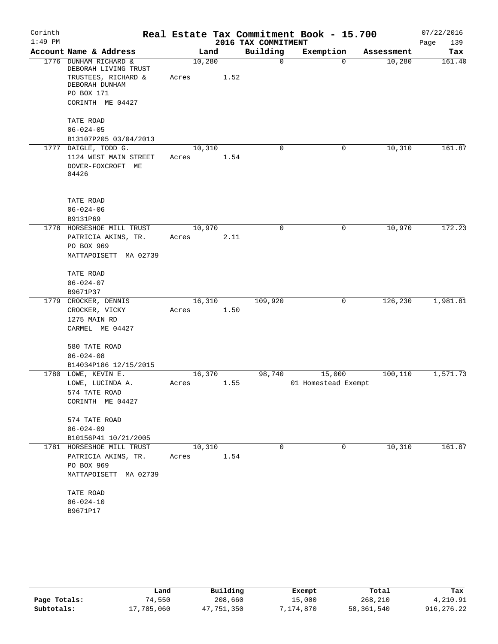| Corinth<br>$1:49$ PM |                                                                                                 |                 |      | 2016 TAX COMMITMENT | Real Estate Tax Commitment Book - 15.700 |            | 07/22/2016         |
|----------------------|-------------------------------------------------------------------------------------------------|-----------------|------|---------------------|------------------------------------------|------------|--------------------|
|                      | Account Name & Address                                                                          | Land            |      | Building            | Exemption                                | Assessment | Page<br>139<br>Tax |
| 1776                 | DUNHAM RICHARD &                                                                                | 10,280          |      | 0                   | $\Omega$                                 | 10,280     | 161.40             |
|                      | DEBORAH LIVING TRUST<br>TRUSTEES, RICHARD &<br>DEBORAH DUNHAM<br>PO BOX 171<br>CORINTH ME 04427 | Acres           | 1.52 |                     |                                          |            |                    |
|                      | TATE ROAD<br>$06 - 024 - 05$<br>B13107P205 03/04/2013                                           |                 |      |                     |                                          |            |                    |
|                      | 1777 DAIGLE, TODD G.<br>1124 WEST MAIN STREET                                                   | 10,310<br>Acres | 1.54 | 0                   | 0                                        | 10,310     | 161.87             |
|                      | DOVER-FOXCROFT ME<br>04426                                                                      |                 |      |                     |                                          |            |                    |
|                      | TATE ROAD<br>$06 - 024 - 06$                                                                    |                 |      |                     |                                          |            |                    |
|                      | B9131P69                                                                                        |                 |      |                     |                                          |            |                    |
|                      | 1778 HORSESHOE MILL TRUST                                                                       | 10,970          |      | $\mathbf 0$         | $\mathbf 0$                              | 10,970     | 172.23             |
|                      | PATRICIA AKINS, TR.                                                                             | Acres           | 2.11 |                     |                                          |            |                    |
|                      | PO BOX 969<br>MATTAPOISETT MA 02739                                                             |                 |      |                     |                                          |            |                    |
|                      | TATE ROAD                                                                                       |                 |      |                     |                                          |            |                    |
|                      | $06 - 024 - 07$                                                                                 |                 |      |                     |                                          |            |                    |
|                      | B9671P37                                                                                        |                 |      |                     |                                          |            |                    |
| 1779                 | CROCKER, DENNIS                                                                                 | 16,310          |      | 109,920             | 0                                        | 126,230    | 1,981.81           |
|                      | CROCKER, VICKY                                                                                  | Acres           | 1.50 |                     |                                          |            |                    |
|                      | 1275 MAIN RD                                                                                    |                 |      |                     |                                          |            |                    |
|                      | CARMEL ME 04427                                                                                 |                 |      |                     |                                          |            |                    |
|                      | 580 TATE ROAD                                                                                   |                 |      |                     |                                          |            |                    |
|                      | $06 - 024 - 08$                                                                                 |                 |      |                     |                                          |            |                    |
|                      | B14034P186 12/15/2015                                                                           |                 |      |                     |                                          |            |                    |
|                      | 1780 LOWE, KEVIN E.                                                                             | 16,370          |      | 98,740              | 15,000                                   | 100,110    | 1,571.73           |
|                      | LOWE, LUCINDA A.                                                                                | Acres           | 1.55 |                     | 01 Homestead Exempt                      |            |                    |
|                      | 574 TATE ROAD<br>CORINTH ME 04427                                                               |                 |      |                     |                                          |            |                    |
|                      | 574 TATE ROAD                                                                                   |                 |      |                     |                                          |            |                    |
|                      | $06 - 024 - 09$                                                                                 |                 |      |                     |                                          |            |                    |
|                      | B10156P41 10/21/2005                                                                            |                 |      |                     |                                          |            |                    |
|                      | 1781 HORSESHOE MILL TRUST                                                                       | 10,310          |      | $\mathbf 0$         | $\mathbf 0$                              | 10,310     | 161.87             |
|                      | PATRICIA AKINS, TR.                                                                             | Acres           | 1.54 |                     |                                          |            |                    |
|                      | PO BOX 969<br>MATTAPOISETT MA 02739                                                             |                 |      |                     |                                          |            |                    |
|                      | TATE ROAD                                                                                       |                 |      |                     |                                          |            |                    |
|                      | $06 - 024 - 10$                                                                                 |                 |      |                     |                                          |            |                    |
|                      | B9671P17                                                                                        |                 |      |                     |                                          |            |                    |

|              | Land       | Building   | Exempt    | Total      | Tax        |
|--------------|------------|------------|-----------|------------|------------|
| Page Totals: | 74,550     | 208,660    | 15,000    | 268,210    | 4,210.91   |
| Subtotals:   | 17,785,060 | 47,751,350 | 7,174,870 | 58,361,540 | 916,276.22 |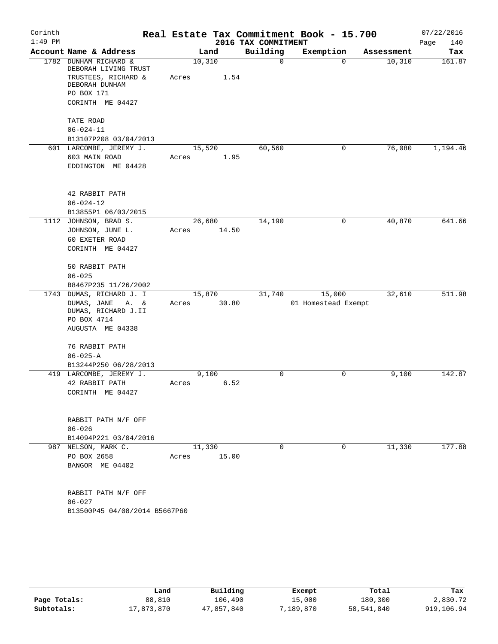| Corinth   |                                                           |         |       |                     | Real Estate Tax Commitment Book - 15.700 |            | 07/22/2016  |
|-----------|-----------------------------------------------------------|---------|-------|---------------------|------------------------------------------|------------|-------------|
| $1:49$ PM |                                                           |         |       | 2016 TAX COMMITMENT |                                          |            | Page<br>140 |
|           | Account Name & Address                                    |         | Land  | Building            | Exemption                                | Assessment | Tax         |
|           | 1782 DUNHAM RICHARD &<br>DEBORAH LIVING TRUST             | 10, 310 |       | $\mathbf 0$         | $\Omega$                                 | 10,310     | 161.87      |
|           | TRUSTEES, RICHARD &<br>DEBORAH DUNHAM<br>PO BOX 171       | Acres   | 1.54  |                     |                                          |            |             |
|           | CORINTH ME 04427                                          |         |       |                     |                                          |            |             |
|           | TATE ROAD                                                 |         |       |                     |                                          |            |             |
|           | $06 - 024 - 11$                                           |         |       |                     |                                          |            |             |
|           | B13107P208 03/04/2013                                     |         |       |                     |                                          |            |             |
|           | 601 LARCOMBE, JEREMY J.                                   | 15,520  |       | 60,560              | 0                                        | 76,080     | 1,194.46    |
|           | 603 MAIN ROAD<br>EDDINGTON ME 04428                       | Acres   | 1.95  |                     |                                          |            |             |
|           | 42 RABBIT PATH                                            |         |       |                     |                                          |            |             |
|           | $06 - 024 - 12$                                           |         |       |                     |                                          |            |             |
|           | B13855P1 06/03/2015                                       |         |       |                     |                                          |            |             |
|           | 1112 JOHNSON, BRAD S.                                     | 26,680  |       | 14,190              | 0                                        | 40,870     | 641.66      |
|           | JOHNSON, JUNE L.                                          | Acres   | 14.50 |                     |                                          |            |             |
|           | 60 EXETER ROAD<br>CORINTH ME 04427                        |         |       |                     |                                          |            |             |
|           |                                                           |         |       |                     |                                          |            |             |
|           | 50 RABBIT PATH                                            |         |       |                     |                                          |            |             |
|           | $06 - 025$                                                |         |       |                     |                                          |            |             |
|           | B8467P235 11/26/2002                                      |         |       |                     |                                          |            |             |
|           | 1743 DUMAS, RICHARD J. I                                  | 15,870  |       | 31,740              | 15,000                                   | 32,610     | 511.98      |
|           | DUMAS, JANE<br>A. &<br>DUMAS, RICHARD J.II<br>PO BOX 4714 | Acres   | 30.80 |                     | 01 Homestead Exempt                      |            |             |
|           | AUGUSTA ME 04338                                          |         |       |                     |                                          |            |             |
|           | 76 RABBIT PATH<br>$06 - 025 - A$                          |         |       |                     |                                          |            |             |
|           | B13244P250 06/28/2013                                     |         |       |                     |                                          |            |             |
|           | 419 LARCOMBE, JEREMY J.                                   |         | 9,100 | 0                   | $\mathbf 0$                              | 9,100      | 142.87      |
|           | 42 RABBIT PATH                                            | Acres   | 6.52  |                     |                                          |            |             |
|           | CORINTH ME 04427                                          |         |       |                     |                                          |            |             |
|           | RABBIT PATH N/F OFF                                       |         |       |                     |                                          |            |             |
|           | $06 - 026$                                                |         |       |                     |                                          |            |             |
|           | B14094P221 03/04/2016                                     |         |       |                     |                                          |            |             |
|           | 987 NELSON, MARK C.                                       | 11,330  |       | $\mathbf 0$         | $\mathbf 0$                              | 11,330     | 177.88      |
|           | PO BOX 2658                                               | Acres   | 15.00 |                     |                                          |            |             |
|           | BANGOR ME 04402                                           |         |       |                     |                                          |            |             |
|           | RABBIT PATH N/F OFF                                       |         |       |                     |                                          |            |             |
|           | $06 - 027$                                                |         |       |                     |                                          |            |             |
|           | B13500P45 04/08/2014 B5667P60                             |         |       |                     |                                          |            |             |

|              | Land       | Building   | Exempt    | Total      | Tax        |
|--------------|------------|------------|-----------|------------|------------|
| Page Totals: | 88,810     | 106,490    | 15,000    | 180,300    | 2,830.72   |
| Subtotals:   | 17,873,870 | 47,857,840 | 7,189,870 | 58,541,840 | 919,106.94 |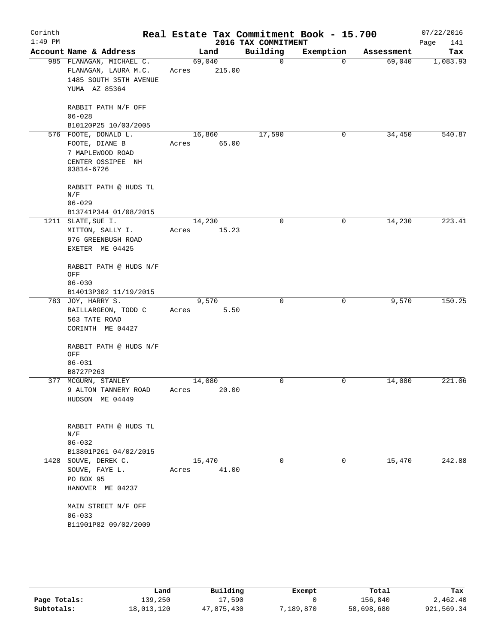| Corinth<br>$1:49$ PM |                                       |        |        |                                 | Real Estate Tax Commitment Book - 15.700 |            | 07/22/2016         |
|----------------------|---------------------------------------|--------|--------|---------------------------------|------------------------------------------|------------|--------------------|
|                      | Account Name & Address                | Land   |        | 2016 TAX COMMITMENT<br>Building | Exemption                                | Assessment | Page<br>141<br>Tax |
|                      | 985 FLANAGAN, MICHAEL C.              | 69,040 |        | $\mathbf 0$                     | $\Omega$                                 | 69,040     | 1,083.93           |
|                      | FLANAGAN, LAURA M.C.                  | Acres  | 215.00 |                                 |                                          |            |                    |
|                      | 1485 SOUTH 35TH AVENUE                |        |        |                                 |                                          |            |                    |
|                      | YUMA AZ 85364                         |        |        |                                 |                                          |            |                    |
|                      | RABBIT PATH N/F OFF                   |        |        |                                 |                                          |            |                    |
|                      | $06 - 028$                            |        |        |                                 |                                          |            |                    |
|                      | B10120P25 10/03/2005                  |        |        |                                 |                                          |            |                    |
|                      | 576 FOOTE, DONALD L.                  | 16,860 |        | 17,590                          | 0                                        | 34,450     | 540.87             |
|                      | FOOTE, DIANE B                        | Acres  | 65.00  |                                 |                                          |            |                    |
|                      | 7 MAPLEWOOD ROAD<br>CENTER OSSIPEE NH |        |        |                                 |                                          |            |                    |
|                      | 03814-6726                            |        |        |                                 |                                          |            |                    |
|                      | RABBIT PATH @ HUDS TL                 |        |        |                                 |                                          |            |                    |
|                      | N/F                                   |        |        |                                 |                                          |            |                    |
|                      | $06 - 029$<br>B13741P344 01/08/2015   |        |        |                                 |                                          |            |                    |
|                      | 1211 SLATE, SUE I.                    | 14,230 |        | 0                               | 0                                        | 14,230     | 223.41             |
|                      | MITTON, SALLY I.                      | Acres  | 15.23  |                                 |                                          |            |                    |
|                      | 976 GREENBUSH ROAD                    |        |        |                                 |                                          |            |                    |
|                      | EXETER ME 04425                       |        |        |                                 |                                          |            |                    |
|                      | RABBIT PATH @ HUDS N/F                |        |        |                                 |                                          |            |                    |
|                      | OFF<br>$06 - 030$                     |        |        |                                 |                                          |            |                    |
|                      | B14013P302 11/19/2015                 |        |        |                                 |                                          |            |                    |
|                      | 783 JOY, HARRY S.                     | 9,570  |        | $\mathbf 0$                     | 0                                        | 9,570      | 150.25             |
|                      | BAILLARGEON, TODD C                   | Acres  | 5.50   |                                 |                                          |            |                    |
|                      | 563 TATE ROAD                         |        |        |                                 |                                          |            |                    |
|                      | CORINTH ME 04427                      |        |        |                                 |                                          |            |                    |
|                      | RABBIT PATH @ HUDS N/F                |        |        |                                 |                                          |            |                    |
|                      | OFF<br>$06 - 031$                     |        |        |                                 |                                          |            |                    |
|                      | B8727P263                             |        |        |                                 |                                          |            |                    |
|                      | 377 MCGURN, STANLEY                   | 14,080 |        | 0                               | 0                                        | 14,080     | 221.06             |
|                      | 9 ALTON TANNERY ROAD                  | Acres  | 20.00  |                                 |                                          |            |                    |
|                      | HUDSON ME 04449                       |        |        |                                 |                                          |            |                    |
|                      | RABBIT PATH @ HUDS TL                 |        |        |                                 |                                          |            |                    |
|                      | N/F                                   |        |        |                                 |                                          |            |                    |
|                      | $06 - 032$                            |        |        |                                 |                                          |            |                    |
|                      | B13801P261 04/02/2015                 |        |        |                                 |                                          |            |                    |
|                      | 1428 SOUVE, DEREK C.                  | 15,470 |        | $\Omega$                        | 0                                        | 15,470     | 242.88             |
|                      | SOUVE, FAYE L.                        | Acres  | 41.00  |                                 |                                          |            |                    |
|                      | PO BOX 95                             |        |        |                                 |                                          |            |                    |
|                      | HANOVER ME 04237                      |        |        |                                 |                                          |            |                    |
|                      | MAIN STREET N/F OFF                   |        |        |                                 |                                          |            |                    |
|                      | $06 - 033$                            |        |        |                                 |                                          |            |                    |
|                      | B11901P82 09/02/2009                  |        |        |                                 |                                          |            |                    |
|                      |                                       |        |        |                                 |                                          |            |                    |

|              | Land       | Building   | Exempt    | Total      | Tax        |
|--------------|------------|------------|-----------|------------|------------|
| Page Totals: | 139,250    | 17,590     |           | 156,840    | 2,462.40   |
| Subtotals:   | 18,013,120 | 47,875,430 | 7,189,870 | 58,698,680 | 921,569.34 |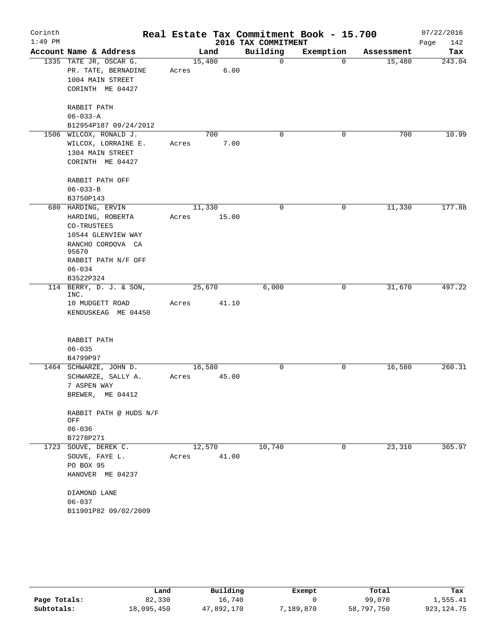| Corinth   |                            |       |             |                     | Real Estate Tax Commitment Book - 15.700 |            | 07/22/2016  |
|-----------|----------------------------|-------|-------------|---------------------|------------------------------------------|------------|-------------|
| $1:49$ PM |                            |       |             | 2016 TAX COMMITMENT |                                          |            | 142<br>Page |
|           | Account Name & Address     |       | Land        | Building            | Exemption                                | Assessment | Tax         |
|           | 1335 TATE JR, OSCAR G.     |       | 15,480      | 0                   | $\Omega$                                 | 15,480     | 243.04      |
|           | PR. TATE, BERNADINE        | Acres | 6.00        |                     |                                          |            |             |
|           | 1004 MAIN STREET           |       |             |                     |                                          |            |             |
|           | CORINTH ME 04427           |       |             |                     |                                          |            |             |
|           | RABBIT PATH                |       |             |                     |                                          |            |             |
|           | $06 - 033 - A$             |       |             |                     |                                          |            |             |
|           | B12954P187 09/24/2012      |       |             |                     |                                          |            |             |
|           | 1506 WILCOX, RONALD J.     |       | 700         | 0                   | $\mathbf 0$                              | 700        | 10.99       |
|           | WILCOX, LORRAINE E.        | Acres | 7.00        |                     |                                          |            |             |
|           | 1304 MAIN STREET           |       |             |                     |                                          |            |             |
|           | CORINTH ME 04427           |       |             |                     |                                          |            |             |
|           | RABBIT PATH OFF            |       |             |                     |                                          |            |             |
|           | $06 - 033 - B$             |       |             |                     |                                          |            |             |
|           | B3750P143                  |       |             |                     |                                          |            |             |
|           | 680 HARDING, ERVIN         |       | 11,330      | 0                   | 0                                        | 11,330     | 177.88      |
|           | HARDING, ROBERTA           | Acres | 15.00       |                     |                                          |            |             |
|           | CO-TRUSTEES                |       |             |                     |                                          |            |             |
|           | 10544 GLENVIEW WAY         |       |             |                     |                                          |            |             |
|           | RANCHO CORDOVA CA<br>95670 |       |             |                     |                                          |            |             |
|           | RABBIT PATH N/F OFF        |       |             |                     |                                          |            |             |
|           | $06 - 034$                 |       |             |                     |                                          |            |             |
|           | B3522P324                  |       |             |                     |                                          |            |             |
|           | 114 BERRY, D. J. & SON,    |       | 25,670      | 6,000               | 0                                        | 31,670     | 497.22      |
|           | INC.<br>10 MUDGETT ROAD    | Acres | 41.10       |                     |                                          |            |             |
|           | KENDUSKEAG ME 04450        |       |             |                     |                                          |            |             |
|           |                            |       |             |                     |                                          |            |             |
|           | RABBIT PATH                |       |             |                     |                                          |            |             |
|           | $06 - 035$                 |       |             |                     |                                          |            |             |
|           | B4799P97                   |       |             |                     |                                          |            |             |
|           | 1464 SCHWARZE, JOHN D.     |       | 16,580      | $\mathbf 0$         | 0                                        | 16,580     | 260.31      |
|           | SCHWARZE, SALLY A.         |       | Acres 45.00 |                     |                                          |            |             |
|           | 7 ASPEN WAY                |       |             |                     |                                          |            |             |
|           | BREWER, ME 04412           |       |             |                     |                                          |            |             |
|           | RABBIT PATH @ HUDS N/F     |       |             |                     |                                          |            |             |
|           | OFF                        |       |             |                     |                                          |            |             |
|           | $06 - 036$                 |       |             |                     |                                          |            |             |
|           | B7278P271                  |       |             |                     |                                          |            |             |
|           | 1723 SOUVE, DEREK C.       |       | 12,570      | 10,740              | 0                                        | 23,310     | 365.97      |
|           | SOUVE, FAYE L.             | Acres | 41.00       |                     |                                          |            |             |
|           | PO BOX 95                  |       |             |                     |                                          |            |             |
|           | HANOVER ME 04237           |       |             |                     |                                          |            |             |
|           | DIAMOND LANE               |       |             |                     |                                          |            |             |
|           | $06 - 037$                 |       |             |                     |                                          |            |             |
|           | B11901P82 09/02/2009       |       |             |                     |                                          |            |             |

|              | Land       | Building   | Exempt    | Total      | Tax          |
|--------------|------------|------------|-----------|------------|--------------|
| Page Totals: | 82,330     | 16,740     |           | 99,070     | 1,555.41     |
| Subtotals:   | 18,095,450 | 47,892,170 | 7,189,870 | 58,797,750 | 923, 124. 75 |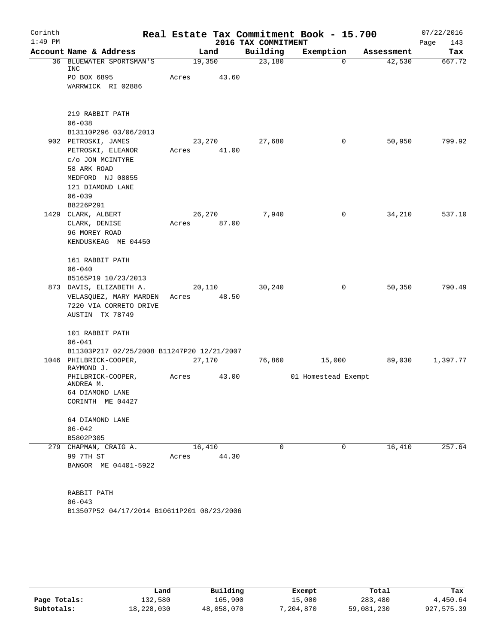| Corinth   |                                                  |        |       |                     | Real Estate Tax Commitment Book - 15.700 |            | 07/22/2016  |
|-----------|--------------------------------------------------|--------|-------|---------------------|------------------------------------------|------------|-------------|
| $1:49$ PM |                                                  |        |       | 2016 TAX COMMITMENT |                                          |            | Page<br>143 |
|           | Account Name & Address                           |        | Land  | Building            | Exemption                                | Assessment | Tax         |
| 36        | BLUEWATER SPORTSMAN'S<br>INC                     | 19,350 |       | 23,180              | $\mathbf 0$                              | 42,530     | 667.72      |
|           | PO BOX 6895                                      | Acres  | 43.60 |                     |                                          |            |             |
|           | WARRWICK RI 02886                                |        |       |                     |                                          |            |             |
|           | 219 RABBIT PATH                                  |        |       |                     |                                          |            |             |
|           | $06 - 038$                                       |        |       |                     |                                          |            |             |
|           | B13110P296 03/06/2013                            |        |       |                     |                                          |            |             |
|           | 902 PETROSKI, JAMES                              | 23,270 |       | 27,680              | 0                                        | 50,950     | 799.92      |
|           | PETROSKI, ELEANOR                                | Acres  | 41.00 |                     |                                          |            |             |
|           | c/o JON MCINTYRE                                 |        |       |                     |                                          |            |             |
|           | 58 ARK ROAD                                      |        |       |                     |                                          |            |             |
|           | MEDFORD NJ 08055                                 |        |       |                     |                                          |            |             |
|           | 121 DIAMOND LANE                                 |        |       |                     |                                          |            |             |
|           | $06 - 039$                                       |        |       |                     |                                          |            |             |
|           | B8226P291                                        |        |       |                     |                                          |            |             |
|           | 1429 CLARK, ALBERT                               | 26,270 |       | 7,940               | 0                                        | 34,210     | 537.10      |
|           | CLARK, DENISE                                    | Acres  | 87.00 |                     |                                          |            |             |
|           | 96 MOREY ROAD                                    |        |       |                     |                                          |            |             |
|           | KENDUSKEAG ME 04450                              |        |       |                     |                                          |            |             |
|           | 161 RABBIT PATH                                  |        |       |                     |                                          |            |             |
|           | $06 - 040$                                       |        |       |                     |                                          |            |             |
|           | B5165P19 10/23/2013                              |        |       |                     |                                          |            |             |
|           | 873 DAVIS, ELIZABETH A.                          | 20,110 | 48.50 | 30,240              | 0                                        | 50,350     | 790.49      |
|           | VELASQUEZ, MARY MARDEN<br>7220 VIA CORRETO DRIVE | Acres  |       |                     |                                          |            |             |
|           | AUSTIN TX 78749                                  |        |       |                     |                                          |            |             |
|           |                                                  |        |       |                     |                                          |            |             |
|           | 101 RABBIT PATH                                  |        |       |                     |                                          |            |             |
|           | $06 - 041$                                       |        |       |                     |                                          |            |             |
|           | B11303P217 02/25/2008 B11247P20 12/21/2007       |        |       |                     |                                          |            |             |
|           | 1046 PHILBRICK-COOPER,<br>RAYMOND J.             | 27,170 |       | 76,860              | 15,000                                   | 89,030     | 1,397.77    |
|           | PHILBRICK-COOPER,<br>ANDREA M.                   | Acres  | 43.00 |                     | 01 Homestead Exempt                      |            |             |
|           | 64 DIAMOND LANE                                  |        |       |                     |                                          |            |             |
|           | CORINTH ME 04427                                 |        |       |                     |                                          |            |             |
|           | 64 DIAMOND LANE                                  |        |       |                     |                                          |            |             |
|           | $06 - 042$                                       |        |       |                     |                                          |            |             |
|           | B5802P305                                        |        |       |                     |                                          |            |             |
|           | 279 CHAPMAN, CRAIG A.                            | 16,410 |       | $\Omega$            | $\mathbf 0$                              | 16,410     | 257.64      |
|           | 99 7TH ST                                        | Acres  | 44.30 |                     |                                          |            |             |
|           | BANGOR ME 04401-5922                             |        |       |                     |                                          |            |             |
|           | RABBIT PATH                                      |        |       |                     |                                          |            |             |
|           | $06 - 043$                                       |        |       |                     |                                          |            |             |
|           | B13507P52 04/17/2014 B10611P201 08/23/2006       |        |       |                     |                                          |            |             |

|              | Land       | Building   | Exempt    | Total      | Tax        |
|--------------|------------|------------|-----------|------------|------------|
| Page Totals: | 132,580    | 165,900    | 15,000    | 283,480    | 4,450.64   |
| Subtotals:   | 18,228,030 | 48,058,070 | 7,204,870 | 59,081,230 | 927,575.39 |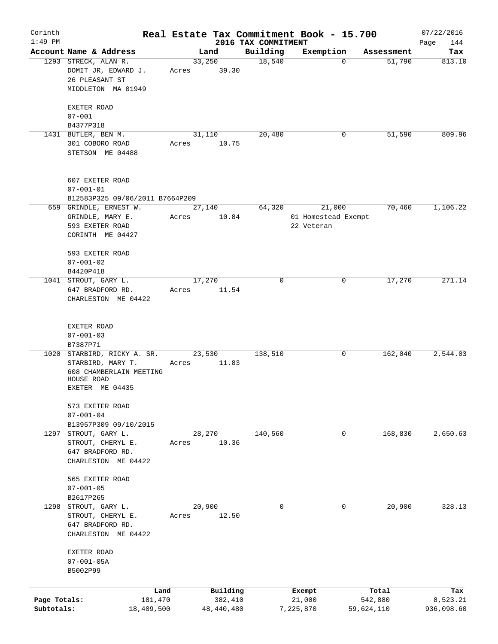| Corinth<br>$1:49$ PM       |                                                                                                              |                 |                       |                                 | Real Estate Tax Commitment Book - 15.700    |                       | 07/22/2016             |
|----------------------------|--------------------------------------------------------------------------------------------------------------|-----------------|-----------------------|---------------------------------|---------------------------------------------|-----------------------|------------------------|
|                            | Account Name & Address                                                                                       |                 | Land                  | 2016 TAX COMMITMENT<br>Building | Exemption                                   | Assessment            | Page<br>144<br>Tax     |
|                            | 1293 STRECK, ALAN R.<br>DOMIT JR, EDWARD J.<br>26 PLEASANT ST<br>MIDDLETON MA 01949                          | 33,250<br>Acres | 39.30                 | 18,540                          | 0                                           | 51,790                | 813.10                 |
|                            | EXETER ROAD<br>$07 - 001$                                                                                    |                 |                       |                                 |                                             |                       |                        |
|                            | B4377P318                                                                                                    |                 |                       |                                 |                                             |                       |                        |
|                            | 1431 BUTLER, BEN M.<br>301 COBORO ROAD<br>STETSON ME 04488                                                   | 31,110<br>Acres | 10.75                 | 20,480                          | 0                                           | 51,590                | 809.96                 |
|                            | 607 EXETER ROAD<br>$07 - 001 - 01$<br>B12583P325 09/06/2011 B7664P209                                        |                 |                       |                                 |                                             |                       |                        |
|                            | 659 GRINDLE, ERNEST W.<br>GRINDLE, MARY E.<br>593 EXETER ROAD<br>CORINTH ME 04427                            | 27,140<br>Acres | 10.84                 | 64,320                          | 21,000<br>01 Homestead Exempt<br>22 Veteran | 70,460                | 1,106.22               |
|                            | 593 EXETER ROAD<br>$07 - 001 - 02$<br>B4420P418                                                              |                 |                       |                                 |                                             |                       |                        |
|                            | 1041 STROUT, GARY L.<br>647 BRADFORD RD.<br>CHARLESTON ME 04422                                              | 17,270<br>Acres | 11.54                 | 0                               | 0                                           | 17,270                | 271.14                 |
|                            | EXETER ROAD<br>$07 - 001 - 03$<br>B7387P71                                                                   |                 |                       |                                 |                                             |                       |                        |
|                            | 1020 STARBIRD, RICKY A. SR.<br>STARBIRD, MARY T.<br>608 CHAMBERLAIN MEETING<br>HOUSE ROAD<br>EXETER ME 04435 | 23,530<br>Acres | 11.83                 | 138,510                         | 0                                           | 162,040               | 2,544.03               |
|                            | 573 EXETER ROAD<br>$07 - 001 - 04$<br>B13957P309 09/10/2015                                                  |                 |                       |                                 |                                             |                       |                        |
|                            | 1297 STROUT, GARY L.<br>STROUT, CHERYL E.<br>647 BRADFORD RD.<br>CHARLESTON ME 04422                         | 28,270<br>Acres | 10.36                 | 140,560                         | 0                                           | 168,830               | 2,650.63               |
|                            | 565 EXETER ROAD<br>$07 - 001 - 05$<br>B2617P265                                                              |                 |                       |                                 |                                             |                       |                        |
|                            | 1298 STROUT, GARY L.<br>STROUT, CHERYL E.<br>647 BRADFORD RD.<br>CHARLESTON ME 04422                         | 20,900<br>Acres | 12.50                 | $\mathbf 0$                     | 0                                           | 20,900                | 328.13                 |
|                            | EXETER ROAD<br>$07 - 001 - 05A$<br>B5002P99                                                                  |                 |                       |                                 |                                             |                       |                        |
|                            | Land                                                                                                         |                 | Building              |                                 | Exempt                                      | Total                 | Tax                    |
| Page Totals:<br>Subtotals: | 181,470<br>18,409,500                                                                                        |                 | 382,410<br>48,440,480 |                                 | 21,000<br>7,225,870                         | 542,880<br>59,624,110 | 8,523.21<br>936,098.60 |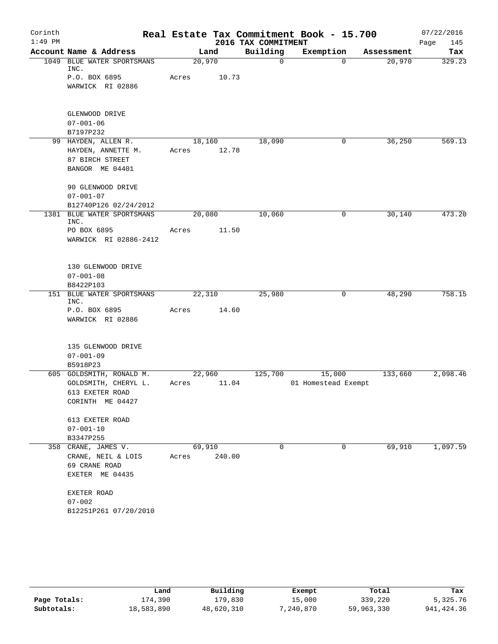| Corinth<br>$1:49$ PM |                                                                                 |                 |        | 2016 TAX COMMITMENT | Real Estate Tax Commitment Book - 15.700 |            | 07/22/2016<br>Page<br>145 |
|----------------------|---------------------------------------------------------------------------------|-----------------|--------|---------------------|------------------------------------------|------------|---------------------------|
|                      | Account Name & Address                                                          |                 | Land   | Building            | Exemption                                | Assessment | Tax                       |
| 1049                 | BLUE WATER SPORTSMANS<br>INC.                                                   | 20,970          |        | $\mathbf 0$         | $\mathbf 0$                              | 20,970     | 329.23                    |
|                      | P.O. BOX 6895<br>WARWICK RI 02886                                               | Acres           | 10.73  |                     |                                          |            |                           |
|                      | GLENWOOD DRIVE<br>$07 - 001 - 06$<br>B7197P232                                  |                 |        |                     |                                          |            |                           |
|                      | 99 HAYDEN, ALLEN R.<br>HAYDEN, ANNETTE M.<br>87 BIRCH STREET<br>BANGOR ME 04401 | 18,160<br>Acres | 12.78  | 18,090              | 0                                        | 36,250     | 569.13                    |
|                      | 90 GLENWOOD DRIVE<br>$07 - 001 - 07$                                            |                 |        |                     |                                          |            |                           |
|                      | B12740P126 02/24/2012<br>1381 BLUE WATER SPORTSMANS                             |                 |        | 10,060              | 0                                        | 30,140     | 473.20                    |
|                      | INC.<br>PO BOX 6895                                                             | 20,080<br>Acres | 11.50  |                     |                                          |            |                           |
|                      | WARWICK RI 02886-2412                                                           |                 |        |                     |                                          |            |                           |
|                      | 130 GLENWOOD DRIVE<br>$07 - 001 - 08$<br>B8422P103                              |                 |        |                     |                                          |            |                           |
|                      | 151 BLUE WATER SPORTSMANS<br>INC.                                               | 22,310          |        | 25,980              | 0                                        | 48,290     | 758.15                    |
|                      | P.O. BOX 6895<br>WARWICK RI 02886                                               | Acres           | 14.60  |                     |                                          |            |                           |
|                      | 135 GLENWOOD DRIVE<br>$07 - 001 - 09$                                           |                 |        |                     |                                          |            |                           |
|                      | B5918P23<br>605 GOLDSMITH, RONALD M.                                            | 22,960          |        | 125,700             | 15,000                                   | 133,660    | 2,098.46                  |
|                      | GOLDSMITH, CHERYL L.<br>613 EXETER ROAD<br>CORINTH ME 04427                     | Acres           | 11.04  |                     | 01 Homestead Exempt                      |            |                           |
|                      | 613 EXETER ROAD<br>$07 - 001 - 10$                                              |                 |        |                     |                                          |            |                           |
|                      | B3347P255                                                                       |                 |        |                     |                                          |            |                           |
|                      | 358 CRANE, JAMES V.<br>CRANE, NEIL & LOIS<br>69 CRANE ROAD<br>EXETER ME 04435   | 69,910<br>Acres | 240.00 | 0                   | $\mathbf 0$                              | 69,910     | 1,097.59                  |
|                      | EXETER ROAD<br>$07 - 002$                                                       |                 |        |                     |                                          |            |                           |
|                      | B12251P261 07/20/2010                                                           |                 |        |                     |                                          |            |                           |

|              | Land       | Building   | Exempt    | Total      | Tax         |
|--------------|------------|------------|-----------|------------|-------------|
| Page Totals: | 174,390    | 179,830    | 15,000    | 339,220    | 5,325.76    |
| Subtotals:   | 18,583,890 | 48,620,310 | 7,240,870 | 59,963,330 | 941, 424.36 |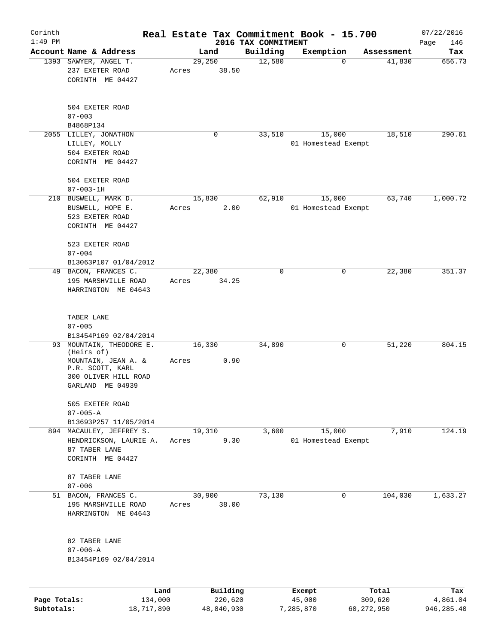| Corinth      |                                     |       |                |                                 | Real Estate Tax Commitment Book - 15.700 |            | 07/22/2016    |
|--------------|-------------------------------------|-------|----------------|---------------------------------|------------------------------------------|------------|---------------|
| $1:49$ PM    | Account Name & Address              |       |                | 2016 TAX COMMITMENT<br>Building |                                          | Assessment | Page<br>146   |
|              | 1393 SAWYER, ANGEL T.               |       | Land<br>29,250 | 12,580                          | Exemption<br>$\mathbf 0$                 | 41,830     | Tax<br>656.73 |
|              | 237 EXETER ROAD                     | Acres | 38.50          |                                 |                                          |            |               |
|              | CORINTH ME 04427                    |       |                |                                 |                                          |            |               |
|              |                                     |       |                |                                 |                                          |            |               |
|              | 504 EXETER ROAD                     |       |                |                                 |                                          |            |               |
|              | $07 - 003$                          |       |                |                                 |                                          |            |               |
|              | B4868P134                           |       |                |                                 |                                          |            |               |
|              | 2055 LILLEY, JONATHON               |       | 0              | 33,510                          | 15,000                                   | 18,510     | 290.61        |
|              | LILLEY, MOLLY                       |       |                |                                 | 01 Homestead Exempt                      |            |               |
|              |                                     |       |                |                                 |                                          |            |               |
|              | 504 EXETER ROAD<br>CORINTH ME 04427 |       |                |                                 |                                          |            |               |
|              |                                     |       |                |                                 |                                          |            |               |
|              | 504 EXETER ROAD                     |       |                |                                 |                                          |            |               |
|              | $07 - 003 - 1H$                     |       |                |                                 |                                          |            |               |
|              | 210 BUSWELL, MARK D.                |       | 15,830         | 62,910                          | 15,000                                   | 63,740     | 1,000.72      |
|              | BUSWELL, HOPE E.                    | Acres | 2.00           |                                 | 01 Homestead Exempt                      |            |               |
|              | 523 EXETER ROAD                     |       |                |                                 |                                          |            |               |
|              | CORINTH ME 04427                    |       |                |                                 |                                          |            |               |
|              |                                     |       |                |                                 |                                          |            |               |
|              | 523 EXETER ROAD                     |       |                |                                 |                                          |            |               |
|              | $07 - 004$                          |       |                |                                 |                                          |            |               |
|              | B13063P107 01/04/2012               |       |                |                                 |                                          |            |               |
|              | 49 BACON, FRANCES C.                |       | 22,380         | $\mathbf 0$                     | 0                                        | 22,380     | 351.37        |
|              | 195 MARSHVILLE ROAD                 | Acres | 34.25          |                                 |                                          |            |               |
|              | HARRINGTON ME 04643                 |       |                |                                 |                                          |            |               |
|              |                                     |       |                |                                 |                                          |            |               |
|              | TABER LANE                          |       |                |                                 |                                          |            |               |
|              | $07 - 005$                          |       |                |                                 |                                          |            |               |
|              | B13454P169 02/04/2014               |       |                |                                 |                                          |            |               |
| 93           | MOUNTAIN, THEODORE E.               |       | 16,330         | 34,890                          | 0                                        | 51,220     | 804.15        |
|              | (Heirs of)                          |       |                |                                 |                                          |            |               |
|              | MOUNTAIN, JEAN A. &                 | Acres | 0.90           |                                 |                                          |            |               |
|              | P.R. SCOTT, KARL                    |       |                |                                 |                                          |            |               |
|              | 300 OLIVER HILL ROAD                |       |                |                                 |                                          |            |               |
|              | GARLAND ME 04939                    |       |                |                                 |                                          |            |               |
|              | 505 EXETER ROAD                     |       |                |                                 |                                          |            |               |
|              | $07 - 005 - A$                      |       |                |                                 |                                          |            |               |
|              | B13693P257 11/05/2014               |       |                |                                 |                                          |            |               |
|              | 894 MACAULEY, JEFFREY S.            |       | 19,310         | 3,600                           | 15,000                                   | 7,910      | 124.19        |
|              | HENDRICKSON, LAURIE A.              | Acres | 9.30           |                                 | 01 Homestead Exempt                      |            |               |
|              | 87 TABER LANE                       |       |                |                                 |                                          |            |               |
|              | CORINTH ME 04427                    |       |                |                                 |                                          |            |               |
|              |                                     |       |                |                                 |                                          |            |               |
|              | 87 TABER LANE                       |       |                |                                 |                                          |            |               |
|              | $07 - 006$                          |       |                |                                 |                                          |            |               |
|              | 51 BACON, FRANCES C.                |       | 30,900         | 73,130                          | 0                                        | 104,030    | 1,633.27      |
|              | 195 MARSHVILLE ROAD                 | Acres | 38.00          |                                 |                                          |            |               |
|              | HARRINGTON ME 04643                 |       |                |                                 |                                          |            |               |
|              |                                     |       |                |                                 |                                          |            |               |
|              | 82 TABER LANE                       |       |                |                                 |                                          |            |               |
|              | $07 - 006 - A$                      |       |                |                                 |                                          |            |               |
|              | B13454P169 02/04/2014               |       |                |                                 |                                          |            |               |
|              |                                     |       |                |                                 |                                          |            |               |
|              |                                     | Land  | Building       |                                 | Exempt                                   | Total      | Tax           |
| Page Totals: | 134,000                             |       | 220,620        |                                 | 45,000                                   | 309,620    | 4,861.04      |

**Subtotals:** 18,717,890 48,840,930 7,285,870 60,272,950 946,285.40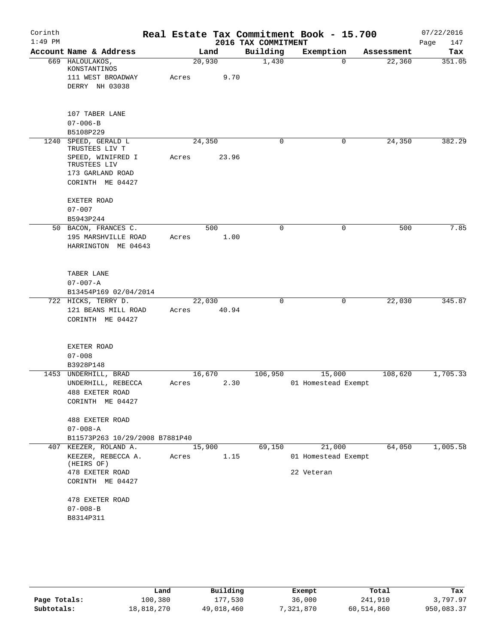| Corinth<br>$1:49$ PM |                                        |       |        | 2016 TAX COMMITMENT | Real Estate Tax Commitment Book - 15.700 |            | 07/22/2016         |
|----------------------|----------------------------------------|-------|--------|---------------------|------------------------------------------|------------|--------------------|
|                      | Account Name & Address                 |       | Land   | Building            | Exemption                                | Assessment | Page<br>147<br>Tax |
|                      | 669 HALOULAKOS,                        |       | 20,930 | 1,430               | $\mathbf 0$                              | 22,360     | 351.05             |
|                      | KONSTANTINOS                           |       |        |                     |                                          |            |                    |
|                      | 111 WEST BROADWAY                      | Acres | 9.70   |                     |                                          |            |                    |
|                      | DERRY NH 03038                         |       |        |                     |                                          |            |                    |
|                      |                                        |       |        |                     |                                          |            |                    |
|                      | 107 TABER LANE                         |       |        |                     |                                          |            |                    |
|                      | $07 - 006 - B$                         |       |        |                     |                                          |            |                    |
|                      | B5108P229                              |       |        |                     |                                          |            |                    |
|                      | 1240 SPEED, GERALD L<br>TRUSTEES LIV T |       | 24,350 | 0                   | $\mathbf 0$                              | 24,350     | 382.29             |
|                      | SPEED, WINIFRED I<br>TRUSTEES LIV      | Acres | 23.96  |                     |                                          |            |                    |
|                      | 173 GARLAND ROAD                       |       |        |                     |                                          |            |                    |
|                      | CORINTH ME 04427                       |       |        |                     |                                          |            |                    |
|                      | <b>EXETER ROAD</b>                     |       |        |                     |                                          |            |                    |
|                      | $07 - 007$                             |       |        |                     |                                          |            |                    |
|                      | B5943P244                              |       |        |                     |                                          |            |                    |
|                      | 50 BACON, FRANCES C.                   |       | 500    | 0                   | 0                                        | 500        | 7.85               |
|                      | 195 MARSHVILLE ROAD                    | Acres | 1.00   |                     |                                          |            |                    |
|                      | HARRINGTON ME 04643                    |       |        |                     |                                          |            |                    |
|                      |                                        |       |        |                     |                                          |            |                    |
|                      | TABER LANE                             |       |        |                     |                                          |            |                    |
|                      | $07 - 007 - A$                         |       |        |                     |                                          |            |                    |
|                      | B13454P169 02/04/2014                  |       |        |                     |                                          |            |                    |
|                      | 722 HICKS, TERRY D.                    |       | 22,030 | 0                   | 0                                        | 22,030     | 345.87             |
|                      | 121 BEANS MILL ROAD                    | Acres | 40.94  |                     |                                          |            |                    |
|                      | CORINTH ME 04427                       |       |        |                     |                                          |            |                    |
|                      |                                        |       |        |                     |                                          |            |                    |
|                      | EXETER ROAD                            |       |        |                     |                                          |            |                    |
|                      | $07 - 008$                             |       |        |                     |                                          |            |                    |
|                      | B3928P148                              |       |        |                     |                                          |            |                    |
| 1453                 | UNDERHILL, BRAD                        |       | 16,670 | 106,950             | 15,000                                   | 108,620    | 1,705.33           |
|                      | UNDERHILL, REBECCA                     | Acres | 2.30   |                     | 01 Homestead Exempt                      |            |                    |
|                      | 488 EXETER ROAD                        |       |        |                     |                                          |            |                    |
|                      | CORINTH ME 04427                       |       |        |                     |                                          |            |                    |
|                      | 488 EXETER ROAD                        |       |        |                     |                                          |            |                    |
|                      | $07 - 008 - A$                         |       |        |                     |                                          |            |                    |
|                      | B11573P263 10/29/2008 B7881P40         |       |        |                     |                                          |            |                    |
|                      | 407 KEEZER, ROLAND A.                  |       | 15,900 | 69,150              | 21,000                                   | 64,050     | 1,005.58           |
|                      | KEEZER, REBECCA A.<br>(HEIRS OF)       | Acres | 1.15   |                     | 01 Homestead Exempt                      |            |                    |
|                      | 478 EXETER ROAD                        |       |        |                     | 22 Veteran                               |            |                    |
|                      | CORINTH ME 04427                       |       |        |                     |                                          |            |                    |
|                      | 478 EXETER ROAD                        |       |        |                     |                                          |            |                    |
|                      | $07 - 008 - B$                         |       |        |                     |                                          |            |                    |
|                      | B8314P311                              |       |        |                     |                                          |            |                    |

|              | Land       | Building   | Exempt    | Total      | Tax        |
|--------------|------------|------------|-----------|------------|------------|
| Page Totals: | 100,380    | 177,530    | 36,000    | 241,910    | 3,797.97   |
| Subtotals:   | 18,818,270 | 49,018,460 | 7,321,870 | 60,514,860 | 950,083.37 |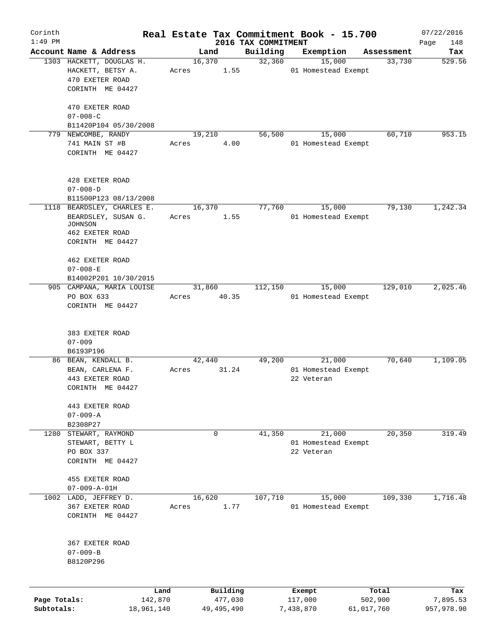| Corinth<br>$1:49$ PM |                            |              |                                 | Real Estate Tax Commitment Book - 15.700 |            | 07/22/2016         |
|----------------------|----------------------------|--------------|---------------------------------|------------------------------------------|------------|--------------------|
|                      | Account Name & Address     | Land         | 2016 TAX COMMITMENT<br>Building | Exemption                                | Assessment | Page<br>148<br>Tax |
|                      | 1303 HACKETT, DOUGLAS H.   | 16,370       | 32,360                          | 15,000                                   | 33,730     | 529.56             |
|                      | HACKETT, BETSY A.          | Acres        | 1.55                            | 01 Homestead Exempt                      |            |                    |
|                      | 470 EXETER ROAD            |              |                                 |                                          |            |                    |
|                      | CORINTH ME 04427           |              |                                 |                                          |            |                    |
|                      |                            |              |                                 |                                          |            |                    |
|                      | 470 EXETER ROAD            |              |                                 |                                          |            |                    |
|                      | $07 - 008 - C$             |              |                                 |                                          |            |                    |
|                      | B11420P104 05/30/2008      |              |                                 |                                          | 60,710     | 953.15             |
|                      | 779 NEWCOMBE, RANDY        | 19,210       | 56,500                          | 15,000                                   |            |                    |
|                      | 741 MAIN ST #B             | Acres        | 4.00                            | 01 Homestead Exempt                      |            |                    |
|                      | CORINTH ME 04427           |              |                                 |                                          |            |                    |
|                      |                            |              |                                 |                                          |            |                    |
|                      | 428 EXETER ROAD            |              |                                 |                                          |            |                    |
|                      | $07 - 008 - D$             |              |                                 |                                          |            |                    |
|                      | B11500P123 08/13/2008      |              |                                 |                                          |            |                    |
|                      | 1118 BEARDSLEY, CHARLES E. | 16,370       | 77,760                          | 15,000                                   | 79,130     | 1,242.34           |
|                      | BEARDSLEY, SUSAN G.        | Acres        | 1.55                            | 01 Homestead Exempt                      |            |                    |
|                      | JOHNSON                    |              |                                 |                                          |            |                    |
|                      | 462 EXETER ROAD            |              |                                 |                                          |            |                    |
|                      | CORINTH ME 04427           |              |                                 |                                          |            |                    |
|                      |                            |              |                                 |                                          |            |                    |
|                      | 462 EXETER ROAD            |              |                                 |                                          |            |                    |
|                      | $07 - 008 - E$             |              |                                 |                                          |            |                    |
|                      | B14002P201 10/30/2015      |              |                                 |                                          |            |                    |
|                      | 905 CAMPANA, MARIA LOUISE  | 31,860       | 112,150                         | 15,000                                   | 129,010    | 2,025.46           |
|                      | PO BOX 633                 | Acres        | 40.35                           | 01 Homestead Exempt                      |            |                    |
|                      | CORINTH ME 04427           |              |                                 |                                          |            |                    |
|                      |                            |              |                                 |                                          |            |                    |
|                      | 383 EXETER ROAD            |              |                                 |                                          |            |                    |
|                      | $07 - 009$                 |              |                                 |                                          |            |                    |
|                      | B6193P196                  |              |                                 |                                          |            |                    |
|                      | 86 BEAN, KENDALL B.        | 42,440       | 49,200                          | 21,000                                   | 70,640     | 1,109.05           |
|                      | BEAN, CARLENA F.           | Acres        | 31.24                           | 01 Homestead Exempt                      |            |                    |
|                      | 443 EXETER ROAD            |              |                                 | 22 Veteran                               |            |                    |
|                      | CORINTH ME 04427           |              |                                 |                                          |            |                    |
|                      | 443 EXETER ROAD            |              |                                 |                                          |            |                    |
|                      | $07 - 009 - A$             |              |                                 |                                          |            |                    |
|                      | B2308P27                   |              |                                 |                                          |            |                    |
| 1280                 | STEWART, RAYMOND           | $\mathbf 0$  | 41,350                          | 21,000                                   | 20, 350    | 319.49             |
|                      | STEWART, BETTY L           |              |                                 | 01 Homestead Exempt                      |            |                    |
|                      | PO BOX 337                 |              |                                 | 22 Veteran                               |            |                    |
|                      | CORINTH ME 04427           |              |                                 |                                          |            |                    |
|                      | 455 EXETER ROAD            |              |                                 |                                          |            |                    |
|                      | $07 - 009 - A - 01H$       |              |                                 |                                          |            |                    |
|                      | 1002 LADD, JEFFREY D.      | 16,620       | 107,710                         | 15,000                                   | 109,330    | 1,716.48           |
|                      | 367 EXETER ROAD            | Acres        | 1.77                            | 01 Homestead Exempt                      |            |                    |
|                      | CORINTH ME 04427           |              |                                 |                                          |            |                    |
|                      |                            |              |                                 |                                          |            |                    |
|                      | 367 EXETER ROAD            |              |                                 |                                          |            |                    |
|                      | $07 - 009 - B$             |              |                                 |                                          |            |                    |
|                      | B8120P296                  |              |                                 |                                          |            |                    |
|                      |                            |              |                                 |                                          |            |                    |
|                      | Land                       |              | Building                        | Exempt                                   | Total      | Tax                |
| Page Totals:         | 142,870                    |              | 477,030                         | 117,000                                  | 502,900    | 7,895.53           |
| Subtotals:           | 18,961,140                 | 49, 495, 490 |                                 | 7,438,870                                | 61,017,760 | 957,978.90         |
|                      |                            |              |                                 |                                          |            |                    |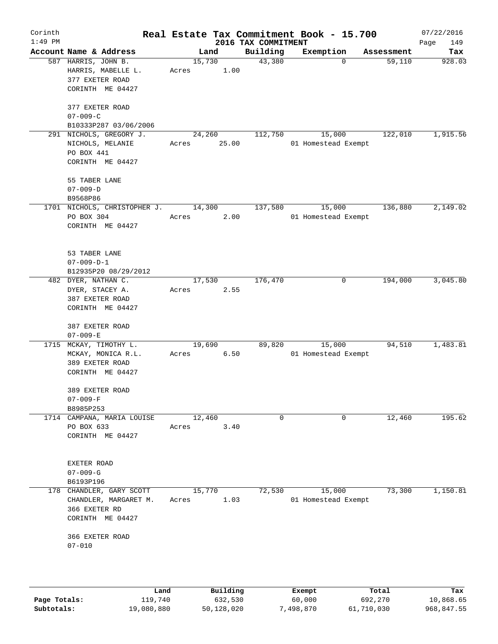| Corinth   |                                         |                |                      |                                 | Real Estate Tax Commitment Book - 15.700 |                      | 07/22/2016    |
|-----------|-----------------------------------------|----------------|----------------------|---------------------------------|------------------------------------------|----------------------|---------------|
| $1:49$ PM | Account Name & Address                  |                |                      | 2016 TAX COMMITMENT<br>Building |                                          |                      | Page<br>149   |
|           | 587 HARRIS, JOHN B.                     | Land<br>15,730 |                      | 43,380                          | Exemption<br>0                           | Assessment<br>59,110 | Tax<br>928.03 |
|           | HARRIS, MABELLE L.                      | Acres          | 1.00                 |                                 |                                          |                      |               |
|           | 377 EXETER ROAD                         |                |                      |                                 |                                          |                      |               |
|           | CORINTH ME 04427                        |                |                      |                                 |                                          |                      |               |
|           |                                         |                |                      |                                 |                                          |                      |               |
|           | 377 EXETER ROAD                         |                |                      |                                 |                                          |                      |               |
|           | $07 - 009 - C$                          |                |                      |                                 |                                          |                      |               |
|           | B10333P287 03/06/2006                   |                |                      |                                 |                                          |                      |               |
|           | 291 NICHOLS, GREGORY J.                 | 24,260         |                      | 112,750                         | 15,000                                   | 122,010              | 1,915.56      |
|           | NICHOLS, MELANIE                        | Acres          | 25.00                |                                 | 01 Homestead Exempt                      |                      |               |
|           | PO BOX 441                              |                |                      |                                 |                                          |                      |               |
|           | CORINTH ME 04427                        |                |                      |                                 |                                          |                      |               |
|           | 55 TABER LANE                           |                |                      |                                 |                                          |                      |               |
|           | $07 - 009 - D$                          |                |                      |                                 |                                          |                      |               |
|           | B9568P86                                |                |                      |                                 |                                          |                      |               |
|           | 1701 NICHOLS, CHRISTOPHER J.            | 14,300         |                      | 137,580                         | 15,000                                   | 136,880              | 2,149.02      |
|           | PO BOX 304                              | Acres          | 2.00                 |                                 | 01 Homestead Exempt                      |                      |               |
|           | CORINTH ME 04427                        |                |                      |                                 |                                          |                      |               |
|           |                                         |                |                      |                                 |                                          |                      |               |
|           |                                         |                |                      |                                 |                                          |                      |               |
|           | 53 TABER LANE                           |                |                      |                                 |                                          |                      |               |
|           | $07 - 009 - D - 1$                      |                |                      |                                 |                                          |                      |               |
|           | B12935P20 08/29/2012                    |                |                      |                                 |                                          |                      |               |
|           | 482 DYER, NATHAN C.                     | 17,530         |                      | 176,470                         | 0                                        | 194,000              | 3,045.80      |
|           | DYER, STACEY A.                         | Acres          | 2.55                 |                                 |                                          |                      |               |
|           | 387 EXETER ROAD<br>CORINTH ME 04427     |                |                      |                                 |                                          |                      |               |
|           |                                         |                |                      |                                 |                                          |                      |               |
|           | 387 EXETER ROAD                         |                |                      |                                 |                                          |                      |               |
|           | $07 - 009 - E$                          |                |                      |                                 |                                          |                      |               |
|           | 1715 MCKAY, TIMOTHY L.                  | 19,690         |                      | 89,820                          | 15,000                                   | 94,510               | 1,483.81      |
|           | MCKAY, MONICA R.L.                      | Acres          | 6.50                 |                                 | 01 Homestead Exempt                      |                      |               |
|           | 389 EXETER ROAD                         |                |                      |                                 |                                          |                      |               |
|           | CORINTH ME 04427                        |                |                      |                                 |                                          |                      |               |
|           |                                         |                |                      |                                 |                                          |                      |               |
|           | 389 EXETER ROAD                         |                |                      |                                 |                                          |                      |               |
|           | $07 - 009 - F$                          |                |                      |                                 |                                          |                      |               |
|           | B8985P253<br>1714 CAMPANA, MARIA LOUISE | 12,460         |                      | 0                               | 0                                        | 12,460               | 195.62        |
|           | PO BOX 633                              | Acres          | 3.40                 |                                 |                                          |                      |               |
|           | CORINTH ME 04427                        |                |                      |                                 |                                          |                      |               |
|           |                                         |                |                      |                                 |                                          |                      |               |
|           |                                         |                |                      |                                 |                                          |                      |               |
|           | EXETER ROAD                             |                |                      |                                 |                                          |                      |               |
|           | $07 - 009 - G$                          |                |                      |                                 |                                          |                      |               |
|           | B6193P196                               |                |                      |                                 |                                          |                      |               |
| 178       | CHANDLER, GARY SCOTT                    | 15,770         |                      | 72,530                          | 15,000                                   | 73,300               | 1,150.81      |
|           | CHANDLER, MARGARET M.                   | Acres          | 1.03                 |                                 | 01 Homestead Exempt                      |                      |               |
|           | 366 EXETER RD                           |                |                      |                                 |                                          |                      |               |
|           | CORINTH ME 04427                        |                |                      |                                 |                                          |                      |               |
|           | 366 EXETER ROAD                         |                |                      |                                 |                                          |                      |               |
|           | $07 - 010$                              |                |                      |                                 |                                          |                      |               |
|           |                                         |                |                      |                                 |                                          |                      |               |
|           |                                         |                |                      |                                 |                                          |                      |               |
|           |                                         |                |                      |                                 |                                          |                      |               |
|           |                                         |                |                      |                                 |                                          |                      |               |
|           | T on A                                  |                | $D_{11}$ in $D_{12}$ |                                 | $P$ -- $\sim$ mm $+$                     | $T - 1$              | π.            |

|              | Land       | Building   | Exempt    | Total      | Tax        |
|--------------|------------|------------|-----------|------------|------------|
| Page Totals: | 119,740    | 632,530    | 60,000    | 692,270    | 10,868.65  |
| Subtotals:   | 19,080,880 | 50,128,020 | 498,870;" | 61,710,030 | 968,847.55 |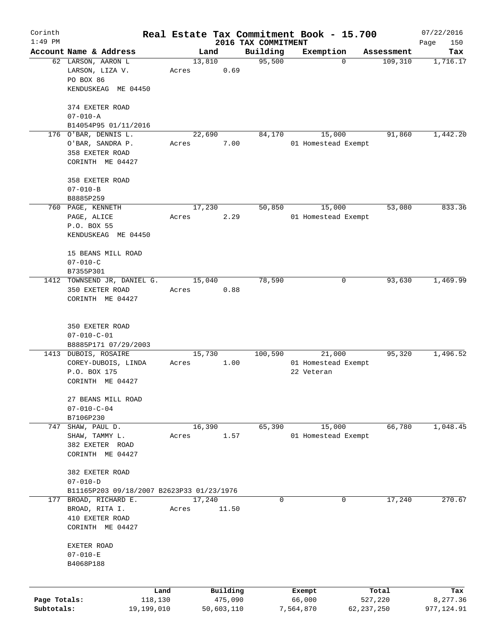| Corinth      |                                              |                 |                     |                     | Real Estate Tax Commitment Book - 15.700 |                       | 07/22/2016      |
|--------------|----------------------------------------------|-----------------|---------------------|---------------------|------------------------------------------|-----------------------|-----------------|
| $1:49$ PM    |                                              |                 |                     | 2016 TAX COMMITMENT |                                          |                       | Page<br>150     |
|              | Account Name & Address<br>62 LARSON, AARON L |                 | Land<br>13,810      | Building<br>95,500  | Exemption<br>$\mathbf 0$                 | Assessment<br>109,310 | Tax<br>1,716.17 |
|              | LARSON, LIZA V.                              | Acres           | 0.69                |                     |                                          |                       |                 |
|              | PO BOX 86                                    |                 |                     |                     |                                          |                       |                 |
|              | KENDUSKEAG ME 04450                          |                 |                     |                     |                                          |                       |                 |
|              |                                              |                 |                     |                     |                                          |                       |                 |
|              | 374 EXETER ROAD                              |                 |                     |                     |                                          |                       |                 |
|              | $07 - 010 - A$                               |                 |                     |                     |                                          |                       |                 |
|              | B14054P95 01/11/2016                         |                 |                     |                     |                                          |                       |                 |
|              | 176 O'BAR, DENNIS L.                         |                 | 22,690              | 84,170              | 15,000                                   | 91,860                | 1,442.20        |
|              | O'BAR, SANDRA P.                             | Acres           | 7.00                |                     | 01 Homestead Exempt                      |                       |                 |
|              | 358 EXETER ROAD                              |                 |                     |                     |                                          |                       |                 |
|              | CORINTH ME 04427                             |                 |                     |                     |                                          |                       |                 |
|              |                                              |                 |                     |                     |                                          |                       |                 |
|              | 358 EXETER ROAD                              |                 |                     |                     |                                          |                       |                 |
|              | $07 - 010 - B$                               |                 |                     |                     |                                          |                       |                 |
|              | B8885P259                                    |                 |                     |                     |                                          |                       |                 |
|              | 760 PAGE, KENNETH                            |                 | 17,230              | 50,850              | 15,000                                   | 53,080                | 833.36          |
|              | PAGE, ALICE                                  | Acres           | 2.29                |                     | 01 Homestead Exempt                      |                       |                 |
|              | P.O. BOX 55                                  |                 |                     |                     |                                          |                       |                 |
|              | KENDUSKEAG ME 04450                          |                 |                     |                     |                                          |                       |                 |
|              | 15 BEANS MILL ROAD                           |                 |                     |                     |                                          |                       |                 |
|              | $07 - 010 - C$                               |                 |                     |                     |                                          |                       |                 |
|              | B7355P301                                    |                 |                     |                     |                                          |                       |                 |
|              | 1412 TOWNSEND JR, DANIEL G.                  |                 | 15,040              | 78,590              | 0                                        | 93,630                | 1,469.99        |
|              | 350 EXETER ROAD                              | Acres           | 0.88                |                     |                                          |                       |                 |
|              | CORINTH ME 04427                             |                 |                     |                     |                                          |                       |                 |
|              |                                              |                 |                     |                     |                                          |                       |                 |
|              |                                              |                 |                     |                     |                                          |                       |                 |
|              | 350 EXETER ROAD                              |                 |                     |                     |                                          |                       |                 |
|              | $07 - 010 - C - 01$                          |                 |                     |                     |                                          |                       |                 |
|              | B8885P171 07/29/2003                         |                 |                     |                     |                                          |                       |                 |
|              | 1413 DUBOIS, ROSAIRE                         |                 | 15,730              | 100,590             | 21,000                                   | 95,320                | 1,496.52        |
|              | COREY-DUBOIS, LINDA                          | Acres           | 1.00                |                     | 01 Homestead Exempt                      |                       |                 |
|              | P.O. BOX 175                                 |                 |                     |                     | 22 Veteran                               |                       |                 |
|              | CORINTH ME 04427                             |                 |                     |                     |                                          |                       |                 |
|              | 27 BEANS MILL ROAD                           |                 |                     |                     |                                          |                       |                 |
|              | $07 - 010 - C - 04$                          |                 |                     |                     |                                          |                       |                 |
|              | B7106P230                                    |                 |                     |                     |                                          |                       |                 |
| 747          | SHAW, PAUL D.                                |                 | 16,390              | 65,390              | 15,000                                   | 66,780                | 1,048.45        |
|              | SHAW, TAMMY L.                               | Acres           | 1.57                |                     | 01 Homestead Exempt                      |                       |                 |
|              | 382 EXETER ROAD                              |                 |                     |                     |                                          |                       |                 |
|              | CORINTH ME 04427                             |                 |                     |                     |                                          |                       |                 |
|              |                                              |                 |                     |                     |                                          |                       |                 |
|              | 382 EXETER ROAD                              |                 |                     |                     |                                          |                       |                 |
|              | $07 - 010 - D$                               |                 |                     |                     |                                          |                       |                 |
|              | B11165P203 09/18/2007 B2623P33 01/23/1976    |                 |                     |                     |                                          |                       |                 |
| 177          | BROAD, RICHARD E.                            |                 | 17,240              | 0                   | 0                                        | 17,240                | 270.67          |
|              | BROAD, RITA I.                               | Acres           | 11.50               |                     |                                          |                       |                 |
|              | 410 EXETER ROAD                              |                 |                     |                     |                                          |                       |                 |
|              | CORINTH ME 04427                             |                 |                     |                     |                                          |                       |                 |
|              | EXETER ROAD                                  |                 |                     |                     |                                          |                       |                 |
|              | $07 - 010 - E$                               |                 |                     |                     |                                          |                       |                 |
|              | B4068P188                                    |                 |                     |                     |                                          |                       |                 |
|              |                                              |                 |                     |                     |                                          |                       |                 |
|              |                                              |                 |                     |                     |                                          |                       |                 |
| Page Totals: |                                              | Land<br>118,130 | Building<br>475,090 |                     | Exempt<br>66,000                         | Total<br>527,220      | Tax<br>8,277.36 |
| Subtotals:   |                                              | 19,199,010      | 50,603,110          |                     | 7,564,870                                | 62,237,250            | 977, 124.91     |
|              |                                              |                 |                     |                     |                                          |                       |                 |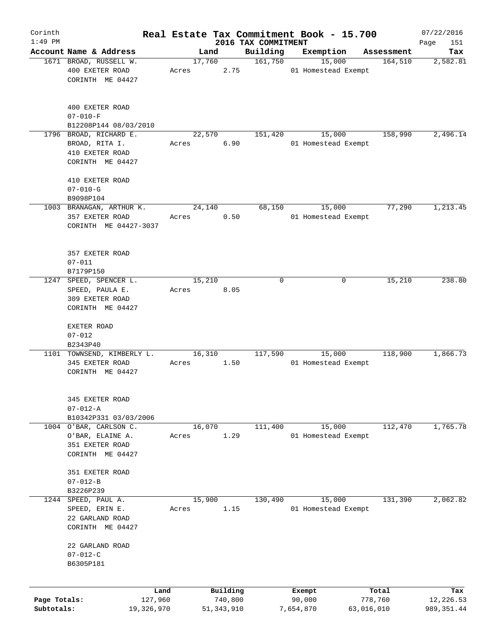| Corinth      |                                         |            |       |        |              |                                 | Real Estate Tax Commitment Book - 15.700 |            |            | 07/22/2016         |
|--------------|-----------------------------------------|------------|-------|--------|--------------|---------------------------------|------------------------------------------|------------|------------|--------------------|
| $1:49$ PM    | Account Name & Address                  |            |       | Land   |              | 2016 TAX COMMITMENT<br>Building | Exemption                                |            | Assessment | Page<br>151<br>Tax |
|              | 1671 BROAD, RUSSELL W.                  |            |       | 17,760 |              | 161,750                         | 15,000                                   |            | 164,510    | 2,582.81           |
|              | 400 EXETER ROAD                         |            | Acres |        | 2.75         |                                 | 01 Homestead Exempt                      |            |            |                    |
|              | CORINTH ME 04427                        |            |       |        |              |                                 |                                          |            |            |                    |
|              |                                         |            |       |        |              |                                 |                                          |            |            |                    |
|              | 400 EXETER ROAD                         |            |       |        |              |                                 |                                          |            |            |                    |
|              | $07 - 010 - F$<br>B12208P144 08/03/2010 |            |       |        |              |                                 |                                          |            |            |                    |
| 1796         | BROAD, RICHARD E.                       |            |       | 22,570 |              | 151,420                         | 15,000                                   |            | 158,990    | 2,496.14           |
|              | BROAD, RITA I.                          |            | Acres |        | 6.90         |                                 | 01 Homestead Exempt                      |            |            |                    |
|              | 410 EXETER ROAD                         |            |       |        |              |                                 |                                          |            |            |                    |
|              | CORINTH ME 04427                        |            |       |        |              |                                 |                                          |            |            |                    |
|              | 410 EXETER ROAD                         |            |       |        |              |                                 |                                          |            |            |                    |
|              | $07 - 010 - G$                          |            |       |        |              |                                 |                                          |            |            |                    |
|              | B9098P104                               |            |       |        |              |                                 |                                          |            |            |                    |
|              | 1003 BRANAGAN, ARTHUR K.                |            |       | 24,140 |              | 68,150                          | 15,000                                   |            | 77,290     | 1,213.45           |
|              | 357 EXETER ROAD                         |            | Acres |        | 0.50         |                                 | 01 Homestead Exempt                      |            |            |                    |
|              | CORINTH ME 04427-3037                   |            |       |        |              |                                 |                                          |            |            |                    |
|              |                                         |            |       |        |              |                                 |                                          |            |            |                    |
|              | 357 EXETER ROAD                         |            |       |        |              |                                 |                                          |            |            |                    |
|              | $07 - 011$                              |            |       |        |              |                                 |                                          |            |            |                    |
|              | B7179P150                               |            |       |        |              |                                 |                                          |            |            |                    |
| 1247         | SPEED, SPENCER L.                       |            |       | 15,210 |              | 0                               |                                          | 0          | 15,210     | 238.80             |
|              | SPEED, PAULA E.                         |            | Acres |        | 8.05         |                                 |                                          |            |            |                    |
|              | 309 EXETER ROAD                         |            |       |        |              |                                 |                                          |            |            |                    |
|              | CORINTH ME 04427                        |            |       |        |              |                                 |                                          |            |            |                    |
|              | EXETER ROAD                             |            |       |        |              |                                 |                                          |            |            |                    |
|              | $07 - 012$                              |            |       |        |              |                                 |                                          |            |            |                    |
|              | B2343P40                                |            |       |        |              |                                 |                                          |            |            |                    |
|              | 1101 TOWNSEND, KIMBERLY L.              |            |       | 16,310 |              | 117,590                         | 15,000                                   |            | 118,900    | 1,866.73           |
|              | 345 EXETER ROAD                         |            | Acres |        | 1.50         |                                 | 01 Homestead Exempt                      |            |            |                    |
|              | CORINTH ME 04427                        |            |       |        |              |                                 |                                          |            |            |                    |
|              |                                         |            |       |        |              |                                 |                                          |            |            |                    |
|              | 345 EXETER ROAD<br>$07 - 012 - A$       |            |       |        |              |                                 |                                          |            |            |                    |
|              | B10342P331 03/03/2006                   |            |       |        |              |                                 |                                          |            |            |                    |
|              | 1004 O'BAR, CARLSON C.                  |            |       | 16,070 |              | 111,400                         | 15,000                                   |            | 112,470    | 1,765.78           |
|              | O'BAR, ELAINE A.                        |            | Acres |        | 1.29         |                                 | 01 Homestead Exempt                      |            |            |                    |
|              | 351 EXETER ROAD                         |            |       |        |              |                                 |                                          |            |            |                    |
|              | CORINTH ME 04427                        |            |       |        |              |                                 |                                          |            |            |                    |
|              |                                         |            |       |        |              |                                 |                                          |            |            |                    |
|              | 351 EXETER ROAD<br>$07 - 012 - B$       |            |       |        |              |                                 |                                          |            |            |                    |
|              | B3226P239                               |            |       |        |              |                                 |                                          |            |            |                    |
| 1244         | SPEED, PAUL A.                          |            |       | 15,900 |              | 130,490                         | 15,000                                   |            | 131,390    | 2,062.82           |
|              | SPEED, ERIN E.                          |            | Acres |        | 1.15         |                                 | 01 Homestead Exempt                      |            |            |                    |
|              | 22 GARLAND ROAD                         |            |       |        |              |                                 |                                          |            |            |                    |
|              | CORINTH ME 04427                        |            |       |        |              |                                 |                                          |            |            |                    |
|              | 22 GARLAND ROAD                         |            |       |        |              |                                 |                                          |            |            |                    |
|              | $07 - 012 - C$                          |            |       |        |              |                                 |                                          |            |            |                    |
|              | B6305P181                               |            |       |        |              |                                 |                                          |            |            |                    |
|              |                                         |            |       |        |              |                                 |                                          |            |            |                    |
|              |                                         | Land       |       |        | Building     |                                 | Exempt                                   |            | Total      | Tax                |
| Page Totals: |                                         | 127,960    |       |        | 740,800      |                                 | 90,000                                   |            | 778,760    | 12,226.53          |
| Subtotals:   |                                         | 19,326,970 |       |        | 51, 343, 910 |                                 | 7,654,870                                | 63,016,010 |            | 989, 351.44        |
|              |                                         |            |       |        |              |                                 |                                          |            |            |                    |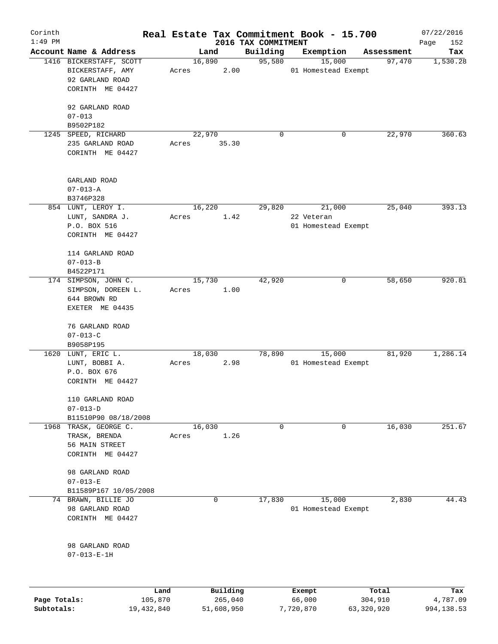| Corinth<br>$1:49$ PM |                         |       |          | 2016 TAX COMMITMENT | Real Estate Tax Commitment Book - 15.700 |            | 07/22/2016<br>Page<br>152 |
|----------------------|-------------------------|-------|----------|---------------------|------------------------------------------|------------|---------------------------|
|                      | Account Name & Address  |       | Land     | Building            | Exemption                                | Assessment | Tax                       |
|                      | 1416 BICKERSTAFF, SCOTT |       | 16,890   | 95,580              | 15,000                                   | 97,470     | 1,530.28                  |
|                      | BICKERSTAFF, AMY        | Acres | 2.00     |                     | 01 Homestead Exempt                      |            |                           |
|                      | 92 GARLAND ROAD         |       |          |                     |                                          |            |                           |
|                      | CORINTH ME 04427        |       |          |                     |                                          |            |                           |
|                      |                         |       |          |                     |                                          |            |                           |
|                      | 92 GARLAND ROAD         |       |          |                     |                                          |            |                           |
|                      | $07 - 013$              |       |          |                     |                                          |            |                           |
|                      | B9502P182               |       |          |                     |                                          |            |                           |
|                      | 1245 SPEED, RICHARD     |       | 22,970   | 0                   | 0                                        | 22,970     | 360.63                    |
|                      | 235 GARLAND ROAD        | Acres | 35.30    |                     |                                          |            |                           |
|                      | CORINTH ME 04427        |       |          |                     |                                          |            |                           |
|                      |                         |       |          |                     |                                          |            |                           |
|                      |                         |       |          |                     |                                          |            |                           |
|                      | GARLAND ROAD            |       |          |                     |                                          |            |                           |
|                      | $07 - 013 - A$          |       |          |                     |                                          |            |                           |
|                      | B3746P328               |       |          |                     |                                          |            | 393.13                    |
|                      | 854 LUNT, LEROY I.      |       | 16,220   | 29,820              | 21,000                                   | 25,040     |                           |
|                      | LUNT, SANDRA J.         | Acres | 1.42     |                     | 22 Veteran                               |            |                           |
|                      | P.O. BOX 516            |       |          |                     | 01 Homestead Exempt                      |            |                           |
|                      | CORINTH ME 04427        |       |          |                     |                                          |            |                           |
|                      | 114 GARLAND ROAD        |       |          |                     |                                          |            |                           |
|                      | $07 - 013 - B$          |       |          |                     |                                          |            |                           |
|                      | B4522P171               |       |          |                     |                                          |            |                           |
|                      | 174 SIMPSON, JOHN C.    |       | 15,730   | 42,920              | 0                                        | 58,650     | 920.81                    |
|                      | SIMPSON, DOREEN L.      | Acres | 1.00     |                     |                                          |            |                           |
|                      | 644 BROWN RD            |       |          |                     |                                          |            |                           |
|                      | EXETER ME 04435         |       |          |                     |                                          |            |                           |
|                      |                         |       |          |                     |                                          |            |                           |
|                      | 76 GARLAND ROAD         |       |          |                     |                                          |            |                           |
|                      | $07 - 013 - C$          |       |          |                     |                                          |            |                           |
|                      | B9058P195               |       |          |                     |                                          |            |                           |
|                      | 1620 LUNT, ERIC L.      |       | 18,030   | 78,890              | 15,000                                   | 81,920     | 1,286.14                  |
|                      | LUNT, BOBBI A.          | Acres | 2.98     |                     | 01 Homestead Exempt                      |            |                           |
|                      | P.O. BOX 676            |       |          |                     |                                          |            |                           |
|                      | CORINTH ME 04427        |       |          |                     |                                          |            |                           |
|                      |                         |       |          |                     |                                          |            |                           |
|                      | 110 GARLAND ROAD        |       |          |                     |                                          |            |                           |
|                      | $07 - 013 - D$          |       |          |                     |                                          |            |                           |
|                      | B11510P90 08/18/2008    |       |          |                     |                                          |            |                           |
| 1968                 | TRASK, GEORGE C.        |       | 16,030   | 0                   | 0                                        | 16,030     | 251.67                    |
|                      | TRASK, BRENDA           | Acres | 1.26     |                     |                                          |            |                           |
|                      | 56 MAIN STREET          |       |          |                     |                                          |            |                           |
|                      | CORINTH ME 04427        |       |          |                     |                                          |            |                           |
|                      |                         |       |          |                     |                                          |            |                           |
|                      | 98 GARLAND ROAD         |       |          |                     |                                          |            |                           |
|                      | $07 - 013 - E$          |       |          |                     |                                          |            |                           |
|                      | B11589P167 10/05/2008   |       |          |                     |                                          |            |                           |
|                      | 74 BRAWN, BILLIE JO     |       | 0        | 17,830              | 15,000                                   | 2,830      | 44.43                     |
|                      | 98 GARLAND ROAD         |       |          |                     | 01 Homestead Exempt                      |            |                           |
|                      | CORINTH ME 04427        |       |          |                     |                                          |            |                           |
|                      |                         |       |          |                     |                                          |            |                           |
|                      | 98 GARLAND ROAD         |       |          |                     |                                          |            |                           |
|                      | $07 - 013 - E - 1H$     |       |          |                     |                                          |            |                           |
|                      |                         |       |          |                     |                                          |            |                           |
|                      |                         |       |          |                     |                                          |            |                           |
|                      |                         | Land  | Building |                     | Exempt                                   | Total      | Tax                       |

|              | ------     | ---------  | --------  | -----      | ----       |
|--------------|------------|------------|-----------|------------|------------|
| Page Totals: | 105,870    | 265,040    | 66,000    | 304,910    | 4,787.09   |
| Subtotals:   | 19,432,840 | 51,608,950 | 7,720,870 | 63,320,920 | 994,138.53 |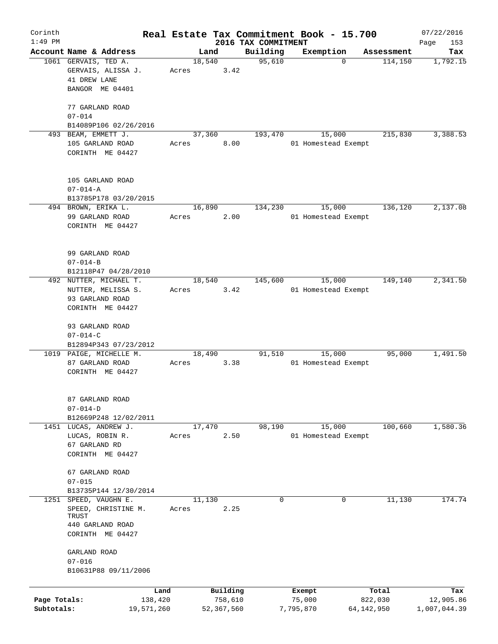| Corinth      |                                         |       |                |                     | Real Estate Tax Commitment Book - 15.700 |                       | 07/22/2016      |
|--------------|-----------------------------------------|-------|----------------|---------------------|------------------------------------------|-----------------------|-----------------|
| $1:49$ PM    | Account Name & Address                  |       |                | 2016 TAX COMMITMENT |                                          |                       | Page<br>153     |
|              | 1061 GERVAIS, TED A.                    |       | Land<br>18,540 | Building<br>95,610  | Exemption<br>$\mathbf 0$                 | Assessment<br>114,150 | Tax<br>1,792.15 |
|              | GERVAIS, ALISSA J.                      | Acres | 3.42           |                     |                                          |                       |                 |
|              | 41 DREW LANE                            |       |                |                     |                                          |                       |                 |
|              | BANGOR ME 04401                         |       |                |                     |                                          |                       |                 |
|              |                                         |       |                |                     |                                          |                       |                 |
|              | 77 GARLAND ROAD                         |       |                |                     |                                          |                       |                 |
|              | $07 - 014$                              |       |                |                     |                                          |                       |                 |
|              | B14089P106 02/26/2016                   |       |                |                     |                                          |                       |                 |
|              | 493 BEAM, EMMETT J.                     |       | 37,360         | 193,470             | 15,000                                   | 215,830               | 3,388.53        |
|              | 105 GARLAND ROAD                        | Acres | 8.00           |                     | 01 Homestead Exempt                      |                       |                 |
|              | CORINTH ME 04427                        |       |                |                     |                                          |                       |                 |
|              |                                         |       |                |                     |                                          |                       |                 |
|              |                                         |       |                |                     |                                          |                       |                 |
|              | 105 GARLAND ROAD                        |       |                |                     |                                          |                       |                 |
|              | $07 - 014 - A$                          |       |                |                     |                                          |                       |                 |
|              | B13785P178 03/20/2015                   |       |                |                     |                                          |                       |                 |
|              | 494 BROWN, ERIKA L.                     |       | 16,890         | 134,230             | 15,000                                   | 136,120               | 2,137.08        |
|              | 99 GARLAND ROAD                         | Acres | 2.00           |                     | 01 Homestead Exempt                      |                       |                 |
|              | CORINTH ME 04427                        |       |                |                     |                                          |                       |                 |
|              |                                         |       |                |                     |                                          |                       |                 |
|              |                                         |       |                |                     |                                          |                       |                 |
|              | 99 GARLAND ROAD                         |       |                |                     |                                          |                       |                 |
|              | $07 - 014 - B$                          |       |                |                     |                                          |                       |                 |
|              | B12118P47 04/28/2010                    |       |                |                     |                                          |                       |                 |
|              | 492 NUTTER, MICHAEL T.                  |       | 18,540         | 145,600             | 15,000                                   | 149,140               | 2,341.50        |
|              | NUTTER, MELISSA S.                      | Acres | 3.42           |                     | 01 Homestead Exempt                      |                       |                 |
|              | 93 GARLAND ROAD                         |       |                |                     |                                          |                       |                 |
|              | CORINTH ME 04427                        |       |                |                     |                                          |                       |                 |
|              |                                         |       |                |                     |                                          |                       |                 |
|              | 93 GARLAND ROAD                         |       |                |                     |                                          |                       |                 |
|              | $07 - 014 - C$                          |       |                |                     |                                          |                       |                 |
|              | B12894P343 07/23/2012                   |       |                |                     |                                          |                       |                 |
|              | 1019 PAIGE, MICHELLE M.                 |       | 18,490         | 91,510              | 15,000                                   | 95,000                | 1,491.50        |
|              | 87 GARLAND ROAD                         | Acres | 3.38           |                     | 01 Homestead Exempt                      |                       |                 |
|              | CORINTH ME 04427                        |       |                |                     |                                          |                       |                 |
|              |                                         |       |                |                     |                                          |                       |                 |
|              |                                         |       |                |                     |                                          |                       |                 |
|              | 87 GARLAND ROAD                         |       |                |                     |                                          |                       |                 |
|              | $07 - 014 - D$<br>B12669P248 12/02/2011 |       |                |                     |                                          |                       |                 |
|              | 1451 LUCAS, ANDREW J.                   |       | 17,470         | 98,190              | 15,000                                   | 100,660               | 1,580.36        |
|              |                                         |       | 2.50           |                     |                                          |                       |                 |
|              | LUCAS, ROBIN R.<br>67 GARLAND RD        | Acres |                |                     | 01 Homestead Exempt                      |                       |                 |
|              | CORINTH ME 04427                        |       |                |                     |                                          |                       |                 |
|              |                                         |       |                |                     |                                          |                       |                 |
|              | 67 GARLAND ROAD                         |       |                |                     |                                          |                       |                 |
|              | $07 - 015$                              |       |                |                     |                                          |                       |                 |
|              | B13735P144 12/30/2014                   |       |                |                     |                                          |                       |                 |
| 1251         | SPEED, VAUGHN E.                        |       | 11,130         | 0                   | 0                                        | 11,130                | 174.74          |
|              | SPEED, CHRISTINE M.                     | Acres | 2.25           |                     |                                          |                       |                 |
|              | TRUST                                   |       |                |                     |                                          |                       |                 |
|              | 440 GARLAND ROAD                        |       |                |                     |                                          |                       |                 |
|              | CORINTH ME 04427                        |       |                |                     |                                          |                       |                 |
|              |                                         |       |                |                     |                                          |                       |                 |
|              | GARLAND ROAD                            |       |                |                     |                                          |                       |                 |
|              | $07 - 016$                              |       |                |                     |                                          |                       |                 |
|              | B10631P88 09/11/2006                    |       |                |                     |                                          |                       |                 |
|              |                                         |       |                |                     |                                          |                       |                 |
|              | Land                                    |       | Building       |                     | Exempt                                   | Total                 | Tax             |
| Page Totals: | 138,420                                 |       | 758,610        |                     | 75,000                                   | 822,030               | 12,905.86       |
| Subtotals:   | 19,571,260                              |       | 52,367,560     |                     | 7,795,870                                | 64,142,950            | 1,007,044.39    |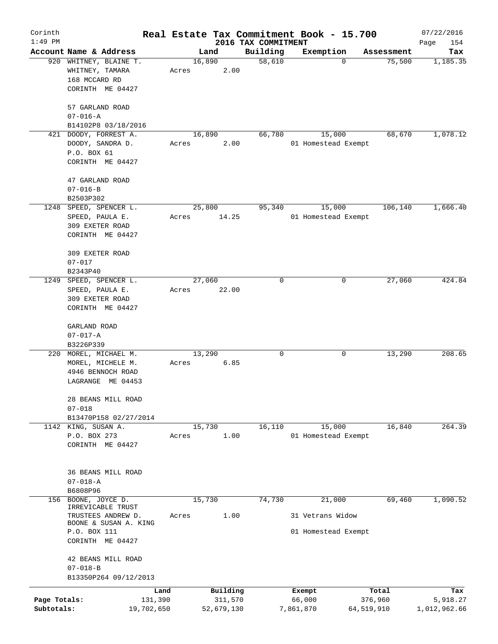| Corinth      |                                                                                |                 |       |            |         |                     | Real Estate Tax Commitment Book - 15.700 |                       | 07/22/2016      |
|--------------|--------------------------------------------------------------------------------|-----------------|-------|------------|---------|---------------------|------------------------------------------|-----------------------|-----------------|
| $1:49$ PM    |                                                                                |                 |       |            |         | 2016 TAX COMMITMENT |                                          |                       | Page<br>154     |
|              | Account Name & Address                                                         |                 |       | Land       |         | Building            | Exemption                                | Assessment            | Tax             |
|              | 920 WHITNEY, BLAINE T.<br>WHITNEY, TAMARA<br>168 MCCARD RD<br>CORINTH ME 04427 |                 | Acres | 16,890     | 2.00    | 58,610              |                                          | 75,500<br>$\mathbf 0$ | 1,185.35        |
|              |                                                                                |                 |       |            |         |                     |                                          |                       |                 |
|              | 57 GARLAND ROAD<br>$07 - 016 - A$                                              |                 |       |            |         |                     |                                          |                       |                 |
|              | B14102P8 03/18/2016                                                            |                 |       |            |         |                     |                                          |                       |                 |
|              | 421 DOODY, FORREST A.<br>DOODY, SANDRA D.                                      |                 | Acres | 16,890     | 2.00    | 66,780              | 15,000<br>01 Homestead Exempt            | 68,670                | 1,078.12        |
|              | P.O. BOX 61                                                                    |                 |       |            |         |                     |                                          |                       |                 |
|              | CORINTH ME 04427                                                               |                 |       |            |         |                     |                                          |                       |                 |
|              | 47 GARLAND ROAD                                                                |                 |       |            |         |                     |                                          |                       |                 |
|              | $07 - 016 - B$                                                                 |                 |       |            |         |                     |                                          |                       |                 |
|              | B2503P302                                                                      |                 |       |            |         |                     |                                          |                       |                 |
| 1248         | SPEED, SPENCER L.                                                              |                 |       | 25,800     |         | 95,340              | 15,000                                   | 106,140               | 1,666.40        |
|              | SPEED, PAULA E.                                                                |                 | Acres |            | 14.25   |                     | 01 Homestead Exempt                      |                       |                 |
|              | 309 EXETER ROAD                                                                |                 |       |            |         |                     |                                          |                       |                 |
|              | CORINTH ME 04427                                                               |                 |       |            |         |                     |                                          |                       |                 |
|              | 309 EXETER ROAD                                                                |                 |       |            |         |                     |                                          |                       |                 |
|              | $07 - 017$                                                                     |                 |       |            |         |                     |                                          |                       |                 |
|              | B2343P40                                                                       |                 |       |            |         |                     |                                          |                       |                 |
| 1249         | SPEED, SPENCER L.                                                              |                 |       | 27,060     |         | 0                   |                                          | 27,060<br>0           | 424.84          |
|              | SPEED, PAULA E.                                                                |                 | Acres |            | 22.00   |                     |                                          |                       |                 |
|              | 309 EXETER ROAD                                                                |                 |       |            |         |                     |                                          |                       |                 |
|              | CORINTH ME 04427                                                               |                 |       |            |         |                     |                                          |                       |                 |
|              | GARLAND ROAD                                                                   |                 |       |            |         |                     |                                          |                       |                 |
|              | $07 - 017 - A$                                                                 |                 |       |            |         |                     |                                          |                       |                 |
|              | B3226P339                                                                      |                 |       |            |         |                     |                                          |                       |                 |
|              | 220 MOREL, MICHAEL M.                                                          |                 |       | 13,290     |         | 0                   | 0                                        | 13,290                | 208.65          |
|              | MOREL, MICHELE M.<br>4946 BENNOCH ROAD                                         |                 | Acres |            | 6.85    |                     |                                          |                       |                 |
|              | LAGRANGE ME 04453                                                              |                 |       |            |         |                     |                                          |                       |                 |
|              |                                                                                |                 |       |            |         |                     |                                          |                       |                 |
|              | 28 BEANS MILL ROAD                                                             |                 |       |            |         |                     |                                          |                       |                 |
|              | $07 - 018$<br>B13470P158 02/27/2014                                            |                 |       |            |         |                     |                                          |                       |                 |
|              | 1142 KING, SUSAN A.                                                            |                 |       | 15,730     |         | 16,110              | 15,000                                   | 16,840                | 264.39          |
|              | P.O. BOX 273                                                                   |                 | Acres |            | 1.00    |                     | 01 Homestead Exempt                      |                       |                 |
|              | CORINTH ME 04427                                                               |                 |       |            |         |                     |                                          |                       |                 |
|              |                                                                                |                 |       |            |         |                     |                                          |                       |                 |
|              | <b>36 BEANS MILL ROAD</b><br>$07 - 018 - A$                                    |                 |       |            |         |                     |                                          |                       |                 |
|              | B6808P96                                                                       |                 |       |            |         |                     |                                          |                       |                 |
| 156          | BOONE, JOYCE D.                                                                |                 |       | 15,730     |         | 74,730              | 21,000                                   | 69,460                | 1,090.52        |
|              | IRREVICABLE TRUST                                                              |                 |       |            |         |                     |                                          |                       |                 |
|              | TRUSTEES ANDREW D.<br>BOONE & SUSAN A. KING                                    |                 | Acres |            | 1.00    |                     | 31 Vetrans Widow                         |                       |                 |
|              | P.O. BOX 111                                                                   |                 |       |            |         |                     | 01 Homestead Exempt                      |                       |                 |
|              | CORINTH ME 04427                                                               |                 |       |            |         |                     |                                          |                       |                 |
|              | 42 BEANS MILL ROAD                                                             |                 |       |            |         |                     |                                          |                       |                 |
|              | $07 - 018 - B$                                                                 |                 |       |            |         |                     |                                          |                       |                 |
|              | B13350P264 09/12/2013                                                          |                 |       |            |         |                     |                                          |                       |                 |
| Page Totals: |                                                                                | Land<br>131,390 |       | Building   | 311,570 |                     | Exempt<br>66,000                         | Total<br>376,960      | Tax<br>5,918.27 |
| Subtotals:   |                                                                                | 19,702,650      |       | 52,679,130 |         |                     | 7,861,870                                | 64,519,910            | 1,012,962.66    |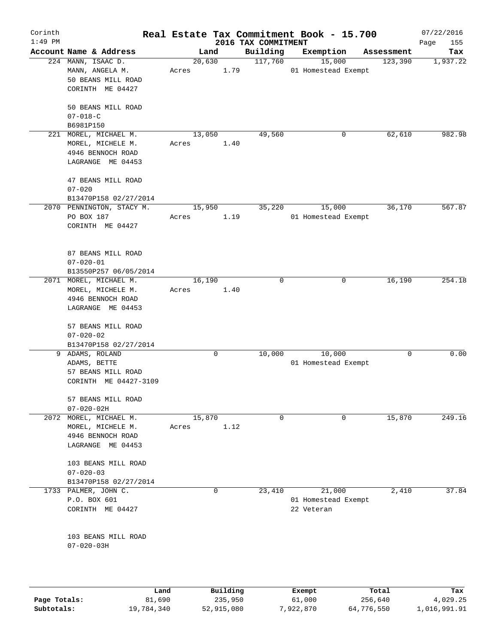| Corinth      |                                        |       |             |          |                                 | Real Estate Tax Commitment Book - 15.700 |            | 07/22/2016         |
|--------------|----------------------------------------|-------|-------------|----------|---------------------------------|------------------------------------------|------------|--------------------|
| $1:49$ PM    | Account Name & Address                 |       | Land        |          | 2016 TAX COMMITMENT<br>Building | Exemption                                | Assessment | Page<br>155<br>Tax |
|              | 224 MANN, ISAAC D.                     |       | 20,630      |          | 117,760                         | 15,000                                   | 123,390    | 1,937.22           |
|              | MANN, ANGELA M.                        | Acres |             | 1.79     |                                 | 01 Homestead Exempt                      |            |                    |
|              | 50 BEANS MILL ROAD                     |       |             |          |                                 |                                          |            |                    |
|              | CORINTH ME 04427                       |       |             |          |                                 |                                          |            |                    |
|              |                                        |       |             |          |                                 |                                          |            |                    |
|              | 50 BEANS MILL ROAD                     |       |             |          |                                 |                                          |            |                    |
|              | $07 - 018 - C$                         |       |             |          |                                 |                                          |            |                    |
|              | B6981P150                              |       |             |          |                                 |                                          |            |                    |
| 221          | MOREL, MICHAEL M.                      |       | 13,050      |          | 49,560                          | 0                                        | 62,610     | 982.98             |
|              | MOREL, MICHELE M.                      | Acres |             | 1.40     |                                 |                                          |            |                    |
|              | 4946 BENNOCH ROAD                      |       |             |          |                                 |                                          |            |                    |
|              | LAGRANGE ME 04453                      |       |             |          |                                 |                                          |            |                    |
|              | 47 BEANS MILL ROAD                     |       |             |          |                                 |                                          |            |                    |
|              | $07 - 020$                             |       |             |          |                                 |                                          |            |                    |
|              | B13470P158 02/27/2014                  |       |             |          |                                 |                                          |            |                    |
|              | 2070 PENNINGTON, STACY M.              |       | 15,950      |          | 35,220                          | 15,000                                   | 36,170     | 567.87             |
|              | PO BOX 187                             | Acres |             | 1.19     |                                 | 01 Homestead Exempt                      |            |                    |
|              | CORINTH ME 04427                       |       |             |          |                                 |                                          |            |                    |
|              |                                        |       |             |          |                                 |                                          |            |                    |
|              |                                        |       |             |          |                                 |                                          |            |                    |
|              | 87 BEANS MILL ROAD                     |       |             |          |                                 |                                          |            |                    |
|              | $07 - 020 - 01$                        |       |             |          |                                 |                                          |            |                    |
|              | B13550P257 06/05/2014                  |       |             |          |                                 |                                          |            |                    |
|              | 2071 MOREL, MICHAEL M.                 |       | 16,190      |          | 0                               | 0                                        | 16,190     | 254.18             |
|              | MOREL, MICHELE M.                      | Acres |             | 1.40     |                                 |                                          |            |                    |
|              | 4946 BENNOCH ROAD<br>LAGRANGE ME 04453 |       |             |          |                                 |                                          |            |                    |
|              |                                        |       |             |          |                                 |                                          |            |                    |
|              | 57 BEANS MILL ROAD                     |       |             |          |                                 |                                          |            |                    |
|              | $07 - 020 - 02$                        |       |             |          |                                 |                                          |            |                    |
|              | B13470P158 02/27/2014                  |       |             |          |                                 |                                          |            |                    |
| 9            | ADAMS, ROLAND                          |       | 0           |          | 10,000                          | 10,000                                   | 0          | 0.00               |
|              | ADAMS, BETTE                           |       |             |          |                                 | 01 Homestead Exempt                      |            |                    |
|              | 57 BEANS MILL ROAD                     |       |             |          |                                 |                                          |            |                    |
|              | CORINTH ME 04427-3109                  |       |             |          |                                 |                                          |            |                    |
|              |                                        |       |             |          |                                 |                                          |            |                    |
|              | 57 BEANS MILL ROAD                     |       |             |          |                                 |                                          |            |                    |
|              | $07 - 020 - 02H$                       |       |             |          |                                 |                                          |            |                    |
| 2072         | MOREL, MICHAEL M.                      | Acres | 15,870      | 1.12     | $\mathbf 0$                     | 0                                        | 15,870     | 249.16             |
|              | MOREL, MICHELE M.<br>4946 BENNOCH ROAD |       |             |          |                                 |                                          |            |                    |
|              | LAGRANGE ME 04453                      |       |             |          |                                 |                                          |            |                    |
|              |                                        |       |             |          |                                 |                                          |            |                    |
|              | 103 BEANS MILL ROAD                    |       |             |          |                                 |                                          |            |                    |
|              | $07 - 020 - 03$                        |       |             |          |                                 |                                          |            |                    |
|              | B13470P158 02/27/2014                  |       |             |          |                                 |                                          |            |                    |
| 1733         | PALMER, JOHN C.                        |       | $\mathbf 0$ |          | 23,410                          | 21,000                                   | 2,410      | 37.84              |
|              | P.O. BOX 601                           |       |             |          |                                 | 01 Homestead Exempt                      |            |                    |
|              | CORINTH ME 04427                       |       |             |          |                                 | 22 Veteran                               |            |                    |
|              |                                        |       |             |          |                                 |                                          |            |                    |
|              | 103 BEANS MILL ROAD                    |       |             |          |                                 |                                          |            |                    |
|              | $07 - 020 - 03H$                       |       |             |          |                                 |                                          |            |                    |
|              |                                        |       |             |          |                                 |                                          |            |                    |
|              |                                        |       |             |          |                                 |                                          |            |                    |
|              |                                        |       |             |          |                                 |                                          |            |                    |
|              |                                        |       |             |          |                                 |                                          |            |                    |
|              | Land                                   |       |             | Building |                                 | Exempt                                   | Total      | Tax                |
| Page Totals: | 81,690                                 |       |             | 235,950  |                                 | 61,000                                   | 256,640    | 4,029.25           |

**Subtotals:** 19,784,340 52,915,080 7,922,870 64,776,550 1,016,991.91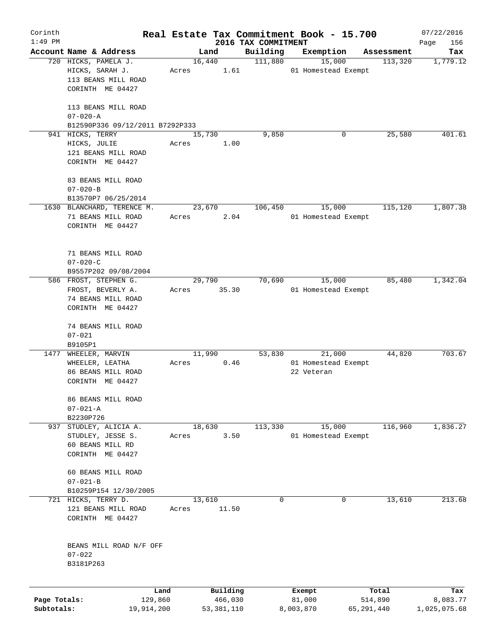| Corinth      |                                       |                 |                |                     |                     | Real Estate Tax Commitment Book - 15.700 |                       | 07/22/2016      |
|--------------|---------------------------------------|-----------------|----------------|---------------------|---------------------|------------------------------------------|-----------------------|-----------------|
| $1:49$ PM    | Account Name & Address                |                 |                |                     | 2016 TAX COMMITMENT |                                          |                       | Page<br>156     |
|              | 720 HICKS, PAMELA J.                  |                 | Land<br>16,440 |                     | Building<br>111,880 | Exemption<br>15,000                      | Assessment<br>113,320 | Tax<br>1,779.12 |
|              | HICKS, SARAH J.                       | Acres           |                | 1.61                |                     | 01 Homestead Exempt                      |                       |                 |
|              | 113 BEANS MILL ROAD                   |                 |                |                     |                     |                                          |                       |                 |
|              | CORINTH ME 04427                      |                 |                |                     |                     |                                          |                       |                 |
|              |                                       |                 |                |                     |                     |                                          |                       |                 |
|              | 113 BEANS MILL ROAD                   |                 |                |                     |                     |                                          |                       |                 |
|              | $07 - 020 - A$                        |                 |                |                     |                     |                                          |                       |                 |
|              | B12590P336 09/12/2011 B7292P333       |                 |                |                     |                     |                                          |                       |                 |
|              | 941 HICKS, TERRY                      |                 | 15,730         |                     | 9,850               | 0                                        | 25,580                | 401.61          |
|              | HICKS, JULIE                          | Acres           |                | 1.00                |                     |                                          |                       |                 |
|              | 121 BEANS MILL ROAD                   |                 |                |                     |                     |                                          |                       |                 |
|              | CORINTH ME 04427                      |                 |                |                     |                     |                                          |                       |                 |
|              |                                       |                 |                |                     |                     |                                          |                       |                 |
|              | 83 BEANS MILL ROAD                    |                 |                |                     |                     |                                          |                       |                 |
|              | $07 - 020 - B$                        |                 |                |                     |                     |                                          |                       |                 |
|              | B13570P7 06/25/2014                   |                 |                |                     |                     |                                          |                       |                 |
|              | 1630 BLANCHARD, TERENCE M.            |                 | 23,670         |                     | 106,450             | 15,000                                   | 115,120               | 1,807.38        |
|              | 71 BEANS MILL ROAD                    | Acres           |                | 2.04                |                     | 01 Homestead Exempt                      |                       |                 |
|              | CORINTH ME 04427                      |                 |                |                     |                     |                                          |                       |                 |
|              |                                       |                 |                |                     |                     |                                          |                       |                 |
|              | 71 BEANS MILL ROAD                    |                 |                |                     |                     |                                          |                       |                 |
|              | $07 - 020 - C$                        |                 |                |                     |                     |                                          |                       |                 |
|              | B9557P202 09/08/2004                  |                 |                |                     |                     |                                          |                       |                 |
|              | 586 FROST, STEPHEN G.                 |                 | 29,790         |                     | 70,690              | 15,000                                   | 85,480                | 1,342.04        |
|              | FROST, BEVERLY A.                     | Acres           |                | 35.30               |                     | 01 Homestead Exempt                      |                       |                 |
|              | 74 BEANS MILL ROAD                    |                 |                |                     |                     |                                          |                       |                 |
|              | CORINTH ME 04427                      |                 |                |                     |                     |                                          |                       |                 |
|              |                                       |                 |                |                     |                     |                                          |                       |                 |
|              | 74 BEANS MILL ROAD                    |                 |                |                     |                     |                                          |                       |                 |
|              | $07 - 021$                            |                 |                |                     |                     |                                          |                       |                 |
| 1477         | B9105P1<br>WHEELER, MARVIN            |                 |                |                     |                     | 21,000                                   |                       | 703.67          |
|              |                                       | Acres           | 11,990         | 0.46                | 53,830              | 01 Homestead Exempt                      | 44,820                |                 |
|              | WHEELER, LEATHA<br>86 BEANS MILL ROAD |                 |                |                     |                     | 22 Veteran                               |                       |                 |
|              | CORINTH ME 04427                      |                 |                |                     |                     |                                          |                       |                 |
|              |                                       |                 |                |                     |                     |                                          |                       |                 |
|              | 86 BEANS MILL ROAD                    |                 |                |                     |                     |                                          |                       |                 |
|              | $07 - 021 - A$                        |                 |                |                     |                     |                                          |                       |                 |
|              | B2230P726                             |                 |                |                     |                     |                                          |                       |                 |
|              | 937 STUDLEY, ALICIA A.                |                 | 18,630         |                     | 113,330             | 15,000                                   | 116,960               | 1,836.27        |
|              | STUDLEY, JESSE S.                     | Acres           |                | 3.50                |                     | 01 Homestead Exempt                      |                       |                 |
|              | 60 BEANS MILL RD                      |                 |                |                     |                     |                                          |                       |                 |
|              | CORINTH ME 04427                      |                 |                |                     |                     |                                          |                       |                 |
|              |                                       |                 |                |                     |                     |                                          |                       |                 |
|              | 60 BEANS MILL ROAD                    |                 |                |                     |                     |                                          |                       |                 |
|              | $07 - 021 - B$                        |                 |                |                     |                     |                                          |                       |                 |
|              | B10259P154 12/30/2005                 |                 |                |                     |                     |                                          |                       |                 |
|              | 721 HICKS, TERRY D.                   |                 | 13,610         |                     | 0                   | 0                                        | 13,610                | 213.68          |
|              | 121 BEANS MILL ROAD                   | Acres           |                | 11.50               |                     |                                          |                       |                 |
|              | CORINTH ME 04427                      |                 |                |                     |                     |                                          |                       |                 |
|              |                                       |                 |                |                     |                     |                                          |                       |                 |
|              | BEANS MILL ROAD N/F OFF               |                 |                |                     |                     |                                          |                       |                 |
|              | $07 - 022$                            |                 |                |                     |                     |                                          |                       |                 |
|              | B3181P263                             |                 |                |                     |                     |                                          |                       |                 |
|              |                                       |                 |                |                     |                     |                                          |                       |                 |
| Page Totals: |                                       | Land<br>129,860 |                | Building<br>466,030 |                     | Exempt<br>81,000                         | Total<br>514,890      | Tax<br>8,083.77 |
| Subtotals:   | 19,914,200                            |                 |                | 53, 381, 110        |                     | 8,003,870                                | 65, 291, 440          | 1,025,075.68    |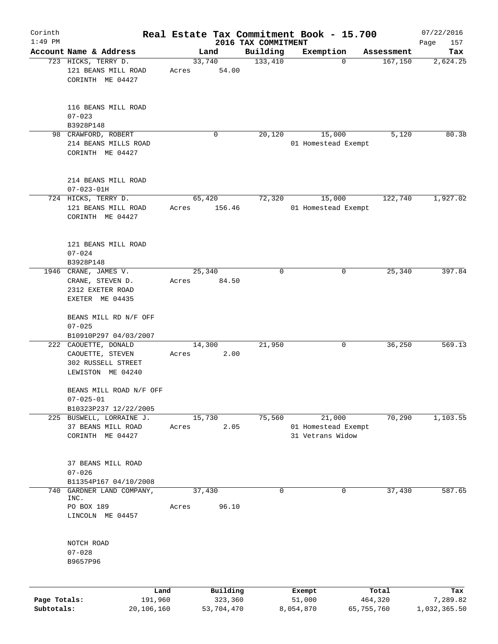| Corinth      |                                                                                     |                 |                     |                     | Real Estate Tax Commitment Book - 15.700 |                       | 07/22/2016               |
|--------------|-------------------------------------------------------------------------------------|-----------------|---------------------|---------------------|------------------------------------------|-----------------------|--------------------------|
| $1:49$ PM    | Account Name & Address                                                              |                 |                     | 2016 TAX COMMITMENT |                                          |                       | Page<br>157              |
|              | 723 HICKS, TERRY D.                                                                 | 33,740          | Land                | Building<br>133,410 | Exemption<br>0                           | Assessment<br>167,150 | Tax<br>2,624.25          |
|              | 121 BEANS MILL ROAD<br>CORINTH ME 04427                                             | Acres           | 54.00               |                     |                                          |                       |                          |
|              | 116 BEANS MILL ROAD<br>$07 - 023$                                                   |                 |                     |                     |                                          |                       |                          |
|              | B3928P148                                                                           |                 |                     |                     |                                          | 5,120                 | 80.38                    |
|              | 98 CRAWFORD, ROBERT<br>214 BEANS MILLS ROAD<br>CORINTH ME 04427                     |                 | 0                   | 20,120              | 15,000<br>01 Homestead Exempt            |                       |                          |
|              | 214 BEANS MILL ROAD<br>$07 - 023 - 01H$                                             |                 |                     |                     |                                          |                       |                          |
|              | 724 HICKS, TERRY D.                                                                 | 65,420          |                     | 72,320              | 15,000                                   | 122,740               | 1,927.02                 |
|              | 121 BEANS MILL ROAD<br>CORINTH ME 04427                                             | Acres           | 156.46              |                     | 01 Homestead Exempt                      |                       |                          |
|              | 121 BEANS MILL ROAD<br>$07 - 024$                                                   |                 |                     |                     |                                          |                       |                          |
|              | B3928P148                                                                           |                 |                     | $\mathbf 0$         | 0                                        | 25,340                | 397.84                   |
|              | 1946 CRANE, JAMES V.<br>CRANE, STEVEN D.                                            | 25,340<br>Acres | 84.50               |                     |                                          |                       |                          |
|              | 2312 EXETER ROAD<br>EXETER ME 04435                                                 |                 |                     |                     |                                          |                       |                          |
|              | BEANS MILL RD N/F OFF<br>$07 - 025$                                                 |                 |                     |                     |                                          |                       |                          |
|              | B10910P297 04/03/2007                                                               |                 |                     |                     |                                          |                       |                          |
|              | 222 CAOUETTE, DONALD<br>CAOUETTE, STEVEN<br>302 RUSSELL STREET<br>LEWISTON ME 04240 | 14,300<br>Acres | 2.00                | 21,950              | 0                                        | 36,250                | 569.13                   |
|              | BEANS MILL ROAD N/F OFF<br>$07 - 025 - 01$                                          |                 |                     |                     |                                          |                       |                          |
|              | B10323P237 12/22/2005<br>225 BUSWELL, LORRAINE J.                                   | 15,730          |                     | 75,560              | 21,000                                   | 70,290                | 1,103.55                 |
|              | 37 BEANS MILL ROAD<br>CORINTH ME 04427                                              | Acres           | 2.05                |                     | 01 Homestead Exempt<br>31 Vetrans Widow  |                       |                          |
|              | 37 BEANS MILL ROAD<br>$07 - 026$                                                    |                 |                     |                     |                                          |                       |                          |
|              | B11354P167 04/10/2008                                                               |                 |                     | $\mathbf 0$         |                                          |                       | 587.65                   |
| 740          | GARDNER LAND COMPANY,<br>INC.                                                       | 37,430          |                     |                     | 0                                        | 37,430                |                          |
|              | PO BOX 189<br>LINCOLN ME 04457                                                      | Acres           | 96.10               |                     |                                          |                       |                          |
|              | NOTCH ROAD<br>$07 - 028$                                                            |                 |                     |                     |                                          |                       |                          |
|              | B9657P96                                                                            |                 |                     |                     |                                          |                       |                          |
| Page Totals: | Land<br>191,960                                                                     |                 | Building<br>323,360 |                     | Exempt<br>51,000                         | Total<br>464,320      | Tax                      |
| Subtotals:   | 20,106,160                                                                          |                 | 53,704,470          |                     | 8,054,870                                | 65,755,760            | 7,289.82<br>1,032,365.50 |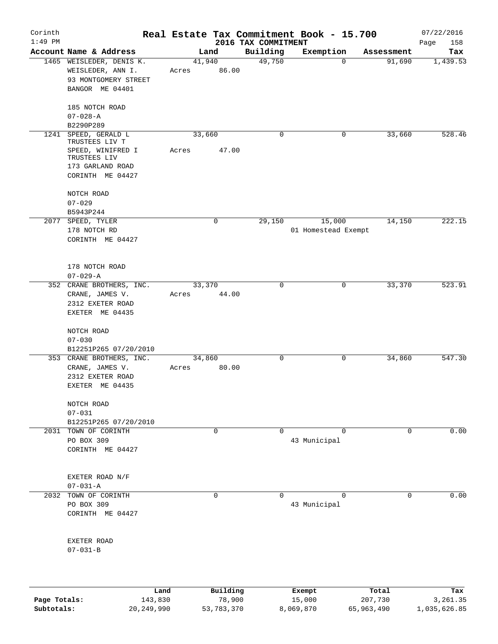| Corinth<br>$1:49$ PM |                                   |        |                    |                                 | Real Estate Tax Commitment Book - 15.700 |                       | 07/22/2016         |
|----------------------|-----------------------------------|--------|--------------------|---------------------------------|------------------------------------------|-----------------------|--------------------|
|                      | Account Name & Address            |        | Land               | 2016 TAX COMMITMENT<br>Building | Exemption                                | Assessment            | Page<br>158<br>Tax |
|                      | 1465 WEISLEDER, DENIS K.          | 41,940 |                    | 49,750                          |                                          | 91,690<br>$\mathbf 0$ | 1,439.53           |
|                      | WEISLEDER, ANN I.                 | Acres  | 86.00              |                                 |                                          |                       |                    |
|                      | 93 MONTGOMERY STREET              |        |                    |                                 |                                          |                       |                    |
|                      | BANGOR ME 04401                   |        |                    |                                 |                                          |                       |                    |
|                      |                                   |        |                    |                                 |                                          |                       |                    |
|                      | 185 NOTCH ROAD                    |        |                    |                                 |                                          |                       |                    |
|                      | $07 - 028 - A$                    |        |                    |                                 |                                          |                       |                    |
|                      | B2290P289                         |        |                    |                                 |                                          |                       |                    |
| 1241                 | SPEED, GERALD L                   | 33,660 |                    | $\mathbf 0$                     |                                          | 33,660<br>0           | 528.46             |
|                      | TRUSTEES LIV T                    |        |                    |                                 |                                          |                       |                    |
|                      | SPEED, WINIFRED I                 | Acres  | 47.00              |                                 |                                          |                       |                    |
|                      | TRUSTEES LIV<br>173 GARLAND ROAD  |        |                    |                                 |                                          |                       |                    |
|                      | CORINTH ME 04427                  |        |                    |                                 |                                          |                       |                    |
|                      |                                   |        |                    |                                 |                                          |                       |                    |
|                      | NOTCH ROAD                        |        |                    |                                 |                                          |                       |                    |
|                      | $07 - 029$                        |        |                    |                                 |                                          |                       |                    |
|                      | B5943P244                         |        |                    |                                 |                                          |                       |                    |
|                      | 2077 SPEED, TYLER                 |        | $\mathbf 0$        | 29,150                          | 15,000                                   | 14,150                | 222.15             |
|                      | 178 NOTCH RD                      |        |                    |                                 | 01 Homestead Exempt                      |                       |                    |
|                      | CORINTH ME 04427                  |        |                    |                                 |                                          |                       |                    |
|                      |                                   |        |                    |                                 |                                          |                       |                    |
|                      |                                   |        |                    |                                 |                                          |                       |                    |
|                      | 178 NOTCH ROAD                    |        |                    |                                 |                                          |                       |                    |
|                      | $07 - 029 - A$                    |        |                    |                                 |                                          |                       |                    |
|                      | 352 CRANE BROTHERS, INC.          | 33,370 |                    | 0                               |                                          | 33,370<br>0           | 523.91             |
|                      | CRANE, JAMES V.                   | Acres  | 44.00              |                                 |                                          |                       |                    |
|                      | 2312 EXETER ROAD                  |        |                    |                                 |                                          |                       |                    |
|                      | EXETER ME 04435                   |        |                    |                                 |                                          |                       |                    |
|                      |                                   |        |                    |                                 |                                          |                       |                    |
|                      | NOTCH ROAD<br>$07 - 030$          |        |                    |                                 |                                          |                       |                    |
|                      | B12251P265 07/20/2010             |        |                    |                                 |                                          |                       |                    |
|                      | 353 CRANE BROTHERS, INC.          | 34,860 |                    | 0                               |                                          | 34,860<br>0           | 547.30             |
|                      | CRANE, JAMES V.                   | Acres  | 80.00              |                                 |                                          |                       |                    |
|                      | 2312 EXETER ROAD                  |        |                    |                                 |                                          |                       |                    |
|                      | EXETER ME 04435                   |        |                    |                                 |                                          |                       |                    |
|                      |                                   |        |                    |                                 |                                          |                       |                    |
|                      | NOTCH ROAD                        |        |                    |                                 |                                          |                       |                    |
|                      | $07 - 031$                        |        |                    |                                 |                                          |                       |                    |
|                      | B12251P265 07/20/2010             |        |                    |                                 |                                          |                       |                    |
|                      | 2031 TOWN OF CORINTH              |        | $\mathbf 0$        | $\Omega$                        |                                          | $\Omega$<br>$\Omega$  | 0.00               |
|                      | PO BOX 309                        |        |                    |                                 | 43 Municipal                             |                       |                    |
|                      | CORINTH ME 04427                  |        |                    |                                 |                                          |                       |                    |
|                      |                                   |        |                    |                                 |                                          |                       |                    |
|                      |                                   |        |                    |                                 |                                          |                       |                    |
|                      | EXETER ROAD N/F<br>$07 - 031 - A$ |        |                    |                                 |                                          |                       |                    |
| 2032                 | TOWN OF CORINTH                   |        | 0                  | 0                               |                                          | 0<br>0                | 0.00               |
|                      | PO BOX 309                        |        |                    |                                 | 43 Municipal                             |                       |                    |
|                      | CORINTH ME 04427                  |        |                    |                                 |                                          |                       |                    |
|                      |                                   |        |                    |                                 |                                          |                       |                    |
|                      |                                   |        |                    |                                 |                                          |                       |                    |
|                      | EXETER ROAD                       |        |                    |                                 |                                          |                       |                    |
|                      | $07 - 031 - B$                    |        |                    |                                 |                                          |                       |                    |
|                      |                                   |        |                    |                                 |                                          |                       |                    |
|                      |                                   |        |                    |                                 |                                          |                       |                    |
|                      |                                   |        |                    |                                 |                                          |                       |                    |
| Page Totals:         | Land<br>143,830                   |        | Building<br>78,900 |                                 | Exempt<br>15,000                         | Total<br>207,730      | Tax<br>3,261.35    |
|                      |                                   |        |                    |                                 |                                          |                       |                    |

**Subtotals:** 20,249,990 53,783,370 8,069,870 65,963,490 1,035,626.85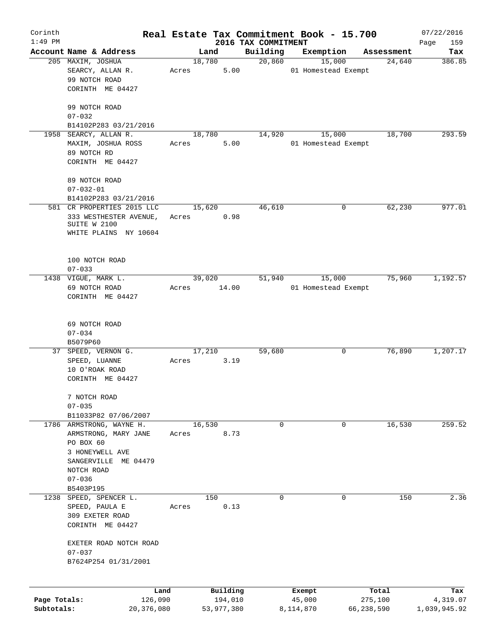| Corinth      |                                          |                 |                |                     |                     | Real Estate Tax Commitment Book - 15.700 |                      | 07/22/2016      |
|--------------|------------------------------------------|-----------------|----------------|---------------------|---------------------|------------------------------------------|----------------------|-----------------|
| $1:49$ PM    | Account Name & Address                   |                 |                |                     | 2016 TAX COMMITMENT |                                          |                      | Page<br>159     |
|              | 205 MAXIM, JOSHUA                        |                 | Land<br>18,780 |                     | Building<br>20,860  | Exemption<br>15,000                      | Assessment<br>24,640 | Tax<br>386.85   |
|              | SEARCY, ALLAN R.<br>99 NOTCH ROAD        | Acres           |                | 5.00                |                     | 01 Homestead Exempt                      |                      |                 |
|              | CORINTH ME 04427                         |                 |                |                     |                     |                                          |                      |                 |
|              | 99 NOTCH ROAD                            |                 |                |                     |                     |                                          |                      |                 |
|              | $07 - 032$<br>B14102P283 03/21/2016      |                 |                |                     |                     |                                          |                      |                 |
|              | 1958 SEARCY, ALLAN R.                    |                 | 18,780         |                     | 14,920              | 15,000                                   | 18,700               | 293.59          |
|              | MAXIM, JOSHUA ROSS<br>89 NOTCH RD        | Acres           |                | 5.00                |                     | 01 Homestead Exempt                      |                      |                 |
|              | CORINTH ME 04427                         |                 |                |                     |                     |                                          |                      |                 |
|              | 89 NOTCH ROAD                            |                 |                |                     |                     |                                          |                      |                 |
|              | $07 - 032 - 01$                          |                 |                |                     |                     |                                          |                      |                 |
|              | B14102P283 03/21/2016                    |                 |                |                     |                     |                                          |                      |                 |
|              | 581 CR PROPERTIES 2015 LLC               |                 | 15,620         |                     | 46,610              | 0                                        | 62,230               | 977.01          |
|              | 333 WESTHESTER AVENUE,<br>SUITE W 2100   |                 | Acres          | 0.98                |                     |                                          |                      |                 |
|              | WHITE PLAINS NY 10604                    |                 |                |                     |                     |                                          |                      |                 |
|              |                                          |                 |                |                     |                     |                                          |                      |                 |
|              | 100 NOTCH ROAD                           |                 |                |                     |                     |                                          |                      |                 |
|              | $07 - 033$                               |                 |                |                     |                     |                                          |                      |                 |
|              | 1438 VIGUE, MARK L.                      |                 | 39,020         |                     | 51,940              | 15,000                                   | 75,960               | 1,192.57        |
|              | 69 NOTCH ROAD                            | Acres           |                | 14.00               |                     | 01 Homestead Exempt                      |                      |                 |
|              | CORINTH ME 04427                         |                 |                |                     |                     |                                          |                      |                 |
|              |                                          |                 |                |                     |                     |                                          |                      |                 |
|              | 69 NOTCH ROAD                            |                 |                |                     |                     |                                          |                      |                 |
|              | $07 - 034$                               |                 |                |                     |                     |                                          |                      |                 |
|              | B5079P60                                 |                 |                |                     |                     |                                          |                      |                 |
|              | 37 SPEED, VERNON G.                      |                 | 17,210         |                     | 59,680              | 0                                        | 76,890               | 1,207.17        |
|              | SPEED, LUANNE                            | Acres           |                | 3.19                |                     |                                          |                      |                 |
|              | 10 O'ROAK ROAD<br>CORINTH ME 04427       |                 |                |                     |                     |                                          |                      |                 |
|              |                                          |                 |                |                     |                     |                                          |                      |                 |
|              | 7 NOTCH ROAD                             |                 |                |                     |                     |                                          |                      |                 |
|              | $07 - 035$<br>B11033P82 07/06/2007       |                 |                |                     |                     |                                          |                      |                 |
|              | 1786 ARMSTRONG, WAYNE H.                 |                 | 16,530         |                     | 0                   | 0                                        | 16,530               | 259.52          |
|              | ARMSTRONG, MARY JANE                     | Acres           |                | 8.73                |                     |                                          |                      |                 |
|              | PO BOX 60                                |                 |                |                     |                     |                                          |                      |                 |
|              | 3 HONEYWELL AVE                          |                 |                |                     |                     |                                          |                      |                 |
|              | SANGERVILLE ME 04479                     |                 |                |                     |                     |                                          |                      |                 |
|              | NOTCH ROAD                               |                 |                |                     |                     |                                          |                      |                 |
|              | $07 - 036$                               |                 |                |                     |                     |                                          |                      |                 |
|              | B5403P195                                |                 |                |                     |                     |                                          |                      |                 |
|              | 1238 SPEED, SPENCER L.<br>SPEED, PAULA E | Acres           | 150            | 0.13                | $\Omega$            | $\Omega$                                 | 150                  | 2.36            |
|              | 309 EXETER ROAD                          |                 |                |                     |                     |                                          |                      |                 |
|              | CORINTH ME 04427                         |                 |                |                     |                     |                                          |                      |                 |
|              | EXETER ROAD NOTCH ROAD                   |                 |                |                     |                     |                                          |                      |                 |
|              | $07 - 037$                               |                 |                |                     |                     |                                          |                      |                 |
|              | B7624P254 01/31/2001                     |                 |                |                     |                     |                                          |                      |                 |
|              |                                          |                 |                |                     |                     |                                          |                      |                 |
| Page Totals: |                                          | Land<br>126,090 |                | Building<br>194,010 |                     | Exempt<br>45,000                         | Total<br>275,100     | Tax<br>4,319.07 |
| Subtotals:   | 20,376,080                               |                 |                | 53,977,380          |                     | 8,114,870                                | 66,238,590           | 1,039,945.92    |
|              |                                          |                 |                |                     |                     |                                          |                      |                 |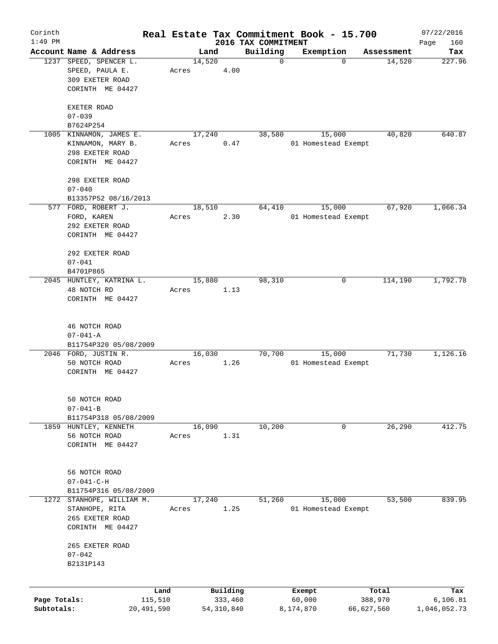| Corinth      |                                           |                 |        |                     |                     | Real Estate Tax Commitment Book - 15.700 |                  | 07/22/2016      |
|--------------|-------------------------------------------|-----------------|--------|---------------------|---------------------|------------------------------------------|------------------|-----------------|
| $1:49$ PM    |                                           |                 |        |                     | 2016 TAX COMMITMENT |                                          |                  | 160<br>Page     |
|              | Account Name & Address                    |                 |        | Land                | Building            | Exemption                                | Assessment       | Tax             |
|              | 1237 SPEED, SPENCER L.<br>SPEED, PAULA E. | Acres           | 14,520 | 4.00                | $\mathbf 0$         | $\mathbf 0$                              | 14,520           | 227.96          |
|              | 309 EXETER ROAD<br>CORINTH ME 04427       |                 |        |                     |                     |                                          |                  |                 |
|              |                                           |                 |        |                     |                     |                                          |                  |                 |
|              | EXETER ROAD                               |                 |        |                     |                     |                                          |                  |                 |
|              | $07 - 039$                                |                 |        |                     |                     |                                          |                  |                 |
|              | B7624P254                                 |                 |        |                     |                     |                                          |                  |                 |
|              | 1005 KINNAMON, JAMES E.                   |                 | 17,240 |                     | 38,580              | 15,000                                   | 40,820           | 640.87          |
|              | KINNAMON, MARY B.<br>298 EXETER ROAD      | Acres           |        | 0.47                |                     | 01 Homestead Exempt                      |                  |                 |
|              | CORINTH ME 04427                          |                 |        |                     |                     |                                          |                  |                 |
|              |                                           |                 |        |                     |                     |                                          |                  |                 |
|              | 298 EXETER ROAD                           |                 |        |                     |                     |                                          |                  |                 |
|              | $07 - 040$                                |                 |        |                     |                     |                                          |                  |                 |
|              | B13357P52 08/16/2013                      |                 |        |                     |                     |                                          |                  |                 |
|              | 577 FORD, ROBERT J.                       |                 | 18,510 |                     | 64,410              | 15,000                                   | 67,920           | 1,066.34        |
|              | FORD, KAREN                               | Acres           |        | 2.30                |                     | 01 Homestead Exempt                      |                  |                 |
|              | 292 EXETER ROAD                           |                 |        |                     |                     |                                          |                  |                 |
|              | CORINTH ME 04427                          |                 |        |                     |                     |                                          |                  |                 |
|              | 292 EXETER ROAD                           |                 |        |                     |                     |                                          |                  |                 |
|              | $07 - 041$                                |                 |        |                     |                     |                                          |                  |                 |
|              | B4701P865                                 |                 |        |                     |                     |                                          |                  |                 |
|              | 2045 HUNTLEY, KATRINA L.                  |                 | 15,880 |                     | 98,310              | 0                                        | 114,190          | 1,792.78        |
|              | 48 NOTCH RD                               | Acres           |        | 1.13                |                     |                                          |                  |                 |
|              | CORINTH ME 04427                          |                 |        |                     |                     |                                          |                  |                 |
|              |                                           |                 |        |                     |                     |                                          |                  |                 |
|              | 46 NOTCH ROAD                             |                 |        |                     |                     |                                          |                  |                 |
|              | $07 - 041 - A$                            |                 |        |                     |                     |                                          |                  |                 |
|              | B11754P320 05/08/2009                     |                 |        |                     |                     |                                          |                  |                 |
|              | 2046 FORD, JUSTIN R.                      |                 | 16,030 |                     | 70,700              | 15,000                                   | 71,730           | 1,126.16        |
|              | 50 NOTCH ROAD                             | Acres           |        | 1.26                |                     | 01 Homestead Exempt                      |                  |                 |
|              | CORINTH ME 04427                          |                 |        |                     |                     |                                          |                  |                 |
|              |                                           |                 |        |                     |                     |                                          |                  |                 |
|              | 50 NOTCH ROAD                             |                 |        |                     |                     |                                          |                  |                 |
|              | $07 - 041 - B$                            |                 |        |                     |                     |                                          |                  |                 |
|              | B11754P318 05/08/2009                     |                 |        |                     |                     |                                          |                  |                 |
|              | 1859 HUNTLEY, KENNETH                     |                 | 16,090 |                     | 10,200              | 0                                        | 26,290           | 412.75          |
|              | 56 NOTCH ROAD                             | Acres           |        | 1.31                |                     |                                          |                  |                 |
|              | CORINTH ME 04427                          |                 |        |                     |                     |                                          |                  |                 |
|              |                                           |                 |        |                     |                     |                                          |                  |                 |
|              | 56 NOTCH ROAD                             |                 |        |                     |                     |                                          |                  |                 |
|              | $07 - 041 - C - H$                        |                 |        |                     |                     |                                          |                  |                 |
|              | B11754P316 05/08/2009                     |                 |        |                     |                     |                                          |                  |                 |
| 1272         | STANHOPE, WILLIAM M.                      |                 | 17,240 |                     | 51,260              | 15,000                                   | 53,500           | 839.95          |
|              | STANHOPE, RITA                            | Acres           |        | 1.25                |                     | 01 Homestead Exempt                      |                  |                 |
|              | 265 EXETER ROAD                           |                 |        |                     |                     |                                          |                  |                 |
|              | CORINTH ME 04427                          |                 |        |                     |                     |                                          |                  |                 |
|              |                                           |                 |        |                     |                     |                                          |                  |                 |
|              | 265 EXETER ROAD                           |                 |        |                     |                     |                                          |                  |                 |
|              | $07 - 042$<br>B2131P143                   |                 |        |                     |                     |                                          |                  |                 |
|              |                                           |                 |        |                     |                     |                                          |                  |                 |
|              |                                           |                 |        |                     |                     |                                          |                  |                 |
| Page Totals: |                                           | Land<br>115,510 |        | Building<br>333,460 |                     | Exempt<br>60,000                         | Total<br>388,970 | Tax<br>6,106.81 |
| Subtotals:   | 20,491,590                                |                 |        | 54, 310, 840        |                     | 8,174,870                                | 66,627,560       | 1,046,052.73    |
|              |                                           |                 |        |                     |                     |                                          |                  |                 |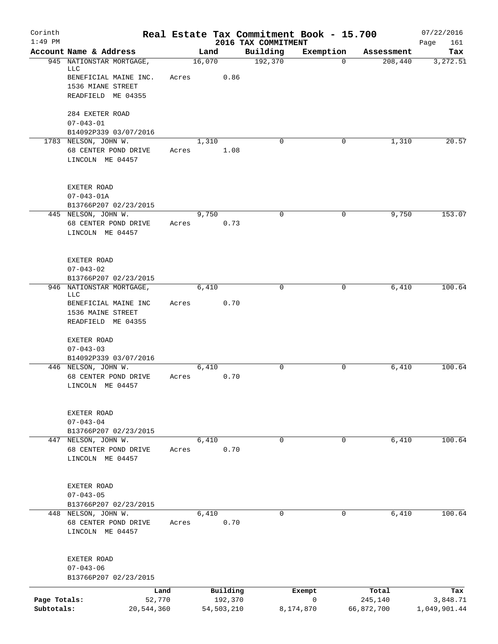| Corinth      |                                                                 |       |        |                     |                                 | Real Estate Tax Commitment Book - 15.700 |                  | 07/22/2016         |
|--------------|-----------------------------------------------------------------|-------|--------|---------------------|---------------------------------|------------------------------------------|------------------|--------------------|
| $1:49$ PM    | Account Name & Address                                          |       | Land   |                     | 2016 TAX COMMITMENT<br>Building | Exemption                                | Assessment       | Page<br>161<br>Tax |
|              | 945 NATIONSTAR MORTGAGE,                                        |       | 16,070 |                     | 192,370                         | $\mathbf 0$                              | 208,440          | 3,272.51           |
|              | LLC                                                             |       |        |                     |                                 |                                          |                  |                    |
|              | BENEFICIAL MAINE INC.<br>1536 MIANE STREET                      | Acres |        | 0.86                |                                 |                                          |                  |                    |
|              | READFIELD ME 04355                                              |       |        |                     |                                 |                                          |                  |                    |
|              | 284 EXETER ROAD                                                 |       |        |                     |                                 |                                          |                  |                    |
|              | $07 - 043 - 01$                                                 |       |        |                     |                                 |                                          |                  |                    |
|              | B14092P339 03/07/2016                                           |       |        |                     |                                 |                                          |                  |                    |
|              | 1783 NELSON, JOHN W.<br>68 CENTER POND DRIVE                    | Acres | 1,310  | 1.08                | $\Omega$                        | 0                                        | 1,310            | 20.57              |
|              | LINCOLN ME 04457                                                |       |        |                     |                                 |                                          |                  |                    |
|              | EXETER ROAD                                                     |       |        |                     |                                 |                                          |                  |                    |
|              | $07 - 043 - 01A$                                                |       |        |                     |                                 |                                          |                  |                    |
|              | B13766P207 02/23/2015                                           |       |        |                     |                                 |                                          |                  |                    |
|              | 445 NELSON, JOHN W.                                             |       | 9,750  |                     | $\mathbf 0$                     | 0                                        | 9,750            | 153.07             |
|              | 68 CENTER POND DRIVE<br>LINCOLN ME 04457                        | Acres |        | 0.73                |                                 |                                          |                  |                    |
|              | EXETER ROAD                                                     |       |        |                     |                                 |                                          |                  |                    |
|              | $07 - 043 - 02$                                                 |       |        |                     |                                 |                                          |                  |                    |
|              | B13766P207 02/23/2015                                           |       |        |                     |                                 |                                          |                  |                    |
| 946          | NATIONSTAR MORTGAGE,<br>LLC                                     |       | 6,410  |                     | 0                               | 0                                        | 6,410            | 100.64             |
|              | BENEFICIAL MAINE INC<br>1536 MAINE STREET<br>READFIELD ME 04355 | Acres |        | 0.70                |                                 |                                          |                  |                    |
|              |                                                                 |       |        |                     |                                 |                                          |                  |                    |
|              | EXETER ROAD                                                     |       |        |                     |                                 |                                          |                  |                    |
|              | $07 - 043 - 03$                                                 |       |        |                     |                                 |                                          |                  |                    |
|              | B14092P339 03/07/2016<br>446 NELSON, JOHN W.                    |       | 6,410  |                     | $\mathbf 0$                     | $\mathbf 0$                              | 6,410            | 100.64             |
|              | 68 CENTER POND DRIVE<br>LINCOLN ME 04457                        | Acres |        | 0.70                |                                 |                                          |                  |                    |
|              | EXETER ROAD                                                     |       |        |                     |                                 |                                          |                  |                    |
|              | $07 - 043 - 04$                                                 |       |        |                     |                                 |                                          |                  |                    |
|              | B13766P207 02/23/2015                                           |       | 6,410  |                     | $\mathbf 0$                     | $\mathbf{0}$                             | 6,410            | 100.64             |
|              | 447 NELSON, JOHN W.<br>68 CENTER POND DRIVE<br>LINCOLN ME 04457 | Acres |        | 0.70                |                                 |                                          |                  |                    |
|              |                                                                 |       |        |                     |                                 |                                          |                  |                    |
|              | EXETER ROAD                                                     |       |        |                     |                                 |                                          |                  |                    |
|              | $07 - 043 - 05$                                                 |       |        |                     |                                 |                                          |                  |                    |
|              | B13766P207 02/23/2015                                           |       |        |                     |                                 |                                          |                  |                    |
|              | 448 NELSON, JOHN W.<br>68 CENTER POND DRIVE                     | Acres | 6,410  | 0.70                | 0                               | 0                                        | 6,410            | 100.64             |
|              | LINCOLN ME 04457                                                |       |        |                     |                                 |                                          |                  |                    |
|              | EXETER ROAD                                                     |       |        |                     |                                 |                                          |                  |                    |
|              | $07 - 043 - 06$                                                 |       |        |                     |                                 |                                          |                  |                    |
|              | B13766P207 02/23/2015                                           |       |        |                     |                                 |                                          |                  |                    |
| Page Totals: | Land<br>52,770                                                  |       |        | Building<br>192,370 |                                 | Exempt<br>0                              | Total<br>245,140 | Tax<br>3,848.71    |
| Subtotals:   | 20,544,360                                                      |       |        | 54, 503, 210        |                                 | 8,174,870                                | 66,872,700       | 1,049,901.44       |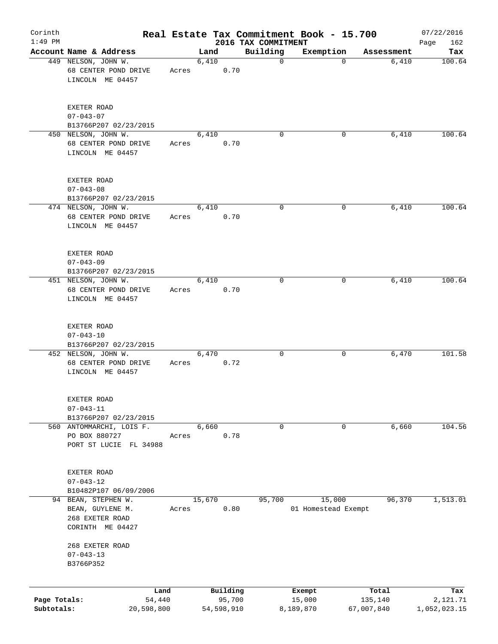| Corinth<br>$1:49$ PM |                                                                                |       |        |                    | 2016 TAX COMMITMENT | Real Estate Tax Commitment Book - 15.700 |                  | 07/22/2016<br>Page<br>162 |
|----------------------|--------------------------------------------------------------------------------|-------|--------|--------------------|---------------------|------------------------------------------|------------------|---------------------------|
|                      | Account Name & Address                                                         |       | Land   |                    | Building            | Exemption                                | Assessment       | Tax                       |
|                      | 449 NELSON, JOHN W.<br>68 CENTER POND DRIVE<br>LINCOLN ME 04457                | Acres | 6,410  | 0.70               | 0                   | $\Omega$                                 | 6,410            | 100.64                    |
|                      | EXETER ROAD<br>$07 - 043 - 07$<br>B13766P207 02/23/2015                        |       |        |                    |                     |                                          |                  |                           |
|                      | 450 NELSON, JOHN W.                                                            |       | 6,410  |                    | 0                   | 0                                        | 6,410            | 100.64                    |
|                      | 68 CENTER POND DRIVE<br>LINCOLN ME 04457                                       | Acres |        | 0.70               |                     |                                          |                  |                           |
|                      | EXETER ROAD<br>$07 - 043 - 08$<br>B13766P207 02/23/2015                        |       |        |                    |                     |                                          |                  |                           |
|                      | 474 NELSON, JOHN W.<br>68 CENTER POND DRIVE<br>LINCOLN ME 04457                | Acres | 6,410  | 0.70               | 0                   | 0                                        | 6,410            | 100.64                    |
|                      | EXETER ROAD<br>$07 - 043 - 09$<br>B13766P207 02/23/2015                        |       |        |                    |                     |                                          |                  |                           |
|                      | 451 NELSON, JOHN W.<br>68 CENTER POND DRIVE<br>LINCOLN ME 04457                | Acres | 6,410  | 0.70               | 0                   | 0                                        | 6,410            | 100.64                    |
|                      | EXETER ROAD<br>$07 - 043 - 10$<br>B13766P207 02/23/2015                        |       |        |                    |                     |                                          |                  |                           |
|                      | 452 NELSON, JOHN W.<br>68 CENTER POND DRIVE<br>LINCOLN ME 04457                | Acres | 6,470  | 0.72               | 0                   | 0                                        | 6,470            | 101.58                    |
|                      | EXETER ROAD<br>$07 - 043 - 11$<br>B13766P207 02/23/2015                        |       |        |                    |                     |                                          |                  |                           |
|                      | 560 ANTOMMARCHI, LOIS F.<br>PO BOX 880727<br>PORT ST LUCIE FL 34988            | Acres | 6,660  | 0.78               | 0                   | 0                                        | 6,660            | 104.56                    |
|                      | EXETER ROAD<br>$07 - 043 - 12$<br>B10482P107 06/09/2006                        |       |        |                    |                     |                                          |                  |                           |
|                      | 94 BEAN, STEPHEN W.<br>BEAN, GUYLENE M.<br>268 EXETER ROAD<br>CORINTH ME 04427 | Acres | 15,670 | 0.80               | 95,700              | 15,000<br>01 Homestead Exempt            | 96,370           | 1,513.01                  |
|                      | 268 EXETER ROAD<br>$07 - 043 - 13$<br>B3766P352                                |       |        |                    |                     |                                          |                  |                           |
|                      |                                                                                |       |        |                    |                     |                                          |                  |                           |
| Page Totals:         | 54,440                                                                         | Land  |        | Building<br>95,700 |                     | Exempt<br>15,000                         | Total<br>135,140 | Tax<br>2,121.71           |
| Subtotals:           | 20,598,800                                                                     |       |        | 54,598,910         |                     | 8,189,870                                | 67,007,840       | 1,052,023.15              |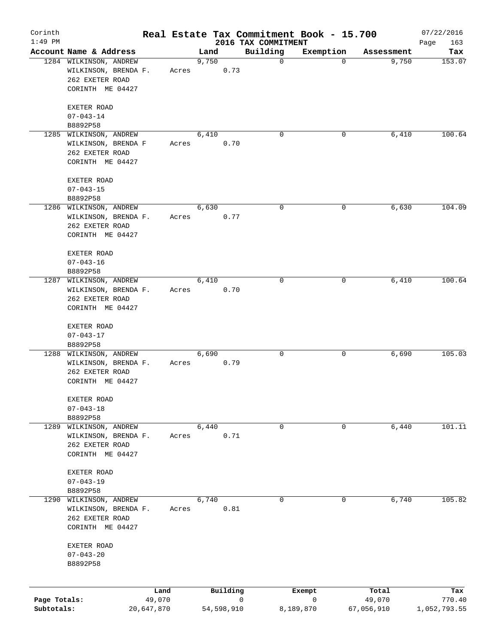| Corinth      |                                         |            |       |         |            |   |                                 | Real Estate Tax Commitment Book - 15.700 |             |            | 07/22/2016         |
|--------------|-----------------------------------------|------------|-------|---------|------------|---|---------------------------------|------------------------------------------|-------------|------------|--------------------|
| $1:49$ PM    | Account Name & Address                  |            |       | Land    |            |   | 2016 TAX COMMITMENT<br>Building | Exemption                                |             | Assessment | Page<br>163<br>Tax |
|              | 1284 WILKINSON, ANDREW                  |            |       | 9,750   |            |   | $\mathbf 0$                     |                                          | $\mathbf 0$ | 9,750      | 153.07             |
|              | WILKINSON, BRENDA F.                    |            | Acres |         | 0.73       |   |                                 |                                          |             |            |                    |
|              | 262 EXETER ROAD                         |            |       |         |            |   |                                 |                                          |             |            |                    |
|              | CORINTH ME 04427                        |            |       |         |            |   |                                 |                                          |             |            |                    |
|              | EXETER ROAD                             |            |       |         |            |   |                                 |                                          |             |            |                    |
|              | $07 - 043 - 14$                         |            |       |         |            |   |                                 |                                          |             |            |                    |
|              | B8892P58                                |            |       |         |            |   |                                 |                                          |             |            |                    |
|              | 1285 WILKINSON, ANDREW                  |            |       | 6,410   |            |   | $\mathbf 0$                     |                                          | 0           | 6,410      | 100.64             |
|              | WILKINSON, BRENDA F                     |            | Acres |         | 0.70       |   |                                 |                                          |             |            |                    |
|              | 262 EXETER ROAD                         |            |       |         |            |   |                                 |                                          |             |            |                    |
|              | CORINTH ME 04427                        |            |       |         |            |   |                                 |                                          |             |            |                    |
|              | EXETER ROAD                             |            |       |         |            |   |                                 |                                          |             |            |                    |
|              | $07 - 043 - 15$                         |            |       |         |            |   |                                 |                                          |             |            |                    |
|              | B8892P58                                |            |       |         |            |   |                                 |                                          |             |            |                    |
|              | 1286 WILKINSON, ANDREW                  |            |       | 6,630   |            |   | 0                               |                                          | 0           | 6,630      | 104.09             |
|              | WILKINSON, BRENDA F.                    |            | Acres |         | 0.77       |   |                                 |                                          |             |            |                    |
|              | 262 EXETER ROAD                         |            |       |         |            |   |                                 |                                          |             |            |                    |
|              | CORINTH ME 04427                        |            |       |         |            |   |                                 |                                          |             |            |                    |
|              | EXETER ROAD                             |            |       |         |            |   |                                 |                                          |             |            |                    |
|              | $07 - 043 - 16$                         |            |       |         |            |   |                                 |                                          |             |            |                    |
|              | B8892P58                                |            |       |         |            |   |                                 |                                          |             |            |                    |
|              | 1287 WILKINSON, ANDREW                  |            |       | 6,410   |            |   | $\mathbf 0$                     |                                          | 0           | 6,410      | 100.64             |
|              | WILKINSON, BRENDA F.                    |            | Acres |         | 0.70       |   |                                 |                                          |             |            |                    |
|              | 262 EXETER ROAD                         |            |       |         |            |   |                                 |                                          |             |            |                    |
|              | CORINTH ME 04427                        |            |       |         |            |   |                                 |                                          |             |            |                    |
|              | EXETER ROAD                             |            |       |         |            |   |                                 |                                          |             |            |                    |
|              | $07 - 043 - 17$                         |            |       |         |            |   |                                 |                                          |             |            |                    |
|              | B8892P58                                |            |       |         |            |   |                                 |                                          |             |            |                    |
|              | 1288 WILKINSON, ANDREW                  |            |       | 6,690   |            |   | 0                               |                                          | 0           | 6,690      | 105.03             |
|              | WILKINSON, BRENDA F.<br>262 EXETER ROAD |            | Acres |         | 0.79       |   |                                 |                                          |             |            |                    |
|              | CORINTH ME 04427                        |            |       |         |            |   |                                 |                                          |             |            |                    |
|              |                                         |            |       |         |            |   |                                 |                                          |             |            |                    |
|              | EXETER ROAD<br>$07 - 043 - 18$          |            |       |         |            |   |                                 |                                          |             |            |                    |
|              | B8892P58                                |            |       |         |            |   |                                 |                                          |             |            |                    |
| 1289         | WILKINSON, ANDREW                       |            |       | $6,440$ |            |   | 0                               |                                          | 0           | 6,440      | 101.11             |
|              | WILKINSON, BRENDA F.                    |            | Acres |         | 0.71       |   |                                 |                                          |             |            |                    |
|              | 262 EXETER ROAD                         |            |       |         |            |   |                                 |                                          |             |            |                    |
|              | CORINTH ME 04427                        |            |       |         |            |   |                                 |                                          |             |            |                    |
|              | EXETER ROAD                             |            |       |         |            |   |                                 |                                          |             |            |                    |
|              | $07 - 043 - 19$                         |            |       |         |            |   |                                 |                                          |             |            |                    |
|              | B8892P58                                |            |       |         |            |   |                                 |                                          |             |            |                    |
| 1290         | WILKINSON, ANDREW                       |            |       | 6,740   |            |   | 0                               |                                          | 0           | 6,740      | 105.82             |
|              | WILKINSON, BRENDA F.                    |            | Acres |         | 0.81       |   |                                 |                                          |             |            |                    |
|              | 262 EXETER ROAD                         |            |       |         |            |   |                                 |                                          |             |            |                    |
|              | CORINTH ME 04427                        |            |       |         |            |   |                                 |                                          |             |            |                    |
|              | EXETER ROAD                             |            |       |         |            |   |                                 |                                          |             |            |                    |
|              | $07 - 043 - 20$                         |            |       |         |            |   |                                 |                                          |             |            |                    |
|              | B8892P58                                |            |       |         |            |   |                                 |                                          |             |            |                    |
|              |                                         |            |       |         |            |   |                                 |                                          |             |            |                    |
|              |                                         | Land       |       |         | Building   |   |                                 | Exempt                                   |             | Total      | Tax                |
| Page Totals: |                                         | 49,070     |       |         |            | 0 |                                 | 0                                        |             | 49,070     | 770.40             |
| Subtotals:   |                                         | 20,647,870 |       |         | 54,598,910 |   |                                 | 8,189,870                                |             | 67,056,910 | 1,052,793.55       |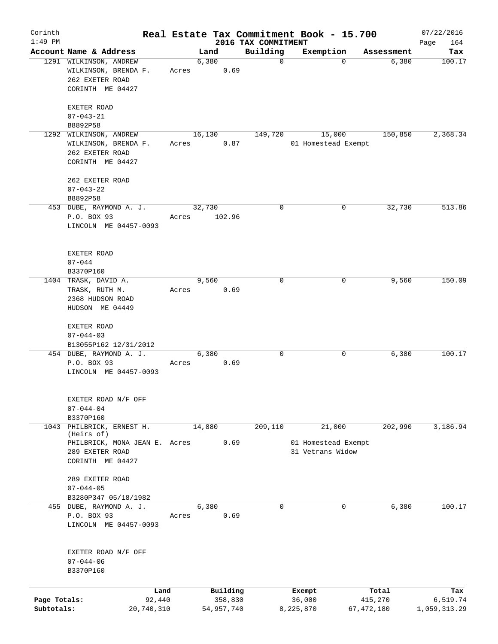| Corinth<br>$1:49$ PM |                                                                   |       |               | 2016 TAX COMMITMENT | Real Estate Tax Commitment Book - 15.700 |            | 07/22/2016<br>164<br>Page |
|----------------------|-------------------------------------------------------------------|-------|---------------|---------------------|------------------------------------------|------------|---------------------------|
|                      | Account Name & Address                                            |       | Land          | Building            | Exemption                                | Assessment | Tax                       |
|                      | 1291 WILKINSON, ANDREW<br>WILKINSON, BRENDA F.<br>262 EXETER ROAD | Acres | 6,380<br>0.69 | $\mathbf 0$         | $\Omega$                                 | 6,380      | 100.17                    |
|                      | CORINTH ME 04427                                                  |       |               |                     |                                          |            |                           |
|                      | EXETER ROAD<br>$07 - 043 - 21$                                    |       |               |                     |                                          |            |                           |
|                      | B8892P58                                                          |       |               |                     |                                          |            |                           |
| 1292                 | WILKINSON, ANDREW                                                 |       | 16,130        | 149,720             | 15,000                                   | 150,850    | 2,368.34                  |
|                      | WILKINSON, BRENDA F.<br>262 EXETER ROAD<br>CORINTH ME 04427       | Acres | 0.87          |                     | 01 Homestead Exempt                      |            |                           |
|                      | 262 EXETER ROAD<br>$07 - 043 - 22$                                |       |               |                     |                                          |            |                           |
|                      | B8892P58<br>453 DUBE, RAYMOND A. J.                               |       | 32,730        | $\mathbf 0$         | 0                                        | 32,730     | 513.86                    |
|                      | P.O. BOX 93<br>LINCOLN ME 04457-0093                              | Acres | 102.96        |                     |                                          |            |                           |
|                      | EXETER ROAD<br>$07 - 044$                                         |       |               |                     |                                          |            |                           |
|                      | B3370P160                                                         |       |               |                     |                                          |            |                           |
|                      | 1404 TRASK, DAVID A.                                              |       | 9,560         | $\mathbf 0$         | 0                                        | 9,560      | 150.09                    |
|                      | TRASK, RUTH M.                                                    | Acres | 0.69          |                     |                                          |            |                           |
|                      | 2368 HUDSON ROAD                                                  |       |               |                     |                                          |            |                           |
|                      | HUDSON ME 04449                                                   |       |               |                     |                                          |            |                           |
|                      | EXETER ROAD                                                       |       |               |                     |                                          |            |                           |
|                      | $07 - 044 - 03$                                                   |       |               |                     |                                          |            |                           |
|                      | B13055P162 12/31/2012                                             |       |               |                     |                                          |            |                           |
|                      | 454 DUBE, RAYMOND A. J.                                           |       | 6,380         | $\mathbf 0$         | 0                                        | 6,380      | 100.17                    |
|                      | P.O. BOX 93<br>LINCOLN ME 04457-0093                              | Acres | 0.69          |                     |                                          |            |                           |
|                      | EXETER ROAD N/F OFF                                               |       |               |                     |                                          |            |                           |
|                      | $07 - 044 - 04$                                                   |       |               |                     |                                          |            |                           |
|                      | B3370P160                                                         |       |               |                     |                                          |            |                           |
| 1043                 | PHILBRICK, ERNEST H.<br>(Heirs of)                                |       | 14,880        | 209,110             | 21,000                                   | 202,990    | 3,186.94                  |
|                      | PHILBRICK, MONA JEAN E. Acres                                     |       | 0.69          |                     | 01 Homestead Exempt                      |            |                           |
|                      | 289 EXETER ROAD                                                   |       |               |                     | 31 Vetrans Widow                         |            |                           |
|                      | CORINTH ME 04427                                                  |       |               |                     |                                          |            |                           |
|                      | 289 EXETER ROAD                                                   |       |               |                     |                                          |            |                           |
|                      | $07 - 044 - 05$                                                   |       |               |                     |                                          |            |                           |
|                      | B3280P347 05/18/1982                                              |       |               |                     |                                          |            |                           |
|                      | 455 DUBE, RAYMOND A. J.                                           |       | 6,380         | $\mathbf 0$         | 0                                        | 6,380      | 100.17                    |
|                      | P.O. BOX 93<br>LINCOLN ME 04457-0093                              | Acres | 0.69          |                     |                                          |            |                           |
|                      | EXETER ROAD N/F OFF                                               |       |               |                     |                                          |            |                           |
|                      | $07 - 044 - 06$<br>B3370P160                                      |       |               |                     |                                          |            |                           |
|                      |                                                                   | Land  | Building      |                     | Exempt                                   | Total      | Tax                       |
| Page Totals:         | 92,440                                                            |       | 358,830       |                     | 36,000                                   | 415,270    | 6,519.74                  |
| Subtotals:           | 20,740,310                                                        |       | 54,957,740    |                     | 8,225,870                                | 67,472,180 | 1,059,313.29              |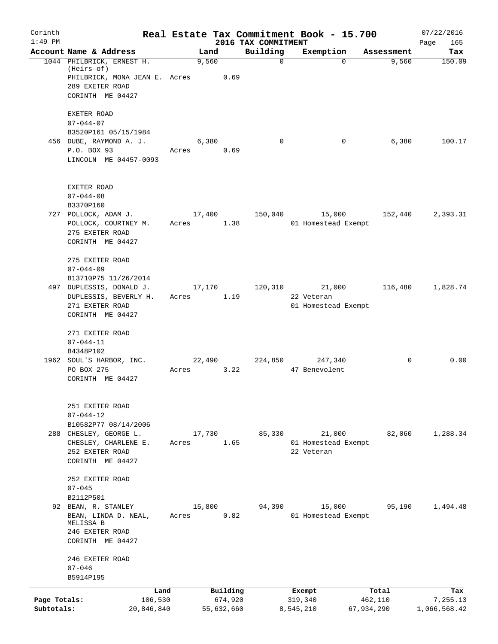| Corinth                    |                                                                                                                 |                 |                       |                                 |           | Real Estate Tax Commitment Book - 15.700    |                       | 07/22/2016               |
|----------------------------|-----------------------------------------------------------------------------------------------------------------|-----------------|-----------------------|---------------------------------|-----------|---------------------------------------------|-----------------------|--------------------------|
| $1:49$ PM                  | Account Name & Address                                                                                          | Land            |                       | 2016 TAX COMMITMENT<br>Building |           | Exemption                                   | Assessment            | Page<br>165<br>Tax       |
|                            | 1044 PHILBRICK, ERNEST H.<br>(Heirs of)<br>PHILBRICK, MONA JEAN E. Acres<br>289 EXETER ROAD<br>CORINTH ME 04427 | 9,560           | 0.69                  |                                 | $\Omega$  | $\Omega$                                    | 9,560                 | 150.09                   |
|                            | EXETER ROAD<br>$07 - 044 - 07$                                                                                  |                 |                       |                                 |           |                                             |                       |                          |
|                            | B3520P161 05/15/1984<br>456 DUBE, RAYMOND A. J.<br>P.O. BOX 93<br>LINCOLN ME 04457-0093                         | 6,380<br>Acres  | 0.69                  |                                 | $\Omega$  | 0                                           | 6,380                 | 100.17                   |
|                            | EXETER ROAD<br>$07 - 044 - 08$<br>B3370P160                                                                     |                 |                       |                                 |           |                                             |                       |                          |
|                            | 727 POLLOCK, ADAM J.<br>POLLOCK, COURTNEY M.<br>275 EXETER ROAD<br>CORINTH ME 04427                             | 17,400<br>Acres | 1.38                  | 150,040                         |           | 15,000<br>01 Homestead Exempt               | 152,440               | 2,393.31                 |
|                            | 275 EXETER ROAD<br>$07 - 044 - 09$<br>B13710P75 11/26/2014                                                      |                 |                       |                                 |           |                                             |                       |                          |
|                            | 497 DUPLESSIS, DONALD J.<br>DUPLESSIS, BEVERLY H.<br>271 EXETER ROAD<br>CORINTH ME 04427                        | 17,170<br>Acres | 1.19                  | 120,310                         |           | 21,000<br>22 Veteran<br>01 Homestead Exempt | 116,480               | 1,828.74                 |
|                            | 271 EXETER ROAD<br>$07 - 044 - 11$<br>B4348P102                                                                 |                 |                       |                                 |           |                                             |                       |                          |
|                            | 1962 SOUL'S HARBOR, INC.<br>PO BOX 275<br>CORINTH ME 04427                                                      | 22,490<br>Acres | 3.22                  | 224,850                         |           | 247,340<br>47 Benevolent                    | 0                     | 0.00                     |
|                            | 251 EXETER ROAD<br>$07 - 044 - 12$<br>B10582P77 08/14/2006                                                      |                 |                       |                                 |           |                                             |                       |                          |
|                            | 288 CHESLEY, GEORGE L.<br>CHESLEY, CHARLENE E.<br>252 EXETER ROAD<br>CORINTH ME 04427                           | 17,730<br>Acres | 1.65                  | 85,330                          |           | 21,000<br>01 Homestead Exempt<br>22 Veteran | 82,060                | 1,288.34                 |
|                            | 252 EXETER ROAD<br>$07 - 045$<br>B2112P501                                                                      |                 |                       |                                 |           |                                             |                       |                          |
|                            | 92 BEAN, R. STANLEY<br>BEAN, LINDA D. NEAL,<br>MELISSA B<br>246 EXETER ROAD<br>CORINTH ME 04427                 | 15,800<br>Acres | 0.82                  | 94,390                          |           | 15,000<br>01 Homestead Exempt               | 95,190                | 1,494.48                 |
|                            | 246 EXETER ROAD<br>$07 - 046$<br>B5914P195                                                                      |                 |                       |                                 |           |                                             |                       |                          |
|                            | Land                                                                                                            |                 | Building              |                                 |           | Exempt                                      | Total                 | Tax                      |
| Page Totals:<br>Subtotals: | 106,530<br>20,846,840                                                                                           |                 | 674,920<br>55,632,660 |                                 | 8,545,210 | 319,340                                     | 462,110<br>67,934,290 | 7,255.13<br>1,066,568.42 |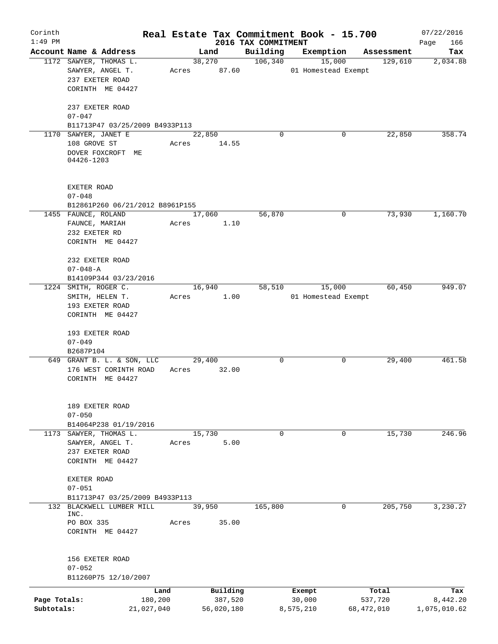| Corinth      |                                                         |       |            |                                 | Real Estate Tax Commitment Book - 15.700 |             |                       | 07/22/2016      |
|--------------|---------------------------------------------------------|-------|------------|---------------------------------|------------------------------------------|-------------|-----------------------|-----------------|
| $1:49$ PM    | Account Name & Address                                  |       | Land       | 2016 TAX COMMITMENT<br>Building | Exemption                                |             |                       | Page<br>166     |
|              | 1172 SAWYER, THOMAS L.                                  |       | 38,270     | 106,340                         | 15,000                                   |             | Assessment<br>129,610 | Tax<br>2,034.88 |
|              | SAWYER, ANGEL T.                                        | Acres | 87.60      |                                 | 01 Homestead Exempt                      |             |                       |                 |
|              | 237 EXETER ROAD                                         |       |            |                                 |                                          |             |                       |                 |
|              | CORINTH ME 04427                                        |       |            |                                 |                                          |             |                       |                 |
|              |                                                         |       |            |                                 |                                          |             |                       |                 |
|              | 237 EXETER ROAD                                         |       |            |                                 |                                          |             |                       |                 |
|              | $07 - 047$<br>B11713P47 03/25/2009 B4933P113            |       |            |                                 |                                          |             |                       |                 |
|              | 1170 SAWYER, JANET E                                    |       | 22,850     | $\Omega$                        |                                          | 0           | 22,850                | 358.74          |
|              | 108 GROVE ST                                            | Acres | 14.55      |                                 |                                          |             |                       |                 |
|              | DOVER FOXCROFT ME                                       |       |            |                                 |                                          |             |                       |                 |
|              | 04426-1203                                              |       |            |                                 |                                          |             |                       |                 |
|              |                                                         |       |            |                                 |                                          |             |                       |                 |
|              | EXETER ROAD<br>$07 - 048$                               |       |            |                                 |                                          |             |                       |                 |
|              | B12861P260 06/21/2012 B8961P155                         |       |            |                                 |                                          |             |                       |                 |
|              | 1455 FAUNCE, ROLAND                                     |       | 17,060     | 56,870                          |                                          | 0           | 73,930                | 1,160.70        |
|              | FAUNCE, MARIAH                                          | Acres | 1.10       |                                 |                                          |             |                       |                 |
|              | 232 EXETER RD                                           |       |            |                                 |                                          |             |                       |                 |
|              | CORINTH ME 04427                                        |       |            |                                 |                                          |             |                       |                 |
|              |                                                         |       |            |                                 |                                          |             |                       |                 |
|              | 232 EXETER ROAD                                         |       |            |                                 |                                          |             |                       |                 |
|              | $07 - 048 - A$                                          |       |            |                                 |                                          |             |                       |                 |
|              | B14109P344 03/23/2016                                   |       |            |                                 |                                          |             |                       |                 |
|              | 1224 SMITH, ROGER C.                                    |       | 16,940     | 58,510                          | 15,000                                   |             | 60,450                | 949.07          |
|              | SMITH, HELEN T.                                         | Acres | 1.00       |                                 | 01 Homestead Exempt                      |             |                       |                 |
|              | 193 EXETER ROAD                                         |       |            |                                 |                                          |             |                       |                 |
|              | CORINTH ME 04427                                        |       |            |                                 |                                          |             |                       |                 |
|              | 193 EXETER ROAD                                         |       |            |                                 |                                          |             |                       |                 |
|              | $07 - 049$                                              |       |            |                                 |                                          |             |                       |                 |
|              | B2687P104                                               |       |            |                                 |                                          |             |                       |                 |
|              | 649 GRANT B. L. & SON, LLC                              |       | 29,400     | 0                               |                                          | 0           | 29,400                | 461.58          |
|              | 176 WEST CORINTH ROAD                                   | Acres | 32.00      |                                 |                                          |             |                       |                 |
|              | CORINTH ME 04427                                        |       |            |                                 |                                          |             |                       |                 |
|              |                                                         |       |            |                                 |                                          |             |                       |                 |
|              | 189 EXETER ROAD                                         |       |            |                                 |                                          |             |                       |                 |
|              | $07 - 050$                                              |       |            |                                 |                                          |             |                       |                 |
|              | B14064P238 01/19/2016<br>1173 SAWYER, THOMAS L.         |       | 15,730     | $\mathbf 0$                     |                                          | $\mathbf 0$ | 15,730                | 246.96          |
|              | SAWYER, ANGEL T.                                        | Acres | 5.00       |                                 |                                          |             |                       |                 |
|              | 237 EXETER ROAD                                         |       |            |                                 |                                          |             |                       |                 |
|              | CORINTH ME 04427                                        |       |            |                                 |                                          |             |                       |                 |
|              |                                                         |       |            |                                 |                                          |             |                       |                 |
|              | EXETER ROAD                                             |       |            |                                 |                                          |             |                       |                 |
|              | $07 - 051$                                              |       |            |                                 |                                          |             |                       |                 |
|              | B11713P47 03/25/2009 B4933P113<br>BLACKWELL LUMBER MILL |       |            |                                 |                                          | $\mathbf 0$ | 205,750               | 3,230.27        |
| 132          | INC.                                                    |       | 39,950     | 165,800                         |                                          |             |                       |                 |
|              | PO BOX 335                                              | Acres | 35.00      |                                 |                                          |             |                       |                 |
|              | CORINTH ME 04427                                        |       |            |                                 |                                          |             |                       |                 |
|              |                                                         |       |            |                                 |                                          |             |                       |                 |
|              | 156 EXETER ROAD                                         |       |            |                                 |                                          |             |                       |                 |
|              | $07 - 052$                                              |       |            |                                 |                                          |             |                       |                 |
|              | B11260P75 12/10/2007                                    |       |            |                                 |                                          |             |                       |                 |
|              |                                                         | Land  | Building   |                                 | Exempt                                   | Total       |                       | Tax             |
| Page Totals: | 180,200                                                 |       | 387,520    |                                 | 30,000                                   | 537,720     |                       | 8,442.20        |
| Subtotals:   | 21,027,040                                              |       | 56,020,180 |                                 | 8,575,210                                | 68,472,010  |                       | 1,075,010.62    |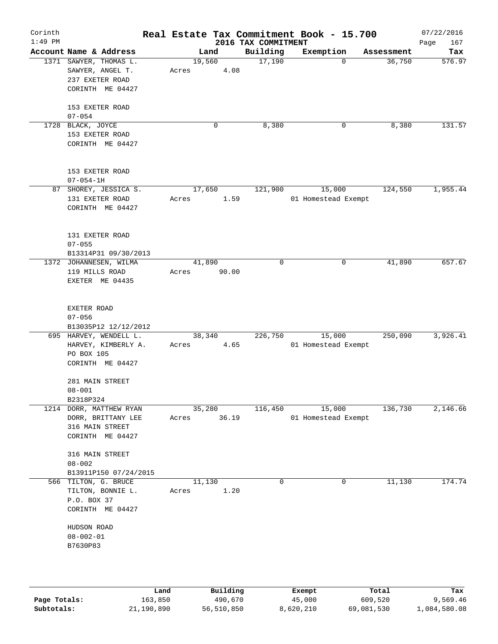| Corinth      |                                                                                      |                 |       |        |                     |                     | Real Estate Tax Commitment Book - 15.700 |                       | 07/22/2016      |
|--------------|--------------------------------------------------------------------------------------|-----------------|-------|--------|---------------------|---------------------|------------------------------------------|-----------------------|-----------------|
| $1:49$ PM    |                                                                                      |                 |       |        |                     | 2016 TAX COMMITMENT |                                          |                       | 167<br>Page     |
|              | Account Name & Address                                                               |                 |       | Land   |                     | Building            | Exemption                                | Assessment            | Tax             |
|              | 1371 SAWYER, THOMAS L.<br>SAWYER, ANGEL T.<br>237 EXETER ROAD<br>CORINTH ME 04427    |                 | Acres | 19,560 | 4.08                | 17,190              |                                          | 36,750<br>0           | 576.97          |
|              | 153 EXETER ROAD<br>$07 - 054$                                                        |                 |       |        |                     |                     |                                          |                       |                 |
|              | 1728 BLACK, JOYCE<br>153 EXETER ROAD<br>CORINTH ME 04427                             |                 |       |        | 0                   | 8,380               |                                          | 8,380<br>0            | 131.57          |
|              | 153 EXETER ROAD<br>$07 - 054 - 1H$                                                   |                 |       |        |                     |                     |                                          |                       |                 |
|              | 87 SHOREY, JESSICA S.<br>131 EXETER ROAD<br>CORINTH ME 04427                         |                 | Acres | 17,650 | 1.59                | 121,900             | 15,000<br>01 Homestead Exempt            | 124,550               | 1,955.44        |
|              | 131 EXETER ROAD<br>$07 - 055$<br>B13314P31 09/30/2013                                |                 |       |        |                     |                     |                                          |                       |                 |
|              | 1372 JOHANNESEN, WILMA<br>119 MILLS ROAD<br>EXETER ME 04435                          |                 | Acres | 41,890 | 90.00               | $\mathbf 0$         |                                          | 41,890<br>0           | 657.67          |
|              | EXETER ROAD<br>$07 - 056$                                                            |                 |       |        |                     |                     |                                          |                       |                 |
|              | B13035P12 12/12/2012<br>695 HARVEY, WENDELL L.                                       |                 |       | 38,340 |                     | 226,750             | 15,000                                   | 250,090               | 3,926.41        |
|              | HARVEY, KIMBERLY A.<br>PO BOX 105<br>CORINTH ME 04427<br>281 MAIN STREET             |                 | Acres |        | 4.65                |                     | 01 Homestead Exempt                      |                       |                 |
|              | $08 - 001$<br>B2318P324                                                              |                 |       |        |                     |                     |                                          |                       |                 |
|              | 1214 DORR, MATTHEW RYAN<br>DORR, BRITTANY LEE<br>316 MAIN STREET<br>CORINTH ME 04427 |                 | Acres | 35,280 | 36.19               | 116,450             | 15,000<br>01 Homestead Exempt            | 136,730               | 2,146.66        |
|              | 316 MAIN STREET<br>$08 - 002$<br>B13911P150 07/24/2015                               |                 |       |        |                     |                     |                                          |                       |                 |
|              | 566 TILTON, G. BRUCE<br>TILTON, BONNIE L.<br>P.O. BOX 37<br>CORINTH ME 04427         |                 | Acres | 11,130 | 1.20                | $\mathbf 0$         |                                          | $\mathbf 0$<br>11,130 | 174.74          |
|              | HUDSON ROAD<br>$08 - 002 - 01$<br>B7630P83                                           |                 |       |        |                     |                     |                                          |                       |                 |
|              |                                                                                      |                 |       |        |                     |                     |                                          |                       |                 |
| Page Totals: |                                                                                      | Land<br>163,850 |       |        | Building<br>490,670 |                     | Exempt<br>45,000                         | Total<br>609,520      | Tax<br>9,569.46 |

**Subtotals:** 21,190,890 56,510,850 8,620,210 69,081,530 1,084,580.08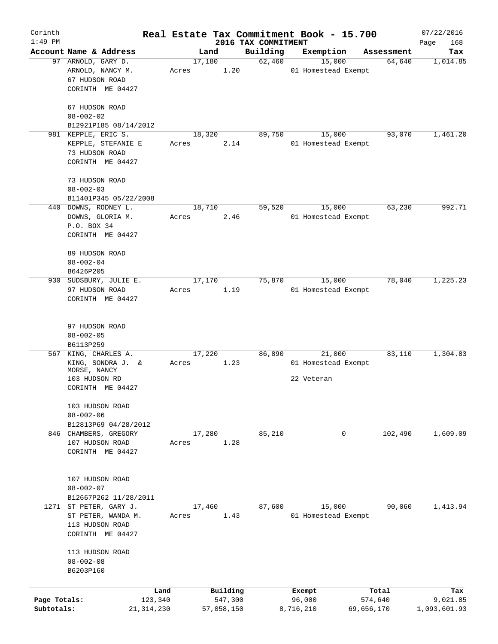| Corinth      |                                                          |       |            |         |                                 | Real Estate Tax Commitment Book - 15.700 |            | 07/22/2016         |
|--------------|----------------------------------------------------------|-------|------------|---------|---------------------------------|------------------------------------------|------------|--------------------|
| $1:49$ PM    | Account Name & Address                                   |       | Land       |         | 2016 TAX COMMITMENT<br>Building | Exemption                                | Assessment | Page<br>168<br>Tax |
|              | 97 ARNOLD, GARY D.<br>ARNOLD, NANCY M.                   | Acres | 17,180     | 1.20    | 62,460                          | 15,000<br>01 Homestead Exempt            | 64,640     | 1,014.85           |
|              | 67 HUDSON ROAD<br>CORINTH ME 04427                       |       |            |         |                                 |                                          |            |                    |
|              | 67 HUDSON ROAD<br>$08 - 002 - 02$                        |       |            |         |                                 |                                          |            |                    |
|              | B12921P185 08/14/2012                                    |       |            |         |                                 |                                          |            |                    |
|              | 981 KEPPLE, ERIC S.                                      |       | 18,320     |         | 89,750                          | 15,000                                   | 93,070     | 1,461.20           |
|              | KEPPLE, STEFANIE E<br>73 HUDSON ROAD<br>CORINTH ME 04427 | Acres |            | 2.14    |                                 | 01 Homestead Exempt                      |            |                    |
|              | 73 HUDSON ROAD<br>$08 - 002 - 03$                        |       |            |         |                                 |                                          |            |                    |
|              | B11401P345 05/22/2008                                    |       |            |         |                                 |                                          |            |                    |
|              | 440 DOWNS, RODNEY L.                                     |       | 18,710     |         | 59,520                          | 15,000                                   | 63,230     | 992.71             |
|              | DOWNS, GLORIA M.<br>P.O. BOX 34<br>CORINTH ME 04427      | Acres |            | 2.46    |                                 | 01 Homestead Exempt                      |            |                    |
|              | 89 HUDSON ROAD                                           |       |            |         |                                 |                                          |            |                    |
|              | $08 - 002 - 04$                                          |       |            |         |                                 |                                          |            |                    |
|              | B6426P205                                                |       |            |         |                                 |                                          |            |                    |
|              | 930 SUDSBURY, JULIE E.                                   |       | 17,170     |         | 75,870                          | 15,000                                   | 78,040     | 1,225.23           |
|              | 97 HUDSON ROAD<br>CORINTH ME 04427                       | Acres |            | 1.19    |                                 | 01 Homestead Exempt                      |            |                    |
|              | 97 HUDSON ROAD                                           |       |            |         |                                 |                                          |            |                    |
|              | $08 - 002 - 05$<br>B6113P259                             |       |            |         |                                 |                                          |            |                    |
| 567          | KING, CHARLES A.                                         |       | 17,220     |         | 86,890                          | 21,000                                   | 83,110     | 1,304.83           |
|              | KING, SONDRA J. &<br>MORSE, NANCY                        | Acres |            | 1.23    |                                 | 01 Homestead Exempt                      |            |                    |
|              | 103 HUDSON RD<br>CORINTH ME 04427                        |       |            |         |                                 | 22 Veteran                               |            |                    |
|              | 103 HUDSON ROAD<br>$08 - 002 - 06$                       |       |            |         |                                 |                                          |            |                    |
|              | B12813P69 04/28/2012                                     |       |            |         |                                 |                                          |            |                    |
| 846          | CHAMBERS, GREGORY<br>107 HUDSON ROAD<br>CORINTH ME 04427 | Acres | 17,280     | 1.28    | 85,210                          | 0                                        | 102,490    | 1,609.09           |
|              |                                                          |       |            |         |                                 |                                          |            |                    |
|              | 107 HUDSON ROAD                                          |       |            |         |                                 |                                          |            |                    |
|              | $08 - 002 - 07$<br>B12667P262 11/28/2011                 |       |            |         |                                 |                                          |            |                    |
|              | 1271 ST PETER, GARY J.                                   |       | 17,460     |         | 87,600                          | 15,000                                   | 90,060     | 1,413.94           |
|              | ST PETER, WANDA M.                                       | Acres |            | 1.43    |                                 | 01 Homestead Exempt                      |            |                    |
|              | 113 HUDSON ROAD<br>CORINTH ME 04427                      |       |            |         |                                 |                                          |            |                    |
|              | 113 HUDSON ROAD<br>$08 - 002 - 08$<br>B6203P160          |       |            |         |                                 |                                          |            |                    |
|              |                                                          | Land  | Building   |         |                                 | Exempt                                   | Total      | Tax                |
| Page Totals: | 123,340                                                  |       |            | 547,300 |                                 | 96,000                                   | 574,640    | 9,021.85           |
| Subtotals:   | 21,314,230                                               |       | 57,058,150 |         |                                 | 8,716,210                                | 69,656,170 | 1,093,601.93       |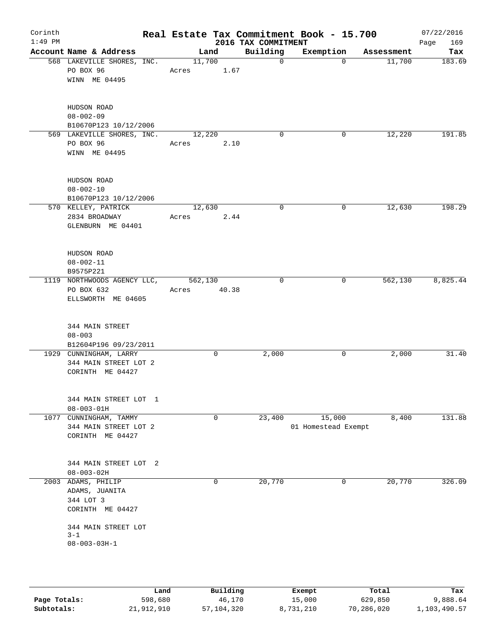| Account Name & Address<br>568 LAKEVILLE SHORES, INC.<br>PO BOX 96<br>WINN ME 04495 | Land<br>11,700<br>Acres                        |      | 2016 TAX COMMITMENT<br>Building<br>$\mathbf 0$ | Exemption<br>$\mathbf 0$ | Assessment | Page<br>169<br>Tax                                                              |
|------------------------------------------------------------------------------------|------------------------------------------------|------|------------------------------------------------|--------------------------|------------|---------------------------------------------------------------------------------|
|                                                                                    |                                                |      |                                                |                          |            |                                                                                 |
|                                                                                    |                                                | 1.67 |                                                |                          | 11,700     | 183.69                                                                          |
| HUDSON ROAD<br>$08 - 002 - 09$<br>B10670P123 10/12/2006                            |                                                |      |                                                |                          |            |                                                                                 |
| 569 LAKEVILLE SHORES, INC.<br>PO BOX 96<br>WINN ME 04495                           | 12, 220<br>Acres                               | 2.10 | $\mathbf 0$                                    | 0                        | 12,220     | 191.85                                                                          |
| HUDSON ROAD<br>$08 - 002 - 10$                                                     |                                                |      |                                                |                          |            |                                                                                 |
| 570 KELLEY, PATRICK<br>2834 BROADWAY<br>GLENBURN ME 04401                          |                                                |      | $\mathbf 0$                                    |                          |            | 198.29                                                                          |
| HUDSON ROAD<br>$08 - 002 - 11$<br>B9575P221                                        |                                                |      |                                                |                          |            |                                                                                 |
| 1119 NORTHWOODS AGENCY LLC,<br>PO BOX 632<br>ELLSWORTH ME 04605                    | Acres                                          |      | $\mathbf 0$                                    |                          |            | 8,825.44                                                                        |
| 344 MAIN STREET<br>$08 - 003$                                                      |                                                |      |                                                |                          |            |                                                                                 |
| 1929 CUNNINGHAM, LARRY<br>344 MAIN STREET LOT 2<br>CORINTH ME 04427                |                                                | 0    | 2,000                                          |                          | 2,000      | 31.40                                                                           |
| 344 MAIN STREET LOT 1<br>$08 - 003 - 01H$                                          |                                                |      |                                                |                          |            |                                                                                 |
| CUNNINGHAM, TAMMY<br>344 MAIN STREET LOT 2<br>CORINTH ME 04427                     |                                                | 0    | 23,400                                         |                          |            | 131.88                                                                          |
| 344 MAIN STREET LOT 2<br>$08 - 003 - 02H$                                          |                                                |      |                                                |                          |            |                                                                                 |
| ADAMS, PHILIP<br>ADAMS, JUANITA<br>344 LOT 3<br>CORINTH ME 04427                   |                                                | 0    | 20,770                                         |                          | 20,770     | 326.09                                                                          |
| 344 MAIN STREET LOT<br>$3 - 1$<br>$08 - 003 - 03H - 1$                             |                                                |      |                                                |                          |            |                                                                                 |
|                                                                                    | B10670P123 10/12/2006<br>B12604P196 09/23/2011 |      | 12,630<br>Acres<br>562,130                     | 2.44<br>40.38            |            | 0<br>12,630<br>0<br>562,130<br>0<br>15,000<br>8,400<br>01 Homestead Exempt<br>0 |

|              | Land       | Building     | Exempt    | Total      | Tax          |
|--------------|------------|--------------|-----------|------------|--------------|
| Page Totals: | 598,680    | 46,170       | 15,000    | 629,850    | 9,888.64     |
| Subtotals:   | 21,912,910 | 57, 104, 320 | 8,731,210 | 70,286,020 | 1,103,490.57 |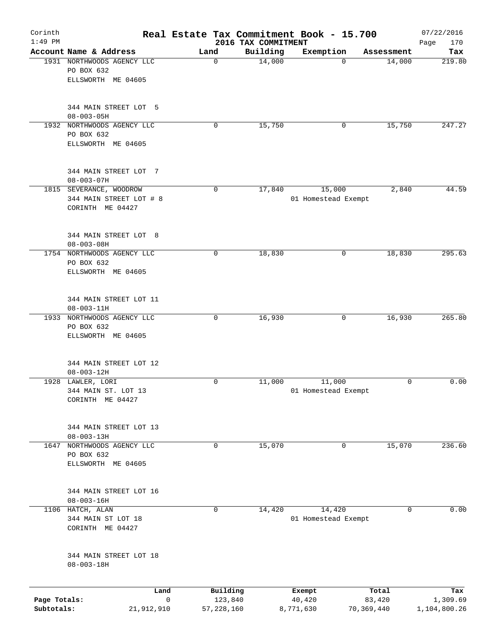| Corinth<br>$1:49$ PM |                                                    |                         | 2016 TAX COMMITMENT | Real Estate Tax Commitment Book - 15.700 |             | 07/22/2016<br>170 |
|----------------------|----------------------------------------------------|-------------------------|---------------------|------------------------------------------|-------------|-------------------|
|                      | Account Name & Address                             | Land                    | Building            | Exemption                                | Assessment  | Page<br>Tax       |
|                      | 1931 NORTHWOODS AGENCY LLC                         | 0                       | 14,000              | $\Omega$                                 | 14,000      | 219.80            |
|                      | PO BOX 632                                         |                         |                     |                                          |             |                   |
|                      | ELLSWORTH ME 04605                                 |                         |                     |                                          |             |                   |
|                      |                                                    |                         |                     |                                          |             |                   |
|                      | 344 MAIN STREET LOT 5<br>$08 - 003 - 05H$          |                         |                     |                                          |             |                   |
|                      | 1932 NORTHWOODS AGENCY LLC                         | 0                       | 15,750              | 0                                        | 15,750      | 247.27            |
|                      | PO BOX 632                                         |                         |                     |                                          |             |                   |
|                      | ELLSWORTH ME 04605                                 |                         |                     |                                          |             |                   |
|                      | 344 MAIN STREET LOT 7                              |                         |                     |                                          |             |                   |
|                      | $08 - 003 - 07H$                                   | $\mathbf 0$             |                     |                                          |             |                   |
|                      | 1815 SEVERANCE, WOODROW<br>344 MAIN STREET LOT # 8 |                         | 17,840              | 15,000<br>01 Homestead Exempt            | 2,840       | 44.59             |
|                      | CORINTH ME 04427                                   |                         |                     |                                          |             |                   |
|                      |                                                    |                         |                     |                                          |             |                   |
|                      | 344 MAIN STREET LOT 8                              |                         |                     |                                          |             |                   |
|                      | $08 - 003 - 08H$<br>1754 NORTHWOODS AGENCY LLC     | 0                       | 18,830              | 0                                        | 18,830      | 295.63            |
|                      | PO BOX 632                                         |                         |                     |                                          |             |                   |
|                      | ELLSWORTH ME 04605                                 |                         |                     |                                          |             |                   |
|                      | 344 MAIN STREET LOT 11                             |                         |                     |                                          |             |                   |
|                      | $08 - 003 - 11H$                                   |                         |                     |                                          |             |                   |
|                      | 1933 NORTHWOODS AGENCY LLC                         | $\mathbf 0$             | 16,930              | 0                                        | 16,930      | 265.80            |
|                      | PO BOX 632                                         |                         |                     |                                          |             |                   |
|                      | ELLSWORTH ME 04605                                 |                         |                     |                                          |             |                   |
|                      | 344 MAIN STREET LOT 12                             |                         |                     |                                          |             |                   |
|                      | $08 - 003 - 12H$                                   |                         |                     |                                          |             |                   |
|                      | 1928 LAWLER, LORI                                  | 0                       | 11,000              | 11,000                                   | 0           | 0.00              |
|                      | 344 MAIN ST. LOT 13                                |                         |                     | 01 Homestead Exempt                      |             |                   |
|                      | CORINTH ME 04427                                   |                         |                     |                                          |             |                   |
|                      | 344 MAIN STREET LOT 13                             |                         |                     |                                          |             |                   |
|                      | $08 - 003 - 13H$                                   |                         |                     |                                          |             |                   |
| 1647                 | NORTHWOODS AGENCY LLC                              | 0                       | 15,070              | 0                                        | 15,070      | 236.60            |
|                      | PO BOX 632<br>ELLSWORTH ME 04605                   |                         |                     |                                          |             |                   |
|                      |                                                    |                         |                     |                                          |             |                   |
|                      | 344 MAIN STREET LOT 16                             |                         |                     |                                          |             |                   |
|                      | $08 - 003 - 16H$                                   |                         |                     |                                          |             |                   |
|                      | 1106 HATCH, ALAN                                   | $\mathbf 0$             | 14,420              | 14,420                                   | $\mathbf 0$ | 0.00              |
|                      | 344 MAIN ST LOT 18                                 |                         |                     | 01 Homestead Exempt                      |             |                   |
|                      | CORINTH ME 04427                                   |                         |                     |                                          |             |                   |
|                      | 344 MAIN STREET LOT 18                             |                         |                     |                                          |             |                   |
|                      | $08 - 003 - 18H$                                   |                         |                     |                                          |             |                   |
|                      | Land                                               | Building                |                     | Exempt                                   | Total       | Tax               |
| Page Totals:         |                                                    | $\mathsf{O}$<br>123,840 |                     | 40,420                                   | 83,420      | 1,309.69          |
| Subtotals:           | 21,912,910                                         | 57,228,160              |                     | 8,771,630                                | 70,369,440  | 1,104,800.26      |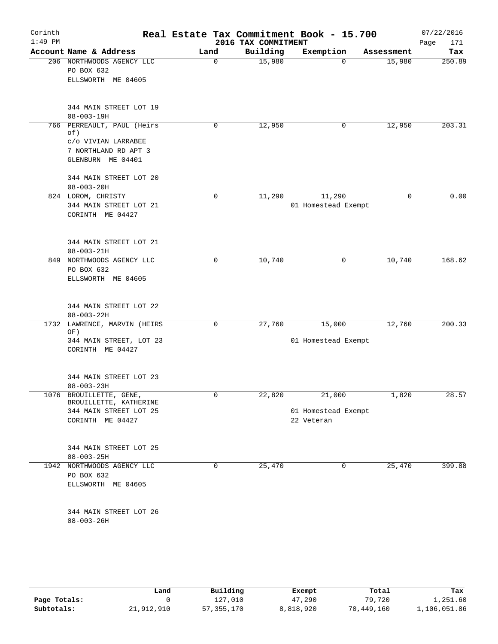| Corinth   |                                                     |      |             |                     | Real Estate Tax Commitment Book - 15.700 |            | 07/22/2016  |
|-----------|-----------------------------------------------------|------|-------------|---------------------|------------------------------------------|------------|-------------|
| $1:49$ PM |                                                     |      |             | 2016 TAX COMMITMENT |                                          |            | 171<br>Page |
|           | Account Name & Address<br>206 NORTHWOODS AGENCY LLC | Land |             | Building            | Exemption                                | Assessment | Tax         |
|           | PO BOX 632                                          |      | 0           | 15,980              | $\Omega$                                 | 15,980     | 250.89      |
|           | ELLSWORTH ME 04605                                  |      |             |                     |                                          |            |             |
|           |                                                     |      |             |                     |                                          |            |             |
|           | 344 MAIN STREET LOT 19                              |      |             |                     |                                          |            |             |
|           | $08 - 003 - 19H$                                    |      |             |                     |                                          |            |             |
|           | 766 PERREAULT, PAUL (Heirs<br>of)                   |      | 0           | 12,950              | 0                                        | 12,950     | 203.31      |
|           | C/O VIVIAN LARRABEE                                 |      |             |                     |                                          |            |             |
|           | 7 NORTHLAND RD APT 3                                |      |             |                     |                                          |            |             |
|           | GLENBURN ME 04401                                   |      |             |                     |                                          |            |             |
|           | 344 MAIN STREET LOT 20                              |      |             |                     |                                          |            |             |
|           | $08 - 003 - 20H$                                    |      |             |                     |                                          |            |             |
|           | 824 LOROM, CHRISTY                                  |      | 0           | 11,290              | 11,290                                   | 0          | 0.00        |
|           | 344 MAIN STREET LOT 21                              |      |             |                     | 01 Homestead Exempt                      |            |             |
|           | CORINTH ME 04427                                    |      |             |                     |                                          |            |             |
|           | 344 MAIN STREET LOT 21                              |      |             |                     |                                          |            |             |
|           | $08 - 003 - 21H$                                    |      |             |                     |                                          |            |             |
| 849       | NORTHWOODS AGENCY LLC                               |      | 0           | 10,740              | 0                                        | 10,740     | 168.62      |
|           | PO BOX 632                                          |      |             |                     |                                          |            |             |
|           | ELLSWORTH ME 04605                                  |      |             |                     |                                          |            |             |
|           |                                                     |      |             |                     |                                          |            |             |
|           | 344 MAIN STREET LOT 22<br>$08 - 003 - 22H$          |      |             |                     |                                          |            |             |
| 1732      | LAWRENCE, MARVIN (HEIRS<br>OF)                      |      | $\mathbf 0$ | 27,760              | 15,000                                   | 12,760     | 200.33      |
|           | 344 MAIN STREET, LOT 23                             |      |             |                     | 01 Homestead Exempt                      |            |             |
|           | CORINTH ME 04427                                    |      |             |                     |                                          |            |             |
|           |                                                     |      |             |                     |                                          |            |             |
|           | 344 MAIN STREET LOT 23<br>$08 - 003 - 23H$          |      |             |                     |                                          |            |             |
|           | 1076 BROUILLETTE, GENE,                             |      | 0           | 22,820              | 21,000                                   | 1,820      | 28.57       |
|           | BROUILLETTE, KATHERINE                              |      |             |                     |                                          |            |             |
|           | 344 MAIN STREET LOT 25                              |      |             |                     | 01 Homestead Exempt                      |            |             |
|           | CORINTH ME 04427                                    |      |             |                     | 22 Veteran                               |            |             |
|           | 344 MAIN STREET LOT 25                              |      |             |                     |                                          |            |             |
|           | $08 - 003 - 25H$                                    |      |             |                     |                                          |            |             |
|           | 1942 NORTHWOODS AGENCY LLC                          |      | $\mathbf 0$ | 25,470              | $\mathbf 0$                              | 25,470     | 399.88      |
|           | PO BOX 632                                          |      |             |                     |                                          |            |             |
|           | ELLSWORTH ME 04605                                  |      |             |                     |                                          |            |             |
|           | 344 MAIN STREET LOT 26                              |      |             |                     |                                          |            |             |
|           | $08 - 003 - 26H$                                    |      |             |                     |                                          |            |             |
|           |                                                     |      |             |                     |                                          |            |             |

|              | Land       | Building     | Exempt    | Total      | Tax          |
|--------------|------------|--------------|-----------|------------|--------------|
| Page Totals: |            | 127,010      | 47,290    | 79,720     | 1,251.60     |
| Subtotals:   | 21,912,910 | 57, 355, 170 | 8,818,920 | 70,449,160 | 1,106,051.86 |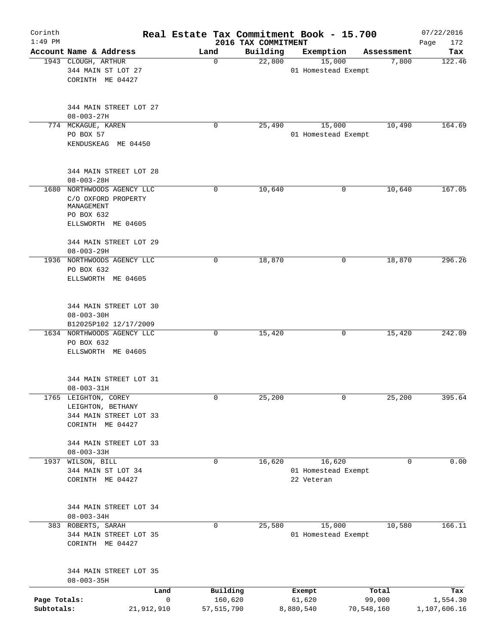| Corinth<br>$1:49$ PM       |                                                                                                     |                              | 2016 TAX COMMITMENT | Real Estate Tax Commitment Book - 15.700    |                      | 07/22/2016<br>172<br>Page |
|----------------------------|-----------------------------------------------------------------------------------------------------|------------------------------|---------------------|---------------------------------------------|----------------------|---------------------------|
|                            | Account Name & Address                                                                              | Land                         | Building            | Exemption                                   | Assessment           | Tax                       |
|                            | 1943 CLOUGH, ARTHUR<br>344 MAIN ST LOT 27<br>CORINTH ME 04427                                       | 0                            | 22,800              | 15,000<br>01 Homestead Exempt               | 7,800                | 122.46                    |
|                            | 344 MAIN STREET LOT 27<br>$08 - 003 - 27H$                                                          |                              |                     |                                             |                      |                           |
|                            | 774 MCKAGUE, KAREN<br>PO BOX 57<br>KENDUSKEAG ME 04450                                              | 0                            | 25,490              | 15,000<br>01 Homestead Exempt               | 10,490               | 164.69                    |
|                            | 344 MAIN STREET LOT 28<br>$08 - 003 - 28H$                                                          |                              |                     |                                             |                      |                           |
|                            | 1680 NORTHWOODS AGENCY LLC<br>C/O OXFORD PROPERTY<br>MANAGEMENT<br>PO BOX 632<br>ELLSWORTH ME 04605 | 0                            | 10,640              | 0                                           | 10,640               | 167.05                    |
|                            | 344 MAIN STREET LOT 29<br>$08 - 003 - 29H$                                                          |                              |                     |                                             |                      |                           |
|                            | 1936 NORTHWOODS AGENCY LLC<br>PO BOX 632<br>ELLSWORTH ME 04605                                      | 0                            | 18,870              | 0                                           | 18,870               | 296.26                    |
|                            | 344 MAIN STREET LOT 30<br>$08 - 003 - 30H$<br>B12025P102 12/17/2009                                 |                              |                     |                                             |                      |                           |
|                            | 1634 NORTHWOODS AGENCY LLC<br>PO BOX 632<br>ELLSWORTH ME 04605                                      | 0                            | 15,420              | 0                                           | 15,420               | 242.09                    |
|                            | 344 MAIN STREET LOT 31<br>$08 - 003 - 31H$                                                          |                              |                     |                                             |                      |                           |
|                            | 1765 LEIGHTON, COREY<br>LEIGHTON, BETHANY<br>344 MAIN STREET LOT 33<br>CORINTH ME 04427             | 0                            | 25,200              | 0                                           | 25,200               | 395.64                    |
|                            | 344 MAIN STREET LOT 33<br>$08 - 003 - 33H$                                                          |                              |                     |                                             |                      |                           |
| 1937                       | WILSON, BILL<br>344 MAIN ST LOT 34<br>CORINTH ME 04427                                              | 0                            | 16,620              | 16,620<br>01 Homestead Exempt<br>22 Veteran | 0                    | 0.00                      |
|                            | 344 MAIN STREET LOT 34<br>$08 - 003 - 34H$                                                          |                              |                     |                                             |                      |                           |
|                            | 383 ROBERTS, SARAH<br>344 MAIN STREET LOT 35<br>CORINTH ME 04427                                    | $\mathbf 0$                  | 25,580              | 15,000<br>01 Homestead Exempt               | 10,580               | 166.11                    |
|                            | 344 MAIN STREET LOT 35<br>$08 - 003 - 35H$                                                          |                              |                     |                                             |                      |                           |
|                            | Land                                                                                                | Building                     |                     | Exempt                                      | Total                | Tax                       |
| Page Totals:<br>Subtotals: | 21,912,910                                                                                          | 0<br>160,620<br>57, 515, 790 |                     | 61,620<br>8,880,540                         | 99,000<br>70,548,160 | 1,554.30<br>1,107,606.16  |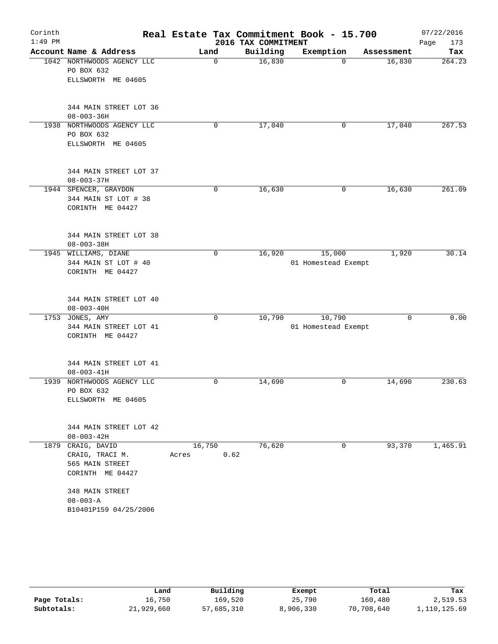| Corinth   |                            |               |                     | Real Estate Tax Commitment Book - 15.700 |             | 07/22/2016  |
|-----------|----------------------------|---------------|---------------------|------------------------------------------|-------------|-------------|
| $1:49$ PM |                            |               | 2016 TAX COMMITMENT |                                          |             | Page<br>173 |
|           | Account Name & Address     | Land          | Building            | Exemption                                | Assessment  | Tax         |
|           | 1042 NORTHWOODS AGENCY LLC | 0             | 16,830              | $\Omega$                                 | 16,830      | 264.23      |
|           | PO BOX 632                 |               |                     |                                          |             |             |
|           | ELLSWORTH ME 04605         |               |                     |                                          |             |             |
|           | 344 MAIN STREET LOT 36     |               |                     |                                          |             |             |
|           | $08 - 003 - 36H$           |               |                     |                                          |             |             |
|           | 1938 NORTHWOODS AGENCY LLC | $\mathbf 0$   | 17,040              | 0                                        | 17,040      | 267.53      |
|           | PO BOX 632                 |               |                     |                                          |             |             |
|           | ELLSWORTH ME 04605         |               |                     |                                          |             |             |
|           | 344 MAIN STREET LOT 37     |               |                     |                                          |             |             |
|           | $08 - 003 - 37H$           |               |                     |                                          |             |             |
|           | 1944 SPENCER, GRAYDON      | 0             | 16,630              | 0                                        | 16,630      | 261.09      |
|           | 344 MAIN ST LOT # 38       |               |                     |                                          |             |             |
|           | CORINTH ME 04427           |               |                     |                                          |             |             |
|           | 344 MAIN STREET LOT 38     |               |                     |                                          |             |             |
|           | $08 - 003 - 38H$           |               |                     |                                          |             |             |
|           | 1945 WILLIAMS, DIANE       | 0             | 16,920              | 15,000                                   | 1,920       | 30.14       |
|           | 344 MAIN ST LOT # 40       |               |                     | 01 Homestead Exempt                      |             |             |
|           | CORINTH ME 04427           |               |                     |                                          |             |             |
|           | 344 MAIN STREET LOT 40     |               |                     |                                          |             |             |
|           | $08 - 003 - 40H$           |               |                     |                                          |             |             |
|           | 1753 JONES, AMY            | 0             | 10,790              | 10,790                                   | $\mathbf 0$ | 0.00        |
|           | 344 MAIN STREET LOT 41     |               |                     | 01 Homestead Exempt                      |             |             |
|           | CORINTH ME 04427           |               |                     |                                          |             |             |
|           | 344 MAIN STREET LOT 41     |               |                     |                                          |             |             |
|           | $08 - 003 - 41H$           |               |                     |                                          |             |             |
| 1939      | NORTHWOODS AGENCY LLC      | 0             | 14,690              | 0                                        | 14,690      | 230.63      |
|           | PO BOX 632                 |               |                     |                                          |             |             |
|           | ELLSWORTH ME 04605         |               |                     |                                          |             |             |
|           | 344 MAIN STREET LOT 42     |               |                     |                                          |             |             |
|           | $08 - 003 - 42H$           |               |                     |                                          |             |             |
| 1879      | CRAIG, DAVID               | 16,750        | 76,620              | 0                                        | 93,370      | 1,465.91    |
|           | CRAIG, TRACI M.            | 0.62<br>Acres |                     |                                          |             |             |
|           | 565 MAIN STREET            |               |                     |                                          |             |             |
|           | CORINTH ME 04427           |               |                     |                                          |             |             |
|           | 348 MAIN STREET            |               |                     |                                          |             |             |
|           | $08 - 003 - A$             |               |                     |                                          |             |             |
|           | B10401P159 04/25/2006      |               |                     |                                          |             |             |
|           |                            |               |                     |                                          |             |             |

|              | Land       | Building   | Exempt    | Total      | Tax          |
|--------------|------------|------------|-----------|------------|--------------|
| Page Totals: | 16,750     | 169,520    | 25,790    | 160,480    | 2,519.53     |
| Subtotals:   | 21,929,660 | 57,685,310 | 8,906,330 | 70,708,640 | 1,110,125.69 |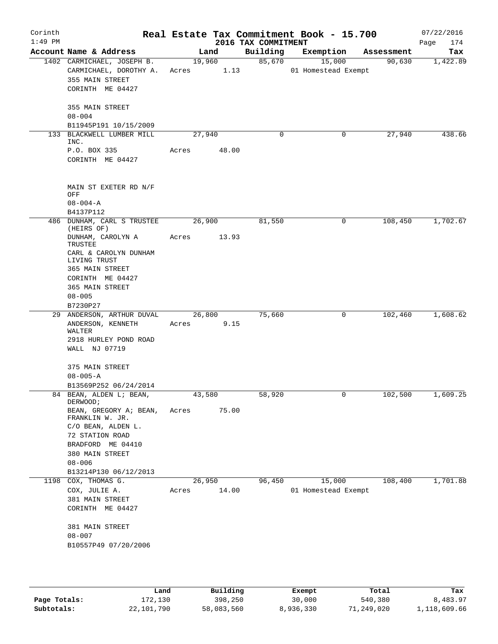| Corinth<br>$1:49$ PM |                                                                                             |       |                      | 2016 TAX COMMITMENT | Real Estate Tax Commitment Book - 15.700 |            | 07/22/2016<br>174<br>Page |
|----------------------|---------------------------------------------------------------------------------------------|-------|----------------------|---------------------|------------------------------------------|------------|---------------------------|
|                      | Account Name & Address                                                                      |       | Land                 | Building            | Exemption                                | Assessment | Tax                       |
|                      | 1402 CARMICHAEL, JOSEPH B.<br>CARMICHAEL, DOROTHY A.<br>355 MAIN STREET<br>CORINTH ME 04427 |       | 19,960<br>Acres 1.13 |                     | 85,670<br>15,000<br>01 Homestead Exempt  | 90,630     | 1,422.89                  |
|                      | 355 MAIN STREET<br>$08 - 004$<br>B11945P191 10/15/2009                                      |       |                      |                     |                                          |            |                           |
|                      | 133 BLACKWELL LUMBER MILL<br>INC.                                                           |       | 27,940               | 0                   | 0                                        | 27,940     | 438.66                    |
|                      | P.O. BOX 335<br>CORINTH ME 04427                                                            | Acres | 48.00                |                     |                                          |            |                           |
|                      | MAIN ST EXETER RD N/F<br>OFF<br>$08 - 004 - A$<br>B4137P112                                 |       |                      |                     |                                          |            |                           |
|                      | 486 DUNHAM, CARL S TRUSTEE                                                                  |       | 26,900               | 81,550              | 0                                        | 108,450    | 1,702.67                  |
|                      | (HEIRS OF)<br>DUNHAM, CAROLYN A<br>TRUSTEE                                                  | Acres | 13.93                |                     |                                          |            |                           |
|                      | CARL & CAROLYN DUNHAM<br>LIVING TRUST<br>365 MAIN STREET                                    |       |                      |                     |                                          |            |                           |
|                      | CORINTH ME 04427                                                                            |       |                      |                     |                                          |            |                           |
|                      | 365 MAIN STREET                                                                             |       |                      |                     |                                          |            |                           |
|                      | $08 - 005$<br>B7230P27                                                                      |       |                      |                     |                                          |            |                           |
|                      | 29 ANDERSON, ARTHUR DUVAL                                                                   |       | 26,800               | 75,660              | 0                                        | 102,460    | 1,608.62                  |
|                      | ANDERSON, KENNETH                                                                           | Acres | 9.15                 |                     |                                          |            |                           |
|                      | WALTER<br>2918 HURLEY POND ROAD                                                             |       |                      |                     |                                          |            |                           |
|                      | WALL NJ 07719                                                                               |       |                      |                     |                                          |            |                           |
|                      | 375 MAIN STREET<br>$08 - 005 - A$                                                           |       |                      |                     |                                          |            |                           |
|                      | B13569P252 06/24/2014                                                                       |       |                      |                     |                                          |            |                           |
|                      | 84 BEAN, ALDEN L; BEAN,<br>DERWOOD;                                                         |       | 43,580               | 58,920              | 0                                        | 102,500    | 1,609.25                  |
|                      | BEAN, GREGORY A; BEAN,<br>FRANKLIN W. JR.                                                   | Acres | 75.00                |                     |                                          |            |                           |
|                      | C/O BEAN, ALDEN L.<br>72 STATION ROAD                                                       |       |                      |                     |                                          |            |                           |
|                      | BRADFORD ME 04410                                                                           |       |                      |                     |                                          |            |                           |
|                      | 380 MAIN STREET                                                                             |       |                      |                     |                                          |            |                           |
|                      | $08 - 006$                                                                                  |       |                      |                     |                                          |            |                           |
| 1198                 | B13214P130 06/12/2013<br>$\overline{COX}$ , THOMAS G.                                       |       | 26,950               | 96,450              | 15,000                                   | 108,400    | 1,701.88                  |
|                      | COX, JULIE A.                                                                               | Acres | 14.00                |                     | 01 Homestead Exempt                      |            |                           |
|                      | 381 MAIN STREET<br>CORINTH ME 04427                                                         |       |                      |                     |                                          |            |                           |
|                      | 381 MAIN STREET<br>$08 - 007$                                                               |       |                      |                     |                                          |            |                           |
|                      | B10557P49 07/20/2006                                                                        |       |                      |                     |                                          |            |                           |
|                      |                                                                                             |       |                      |                     |                                          |            |                           |

|              | Land       | Building   | Exempt    | Total      | Tax          |
|--------------|------------|------------|-----------|------------|--------------|
| Page Totals: | 172,130    | 398,250    | 30,000    | 540,380    | 8,483.97     |
| Subtotals:   | 22,101,790 | 58,083,560 | 8,936,330 | 71,249,020 | 1,118,609.66 |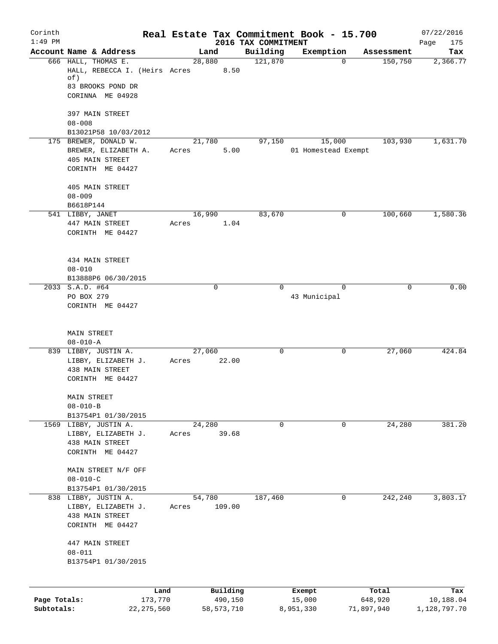| Corinth      |                                               |       |                     |                                 | Real Estate Tax Commitment Book - 15.700 |                      | 07/22/2016         |
|--------------|-----------------------------------------------|-------|---------------------|---------------------------------|------------------------------------------|----------------------|--------------------|
| $1:49$ PM    | Account Name & Address                        |       | Land                | 2016 TAX COMMITMENT<br>Building | Exemption                                | Assessment           | Page<br>175<br>Tax |
|              | 666 HALL, THOMAS E.                           |       | 28,880              | 121,870                         |                                          | $\Omega$<br>150,750  | 2,366.77           |
|              | HALL, REBECCA I. (Heirs Acres<br>of)          |       | 8.50                |                                 |                                          |                      |                    |
|              | 83 BROOKS POND DR<br>CORINNA ME 04928         |       |                     |                                 |                                          |                      |                    |
|              | 397 MAIN STREET                               |       |                     |                                 |                                          |                      |                    |
|              | $08 - 008$                                    |       |                     |                                 |                                          |                      |                    |
|              | B13021P58 10/03/2012<br>175 BREWER, DONALD W. |       | 21,780              | 97,150                          | 15,000                                   | 103,930              | 1,631.70           |
|              | BREWER, ELIZABETH A.                          | Acres | 5.00                |                                 | 01 Homestead Exempt                      |                      |                    |
|              | 405 MAIN STREET                               |       |                     |                                 |                                          |                      |                    |
|              | CORINTH ME 04427                              |       |                     |                                 |                                          |                      |                    |
|              | 405 MAIN STREET                               |       |                     |                                 |                                          |                      |                    |
|              | $08 - 009$                                    |       |                     |                                 |                                          |                      |                    |
|              | B6618P144                                     |       |                     |                                 |                                          |                      |                    |
|              | 541 LIBBY, JANET                              |       | 16,990              | 83,670                          |                                          | 100,660<br>0         | 1,580.36           |
|              | 447 MAIN STREET<br>CORINTH ME 04427           | Acres | 1.04                |                                 |                                          |                      |                    |
|              |                                               |       |                     |                                 |                                          |                      |                    |
|              | 434 MAIN STREET                               |       |                     |                                 |                                          |                      |                    |
|              | $08 - 010$                                    |       |                     |                                 |                                          |                      |                    |
|              | B13888P6 06/30/2015                           |       |                     |                                 |                                          |                      |                    |
|              | 2033 S.A.D. #64                               |       | $\mathbf 0$         | $\Omega$                        |                                          | $\Omega$<br>$\Omega$ | 0.00               |
|              | PO BOX 279                                    |       |                     |                                 | 43 Municipal                             |                      |                    |
|              | CORINTH ME 04427                              |       |                     |                                 |                                          |                      |                    |
|              | <b>MAIN STREET</b>                            |       |                     |                                 |                                          |                      |                    |
|              | $08 - 010 - A$                                |       |                     |                                 |                                          |                      |                    |
|              | 839 LIBBY, JUSTIN A.                          |       | 27,060              | 0                               |                                          | 0<br>27,060          | 424.84             |
|              | LIBBY, ELIZABETH J.                           | Acres | 22.00               |                                 |                                          |                      |                    |
|              | 438 MAIN STREET                               |       |                     |                                 |                                          |                      |                    |
|              | CORINTH ME 04427                              |       |                     |                                 |                                          |                      |                    |
|              | <b>MAIN STREET</b>                            |       |                     |                                 |                                          |                      |                    |
|              | $08 - 010 - B$                                |       |                     |                                 |                                          |                      |                    |
|              | B13754P1 01/30/2015<br>1569 LIBBY, JUSTIN A.  |       | 24,280              | 0                               |                                          | 0<br>24,280          | 381.20             |
|              | LIBBY, ELIZABETH J.                           | Acres | 39.68               |                                 |                                          |                      |                    |
|              | 438 MAIN STREET                               |       |                     |                                 |                                          |                      |                    |
|              | CORINTH ME 04427                              |       |                     |                                 |                                          |                      |                    |
|              | MAIN STREET N/F OFF                           |       |                     |                                 |                                          |                      |                    |
|              | $08 - 010 - C$                                |       |                     |                                 |                                          |                      |                    |
|              | B13754P1 01/30/2015                           |       |                     |                                 |                                          |                      |                    |
|              | 838 LIBBY, JUSTIN A.                          |       | 54,780              | 187,460                         |                                          | 0<br>242,240         | 3,803.17           |
|              | LIBBY, ELIZABETH J.<br>438 MAIN STREET        | Acres | 109.00              |                                 |                                          |                      |                    |
|              | CORINTH ME 04427                              |       |                     |                                 |                                          |                      |                    |
|              | 447 MAIN STREET                               |       |                     |                                 |                                          |                      |                    |
|              | $08 - 011$                                    |       |                     |                                 |                                          |                      |                    |
|              | B13754P1 01/30/2015                           |       |                     |                                 |                                          |                      |                    |
|              |                                               |       |                     |                                 |                                          |                      |                    |
| Page Totals: | Land<br>173,770                               |       | Building<br>490,150 |                                 | Exempt<br>15,000                         | Total<br>648,920     | Tax<br>10,188.04   |
| Subtotals:   | 22, 275, 560                                  |       | 58, 573, 710        |                                 | 8,951,330                                | 71,897,940           | 1,128,797.70       |
|              |                                               |       |                     |                                 |                                          |                      |                    |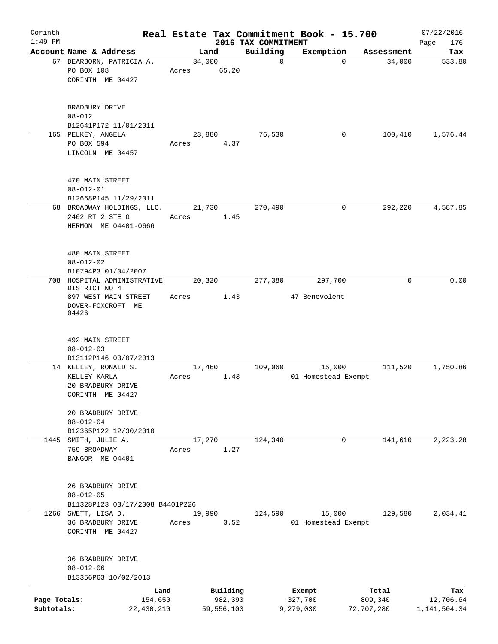| Corinth                    |                                                                               |                 |                       |                     | Real Estate Tax Commitment Book - 15.700 |                       | 07/22/2016                |
|----------------------------|-------------------------------------------------------------------------------|-----------------|-----------------------|---------------------|------------------------------------------|-----------------------|---------------------------|
| $1:49$ PM                  |                                                                               |                 |                       | 2016 TAX COMMITMENT |                                          |                       | 176<br>Page               |
|                            | Account Name & Address                                                        |                 | Land                  | Building            | Exemption                                | Assessment            | Tax                       |
|                            | 67 DEARBORN, PATRICIA A.<br>PO BOX 108<br>CORINTH ME 04427                    | 34,000<br>Acres | 65.20                 | $\mathbf 0$         | $\Omega$                                 | 34,000                | 533.80                    |
|                            | BRADBURY DRIVE<br>$08 - 012$<br>B12641P172 11/01/2011                         |                 |                       |                     |                                          |                       |                           |
|                            | 165 PELKEY, ANGELA                                                            |                 | 23,880                | 76,530              | 0                                        | 100,410               | 1,576.44                  |
|                            | PO BOX 594<br>LINCOLN ME 04457                                                | Acres           | 4.37                  |                     |                                          |                       |                           |
|                            | 470 MAIN STREET<br>$08 - 012 - 01$<br>B12668P145 11/29/2011                   |                 |                       |                     |                                          |                       |                           |
|                            | 68 BROADWAY HOLDINGS, LLC.<br>2402 RT 2 STE G<br>HERMON ME 04401-0666         | Acres           | 21,730<br>1.45        | 270,490             | 0                                        | 292,220               | 4,587.85                  |
|                            | 480 MAIN STREET<br>$08 - 012 - 02$<br>B10794P3 01/04/2007                     |                 |                       |                     |                                          |                       |                           |
|                            | 708 HOSPITAL ADMINISTRATIVE                                                   |                 | 20,320                | 277,380             | 297,700                                  | 0                     | 0.00                      |
|                            | DISTRICT NO 4<br>897 WEST MAIN STREET<br>DOVER-FOXCROFT ME<br>04426           | Acres           | 1.43                  |                     | 47 Benevolent                            |                       |                           |
|                            | 492 MAIN STREET<br>$08 - 012 - 03$                                            |                 |                       |                     |                                          |                       |                           |
|                            | B13112P146 03/07/2013                                                         |                 |                       |                     |                                          |                       |                           |
|                            | 14 KELLEY, RONALD S.<br>KELLEY KARLA<br>20 BRADBURY DRIVE<br>CORINTH ME 04427 | Acres           | 17,460<br>1.43        | 109,060             | 15,000<br>01 Homestead Exempt            | 111,520               | 1,750.86                  |
|                            | 20 BRADBURY DRIVE<br>$08 - 012 - 04$<br>B12365P122 12/30/2010                 |                 |                       |                     |                                          |                       |                           |
|                            | 1445 SMITH, JULIE A.<br>759 BROADWAY<br>BANGOR ME 04401                       | Acres           | 17,270<br>1.27        | 124,340             | 0                                        | 141,610               | 2,223.28                  |
|                            | 26 BRADBURY DRIVE<br>$08 - 012 - 05$                                          |                 |                       |                     |                                          |                       |                           |
|                            | B11328P123 03/17/2008 B4401P226<br>1266 SWETT, LISA D.                        |                 | 19,990                | 124,590             | 15,000                                   | 129,580               | 2,034.41                  |
|                            | 36 BRADBURY DRIVE<br>CORINTH ME 04427                                         | Acres           | 3.52                  |                     | 01 Homestead Exempt                      |                       |                           |
|                            | 36 BRADBURY DRIVE<br>$08 - 012 - 06$<br>B13356P63 10/02/2013                  |                 |                       |                     |                                          |                       |                           |
|                            | Land                                                                          |                 | Building              |                     | Exempt                                   | Total                 | Tax                       |
| Page Totals:<br>Subtotals: | 154,650<br>22, 430, 210                                                       |                 | 982,390<br>59,556,100 |                     | 327,700<br>9,279,030                     | 809,340<br>72,707,280 | 12,706.64<br>1,141,504.34 |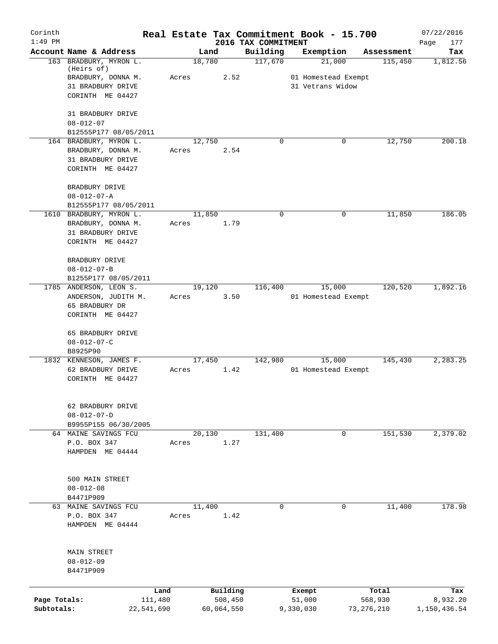| Corinth      |                                                |                 |                     |                                 | Real Estate Tax Commitment Book - 15.700 |          |                  | 07/22/2016         |
|--------------|------------------------------------------------|-----------------|---------------------|---------------------------------|------------------------------------------|----------|------------------|--------------------|
| $1:49$ PM    | Account Name & Address                         | Land            |                     | 2016 TAX COMMITMENT<br>Building | Exemption                                |          | Assessment       | Page<br>177<br>Tax |
|              | 163 BRADBURY, MYRON L.                         | 18,780          |                     | 117,670                         | 21,000                                   |          | 115,450          | 1,812.56           |
|              | (Heirs of)                                     |                 |                     |                                 |                                          |          |                  |                    |
|              | BRADBURY, DONNA M.                             | Acres           | 2.52                |                                 | 01 Homestead Exempt                      |          |                  |                    |
|              | 31 BRADBURY DRIVE<br>CORINTH ME 04427          |                 |                     |                                 | 31 Vetrans Widow                         |          |                  |                    |
|              |                                                |                 |                     |                                 |                                          |          |                  |                    |
|              | 31 BRADBURY DRIVE                              |                 |                     |                                 |                                          |          |                  |                    |
|              | $08 - 012 - 07$                                |                 |                     |                                 |                                          |          |                  |                    |
|              | B12555P177 08/05/2011                          |                 |                     |                                 |                                          |          |                  |                    |
|              | 164 BRADBURY, MYRON L.                         | 12,750          |                     | $\Omega$                        |                                          | 0        | 12,750           | 200.18             |
|              | BRADBURY, DONNA M.                             | Acres           | 2.54                |                                 |                                          |          |                  |                    |
|              | 31 BRADBURY DRIVE                              |                 |                     |                                 |                                          |          |                  |                    |
|              | CORINTH ME 04427                               |                 |                     |                                 |                                          |          |                  |                    |
|              | BRADBURY DRIVE                                 |                 |                     |                                 |                                          |          |                  |                    |
|              | $08 - 012 - 07 - A$                            |                 |                     |                                 |                                          |          |                  |                    |
|              | B12555P177 08/05/2011                          |                 |                     |                                 |                                          |          |                  |                    |
|              | 1610 BRADBURY, MYRON L.                        | 11,850          |                     | $\mathbf 0$                     |                                          | 0        | 11,850           | 186.05             |
|              | BRADBURY, DONNA M.                             | Acres           | 1.79                |                                 |                                          |          |                  |                    |
|              | 31 BRADBURY DRIVE                              |                 |                     |                                 |                                          |          |                  |                    |
|              | CORINTH ME 04427                               |                 |                     |                                 |                                          |          |                  |                    |
|              |                                                |                 |                     |                                 |                                          |          |                  |                    |
|              | BRADBURY DRIVE                                 |                 |                     |                                 |                                          |          |                  |                    |
|              | $08 - 012 - 07 - B$                            |                 |                     |                                 |                                          |          |                  |                    |
|              | B1255P177 08/05/2011<br>1785 ANDERSON, LEON S. | 19,120          |                     | 116,400                         | 15,000                                   |          | 120,520          | 1,892.16           |
|              | ANDERSON, JUDITH M.                            | Acres           | 3.50                |                                 | 01 Homestead Exempt                      |          |                  |                    |
|              | 65 BRADBURY DR                                 |                 |                     |                                 |                                          |          |                  |                    |
|              | CORINTH ME 04427                               |                 |                     |                                 |                                          |          |                  |                    |
|              |                                                |                 |                     |                                 |                                          |          |                  |                    |
|              | 65 BRADBURY DRIVE                              |                 |                     |                                 |                                          |          |                  |                    |
|              | $08 - 012 - 07 - C$                            |                 |                     |                                 |                                          |          |                  |                    |
|              | B8925P90                                       |                 |                     |                                 |                                          |          |                  |                    |
|              | 1832 KENNESON, JAMES F.<br>62 BRADBURY DRIVE   | 17,450<br>Acres | 1.42                | 142,980                         | 15,000<br>01 Homestead Exempt            |          | 145,430          | 2,283.25           |
|              | CORINTH ME 04427                               |                 |                     |                                 |                                          |          |                  |                    |
|              |                                                |                 |                     |                                 |                                          |          |                  |                    |
|              |                                                |                 |                     |                                 |                                          |          |                  |                    |
|              | 62 BRADBURY DRIVE                              |                 |                     |                                 |                                          |          |                  |                    |
|              | $08 - 012 - 07 - D$                            |                 |                     |                                 |                                          |          |                  |                    |
|              | B9955P155 06/30/2005                           |                 |                     |                                 |                                          |          |                  | 2,379.02           |
|              | 64 MAINE SAVINGS FCU<br>P.O. BOX 347           | 20,130<br>Acres | 1.27                | 131,400                         |                                          | 0        | 151,530          |                    |
|              | HAMPDEN ME 04444                               |                 |                     |                                 |                                          |          |                  |                    |
|              |                                                |                 |                     |                                 |                                          |          |                  |                    |
|              |                                                |                 |                     |                                 |                                          |          |                  |                    |
|              | 500 MAIN STREET                                |                 |                     |                                 |                                          |          |                  |                    |
|              | $08 - 012 - 08$                                |                 |                     |                                 |                                          |          |                  |                    |
|              | B4471P909                                      |                 |                     |                                 |                                          |          |                  |                    |
|              | 63 MAINE SAVINGS FCU                           | 11,400          |                     | $\mathbf 0$                     |                                          | $\Omega$ | 11,400           | 178.98             |
|              | P.O. BOX 347<br>HAMPDEN ME 04444               | Acres           | 1.42                |                                 |                                          |          |                  |                    |
|              |                                                |                 |                     |                                 |                                          |          |                  |                    |
|              |                                                |                 |                     |                                 |                                          |          |                  |                    |
|              | MAIN STREET                                    |                 |                     |                                 |                                          |          |                  |                    |
|              | $08 - 012 - 09$                                |                 |                     |                                 |                                          |          |                  |                    |
|              | B4471P909                                      |                 |                     |                                 |                                          |          |                  |                    |
|              |                                                |                 |                     |                                 |                                          |          |                  |                    |
| Page Totals: | Land<br>111,480                                |                 | Building<br>508,450 |                                 | Exempt<br>51,000                         |          | Total<br>568,930 | Tax<br>8,932.20    |
| Subtotals:   | 22,541,690                                     |                 | 60,064,550          |                                 | 9,330,030                                |          | 73,276,210       | 1,150,436.54       |
|              |                                                |                 |                     |                                 |                                          |          |                  |                    |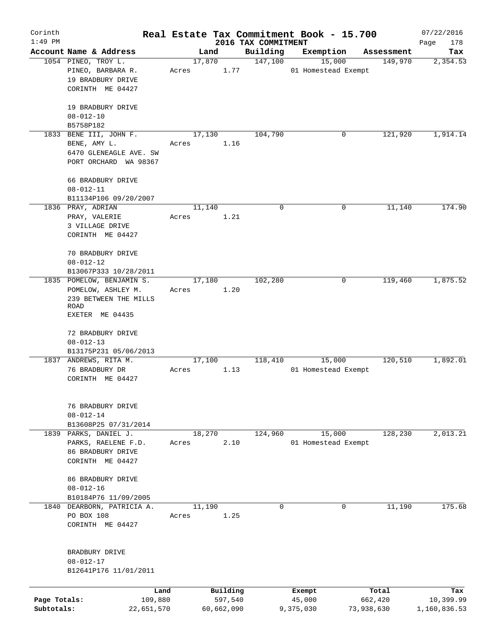| Corinth<br>$1:49$ PM |                                          |                 |            |                                 | Real Estate Tax Commitment Book - 15.700 |            | 07/22/2016            |
|----------------------|------------------------------------------|-----------------|------------|---------------------------------|------------------------------------------|------------|-----------------------|
|                      | Account Name & Address                   |                 | Land       | 2016 TAX COMMITMENT<br>Building | Exemption                                | Assessment | Page<br>178<br>Tax    |
|                      | 1054 PINEO, TROY L.                      | 17,870          |            | 147,100                         | 15,000                                   | 149,970    | 2,354.53              |
|                      | PINEO, BARBARA R.                        | Acres           | 1.77       |                                 | 01 Homestead Exempt                      |            |                       |
|                      | 19 BRADBURY DRIVE                        |                 |            |                                 |                                          |            |                       |
|                      | CORINTH ME 04427                         |                 |            |                                 |                                          |            |                       |
|                      |                                          |                 |            |                                 |                                          |            |                       |
|                      | 19 BRADBURY DRIVE                        |                 |            |                                 |                                          |            |                       |
|                      | $08 - 012 - 10$                          |                 |            |                                 |                                          |            |                       |
|                      | B5758P182                                |                 |            |                                 |                                          |            |                       |
|                      | 1833 BENE III, JOHN F.                   | 17,130          |            | 104,790                         | 0                                        | 121,920    | 1,914.14              |
|                      | BENE, AMY L.                             | Acres           | 1.16       |                                 |                                          |            |                       |
|                      | 6470 GLENEAGLE AVE. SW                   |                 |            |                                 |                                          |            |                       |
|                      | PORT ORCHARD WA 98367                    |                 |            |                                 |                                          |            |                       |
|                      |                                          |                 |            |                                 |                                          |            |                       |
|                      | 66 BRADBURY DRIVE                        |                 |            |                                 |                                          |            |                       |
|                      | $08 - 012 - 11$                          |                 |            |                                 |                                          |            |                       |
|                      | B11134P106 09/20/2007                    |                 |            |                                 |                                          |            |                       |
|                      | 1836 PRAY, ADRIAN                        | 11,140          |            | 0                               | 0                                        | 11,140     | 174.90                |
|                      | PRAY, VALERIE                            | Acres           | 1.21       |                                 |                                          |            |                       |
|                      | 3 VILLAGE DRIVE                          |                 |            |                                 |                                          |            |                       |
|                      | CORINTH ME 04427                         |                 |            |                                 |                                          |            |                       |
|                      | 70 BRADBURY DRIVE                        |                 |            |                                 |                                          |            |                       |
|                      | $08 - 012 - 12$                          |                 |            |                                 |                                          |            |                       |
|                      | B13067P333 10/28/2011                    |                 |            |                                 |                                          |            |                       |
|                      | 1835 POMELOW, BENJAMIN S.                | 17,180          |            | 102,280                         | 0                                        | 119,460    | 1,875.52              |
|                      | POMELOW, ASHLEY M.                       | Acres           | 1.20       |                                 |                                          |            |                       |
|                      | 239 BETWEEN THE MILLS                    |                 |            |                                 |                                          |            |                       |
|                      | <b>ROAD</b>                              |                 |            |                                 |                                          |            |                       |
|                      | EXETER ME 04435                          |                 |            |                                 |                                          |            |                       |
|                      |                                          |                 |            |                                 |                                          |            |                       |
|                      | 72 BRADBURY DRIVE                        |                 |            |                                 |                                          |            |                       |
|                      | $08 - 012 - 13$                          |                 |            |                                 |                                          |            |                       |
|                      | B13175P231 05/06/2013                    |                 |            |                                 |                                          |            |                       |
|                      | 1837 ANDREWS, RITA M.<br>76 BRADBURY DR  | 17,100          | 1.13       | 118,410                         | 15,000<br>01 Homestead Exempt            | 120,510    | 1,892.01              |
|                      | CORINTH ME 04427                         | Acres           |            |                                 |                                          |            |                       |
|                      |                                          |                 |            |                                 |                                          |            |                       |
|                      |                                          |                 |            |                                 |                                          |            |                       |
|                      | 76 BRADBURY DRIVE                        |                 |            |                                 |                                          |            |                       |
|                      | $08 - 012 - 14$                          |                 |            |                                 |                                          |            |                       |
|                      | B13608P25 07/31/2014                     |                 |            |                                 |                                          |            |                       |
|                      | 1839 PARKS, DANIEL J.                    | 18,270          |            | 124,960                         | 15,000                                   | 128,230    | $\overline{2,013.21}$ |
|                      | PARKS, RAELENE F.D.                      | Acres           | 2.10       |                                 | 01 Homestead Exempt                      |            |                       |
|                      | 86 BRADBURY DRIVE                        |                 |            |                                 |                                          |            |                       |
|                      | CORINTH ME 04427                         |                 |            |                                 |                                          |            |                       |
|                      |                                          |                 |            |                                 |                                          |            |                       |
|                      | 86 BRADBURY DRIVE                        |                 |            |                                 |                                          |            |                       |
|                      | $08 - 012 - 16$                          |                 |            |                                 |                                          |            |                       |
|                      | B10184P76 11/09/2005                     |                 |            | $\mathbf 0$                     | 0                                        |            | 175.68                |
|                      | 1840 DEARBORN, PATRICIA A.<br>PO BOX 108 | 11,190<br>Acres | 1.25       |                                 |                                          | 11,190     |                       |
|                      | CORINTH ME 04427                         |                 |            |                                 |                                          |            |                       |
|                      |                                          |                 |            |                                 |                                          |            |                       |
|                      |                                          |                 |            |                                 |                                          |            |                       |
|                      | BRADBURY DRIVE                           |                 |            |                                 |                                          |            |                       |
|                      | $08 - 012 - 17$                          |                 |            |                                 |                                          |            |                       |
|                      | B12641P176 11/01/2011                    |                 |            |                                 |                                          |            |                       |
|                      |                                          |                 |            |                                 |                                          |            |                       |
|                      | Land                                     |                 | Building   |                                 | Exempt                                   | Total      | Tax                   |
| Page Totals:         | 109,880                                  |                 | 597,540    |                                 | 45,000                                   | 662,420    | 10,399.99             |
| Subtotals:           | 22,651,570                               |                 | 60,662,090 |                                 | 9,375,030                                | 73,938,630 | 1,160,836.53          |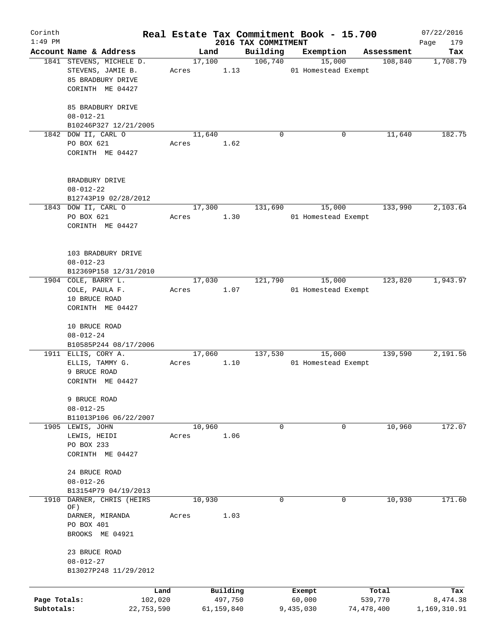| Corinth      |                                       |       |                |                     | Real Estate Tax Commitment Book - 15.700 |                       | 07/22/2016      |
|--------------|---------------------------------------|-------|----------------|---------------------|------------------------------------------|-----------------------|-----------------|
| $1:49$ PM    | Account Name & Address                |       |                | 2016 TAX COMMITMENT |                                          |                       | 179<br>Page     |
|              | 1841 STEVENS, MICHELE D.              |       | Land<br>17,100 | Building<br>106,740 | Exemption<br>15,000                      | Assessment<br>108,840 | Tax<br>1,708.79 |
|              | STEVENS, JAMIE B.                     | Acres | 1.13           |                     | 01 Homestead Exempt                      |                       |                 |
|              | 85 BRADBURY DRIVE                     |       |                |                     |                                          |                       |                 |
|              | CORINTH ME 04427                      |       |                |                     |                                          |                       |                 |
|              |                                       |       |                |                     |                                          |                       |                 |
|              | 85 BRADBURY DRIVE                     |       |                |                     |                                          |                       |                 |
|              | $08 - 012 - 21$                       |       |                |                     |                                          |                       |                 |
|              | B10246P327 12/21/2005                 |       |                |                     |                                          |                       |                 |
|              | 1842 DOW II, CARL O                   |       | 11,640         | $\Omega$            | 0                                        | 11,640                | 182.75          |
|              | PO BOX 621                            | Acres | 1.62           |                     |                                          |                       |                 |
|              | CORINTH ME 04427                      |       |                |                     |                                          |                       |                 |
|              |                                       |       |                |                     |                                          |                       |                 |
|              | BRADBURY DRIVE                        |       |                |                     |                                          |                       |                 |
|              | $08 - 012 - 22$                       |       |                |                     |                                          |                       |                 |
|              | B12743P19 02/28/2012                  |       |                |                     |                                          |                       |                 |
|              | 1843 DOW II, CARL O                   |       | 17,300         | 131,690             | 15,000                                   | 133,990               | 2,103.64        |
|              | PO BOX 621                            | Acres | 1.30           |                     | 01 Homestead Exempt                      |                       |                 |
|              | CORINTH ME 04427                      |       |                |                     |                                          |                       |                 |
|              |                                       |       |                |                     |                                          |                       |                 |
|              |                                       |       |                |                     |                                          |                       |                 |
|              | 103 BRADBURY DRIVE                    |       |                |                     |                                          |                       |                 |
|              | $08 - 012 - 23$                       |       |                |                     |                                          |                       |                 |
|              | B12369P158 12/31/2010                 |       |                |                     |                                          |                       |                 |
|              | 1904 COLE, BARRY L.<br>COLE, PAULA F. | Acres | 17,030<br>1.07 | 121,790             | 15,000<br>01 Homestead Exempt            | 123,820               | 1,943.97        |
|              | 10 BRUCE ROAD                         |       |                |                     |                                          |                       |                 |
|              | CORINTH ME 04427                      |       |                |                     |                                          |                       |                 |
|              |                                       |       |                |                     |                                          |                       |                 |
|              | 10 BRUCE ROAD                         |       |                |                     |                                          |                       |                 |
|              | $08 - 012 - 24$                       |       |                |                     |                                          |                       |                 |
|              | B10585P244 08/17/2006                 |       |                |                     |                                          |                       |                 |
|              | 1911 ELLIS, CORY A.                   |       | 17,060         | 137,530             | 15,000                                   | 139,590               | 2,191.56        |
|              | ELLIS, TAMMY G.                       | Acres | 1.10           |                     | 01 Homestead Exempt                      |                       |                 |
|              | 9 BRUCE ROAD                          |       |                |                     |                                          |                       |                 |
|              | CORINTH ME 04427                      |       |                |                     |                                          |                       |                 |
|              |                                       |       |                |                     |                                          |                       |                 |
|              | 9 BRUCE ROAD                          |       |                |                     |                                          |                       |                 |
|              | $08 - 012 - 25$                       |       |                |                     |                                          |                       |                 |
|              | B11013P106 06/22/2007                 |       |                |                     |                                          |                       |                 |
|              | 1905 LEWIS, JOHN<br>LEWIS, HEIDI      | Acres | 10,960<br>1.06 | 0                   | 0                                        | 10,960                | 172.07          |
|              | PO BOX 233                            |       |                |                     |                                          |                       |                 |
|              | CORINTH ME 04427                      |       |                |                     |                                          |                       |                 |
|              |                                       |       |                |                     |                                          |                       |                 |
|              | 24 BRUCE ROAD                         |       |                |                     |                                          |                       |                 |
|              | $08 - 012 - 26$                       |       |                |                     |                                          |                       |                 |
|              | B13154P79 04/19/2013                  |       |                |                     |                                          |                       |                 |
| 1910         | DARNER, CHRIS (HEIRS                  |       | 10,930         | 0                   | 0                                        | 10,930                | 171.60          |
|              | OF)                                   |       |                |                     |                                          |                       |                 |
|              | DARNER, MIRANDA<br>PO BOX 401         | Acres | 1.03           |                     |                                          |                       |                 |
|              | BROOKS ME 04921                       |       |                |                     |                                          |                       |                 |
|              |                                       |       |                |                     |                                          |                       |                 |
|              | 23 BRUCE ROAD                         |       |                |                     |                                          |                       |                 |
|              | $08 - 012 - 27$                       |       |                |                     |                                          |                       |                 |
|              | B13027P248 11/29/2012                 |       |                |                     |                                          |                       |                 |
|              |                                       |       |                |                     |                                          |                       |                 |
|              |                                       | Land  | Building       |                     | Exempt                                   | Total                 | Tax             |
| Page Totals: | 102,020                               |       | 497,750        |                     | 60,000                                   | 539,770               | 8,474.38        |
| Subtotals:   | 22,753,590                            |       | 61,159,840     |                     | 9,435,030                                | 74,478,400            | 1,169,310.91    |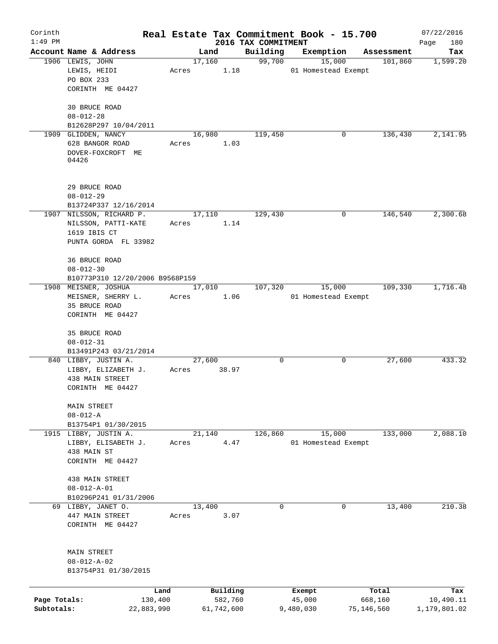| Corinth      |                                                         |       |                        |                     | Real Estate Tax Commitment Book - 15.700   |                       | 07/22/2016       |
|--------------|---------------------------------------------------------|-------|------------------------|---------------------|--------------------------------------------|-----------------------|------------------|
| $1:49$ PM    |                                                         |       |                        | 2016 TAX COMMITMENT |                                            |                       | Page<br>180      |
|              | Account Name & Address<br>1906 LEWIS, JOHN              | Acres | Land<br>17,160<br>1.18 | Building<br>99,700  | Exemption<br>15,000<br>01 Homestead Exempt | Assessment<br>101,860 | Tax<br>1,599.20  |
|              | LEWIS, HEIDI<br>PO BOX 233                              |       |                        |                     |                                            |                       |                  |
|              | CORINTH ME 04427                                        |       |                        |                     |                                            |                       |                  |
|              | 30 BRUCE ROAD<br>$08 - 012 - 28$                        |       |                        |                     |                                            |                       |                  |
|              | B12628P297 10/04/2011                                   |       |                        |                     |                                            |                       |                  |
|              | 1909 GLIDDEN, NANCY                                     |       | 16,980                 | 119,450             |                                            | 0<br>136,430          | 2,141.95         |
|              | 628 BANGOR ROAD<br>DOVER-FOXCROFT ME                    | Acres | 1.03                   |                     |                                            |                       |                  |
|              | 04426                                                   |       |                        |                     |                                            |                       |                  |
|              | 29 BRUCE ROAD                                           |       |                        |                     |                                            |                       |                  |
|              | $08 - 012 - 29$                                         |       |                        |                     |                                            |                       |                  |
|              | B13724P337 12/16/2014<br>1907 NILSSON, RICHARD P.       |       | 17,110                 | 129,430             |                                            | 146,540<br>0          | 2,300.68         |
|              | NILSSON, PATTI-KATE                                     | Acres | 1.14                   |                     |                                            |                       |                  |
|              | 1619 IBIS CT                                            |       |                        |                     |                                            |                       |                  |
|              | PUNTA GORDA FL 33982                                    |       |                        |                     |                                            |                       |                  |
|              | 36 BRUCE ROAD                                           |       |                        |                     |                                            |                       |                  |
|              | $08 - 012 - 30$                                         |       |                        |                     |                                            |                       |                  |
|              | B10773P310 12/20/2006 B9568P159<br>1908 MEISNER, JOSHUA |       | 17,010                 | 107,320             | 15,000                                     | 109,330               | 1,716.48         |
|              | MEISNER, SHERRY L.                                      | Acres | 1.06                   |                     | 01 Homestead Exempt                        |                       |                  |
|              | 35 BRUCE ROAD                                           |       |                        |                     |                                            |                       |                  |
|              | CORINTH ME 04427                                        |       |                        |                     |                                            |                       |                  |
|              | 35 BRUCE ROAD                                           |       |                        |                     |                                            |                       |                  |
|              | $08 - 012 - 31$                                         |       |                        |                     |                                            |                       |                  |
|              | B13491P243 03/21/2014<br>840 LIBBY, JUSTIN A.           |       | 27,600                 | 0                   |                                            | 0<br>27,600           | 433.32           |
|              | LIBBY, ELIZABETH J.                                     | Acres | 38.97                  |                     |                                            |                       |                  |
|              | 438 MAIN STREET                                         |       |                        |                     |                                            |                       |                  |
|              | CORINTH ME 04427                                        |       |                        |                     |                                            |                       |                  |
|              | MAIN STREET                                             |       |                        |                     |                                            |                       |                  |
|              | $08 - 012 - A$                                          |       |                        |                     |                                            |                       |                  |
|              | B13754P1 01/30/2015<br>1915 LIBBY, JUSTIN A.            |       | 21,140                 | 126,860             | 15,000                                     | 133,000               | 2,088.10         |
|              | LIBBY, ELISABETH J.                                     | Acres | 4.47                   |                     | 01 Homestead Exempt                        |                       |                  |
|              | 438 MAIN ST                                             |       |                        |                     |                                            |                       |                  |
|              | CORINTH ME 04427                                        |       |                        |                     |                                            |                       |                  |
|              | 438 MAIN STREET                                         |       |                        |                     |                                            |                       |                  |
|              | $08 - 012 - A - 01$                                     |       |                        |                     |                                            |                       |                  |
|              | B10296P241 01/31/2006                                   |       |                        |                     |                                            |                       |                  |
|              | 69 LIBBY, JANET O.<br>447 MAIN STREET                   | Acres | 13,400<br>3.07         | $\mathbf 0$         |                                            | 0<br>13,400           | 210.38           |
|              | CORINTH ME 04427                                        |       |                        |                     |                                            |                       |                  |
|              | MAIN STREET                                             |       |                        |                     |                                            |                       |                  |
|              | $08 - 012 - A - 02$                                     |       |                        |                     |                                            |                       |                  |
|              | B13754P31 01/30/2015                                    |       |                        |                     |                                            |                       |                  |
|              |                                                         |       |                        |                     |                                            |                       |                  |
| Page Totals: | Land<br>130,400                                         |       | Building<br>582,760    |                     | Exempt<br>45,000                           | Total<br>668,160      | Tax<br>10,490.11 |
| Subtotals:   | 22,883,990                                              |       | 61,742,600             |                     | 9,480,030                                  | 75,146,560            | 1,179,801.02     |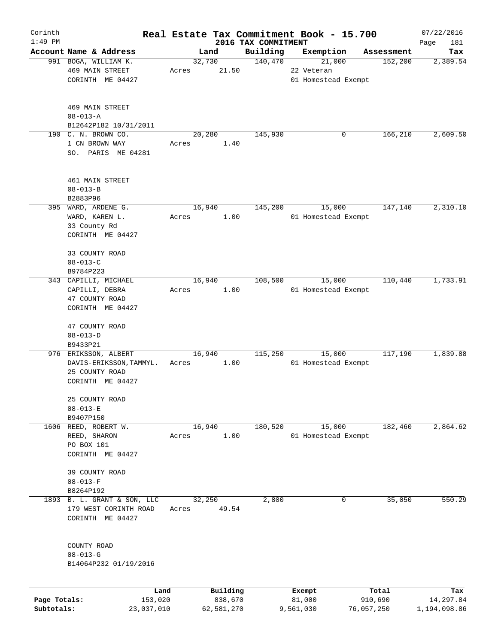| Corinth      |                                                                           |       |                     |                                 | Real Estate Tax Commitment Book - 15.700 |                       | 07/22/2016         |
|--------------|---------------------------------------------------------------------------|-------|---------------------|---------------------------------|------------------------------------------|-----------------------|--------------------|
| $1:49$ PM    | Account Name & Address                                                    |       | Land                | 2016 TAX COMMITMENT<br>Building | Exemption                                |                       | Page<br>181<br>Tax |
|              | 991 BOGA, WILLIAM K.                                                      |       | 32,730              | 140,470                         | 21,000                                   | Assessment<br>152,200 | 2,389.54           |
|              | <b>469 MAIN STREET</b><br>CORINTH ME 04427                                | Acres | 21.50               |                                 | 22 Veteran<br>01 Homestead Exempt        |                       |                    |
|              | <b>469 MAIN STREET</b><br>$08 - 013 - A$                                  |       |                     |                                 |                                          |                       |                    |
|              | B12642P182 10/31/2011                                                     |       |                     |                                 |                                          |                       |                    |
|              | 190 C. N. BROWN CO.                                                       |       | 20,280              | 145,930                         | 0                                        | 166,210               | 2,609.50           |
|              | 1 CN BROWN WAY<br>SO. PARIS ME 04281                                      | Acres | 1.40                |                                 |                                          |                       |                    |
|              | 461 MAIN STREET<br>$08 - 013 - B$                                         |       |                     |                                 |                                          |                       |                    |
|              | B2883P96                                                                  |       |                     |                                 |                                          |                       |                    |
|              | 395 WARD, ARDENE G.<br>WARD, KAREN L.<br>33 County Rd<br>CORINTH ME 04427 | Acres | 16,940<br>1.00      | 145,200                         | 15,000<br>01 Homestead Exempt            | 147,140               | 2,310.10           |
|              | 33 COUNTY ROAD<br>$08 - 013 - C$                                          |       |                     |                                 |                                          |                       |                    |
|              | B9784P223                                                                 |       |                     |                                 |                                          |                       |                    |
|              | 343 CAPILLI, MICHAEL                                                      |       | 16,940              | 108,500                         | 15,000                                   | 110,440               | 1,733.91           |
|              | CAPILLI, DEBRA<br>47 COUNTY ROAD<br>CORINTH ME 04427                      | Acres | 1.00                |                                 | 01 Homestead Exempt                      |                       |                    |
|              | 47 COUNTY ROAD<br>$08 - 013 - D$                                          |       |                     |                                 |                                          |                       |                    |
|              | B9433P21<br>976 ERIKSSON, ALBERT                                          |       | 16,940              | 115,250                         | 15,000                                   | 117,190               | 1,839.88           |
|              | DAVIS-ERIKSSON, TAMMYL.<br>25 COUNTY ROAD<br>CORINTH ME 04427             | Acres | 1.00                |                                 | 01 Homestead Exempt                      |                       |                    |
|              | 25 COUNTY ROAD<br>$08 - 013 - E$                                          |       |                     |                                 |                                          |                       |                    |
|              | B9407P150                                                                 |       |                     |                                 |                                          |                       |                    |
| 1606         | REED, ROBERT W.<br>REED, SHARON<br>PO BOX 101<br>CORINTH ME 04427         | Acres | 16,940<br>1.00      | 180,520                         | 15,000<br>01 Homestead Exempt            | 182,460               | 2,864.62           |
|              | 39 COUNTY ROAD<br>$08 - 013 - F$                                          |       |                     |                                 |                                          |                       |                    |
|              | B8264P192                                                                 |       |                     |                                 |                                          |                       |                    |
|              | 1893 B. L. GRANT & SON, LLC<br>179 WEST CORINTH ROAD<br>CORINTH ME 04427  | Acres | 32,250<br>49.54     | 2,800                           | 0                                        | 35,050                | 550.29             |
|              | COUNTY ROAD                                                               |       |                     |                                 |                                          |                       |                    |
|              | $08 - 013 - G$<br>B14064P232 01/19/2016                                   |       |                     |                                 |                                          |                       |                    |
| Page Totals: | Land<br>153,020                                                           |       | Building<br>838,670 |                                 | Exempt<br>81,000                         | Total<br>910,690      | Tax<br>14,297.84   |
| Subtotals:   | 23,037,010                                                                |       | 62,581,270          |                                 | 9,561,030                                | 76,057,250            | 1,194,098.86       |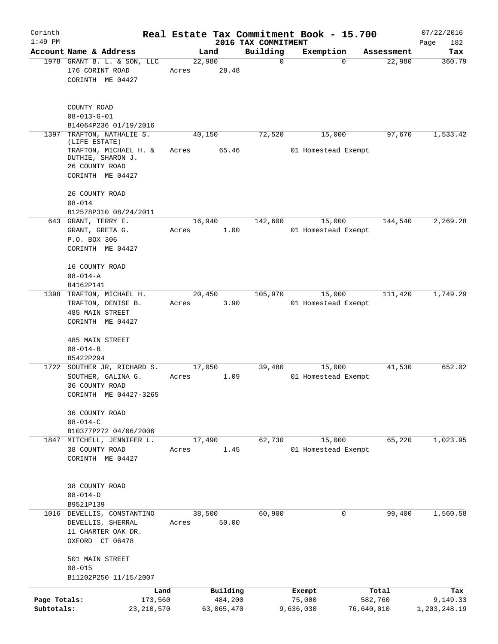| Corinth                    |                                                                                                   |       |                       |                         | Real Estate Tax Commitment Book - 15.700 |                       | 07/22/2016               |
|----------------------------|---------------------------------------------------------------------------------------------------|-------|-----------------------|-------------------------|------------------------------------------|-----------------------|--------------------------|
| $1:49$ PM                  |                                                                                                   |       |                       | 2016 TAX COMMITMENT     |                                          |                       | Page<br>182              |
|                            | Account Name & Address<br>1978 GRANT B. L. & SON, LLC                                             |       | Land<br>22,980        | Building<br>$\mathbf 0$ | Exemption<br>$\Omega$                    | Assessment<br>22,980  | Tax<br>360.79            |
|                            | 176 CORINT ROAD<br>CORINTH ME 04427                                                               | Acres | 28.48                 |                         |                                          |                       |                          |
|                            | COUNTY ROAD<br>$08 - 013 - G - 01$                                                                |       |                       |                         |                                          |                       |                          |
| 1397                       | B14064P236 01/19/2016<br>TRAFTON, NATHALIE S.                                                     |       | 40,150                | 72,520                  | 15,000                                   | 97,670                | 1,533.42                 |
|                            | (LIFE ESTATE)<br>TRAFTON, MICHAEL H. &<br>DUTHIE, SHARON J.<br>26 COUNTY ROAD<br>CORINTH ME 04427 | Acres | 65.46                 |                         | 01 Homestead Exempt                      |                       |                          |
|                            | 26 COUNTY ROAD<br>$08 - 014$                                                                      |       |                       |                         |                                          |                       |                          |
|                            | B12578P310 08/24/2011                                                                             |       |                       |                         |                                          |                       |                          |
|                            | 643 GRANT, TERRY E.<br>GRANT, GRETA G.<br>P.O. BOX 306<br>CORINTH ME 04427                        | Acres | 16,940<br>1.00        | 142,600                 | 15,000<br>01 Homestead Exempt            | 144,540               | 2,269.28                 |
|                            | 16 COUNTY ROAD<br>$08 - 014 - A$<br>B4162P141                                                     |       |                       |                         |                                          |                       |                          |
|                            | 1398 TRAFTON, MICHAEL H.<br>TRAFTON, DENISE B.<br><b>485 MAIN STREET</b><br>CORINTH ME 04427      | Acres | 20,450<br>3.90        | 105,970                 | 15,000<br>01 Homestead Exempt            | 111,420               | 1,749.29                 |
|                            | 485 MAIN STREET<br>$08 - 014 - B$                                                                 |       |                       |                         |                                          |                       |                          |
|                            | B5422P294<br>1722 SOUTHER JR, RICHARD S.                                                          |       | 17,050                | 39,480                  | 15,000                                   | 41,530                | 652.02                   |
|                            | SOUTHER, GALINA G.<br>36 COUNTY ROAD<br>CORINTH ME 04427-3265                                     | Acres | 1.09                  |                         | 01 Homestead Exempt                      |                       |                          |
|                            | 36 COUNTY ROAD<br>$08 - 014 - C$                                                                  |       |                       |                         |                                          |                       |                          |
|                            | B10377P272 04/06/2006<br>1847 MITCHELL, JENNIFER L.                                               |       | 17,490                | 62,730                  | 15,000                                   | 65,220                | 1,023.95                 |
|                            | 38 COUNTY ROAD<br>CORINTH ME 04427                                                                | Acres | 1.45                  |                         | 01 Homestead Exempt                      |                       |                          |
|                            | 38 COUNTY ROAD<br>$08 - 014 - D$                                                                  |       |                       |                         |                                          |                       |                          |
|                            | B9521P139<br>1016 DEVELLIS, CONSTANTINO                                                           |       | 38,500                | 60,900                  | 0                                        | 99,400                | 1,560.58                 |
|                            | DEVELLIS, SHERRAL<br>11 CHARTER OAK DR.<br>OXFORD CT 06478                                        | Acres | 50.00                 |                         |                                          |                       |                          |
|                            | 501 MAIN STREET<br>$08 - 015$<br>B11202P250 11/15/2007                                            |       |                       |                         |                                          |                       |                          |
|                            | Land                                                                                              |       | Building              |                         | Exempt                                   | Total                 | Tax                      |
| Page Totals:<br>Subtotals: | 173,560<br>23, 210, 570                                                                           |       | 484,200<br>63,065,470 |                         | 75,000<br>9,636,030                      | 582,760<br>76,640,010 | 9,149.33<br>1,203,248.19 |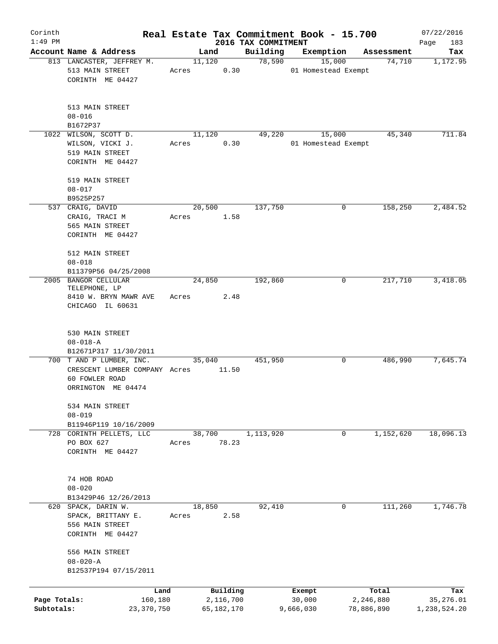| Corinth      |                               |       |                |            |                     | Real Estate Tax Commitment Book - 15.700 |                      | 07/22/2016      |
|--------------|-------------------------------|-------|----------------|------------|---------------------|------------------------------------------|----------------------|-----------------|
| $1:49$ PM    | Account Name & Address        |       |                |            | 2016 TAX COMMITMENT |                                          |                      | Page<br>183     |
|              | 813 LANCASTER, JEFFREY M.     |       | Land<br>11,120 |            | Building<br>78,590  | Exemption<br>15,000                      | Assessment<br>74,710 | Tax<br>1,172.95 |
|              | 513 MAIN STREET               | Acres |                | 0.30       |                     | 01 Homestead Exempt                      |                      |                 |
|              | CORINTH ME 04427              |       |                |            |                     |                                          |                      |                 |
|              |                               |       |                |            |                     |                                          |                      |                 |
|              | 513 MAIN STREET               |       |                |            |                     |                                          |                      |                 |
|              | $08 - 016$                    |       |                |            |                     |                                          |                      |                 |
|              | B1672P37                      |       |                |            |                     |                                          |                      |                 |
|              | 1022 WILSON, SCOTT D.         |       | 11,120         |            | 49,220              | 15,000                                   | 45,340               | 711.84          |
|              | WILSON, VICKI J.              | Acres |                | 0.30       |                     | 01 Homestead Exempt                      |                      |                 |
|              | 519 MAIN STREET               |       |                |            |                     |                                          |                      |                 |
|              | CORINTH ME 04427              |       |                |            |                     |                                          |                      |                 |
|              |                               |       |                |            |                     |                                          |                      |                 |
|              | 519 MAIN STREET               |       |                |            |                     |                                          |                      |                 |
|              | $08 - 017$                    |       |                |            |                     |                                          |                      |                 |
|              | B9525P257                     |       |                |            |                     |                                          |                      |                 |
|              | 537 CRAIG, DAVID              |       | 20,500         |            | 137,750             | 0                                        | 158,250              | 2,484.52        |
|              | CRAIG, TRACI M                | Acres |                | 1.58       |                     |                                          |                      |                 |
|              | 565 MAIN STREET               |       |                |            |                     |                                          |                      |                 |
|              | CORINTH ME 04427              |       |                |            |                     |                                          |                      |                 |
|              | 512 MAIN STREET               |       |                |            |                     |                                          |                      |                 |
|              | $08 - 018$                    |       |                |            |                     |                                          |                      |                 |
|              | B11379P56 04/25/2008          |       |                |            |                     |                                          |                      |                 |
|              | 2005 BANGOR CELLULAR          |       | 24,850         |            | 192,860             | 0                                        | 217,710              | 3,418.05        |
|              | TELEPHONE, LP                 |       |                |            |                     |                                          |                      |                 |
|              | 8410 W. BRYN MAWR AVE         | Acres |                | 2.48       |                     |                                          |                      |                 |
|              | CHICAGO IL 60631              |       |                |            |                     |                                          |                      |                 |
|              |                               |       |                |            |                     |                                          |                      |                 |
|              |                               |       |                |            |                     |                                          |                      |                 |
|              | 530 MAIN STREET               |       |                |            |                     |                                          |                      |                 |
|              | $08 - 018 - A$                |       |                |            |                     |                                          |                      |                 |
|              | B12671P317 11/30/2011         |       |                |            |                     |                                          |                      |                 |
|              | 700 T AND P LUMBER, INC.      |       | 35,040         |            | 451,950             | 0                                        | 486,990              | 7,645.74        |
|              | CRESCENT LUMBER COMPANY Acres |       |                | 11.50      |                     |                                          |                      |                 |
|              | 60 FOWLER ROAD                |       |                |            |                     |                                          |                      |                 |
|              | ORRINGTON ME 04474            |       |                |            |                     |                                          |                      |                 |
|              | 534 MAIN STREET               |       |                |            |                     |                                          |                      |                 |
|              | $08 - 019$                    |       |                |            |                     |                                          |                      |                 |
|              | B11946P119 10/16/2009         |       |                |            |                     |                                          |                      |                 |
| 728          | CORINTH PELLETS, LLC          |       | 38,700         |            | 1,113,920           | 0                                        | 1,152,620            | 18,096.13       |
|              | PO BOX 627                    | Acres |                | 78.23      |                     |                                          |                      |                 |
|              | CORINTH ME 04427              |       |                |            |                     |                                          |                      |                 |
|              |                               |       |                |            |                     |                                          |                      |                 |
|              |                               |       |                |            |                     |                                          |                      |                 |
|              | 74 HOB ROAD                   |       |                |            |                     |                                          |                      |                 |
|              | $08 - 020$                    |       |                |            |                     |                                          |                      |                 |
|              | B13429P46 12/26/2013          |       |                |            |                     |                                          |                      |                 |
|              | 620 SPACK, DARIN W.           |       | 18,850         |            | 92,410              | 0                                        | 111,260              | 1,746.78        |
|              | SPACK, BRITTANY E.            | Acres |                | 2.58       |                     |                                          |                      |                 |
|              | 556 MAIN STREET               |       |                |            |                     |                                          |                      |                 |
|              | CORINTH ME 04427              |       |                |            |                     |                                          |                      |                 |
|              |                               |       |                |            |                     |                                          |                      |                 |
|              | 556 MAIN STREET               |       |                |            |                     |                                          |                      |                 |
|              | $08 - 020 - A$                |       |                |            |                     |                                          |                      |                 |
|              | B12537P194 07/15/2011         |       |                |            |                     |                                          |                      |                 |
|              |                               | Land  |                | Building   |                     | Exempt                                   | Total                | Tax             |
| Page Totals: | 160,180                       |       |                | 2,116,700  |                     | 30,000                                   | 2,246,880            | 35,276.01       |
| Subtotals:   | 23, 370, 750                  |       |                | 65,182,170 |                     | 9,666,030                                | 78,886,890           | 1,238,524.20    |
|              |                               |       |                |            |                     |                                          |                      |                 |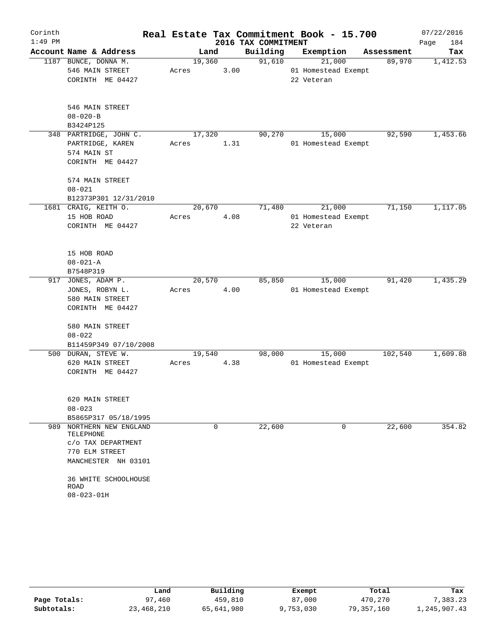| Corinth   |                               |        |      |                     | Real Estate Tax Commitment Book - 15.700 |            | 07/22/2016  |
|-----------|-------------------------------|--------|------|---------------------|------------------------------------------|------------|-------------|
| $1:49$ PM |                               |        |      | 2016 TAX COMMITMENT |                                          |            | Page<br>184 |
|           | Account Name & Address        | Land   |      | Building            | Exemption                                | Assessment | Tax         |
|           | 1187 BUNCE, DONNA M.          | 19,360 |      | 91,610              | 21,000                                   | 89,970     | 1,412.53    |
|           | 546 MAIN STREET               | Acres  | 3.00 |                     | 01 Homestead Exempt                      |            |             |
|           | CORINTH ME 04427              |        |      |                     | 22 Veteran                               |            |             |
|           | 546 MAIN STREET               |        |      |                     |                                          |            |             |
|           | $08 - 020 - B$                |        |      |                     |                                          |            |             |
|           | B3424P125                     |        |      |                     |                                          |            |             |
|           | 348 PARTRIDGE, JOHN C.        | 17,320 |      | 90,270              | 15,000                                   | 92,590     | 1,453.66    |
|           | PARTRIDGE, KAREN              | Acres  | 1.31 |                     | 01 Homestead Exempt                      |            |             |
|           | 574 MAIN ST                   |        |      |                     |                                          |            |             |
|           | CORINTH ME 04427              |        |      |                     |                                          |            |             |
|           | 574 MAIN STREET               |        |      |                     |                                          |            |             |
|           | $08 - 021$                    |        |      |                     |                                          |            |             |
|           | B12373P301 12/31/2010         |        |      |                     |                                          |            |             |
|           | 1681 CRAIG, KEITH O.          | 20,670 |      | 71,480              | 21,000                                   | 71,150     | 1,117.05    |
|           | 15 HOB ROAD                   | Acres  | 4.08 |                     | 01 Homestead Exempt                      |            |             |
|           | CORINTH ME 04427              |        |      |                     | 22 Veteran                               |            |             |
|           |                               |        |      |                     |                                          |            |             |
|           | 15 HOB ROAD                   |        |      |                     |                                          |            |             |
|           | $08 - 021 - A$                |        |      |                     |                                          |            |             |
|           | B7548P319                     |        |      |                     |                                          |            |             |
| 917       | JONES, ADAM P.                | 20,570 |      | 85,850              | 15,000                                   | 91,420     | 1,435.29    |
|           | JONES, ROBYN L.               | Acres  | 4.00 |                     | 01 Homestead Exempt                      |            |             |
|           | 580 MAIN STREET               |        |      |                     |                                          |            |             |
|           | CORINTH ME 04427              |        |      |                     |                                          |            |             |
|           | 580 MAIN STREET               |        |      |                     |                                          |            |             |
|           | $08 - 022$                    |        |      |                     |                                          |            |             |
|           | B11459P349 07/10/2008         |        |      |                     |                                          |            |             |
|           | 500 DURAN, STEVE W.           | 19,540 |      | 98,000              | 15,000                                   | 102,540    | 1,609.88    |
|           | 620 MAIN STREET               | Acres  | 4.38 |                     | 01 Homestead Exempt                      |            |             |
|           | CORINTH ME 04427              |        |      |                     |                                          |            |             |
|           |                               |        |      |                     |                                          |            |             |
|           | 620 MAIN STREET<br>$08 - 023$ |        |      |                     |                                          |            |             |
|           | B5865P317 05/18/1995          |        |      |                     |                                          |            |             |
| 989       | NORTHERN NEW ENGLAND          |        | 0    | 22,600              | 0                                        | 22,600     | 354.82      |
|           | TELEPHONE                     |        |      |                     |                                          |            |             |
|           | C/O TAX DEPARTMENT            |        |      |                     |                                          |            |             |
|           | 770 ELM STREET                |        |      |                     |                                          |            |             |
|           | MANCHESTER NH 03101           |        |      |                     |                                          |            |             |
|           | 36 WHITE SCHOOLHOUSE          |        |      |                     |                                          |            |             |
|           | ROAD                          |        |      |                     |                                          |            |             |
|           | $08 - 023 - 01H$              |        |      |                     |                                          |            |             |

|              | Land       | Building   | Exempt    | Total      | Tax          |  |
|--------------|------------|------------|-----------|------------|--------------|--|
| Page Totals: | 97,460     | 459,810    | 87,000    | 470,270    | 7,383.23     |  |
| Subtotals:   | 23,468,210 | 65,641,980 | 9,753,030 | 79,357,160 | l,245,907.43 |  |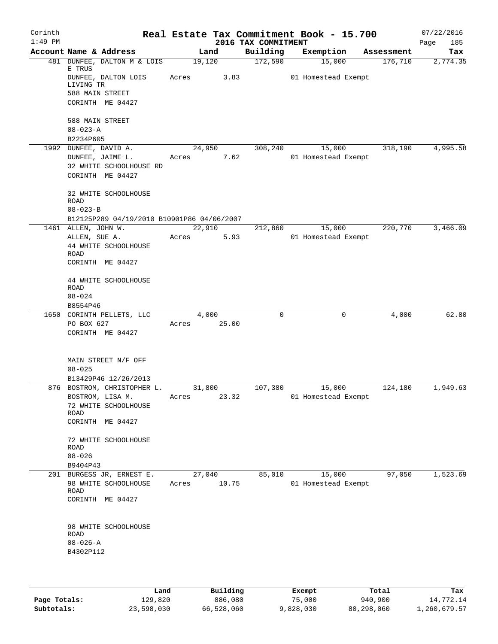| Corinth   |                     |                                            |       |        |       |                     | Real Estate Tax Commitment Book - 15.700 |            | 07/22/2016  |
|-----------|---------------------|--------------------------------------------|-------|--------|-------|---------------------|------------------------------------------|------------|-------------|
| $1:49$ PM |                     |                                            |       |        |       | 2016 TAX COMMITMENT |                                          |            | Page<br>185 |
|           |                     | Account Name & Address                     |       | Land   |       | Building            | Exemption                                | Assessment | Tax         |
|           | E TRUS              | 481 DUNFEE, DALTON M & LOIS                |       | 19,120 |       | 172,590             | 15,000                                   | 176,710    | 2,774.35    |
|           | LIVING TR           | DUNFEE, DALTON LOIS                        | Acres |        | 3.83  |                     | 01 Homestead Exempt                      |            |             |
|           |                     | 588 MAIN STREET                            |       |        |       |                     |                                          |            |             |
|           |                     | CORINTH ME 04427                           |       |        |       |                     |                                          |            |             |
|           |                     | 588 MAIN STREET                            |       |        |       |                     |                                          |            |             |
|           | $08 - 023 - A$      |                                            |       |        |       |                     |                                          |            |             |
|           | B2234P605           |                                            |       |        |       |                     |                                          |            |             |
|           |                     | 1992 DUNFEE, DAVID A.                      |       | 24,950 |       | 308,240             | 15,000                                   | 318,190    | 4,995.58    |
|           |                     | DUNFEE, JAIME L.                           |       | Acres  | 7.62  |                     | 01 Homestead Exempt                      |            |             |
|           |                     | 32 WHITE SCHOOLHOUSE RD                    |       |        |       |                     |                                          |            |             |
|           |                     | CORINTH ME 04427                           |       |        |       |                     |                                          |            |             |
|           | <b>ROAD</b>         | 32 WHITE SCHOOLHOUSE                       |       |        |       |                     |                                          |            |             |
|           | $08 - 023 - B$      |                                            |       |        |       |                     |                                          |            |             |
|           |                     | B12125P289 04/19/2010 B10901P86 04/06/2007 |       |        |       |                     |                                          |            |             |
|           | 1461 ALLEN, JOHN W. |                                            |       | 22,910 |       | 212,860             | 15,000                                   | 220,770    | 3,466.09    |
|           | ALLEN, SUE A.       |                                            | Acres |        | 5.93  |                     | 01 Homestead Exempt                      |            |             |
|           |                     | 44 WHITE SCHOOLHOUSE                       |       |        |       |                     |                                          |            |             |
|           | ROAD                |                                            |       |        |       |                     |                                          |            |             |
|           |                     | CORINTH ME 04427                           |       |        |       |                     |                                          |            |             |
|           |                     | 44 WHITE SCHOOLHOUSE                       |       |        |       |                     |                                          |            |             |
|           | ROAD                |                                            |       |        |       |                     |                                          |            |             |
|           | $08 - 024$          |                                            |       |        |       |                     |                                          |            |             |
|           | B8554P46            | 1650 CORINTH PELLETS, LLC                  |       | 4,000  |       | 0                   | 0                                        | 4,000      | 62.80       |
|           | PO BOX 627          |                                            | Acres |        | 25.00 |                     |                                          |            |             |
|           |                     | CORINTH ME 04427                           |       |        |       |                     |                                          |            |             |
|           |                     |                                            |       |        |       |                     |                                          |            |             |
|           |                     | MAIN STREET N/F OFF                        |       |        |       |                     |                                          |            |             |
|           | $08 - 025$          |                                            |       |        |       |                     |                                          |            |             |
|           |                     | B13429P46 12/26/2013                       |       |        |       |                     |                                          |            |             |
|           |                     | 876 BOSTROM, CHRISTOPHER L.                |       | 31,800 |       | 107,380             | 15,000                                   | 124,180    | 1,949.63    |
|           |                     | BOSTROM, LISA M.                           | Acres |        | 23.32 |                     | 01 Homestead Exempt                      |            |             |
|           |                     | 72 WHITE SCHOOLHOUSE                       |       |        |       |                     |                                          |            |             |
|           | ROAD                |                                            |       |        |       |                     |                                          |            |             |
|           |                     | CORINTH ME 04427                           |       |        |       |                     |                                          |            |             |
|           | <b>ROAD</b>         | 72 WHITE SCHOOLHOUSE                       |       |        |       |                     |                                          |            |             |
|           | $08 - 026$          |                                            |       |        |       |                     |                                          |            |             |
|           | B9404P43            |                                            |       |        |       |                     |                                          |            |             |
|           |                     | 201 BURGESS JR, ERNEST E.                  |       | 27,040 |       | 85,010              | 15,000                                   | 97,050     | 1,523.69    |
|           |                     | 98 WHITE SCHOOLHOUSE                       | Acres |        | 10.75 |                     | 01 Homestead Exempt                      |            |             |
|           | ROAD                |                                            |       |        |       |                     |                                          |            |             |
|           |                     | CORINTH ME 04427                           |       |        |       |                     |                                          |            |             |
|           |                     |                                            |       |        |       |                     |                                          |            |             |
|           |                     | 98 WHITE SCHOOLHOUSE                       |       |        |       |                     |                                          |            |             |
|           | <b>ROAD</b>         |                                            |       |        |       |                     |                                          |            |             |
|           | $08 - 026 - A$      |                                            |       |        |       |                     |                                          |            |             |
|           | B4302P112           |                                            |       |        |       |                     |                                          |            |             |
|           |                     |                                            |       |        |       |                     |                                          |            |             |
|           |                     |                                            |       |        |       |                     |                                          |            |             |
|           |                     |                                            |       |        |       |                     |                                          |            |             |

|              | Land       | Building   | Exempt    | Total      | Tax          |
|--------------|------------|------------|-----------|------------|--------------|
| Page Totals: | 129,820    | 886,080    | 75,000    | 940,900    | 14,772.14    |
| Subtotals:   | 23,598,030 | 66,528,060 | 9,828,030 | 80,298,060 | 1,260,679.57 |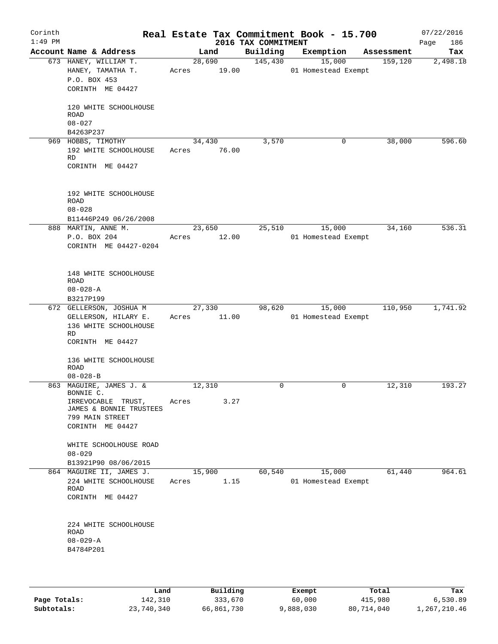| Corinth<br>$1:49$ PM |                                                                                                                              |                       | 2016 TAX COMMITMENT | Real Estate Tax Commitment Book - 15.700 |            | 07/22/2016<br>186<br>Page |
|----------------------|------------------------------------------------------------------------------------------------------------------------------|-----------------------|---------------------|------------------------------------------|------------|---------------------------|
|                      | Account Name & Address                                                                                                       | Land                  | Building            | Exemption                                | Assessment | Tax                       |
|                      | 673 HANEY, WILLIAM T.<br>HANEY, TAMATHA T.<br>P.O. BOX 453<br>CORINTH ME 04427                                               | 28,690<br>Acres 19.00 | 145,430             | 15,000<br>01 Homestead Exempt            | 159,120    | 2,498.18                  |
|                      | 120 WHITE SCHOOLHOUSE<br>ROAD<br>$08 - 027$<br>B4263P237                                                                     |                       |                     |                                          |            |                           |
|                      | 969 HOBBS, TIMOTHY                                                                                                           | 34,430                | 3,570               | 0                                        | 38,000     | 596.60                    |
|                      | 192 WHITE SCHOOLHOUSE<br>RD<br>CORINTH ME 04427                                                                              | Acres 76.00           |                     |                                          |            |                           |
|                      | 192 WHITE SCHOOLHOUSE<br>ROAD<br>$08 - 028$                                                                                  |                       |                     |                                          |            |                           |
|                      | B11446P249 06/26/2008<br>888 MARTIN, ANNE M.                                                                                 | 23,650                | 25,510              | 15,000                                   | 34,160     | 536.31                    |
|                      | P.O. BOX 204<br>CORINTH ME 04427-0204                                                                                        | Acres                 | 12.00               | 01 Homestead Exempt                      |            |                           |
|                      | 148 WHITE SCHOOLHOUSE<br>ROAD<br>$08 - 028 - A$                                                                              |                       |                     |                                          |            |                           |
|                      | B3217P199                                                                                                                    | 27,330                | 98,620              | 15,000                                   | 110,950    | 1,741.92                  |
|                      | 672 GELLERSON, JOSHUA M<br>GELLERSON, HILARY E.<br>136 WHITE SCHOOLHOUSE<br>RD<br>CORINTH ME 04427                           | Acres                 | 11.00               | 01 Homestead Exempt                      |            |                           |
|                      | 136 WHITE SCHOOLHOUSE<br>ROAD<br>$08 - 028 - B$                                                                              |                       |                     |                                          |            |                           |
|                      | 863 MAGUIRE, JAMES J. &<br>BONNIE C.<br>IRREVOCABLE TRUST,<br>JAMES & BONNIE TRUSTEES<br>799 MAIN STREET<br>CORINTH ME 04427 | 12,310<br>Acres       | 0<br>3.27           | 0                                        | 12,310     | 193.27                    |
|                      | WHITE SCHOOLHOUSE ROAD<br>$08 - 029$<br>B13921P90 08/06/2015                                                                 |                       |                     |                                          |            |                           |
|                      | 864 MAGUIRE II, JAMES J.                                                                                                     | 15,900                | 60,540              | 15,000                                   | 61,440     | 964.61                    |
|                      | 224 WHITE SCHOOLHOUSE<br>ROAD<br>CORINTH ME 04427                                                                            | Acres                 | 1.15                | 01 Homestead Exempt                      |            |                           |
|                      | 224 WHITE SCHOOLHOUSE<br>ROAD<br>$08 - 029 - A$<br>B4784P201                                                                 |                       |                     |                                          |            |                           |

|              | Land       | Building   | Exempt    | Total      | Tax          |
|--------------|------------|------------|-----------|------------|--------------|
| Page Totals: | 142,310    | 333,670    | 60,000    | 415,980    | 6,530.89     |
| Subtotals:   | 23,740,340 | 66,861,730 | 9,888,030 | 80,714,040 | 1,267,210.46 |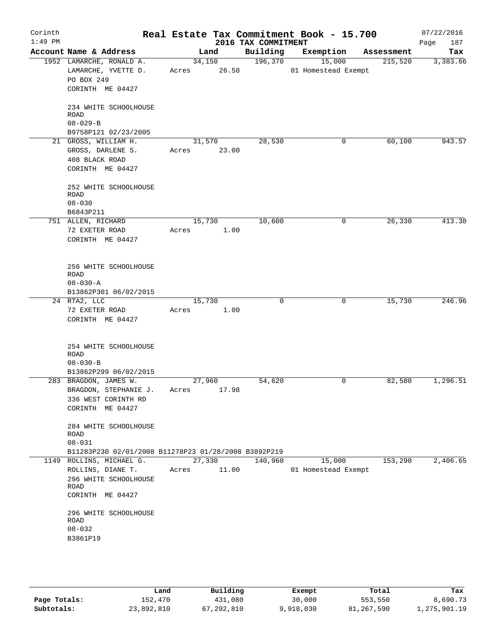| Corinth<br>$1:49$ PM |                                                                                                     |                          | 2016 TAX COMMITMENT | Real Estate Tax Commitment Book - 15.700 |            | 07/22/2016<br>Page<br>187 |
|----------------------|-----------------------------------------------------------------------------------------------------|--------------------------|---------------------|------------------------------------------|------------|---------------------------|
|                      | Account Name & Address                                                                              | Land                     | Building            | Exemption                                | Assessment | Tax                       |
|                      | 1952 LAMARCHE, RONALD A.<br>LAMARCHE, YVETTE D.<br>PO BOX 249<br>CORINTH ME 04427                   | 34,150<br>Acres 26.58    | 196,370             | 15,000<br>01 Homestead Exempt            | 215,520    | 3,383.66                  |
|                      | 234 WHITE SCHOOLHOUSE<br>ROAD<br>$08 - 029 - B$<br>B9758P121 02/23/2005                             |                          |                     |                                          |            |                           |
|                      | 21 GROSS, WILLIAM H.<br>GROSS, DARLENE S.<br>408 BLACK ROAD<br>CORINTH ME 04427                     | 31,570<br>23.00<br>Acres | 28,530              | 0                                        | 60,100     | 943.57                    |
|                      | 252 WHITE SCHOOLHOUSE<br>ROAD<br>$08 - 030$<br>B6843P211                                            |                          |                     |                                          |            |                           |
|                      | 751 ALLEN, RICHARD<br>72 EXETER ROAD<br>CORINTH ME 04427                                            | 15,730<br>Acres<br>1.00  | 10,600              | 0                                        | 26,330     | 413.38                    |
|                      | 256 WHITE SCHOOLHOUSE<br>ROAD<br>$08 - 030 - A$<br>B13862P301 06/02/2015                            |                          |                     |                                          |            |                           |
|                      | 24 RTA2, LLC<br>72 EXETER ROAD<br>CORINTH ME 04427                                                  | 15,730<br>1.00<br>Acres  | $\mathbf 0$         | 0                                        | 15,730     | 246.96                    |
|                      | 254 WHITE SCHOOLHOUSE<br><b>ROAD</b><br>$08 - 030 - B$<br>B13862P299 06/02/2015                     |                          |                     |                                          |            |                           |
|                      | 283 BRAGDON, JAMES W.<br>BRAGDON, STEPHANIE J.<br>336 WEST CORINTH RD<br>CORINTH ME 04427           | 27,960<br>17.98<br>Acres | 54,620              | 0                                        | 82,580     | 1,296.51                  |
|                      | 284 WHITE SCHOOLHOUSE<br>ROAD<br>$08 - 031$<br>B11283P230 02/01/2008 B11278P23 01/28/2008 B3892P219 |                          |                     |                                          |            |                           |
|                      | 1149 ROLLINS, MICHAEL G.<br>ROLLINS, DIANE T.<br>296 WHITE SCHOOLHOUSE<br>ROAD<br>CORINTH ME 04427  | 27,330<br>11.00<br>Acres | 140,960             | 15,000<br>01 Homestead Exempt            | 153,290    | 2,406.65                  |
|                      | 296 WHITE SCHOOLHOUSE<br>ROAD<br>$08 - 032$<br>B3861P19                                             |                          |                     |                                          |            |                           |
|                      |                                                                                                     |                          |                     |                                          |            |                           |

|              | Land       | Building   | Exempt    | Total      | Tax          |
|--------------|------------|------------|-----------|------------|--------------|
| Page Totals: | 152.470    | 431,080    | 30,000    | 553,550    | 8,690.73     |
| Subtotals:   | 23,892,810 | 67,292,810 | 9,918,030 | 81,267,590 | 1,275,901.19 |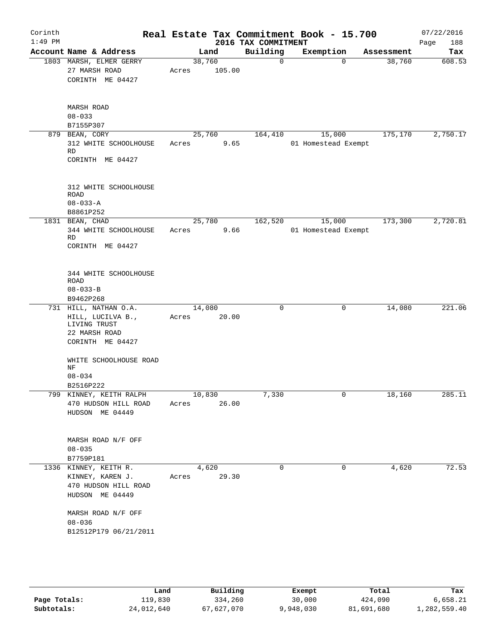|                                                                                      |                                                                                                                                    |                            |                                       |                                                      | 07/22/2016<br>188<br>Page                                                                                             |
|--------------------------------------------------------------------------------------|------------------------------------------------------------------------------------------------------------------------------------|----------------------------|---------------------------------------|------------------------------------------------------|-----------------------------------------------------------------------------------------------------------------------|
| Account Name & Address                                                               | Land                                                                                                                               | Building                   | Exemption                             | Assessment                                           | Tax                                                                                                                   |
| 1803 MARSH, ELMER GERRY<br>27 MARSH ROAD<br>CORINTH ME 04427                         | 38,760<br>105.00<br>Acres                                                                                                          | $\mathbf 0$                | $\Omega$                              | 38,760                                               | 608.53                                                                                                                |
| MARSH ROAD<br>$08 - 033$                                                             |                                                                                                                                    |                            |                                       |                                                      |                                                                                                                       |
|                                                                                      |                                                                                                                                    |                            |                                       |                                                      |                                                                                                                       |
| 312 WHITE SCHOOLHOUSE<br>RD<br>CORINTH ME 04427                                      | Acres                                                                                                                              |                            |                                       |                                                      | 2,750.17                                                                                                              |
| 312 WHITE SCHOOLHOUSE<br>ROAD<br>$08 - 033 - A$<br>B8861P252                         |                                                                                                                                    |                            |                                       |                                                      |                                                                                                                       |
| 1831 BEAN, CHAD                                                                      | 25,780                                                                                                                             | 162,520                    | 15,000                                | 173,300                                              | 2,720.81                                                                                                              |
| RD<br>CORINTH ME 04427                                                               | Acres                                                                                                                              |                            |                                       |                                                      |                                                                                                                       |
| 344 WHITE SCHOOLHOUSE<br>ROAD<br>$08 - 033 - B$                                      |                                                                                                                                    |                            |                                       |                                                      |                                                                                                                       |
|                                                                                      |                                                                                                                                    |                            |                                       |                                                      |                                                                                                                       |
| HILL, LUCILVA B.,<br>LIVING TRUST<br>22 MARSH ROAD<br>CORINTH ME 04427               | 20.00<br>Acres                                                                                                                     |                            |                                       |                                                      | 221.06                                                                                                                |
| WHITE SCHOOLHOUSE ROAD<br>ΝF<br>$08 - 034$                                           |                                                                                                                                    |                            |                                       |                                                      |                                                                                                                       |
|                                                                                      |                                                                                                                                    |                            |                                       |                                                      | 285.11                                                                                                                |
| 470 HUDSON HILL ROAD<br>HUDSON ME 04449                                              | 26.00<br>Acres                                                                                                                     |                            |                                       |                                                      |                                                                                                                       |
| MARSH ROAD N/F OFF<br>$08 - 035$<br>B7759P181                                        |                                                                                                                                    |                            |                                       |                                                      |                                                                                                                       |
| 1336 KINNEY, KEITH R.<br>KINNEY, KAREN J.<br>470 HUDSON HILL ROAD<br>HUDSON ME 04449 | 4,620<br>Acres 29.30                                                                                                               | $\Omega$                   | $\mathbf 0$                           | 4,620                                                | 72.53                                                                                                                 |
| MARSH ROAD N/F OFF                                                                   |                                                                                                                                    |                            |                                       |                                                      |                                                                                                                       |
|                                                                                      | B7155P307<br>879 BEAN, CORY<br>344 WHITE SCHOOLHOUSE<br>B9462P268<br>731 HILL, NATHAN O.A.<br>B2516P222<br>799 KINNEY, KEITH RALPH | 25,760<br>14,080<br>10,830 | 164,410<br>9.65<br>9.66<br>0<br>7,330 | 2016 TAX COMMITMENT<br>15,000<br>0<br>$\overline{0}$ | Real Estate Tax Commitment Book - 15.700<br>175,170<br>01 Homestead Exempt<br>01 Homestead Exempt<br>14,080<br>18,160 |

|              | Land       | Building   | Exempt    | Total      | Tax          |
|--------------|------------|------------|-----------|------------|--------------|
| Page Totals: | 119,830    | 334,260    | 30,000    | 424,090    | 6,658.21     |
| Subtotals:   | 24,012,640 | 67,627,070 | 9,948,030 | 81,691,680 | 1,282,559.40 |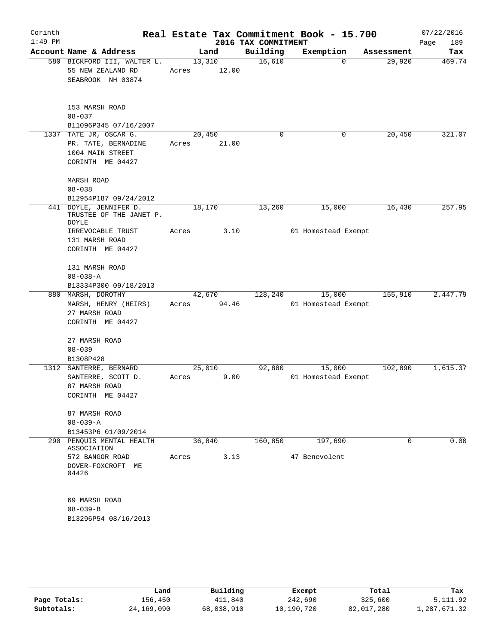| Corinth<br>$1:49$ PM |                                                                                                 |                 |       | 2016 TAX COMMITMENT | Real Estate Tax Commitment Book - 15.700 |             | 07/22/2016<br>189<br>Page |
|----------------------|-------------------------------------------------------------------------------------------------|-----------------|-------|---------------------|------------------------------------------|-------------|---------------------------|
|                      | Account Name & Address                                                                          |                 | Land  | Building            | Exemption                                | Assessment  | Tax                       |
|                      | 580 BICKFORD III, WALTER L.<br>55 NEW ZEALAND RD<br>SEABROOK NH 03874                           | 13,310<br>Acres | 12.00 | 16,610              | $\mathbf 0$                              | 29,920      | 469.74                    |
|                      | 153 MARSH ROAD<br>$08 - 037$<br>B11096P345 07/16/2007                                           |                 |       |                     |                                          |             |                           |
|                      | 1337 TATE JR, OSCAR G.<br>PR. TATE, BERNADINE<br>1004 MAIN STREET<br>CORINTH ME 04427           | 20,450<br>Acres | 21.00 | 0                   | 0                                        | 20,450      | 321.07                    |
|                      | MARSH ROAD<br>$08 - 038$<br>B12954P187 09/24/2012                                               |                 |       |                     |                                          |             |                           |
|                      | 441 DOYLE, JENNIFER D.<br>TRUSTEE OF THE JANET P.<br>DOYLE<br>IRREVOCABLE TRUST                 | 18,170<br>Acres | 3.10  | 13,260              | 15,000<br>01 Homestead Exempt            | 16,430      | 257.95                    |
|                      | 131 MARSH ROAD<br>CORINTH ME 04427<br>131 MARSH ROAD<br>$08 - 038 - A$<br>B13334P300 09/18/2013 |                 |       |                     |                                          |             |                           |
|                      | 880 MARSH, DOROTHY                                                                              | 42,670          |       | 128,240             | 15,000                                   | 155,910     | 2,447.79                  |
|                      | MARSH, HENRY (HEIRS)<br>27 MARSH ROAD<br>CORINTH ME 04427                                       | Acres 94.46     |       |                     | 01 Homestead Exempt                      |             |                           |
|                      | 27 MARSH ROAD<br>$08 - 039$<br>B1308P428                                                        |                 |       |                     |                                          |             |                           |
|                      | 1312 SANTERRE, BERNARD<br>SANTERRE, SCOTT D.<br>87 MARSH ROAD<br>CORINTH ME 04427               | 25,010<br>Acres | 9.00  | 92,880              | 15,000<br>01 Homestead Exempt            | 102,890     | 1,615.37                  |
|                      | 87 MARSH ROAD<br>$08 - 039 - A$<br>B13453P6 01/09/2014                                          |                 |       |                     |                                          |             |                           |
|                      | 290 PENQUIS MENTAL HEALTH                                                                       | 36,840          |       | 160,850             | 197,690                                  | $\mathbf 0$ | 0.00                      |
|                      | ASSOCIATION<br>572 BANGOR ROAD<br>DOVER-FOXCROFT ME<br>04426                                    | Acres           | 3.13  |                     | 47 Benevolent                            |             |                           |
|                      | 69 MARSH ROAD<br>$08 - 039 - B$<br>B13296P54 08/16/2013                                         |                 |       |                     |                                          |             |                           |
|                      |                                                                                                 |                 |       |                     |                                          |             |                           |

|              | Land       | Building   | Exempt     | Total      | Tax          |
|--------------|------------|------------|------------|------------|--------------|
| Page Totals: | 156,450    | 411,840    | 242,690    | 325,600    | 5, 111.92    |
| Subtotals:   | 24,169,090 | 68,038,910 | 10,190,720 | 82,017,280 | 1,287,671.32 |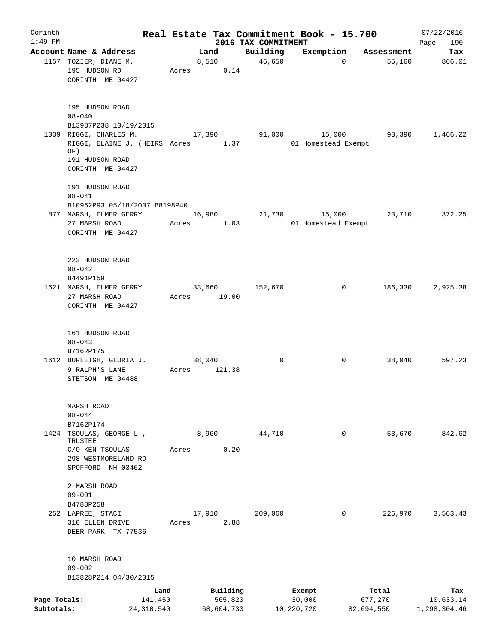| Corinth                    |                                                                                   |       |                       |                                 | Real Estate Tax Commitment Book - 15.700 |                       | 07/22/2016                |
|----------------------------|-----------------------------------------------------------------------------------|-------|-----------------------|---------------------------------|------------------------------------------|-----------------------|---------------------------|
| $1:49$ PM                  | Account Name & Address                                                            |       | Land                  | 2016 TAX COMMITMENT<br>Building | Exemption                                | Assessment            | Page<br>190<br>Tax        |
|                            | 1157 TOZIER, DIANE M.<br>195 HUDSON RD<br>CORINTH ME 04427                        | Acres | 8,510<br>0.14         | 46,650                          | $\Omega$                                 | $\overline{55,160}$   | 866.01                    |
|                            | 195 HUDSON ROAD<br>$08 - 040$<br>B13987P238 10/19/2015                            |       |                       |                                 |                                          |                       |                           |
|                            | 1039 RIGGI, CHARLES M.<br>RIGGI, ELAINE J. (HEIRS Acres<br>OF)<br>191 HUDSON ROAD |       | 17,390<br>1.37        | 91,000                          | 15,000<br>01 Homestead Exempt            | 93,390                | 1,466.22                  |
|                            | CORINTH ME 04427                                                                  |       |                       |                                 |                                          |                       |                           |
|                            | 191 HUDSON ROAD<br>$08 - 041$                                                     |       |                       |                                 |                                          |                       |                           |
|                            | B10962P93 05/18/2007 B8198P40<br>877 MARSH, ELMER GERRY                           |       | 16,980                | 21,730                          | 15,000                                   | 23,710                | 372.25                    |
|                            | 27 MARSH ROAD                                                                     | Acres | 1.03                  |                                 | 01 Homestead Exempt                      |                       |                           |
|                            | CORINTH ME 04427                                                                  |       |                       |                                 |                                          |                       |                           |
|                            | 223 HUDSON ROAD<br>$08 - 042$                                                     |       |                       |                                 |                                          |                       |                           |
|                            | B4491P159                                                                         |       |                       |                                 |                                          |                       |                           |
|                            | 1621 MARSH, ELMER GERRY                                                           |       | 33,660                | 152,670                         | 0                                        | 186,330               | 2,925.38                  |
|                            | 27 MARSH ROAD<br>CORINTH ME 04427                                                 | Acres | 19.00                 |                                 |                                          |                       |                           |
|                            | 161 HUDSON ROAD<br>$08 - 043$                                                     |       |                       |                                 |                                          |                       |                           |
|                            | B7162P175                                                                         |       |                       |                                 |                                          |                       |                           |
|                            | 1612 BURLEIGH, GLORIA J.<br>9 RALPH'S LANE<br>STETSON ME 04488                    | Acres | 38,040<br>121.38      | 0                               | 0                                        | 38,040                | 597.23                    |
|                            | MARSH ROAD                                                                        |       |                       |                                 |                                          |                       |                           |
|                            | $08 - 044$                                                                        |       |                       |                                 |                                          |                       |                           |
| 1424                       | B7162P174<br>TSOULAS, GEORGE L.,<br>TRUSTEE                                       |       | 8,960                 | 44,710                          | 0                                        | 53,670                | 842.62                    |
|                            | C/O KEN TSOULAS<br>298 WESTMORELAND RD<br>SPOFFORD NH 03462                       | Acres | 0.20                  |                                 |                                          |                       |                           |
|                            | 2 MARSH ROAD<br>$09 - 001$                                                        |       |                       |                                 |                                          |                       |                           |
|                            | B4788P258                                                                         |       |                       |                                 |                                          |                       |                           |
|                            | 252 LAPREE, STACI                                                                 |       | 17,910                | 209,060                         | 0                                        | 226,970               | 3,563.43                  |
|                            | 310 ELLEN DRIVE<br>DEER PARK TX 77536                                             | Acres | 2.88                  |                                 |                                          |                       |                           |
|                            | 10 MARSH ROAD<br>$09 - 002$                                                       |       |                       |                                 |                                          |                       |                           |
|                            | B13828P214 04/30/2015                                                             |       |                       |                                 |                                          |                       |                           |
|                            |                                                                                   | Land  | Building              |                                 | Exempt                                   | Total                 | Tax                       |
| Page Totals:<br>Subtotals: | 141,450<br>24, 310, 540                                                           |       | 565,820<br>68,604,730 |                                 | 30,000<br>10,220,720                     | 677,270<br>82,694,550 | 10,633.14<br>1,298,304.46 |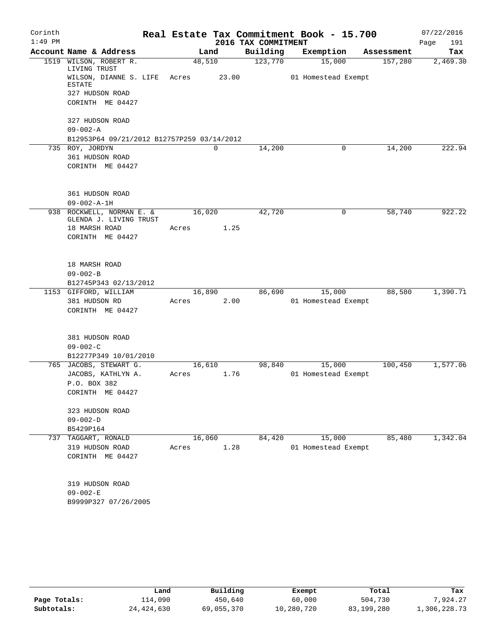| Corinth   |                                            |                |                     | Real Estate Tax Commitment Book - 15.700 |            | 07/22/2016  |
|-----------|--------------------------------------------|----------------|---------------------|------------------------------------------|------------|-------------|
| $1:49$ PM |                                            |                | 2016 TAX COMMITMENT |                                          |            | Page<br>191 |
|           | Account Name & Address                     | Land           | Building            | Exemption                                | Assessment | Tax         |
| 1519      | WILSON, ROBERT R.<br>LIVING TRUST          | 48,510         | 123,770             | 15,000                                   | 157,280    | 2,469.30    |
|           | WILSON, DIANNE S. LIFE<br><b>ESTATE</b>    | 23.00<br>Acres |                     | 01 Homestead Exempt                      |            |             |
|           | 327 HUDSON ROAD                            |                |                     |                                          |            |             |
|           | CORINTH ME 04427                           |                |                     |                                          |            |             |
|           | 327 HUDSON ROAD                            |                |                     |                                          |            |             |
|           | $09 - 002 - A$                             |                |                     |                                          |            |             |
|           | B12953P64 09/21/2012 B12757P259 03/14/2012 |                |                     |                                          |            |             |
|           | 735 ROY, JORDYN<br>361 HUDSON ROAD         | 0              | 14,200              | 0                                        | 14,200     | 222.94      |
|           | CORINTH ME 04427                           |                |                     |                                          |            |             |
|           |                                            |                |                     |                                          |            |             |
|           | 361 HUDSON ROAD                            |                |                     |                                          |            |             |
|           | $09 - 002 - A - 1H$                        |                |                     |                                          |            |             |
|           | 938 ROCKWELL, NORMAN E. &                  | 16,020         | 42,720              | 0                                        | 58,740     | 922.22      |
|           | GLENDA J. LIVING TRUST                     |                |                     |                                          |            |             |
|           | 18 MARSH ROAD                              | 1.25<br>Acres  |                     |                                          |            |             |
|           | CORINTH ME 04427                           |                |                     |                                          |            |             |
|           | 18 MARSH ROAD                              |                |                     |                                          |            |             |
|           | $09 - 002 - B$                             |                |                     |                                          |            |             |
|           | B12745P343 02/13/2012                      |                |                     |                                          |            |             |
|           | 1153 GIFFORD, WILLIAM                      | 16,890         | 86,690              | 15,000                                   | 88,580     | 1,390.71    |
|           | 381 HUDSON RD                              | 2.00<br>Acres  |                     | 01 Homestead Exempt                      |            |             |
|           | CORINTH ME 04427                           |                |                     |                                          |            |             |
|           | 381 HUDSON ROAD                            |                |                     |                                          |            |             |
|           | $09 - 002 - C$                             |                |                     |                                          |            |             |
|           | B12277P349 10/01/2010                      |                |                     |                                          |            |             |
|           | 765 JACOBS, STEWART G.                     | 16, 610        | 98,840              | 15,000                                   | 100,450    | 1,577.06    |
|           | JACOBS, KATHLYN A.                         | 1.76<br>Acres  |                     | 01 Homestead Exempt                      |            |             |
|           | P.O. BOX 382                               |                |                     |                                          |            |             |
|           | CORINTH ME 04427                           |                |                     |                                          |            |             |
|           | 323 HUDSON ROAD                            |                |                     |                                          |            |             |
|           | $09 - 002 - D$                             |                |                     |                                          |            |             |
|           | B5429P164                                  |                |                     |                                          |            |             |
| 737       | TAGGART, RONALD                            | 16,060         | 84,420              | 15,000                                   | 85,480     | 1,342.04    |
|           | 319 HUDSON ROAD                            | 1.28<br>Acres  |                     | 01 Homestead Exempt                      |            |             |
|           | CORINTH ME 04427                           |                |                     |                                          |            |             |
|           | 319 HUDSON ROAD                            |                |                     |                                          |            |             |
|           | $09 - 002 - E$                             |                |                     |                                          |            |             |
|           | B9999P327 07/26/2005                       |                |                     |                                          |            |             |

|              | Land         | Building   | Exempt     | Total      | Tax          |
|--------------|--------------|------------|------------|------------|--------------|
| Page Totals: | ⊥14,090      | 450,640    | 60,000     | 504,730    | 7.924.27     |
| Subtotals:   | 24, 424, 630 | 69,055,370 | 10,280,720 | 83,199,280 | 1,306,228.73 |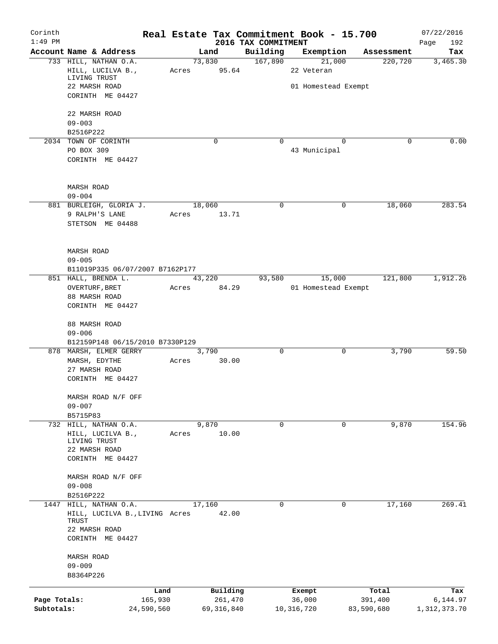| Corinth      |                                               |            |        |              | Real Estate Tax Commitment Book - 15.700 |              |                     |            | 07/22/2016         |
|--------------|-----------------------------------------------|------------|--------|--------------|------------------------------------------|--------------|---------------------|------------|--------------------|
| $1:49$ PM    | Account Name & Address                        |            |        | Land         | 2016 TAX COMMITMENT<br>Building          |              | Exemption           | Assessment | Page<br>192<br>Tax |
|              | 733 HILL, NATHAN O.A.                         |            |        | 73,830       | 167,890                                  |              | 21,000              | 220,720    | 3,465.30           |
|              | HILL, LUCILVA B.,                             |            | Acres  | 95.64        |                                          | 22 Veteran   |                     |            |                    |
|              | LIVING TRUST                                  |            |        |              |                                          |              |                     |            |                    |
|              | 22 MARSH ROAD                                 |            |        |              |                                          |              | 01 Homestead Exempt |            |                    |
|              | CORINTH ME 04427                              |            |        |              |                                          |              |                     |            |                    |
|              | 22 MARSH ROAD                                 |            |        |              |                                          |              |                     |            |                    |
|              | $09 - 003$                                    |            |        |              |                                          |              |                     |            |                    |
|              | B2516P222                                     |            |        |              |                                          |              |                     |            |                    |
|              | 2034 TOWN OF CORINTH                          |            |        | $\mathbf 0$  | $\Omega$                                 |              | $\Omega$            | 0          | 0.00               |
|              | PO BOX 309                                    |            |        |              |                                          | 43 Municipal |                     |            |                    |
|              | CORINTH ME 04427                              |            |        |              |                                          |              |                     |            |                    |
|              | <b>MARSH ROAD</b>                             |            |        |              |                                          |              |                     |            |                    |
|              | $09 - 004$                                    |            |        |              |                                          |              |                     |            |                    |
|              | 881 BURLEIGH, GLORIA J.                       |            | 18,060 |              | 0                                        |              | 0                   | 18,060     | 283.54             |
|              | 9 RALPH'S LANE                                |            | Acres  | 13.71        |                                          |              |                     |            |                    |
|              | STETSON ME 04488                              |            |        |              |                                          |              |                     |            |                    |
|              |                                               |            |        |              |                                          |              |                     |            |                    |
|              | <b>MARSH ROAD</b><br>$09 - 005$               |            |        |              |                                          |              |                     |            |                    |
|              | B11019P335 06/07/2007 B7162P177               |            |        |              |                                          |              |                     |            |                    |
|              | 851 HALL, BRENDA L.                           |            |        | 43,220       | 93,580                                   |              | 15,000              | 121,800    | 1,912.26           |
|              | OVERTURF, BRET                                |            | Acres  | 84.29        |                                          |              | 01 Homestead Exempt |            |                    |
|              | 88 MARSH ROAD                                 |            |        |              |                                          |              |                     |            |                    |
|              | CORINTH ME 04427                              |            |        |              |                                          |              |                     |            |                    |
|              | 88 MARSH ROAD                                 |            |        |              |                                          |              |                     |            |                    |
|              | $09 - 006$<br>B12159P148 06/15/2010 B7330P129 |            |        |              |                                          |              |                     |            |                    |
|              | 878 MARSH, ELMER GERRY                        |            |        | 3,790        | $\mathbf 0$                              |              | 0                   | 3,790      | 59.50              |
|              | MARSH, EDYTHE                                 |            | Acres  | 30.00        |                                          |              |                     |            |                    |
|              | 27 MARSH ROAD                                 |            |        |              |                                          |              |                     |            |                    |
|              | CORINTH ME 04427                              |            |        |              |                                          |              |                     |            |                    |
|              | MARSH ROAD N/F OFF                            |            |        |              |                                          |              |                     |            |                    |
|              | $09 - 007$                                    |            |        |              |                                          |              |                     |            |                    |
|              | B5715P83                                      |            |        |              |                                          |              |                     |            |                    |
|              | 732 HILL, NATHAN O.A.                         |            |        | 9,870        | 0                                        |              | 0                   | 9,870      | 154.96             |
|              | HILL, LUCILVA B.,                             |            | Acres  | 10.00        |                                          |              |                     |            |                    |
|              | LIVING TRUST                                  |            |        |              |                                          |              |                     |            |                    |
|              | 22 MARSH ROAD                                 |            |        |              |                                          |              |                     |            |                    |
|              | CORINTH ME 04427                              |            |        |              |                                          |              |                     |            |                    |
|              | MARSH ROAD N/F OFF                            |            |        |              |                                          |              |                     |            |                    |
|              | $09 - 008$                                    |            |        |              |                                          |              |                     |            |                    |
|              | B2516P222                                     |            |        |              |                                          |              |                     |            |                    |
| 1447         | HILL, NATHAN O.A.                             |            | 17,160 |              | 0                                        |              | 0                   | 17,160     | 269.41             |
|              | HILL, LUCILVA B., LIVING Acres                |            |        | 42.00        |                                          |              |                     |            |                    |
|              | TRUST                                         |            |        |              |                                          |              |                     |            |                    |
|              | 22 MARSH ROAD<br>CORINTH ME 04427             |            |        |              |                                          |              |                     |            |                    |
|              | MARSH ROAD                                    |            |        |              |                                          |              |                     |            |                    |
|              | $09 - 009$                                    |            |        |              |                                          |              |                     |            |                    |
|              | B8364P226                                     |            |        |              |                                          |              |                     |            |                    |
|              |                                               | Land       |        | Building     |                                          | Exempt       |                     | Total      | Tax                |
| Page Totals: |                                               | 165,930    |        | 261,470      |                                          | 36,000       |                     | 391,400    | 6,144.97           |
| Subtotals:   |                                               | 24,590,560 |        | 69, 316, 840 |                                          | 10, 316, 720 |                     | 83,590,680 | 1,312,373.70       |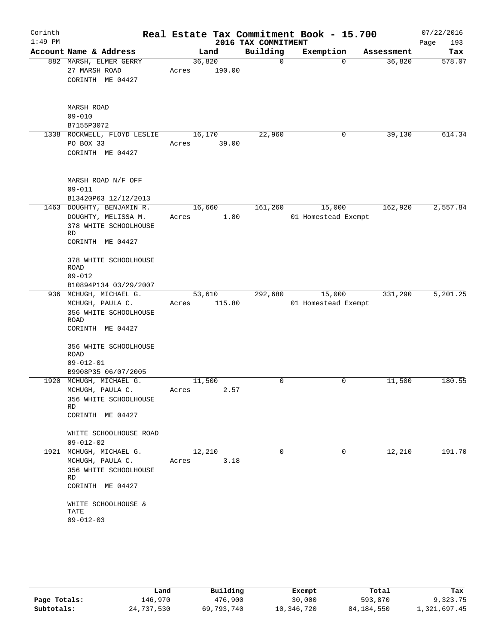| Corinth   |                                                 |        |        |                     | Real Estate Tax Commitment Book - 15.700 |          |            | 07/22/2016  |
|-----------|-------------------------------------------------|--------|--------|---------------------|------------------------------------------|----------|------------|-------------|
| $1:49$ PM |                                                 |        |        | 2016 TAX COMMITMENT |                                          |          |            | 193<br>Page |
|           | Account Name & Address                          |        | Land   | Building            | Exemption                                |          | Assessment | Tax         |
|           | 882 MARSH, ELMER GERRY                          | 36,820 |        | $\Omega$            |                                          | $\Omega$ | 36,820     | 578.07      |
|           | 27 MARSH ROAD                                   | Acres  | 190.00 |                     |                                          |          |            |             |
|           | CORINTH ME 04427                                |        |        |                     |                                          |          |            |             |
|           |                                                 |        |        |                     |                                          |          |            |             |
|           | <b>MARSH ROAD</b>                               |        |        |                     |                                          |          |            |             |
|           | $09 - 010$                                      |        |        |                     |                                          |          |            |             |
|           | B7155P3072                                      |        |        |                     |                                          |          |            |             |
|           | 1338 ROCKWELL, FLOYD LESLIE                     | 16,170 |        | 22,960              |                                          | 0        | 39,130     | 614.34      |
|           | PO BOX 33                                       | Acres  | 39.00  |                     |                                          |          |            |             |
|           | CORINTH ME 04427                                |        |        |                     |                                          |          |            |             |
|           |                                                 |        |        |                     |                                          |          |            |             |
|           | MARSH ROAD N/F OFF                              |        |        |                     |                                          |          |            |             |
|           | $09 - 011$                                      |        |        |                     |                                          |          |            |             |
|           | B13420P63 12/12/2013                            |        |        |                     |                                          |          |            |             |
|           | 1463 DOUGHTY, BENJAMIN R.                       | 16,660 |        | 161,260             | 15,000                                   |          | 162,920    | 2,557.84    |
|           | DOUGHTY, MELISSA M.                             | Acres  | 1.80   |                     | 01 Homestead Exempt                      |          |            |             |
|           | 378 WHITE SCHOOLHOUSE                           |        |        |                     |                                          |          |            |             |
|           | RD<br>CORINTH ME 04427                          |        |        |                     |                                          |          |            |             |
|           |                                                 |        |        |                     |                                          |          |            |             |
|           | 378 WHITE SCHOOLHOUSE                           |        |        |                     |                                          |          |            |             |
|           | ROAD                                            |        |        |                     |                                          |          |            |             |
|           | $09 - 012$                                      |        |        |                     |                                          |          |            |             |
|           | B10894P134 03/29/2007<br>936 MCHUGH, MICHAEL G. | 53,610 |        | 292,680             | 15,000                                   |          | 331,290    | 5,201.25    |
|           | MCHUGH, PAULA C.                                | Acres  | 115.80 |                     | 01 Homestead Exempt                      |          |            |             |
|           | 356 WHITE SCHOOLHOUSE                           |        |        |                     |                                          |          |            |             |
|           | ROAD                                            |        |        |                     |                                          |          |            |             |
|           | CORINTH ME 04427                                |        |        |                     |                                          |          |            |             |
|           | 356 WHITE SCHOOLHOUSE                           |        |        |                     |                                          |          |            |             |
|           | <b>ROAD</b>                                     |        |        |                     |                                          |          |            |             |
|           | $09 - 012 - 01$                                 |        |        |                     |                                          |          |            |             |
|           | B9908P35 06/07/2005                             |        |        |                     |                                          |          |            |             |
|           | 1920 MCHUGH, MICHAEL G.                         | 11,500 |        | 0                   | 0                                        |          | 11,500     | 180.55      |
|           | MCHUGH, PAULA C.                                | Acres  | 2.57   |                     |                                          |          |            |             |
|           | 356 WHITE SCHOOLHOUSE<br>RD                     |        |        |                     |                                          |          |            |             |
|           | CORINTH ME 04427                                |        |        |                     |                                          |          |            |             |
|           |                                                 |        |        |                     |                                          |          |            |             |
|           | WHITE SCHOOLHOUSE ROAD                          |        |        |                     |                                          |          |            |             |
|           | $09 - 012 - 02$                                 |        |        |                     |                                          |          |            |             |
|           | 1921 MCHUGH, MICHAEL G.                         | 12,210 | 3.18   | $\mathbf 0$         |                                          | $\Omega$ | 12,210     | 191.70      |
|           | MCHUGH, PAULA C.<br>356 WHITE SCHOOLHOUSE       | Acres  |        |                     |                                          |          |            |             |
|           | RD                                              |        |        |                     |                                          |          |            |             |
|           | CORINTH ME 04427                                |        |        |                     |                                          |          |            |             |
|           |                                                 |        |        |                     |                                          |          |            |             |
|           | WHITE SCHOOLHOUSE &<br>TATE                     |        |        |                     |                                          |          |            |             |
|           | $09 - 012 - 03$                                 |        |        |                     |                                          |          |            |             |
|           |                                                 |        |        |                     |                                          |          |            |             |
|           |                                                 |        |        |                     |                                          |          |            |             |

|              | Land       | Building   | Exempt     | Total        | Tax          |
|--------------|------------|------------|------------|--------------|--------------|
| Page Totals: | 146,970    | 476,900    | 30,000     | 593,870      | 9,323.75     |
| Subtotals:   | 24,737,530 | 69,793,740 | 10,346,720 | 84, 184, 550 | 1,321,697.45 |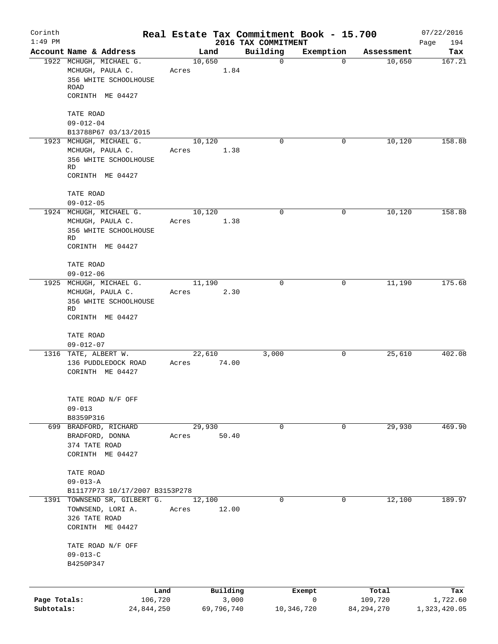| Corinth<br>$1:49$ PM |                                                                                                  |       |                | 2016 TAX COMMITMENT | Real Estate Tax Commitment Book - 15.700 |                  | 07/22/2016<br>194<br>Page |
|----------------------|--------------------------------------------------------------------------------------------------|-------|----------------|---------------------|------------------------------------------|------------------|---------------------------|
|                      | Account Name & Address                                                                           |       | Land           | Building            | Exemption                                | Assessment       | Tax                       |
|                      | 1922 MCHUGH, MICHAEL G.<br>MCHUGH, PAULA C.<br>356 WHITE SCHOOLHOUSE<br>ROAD<br>CORINTH ME 04427 | Acres | 10,650<br>1.84 | $\mathbf 0$         | $\mathbf 0$                              | 10,650           | 167.21                    |
|                      | TATE ROAD                                                                                        |       |                |                     |                                          |                  |                           |
|                      | $09 - 012 - 04$                                                                                  |       |                |                     |                                          |                  |                           |
|                      | B13788P67 03/13/2015                                                                             |       |                |                     |                                          |                  |                           |
|                      | 1923 MCHUGH, MICHAEL G.<br>MCHUGH, PAULA C.                                                      | Acres | 10,120<br>1.38 | $\Omega$            | 0                                        | 10,120           | 158.88                    |
|                      | 356 WHITE SCHOOLHOUSE<br>RD                                                                      |       |                |                     |                                          |                  |                           |
|                      | CORINTH ME 04427                                                                                 |       |                |                     |                                          |                  |                           |
|                      | TATE ROAD<br>$09 - 012 - 05$                                                                     |       |                |                     |                                          |                  |                           |
|                      | 1924 MCHUGH, MICHAEL G.                                                                          |       | 10,120         | $\Omega$            | 0                                        | 10,120           | 158.88                    |
|                      | MCHUGH, PAULA C.<br>356 WHITE SCHOOLHOUSE<br>RD                                                  | Acres | 1.38           |                     |                                          |                  |                           |
|                      | CORINTH ME 04427                                                                                 |       |                |                     |                                          |                  |                           |
|                      | TATE ROAD<br>$09 - 012 - 06$                                                                     |       |                |                     |                                          |                  |                           |
|                      | 1925 MCHUGH, MICHAEL G.                                                                          |       | 11,190         | 0                   | 0                                        | 11,190           | 175.68                    |
|                      | MCHUGH, PAULA C.<br>356 WHITE SCHOOLHOUSE<br>RD                                                  | Acres | 2.30           |                     |                                          |                  |                           |
|                      | CORINTH ME 04427                                                                                 |       |                |                     |                                          |                  |                           |
|                      | TATE ROAD<br>$09 - 012 - 07$                                                                     |       |                |                     |                                          |                  |                           |
|                      | 1316 TATE, ALBERT W.                                                                             |       | 22,610         | 3,000               | 0                                        | 25,610           | 402.08                    |
|                      | 136 PUDDLEDOCK ROAD<br>CORINTH ME 04427                                                          | Acres | 74.00          |                     |                                          |                  |                           |
|                      | TATE ROAD N/F OFF<br>$09 - 013$                                                                  |       |                |                     |                                          |                  |                           |
|                      | B8359P316                                                                                        |       |                |                     |                                          |                  |                           |
|                      | 699 BRADFORD, RICHARD                                                                            |       | 29,930         | 0                   | 0                                        | 29,930           | 469.90                    |
|                      | BRADFORD, DONNA<br>374 TATE ROAD<br>CORINTH ME 04427                                             | Acres | 50.40          |                     |                                          |                  |                           |
|                      | TATE ROAD                                                                                        |       |                |                     |                                          |                  |                           |
|                      | $09 - 013 - A$<br>B11177P73 10/17/2007 B3153P278                                                 |       |                |                     |                                          |                  |                           |
| 1391                 | TOWNSEND SR, GILBERT G.                                                                          |       | 12,100         | 0                   | 0                                        | 12,100           | 189.97                    |
|                      | TOWNSEND, LORI A.<br>326 TATE ROAD                                                               | Acres | 12.00          |                     |                                          |                  |                           |
|                      | CORINTH ME 04427                                                                                 |       |                |                     |                                          |                  |                           |
|                      | TATE ROAD N/F OFF<br>$09 - 013 - C$                                                              |       |                |                     |                                          |                  |                           |
|                      | B4250P347                                                                                        |       |                |                     |                                          |                  |                           |
|                      |                                                                                                  |       | Building       |                     |                                          |                  |                           |
| Page Totals:         | Land<br>106,720                                                                                  |       | 3,000          |                     | Exempt<br>0                              | Total<br>109,720 | Tax<br>1,722.60           |
| Subtotals:           | 24,844,250                                                                                       |       | 69,796,740     |                     | 10,346,720                               | 84, 294, 270     | 1,323,420.05              |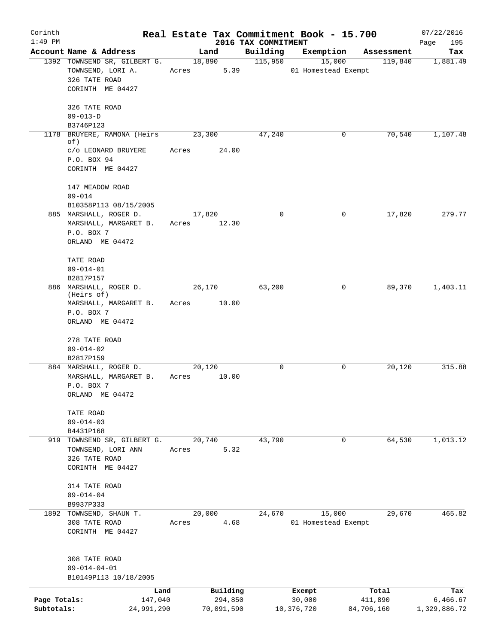| Corinth                    |                                                                                                      |             |                                   |                                 | Real Estate Tax Commitment Book - 15.700 |                                | 07/22/2016                      |
|----------------------------|------------------------------------------------------------------------------------------------------|-------------|-----------------------------------|---------------------------------|------------------------------------------|--------------------------------|---------------------------------|
| $1:49$ PM                  | Account Name & Address                                                                               |             | Land                              | 2016 TAX COMMITMENT<br>Building | Exemption                                | Assessment                     | Page<br>195<br>Tax              |
|                            | 1392 TOWNSEND SR, GILBERT G.<br>TOWNSEND, LORI A.<br>326 TATE ROAD<br>CORINTH ME 04427               | Acres       | 18,890<br>5.39                    | 115,950                         | 15,000<br>01 Homestead Exempt            | 119,840                        | 1,881.49                        |
|                            | 326 TATE ROAD<br>$09 - 013 - D$<br>B3746P123                                                         |             |                                   |                                 |                                          |                                |                                 |
|                            | 1178 BRUYERE, RAMONA (Heirs<br>of)<br>c/o LEONARD BRUYERE<br>P.O. BOX 94<br>CORINTH ME 04427         | Acres       | 23,300<br>24.00                   | 47,240                          | 0                                        | 70,540                         | 1,107.48                        |
|                            | 147 MEADOW ROAD<br>$09 - 014$<br>B10358P113 08/15/2005                                               |             |                                   |                                 |                                          |                                |                                 |
|                            | 885 MARSHALL, ROGER D.<br>MARSHALL, MARGARET B.<br>P.O. BOX 7<br>ORLAND ME 04472                     | Acres 12.30 | 17,820                            | $\mathbf 0$                     | 0                                        | 17,820                         | 279.77                          |
|                            | TATE ROAD<br>$09 - 014 - 01$<br>B2817P157                                                            |             |                                   |                                 |                                          |                                |                                 |
|                            | 886 MARSHALL, ROGER D.<br>(Heirs of)<br>MARSHALL, MARGARET B. Acres<br>P.O. BOX 7<br>ORLAND ME 04472 |             | 26,170<br>10.00                   | 63,200                          | 0                                        | 89,370                         | 1,403.11                        |
|                            | 278 TATE ROAD<br>$09 - 014 - 02$<br>B2817P159                                                        |             |                                   |                                 |                                          |                                |                                 |
|                            | 884 MARSHALL, ROGER D.<br>MARSHALL, MARGARET B.<br>P.O. BOX 7<br>ORLAND ME 04472                     | Acres       | 20,120<br>10.00                   | $\mathbf 0$                     | 0                                        | 20,120                         | 315.88                          |
|                            | TATE ROAD<br>$09 - 014 - 03$<br>B4431P168                                                            |             |                                   |                                 |                                          |                                |                                 |
|                            | 919 TOWNSEND SR, GILBERT G.<br>TOWNSEND, LORI ANN<br>326 TATE ROAD<br>CORINTH ME 04427               | Acres       | 20,740<br>5.32                    | 43,790                          | $\mathbf 0$                              | 64,530                         | 1,013.12                        |
|                            | 314 TATE ROAD<br>$09 - 014 - 04$<br>B9937P333                                                        |             |                                   |                                 |                                          |                                |                                 |
|                            | 1892 TOWNSEND, SHAUN T.<br>308 TATE ROAD<br>CORINTH ME 04427                                         | Acres       | 20,000<br>4.68                    | 24,670                          | 15,000<br>01 Homestead Exempt            | 29,670                         | 465.82                          |
|                            | 308 TATE ROAD<br>$09 - 014 - 04 - 01$<br>B10149P113 10/18/2005                                       |             |                                   |                                 |                                          |                                |                                 |
| Page Totals:<br>Subtotals: | Land<br>147,040<br>24,991,290                                                                        |             | Building<br>294,850<br>70,091,590 |                                 | Exempt<br>30,000<br>10,376,720           | Total<br>411,890<br>84,706,160 | Tax<br>6,466.67<br>1,329,886.72 |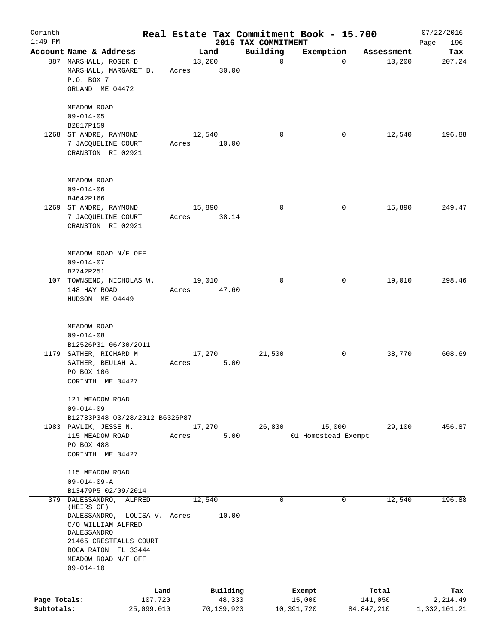| Corinth      |                                                         |                 |        |            |                                 | Real Estate Tax Commitment Book - 15.700 |             |            | 07/22/2016         |
|--------------|---------------------------------------------------------|-----------------|--------|------------|---------------------------------|------------------------------------------|-------------|------------|--------------------|
| $1:49$ PM    | Account Name & Address                                  |                 |        | Land       | 2016 TAX COMMITMENT<br>Building | Exemption                                |             | Assessment | 196<br>Page<br>Tax |
|              | 887 MARSHALL, ROGER D.                                  |                 | 13,200 |            | $\mathbf 0$                     |                                          | $\mathbf 0$ | 13,200     | 207.24             |
|              | MARSHALL, MARGARET B.<br>P.O. BOX 7                     |                 | Acres  | 30.00      |                                 |                                          |             |            |                    |
|              | ORLAND ME 04472                                         |                 |        |            |                                 |                                          |             |            |                    |
|              | MEADOW ROAD<br>$09 - 014 - 05$                          |                 |        |            |                                 |                                          |             |            |                    |
|              | B2817P159                                               |                 |        |            |                                 |                                          |             |            |                    |
|              | 1268 ST ANDRE, RAYMOND                                  |                 | 12,540 |            | 0                               |                                          | 0           | 12,540     | 196.88             |
|              | 7 JACQUELINE COURT<br>CRANSTON RI 02921                 |                 | Acres  | 10.00      |                                 |                                          |             |            |                    |
|              | MEADOW ROAD                                             |                 |        |            |                                 |                                          |             |            |                    |
|              | $09 - 014 - 06$<br>B4642P166                            |                 |        |            |                                 |                                          |             |            |                    |
|              | 1269 ST ANDRE, RAYMOND                                  |                 | 15,890 |            | 0                               |                                          | 0           | 15,890     | 249.47             |
|              | 7 JACQUELINE COURT<br>CRANSTON RI 02921                 |                 | Acres  | 38.14      |                                 |                                          |             |            |                    |
|              |                                                         |                 |        |            |                                 |                                          |             |            |                    |
|              | MEADOW ROAD N/F OFF                                     |                 |        |            |                                 |                                          |             |            |                    |
|              | $09 - 014 - 07$<br>B2742P251                            |                 |        |            |                                 |                                          |             |            |                    |
|              | 107 TOWNSEND, NICHOLAS W.                               |                 | 19,010 |            | 0                               |                                          | 0           | 19,010     | 298.46             |
|              | 148 HAY ROAD<br>HUDSON ME 04449                         |                 | Acres  | 47.60      |                                 |                                          |             |            |                    |
|              |                                                         |                 |        |            |                                 |                                          |             |            |                    |
|              | MEADOW ROAD                                             |                 |        |            |                                 |                                          |             |            |                    |
|              | $09 - 014 - 08$<br>B12526P31 06/30/2011                 |                 |        |            |                                 |                                          |             |            |                    |
|              | 1179 SATHER, RICHARD M.                                 |                 | 17,270 |            | 21,500                          |                                          | 0           | 38,770     | 608.69             |
|              | SATHER, BEULAH A.                                       |                 | Acres  | 5.00       |                                 |                                          |             |            |                    |
|              | PO BOX 106                                              |                 |        |            |                                 |                                          |             |            |                    |
|              | CORINTH ME 04427                                        |                 |        |            |                                 |                                          |             |            |                    |
|              | 121 MEADOW ROAD                                         |                 |        |            |                                 |                                          |             |            |                    |
|              | $09 - 014 - 09$                                         |                 |        |            |                                 |                                          |             |            |                    |
|              | B12783P348 03/28/2012 B6326P87<br>1983 PAVLIK, JESSE N. |                 | 17,270 |            | 26,830                          | 15,000                                   |             | 29,100     | 456.87             |
|              | 115 MEADOW ROAD                                         |                 | Acres  | 5.00       |                                 | 01 Homestead Exempt                      |             |            |                    |
|              | PO BOX 488                                              |                 |        |            |                                 |                                          |             |            |                    |
|              | CORINTH ME 04427                                        |                 |        |            |                                 |                                          |             |            |                    |
|              | 115 MEADOW ROAD                                         |                 |        |            |                                 |                                          |             |            |                    |
|              | $09 - 014 - 09 - A$                                     |                 |        |            |                                 |                                          |             |            |                    |
|              | B13479P5 02/09/2014                                     |                 |        |            |                                 |                                          |             |            |                    |
| 379          | DALESSANDRO,<br>ALFRED<br>(HEIRS OF)                    |                 | 12,540 |            | 0                               |                                          | 0           | 12,540     | 196.88             |
|              | DALESSANDRO,                                            | LOUISA V. Acres |        | 10.00      |                                 |                                          |             |            |                    |
|              | C/O WILLIAM ALFRED                                      |                 |        |            |                                 |                                          |             |            |                    |
|              | DALESSANDRO<br>21465 CRESTFALLS COURT                   |                 |        |            |                                 |                                          |             |            |                    |
|              | BOCA RATON FL 33444                                     |                 |        |            |                                 |                                          |             |            |                    |
|              | MEADOW ROAD N/F OFF                                     |                 |        |            |                                 |                                          |             |            |                    |
|              | $09 - 014 - 10$                                         |                 |        |            |                                 |                                          |             |            |                    |
|              |                                                         | Land            |        | Building   |                                 | Exempt                                   |             | Total      | Tax                |
| Page Totals: |                                                         | 107,720         |        | 48,330     |                                 | 15,000                                   |             | 141,050    | 2,214.49           |
| Subtotals:   |                                                         | 25,099,010      |        | 70,139,920 |                                 | 10,391,720                               | 84,847,210  |            | 1,332,101.21       |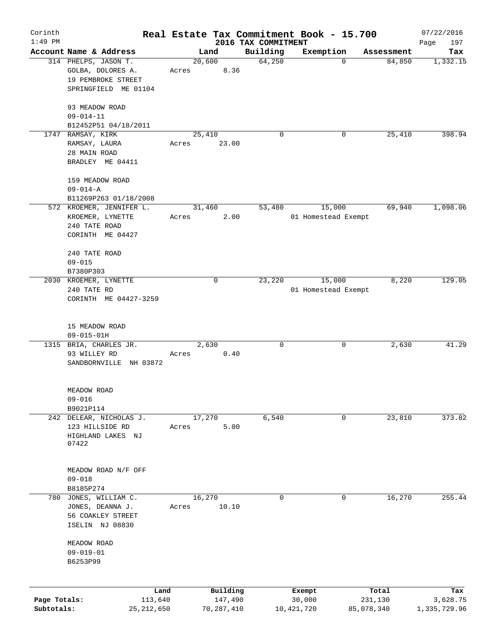| Corinth      |                                                               |        |                |                     | Real Estate Tax Commitment Book - 15.700 |                      | 07/22/2016      |
|--------------|---------------------------------------------------------------|--------|----------------|---------------------|------------------------------------------|----------------------|-----------------|
| $1:49$ PM    | Account Name & Address                                        |        |                | 2016 TAX COMMITMENT |                                          |                      | 197<br>Page     |
|              | 314 PHELPS, JASON T.                                          |        | Land<br>20,600 | Building<br>64,250  | Exemption<br>0                           | Assessment<br>84,850 | Tax<br>1,332.15 |
|              | GOLBA, DOLORES A.<br>19 PEMBROKE STREET                       | Acres  | 8.36           |                     |                                          |                      |                 |
|              | SPRINGFIELD ME 01104                                          |        |                |                     |                                          |                      |                 |
|              | 93 MEADOW ROAD<br>$09 - 014 - 11$                             |        |                |                     |                                          |                      |                 |
|              | B12452P51 04/18/2011                                          |        |                |                     |                                          |                      |                 |
|              | 1747 RAMSAY, KIRK                                             |        | 25,410         | 0                   | 0                                        | 25,410               | 398.94          |
|              | RAMSAY, LAURA<br>28 MAIN ROAD<br>BRADLEY ME 04411             | Acres  | 23.00          |                     |                                          |                      |                 |
|              |                                                               |        |                |                     |                                          |                      |                 |
|              | 159 MEADOW ROAD<br>$09 - 014 - A$                             |        |                |                     |                                          |                      |                 |
|              | B11269P263 01/18/2008                                         |        |                |                     |                                          |                      |                 |
|              | 572 KROEMER, JENNIFER L.<br>KROEMER, LYNETTE<br>240 TATE ROAD | Acres  | 31,460<br>2.00 | 53,480              | 15,000<br>01 Homestead Exempt            | 69,940               | 1,098.06        |
|              | CORINTH ME 04427                                              |        |                |                     |                                          |                      |                 |
|              |                                                               |        |                |                     |                                          |                      |                 |
|              | 240 TATE ROAD<br>$09 - 015$                                   |        |                |                     |                                          |                      |                 |
|              | B7380P303                                                     |        |                |                     |                                          |                      |                 |
|              | 2030 KROEMER, LYNETTE                                         |        | 0              | 23,220              | 15,000                                   | 8,220                | 129.05          |
|              | 240 TATE RD<br>CORINTH ME 04427-3259                          |        |                |                     | 01 Homestead Exempt                      |                      |                 |
|              |                                                               |        |                |                     |                                          |                      |                 |
|              | 15 MEADOW ROAD                                                |        |                |                     |                                          |                      |                 |
|              | $09 - 015 - 01H$                                              |        |                |                     |                                          |                      |                 |
|              | 1315 BRIA, CHARLES JR.                                        |        | 2,630          | 0                   | 0                                        | 2,630                | 41.29           |
|              | 93 WILLEY RD                                                  | Acres  | 0.40           |                     |                                          |                      |                 |
|              | SANDBORNVILLE NH 03872                                        |        |                |                     |                                          |                      |                 |
|              | MEADOW ROAD                                                   |        |                |                     |                                          |                      |                 |
|              | $09 - 016$                                                    |        |                |                     |                                          |                      |                 |
|              | B9021P114<br>242 DELEAR, NICHOLAS J.                          |        | 17,270         | 6,540               | 0                                        | 23,810               | 373.82          |
|              | 123 HILLSIDE RD                                               | Acres  | 5.00           |                     |                                          |                      |                 |
|              | HIGHLAND LAKES NJ                                             |        |                |                     |                                          |                      |                 |
|              | 07422                                                         |        |                |                     |                                          |                      |                 |
|              | MEADOW ROAD N/F OFF                                           |        |                |                     |                                          |                      |                 |
|              | $09 - 018$                                                    |        |                |                     |                                          |                      |                 |
|              | B8185P274                                                     |        |                |                     |                                          |                      |                 |
|              | 780 JONES, WILLIAM C.                                         | 16,270 |                | 0                   | 0                                        | 16,270               | 255.44          |
|              | JONES, DEANNA J.<br>56 COAKLEY STREET                         | Acres  | 10.10          |                     |                                          |                      |                 |
|              | ISELIN NJ 08830                                               |        |                |                     |                                          |                      |                 |
|              |                                                               |        |                |                     |                                          |                      |                 |
|              | MEADOW ROAD<br>$09 - 019 - 01$                                |        |                |                     |                                          |                      |                 |
|              | B6253P99                                                      |        |                |                     |                                          |                      |                 |
|              |                                                               |        |                |                     |                                          |                      |                 |
|              | Land                                                          |        | Building       |                     | Exempt                                   | Total                | Tax             |
| Page Totals: | 113,640                                                       |        | 147,490        |                     | 30,000                                   | 231,130              | 3,628.75        |
| Subtotals:   | 25, 212, 650                                                  |        | 70,287,410     |                     | 10,421,720                               | 85,078,340           | 1,335,729.96    |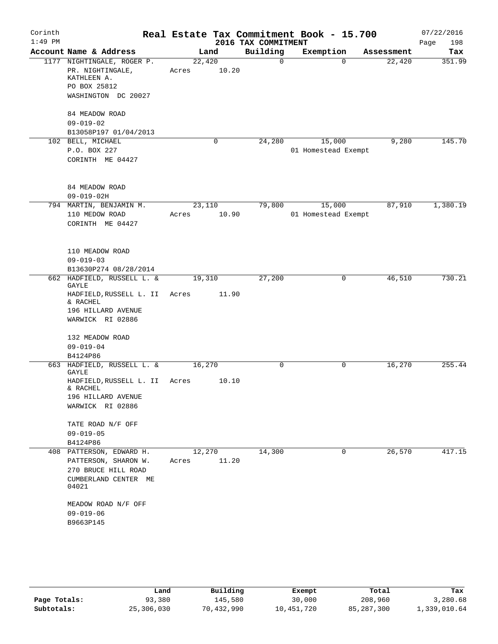| Corinth<br>$1:49$ PM |                                                                                                                      |                 |             | 2016 TAX COMMITMENT | Real Estate Tax Commitment Book - 15.700 |            | 07/22/2016<br>Page<br>198 |
|----------------------|----------------------------------------------------------------------------------------------------------------------|-----------------|-------------|---------------------|------------------------------------------|------------|---------------------------|
|                      | Account Name & Address                                                                                               |                 | Land        | Building            | Exemption                                | Assessment | Tax                       |
|                      | 1177 NIGHTINGALE, ROGER P.<br>PR. NIGHTINGALE,<br>KATHLEEN A.<br>PO BOX 25812<br>WASHINGTON DC 20027                 | 22,420<br>Acres | 10.20       | $\Omega$            | $\Omega$                                 | 22,420     | 351.99                    |
|                      | 84 MEADOW ROAD<br>$09 - 019 - 02$<br>B13058P197 01/04/2013                                                           |                 |             |                     |                                          |            |                           |
|                      | 102 BELL, MICHAEL<br>P.O. BOX 227<br>CORINTH ME 04427                                                                |                 | $\mathbf 0$ | 24,280              | 15,000<br>01 Homestead Exempt            | 9,280      | 145.70                    |
|                      | 84 MEADOW ROAD<br>$09 - 019 - 02H$                                                                                   |                 |             |                     |                                          |            |                           |
|                      | 794 MARTIN, BENJAMIN M.<br>110 MEDOW ROAD<br>CORINTH ME 04427                                                        | 23,110<br>Acres | 10.90       | 79,800              | 15,000<br>01 Homestead Exempt            | 87,910     | 1,380.19                  |
|                      | 110 MEADOW ROAD<br>$09 - 019 - 03$<br>B13630P274 08/28/2014                                                          |                 |             |                     |                                          |            |                           |
|                      | 662 HADFIELD, RUSSELL L. &<br>GAYLE<br>HADFIELD, RUSSELL L. II<br>& RACHEL<br>196 HILLARD AVENUE<br>WARWICK RI 02886 | 19,310<br>Acres | 11.90       | 27,200              | 0                                        | 46,510     | 730.21                    |
|                      | 132 MEADOW ROAD<br>$09 - 019 - 04$<br>B4124P86                                                                       |                 |             |                     |                                          |            |                           |
|                      | 663 HADFIELD, RUSSELL L. &<br>GAYLE<br>HADFIELD, RUSSELL L. II<br>& RACHEL<br>196 HILLARD AVENUE<br>WARWICK RI 02886 | 16,270<br>Acres | 10.10       | 0                   | 0                                        | 16,270     | 255.44                    |
|                      | TATE ROAD N/F OFF<br>$09 - 019 - 05$<br>B4124P86                                                                     |                 |             |                     |                                          |            |                           |
|                      | 408 PATTERSON, EDWARD H.<br>PATTERSON, SHARON W.<br>270 BRUCE HILL ROAD<br>CUMBERLAND CENTER ME<br>04021             | 12,270<br>Acres | 11.20       | 14,300              | 0                                        | 26,570     | 417.15                    |
|                      | MEADOW ROAD N/F OFF<br>$09 - 019 - 06$<br>B9663P145                                                                  |                 |             |                     |                                          |            |                           |

|              | Land       | Building   | Exempt     | Total        | Tax          |
|--------------|------------|------------|------------|--------------|--------------|
| Page Totals: | 93,380     | 145,580    | 30,000     | 208,960      | 3,280.68     |
| Subtotals:   | 25,306,030 | 70,432,990 | 10,451,720 | 85, 287, 300 | 1,339,010.64 |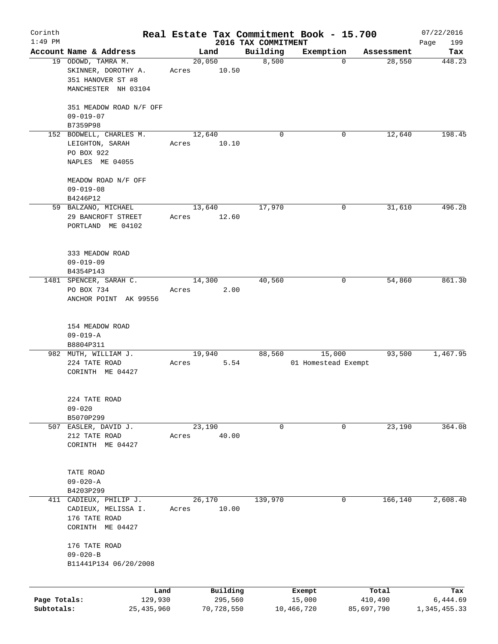| Corinth                    |                                                                                |                 |                       |                                 | Real Estate Tax Commitment Book - 15.700 |                                     | 07/22/2016               |
|----------------------------|--------------------------------------------------------------------------------|-----------------|-----------------------|---------------------------------|------------------------------------------|-------------------------------------|--------------------------|
| $1:49$ PM                  | Account Name & Address                                                         |                 | Land                  | 2016 TAX COMMITMENT<br>Building | Exemption                                |                                     | 199<br>Page<br>Tax       |
|                            | 19 ODOWD, TAMRA M.<br>SKINNER, DOROTHY A.<br>351 HANOVER ST #8                 | 20,050<br>Acres | 10.50                 | 8,500                           |                                          | Assessment<br>28,550<br>$\mathbf 0$ | 448.23                   |
|                            | MANCHESTER NH 03104                                                            |                 |                       |                                 |                                          |                                     |                          |
|                            | 351 MEADOW ROAD N/F OFF<br>$09 - 019 - 07$<br>B7359P98                         |                 |                       |                                 |                                          |                                     |                          |
|                            | 152 BODWELL, CHARLES M.                                                        | 12,640          |                       | $\Omega$                        |                                          | 12,640<br>0                         | 198.45                   |
|                            | LEIGHTON, SARAH<br>PO BOX 922<br>NAPLES ME 04055                               | Acres           | 10.10                 |                                 |                                          |                                     |                          |
|                            |                                                                                |                 |                       |                                 |                                          |                                     |                          |
|                            | MEADOW ROAD N/F OFF<br>$09 - 019 - 08$                                         |                 |                       |                                 |                                          |                                     |                          |
|                            | B4246P12                                                                       |                 |                       |                                 |                                          |                                     |                          |
|                            | 59 BALZANO, MICHAEL<br>29 BANCROFT STREET<br>PORTLAND ME 04102                 | 13,640<br>Acres | 12.60                 | 17,970                          |                                          | 31,610<br>0                         | 496.28                   |
|                            | 333 MEADOW ROAD<br>$09 - 019 - 09$                                             |                 |                       |                                 |                                          |                                     |                          |
|                            | B4354P143                                                                      |                 |                       |                                 |                                          |                                     |                          |
|                            | 1481 SPENCER, SARAH C.<br>PO BOX 734<br>ANCHOR POINT AK 99556                  | 14,300<br>Acres | 2.00                  | 40,560                          |                                          | 54,860<br>0                         | 861.30                   |
|                            | 154 MEADOW ROAD<br>$09 - 019 - A$<br>B8804P311                                 |                 |                       |                                 |                                          |                                     |                          |
|                            | 982 MUTH, WILLIAM J.                                                           | 19,940          |                       | 88,560                          | 15,000                                   | 93,500                              | 1,467.95                 |
|                            | 224 TATE ROAD<br>CORINTH ME 04427                                              | Acres           | 5.54                  |                                 | 01 Homestead Exempt                      |                                     |                          |
|                            | 224 TATE ROAD<br>$09 - 020$<br>B5070P299                                       |                 |                       |                                 |                                          |                                     |                          |
| 507                        | EASLER, DAVID J.                                                               | 23,190          |                       | 0                               |                                          | 23,190<br>0                         | 364.08                   |
|                            | 212 TATE ROAD<br>CORINTH ME 04427                                              | Acres           | 40.00                 |                                 |                                          |                                     |                          |
|                            | TATE ROAD<br>$09 - 020 - A$                                                    |                 |                       |                                 |                                          |                                     |                          |
|                            | B4203P299                                                                      |                 |                       |                                 |                                          |                                     |                          |
| 411                        | CADIEUX, PHILIP J.<br>CADIEUX, MELISSA I.<br>176 TATE ROAD<br>CORINTH ME 04427 | 26,170<br>Acres | 10.00                 | 139,970                         |                                          | 166,140<br>0                        | 2,608.40                 |
|                            | 176 TATE ROAD<br>$09 - 020 - B$                                                |                 |                       |                                 |                                          |                                     |                          |
|                            | B11441P134 06/20/2008                                                          |                 |                       |                                 |                                          |                                     |                          |
|                            |                                                                                |                 |                       |                                 |                                          |                                     |                          |
|                            | Land                                                                           |                 | Building              |                                 | Exempt                                   | Total                               | Tax                      |
| Page Totals:<br>Subtotals: | 129,930<br>25,435,960                                                          |                 | 295,560<br>70,728,550 |                                 | 15,000<br>10,466,720                     | 410,490<br>85,697,790               | 6,444.69<br>1,345,455.33 |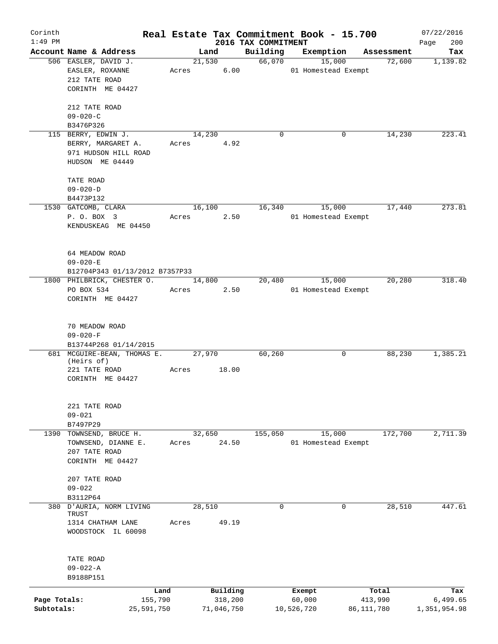| Corinth      |                                           |       |            |                                 | Real Estate Tax Commitment Book - 15.700 |            | 07/22/2016         |
|--------------|-------------------------------------------|-------|------------|---------------------------------|------------------------------------------|------------|--------------------|
| $1:49$ PM    | Account Name & Address                    |       | Land       | 2016 TAX COMMITMENT<br>Building | Exemption                                | Assessment | 200<br>Page<br>Tax |
|              | 506 EASLER, DAVID J.                      |       | 21,530     | 66,070                          | 15,000                                   | 72,600     | 1,139.82           |
|              | EASLER, ROXANNE                           | Acres | 6.00       |                                 | 01 Homestead Exempt                      |            |                    |
|              | 212 TATE ROAD                             |       |            |                                 |                                          |            |                    |
|              | CORINTH ME 04427                          |       |            |                                 |                                          |            |                    |
|              |                                           |       |            |                                 |                                          |            |                    |
|              | 212 TATE ROAD                             |       |            |                                 |                                          |            |                    |
|              | $09 - 020 - C$<br>B3476P326               |       |            |                                 |                                          |            |                    |
|              | 115 BERRY, EDWIN J.                       |       | 14,230     | $\mathbf 0$                     | 0                                        | 14,230     | 223.41             |
|              | BERRY, MARGARET A.                        | Acres | 4.92       |                                 |                                          |            |                    |
|              | 971 HUDSON HILL ROAD                      |       |            |                                 |                                          |            |                    |
|              | HUDSON ME 04449                           |       |            |                                 |                                          |            |                    |
|              |                                           |       |            |                                 |                                          |            |                    |
|              | TATE ROAD                                 |       |            |                                 |                                          |            |                    |
|              | $09 - 020 - D$                            |       |            |                                 |                                          |            |                    |
|              | B4473P132<br>1530 GATCOMB, CLARA          |       | 16,100     | 16,340                          | 15,000                                   | 17,440     | 273.81             |
|              | P. O. BOX 3                               | Acres | 2.50       |                                 | 01 Homestead Exempt                      |            |                    |
|              | KENDUSKEAG ME 04450                       |       |            |                                 |                                          |            |                    |
|              |                                           |       |            |                                 |                                          |            |                    |
|              |                                           |       |            |                                 |                                          |            |                    |
|              | 64 MEADOW ROAD                            |       |            |                                 |                                          |            |                    |
|              | $09 - 020 - E$                            |       |            |                                 |                                          |            |                    |
|              | B12704P343 01/13/2012 B7357P33            |       |            |                                 |                                          |            |                    |
|              | 1800 PHILBRICK, CHESTER O.                |       | 14,800     | 20,480                          | 15,000                                   | 20,280     | 318.40             |
|              | PO BOX 534                                | Acres | 2.50       |                                 | 01 Homestead Exempt                      |            |                    |
|              | CORINTH ME 04427                          |       |            |                                 |                                          |            |                    |
|              |                                           |       |            |                                 |                                          |            |                    |
|              | 70 MEADOW ROAD                            |       |            |                                 |                                          |            |                    |
|              | $09 - 020 - F$                            |       |            |                                 |                                          |            |                    |
|              | B13744P268 01/14/2015                     |       |            |                                 |                                          |            |                    |
|              | 681 MCGUIRE-BEAN, THOMAS E.<br>(Heirs of) |       | 27,970     | 60,260                          | 0                                        | 88,230     | 1,385.21           |
|              | 221 TATE ROAD                             | Acres | 18.00      |                                 |                                          |            |                    |
|              | CORINTH ME 04427                          |       |            |                                 |                                          |            |                    |
|              |                                           |       |            |                                 |                                          |            |                    |
|              |                                           |       |            |                                 |                                          |            |                    |
|              | 221 TATE ROAD                             |       |            |                                 |                                          |            |                    |
|              | $09 - 021$<br>B7497P29                    |       |            |                                 |                                          |            |                    |
|              | 1390 TOWNSEND, BRUCE H.                   |       | 32,650     | 155,050                         | 15,000                                   | 172,700    | 2,711.39           |
|              | TOWNSEND, DIANNE E.                       | Acres | 24.50      |                                 | 01 Homestead Exempt                      |            |                    |
|              | 207 TATE ROAD                             |       |            |                                 |                                          |            |                    |
|              | CORINTH ME 04427                          |       |            |                                 |                                          |            |                    |
|              |                                           |       |            |                                 |                                          |            |                    |
|              | 207 TATE ROAD<br>$09 - 022$               |       |            |                                 |                                          |            |                    |
|              | B3112P64                                  |       |            |                                 |                                          |            |                    |
|              | 380 D'AURIA, NORM LIVING                  |       | 28,510     | $\mathbf 0$                     | 0                                        | 28,510     | 447.61             |
|              | TRUST                                     |       |            |                                 |                                          |            |                    |
|              | 1314 CHATHAM LANE                         | Acres | 49.19      |                                 |                                          |            |                    |
|              | WOODSTOCK IL 60098                        |       |            |                                 |                                          |            |                    |
|              |                                           |       |            |                                 |                                          |            |                    |
|              | TATE ROAD                                 |       |            |                                 |                                          |            |                    |
|              | $09 - 022 - A$<br>B9188P151               |       |            |                                 |                                          |            |                    |
|              | Land                                      |       | Building   |                                 | Exempt                                   | Total      | Tax                |
| Page Totals: | 155,790                                   |       | 318,200    |                                 | 60,000                                   | 413,990    | 6,499.65           |
| Subtotals:   | 25,591,750                                |       | 71,046,750 |                                 | 10,526,720                               | 86,111,780 | 1,351,954.98       |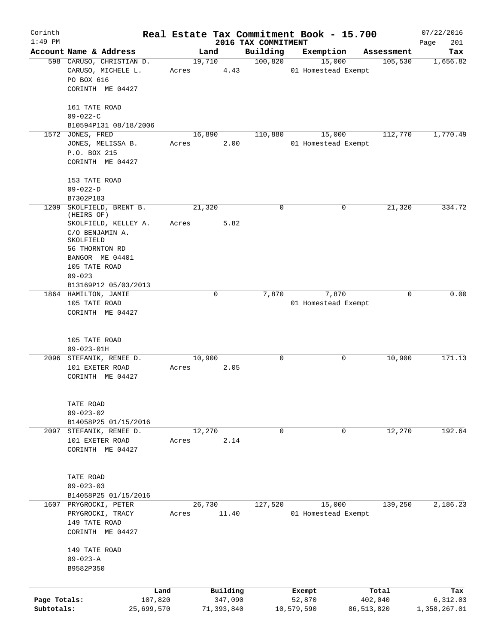| Corinth      |                                                                                                  |       |                     |                                 | Real Estate Tax Commitment Book - 15.700 |                  | 07/22/2016         |
|--------------|--------------------------------------------------------------------------------------------------|-------|---------------------|---------------------------------|------------------------------------------|------------------|--------------------|
| $1:49$ PM    | Account Name & Address                                                                           |       | Land                | 2016 TAX COMMITMENT<br>Building | Exemption                                | Assessment       | 201<br>Page<br>Tax |
|              | 598 CARUSO, CHRISTIAN D.<br>CARUSO, MICHELE L.<br>PO BOX 616<br>CORINTH ME 04427                 | Acres | 19,710<br>4.43      | 100,820                         | 15,000<br>01 Homestead Exempt            | 105,530          | 1,656.82           |
|              | 161 TATE ROAD<br>$09 - 022 - C$                                                                  |       |                     |                                 |                                          |                  |                    |
|              | B10594P131 08/18/2006<br>1572 JONES, FRED                                                        |       | 16,890              | 110,880                         | 15,000                                   | 112,770          | 1,770.49           |
|              | JONES, MELISSA B.<br>P.O. BOX 215<br>CORINTH ME 04427                                            | Acres | 2.00                |                                 | 01 Homestead Exempt                      |                  |                    |
|              | 153 TATE ROAD<br>$09 - 022 - D$                                                                  |       |                     |                                 |                                          |                  |                    |
|              | B7302P183                                                                                        |       |                     |                                 |                                          |                  |                    |
| 1209         | SKOLFIELD, BRENT B.<br>(HEIRS OF)<br>SKOLFIELD, KELLEY A.                                        | Acres | 21,320<br>5.82      | 0                               | 0                                        | 21,320           | 334.72             |
|              | C/O BENJAMIN A.<br>SKOLFIELD<br>56 THORNTON RD<br>BANGOR ME 04401<br>105 TATE ROAD<br>$09 - 023$ |       |                     |                                 |                                          |                  |                    |
|              | B13169P12 05/03/2013                                                                             |       |                     |                                 |                                          |                  |                    |
|              | 1864 HAMILTON, JAMIE<br>105 TATE ROAD<br>CORINTH ME 04427                                        |       | 0                   | 7,870                           | 7,870<br>01 Homestead Exempt             | 0                | 0.00               |
|              | 105 TATE ROAD<br>$09 - 023 - 01H$                                                                |       |                     |                                 |                                          |                  |                    |
|              | 2096 STEFANIK, RENEE D.<br>101 EXETER ROAD<br>CORINTH ME 04427                                   | Acres | 10,900<br>2.05      | 0                               | 0                                        | 10,900           | 171.13             |
|              | TATE ROAD<br>$09 - 023 - 02$<br>B14058P25 01/15/2016                                             |       |                     |                                 |                                          |                  |                    |
| 2097         | STEFANIK, RENEE D.                                                                               |       | 12,270              | 0                               | 0                                        | 12,270           | 192.64             |
|              | 101 EXETER ROAD<br>CORINTH ME 04427                                                              | Acres | 2.14                |                                 |                                          |                  |                    |
|              | TATE ROAD<br>$09 - 023 - 03$<br>B14058P25 01/15/2016                                             |       |                     |                                 |                                          |                  |                    |
|              | 1607 PRYGROCKI, PETER                                                                            |       | 26,730              | 127,520                         | 15,000                                   | 139,250          | 2,186.23           |
|              | PRYGROCKI, TRACY<br>149 TATE ROAD<br>CORINTH ME 04427                                            | Acres | 11.40               |                                 | 01 Homestead Exempt                      |                  |                    |
|              | 149 TATE ROAD<br>$09 - 023 - A$<br>B9582P350                                                     |       |                     |                                 |                                          |                  |                    |
|              |                                                                                                  |       |                     |                                 |                                          |                  |                    |
| Page Totals: | 107,820                                                                                          | Land  | Building<br>347,090 |                                 | Exempt<br>52,870                         | Total<br>402,040 | Tax<br>6,312.03    |
| Subtotals:   | 25,699,570                                                                                       |       | 71,393,840          |                                 | 10,579,590                               | 86, 513, 820     | 1,358,267.01       |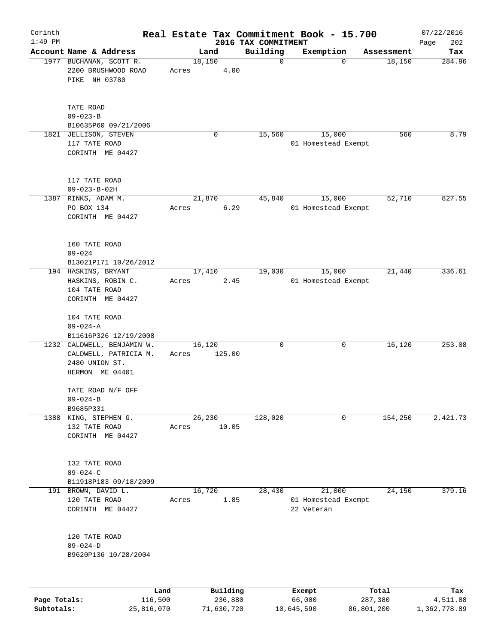| Corinth      |                                                                                          |                 |                     |                                 | Real Estate Tax Commitment Book - 15.700    |                  | 07/22/2016         |
|--------------|------------------------------------------------------------------------------------------|-----------------|---------------------|---------------------------------|---------------------------------------------|------------------|--------------------|
| $1:49$ PM    | Account Name & Address                                                                   |                 | Land                | 2016 TAX COMMITMENT<br>Building | Exemption                                   | Assessment       | 202<br>Page<br>Tax |
|              | 1977 BUCHANAN, SCOTT R.<br>2200 BRUSHWOOD ROAD<br>PIKE NH 03780                          | Acres           | 18,150<br>4.00      | $\mathbf 0$                     | $\mathbf 0$                                 | 18,150           | 284.96             |
|              | TATE ROAD<br>$09 - 023 - B$<br>B10635P60 09/21/2006<br>1821 JELLISON, STEVEN             |                 | 0                   | 15,560                          | 15,000                                      | 560              | 8.79               |
|              | 117 TATE ROAD<br>CORINTH ME 04427                                                        |                 |                     |                                 | 01 Homestead Exempt                         |                  |                    |
|              | 117 TATE ROAD<br>$09 - 023 - B - 02H$                                                    |                 |                     |                                 |                                             |                  |                    |
|              | 1387 RINKS, ADAM M.<br>PO BOX 134<br>CORINTH ME 04427                                    | Acres           | 21,870<br>6.29      | 45,840                          | 15,000<br>01 Homestead Exempt               | 52,710           | 827.55             |
|              | 160 TATE ROAD<br>$09 - 024$<br>B13021P171 10/26/2012                                     |                 |                     |                                 |                                             |                  |                    |
|              | 194 HASKINS, BRYANT<br>HASKINS, ROBIN C.<br>104 TATE ROAD<br>CORINTH ME 04427            | Acres           | 17,410<br>2.45      | 19,030                          | 15,000<br>01 Homestead Exempt               | 21,440           | 336.61             |
|              | 104 TATE ROAD<br>$09 - 024 - A$<br>B11616P326 12/19/2008                                 |                 |                     |                                 |                                             |                  |                    |
|              | 1232 CALDWELL, BENJAMIN W.<br>CALDWELL, PATRICIA M.<br>2480 UNION ST.<br>HERMON ME 04401 | Acres           | 16,120<br>125.00    | $\mathbf 0$                     | 0                                           | 16,120           | 253.08             |
|              | TATE ROAD N/F OFF<br>$09 - 024 - B$<br>B9685P331                                         |                 |                     |                                 |                                             |                  |                    |
|              | 1388 KING, STEPHEN G.<br>132 TATE ROAD<br>CORINTH ME 04427                               | Acres           | 26,230<br>10.05     | 128,020                         | 0                                           | 154,250          | 2,421.73           |
|              | 132 TATE ROAD<br>$09 - 024 - C$<br>B11918P183 09/18/2009                                 |                 |                     |                                 |                                             |                  |                    |
| 191          | BROWN, DAVID L.<br>120 TATE ROAD<br>CORINTH ME 04427                                     | Acres           | 16,720<br>1.85      | 28,430                          | 21,000<br>01 Homestead Exempt<br>22 Veteran | 24,150           | 379.16             |
|              | 120 TATE ROAD<br>$09 - 024 - D$<br>B9620P136 10/28/2004                                  |                 |                     |                                 |                                             |                  |                    |
| Page Totals: |                                                                                          | Land<br>116,500 | Building<br>236,880 |                                 | Exempt<br>66,000                            | Total<br>287,380 | Tax<br>4,511.88    |
| Subtotals:   | 25,816,070                                                                               |                 | 71,630,720          |                                 | 10,645,590                                  | 86,801,200       | 1,362,778.89       |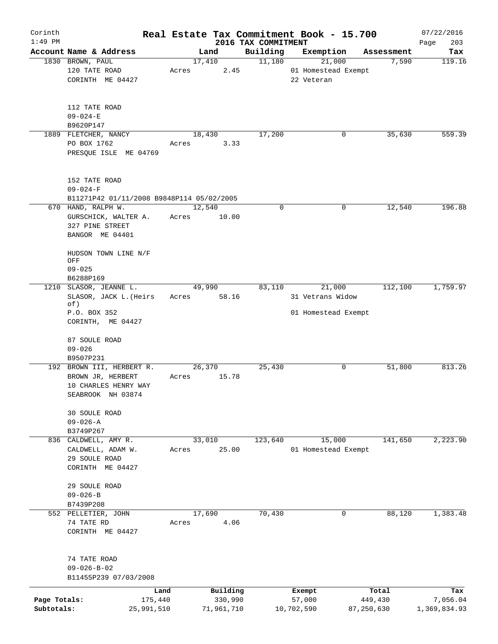| Corinth                    |                                                                                             |                 |                       |                     | Real Estate Tax Commitment Book - 15.700 |                         | 07/22/2016               |
|----------------------------|---------------------------------------------------------------------------------------------|-----------------|-----------------------|---------------------|------------------------------------------|-------------------------|--------------------------|
| $1:49$ PM                  |                                                                                             |                 |                       | 2016 TAX COMMITMENT |                                          |                         | 203<br>Page              |
|                            | Account Name & Address                                                                      | 17,410          | Land                  | Building<br>11,180  | Exemption<br>21,000                      | Assessment<br>7,590     | Tax<br>119.16            |
|                            | 1830 BROWN, PAUL<br>120 TATE ROAD<br>CORINTH ME 04427                                       | Acres           | 2.45                  |                     | 01 Homestead Exempt<br>22 Veteran        |                         |                          |
|                            | 112 TATE ROAD<br>$09 - 024 - E$<br>B9620P147                                                |                 |                       |                     |                                          |                         |                          |
|                            | 1889 FLETCHER, NANCY                                                                        | 18,430          |                       | 17,200              | 0                                        | 35,630                  | 559.39                   |
|                            | PO BOX 1762<br>PRESQUE ISLE ME 04769                                                        | Acres           | 3.33                  |                     |                                          |                         |                          |
|                            | 152 TATE ROAD<br>$09 - 024 - F$                                                             |                 |                       |                     |                                          |                         |                          |
|                            | B11271P42 01/11/2008 B9848P114 05/02/2005                                                   |                 |                       |                     |                                          |                         | 196.88                   |
|                            | 670 HAND, RALPH W.<br>GURSCHICK, WALTER A.<br>327 PINE STREET<br>BANGOR ME 04401            | 12,540<br>Acres | 10.00                 | 0                   | 0                                        | 12,540                  |                          |
|                            | HUDSON TOWN LINE N/F<br>OFF<br>$09 - 025$<br>B6288P169                                      |                 |                       |                     |                                          |                         |                          |
|                            | 1210 SLASOR, JEANNE L.<br>SLASOR, JACK L. (Heirs<br>of)                                     | 49,990<br>Acres | 58.16                 | 83,110              | 21,000<br>31 Vetrans Widow               | 112,100                 | 1,759.97                 |
|                            | P.O. BOX 352<br>CORINTH, ME 04427                                                           |                 |                       |                     | 01 Homestead Exempt                      |                         |                          |
|                            | 87 SOULE ROAD<br>$09 - 026$                                                                 |                 |                       |                     |                                          |                         |                          |
|                            | B9507P231                                                                                   |                 |                       |                     |                                          |                         |                          |
|                            | 192 BROWN III, HERBERT R.<br>BROWN JR, HERBERT<br>10 CHARLES HENRY WAY<br>SEABROOK NH 03874 | 26,370<br>Acres | 15.78                 | 25,430              | 0                                        | 51,800                  | 813.26                   |
|                            | 30 SOULE ROAD<br>$09 - 026 - A$                                                             |                 |                       |                     |                                          |                         |                          |
|                            | B3749P267                                                                                   |                 |                       |                     |                                          |                         |                          |
|                            | 836 CALDWELL, AMY R.<br>CALDWELL, ADAM W.<br>29 SOULE ROAD<br>CORINTH ME 04427              | 33,010<br>Acres | 25.00                 | 123,640             | 15,000<br>01 Homestead Exempt            | 141,650                 | 2,223.90                 |
|                            | 29 SOULE ROAD<br>$09 - 026 - B$                                                             |                 |                       |                     |                                          |                         |                          |
|                            | B7439P208                                                                                   |                 |                       |                     |                                          |                         |                          |
|                            | 552 PELLETIER, JOHN<br>74 TATE RD<br>CORINTH ME 04427                                       | 17,690<br>Acres | 4.06                  | 70,430              | 0                                        | 88,120                  | 1,383.48                 |
|                            | 74 TATE ROAD<br>$09 - 026 - B - 02$<br>B11455P239 07/03/2008                                |                 |                       |                     |                                          |                         |                          |
|                            | Land                                                                                        |                 | Building              |                     | Exempt                                   | Total                   | Tax                      |
| Page Totals:<br>Subtotals: | 175,440<br>25,991,510                                                                       |                 | 330,990<br>71,961,710 |                     | 57,000<br>10,702,590                     | 449,430<br>87, 250, 630 | 7,056.04<br>1,369,834.93 |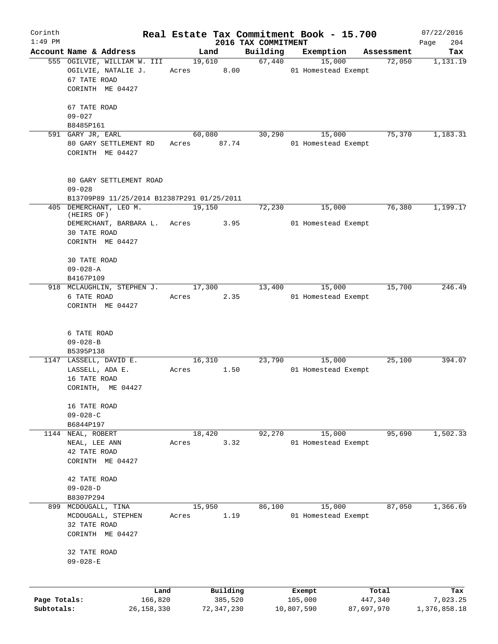| Corinth      |                                                       | Real Estate Tax Commitment Book - 15.700 |                     |                                |                  | 07/22/2016      |
|--------------|-------------------------------------------------------|------------------------------------------|---------------------|--------------------------------|------------------|-----------------|
| $1:49$ PM    |                                                       |                                          | 2016 TAX COMMITMENT |                                |                  | 204<br>Page     |
|              | Account Name & Address<br>555 OGILVIE, WILLIAM W. III | Land<br>$\frac{19,610}{2}$               | Building<br>67,440  | Exemption Assessment<br>15,000 | 72,050           | Tax<br>1,131.19 |
|              | OGILVIE, NATALIE J.<br>67 TATE ROAD                   | Acres 8.00                               |                     | 01 Homestead Exempt            |                  |                 |
|              | CORINTH ME 04427                                      |                                          |                     |                                |                  |                 |
|              | 67 TATE ROAD                                          |                                          |                     |                                |                  |                 |
|              | $09 - 027$<br>B8485P161                               |                                          |                     |                                |                  |                 |
|              | 591 GARY JR, EARL                                     | 60,080                                   | 30,290              | 15,000                         | 75,370           | 1,183.31        |
|              | 80 GARY SETTLEMENT RD<br>CORINTH ME 04427             | Acres 87.74                              |                     | 01 Homestead Exempt            |                  |                 |
|              | 80 GARY SETTLEMENT ROAD<br>$09 - 028$                 |                                          |                     |                                |                  |                 |
|              | B13709P89 11/25/2014 B12387P291 01/25/2011            |                                          |                     |                                |                  |                 |
|              | 405 DEMERCHANT, LEO M.                                | 19,150                                   | 72,230              | 15,000                         | 76,380           | 1,199.17        |
|              | (HEIRS OF)<br>DEMERCHANT, BARBARA L. Acres 3.95       |                                          |                     | 01 Homestead Exempt            |                  |                 |
|              | 30 TATE ROAD                                          |                                          |                     |                                |                  |                 |
|              | CORINTH ME 04427                                      |                                          |                     |                                |                  |                 |
|              | <b>30 TATE ROAD</b>                                   |                                          |                     |                                |                  |                 |
|              | $09 - 028 - A$                                        |                                          |                     |                                |                  |                 |
|              | B4167P109                                             |                                          |                     |                                |                  |                 |
|              | 918 MCLAUGHLIN, STEPHEN J. 17,300                     |                                          |                     | 13,400 15,000                  | 15,700           | 246.49          |
|              | 6 TATE ROAD<br>CORINTH ME 04427                       | 2.35<br>Acres                            |                     | 01 Homestead Exempt            |                  |                 |
|              |                                                       |                                          |                     |                                |                  |                 |
|              | 6 TATE ROAD                                           |                                          |                     |                                |                  |                 |
|              | $09 - 028 - B$                                        |                                          |                     |                                |                  |                 |
|              | B5395P138                                             |                                          |                     |                                |                  |                 |
|              | 1147 LASSELL, DAVID E.                                | 16,310                                   | 23,790              | 15,000                         | 25,100           | 394.07          |
|              | LASSELL, ADA E.<br>16 TATE ROAD                       | Acres 1.50                               |                     | 01 Homestead Exempt            |                  |                 |
|              | CORINTH, ME 04427                                     |                                          |                     |                                |                  |                 |
|              | 16 TATE ROAD                                          |                                          |                     |                                |                  |                 |
|              | $09 - 028 - C$                                        |                                          |                     |                                |                  |                 |
|              | B6844P197                                             |                                          |                     |                                |                  |                 |
|              | 1144 NEAL, ROBERT                                     | 18,420                                   | 92,270              | 15,000                         | 95,690           | 1,502.33        |
|              | NEAL, LEE ANN<br>42 TATE ROAD                         | 3.32<br>Acres                            |                     | 01 Homestead Exempt            |                  |                 |
|              | CORINTH ME 04427                                      |                                          |                     |                                |                  |                 |
|              | 42 TATE ROAD                                          |                                          |                     |                                |                  |                 |
|              | $09 - 028 - D$                                        |                                          |                     |                                |                  |                 |
|              | B8307P294                                             |                                          |                     |                                |                  |                 |
| 899          | MCDOUGALL, TINA                                       | 15,950                                   | 86,100              | 15,000                         | 87,050           | 1,366.69        |
|              | MCDOUGALL, STEPHEN<br>32 TATE ROAD                    | 1.19<br>Acres                            |                     | 01 Homestead Exempt            |                  |                 |
|              | CORINTH ME 04427                                      |                                          |                     |                                |                  |                 |
|              | 32 TATE ROAD                                          |                                          |                     |                                |                  |                 |
|              | $09 - 028 - E$                                        |                                          |                     |                                |                  |                 |
|              |                                                       |                                          |                     |                                |                  |                 |
| Page Totals: | Land<br>166,820                                       | Building<br>385,520                      |                     | Exempt<br>105,000              | Total<br>447,340 | Tax<br>7,023.25 |
| Subtotals:   | 26, 158, 330                                          | 72, 347, 230                             |                     | 10,807,590<br>87,697,970       |                  | 1,376,858.18    |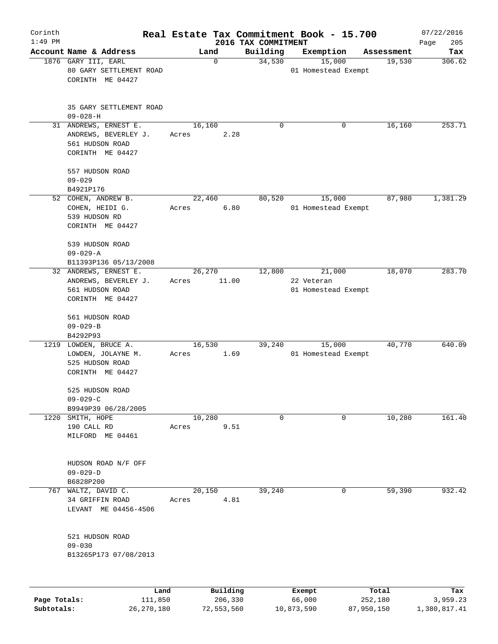| Corinth<br>$1:49$ PM |                                                                                      |                 |                     |                                 | Real Estate Tax Commitment Book - 15.700    |                  | 07/22/2016         |
|----------------------|--------------------------------------------------------------------------------------|-----------------|---------------------|---------------------------------|---------------------------------------------|------------------|--------------------|
|                      | Account Name & Address                                                               | Land            |                     | 2016 TAX COMMITMENT<br>Building | Exemption                                   | Assessment       | 205<br>Page<br>Tax |
|                      | 1876 GARY III, EARL<br>80 GARY SETTLEMENT ROAD<br>CORINTH ME 04427                   | 0               |                     | 34,530                          | 15,000<br>01 Homestead Exempt               | 19,530           | 306.62             |
|                      | 35 GARY SETTLEMENT ROAD<br>$09 - 028 - H$                                            |                 |                     |                                 |                                             |                  |                    |
|                      | 31 ANDREWS, ERNEST E.<br>ANDREWS, BEVERLEY J.<br>561 HUDSON ROAD<br>CORINTH ME 04427 | 16,160<br>Acres | 2.28                | 0                               |                                             | 16,160<br>0      | 253.71             |
|                      | 557 HUDSON ROAD<br>$09 - 029$<br>B4921P176                                           |                 |                     |                                 |                                             |                  |                    |
|                      | 52 COHEN, ANDREW B.<br>COHEN, HEIDI G.<br>539 HUDSON RD<br>CORINTH ME 04427          | 22,460<br>Acres | 6.80                | 80,520                          | 15,000<br>01 Homestead Exempt               | 87,980           | 1,381.29           |
|                      | 539 HUDSON ROAD<br>$09 - 029 - A$<br>B11393P136 05/13/2008                           |                 |                     |                                 |                                             |                  |                    |
|                      | 32 ANDREWS, ERNEST E.<br>ANDREWS, BEVERLEY J.<br>561 HUDSON ROAD<br>CORINTH ME 04427 | 26,270<br>Acres | 11.00               | 12,800                          | 21,000<br>22 Veteran<br>01 Homestead Exempt | 18,070           | 283.70             |
|                      | 561 HUDSON ROAD<br>$09 - 029 - B$<br>B4292P93                                        |                 |                     |                                 |                                             |                  |                    |
| 1219                 | LOWDEN, BRUCE A.<br>LOWDEN, JOLAYNE M.<br>525 HUDSON ROAD<br>CORINTH ME 04427        | 16,530<br>Acres | 1.69                | 39,240                          | 15,000<br>01 Homestead Exempt               | 40,770           | 640.09             |
|                      | 525 HUDSON ROAD<br>$09 - 029 - C$                                                    |                 |                     |                                 |                                             |                  |                    |
|                      | B9949P39 06/28/2005<br>1220 SMITH, HOPE<br>190 CALL RD<br>MILFORD ME 04461           | 10,280<br>Acres | 9.51                | $\mathbf 0$                     |                                             | 10,280<br>0      | 161.40             |
|                      | HUDSON ROAD N/F OFF<br>$09 - 029 - D$<br>B6828P200                                   |                 |                     |                                 |                                             |                  |                    |
| 767                  | WALTZ, DAVID C.<br>34 GRIFFIN ROAD<br>LEVANT ME 04456-4506                           | 20,150<br>Acres | 4.81                | 39,240                          |                                             | 59,390<br>0      | 932.42             |
|                      | 521 HUDSON ROAD<br>$09 - 030$<br>B13265P173 07/08/2013                               |                 |                     |                                 |                                             |                  |                    |
| Page Totals:         | Land<br>111,850                                                                      |                 | Building<br>206,330 |                                 | Exempt<br>66,000                            | Total<br>252,180 | Tax<br>3,959.23    |

**Subtotals:** 26,270,180 72,553,560 10,873,590 87,950,150 1,380,817.41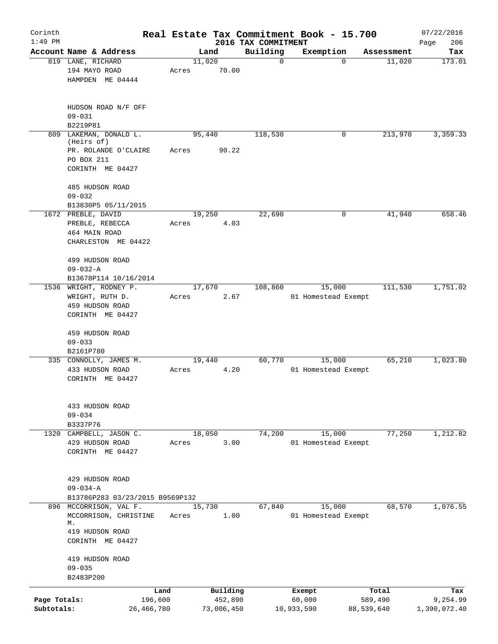| Corinth                    |                                                                            |                       |       |                       |                                 |             | Real Estate Tax Commitment Book - 15.700 |                       | 07/22/2016               |
|----------------------------|----------------------------------------------------------------------------|-----------------------|-------|-----------------------|---------------------------------|-------------|------------------------------------------|-----------------------|--------------------------|
| $1:49$ PM                  | Account Name & Address                                                     |                       |       | Land                  | 2016 TAX COMMITMENT<br>Building |             | Exemption                                | Assessment            | 206<br>Page<br>Tax       |
|                            | 819 LANE, RICHARD<br>194 MAYO ROAD<br>HAMPDEN ME 04444                     |                       | Acres | 11,020<br>70.00       |                                 | $\mathbf 0$ | $\mathbf 0$                              | 11,020                | 173.01                   |
|                            | HUDSON ROAD N/F OFF<br>$09 - 031$<br>B2219P81                              |                       |       |                       |                                 |             |                                          |                       |                          |
|                            | 809 LAKEMAN, DONALD L.<br>(Heirs of)<br>PR. ROLANDE O'CLAIRE<br>PO BOX 211 |                       | Acres | 95,440<br>90.22       | 118,530                         |             | 0                                        | 213,970               | 3,359.33                 |
|                            | CORINTH ME 04427                                                           |                       |       |                       |                                 |             |                                          |                       |                          |
|                            | 485 HUDSON ROAD<br>$09 - 032$                                              |                       |       |                       |                                 |             |                                          |                       |                          |
|                            | B13830P5 05/11/2015<br>1672 PREBLE, DAVID                                  |                       |       | 19,250                | 22,690                          |             | 0                                        | 41,940                | 658.46                   |
|                            | PREBLE, REBECCA<br>464 MAIN ROAD<br>CHARLESTON ME 04422                    |                       | Acres | 4.03                  |                                 |             |                                          |                       |                          |
|                            | 499 HUDSON ROAD<br>$09 - 032 - A$                                          |                       |       |                       |                                 |             |                                          |                       |                          |
|                            | B13678P114 10/16/2014                                                      |                       |       |                       |                                 |             |                                          |                       |                          |
|                            | 1536 WRIGHT, RODNEY P.                                                     |                       |       | 17,670                | 108,860                         |             | 15,000                                   | 111,530               | 1,751.02                 |
|                            | WRIGHT, RUTH D.                                                            |                       | Acres | 2.67                  |                                 |             | 01 Homestead Exempt                      |                       |                          |
|                            | 459 HUDSON ROAD<br>CORINTH ME 04427                                        |                       |       |                       |                                 |             |                                          |                       |                          |
|                            | 459 HUDSON ROAD                                                            |                       |       |                       |                                 |             |                                          |                       |                          |
|                            | $09 - 033$<br>B2161P780                                                    |                       |       |                       |                                 |             |                                          |                       |                          |
|                            | 335 CONNOLLY, JAMES M.                                                     |                       |       | 19,440                | 60,770                          |             | 15,000                                   | 65,210                | 1,023.80                 |
|                            | 433 HUDSON ROAD<br>CORINTH ME 04427                                        |                       | Acres | 4.20                  |                                 |             | 01 Homestead Exempt                      |                       |                          |
|                            |                                                                            |                       |       |                       |                                 |             |                                          |                       |                          |
|                            | 433 HUDSON ROAD                                                            |                       |       |                       |                                 |             |                                          |                       |                          |
|                            | $09 - 034$<br>B3337P76                                                     |                       |       |                       |                                 |             |                                          |                       |                          |
| 1320                       | CAMPBELL, JASON C.                                                         |                       |       | 18,050                | 74,200                          |             | 15,000                                   | 77,250                | 1,212.82                 |
|                            | 429 HUDSON ROAD<br>CORINTH ME 04427                                        |                       | Acres | 3.00                  |                                 |             | 01 Homestead Exempt                      |                       |                          |
|                            | 429 HUDSON ROAD                                                            |                       |       |                       |                                 |             |                                          |                       |                          |
|                            | $09 - 034 - A$                                                             |                       |       |                       |                                 |             |                                          |                       |                          |
|                            | B13786P283 03/23/2015 B9569P132                                            |                       |       |                       |                                 |             |                                          |                       |                          |
|                            | 896 MCCORRISON, VAL F.<br>MCCORRISON, CHRISTINE<br>М.                      |                       | Acres | 15,730<br>1.00        | 67,840                          |             | 15,000<br>01 Homestead Exempt            | 68,570                | 1,076.55                 |
|                            | 419 HUDSON ROAD<br>CORINTH ME 04427                                        |                       |       |                       |                                 |             |                                          |                       |                          |
|                            | 419 HUDSON ROAD<br>$09 - 035$                                              |                       |       |                       |                                 |             |                                          |                       |                          |
|                            | B2483P200                                                                  |                       |       |                       |                                 |             |                                          |                       |                          |
|                            |                                                                            | Land                  |       | Building              |                                 |             | Exempt                                   | Total                 | Tax                      |
| Page Totals:<br>Subtotals: |                                                                            | 196,600<br>26,466,780 |       | 452,890<br>73,006,450 |                                 | 10,933,590  | 60,000                                   | 589,490<br>88,539,640 | 9,254.99<br>1,390,072.40 |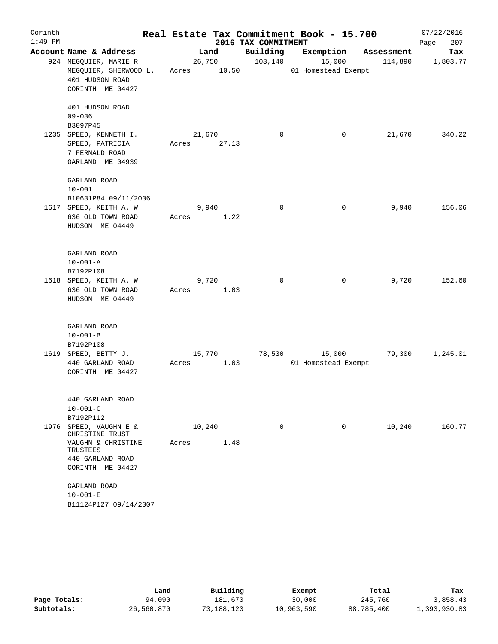| Corinth   |                                |       |        |                     | Real Estate Tax Commitment Book - 15.700 |            | 07/22/2016  |
|-----------|--------------------------------|-------|--------|---------------------|------------------------------------------|------------|-------------|
| $1:49$ PM |                                |       |        | 2016 TAX COMMITMENT |                                          |            | 207<br>Page |
|           | Account Name & Address         |       | Land   | Building            | Exemption                                | Assessment | Tax         |
|           | 924 MEGQUIER, MARIE R.         |       | 26,750 | 103, 140            | 15,000                                   | 114,890    | 1,803.77    |
|           | MEGQUIER, SHERWOOD L.          | Acres | 10.50  |                     | 01 Homestead Exempt                      |            |             |
|           | 401 HUDSON ROAD                |       |        |                     |                                          |            |             |
|           | CORINTH ME 04427               |       |        |                     |                                          |            |             |
|           | 401 HUDSON ROAD                |       |        |                     |                                          |            |             |
|           | $09 - 036$                     |       |        |                     |                                          |            |             |
|           | B3097P45                       |       |        |                     |                                          |            |             |
|           | 1235 SPEED, KENNETH I.         |       | 21,670 | 0                   | 0                                        | 21,670     | 340.22      |
|           | SPEED, PATRICIA                | Acres | 27.13  |                     |                                          |            |             |
|           | 7 FERNALD ROAD                 |       |        |                     |                                          |            |             |
|           | GARLAND ME 04939               |       |        |                     |                                          |            |             |
|           | GARLAND ROAD                   |       |        |                     |                                          |            |             |
|           | $10 - 001$                     |       |        |                     |                                          |            |             |
|           | B10631P84 09/11/2006           |       |        |                     |                                          |            |             |
|           | 1617 SPEED, KEITH A. W.        |       | 9,940  | $\mathbf 0$         | $\mathbf 0$                              | 9,940      | 156.06      |
|           | 636 OLD TOWN ROAD              | Acres | 1.22   |                     |                                          |            |             |
|           | HUDSON ME 04449                |       |        |                     |                                          |            |             |
|           |                                |       |        |                     |                                          |            |             |
|           | GARLAND ROAD                   |       |        |                     |                                          |            |             |
|           | $10 - 001 - A$                 |       |        |                     |                                          |            |             |
|           | B7192P108                      |       |        |                     |                                          |            |             |
|           | 1618 SPEED, KEITH A. W.        |       | 9,720  | 0                   | 0                                        | 9,720      | 152.60      |
|           | 636 OLD TOWN ROAD              | Acres | 1.03   |                     |                                          |            |             |
|           | HUDSON ME 04449                |       |        |                     |                                          |            |             |
|           |                                |       |        |                     |                                          |            |             |
|           | GARLAND ROAD                   |       |        |                     |                                          |            |             |
|           | $10 - 001 - B$                 |       |        |                     |                                          |            |             |
|           | B7192P108                      |       |        |                     |                                          |            |             |
|           | 1619 SPEED, BETTY J.           |       | 15,770 | 78,530              | 15,000                                   | 79,300     | 1,245.01    |
|           | 440 GARLAND ROAD               | Acres | 1.03   |                     | 01 Homestead Exempt                      |            |             |
|           | CORINTH ME 04427               |       |        |                     |                                          |            |             |
|           |                                |       |        |                     |                                          |            |             |
|           | 440 GARLAND ROAD               |       |        |                     |                                          |            |             |
|           | $10 - 001 - C$                 |       |        |                     |                                          |            |             |
|           | B7192P112                      |       |        |                     |                                          |            |             |
| 1976      | SPEED, VAUGHN E &              |       | 10,240 | $\mathbf 0$         | 0                                        | 10,240     | 160.77      |
|           | CHRISTINE TRUST                |       |        |                     |                                          |            |             |
|           | VAUGHN & CHRISTINE<br>TRUSTEES | Acres | 1.48   |                     |                                          |            |             |
|           | 440 GARLAND ROAD               |       |        |                     |                                          |            |             |
|           | CORINTH ME 04427               |       |        |                     |                                          |            |             |
|           | GARLAND ROAD                   |       |        |                     |                                          |            |             |
|           | $10 - 001 - E$                 |       |        |                     |                                          |            |             |
|           | B11124P127 09/14/2007          |       |        |                     |                                          |            |             |
|           |                                |       |        |                     |                                          |            |             |

|              | Land       | Building   | Exempt     | Total      | Tax          |
|--------------|------------|------------|------------|------------|--------------|
| Page Totals: | 94,090     | 181,670    | 30,000     | 245,760    | 3,858.43     |
| Subtotals:   | 26,560,870 | 73,188,120 | 10,963,590 | 88,785,400 | 1,393,930.83 |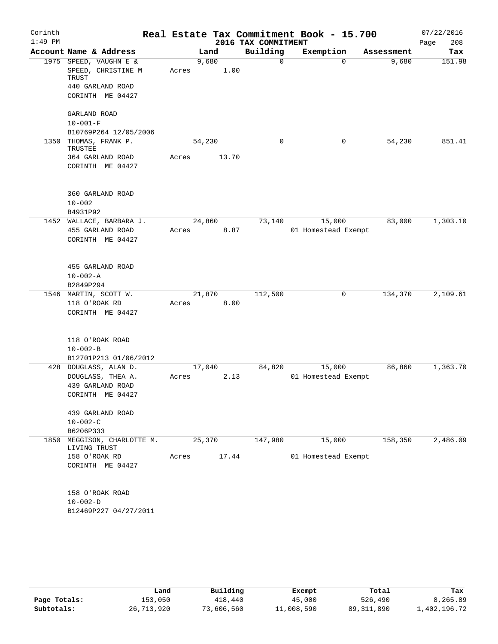| Corinth   |                                                |       |               |                     | Real Estate Tax Commitment Book - 15.700 |            | 07/22/2016  |
|-----------|------------------------------------------------|-------|---------------|---------------------|------------------------------------------|------------|-------------|
| $1:49$ PM |                                                |       |               | 2016 TAX COMMITMENT |                                          |            | 208<br>Page |
|           | Account Name & Address                         |       | Land          | Building            | Exemption                                | Assessment | Tax         |
|           | 1975 SPEED, VAUGHN E &<br>SPEED, CHRISTINE M   | Acres | 9,680<br>1.00 | 0                   | $\Omega$                                 | 9,680      | 151.98      |
|           | TRUST<br>440 GARLAND ROAD                      |       |               |                     |                                          |            |             |
|           | CORINTH ME 04427                               |       |               |                     |                                          |            |             |
|           | GARLAND ROAD                                   |       |               |                     |                                          |            |             |
|           | $10 - 001 - F$<br>B10769P264 12/05/2006        |       |               |                     |                                          |            |             |
| 1350      | THOMAS, FRANK P.<br>TRUSTEE                    |       | 54,230        | 0                   | 0                                        | 54,230     | 851.41      |
|           | 364 GARLAND ROAD<br>CORINTH ME 04427           | Acres | 13.70         |                     |                                          |            |             |
|           | 360 GARLAND ROAD                               |       |               |                     |                                          |            |             |
|           | $10 - 002$                                     |       |               |                     |                                          |            |             |
|           | B4931P92<br>1452 WALLACE, BARBARA J.           |       | 24,860        | 73,140              | 15,000                                   | 83,000     | 1,303.10    |
|           | 455 GARLAND ROAD                               | Acres | 8.87          |                     | 01 Homestead Exempt                      |            |             |
|           | CORINTH ME 04427                               |       |               |                     |                                          |            |             |
|           | 455 GARLAND ROAD                               |       |               |                     |                                          |            |             |
|           | $10 - 002 - A$                                 |       |               |                     |                                          |            |             |
|           | B2849P294                                      |       |               |                     |                                          |            |             |
|           | 1546 MARTIN, SCOTT W.                          |       | 21,870        | 112,500             | 0                                        | 134,370    | 2,109.61    |
|           | 118 O'ROAK RD<br>CORINTH ME 04427              | Acres | 8.00          |                     |                                          |            |             |
|           | 118 O'ROAK ROAD                                |       |               |                     |                                          |            |             |
|           | $10 - 002 - B$                                 |       |               |                     |                                          |            |             |
|           | B12701P213 01/06/2012<br>428 DOUGLASS, ALAN D. |       | 17,040        | 84,820              | 15,000                                   | 86,860     | 1,363.70    |
|           | DOUGLASS, THEA A.                              | Acres | 2.13          |                     | 01 Homestead Exempt                      |            |             |
|           | 439 GARLAND ROAD<br>CORINTH ME 04427           |       |               |                     |                                          |            |             |
|           | 439 GARLAND ROAD                               |       |               |                     |                                          |            |             |
|           | $10 - 002 - C$                                 |       |               |                     |                                          |            |             |
|           | B6206P333                                      |       |               |                     |                                          |            |             |
| 1850      | MEGGISON, CHARLOTTE M.<br>LIVING TRUST         |       | 25,370        | 147,980             | 15,000                                   | 158,350    | 2,486.09    |
|           | 158 O'ROAK RD<br>CORINTH ME 04427              | Acres | 17.44         |                     | 01 Homestead Exempt                      |            |             |
|           | 158 O'ROAK ROAD                                |       |               |                     |                                          |            |             |
|           | $10 - 002 - D$                                 |       |               |                     |                                          |            |             |
|           | B12469P227 04/27/2011                          |       |               |                     |                                          |            |             |

|              | Land       | Building   | Exempt     | Total        | Tax          |
|--------------|------------|------------|------------|--------------|--------------|
| Page Totals: | 153,050    | 418,440    | 45,000     | 526,490      | 8,265.89     |
| Subtotals:   | 26,713,920 | 73,606,560 | 11,008,590 | 89, 311, 890 | 1,402,196.72 |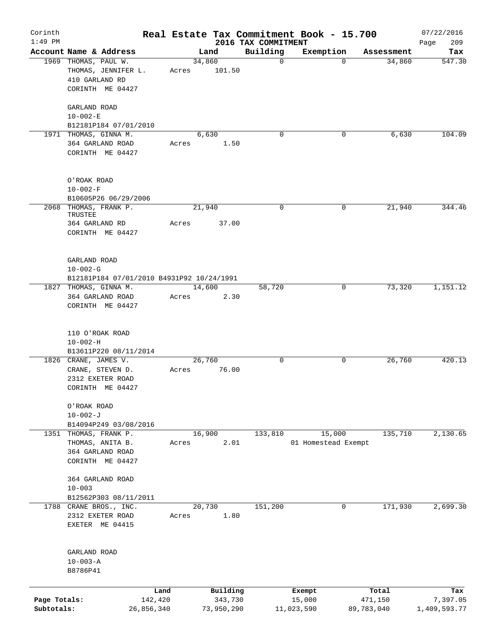| Corinth                    |                                                                                   |                 |                       |                                 | Real Estate Tax Commitment Book - 15.700 |                       | 07/22/2016               |
|----------------------------|-----------------------------------------------------------------------------------|-----------------|-----------------------|---------------------------------|------------------------------------------|-----------------------|--------------------------|
| $1:49$ PM                  | Account Name & Address                                                            |                 |                       | 2016 TAX COMMITMENT<br>Building |                                          |                       | 209<br>Page              |
|                            | 1969 THOMAS, PAUL W.<br>THOMAS, JENNIFER L.<br>410 GARLAND RD<br>CORINTH ME 04427 | 34,860<br>Acres | Land<br>101.50        | $\mathbf 0$                     | Exemption<br>$\mathbf 0$                 | Assessment<br>34,860  | Tax<br>547.30            |
|                            | GARLAND ROAD<br>$10 - 002 - E$<br>B12181P184 07/01/2010                           |                 |                       |                                 |                                          |                       |                          |
|                            | 1971 THOMAS, GINNA M.<br>364 GARLAND ROAD<br>CORINTH ME 04427                     | Acres           | 6,630<br>1.50         | $\mathbf 0$                     | 0                                        | 6,630                 | 104.09                   |
|                            | O'ROAK ROAD<br>$10 - 002 - F$<br>B10605P26 06/29/2006                             |                 |                       |                                 |                                          |                       |                          |
|                            | 2068 THOMAS, FRANK P.                                                             | 21,940          |                       | 0                               | 0                                        | 21,940                | 344.46                   |
|                            | TRUSTEE<br>364 GARLAND RD<br>CORINTH ME 04427                                     | Acres           | 37.00                 |                                 |                                          |                       |                          |
|                            | GARLAND ROAD<br>$10 - 002 - G$<br>B12181P184 07/01/2010 B4931P92 10/24/1991       |                 |                       |                                 |                                          |                       |                          |
|                            | 1827 THOMAS, GINNA M.<br>364 GARLAND ROAD<br>CORINTH ME 04427                     | 14,600<br>Acres | 2.30                  | 58,720                          | 0                                        | 73,320                | 1,151.12                 |
|                            | 110 O'ROAK ROAD<br>$10 - 002 - H$<br>B13611P220 08/11/2014                        |                 |                       |                                 |                                          |                       |                          |
|                            | 1826 CRANE, JAMES V.<br>CRANE, STEVEN D.<br>2312 EXETER ROAD<br>CORINTH ME 04427  | 26,760<br>Acres | 76.00                 | 0                               | 0                                        | 26,760                | 420.13                   |
|                            | O'ROAK ROAD<br>$10 - 002 - J$<br>B14094P249 03/08/2016                            |                 |                       |                                 |                                          |                       |                          |
|                            | 1351 THOMAS, FRANK P.<br>THOMAS, ANITA B.<br>364 GARLAND ROAD<br>CORINTH ME 04427 | 16,900<br>Acres | 2.01                  | 133,810                         | 15,000<br>01 Homestead Exempt            | 135,710               | 2,130.65                 |
|                            | 364 GARLAND ROAD<br>$10 - 003$<br>B12562P303 08/11/2011                           |                 |                       |                                 |                                          |                       |                          |
|                            | 1788 CRANE BROS., INC.<br>2312 EXETER ROAD<br>EXETER ME 04415                     | 20,730<br>Acres | 1.80                  | 151,200                         | 0                                        | 171,930               | 2,699.30                 |
|                            | GARLAND ROAD<br>$10 - 003 - A$<br>B8786P41                                        |                 |                       |                                 |                                          |                       |                          |
|                            | Land                                                                              |                 | Building              |                                 | Exempt                                   | Total                 | Tax                      |
| Page Totals:<br>Subtotals: | 142,420<br>26,856,340                                                             |                 | 343,730<br>73,950,290 |                                 | 15,000<br>11,023,590                     | 471,150<br>89,783,040 | 7,397.05<br>1,409,593.77 |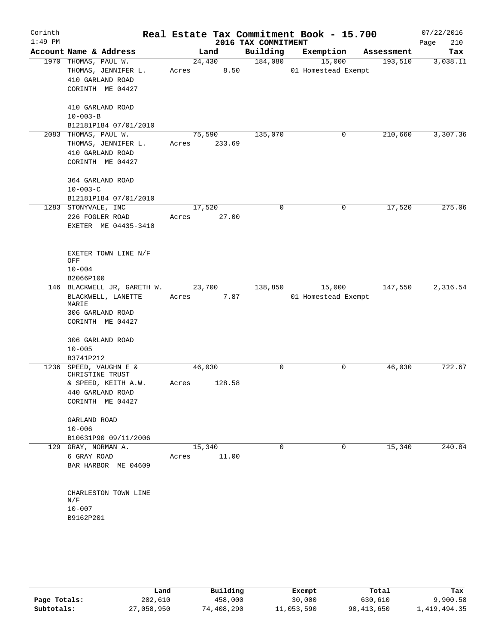| Corinth<br>$1:49$ PM |                                                                                                          |                 |                | 2016 TAX COMMITMENT | Real Estate Tax Commitment Book - 15.700 |            | 07/22/2016<br>210<br>Page |
|----------------------|----------------------------------------------------------------------------------------------------------|-----------------|----------------|---------------------|------------------------------------------|------------|---------------------------|
|                      | Account Name & Address                                                                                   |                 | Land           | Building            | Exemption                                | Assessment | Tax                       |
|                      | 1970 THOMAS, PAUL W.<br>THOMAS, JENNIFER L.<br>410 GARLAND ROAD<br>CORINTH ME 04427                      | Acres           | 24,430<br>8.50 | 184,080             | 15,000<br>01 Homestead Exempt            | 193,510    | 3,038.11                  |
|                      | 410 GARLAND ROAD<br>$10 - 003 - B$<br>B12181P184 07/01/2010                                              |                 |                |                     |                                          |            |                           |
|                      | 2083 THOMAS, PAUL W.<br>THOMAS, JENNIFER L.<br>410 GARLAND ROAD<br>CORINTH ME 04427                      | 75,590<br>Acres | 233.69         | 135,070             | 0                                        | 210,660    | 3,307.36                  |
|                      | 364 GARLAND ROAD<br>$10 - 003 - C$<br>B12181P184 07/01/2010                                              |                 |                |                     |                                          |            |                           |
|                      | 1283 STONYVALE, INC<br>226 FOGLER ROAD<br>EXETER ME 04435-3410                                           | 17,520<br>Acres | 27.00          | $\mathbf 0$         | 0                                        | 17,520     | 275.06                    |
|                      | EXETER TOWN LINE N/F<br>OFF<br>$10 - 004$<br>B2066P100                                                   |                 |                |                     |                                          |            |                           |
|                      | 146 BLACKWELL JR, GARETH W.<br>BLACKWELL, LANETTE<br>MARIE<br>306 GARLAND ROAD<br>CORINTH ME 04427       | 23,700<br>Acres | 7.87           | 138,850             | 15,000<br>01 Homestead Exempt            | 147,550    | 2,316.54                  |
|                      | 306 GARLAND ROAD<br>$10 - 005$<br>B3741P212                                                              |                 |                |                     |                                          |            |                           |
|                      | 1236 SPEED, VAUGHN E &<br>CHRISTINE TRUST<br>& SPEED, KEITH A.W.<br>440 GARLAND ROAD<br>CORINTH ME 04427 | 46,030<br>Acres | 128.58         | 0                   | 0                                        | 46,030     | 722.67                    |
|                      | GARLAND ROAD<br>$10 - 006$<br>B10631P90 09/11/2006                                                       |                 |                |                     |                                          |            |                           |
|                      | 129 GRAY, NORMAN A.<br>6 GRAY ROAD<br>BAR HARBOR ME 04609                                                | 15,340<br>Acres | 11.00          | $\mathbf 0$         | $\mathbf 0$                              | 15,340     | 240.84                    |
|                      | CHARLESTON TOWN LINE<br>N/F<br>$10 - 007$<br>B9162P201                                                   |                 |                |                     |                                          |            |                           |
|                      |                                                                                                          |                 |                |                     |                                          |            |                           |

|              | Land       | Building   | Exempt     | Total      | Tax          |
|--------------|------------|------------|------------|------------|--------------|
| Page Totals: | 202,610    | 458,000    | 30,000     | 630,610    | 9,900.58     |
| Subtotals:   | 27,058,950 | 74,408,290 | 11,053,590 | 90,413,650 | 1,419,494.35 |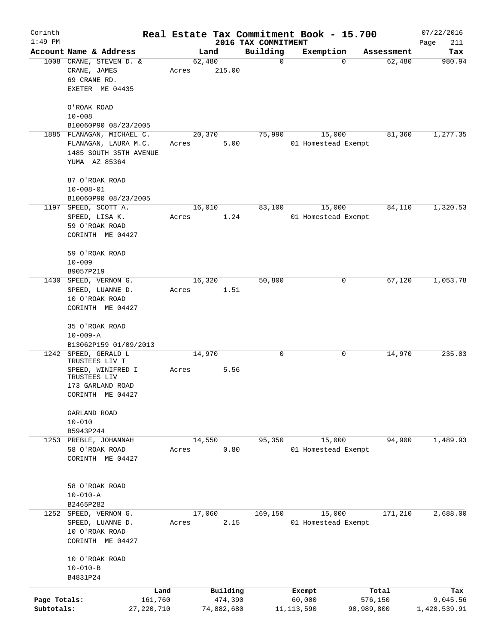| Corinth                    |                                                                                              |       |                       |                                 | Real Estate Tax Commitment Book - 15.700 |                       | 07/22/2016               |
|----------------------------|----------------------------------------------------------------------------------------------|-------|-----------------------|---------------------------------|------------------------------------------|-----------------------|--------------------------|
| $1:49$ PM                  | Account Name & Address                                                                       |       | Land                  | 2016 TAX COMMITMENT<br>Building | Exemption                                | Assessment            | Page<br>211<br>Tax       |
|                            | 1008 CRANE, STEVEN D. &<br>CRANE, JAMES                                                      | Acres | 62,480<br>215.00      | $\mathbf 0$                     | $\mathbf 0$                              | 62,480                | 980.94                   |
|                            | 69 CRANE RD.<br>EXETER ME 04435                                                              |       |                       |                                 |                                          |                       |                          |
|                            | O'ROAK ROAD<br>$10 - 008$                                                                    |       |                       |                                 |                                          |                       |                          |
|                            | B10060P90 08/23/2005                                                                         |       |                       |                                 |                                          |                       |                          |
|                            | 1885 FLANAGAN, MICHAEL C.<br>FLANAGAN, LAURA M.C.<br>1485 SOUTH 35TH AVENUE<br>YUMA AZ 85364 | Acres | 20,370<br>5.00        | 75,990                          | 15,000<br>01 Homestead Exempt            | 81,360                | 1,277.35                 |
|                            | 87 O'ROAK ROAD<br>$10 - 008 - 01$                                                            |       |                       |                                 |                                          |                       |                          |
|                            | B10060P90 08/23/2005                                                                         |       |                       |                                 |                                          |                       |                          |
|                            | 1197 SPEED, SCOTT A.<br>SPEED, LISA K.<br>59 O'ROAK ROAD<br>CORINTH ME 04427                 | Acres | 16,010<br>1.24        | 83,100                          | 15,000<br>01 Homestead Exempt            | 84,110                | 1,320.53                 |
|                            | 59 O'ROAK ROAD<br>$10 - 009$                                                                 |       |                       |                                 |                                          |                       |                          |
|                            | B9057P219                                                                                    |       |                       |                                 |                                          |                       |                          |
|                            | 1430 SPEED, VERNON G.<br>SPEED, LUANNE D.<br>10 O'ROAK ROAD<br>CORINTH ME 04427              | Acres | 16,320<br>1.51        | 50,800                          | 0                                        | 67,120                | 1,053.78                 |
|                            | 35 O'ROAK ROAD<br>$10 - 009 - A$                                                             |       |                       |                                 |                                          |                       |                          |
|                            | B13062P159 01/09/2013<br>1242 SPEED, GERALD L                                                |       | 14,970                | 0                               | 0                                        | 14,970                | 235.03                   |
|                            | TRUSTEES LIV T<br>SPEED, WINIFRED I<br>TRUSTEES LIV<br>173 GARLAND ROAD<br>CORINTH ME 04427  | Acres | 5.56                  |                                 |                                          |                       |                          |
|                            | GARLAND ROAD<br>$10 - 010$                                                                   |       |                       |                                 |                                          |                       |                          |
|                            | B5943P244                                                                                    |       |                       |                                 |                                          |                       |                          |
|                            | 1253 PREBLE, JOHANNAH<br>58 O'ROAK ROAD<br>CORINTH ME 04427                                  | Acres | 14,550<br>0.80        | 95,350                          | 15,000<br>01 Homestead Exempt            | 94,900                | 1,489.93                 |
|                            | 58 O'ROAK ROAD<br>$10 - 010 - A$<br>B2465P282                                                |       |                       |                                 |                                          |                       |                          |
|                            | 1252 SPEED, VERNON G.                                                                        |       | 17,060                | 169,150                         | 15,000                                   | 171,210               | 2,688.00                 |
|                            | SPEED, LUANNE D.<br>10 O'ROAK ROAD<br>CORINTH ME 04427                                       | Acres | 2.15                  |                                 | 01 Homestead Exempt                      |                       |                          |
|                            | 10 O'ROAK ROAD<br>$10 - 010 - B$<br>B4831P24                                                 |       |                       |                                 |                                          |                       |                          |
|                            |                                                                                              | Land  | Building              |                                 | Exempt                                   | Total                 | Tax                      |
| Page Totals:<br>Subtotals: | 161,760<br>27, 220, 710                                                                      |       | 474,390<br>74,882,680 |                                 | 60,000<br>11,113,590                     | 576,150<br>90,989,800 | 9,045.56<br>1,428,539.91 |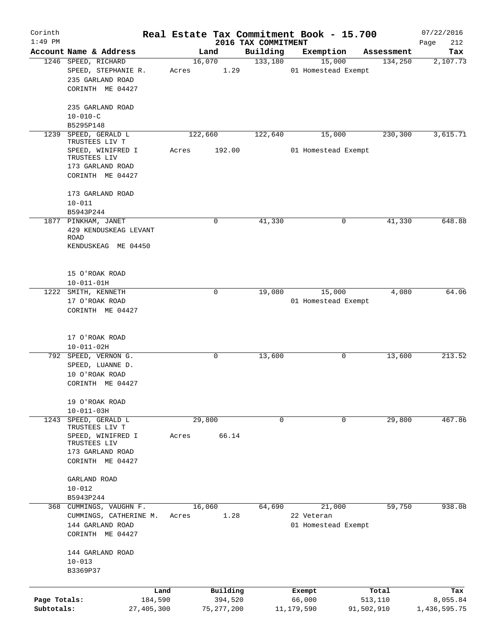| Corinth<br>$1:49$ PM |                                      |         |                     |                                 | Real Estate Tax Commitment Book - 15.700 |                       | 07/22/2016         |
|----------------------|--------------------------------------|---------|---------------------|---------------------------------|------------------------------------------|-----------------------|--------------------|
|                      | Account Name & Address               |         | Land                | 2016 TAX COMMITMENT<br>Building | Exemption                                | Assessment            | Page<br>212<br>Tax |
|                      | 1246 SPEED, RICHARD                  |         | 16,070              | 133,180                         | 15,000                                   | 134,250               | 2,107.73           |
|                      | SPEED, STEPHANIE R.                  | Acres   | 1.29                |                                 | 01 Homestead Exempt                      |                       |                    |
|                      | 235 GARLAND ROAD                     |         |                     |                                 |                                          |                       |                    |
|                      | CORINTH ME 04427                     |         |                     |                                 |                                          |                       |                    |
|                      |                                      |         |                     |                                 |                                          |                       |                    |
|                      | 235 GARLAND ROAD                     |         |                     |                                 |                                          |                       |                    |
|                      | $10 - 010 - C$                       |         |                     |                                 |                                          |                       |                    |
|                      | B5295P148                            |         |                     |                                 |                                          |                       |                    |
| 1239                 | SPEED, GERALD L                      | 122,660 |                     | 122,640                         | 15,000                                   | 230,300               | 3,615.71           |
|                      | TRUSTEES LIV T                       |         |                     |                                 |                                          |                       |                    |
|                      | SPEED, WINIFRED I                    | Acres   | 192.00              |                                 | 01 Homestead Exempt                      |                       |                    |
|                      | TRUSTEES LIV                         |         |                     |                                 |                                          |                       |                    |
|                      | 173 GARLAND ROAD                     |         |                     |                                 |                                          |                       |                    |
|                      | CORINTH ME 04427                     |         |                     |                                 |                                          |                       |                    |
|                      |                                      |         |                     |                                 |                                          |                       |                    |
|                      | 173 GARLAND ROAD                     |         |                     |                                 |                                          |                       |                    |
|                      | $10 - 011$                           |         |                     |                                 |                                          |                       |                    |
|                      | B5943P244                            |         |                     |                                 |                                          |                       |                    |
|                      | 1877 PINKHAM, JANET                  |         | 0                   | 41,330                          | $\mathbf 0$                              | 41,330                | 648.88             |
|                      | 429 KENDUSKEAG LEVANT<br><b>ROAD</b> |         |                     |                                 |                                          |                       |                    |
|                      | KENDUSKEAG ME 04450                  |         |                     |                                 |                                          |                       |                    |
|                      |                                      |         |                     |                                 |                                          |                       |                    |
|                      |                                      |         |                     |                                 |                                          |                       |                    |
|                      | 15 O'ROAK ROAD                       |         |                     |                                 |                                          |                       |                    |
|                      | $10 - 011 - 01H$                     |         |                     |                                 |                                          |                       |                    |
|                      | 1222 SMITH, KENNETH                  |         | $\mathsf{O}$        | 19,080                          | 15,000                                   | 4,080                 | 64.06              |
|                      | 17 O'ROAK ROAD                       |         |                     |                                 | 01 Homestead Exempt                      |                       |                    |
|                      | CORINTH ME 04427                     |         |                     |                                 |                                          |                       |                    |
|                      |                                      |         |                     |                                 |                                          |                       |                    |
|                      |                                      |         |                     |                                 |                                          |                       |                    |
|                      | 17 O'ROAK ROAD                       |         |                     |                                 |                                          |                       |                    |
|                      | $10 - 011 - 02H$                     |         |                     |                                 |                                          |                       |                    |
|                      | 792 SPEED, VERNON G.                 |         | 0                   | 13,600                          | 0                                        | 13,600                | 213.52             |
|                      | SPEED, LUANNE D.                     |         |                     |                                 |                                          |                       |                    |
|                      | 10 O'ROAK ROAD                       |         |                     |                                 |                                          |                       |                    |
|                      | CORINTH ME 04427                     |         |                     |                                 |                                          |                       |                    |
|                      |                                      |         |                     |                                 |                                          |                       |                    |
|                      | 19 O'ROAK ROAD                       |         |                     |                                 |                                          |                       |                    |
|                      | $10 - 011 - 03H$                     |         |                     |                                 |                                          |                       |                    |
| 1243                 | SPEED, GERALD L                      |         | 29,800              | $\mathbf 0$                     | $\mathbf 0$                              | 29,800                | 467.86             |
|                      | TRUSTEES LIV T                       |         |                     |                                 |                                          |                       |                    |
|                      | SPEED, WINIFRED I                    | Acres   | 66.14               |                                 |                                          |                       |                    |
|                      | TRUSTEES LIV                         |         |                     |                                 |                                          |                       |                    |
|                      | 173 GARLAND ROAD                     |         |                     |                                 |                                          |                       |                    |
|                      | CORINTH ME 04427                     |         |                     |                                 |                                          |                       |                    |
|                      | GARLAND ROAD                         |         |                     |                                 |                                          |                       |                    |
|                      | $10 - 012$                           |         |                     |                                 |                                          |                       |                    |
|                      | B5943P244                            |         |                     |                                 |                                          |                       |                    |
|                      | 368 CUMMINGS, VAUGHN F.              |         | 16,060              | 64,690                          | 21,000                                   | 59,750                | 938.08             |
|                      | CUMMINGS, CATHERINE M.               | Acres   | 1.28                |                                 | 22 Veteran                               |                       |                    |
|                      | 144 GARLAND ROAD                     |         |                     |                                 | 01 Homestead Exempt                      |                       |                    |
|                      | CORINTH ME 04427                     |         |                     |                                 |                                          |                       |                    |
|                      |                                      |         |                     |                                 |                                          |                       |                    |
|                      | 144 GARLAND ROAD                     |         |                     |                                 |                                          |                       |                    |
|                      | $10 - 013$                           |         |                     |                                 |                                          |                       |                    |
|                      | B3369P37                             |         |                     |                                 |                                          |                       |                    |
|                      |                                      |         |                     |                                 |                                          |                       |                    |
|                      |                                      |         |                     |                                 |                                          |                       |                    |
| Page Totals:         | 184,590                              | Land    | Building<br>394,520 |                                 | Exempt<br>66,000                         | Total                 | Tax<br>8,055.84    |
| Subtotals:           | 27,405,300                           |         | 75, 277, 200        |                                 | 11,179,590                               | 513,110<br>91,502,910 | 1,436,595.75       |
|                      |                                      |         |                     |                                 |                                          |                       |                    |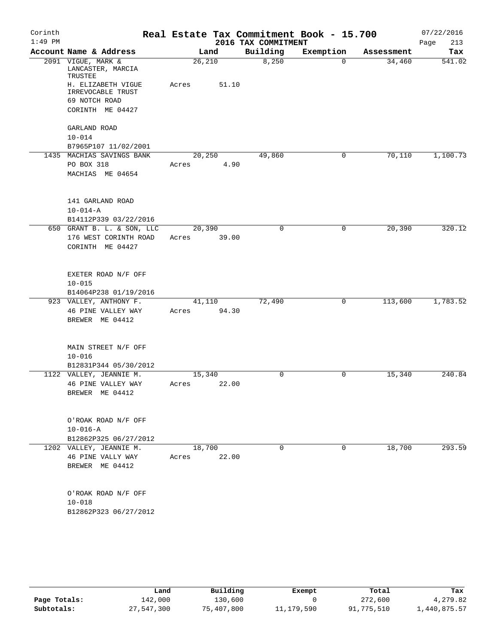| Corinth<br>$1:49$ PM |                                                                  |                 |       | 2016 TAX COMMITMENT | Real Estate Tax Commitment Book - 15.700 |            | 07/22/2016<br>213<br>Page |
|----------------------|------------------------------------------------------------------|-----------------|-------|---------------------|------------------------------------------|------------|---------------------------|
|                      | Account Name & Address                                           |                 | Land  | Building            | Exemption                                | Assessment | Tax                       |
|                      | 2091 VIGUE, MARK &<br>LANCASTER, MARCIA<br>TRUSTEE               | 26,210          |       | 8,250               | $\Omega$                                 | 34,460     | 541.02                    |
|                      | H. ELIZABETH VIGUE<br>IRREVOCABLE TRUST<br>69 NOTCH ROAD         | Acres           | 51.10 |                     |                                          |            |                           |
|                      | CORINTH ME 04427                                                 |                 |       |                     |                                          |            |                           |
|                      | GARLAND ROAD                                                     |                 |       |                     |                                          |            |                           |
|                      | $10 - 014$<br>B7965P107 11/02/2001                               |                 |       |                     |                                          |            |                           |
|                      | 1435 MACHIAS SAVINGS BANK                                        | 20,250          |       | 49,860              | 0                                        | 70,110     | 1,100.73                  |
|                      | PO BOX 318<br>MACHIAS ME 04654                                   | Acres           | 4.90  |                     |                                          |            |                           |
|                      | 141 GARLAND ROAD<br>$10 - 014 - A$                               |                 |       |                     |                                          |            |                           |
|                      | B14112P339 03/22/2016                                            |                 |       | $\Omega$            | $\mathbf 0$                              | 20,390     | 320.12                    |
|                      | 650 GRANT B. L. & SON, LLC<br>176 WEST CORINTH ROAD              | 20,390<br>Acres | 39.00 |                     |                                          |            |                           |
|                      | CORINTH ME 04427                                                 |                 |       |                     |                                          |            |                           |
|                      | EXETER ROAD N/F OFF                                              |                 |       |                     |                                          |            |                           |
|                      | $10 - 015$                                                       |                 |       |                     |                                          |            |                           |
|                      | B14064P238 01/19/2016                                            |                 |       |                     |                                          |            |                           |
|                      | 923 VALLEY, ANTHONY F.<br>46 PINE VALLEY WAY<br>BREWER ME 04412  | 41,110<br>Acres | 94.30 | 72,490              | 0                                        | 113,600    | 1,783.52                  |
|                      | MAIN STREET N/F OFF<br>$10 - 016$                                |                 |       |                     |                                          |            |                           |
|                      | B12831P344 05/30/2012                                            | 15,340          |       | $\Omega$            | $\mathbf 0$                              |            | 240.84                    |
|                      | 1122 VALLEY, JEANNIE M.<br>46 PINE VALLEY WAY<br>BREWER ME 04412 | Acres           | 22.00 |                     |                                          | 15,340     |                           |
|                      | O'ROAK ROAD N/F OFF<br>$10 - 016 - A$<br>B12862P325 06/27/2012   |                 |       |                     |                                          |            |                           |
|                      | 1202 VALLEY, JEANNIE M.                                          | 18,700          |       | $\Omega$            | $\Omega$                                 | 18,700     | 293.59                    |
|                      | 46 PINE VALLY WAY<br>BREWER ME 04412                             | Acres           | 22.00 |                     |                                          |            |                           |
|                      | O'ROAK ROAD N/F OFF<br>$10 - 018$                                |                 |       |                     |                                          |            |                           |
|                      | B12862P323 06/27/2012                                            |                 |       |                     |                                          |            |                           |

|              | Land       | Building   | Exempt       | Total      | Tax          |
|--------------|------------|------------|--------------|------------|--------------|
| Page Totals: | 142,000    | 130,600    |              | 272,600    | 4,279.82     |
| Subtotals:   | 27,547,300 | 75,407,800 | 11, 179, 590 | 91,775,510 | 1,440,875.57 |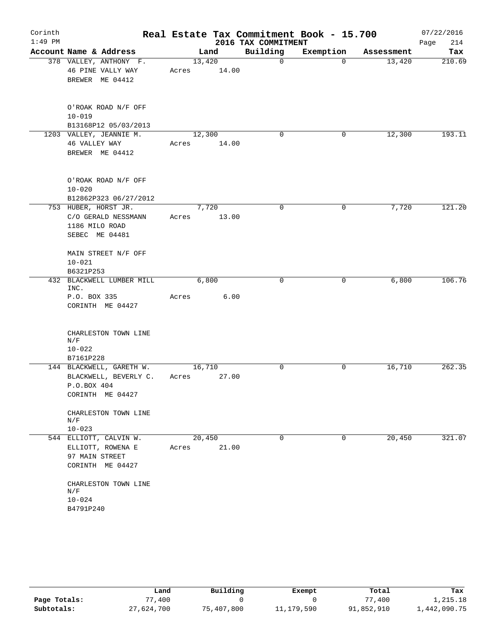| Corinth<br>$1:49$ PM |                                                                                      |                 |                | 2016 TAX COMMITMENT | Real Estate Tax Commitment Book - 15.700 |            | 07/22/2016<br>214<br>Page |
|----------------------|--------------------------------------------------------------------------------------|-----------------|----------------|---------------------|------------------------------------------|------------|---------------------------|
|                      | Account Name & Address                                                               |                 | Land           | Building            | Exemption                                | Assessment | Tax                       |
|                      | 378 VALLEY, ANTHONY F.<br>46 PINE VALLY WAY<br>BREWER ME 04412                       | 13,420<br>Acres | 14.00          | $\overline{0}$      | $\mathbf 0$                              | 13,420     | 210.69                    |
|                      | O'ROAK ROAD N/F OFF<br>$10 - 019$<br>B13168P12 05/03/2013                            |                 |                |                     |                                          |            |                           |
|                      | 1203 VALLEY, JEANNIE M.<br>46 VALLEY WAY<br>BREWER ME 04412                          | 12,300<br>Acres | 14.00          | 0                   | 0                                        | 12,300     | 193.11                    |
|                      | O'ROAK ROAD N/F OFF<br>$10 - 020$<br>B12862P323 06/27/2012                           |                 |                |                     |                                          |            |                           |
|                      | 753 HUBER, HORST JR.<br>C/O GERALD NESSMANN<br>1186 MILO ROAD<br>SEBEC ME 04481      | Acres           | 7,720<br>13.00 | 0                   | 0                                        | 7,720      | 121.20                    |
|                      | MAIN STREET N/F OFF<br>$10 - 021$<br>B6321P253                                       |                 |                |                     |                                          |            |                           |
|                      | 432 BLACKWELL LUMBER MILL<br>INC.<br>P.O. BOX 335<br>CORINTH ME 04427                | Acres           | 6,800<br>6.00  | 0                   | 0                                        | 6,800      | 106.76                    |
|                      | CHARLESTON TOWN LINE<br>N/F<br>$10 - 022$<br>B7161P228                               |                 |                |                     |                                          |            |                           |
|                      | 144 BLACKWELL, GARETH W.<br>BLACKWELL, BEVERLY C.<br>P.O.BOX 404<br>CORINTH ME 04427 | 16,710<br>Acres | 27.00          | 0                   | 0                                        | 16,710     | 262.35                    |
|                      | CHARLESTON TOWN LINE<br>N/F<br>$10 - 023$                                            |                 |                |                     |                                          |            |                           |
|                      | 544 ELLIOTT, CALVIN W.<br>ELLIOTT, ROWENA E<br>97 MAIN STREET<br>CORINTH ME 04427    | 20,450<br>Acres | 21.00          | $\Omega$            | $\Omega$                                 | 20,450     | 321.07                    |
|                      | CHARLESTON TOWN LINE<br>$\mathrm{N} / \mathrm{F}$<br>$10 - 024$<br>B4791P240         |                 |                |                     |                                          |            |                           |

|              | Land       | Building   | Exempt       | Total      | Tax          |
|--------------|------------|------------|--------------|------------|--------------|
| Page Totals: | 77,400     |            |              | 77,400     | 1,215.18     |
| Subtotals:   | 27,624,700 | 75,407,800 | 11, 179, 590 | 91,852,910 | 1,442,090.75 |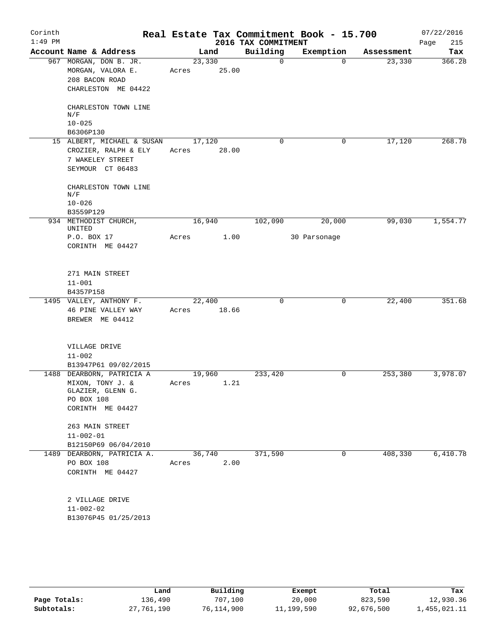| Corinth<br>$1:49$ PM |                                                                                                 |                 |       | 2016 TAX COMMITMENT | Real Estate Tax Commitment Book - 15.700 |            | 07/22/2016<br>215<br>Page |
|----------------------|-------------------------------------------------------------------------------------------------|-----------------|-------|---------------------|------------------------------------------|------------|---------------------------|
|                      | Account Name & Address                                                                          |                 | Land  | Building            | Exemption                                | Assessment | Tax                       |
|                      | 967 MORGAN, DON B. JR.<br>MORGAN, VALORA E.<br>208 BACON ROAD<br>CHARLESTON ME 04422            | 23,330<br>Acres | 25.00 | 0                   | $\Omega$                                 | 23,330     | 366.28                    |
|                      | CHARLESTON TOWN LINE<br>N/F<br>$10 - 025$                                                       |                 |       |                     |                                          |            |                           |
|                      | B6306P130<br>15 ALBERT, MICHAEL & SUSAN                                                         | 17,120          |       | $\Omega$            | 0                                        | 17,120     | 268.78                    |
|                      | CROZIER, RALPH & ELY<br>7 WAKELEY STREET<br>SEYMOUR CT 06483                                    | Acres           | 28.00 |                     |                                          |            |                           |
|                      | CHARLESTON TOWN LINE<br>N/F<br>$10 - 026$                                                       |                 |       |                     |                                          |            |                           |
|                      | B3559P129                                                                                       |                 |       |                     |                                          |            |                           |
|                      | 934 METHODIST CHURCH,<br>UNITED                                                                 | 16,940          |       | 102,090             | 20,000                                   | 99,030     | 1,554.77                  |
|                      | P.O. BOX 17<br>CORINTH ME 04427                                                                 | Acres           | 1.00  |                     | 30 Parsonage                             |            |                           |
|                      | 271 MAIN STREET<br>$11 - 001$<br>B4357P158                                                      |                 |       |                     |                                          |            |                           |
|                      | 1495 VALLEY, ANTHONY F.                                                                         | 22,400          |       | 0                   | 0                                        | 22,400     | 351.68                    |
|                      | 46 PINE VALLEY WAY<br>BREWER ME 04412                                                           | Acres           | 18.66 |                     |                                          |            |                           |
|                      | VILLAGE DRIVE<br>$11 - 002$<br>B13947P61 09/02/2015                                             |                 |       |                     |                                          |            |                           |
| 1488                 | DEARBORN, PATRICIA A<br>MIXON, TONY J. &<br>GLAZIER, GLENN G.<br>PO BOX 108<br>CORINTH ME 04427 | 19,960<br>Acres | 1.21  | 233,420             | $\mathbf 0$                              | 253,380    | 3,978.07                  |
|                      | 263 MAIN STREET<br>$11 - 002 - 01$<br>B12150P69 06/04/2010                                      |                 |       |                     |                                          |            |                           |
|                      | 1489 DEARBORN, PATRICIA A.<br>PO BOX 108<br>CORINTH ME 04427                                    | 36,740<br>Acres | 2.00  | 371,590             | 0                                        | 408,330    | 6,410.78                  |
|                      | 2 VILLAGE DRIVE<br>$11 - 002 - 02$<br>B13076P45 01/25/2013                                      |                 |       |                     |                                          |            |                           |

|              | Land       | Building   | Exempt     | Total      | Tax          |
|--------------|------------|------------|------------|------------|--------------|
| Page Totals: | 136,490    | 707,100    | 20,000     | 823,590    | 12,930.36    |
| Subtotals:   | 27,761,190 | 76,114,900 | 11,199,590 | 92,676,500 | 1,455,021.11 |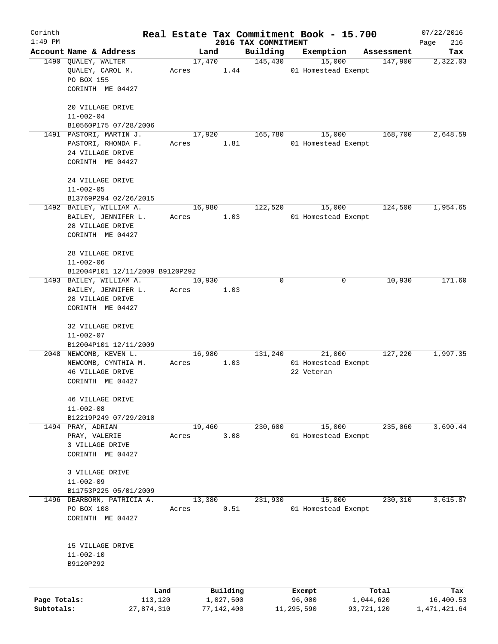| Corinth      |                                                       |       |                |                     | Real Estate Tax Commitment Book - 15.700 |                       | 07/22/2016   |
|--------------|-------------------------------------------------------|-------|----------------|---------------------|------------------------------------------|-----------------------|--------------|
| $1:49$ PM    |                                                       |       |                | 2016 TAX COMMITMENT |                                          |                       | Page<br>216  |
|              | Account Name & Address                                |       | Land           | Building            | Exemption                                | Assessment<br>147,900 | Tax          |
|              | 1490 QUALEY, WALTER<br>QUALEY, CAROL M.<br>PO BOX 155 | Acres | 17,470<br>1.44 | 145,430             | 15,000<br>01 Homestead Exempt            |                       | 2,322.03     |
|              | CORINTH ME 04427                                      |       |                |                     |                                          |                       |              |
|              | 20 VILLAGE DRIVE<br>$11 - 002 - 04$                   |       |                |                     |                                          |                       |              |
|              | B10560P175 07/28/2006                                 |       |                |                     |                                          |                       |              |
|              | 1491 PASTORI, MARTIN J.                               |       | 17,920         | 165,780             | 15,000                                   | 168,700               | 2,648.59     |
|              | PASTORI, RHONDA F.                                    | Acres | 1.81           |                     | 01 Homestead Exempt                      |                       |              |
|              | 24 VILLAGE DRIVE<br>CORINTH ME 04427                  |       |                |                     |                                          |                       |              |
|              | 24 VILLAGE DRIVE                                      |       |                |                     |                                          |                       |              |
|              | $11 - 002 - 05$                                       |       |                |                     |                                          |                       |              |
|              | B13769P294 02/26/2015                                 |       |                |                     |                                          |                       |              |
|              | 1492 BAILEY, WILLIAM A.                               |       | 16,980         | 122,520             | 15,000                                   | 124,500               | 1,954.65     |
|              | BAILEY, JENNIFER L.                                   | Acres | 1.03           |                     | 01 Homestead Exempt                      |                       |              |
|              | 28 VILLAGE DRIVE                                      |       |                |                     |                                          |                       |              |
|              | CORINTH ME 04427                                      |       |                |                     |                                          |                       |              |
|              | 28 VILLAGE DRIVE                                      |       |                |                     |                                          |                       |              |
|              | $11 - 002 - 06$                                       |       |                |                     |                                          |                       |              |
|              | B12004P101 12/11/2009 B9120P292                       |       |                |                     |                                          |                       |              |
|              | 1493 BAILEY, WILLIAM A.                               |       | 10,930         | $\Omega$            | 0                                        | 10,930                | 171.60       |
|              | BAILEY, JENNIFER L.                                   | Acres | 1.03           |                     |                                          |                       |              |
|              | 28 VILLAGE DRIVE                                      |       |                |                     |                                          |                       |              |
|              | CORINTH ME 04427                                      |       |                |                     |                                          |                       |              |
|              | 32 VILLAGE DRIVE                                      |       |                |                     |                                          |                       |              |
|              | $11 - 002 - 07$                                       |       |                |                     |                                          |                       |              |
|              | B12004P101 12/11/2009                                 |       |                |                     |                                          |                       |              |
|              | 2048 NEWCOMB, KEVEN L.                                |       | 16,980         | 131,240             | 21,000                                   | 127,220               | 1,997.35     |
|              | NEWCOMB, CYNTHIA M.                                   | Acres | 1.03           |                     | 01 Homestead Exempt                      |                       |              |
|              | 46 VILLAGE DRIVE<br>CORINTH ME 04427                  |       |                |                     | 22 Veteran                               |                       |              |
|              |                                                       |       |                |                     |                                          |                       |              |
|              | 46 VILLAGE DRIVE<br>$11 - 002 - 08$                   |       |                |                     |                                          |                       |              |
|              | B12219P249 07/29/2010                                 |       |                |                     |                                          |                       |              |
|              | 1494 PRAY, ADRIAN                                     |       | 19,460         | 230,600             | 15,000                                   | 235,060               | 3,690.44     |
|              |                                                       |       | 3.08           |                     |                                          |                       |              |
|              | PRAY, VALERIE                                         | Acres |                |                     | 01 Homestead Exempt                      |                       |              |
|              | 3 VILLAGE DRIVE<br>CORINTH ME 04427                   |       |                |                     |                                          |                       |              |
|              |                                                       |       |                |                     |                                          |                       |              |
|              | 3 VILLAGE DRIVE                                       |       |                |                     |                                          |                       |              |
|              | $11 - 002 - 09$                                       |       |                |                     |                                          |                       |              |
|              | B11753P225 05/01/2009                                 |       |                |                     |                                          |                       |              |
| 1496         | DEARBORN, PATRICIA A.                                 |       | 13,380         | 231,930             | 15,000                                   | 230,310               | 3,615.87     |
|              | PO BOX 108                                            | Acres | 0.51           |                     | 01 Homestead Exempt                      |                       |              |
|              | CORINTH ME 04427                                      |       |                |                     |                                          |                       |              |
|              |                                                       |       |                |                     |                                          |                       |              |
|              | 15 VILLAGE DRIVE                                      |       |                |                     |                                          |                       |              |
|              | $11 - 002 - 10$                                       |       |                |                     |                                          |                       |              |
|              | B9120P292                                             |       |                |                     |                                          |                       |              |
|              |                                                       |       |                |                     |                                          |                       |              |
|              | Land                                                  |       | Building       |                     | Exempt                                   | Total                 | Tax          |
| Page Totals: | 113,120                                               |       | 1,027,500      |                     | 96,000                                   | 1,044,620             | 16,400.53    |
| Subtotals:   | 27,874,310                                            |       | 77,142,400     |                     | 11,295,590                               | 93,721,120            | 1,471,421.64 |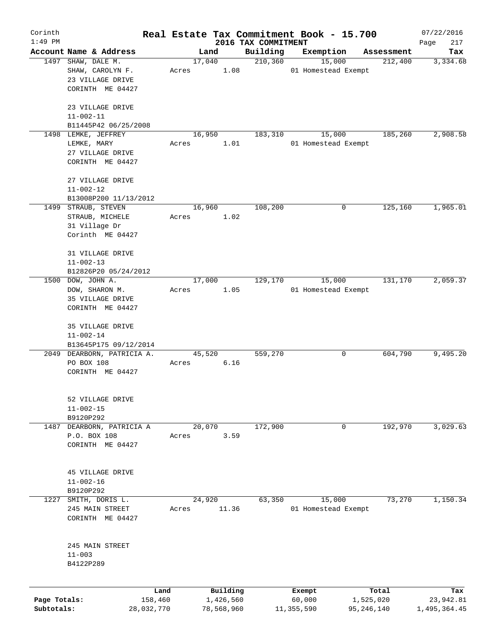| Corinth      |                                                            |            |       |        |            |                     | Real Estate Tax Commitment Book - 15.700 |              | 07/22/2016   |
|--------------|------------------------------------------------------------|------------|-------|--------|------------|---------------------|------------------------------------------|--------------|--------------|
| $1:49$ PM    |                                                            |            |       |        |            | 2016 TAX COMMITMENT |                                          |              | 217<br>Page  |
|              | Account Name & Address                                     |            |       | Land   |            | Building            | Exemption                                | Assessment   | Tax          |
|              | 1497 SHAW, DALE M.<br>SHAW, CAROLYN F.<br>23 VILLAGE DRIVE |            | Acres | 17,040 | 1.08       | 210, 360            | 15,000<br>01 Homestead Exempt            | 212,400      | 3,334.68     |
|              | CORINTH ME 04427                                           |            |       |        |            |                     |                                          |              |              |
|              | 23 VILLAGE DRIVE<br>$11 - 002 - 11$                        |            |       |        |            |                     |                                          |              |              |
|              | B11445P42 06/25/2008                                       |            |       |        |            |                     |                                          |              |              |
|              | 1498 LEMKE, JEFFREY                                        |            |       | 16,950 |            | 183,310             | 15,000                                   | 185,260      | 2,908.58     |
|              | LEMKE, MARY                                                |            | Acres |        | 1.01       |                     | 01 Homestead Exempt                      |              |              |
|              | 27 VILLAGE DRIVE                                           |            |       |        |            |                     |                                          |              |              |
|              | CORINTH ME 04427                                           |            |       |        |            |                     |                                          |              |              |
|              | 27 VILLAGE DRIVE                                           |            |       |        |            |                     |                                          |              |              |
|              | $11 - 002 - 12$                                            |            |       |        |            |                     |                                          |              |              |
|              | B13008P200 11/13/2012                                      |            |       |        |            |                     |                                          |              |              |
|              | 1499 STRAUB, STEVEN                                        |            |       | 16,960 |            | 108,200             | 0                                        | 125,160      | 1,965.01     |
|              | STRAUB, MICHELE                                            |            | Acres |        | 1.02       |                     |                                          |              |              |
|              | 31 Village Dr                                              |            |       |        |            |                     |                                          |              |              |
|              | Corinth ME 04427                                           |            |       |        |            |                     |                                          |              |              |
|              | 31 VILLAGE DRIVE                                           |            |       |        |            |                     |                                          |              |              |
|              | $11 - 002 - 13$                                            |            |       |        |            |                     |                                          |              |              |
|              | B12826P20 05/24/2012                                       |            |       |        |            |                     |                                          |              |              |
| 1500         | DOW, JOHN A.                                               |            |       | 17,000 |            | 129,170             | 15,000                                   | 131, 170     | 2,059.37     |
|              | DOW, SHARON M.                                             |            | Acres |        | 1.05       |                     | 01 Homestead Exempt                      |              |              |
|              | 35 VILLAGE DRIVE                                           |            |       |        |            |                     |                                          |              |              |
|              | CORINTH ME 04427                                           |            |       |        |            |                     |                                          |              |              |
|              | 35 VILLAGE DRIVE                                           |            |       |        |            |                     |                                          |              |              |
|              | $11 - 002 - 14$                                            |            |       |        |            |                     |                                          |              |              |
|              | B13645P175 09/12/2014                                      |            |       |        |            |                     |                                          |              |              |
|              | 2049 DEARBORN, PATRICIA A.                                 |            |       | 45,520 |            | 559,270             | 0                                        | 604,790      | 9,495.20     |
|              | PO BOX 108                                                 |            | Acres |        | 6.16       |                     |                                          |              |              |
|              | CORINTH ME 04427                                           |            |       |        |            |                     |                                          |              |              |
|              | 52 VILLAGE DRIVE                                           |            |       |        |            |                     |                                          |              |              |
|              | $11 - 002 - 15$                                            |            |       |        |            |                     |                                          |              |              |
|              | B9120P292                                                  |            |       |        |            |                     |                                          |              |              |
| 1487         | DEARBORN, PATRICIA A                                       |            |       | 20,070 |            | 172,900             | 0                                        | 192,970      | 3,029.63     |
|              | P.O. BOX 108                                               |            | Acres |        | 3.59       |                     |                                          |              |              |
|              | CORINTH ME 04427                                           |            |       |        |            |                     |                                          |              |              |
|              |                                                            |            |       |        |            |                     |                                          |              |              |
|              | 45 VILLAGE DRIVE                                           |            |       |        |            |                     |                                          |              |              |
|              | $11 - 002 - 16$                                            |            |       |        |            |                     |                                          |              |              |
|              | B9120P292                                                  |            |       |        |            |                     |                                          |              |              |
| 1227         | SMITH, DORIS L.                                            |            |       | 24,920 |            | 63,350              | 15,000                                   | 73,270       | 1,150.34     |
|              | 245 MAIN STREET                                            |            | Acres |        | 11.36      |                     | 01 Homestead Exempt                      |              |              |
|              | CORINTH ME 04427                                           |            |       |        |            |                     |                                          |              |              |
|              |                                                            |            |       |        |            |                     |                                          |              |              |
|              | 245 MAIN STREET                                            |            |       |        |            |                     |                                          |              |              |
|              | $11 - 003$                                                 |            |       |        |            |                     |                                          |              |              |
|              | B4122P289                                                  |            |       |        |            |                     |                                          |              |              |
|              |                                                            |            |       |        |            |                     |                                          |              |              |
|              |                                                            | Land       |       |        | Building   |                     | Exempt                                   | Total        | Tax          |
| Page Totals: |                                                            | 158,460    |       |        | 1,426,560  |                     | 60,000                                   | 1,525,020    | 23,942.81    |
| Subtotals:   |                                                            | 28,032,770 |       |        | 78,568,960 |                     | 11,355,590                               | 95, 246, 140 | 1,495,364.45 |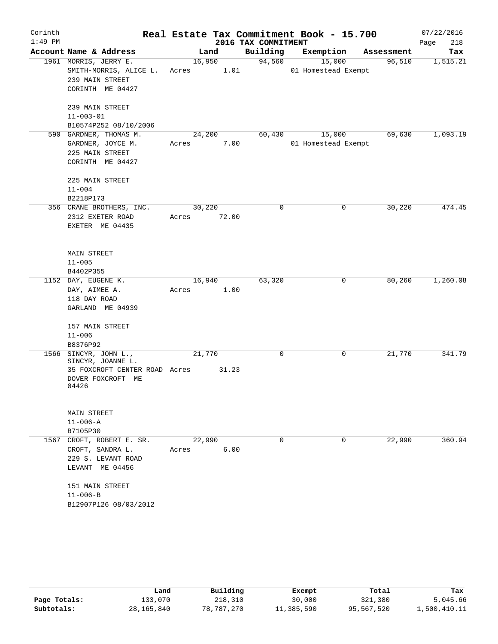| Corinth   |                                          |        |       |                     | Real Estate Tax Commitment Book - 15.700 |            | 07/22/2016  |
|-----------|------------------------------------------|--------|-------|---------------------|------------------------------------------|------------|-------------|
| $1:49$ PM |                                          |        |       | 2016 TAX COMMITMENT |                                          |            | Page<br>218 |
|           | Account Name & Address                   |        | Land  | Building            | Exemption                                | Assessment | Tax         |
|           | 1961 MORRIS, JERRY E.                    | 16,950 |       | 94,560              | 15,000                                   | 96,510     | 1,515.21    |
|           | SMITH-MORRIS, ALICE L.                   | Acres  | 1.01  |                     | 01 Homestead Exempt                      |            |             |
|           | 239 MAIN STREET                          |        |       |                     |                                          |            |             |
|           | CORINTH ME 04427                         |        |       |                     |                                          |            |             |
|           | 239 MAIN STREET                          |        |       |                     |                                          |            |             |
|           | $11 - 003 - 01$                          |        |       |                     |                                          |            |             |
|           | B10574P252 08/10/2006                    |        |       |                     |                                          |            |             |
|           | 590 GARDNER, THOMAS M.                   | 24,200 |       | 60,430              | 15,000                                   | 69,630     | 1,093.19    |
|           | GARDNER, JOYCE M.                        | Acres  | 7.00  |                     | 01 Homestead Exempt                      |            |             |
|           | 225 MAIN STREET                          |        |       |                     |                                          |            |             |
|           | CORINTH ME 04427                         |        |       |                     |                                          |            |             |
|           | 225 MAIN STREET                          |        |       |                     |                                          |            |             |
|           | $11 - 004$                               |        |       |                     |                                          |            |             |
|           | B2218P173                                |        |       |                     |                                          |            |             |
|           | 356 CRANE BROTHERS, INC.                 | 30,220 |       | 0                   | 0                                        | 30, 220    | 474.45      |
|           | 2312 EXETER ROAD                         | Acres  | 72.00 |                     |                                          |            |             |
|           | EXETER ME 04435                          |        |       |                     |                                          |            |             |
|           |                                          |        |       |                     |                                          |            |             |
|           | <b>MAIN STREET</b>                       |        |       |                     |                                          |            |             |
|           | $11 - 005$                               |        |       |                     |                                          |            |             |
|           | B4402P355                                |        |       |                     |                                          |            |             |
|           | 1152 DAY, EUGENE K.                      | 16,940 |       | 63,320              | 0                                        | 80,260     | 1,260.08    |
|           | DAY, AIMEE A.                            | Acres  | 1.00  |                     |                                          |            |             |
|           | 118 DAY ROAD                             |        |       |                     |                                          |            |             |
|           | GARLAND ME 04939                         |        |       |                     |                                          |            |             |
|           | 157 MAIN STREET                          |        |       |                     |                                          |            |             |
|           | $11 - 006$                               |        |       |                     |                                          |            |             |
|           | B8376P92                                 |        |       |                     |                                          |            |             |
|           | 1566 SINCYR, JOHN L.,                    | 21,770 |       | 0                   | 0                                        | 21,770     | 341.79      |
|           | SINCYR, JOANNE L.                        |        |       |                     |                                          |            |             |
|           | 35 FOXCROFT CENTER ROAD Acres            |        | 31.23 |                     |                                          |            |             |
|           | DOVER FOXCROFT ME                        |        |       |                     |                                          |            |             |
|           | 04426                                    |        |       |                     |                                          |            |             |
|           | MAIN STREET                              |        |       |                     |                                          |            |             |
|           |                                          |        |       |                     |                                          |            |             |
|           | $11 - 006 - A$<br>B7105P30               |        |       |                     |                                          |            |             |
| 1567      |                                          | 22,990 |       | $\Omega$            | $\Omega$                                 | 22,990     | 360.94      |
|           | CROFT, ROBERT E. SR.<br>CROFT, SANDRA L. | Acres  | 6.00  |                     |                                          |            |             |
|           | 229 S. LEVANT ROAD                       |        |       |                     |                                          |            |             |
|           | LEVANT ME 04456                          |        |       |                     |                                          |            |             |
|           | 151 MAIN STREET                          |        |       |                     |                                          |            |             |
|           | $11 - 006 - B$                           |        |       |                     |                                          |            |             |
|           | B12907P126 08/03/2012                    |        |       |                     |                                          |            |             |
|           |                                          |        |       |                     |                                          |            |             |

|              | Land         | Building   | Exempt     | Total      | Tax          |
|--------------|--------------|------------|------------|------------|--------------|
| Page Totals: | 133,070      | 218,310    | 30,000     | 321,380    | 5,045.66     |
| Subtotals:   | 28, 165, 840 | 78,787,270 | 11,385,590 | 95,567,520 | 1,500,410.11 |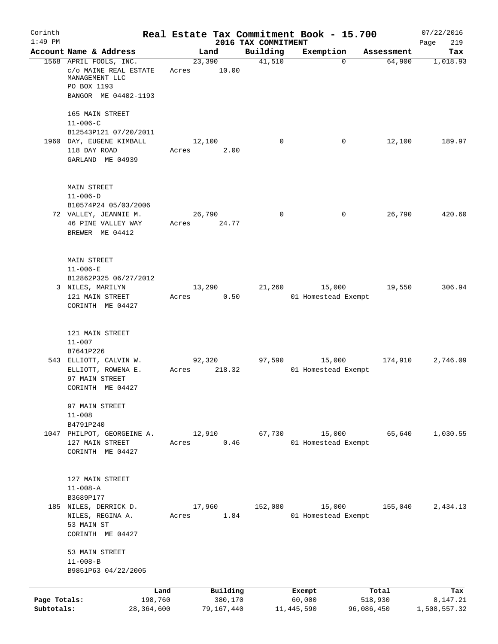| Corinth<br>$1:49$ PM       |                                                                                                          |                 |                       | 2016 TAX COMMITMENT | Real Estate Tax Commitment Book - 15.700 |                       | 07/22/2016<br>219<br>Page |
|----------------------------|----------------------------------------------------------------------------------------------------------|-----------------|-----------------------|---------------------|------------------------------------------|-----------------------|---------------------------|
|                            | Account Name & Address                                                                                   | Land            |                       | Building            | Exemption                                | Assessment            | Tax                       |
|                            | 1568 APRIL FOOLS, INC.<br>C/O MAINE REAL ESTATE<br>MANAGEMENT LLC<br>PO BOX 1193<br>BANGOR ME 04402-1193 | 23,390<br>Acres | 10.00                 | 41,510              |                                          | 64,900<br>$\mathbf 0$ | 1,018.93                  |
|                            | 165 MAIN STREET<br>$11 - 006 - C$<br>B12543P121 07/20/2011                                               |                 |                       |                     |                                          |                       |                           |
|                            | 1960 DAY, EUGENE KIMBALL<br>118 DAY ROAD<br>GARLAND ME 04939                                             | 12,100<br>Acres | 2.00                  | $\Omega$            |                                          | 12,100<br>0           | 189.97                    |
|                            | <b>MAIN STREET</b><br>$11 - 006 - D$<br>B10574P24 05/03/2006                                             |                 |                       |                     |                                          |                       |                           |
|                            | 72 VALLEY, JEANNIE M.<br>46 PINE VALLEY WAY<br>BREWER ME 04412                                           | 26,790<br>Acres | 24.77                 | $\mathbf 0$         |                                          | 0<br>26,790           | 420.60                    |
|                            | <b>MAIN STREET</b><br>$11 - 006 - E$<br>B12862P325 06/27/2012                                            |                 |                       |                     |                                          |                       |                           |
|                            | 3 NILES, MARILYN<br>121 MAIN STREET<br>CORINTH ME 04427                                                  | 13,290<br>Acres | 0.50                  | 21,260              | 15,000<br>01 Homestead Exempt            | 19,550                | 306.94                    |
|                            | 121 MAIN STREET<br>$11 - 007$<br>B7641P226                                                               |                 |                       |                     |                                          |                       |                           |
|                            | 543 ELLIOTT, CALVIN W.<br>ELLIOTT, ROWENA E.<br>97 MAIN STREET<br>CORINTH ME 04427                       | 92,320<br>Acres | 218.32                | 97,590              | 15,000<br>01 Homestead Exempt            | 174,910               | 2,746.09                  |
|                            | 97 MAIN STREET<br>$11 - 008$<br>B4791P240                                                                |                 |                       |                     |                                          |                       |                           |
|                            | 1047 PHILPOT, GEORGEINE A.<br>127 MAIN STREET<br>CORINTH ME 04427                                        | 12,910<br>Acres | 0.46                  | 67,730              | 15,000<br>01 Homestead Exempt            | 65,640                | 1,030.55                  |
|                            | 127 MAIN STREET<br>$11 - 008 - A$<br>B3689P177                                                           |                 |                       |                     |                                          |                       |                           |
|                            | 185 NILES, DERRICK D.<br>NILES, REGINA A.<br>53 MAIN ST<br>CORINTH ME 04427                              | 17,960<br>Acres | 1.84                  | 152,080             | 15,000<br>01 Homestead Exempt            | 155,040               | 2,434.13                  |
|                            | 53 MAIN STREET<br>$11 - 008 - B$<br>B9851P63 04/22/2005                                                  |                 |                       |                     |                                          |                       |                           |
|                            | Land                                                                                                     |                 | Building              |                     | Exempt                                   | Total                 | Tax                       |
| Page Totals:<br>Subtotals: | 198,760<br>28,364,600                                                                                    |                 | 380,170<br>79,167,440 |                     | 60,000<br>11,445,590                     | 518,930<br>96,086,450 | 8,147.21<br>1,508,557.32  |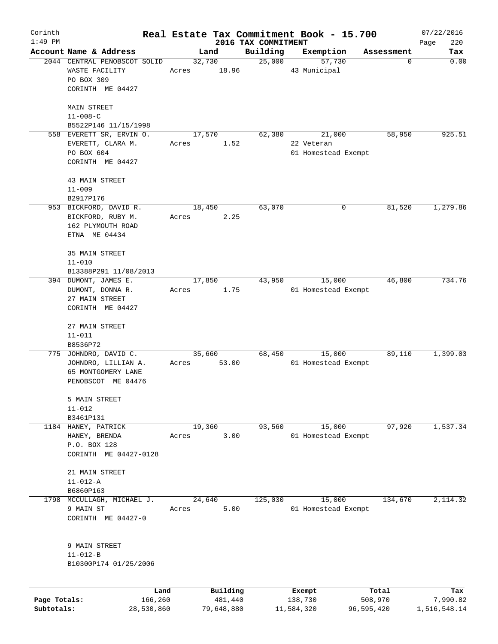| Corinth      |                                        |       |            |                                 | Real Estate Tax Commitment Book - 15.700 |            | 07/22/2016         |
|--------------|----------------------------------------|-------|------------|---------------------------------|------------------------------------------|------------|--------------------|
| $1:49$ PM    | Account Name & Address                 |       | Land       | 2016 TAX COMMITMENT<br>Building | Exemption                                | Assessment | 220<br>Page<br>Tax |
|              | 2044 CENTRAL PENOBSCOT SOLID           |       | 32,730     | 25,000                          | 57,730                                   | 0          | 0.00               |
|              | WASTE FACILITY<br>PO BOX 309           | Acres | 18.96      |                                 | 43 Municipal                             |            |                    |
|              | CORINTH ME 04427                       |       |            |                                 |                                          |            |                    |
|              | MAIN STREET                            |       |            |                                 |                                          |            |                    |
|              | $11 - 008 - C$<br>B5522P146 11/15/1998 |       |            |                                 |                                          |            |                    |
|              | 558 EVERETT SR, ERVIN O.               |       | 17,570     | 62,380                          | 21,000                                   | 58,950     | 925.51             |
|              | EVERETT, CLARA M.                      | Acres | 1.52       |                                 | 22 Veteran                               |            |                    |
|              | PO BOX 604                             |       |            |                                 | 01 Homestead Exempt                      |            |                    |
|              | CORINTH ME 04427                       |       |            |                                 |                                          |            |                    |
|              | 43 MAIN STREET                         |       |            |                                 |                                          |            |                    |
|              | $11 - 009$                             |       |            |                                 |                                          |            |                    |
|              | B2917P176                              |       |            |                                 |                                          |            |                    |
|              | 953 BICKFORD, DAVID R.                 |       | 18,450     | 63,070                          | 0                                        | 81,520     | 1,279.86           |
|              | BICKFORD, RUBY M.                      | Acres | 2.25       |                                 |                                          |            |                    |
|              | 162 PLYMOUTH ROAD                      |       |            |                                 |                                          |            |                    |
|              | ETNA ME 04434                          |       |            |                                 |                                          |            |                    |
|              | 35 MAIN STREET<br>$11 - 010$           |       |            |                                 |                                          |            |                    |
|              | B13388P291 11/08/2013                  |       |            |                                 |                                          |            |                    |
|              | 394 DUMONT, JAMES E.                   |       | 17,850     | 43,950                          | 15,000                                   | 46,800     | 734.76             |
|              | DUMONT, DONNA R.                       | Acres | 1.75       |                                 | 01 Homestead Exempt                      |            |                    |
|              | 27 MAIN STREET                         |       |            |                                 |                                          |            |                    |
|              | CORINTH ME 04427                       |       |            |                                 |                                          |            |                    |
|              | 27 MAIN STREET                         |       |            |                                 |                                          |            |                    |
|              | $11 - 011$                             |       |            |                                 |                                          |            |                    |
|              | B8536P72                               |       |            |                                 |                                          |            |                    |
|              | 775 JOHNDRO, DAVID C.                  |       | 35,660     | 68,450                          | 15,000                                   | 89,110     | 1,399.03           |
|              | JOHNDRO, LILLIAN A.                    | Acres | 53.00      |                                 | 01 Homestead Exempt                      |            |                    |
|              | 65 MONTGOMERY LANE                     |       |            |                                 |                                          |            |                    |
|              | PENOBSCOT ME 04476                     |       |            |                                 |                                          |            |                    |
|              | 5 MAIN STREET                          |       |            |                                 |                                          |            |                    |
|              | $11 - 012$                             |       |            |                                 |                                          |            |                    |
|              | B3461P131                              |       |            |                                 |                                          |            |                    |
|              | 1184 HANEY, PATRICK                    |       | 19,360     | 93,560                          | 15,000                                   | 97,920     | 1,537.34           |
|              | HANEY, BRENDA                          | Acres | 3.00       |                                 | 01 Homestead Exempt                      |            |                    |
|              | P.O. BOX 128<br>CORINTH ME 04427-0128  |       |            |                                 |                                          |            |                    |
|              |                                        |       |            |                                 |                                          |            |                    |
|              | 21 MAIN STREET                         |       |            |                                 |                                          |            |                    |
|              | $11 - 012 - A$                         |       |            |                                 |                                          |            |                    |
|              | B6860P163                              |       |            |                                 |                                          |            |                    |
| 1798         | MCCULLAGH, MICHAEL J.                  |       | 24,640     | 125,030                         | 15,000                                   | 134,670    | 2, 114.32          |
|              | 9 MAIN ST                              | Acres | 5.00       |                                 | 01 Homestead Exempt                      |            |                    |
|              | CORINTH ME 04427-0                     |       |            |                                 |                                          |            |                    |
|              |                                        |       |            |                                 |                                          |            |                    |
|              | 9 MAIN STREET                          |       |            |                                 |                                          |            |                    |
|              | $11 - 012 - B$                         |       |            |                                 |                                          |            |                    |
|              | B10300P174 01/25/2006                  |       |            |                                 |                                          |            |                    |
|              |                                        | Land  | Building   |                                 | Exempt                                   | Total      | Tax                |
| Page Totals: | 166,260                                |       | 481,440    |                                 | 138,730                                  | 508,970    | 7,990.82           |
| Subtotals:   | 28,530,860                             |       | 79,648,880 |                                 | 11,584,320                               | 96,595,420 | 1,516,548.14       |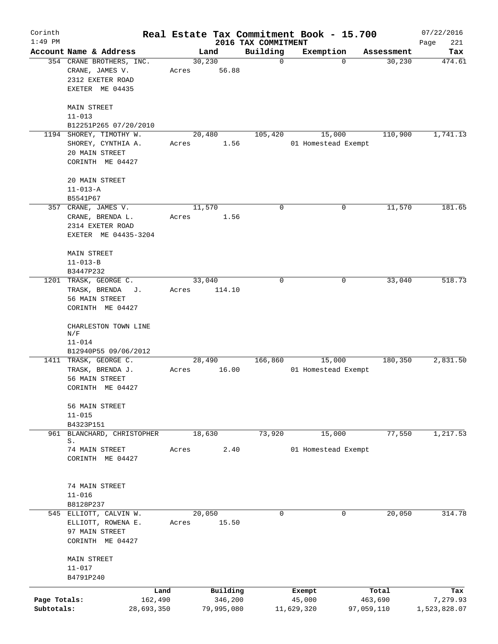| Corinth                    |                                                                                     |       |                                   |                                 | Real Estate Tax Commitment Book - 15.700 |                                | 07/22/2016                      |
|----------------------------|-------------------------------------------------------------------------------------|-------|-----------------------------------|---------------------------------|------------------------------------------|--------------------------------|---------------------------------|
| $1:49$ PM                  | Account Name & Address                                                              |       | Land                              | 2016 TAX COMMITMENT<br>Building | Exemption                                | Assessment                     | Page<br>221<br>Tax              |
|                            | 354 CRANE BROTHERS, INC.<br>CRANE, JAMES V.<br>2312 EXETER ROAD<br>EXETER ME 04435  | Acres | 30, 230<br>56.88                  | 0                               | $\Omega$                                 | 30, 230                        | 474.61                          |
|                            | <b>MAIN STREET</b><br>$11 - 013$<br>B12251P265 07/20/2010                           |       |                                   |                                 |                                          |                                |                                 |
|                            | 1194 SHOREY, TIMOTHY W.<br>SHOREY, CYNTHIA A.<br>20 MAIN STREET<br>CORINTH ME 04427 | Acres | 20,480<br>1.56                    | 105,420                         | 15,000<br>01 Homestead Exempt            | 110,900                        | 1,741.13                        |
|                            | 20 MAIN STREET<br>$11 - 013 - A$<br>B5541P67                                        |       |                                   |                                 |                                          |                                |                                 |
|                            | 357 CRANE, JAMES V.<br>CRANE, BRENDA L.<br>2314 EXETER ROAD<br>EXETER ME 04435-3204 | Acres | 11,570<br>1.56                    | 0                               | 0                                        | 11,570                         | 181.65                          |
|                            | MAIN STREET<br>$11 - 013 - B$<br>B3447P232                                          |       |                                   |                                 |                                          |                                |                                 |
| 1201                       | TRASK, GEORGE C.<br>TRASK, BRENDA<br>J.<br>56 MAIN STREET<br>CORINTH ME 04427       | Acres | 33,040<br>114.10                  | 0                               | 0                                        | 33,040                         | 518.73                          |
|                            | CHARLESTON TOWN LINE<br>N/F<br>$11 - 014$<br>B12940P55 09/06/2012                   |       |                                   |                                 |                                          |                                |                                 |
|                            | 1411 TRASK, GEORGE C.<br>TRASK, BRENDA J.<br>56 MAIN STREET<br>CORINTH ME 04427     | Acres | 28,490<br>16.00                   | 166,860                         | 15,000<br>01 Homestead Exempt            | 180,350                        | 2,831.50                        |
|                            | 56 MAIN STREET<br>$11 - 015$<br>B4323P151                                           |       |                                   |                                 |                                          |                                |                                 |
|                            | 961 BLANCHARD, CHRISTOPHER<br>S.                                                    |       | 18,630                            | 73,920                          | 15,000                                   | 77,550                         | 1,217.53                        |
|                            | 74 MAIN STREET<br>CORINTH ME 04427                                                  | Acres | 2.40                              |                                 | 01 Homestead Exempt                      |                                |                                 |
|                            | 74 MAIN STREET<br>$11 - 016$<br>B8128P237                                           |       |                                   |                                 |                                          |                                |                                 |
|                            | 545 ELLIOTT, CALVIN W.                                                              |       | 20,050                            | 0                               | 0                                        | 20,050                         | 314.78                          |
|                            | ELLIOTT, ROWENA E.<br>97 MAIN STREET<br>CORINTH ME 04427                            | Acres | 15.50                             |                                 |                                          |                                |                                 |
|                            | MAIN STREET<br>$11 - 017$<br>B4791P240                                              |       |                                   |                                 |                                          |                                |                                 |
| Page Totals:<br>Subtotals: | Land<br>162,490<br>28,693,350                                                       |       | Building<br>346,200<br>79,995,080 |                                 | Exempt<br>45,000<br>11,629,320           | Total<br>463,690<br>97,059,110 | Tax<br>7,279.93<br>1,523,828.07 |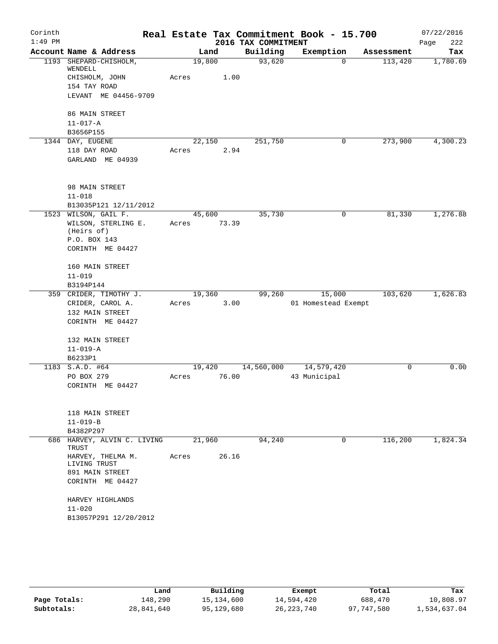| Corinth   |                                      |        |       |                     | Real Estate Tax Commitment Book - 15.700 |            | 07/22/2016  |
|-----------|--------------------------------------|--------|-------|---------------------|------------------------------------------|------------|-------------|
| $1:49$ PM |                                      |        |       | 2016 TAX COMMITMENT |                                          |            | 222<br>Page |
|           | Account Name & Address               |        | Land  | Building            | Exemption                                | Assessment | Tax         |
| 1193      | SHEPARD-CHISHOLM,<br>WENDELL         | 19,800 |       | 93,620              | $\Omega$                                 | 113,420    | 1,780.69    |
|           | CHISHOLM, JOHN                       | Acres  | 1.00  |                     |                                          |            |             |
|           | 154 TAY ROAD                         |        |       |                     |                                          |            |             |
|           | LEVANT ME 04456-9709                 |        |       |                     |                                          |            |             |
|           | 86 MAIN STREET                       |        |       |                     |                                          |            |             |
|           | $11 - 017 - A$                       |        |       |                     |                                          |            |             |
|           | B3656P155                            |        |       |                     |                                          |            |             |
|           | 1344 DAY, EUGENE                     | 22,150 |       | 251,750             | 0                                        | 273,900    | 4,300.23    |
|           | 118 DAY ROAD                         | Acres  | 2.94  |                     |                                          |            |             |
|           | GARLAND ME 04939                     |        |       |                     |                                          |            |             |
|           | 98 MAIN STREET                       |        |       |                     |                                          |            |             |
|           | $11 - 018$                           |        |       |                     |                                          |            |             |
|           | B13035P121 12/11/2012                |        |       |                     |                                          |            |             |
|           | 1523 WILSON, GAIL F.                 | 45,600 |       | 35,730              | 0                                        | 81,330     | 1,276.88    |
|           | WILSON, STERLING E.                  | Acres  | 73.39 |                     |                                          |            |             |
|           | (Heirs of)                           |        |       |                     |                                          |            |             |
|           | P.O. BOX 143                         |        |       |                     |                                          |            |             |
|           | CORINTH ME 04427                     |        |       |                     |                                          |            |             |
|           | 160 MAIN STREET                      |        |       |                     |                                          |            |             |
|           | $11 - 019$                           |        |       |                     |                                          |            |             |
|           | B3194P144                            |        |       |                     |                                          |            |             |
|           | 359 CRIDER, TIMOTHY J.               | 19,360 |       | 99,260              | 15,000                                   | 103,620    | 1,626.83    |
|           | CRIDER, CAROL A.                     | Acres  | 3.00  |                     | 01 Homestead Exempt                      |            |             |
|           | 132 MAIN STREET                      |        |       |                     |                                          |            |             |
|           | CORINTH ME 04427                     |        |       |                     |                                          |            |             |
|           | 132 MAIN STREET                      |        |       |                     |                                          |            |             |
|           | $11 - 019 - A$                       |        |       |                     |                                          |            |             |
|           | B6233P1                              |        |       |                     |                                          |            |             |
|           | 1183 S.A.D. #64                      | 19,420 |       | 14,560,000          | 14,579,420                               | 0          | 0.00        |
|           | PO BOX 279                           | Acres  | 76.00 |                     | 43 Municipal                             |            |             |
|           | CORINTH ME 04427                     |        |       |                     |                                          |            |             |
|           | 118 MAIN STREET                      |        |       |                     |                                          |            |             |
|           | $11 - 019 - B$                       |        |       |                     |                                          |            |             |
|           | B4382P297                            |        |       |                     |                                          |            |             |
|           | 686 HARVEY, ALVIN C. LIVING<br>TRUST | 21,960 |       | 94,240              | 0                                        | 116,200    | 1,824.34    |
|           | HARVEY, THELMA M.<br>LIVING TRUST    | Acres  | 26.16 |                     |                                          |            |             |
|           | 891 MAIN STREET                      |        |       |                     |                                          |            |             |
|           | CORINTH ME 04427                     |        |       |                     |                                          |            |             |
|           | HARVEY HIGHLANDS                     |        |       |                     |                                          |            |             |
|           | $11 - 020$                           |        |       |                     |                                          |            |             |
|           | B13057P291 12/20/2012                |        |       |                     |                                          |            |             |

|              | Land       | Building   | Exempt       | Total      | Tax          |
|--------------|------------|------------|--------------|------------|--------------|
| Page Totals: | 148,290    | 15,134,600 | 14,594,420   | 688,470    | 10,808.97    |
| Subtotals:   | 28,841,640 | 95,129,680 | 26, 223, 740 | 97,747,580 | 1,534,637.04 |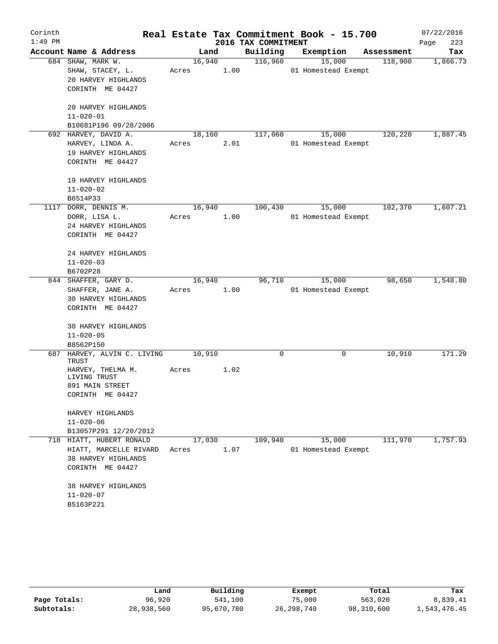| Corinth<br>$1:49$ PM |                                          |        |      | 2016 TAX COMMITMENT | Real Estate Tax Commitment Book - 15.700 |            | 07/22/2016<br>Page<br>223 |
|----------------------|------------------------------------------|--------|------|---------------------|------------------------------------------|------------|---------------------------|
|                      | Account Name & Address                   |        | Land | Building            | Exemption                                | Assessment | Tax                       |
|                      | 684 SHAW, MARK W.                        | 16,940 |      | 116,960             | 15,000                                   | 118,900    | 1,866.73                  |
|                      | SHAW, STACEY, L.                         | Acres  | 1.00 |                     | 01 Homestead Exempt                      |            |                           |
|                      | 20 HARVEY HIGHLANDS                      |        |      |                     |                                          |            |                           |
|                      | CORINTH ME 04427                         |        |      |                     |                                          |            |                           |
|                      |                                          |        |      |                     |                                          |            |                           |
|                      | 20 HARVEY HIGHLANDS                      |        |      |                     |                                          |            |                           |
|                      | $11 - 020 - 01$                          |        |      |                     |                                          |            |                           |
|                      | B10681P196 09/28/2006                    |        |      |                     |                                          |            |                           |
|                      | 692 HARVEY, DAVID A.                     | 18,160 |      | 117,060             | 15,000                                   | 120,220    | 1,887.45                  |
|                      | HARVEY, LINDA A.                         | Acres  | 2.01 |                     | 01 Homestead Exempt                      |            |                           |
|                      | 19 HARVEY HIGHLANDS                      |        |      |                     |                                          |            |                           |
|                      | CORINTH ME 04427                         |        |      |                     |                                          |            |                           |
|                      |                                          |        |      |                     |                                          |            |                           |
|                      | 19 HARVEY HIGHLANDS                      |        |      |                     |                                          |            |                           |
|                      | $11 - 020 - 02$                          |        |      |                     |                                          |            |                           |
|                      | B6514P33<br>1117 DORR, DENNIS M.         | 16,940 |      | 100,430             | 15,000                                   | 102,370    | 1,607.21                  |
|                      | DORR, LISA L.                            | Acres  | 1.00 |                     | 01 Homestead Exempt                      |            |                           |
|                      | 24 HARVEY HIGHLANDS                      |        |      |                     |                                          |            |                           |
|                      | CORINTH ME 04427                         |        |      |                     |                                          |            |                           |
|                      |                                          |        |      |                     |                                          |            |                           |
|                      | 24 HARVEY HIGHLANDS                      |        |      |                     |                                          |            |                           |
|                      | $11 - 020 - 03$                          |        |      |                     |                                          |            |                           |
|                      | B6702P28                                 |        |      |                     |                                          |            |                           |
|                      | 844 SHAFFER, GARY D.                     | 16,940 |      | 96,710              | 15,000                                   | 98,650     | 1,548.80                  |
|                      | SHAFFER, JANE A.                         | Acres  | 1.00 |                     | 01 Homestead Exempt                      |            |                           |
|                      | 30 HARVEY HIGHLANDS                      |        |      |                     |                                          |            |                           |
|                      | CORINTH ME 04427                         |        |      |                     |                                          |            |                           |
|                      |                                          |        |      |                     |                                          |            |                           |
|                      | 30 HARVEY HIGHLANDS                      |        |      |                     |                                          |            |                           |
|                      | $11 - 020 - 05$                          |        |      |                     |                                          |            |                           |
|                      | B8562P150<br>HARVEY, ALVIN C. LIVING     | 10,910 |      | 0                   | $\mathbf 0$                              |            | 171.29                    |
| 687                  | TRUST                                    |        |      |                     |                                          | 10,910     |                           |
|                      | HARVEY, THELMA M.                        | Acres  | 1.02 |                     |                                          |            |                           |
|                      | LIVING TRUST                             |        |      |                     |                                          |            |                           |
|                      | 891 MAIN STREET                          |        |      |                     |                                          |            |                           |
|                      | CORINTH ME 04427                         |        |      |                     |                                          |            |                           |
|                      |                                          |        |      |                     |                                          |            |                           |
|                      | HARVEY HIGHLANDS                         |        |      |                     |                                          |            |                           |
|                      | $11 - 020 - 06$<br>B13057P291 12/20/2012 |        |      |                     |                                          |            |                           |
|                      | 718 HIATT, HUBERT RONALD                 | 17,030 |      | 109,940             | 15,000                                   | 111,970    | 1,757.93                  |
|                      | HIATT, MARCELLE RIVARD                   | Acres  | 1.07 |                     | 01 Homestead Exempt                      |            |                           |
|                      | 38 HARVEY HIGHLANDS                      |        |      |                     |                                          |            |                           |
|                      | CORINTH ME 04427                         |        |      |                     |                                          |            |                           |
|                      |                                          |        |      |                     |                                          |            |                           |
|                      | 38 HARVEY HIGHLANDS                      |        |      |                     |                                          |            |                           |
|                      | $11 - 020 - 07$                          |        |      |                     |                                          |            |                           |
|                      | B5163P221                                |        |      |                     |                                          |            |                           |

|              | Land       | Building   | Exempt       | Total      | Tax          |
|--------------|------------|------------|--------------|------------|--------------|
| Page Totals: | 96,920     | 541,100    | 75,000       | 563,020    | 8,839.41     |
| Subtotals:   | 28,938,560 | 95,670,780 | 26, 298, 740 | 98,310,600 | 1,543,476.45 |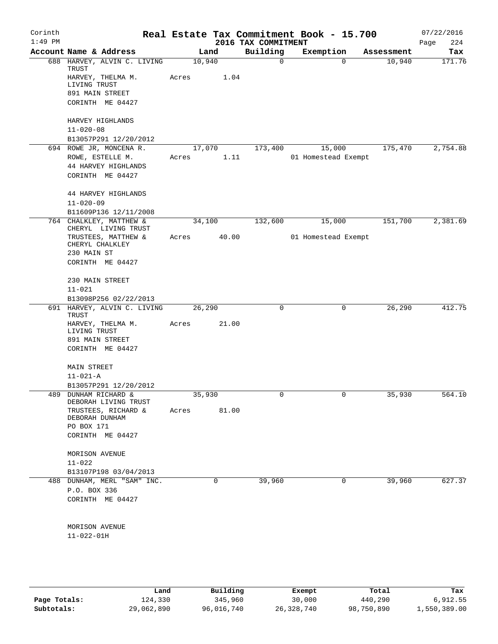| Corinth<br>$1:49$ PM |                                                      |        |             | 2016 TAX COMMITMENT | Real Estate Tax Commitment Book - 15.700 |                       | 07/22/2016<br>224<br>Page |
|----------------------|------------------------------------------------------|--------|-------------|---------------------|------------------------------------------|-----------------------|---------------------------|
|                      | Account Name & Address                               |        | Land        | Building            | Exemption                                | Assessment            | Tax                       |
|                      | 688 HARVEY, ALVIN C. LIVING<br>TRUST                 | 10,940 |             | $\mathbf 0$         |                                          | 10,940<br>$\mathbf 0$ | 171.76                    |
|                      | HARVEY, THELMA M.<br>LIVING TRUST                    | Acres  | 1.04        |                     |                                          |                       |                           |
|                      | 891 MAIN STREET                                      |        |             |                     |                                          |                       |                           |
|                      | CORINTH ME 04427                                     |        |             |                     |                                          |                       |                           |
|                      | HARVEY HIGHLANDS<br>$11 - 020 - 08$                  |        |             |                     |                                          |                       |                           |
|                      | B13057P291 12/20/2012                                |        |             |                     |                                          |                       |                           |
|                      | 694 ROWE JR, MONCENA R.                              | 17,070 |             | 173,400             | 15,000                                   | 175,470               | 2,754.88                  |
|                      | ROWE, ESTELLE M.                                     | Acres  | 1.11        |                     | 01 Homestead Exempt                      |                       |                           |
|                      | 44 HARVEY HIGHLANDS                                  |        |             |                     |                                          |                       |                           |
|                      | CORINTH ME 04427                                     |        |             |                     |                                          |                       |                           |
|                      | 44 HARVEY HIGHLANDS                                  |        |             |                     |                                          |                       |                           |
|                      | $11 - 020 - 09$                                      |        |             |                     |                                          |                       |                           |
|                      | B11609P136 12/11/2008                                |        |             |                     |                                          |                       |                           |
|                      | 764 CHALKLEY, MATTHEW &<br>CHERYL LIVING TRUST       | 34,100 |             | 132,600             | 15,000                                   | 151,700               | 2,381.69                  |
|                      | TRUSTEES, MATTHEW &<br>CHERYL CHALKLEY               | Acres  | 40.00       |                     | 01 Homestead Exempt                      |                       |                           |
|                      | 230 MAIN ST                                          |        |             |                     |                                          |                       |                           |
|                      | CORINTH ME 04427                                     |        |             |                     |                                          |                       |                           |
|                      | 230 MAIN STREET                                      |        |             |                     |                                          |                       |                           |
|                      | $11 - 021$                                           |        |             |                     |                                          |                       |                           |
|                      | B13098P256 02/22/2013                                |        |             |                     |                                          |                       |                           |
|                      | 691 HARVEY, ALVIN C. LIVING<br>TRUST                 | 26,290 |             | 0                   |                                          | 26,290<br>0           | 412.75                    |
|                      | HARVEY, THELMA M.<br>LIVING TRUST                    | Acres  | 21.00       |                     |                                          |                       |                           |
|                      | 891 MAIN STREET                                      |        |             |                     |                                          |                       |                           |
|                      | CORINTH ME 04427                                     |        |             |                     |                                          |                       |                           |
|                      | <b>MAIN STREET</b>                                   |        |             |                     |                                          |                       |                           |
|                      | $11 - 021 - A$                                       |        |             |                     |                                          |                       |                           |
|                      | B13057P291 12/20/2012                                |        |             |                     |                                          |                       |                           |
|                      | 489 DUNHAM RICHARD &<br>DEBORAH LIVING TRUST         | 35,930 |             | 0                   |                                          | 35,930<br>0           | 564.10                    |
|                      | TRUSTEES, RICHARD &                                  | Acres  | 81.00       |                     |                                          |                       |                           |
|                      | DEBORAH DUNHAM                                       |        |             |                     |                                          |                       |                           |
|                      | PO BOX 171                                           |        |             |                     |                                          |                       |                           |
|                      | CORINTH ME 04427                                     |        |             |                     |                                          |                       |                           |
|                      | MORISON AVENUE                                       |        |             |                     |                                          |                       |                           |
|                      | $11 - 022$                                           |        |             |                     |                                          |                       |                           |
|                      | B13107P198 03/04/2013<br>488 DUNHAM, MERL "SAM" INC. |        |             |                     |                                          | 39,960                |                           |
|                      |                                                      |        | $\mathbf 0$ | 39,960              |                                          | 0                     | 627.37                    |
|                      | P.O. BOX 336                                         |        |             |                     |                                          |                       |                           |
|                      | CORINTH ME 04427                                     |        |             |                     |                                          |                       |                           |
|                      | MORISON AVENUE                                       |        |             |                     |                                          |                       |                           |
|                      | $11 - 022 - 01H$                                     |        |             |                     |                                          |                       |                           |
|                      |                                                      |        |             |                     |                                          |                       |                           |
|                      |                                                      |        |             |                     |                                          |                       |                           |
|                      |                                                      |        |             |                     |                                          |                       |                           |
|                      |                                                      |        |             |                     |                                          |                       |                           |

|              | Land       | Building   | Exempt     | Total      | Tax          |
|--------------|------------|------------|------------|------------|--------------|
| Page Totals: | 124,330    | 345,960    | 30,000     | 440,290    | 6,912.55     |
| Subtotals:   | 29,062,890 | 96,016,740 | 26,328,740 | 98,750,890 | 1,550,389.00 |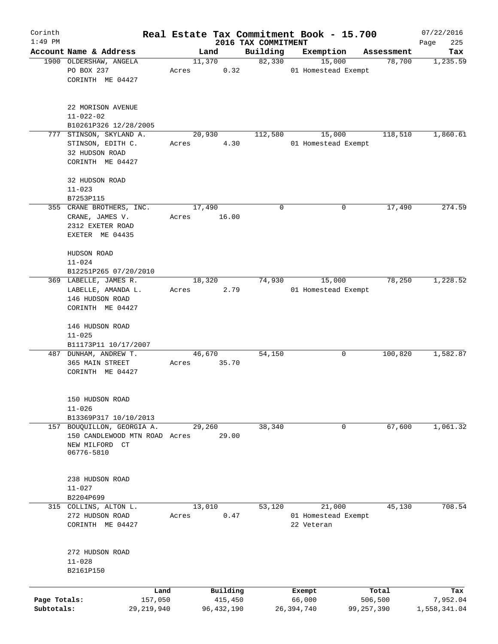| Corinth      |                                              |       |                     |                     | Real Estate Tax Commitment Book - 15.700 |                      | 07/22/2016      |
|--------------|----------------------------------------------|-------|---------------------|---------------------|------------------------------------------|----------------------|-----------------|
| $1:49$ PM    | Account Name & Address                       |       |                     | 2016 TAX COMMITMENT |                                          |                      | 225<br>Page     |
|              | 1900 OLDERSHAW, ANGELA                       |       | Land<br>11,370      | Building<br>82,330  | Exemption<br>15,000                      | Assessment<br>78,700 | Tax<br>1,235.59 |
|              | PO BOX 237                                   | Acres | 0.32                |                     | 01 Homestead Exempt                      |                      |                 |
|              | CORINTH ME 04427                             |       |                     |                     |                                          |                      |                 |
|              |                                              |       |                     |                     |                                          |                      |                 |
|              | 22 MORISON AVENUE                            |       |                     |                     |                                          |                      |                 |
|              | $11 - 022 - 02$                              |       |                     |                     |                                          |                      |                 |
|              | B10261P326 12/28/2005                        |       |                     |                     |                                          |                      | 1,860.61        |
|              | 777 STINSON, SKYLAND A.<br>STINSON, EDITH C. | Acres | 20,930<br>4.30      | 112,580             | 15,000<br>01 Homestead Exempt            | 118,510              |                 |
|              | 32 HUDSON ROAD                               |       |                     |                     |                                          |                      |                 |
|              | CORINTH ME 04427                             |       |                     |                     |                                          |                      |                 |
|              | 32 HUDSON ROAD                               |       |                     |                     |                                          |                      |                 |
|              | $11 - 023$                                   |       |                     |                     |                                          |                      |                 |
|              | B7253P115                                    |       |                     |                     |                                          |                      |                 |
|              | 355 CRANE BROTHERS, INC.                     |       | 17,490              | 0                   | 0                                        | 17,490               | 274.59          |
|              | CRANE, JAMES V.                              | Acres | 16.00               |                     |                                          |                      |                 |
|              | 2312 EXETER ROAD                             |       |                     |                     |                                          |                      |                 |
|              | EXETER ME 04435                              |       |                     |                     |                                          |                      |                 |
|              | HUDSON ROAD                                  |       |                     |                     |                                          |                      |                 |
|              | $11 - 024$                                   |       |                     |                     |                                          |                      |                 |
|              | B12251P265 07/20/2010                        |       |                     |                     |                                          |                      |                 |
|              | 369 LABELLE, JAMES R.                        |       | 18,320              | 74,930              | 15,000                                   | 78,250               | 1,228.52        |
|              | LABELLE, AMANDA L.                           | Acres | 2.79                |                     | 01 Homestead Exempt                      |                      |                 |
|              | 146 HUDSON ROAD                              |       |                     |                     |                                          |                      |                 |
|              | CORINTH ME 04427                             |       |                     |                     |                                          |                      |                 |
|              | 146 HUDSON ROAD                              |       |                     |                     |                                          |                      |                 |
|              | $11 - 025$                                   |       |                     |                     |                                          |                      |                 |
|              | B11173P11 10/17/2007                         |       |                     |                     |                                          |                      |                 |
|              | 487 DUNHAM, ANDREW T.                        |       | 46,670              | 54,150              | 0                                        | 100,820              | 1,582.87        |
|              | 365 MAIN STREET                              | Acres | 35.70               |                     |                                          |                      |                 |
|              | CORINTH ME 04427                             |       |                     |                     |                                          |                      |                 |
|              | 150 HUDSON ROAD                              |       |                     |                     |                                          |                      |                 |
|              | $11 - 026$                                   |       |                     |                     |                                          |                      |                 |
|              | B13369P317 10/10/2013                        |       |                     |                     |                                          |                      |                 |
|              | 157 BOUQUILLON, GEORGIA A.                   |       | 29,260              | 38,340              | 0                                        | 67,600               | 1,061.32        |
|              | 150 CANDLEWOOD MTN ROAD Acres                |       | 29.00               |                     |                                          |                      |                 |
|              | NEW MILFORD CT                               |       |                     |                     |                                          |                      |                 |
|              | 06776-5810                                   |       |                     |                     |                                          |                      |                 |
|              | 238 HUDSON ROAD                              |       |                     |                     |                                          |                      |                 |
|              | $11 - 027$                                   |       |                     |                     |                                          |                      |                 |
|              | B2204P699                                    |       |                     |                     |                                          |                      |                 |
|              | 315 COLLINS, ALTON L.                        |       | 13,010              | 53,120              | 21,000                                   | 45,130               | 708.54          |
|              | 272 HUDSON ROAD                              | Acres | 0.47                |                     | 01 Homestead Exempt                      |                      |                 |
|              | CORINTH ME 04427                             |       |                     |                     | 22 Veteran                               |                      |                 |
|              |                                              |       |                     |                     |                                          |                      |                 |
|              | 272 HUDSON ROAD                              |       |                     |                     |                                          |                      |                 |
|              | $11 - 028$                                   |       |                     |                     |                                          |                      |                 |
|              | B2161P150                                    |       |                     |                     |                                          |                      |                 |
|              |                                              |       |                     |                     |                                          |                      |                 |
| Page Totals: | Land<br>157,050                              |       | Building<br>415,450 |                     | Exempt<br>66,000                         | Total<br>506,500     | Tax<br>7,952.04 |
| Subtotals:   | 29,219,940                                   |       | 96, 432, 190        |                     | 26,394,740                               | 99,257,390           | 1,558,341.04    |
|              |                                              |       |                     |                     |                                          |                      |                 |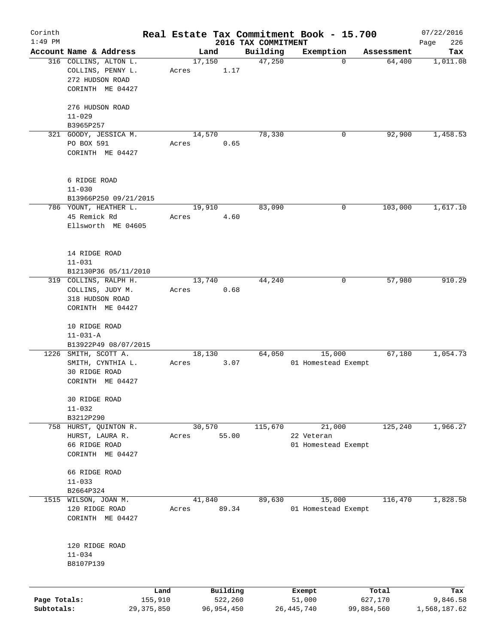| Corinth                    |                                            |       |                         |                     | Real Estate Tax Commitment Book - 15.700 |                       | 07/22/2016               |
|----------------------------|--------------------------------------------|-------|-------------------------|---------------------|------------------------------------------|-----------------------|--------------------------|
| $1:49$ PM                  | Account Name & Address                     |       |                         | 2016 TAX COMMITMENT |                                          |                       | 226<br>Page              |
|                            |                                            |       | Land<br>17,150          | Building<br>47,250  | Exemption<br>0                           | Assessment<br>64,400  | Tax                      |
|                            | 316 COLLINS, ALTON L.<br>COLLINS, PENNY L. | Acres | 1.17                    |                     |                                          |                       | 1,011.08                 |
|                            | 272 HUDSON ROAD                            |       |                         |                     |                                          |                       |                          |
|                            | CORINTH ME 04427                           |       |                         |                     |                                          |                       |                          |
|                            |                                            |       |                         |                     |                                          |                       |                          |
|                            | 276 HUDSON ROAD                            |       |                         |                     |                                          |                       |                          |
|                            | $11 - 029$                                 |       |                         |                     |                                          |                       |                          |
|                            | B3965P257                                  |       |                         |                     |                                          |                       |                          |
| 321                        | GOODY, JESSICA M.                          |       | 14,570                  | 78,330              | 0                                        | 92,900                | 1,458.53                 |
|                            | PO BOX 591                                 | Acres | 0.65                    |                     |                                          |                       |                          |
|                            | CORINTH ME 04427                           |       |                         |                     |                                          |                       |                          |
|                            |                                            |       |                         |                     |                                          |                       |                          |
|                            | 6 RIDGE ROAD                               |       |                         |                     |                                          |                       |                          |
|                            | $11 - 030$                                 |       |                         |                     |                                          |                       |                          |
|                            | B13966P250 09/21/2015                      |       |                         |                     |                                          |                       |                          |
|                            | 786 YOUNT, HEATHER L.                      |       | 19,910                  | 83,090              | 0                                        | 103,000               | 1,617.10                 |
|                            | 45 Remick Rd                               | Acres | 4.60                    |                     |                                          |                       |                          |
|                            | Ellsworth ME 04605                         |       |                         |                     |                                          |                       |                          |
|                            |                                            |       |                         |                     |                                          |                       |                          |
|                            | 14 RIDGE ROAD                              |       |                         |                     |                                          |                       |                          |
|                            | $11 - 031$                                 |       |                         |                     |                                          |                       |                          |
|                            | B12130P36 05/11/2010                       |       |                         |                     |                                          |                       |                          |
|                            | 319 COLLINS, RALPH H.                      |       | 13,740                  | 44,240              | 0                                        | 57,980                | 910.29                   |
|                            | COLLINS, JUDY M.                           | Acres | 0.68                    |                     |                                          |                       |                          |
|                            | 318 HUDSON ROAD                            |       |                         |                     |                                          |                       |                          |
|                            | CORINTH ME 04427                           |       |                         |                     |                                          |                       |                          |
|                            |                                            |       |                         |                     |                                          |                       |                          |
|                            | 10 RIDGE ROAD                              |       |                         |                     |                                          |                       |                          |
|                            | $11 - 031 - A$                             |       |                         |                     |                                          |                       |                          |
|                            | B13922P49 08/07/2015                       |       |                         |                     |                                          |                       |                          |
| 1226                       | SMITH, SCOTT A.                            |       | 18,130                  | 64,050              | 15,000                                   | 67,180                | 1,054.73                 |
|                            | SMITH, CYNTHIA L.                          | Acres | 3.07                    |                     | 01 Homestead Exempt                      |                       |                          |
|                            | 30 RIDGE ROAD<br>CORINTH ME 04427          |       |                         |                     |                                          |                       |                          |
|                            |                                            |       |                         |                     |                                          |                       |                          |
|                            | 30 RIDGE ROAD                              |       |                         |                     |                                          |                       |                          |
|                            | $11 - 032$                                 |       |                         |                     |                                          |                       |                          |
|                            | B3212P290                                  |       |                         |                     |                                          |                       |                          |
|                            | 758 HURST, QUINTON R.                      |       | 30,570                  | 115,670             | 21,000                                   | 125,240               | 1,966.27                 |
|                            | HURST, LAURA R.                            | Acres | 55.00                   |                     | 22 Veteran                               |                       |                          |
|                            | 66 RIDGE ROAD                              |       |                         |                     | 01 Homestead Exempt                      |                       |                          |
|                            | CORINTH ME 04427                           |       |                         |                     |                                          |                       |                          |
|                            | 66 RIDGE ROAD                              |       |                         |                     |                                          |                       |                          |
|                            | $11 - 033$                                 |       |                         |                     |                                          |                       |                          |
|                            | B2664P324                                  |       |                         |                     |                                          |                       |                          |
|                            | 1515 WILSON, JOAN M.                       |       | 41,840                  | 89,630              | 15,000                                   | 116,470               | 1,828.58                 |
|                            | 120 RIDGE ROAD                             | Acres | 89.34                   |                     | 01 Homestead Exempt                      |                       |                          |
|                            | CORINTH ME 04427                           |       |                         |                     |                                          |                       |                          |
|                            |                                            |       |                         |                     |                                          |                       |                          |
|                            |                                            |       |                         |                     |                                          |                       |                          |
|                            | 120 RIDGE ROAD<br>$11 - 034$               |       |                         |                     |                                          |                       |                          |
|                            | B8107P139                                  |       |                         |                     |                                          |                       |                          |
|                            |                                            |       |                         |                     |                                          |                       |                          |
|                            |                                            |       |                         |                     |                                          |                       |                          |
|                            | Land                                       |       | Building                |                     | Exempt                                   | Total                 | Tax                      |
| Page Totals:<br>Subtotals: | 155,910<br>29, 375, 850                    |       | 522,260<br>96, 954, 450 |                     | 51,000<br>26, 445, 740                   | 627,170<br>99,884,560 | 9,846.58<br>1,568,187.62 |
|                            |                                            |       |                         |                     |                                          |                       |                          |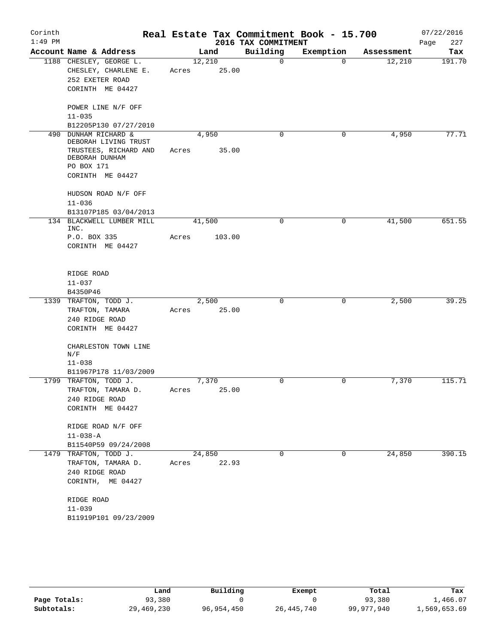| Corinth   |                                          |       |        |                     | Real Estate Tax Commitment Book - 15.700 |            | 07/22/2016  |
|-----------|------------------------------------------|-------|--------|---------------------|------------------------------------------|------------|-------------|
| $1:49$ PM |                                          |       |        | 2016 TAX COMMITMENT |                                          |            | 227<br>Page |
|           | Account Name & Address                   |       | Land   | Building            | Exemption                                | Assessment | Tax         |
|           | 1188 CHESLEY, GEORGE L.                  |       | 12,210 | $\mathbf 0$         | $\Omega$                                 | 12,210     | 191.70      |
|           | CHESLEY, CHARLENE E.                     | Acres | 25.00  |                     |                                          |            |             |
|           | 252 EXETER ROAD                          |       |        |                     |                                          |            |             |
|           | CORINTH ME 04427                         |       |        |                     |                                          |            |             |
|           | POWER LINE N/F OFF                       |       |        |                     |                                          |            |             |
|           | $11 - 035$                               |       |        |                     |                                          |            |             |
|           | B12205P130 07/27/2010                    |       |        |                     |                                          |            |             |
| 490       | DUNHAM RICHARD &<br>DEBORAH LIVING TRUST |       | 4,950  | $\mathbf 0$         | 0                                        | 4,950      | 77.71       |
|           | TRUSTEES, RICHARD AND                    | Acres | 35.00  |                     |                                          |            |             |
|           | DEBORAH DUNHAM                           |       |        |                     |                                          |            |             |
|           | PO BOX 171                               |       |        |                     |                                          |            |             |
|           | CORINTH ME 04427                         |       |        |                     |                                          |            |             |
|           | HUDSON ROAD N/F OFF                      |       |        |                     |                                          |            |             |
|           | $11 - 036$                               |       |        |                     |                                          |            |             |
|           | B13107P185 03/04/2013                    |       |        |                     |                                          |            |             |
|           | 134 BLACKWELL LUMBER MILL<br>INC.        |       | 41,500 | 0                   | 0                                        | 41,500     | 651.55      |
|           | P.O. BOX 335                             | Acres | 103.00 |                     |                                          |            |             |
|           | CORINTH ME 04427                         |       |        |                     |                                          |            |             |
|           |                                          |       |        |                     |                                          |            |             |
|           | RIDGE ROAD                               |       |        |                     |                                          |            |             |
|           | $11 - 037$                               |       |        |                     |                                          |            |             |
|           | B4350P46                                 |       |        |                     |                                          |            |             |
|           | 1339 TRAFTON, TODD J.                    |       | 2,500  | $\mathbf 0$         | 0                                        | 2,500      | 39.25       |
|           | TRAFTON, TAMARA                          | Acres | 25.00  |                     |                                          |            |             |
|           | 240 RIDGE ROAD                           |       |        |                     |                                          |            |             |
|           | CORINTH ME 04427                         |       |        |                     |                                          |            |             |
|           | CHARLESTON TOWN LINE                     |       |        |                     |                                          |            |             |
|           | N/F                                      |       |        |                     |                                          |            |             |
|           | $11 - 038$<br>B11967P178 11/03/2009      |       |        |                     |                                          |            |             |
|           | 1799 TRAFTON, TODD J.                    |       | 7,370  | $\mathbf 0$         | $\mathbf 0$                              | 7,370      | 115.71      |
|           | TRAFTON, TAMARA D.                       | Acres | 25.00  |                     |                                          |            |             |
|           | 240 RIDGE ROAD                           |       |        |                     |                                          |            |             |
|           | CORINTH ME 04427                         |       |        |                     |                                          |            |             |
|           |                                          |       |        |                     |                                          |            |             |
|           | RIDGE ROAD N/F OFF                       |       |        |                     |                                          |            |             |
|           | $11 - 038 - A$                           |       |        |                     |                                          |            |             |
|           | B11540P59 09/24/2008                     |       |        |                     |                                          |            |             |
|           | 1479 TRAFTON, TODD J.                    |       | 24,850 | 0                   | $\mathbf{0}$                             | 24,850     | 390.15      |
|           | TRAFTON, TAMARA D.                       | Acres | 22.93  |                     |                                          |            |             |
|           | 240 RIDGE ROAD                           |       |        |                     |                                          |            |             |
|           | CORINTH, ME 04427                        |       |        |                     |                                          |            |             |
|           | RIDGE ROAD                               |       |        |                     |                                          |            |             |
|           | $11 - 039$                               |       |        |                     |                                          |            |             |
|           | B11919P101 09/23/2009                    |       |        |                     |                                          |            |             |
|           |                                          |       |        |                     |                                          |            |             |

|              | Land       | Building   | Exempt       | Total      | Tax          |
|--------------|------------|------------|--------------|------------|--------------|
| Page Totals: | 93,380     |            |              | 93,380     | 1,466.07     |
| Subtotals:   | 29,469,230 | 96,954,450 | 26, 445, 740 | 99,977,940 | 1,569,653.69 |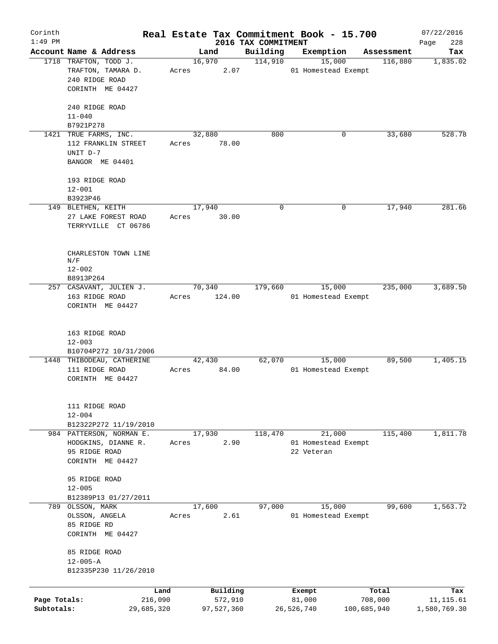| Corinth      |                                      |        |            |                                 | Real Estate Tax Commitment Book - 15.700 |             |                       | 07/22/2016         |
|--------------|--------------------------------------|--------|------------|---------------------------------|------------------------------------------|-------------|-----------------------|--------------------|
| $1:49$ PM    | Account Name & Address               |        | Land       | 2016 TAX COMMITMENT<br>Building | Exemption                                |             |                       | 228<br>Page<br>Tax |
|              | 1718 TRAFTON, TODD J.                | 16,970 |            | 114,910                         | 15,000                                   |             | Assessment<br>116,880 | 1,835.02           |
|              | TRAFTON, TAMARA D.                   | Acres  | 2.07       |                                 | 01 Homestead Exempt                      |             |                       |                    |
|              | 240 RIDGE ROAD                       |        |            |                                 |                                          |             |                       |                    |
|              | CORINTH ME 04427                     |        |            |                                 |                                          |             |                       |                    |
|              |                                      |        |            |                                 |                                          |             |                       |                    |
|              | 240 RIDGE ROAD                       |        |            |                                 |                                          |             |                       |                    |
|              | $11 - 040$                           |        |            |                                 |                                          |             |                       |                    |
|              | B7921P278                            |        |            |                                 |                                          |             |                       |                    |
|              | 1421 TRUE FARMS, INC.                | 32,880 |            | 800                             |                                          | 0           | 33,680                | 528.78             |
|              | 112 FRANKLIN STREET                  | Acres  | 78.00      |                                 |                                          |             |                       |                    |
|              | UNIT D-7                             |        |            |                                 |                                          |             |                       |                    |
|              | BANGOR ME 04401                      |        |            |                                 |                                          |             |                       |                    |
|              |                                      |        |            |                                 |                                          |             |                       |                    |
|              | 193 RIDGE ROAD                       |        |            |                                 |                                          |             |                       |                    |
|              | $12 - 001$                           |        |            |                                 |                                          |             |                       |                    |
|              | B3923P46                             |        |            |                                 |                                          |             |                       |                    |
|              | 149 BLETHEN, KEITH                   | 17,940 |            | $\mathbf 0$                     |                                          | 0           | 17,940                | 281.66             |
|              | 27 LAKE FOREST ROAD                  | Acres  | 30.00      |                                 |                                          |             |                       |                    |
|              | TERRYVILLE CT 06786                  |        |            |                                 |                                          |             |                       |                    |
|              |                                      |        |            |                                 |                                          |             |                       |                    |
|              |                                      |        |            |                                 |                                          |             |                       |                    |
|              | CHARLESTON TOWN LINE                 |        |            |                                 |                                          |             |                       |                    |
|              | N/F                                  |        |            |                                 |                                          |             |                       |                    |
|              | $12 - 002$                           |        |            |                                 |                                          |             |                       |                    |
|              | B8913P264<br>257 CASAVANT, JULIEN J. | 70,340 |            | 179,660                         | 15,000                                   |             | 235,000               | 3,689.50           |
|              | 163 RIDGE ROAD                       | Acres  | 124.00     |                                 | 01 Homestead Exempt                      |             |                       |                    |
|              | CORINTH ME 04427                     |        |            |                                 |                                          |             |                       |                    |
|              |                                      |        |            |                                 |                                          |             |                       |                    |
|              |                                      |        |            |                                 |                                          |             |                       |                    |
|              | 163 RIDGE ROAD                       |        |            |                                 |                                          |             |                       |                    |
|              | $12 - 003$                           |        |            |                                 |                                          |             |                       |                    |
|              | B10704P272 10/31/2006                |        |            |                                 |                                          |             |                       |                    |
|              | 1448 THIBODEAU, CATHERINE            | 42,430 |            | 62,070                          | 15,000                                   |             | 89,500                | 1,405.15           |
|              | 111 RIDGE ROAD                       | Acres  | 84.00      |                                 | 01 Homestead Exempt                      |             |                       |                    |
|              | CORINTH ME 04427                     |        |            |                                 |                                          |             |                       |                    |
|              |                                      |        |            |                                 |                                          |             |                       |                    |
|              |                                      |        |            |                                 |                                          |             |                       |                    |
|              | 111 RIDGE ROAD                       |        |            |                                 |                                          |             |                       |                    |
|              | $12 - 004$                           |        |            |                                 |                                          |             |                       |                    |
|              | B12322P272 11/19/2010                |        |            |                                 |                                          |             |                       |                    |
|              | 984 PATTERSON, NORMAN E.             | 17,930 |            | 118,470                         | 21,000                                   |             | 115,400               | 1,811.78           |
|              | HODGKINS, DIANNE R.                  | Acres  | 2.90       |                                 | 01 Homestead Exempt                      |             |                       |                    |
|              | 95 RIDGE ROAD                        |        |            |                                 | 22 Veteran                               |             |                       |                    |
|              | CORINTH ME 04427                     |        |            |                                 |                                          |             |                       |                    |
|              | 95 RIDGE ROAD                        |        |            |                                 |                                          |             |                       |                    |
|              | $12 - 005$                           |        |            |                                 |                                          |             |                       |                    |
|              | B12389P13 01/27/2011                 |        |            |                                 |                                          |             |                       |                    |
|              | 789 OLSSON, MARK                     | 17,600 |            | 97,000                          | 15,000                                   |             | 99,600                | 1,563.72           |
|              | OLSSON, ANGELA                       | Acres  | 2.61       |                                 | 01 Homestead Exempt                      |             |                       |                    |
|              | 85 RIDGE RD                          |        |            |                                 |                                          |             |                       |                    |
|              | CORINTH ME 04427                     |        |            |                                 |                                          |             |                       |                    |
|              |                                      |        |            |                                 |                                          |             |                       |                    |
|              | 85 RIDGE ROAD                        |        |            |                                 |                                          |             |                       |                    |
|              | $12 - 005 - A$                       |        |            |                                 |                                          |             |                       |                    |
|              | B12335P230 11/26/2010                |        |            |                                 |                                          |             |                       |                    |
|              |                                      |        |            |                                 |                                          |             |                       |                    |
|              | Land                                 |        | Building   |                                 | Exempt                                   |             | Total                 | Tax                |
| Page Totals: | 216,090                              |        | 572,910    |                                 | 81,000                                   | 708,000     |                       | 11, 115.61         |
| Subtotals:   | 29,685,320                           |        | 97,527,360 |                                 | 26,526,740                               | 100,685,940 |                       | 1,580,769.30       |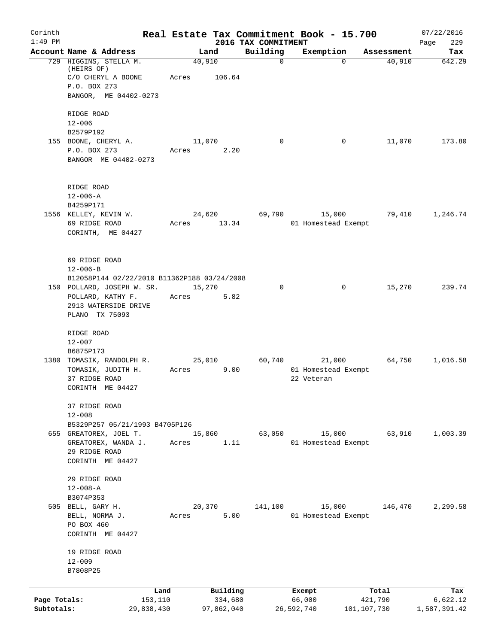| Corinth<br>$1:49$ PM       |                                                                                                     | Real Estate Tax Commitment Book - 15.700 |                                 |                                             |                        | 07/22/2016               |
|----------------------------|-----------------------------------------------------------------------------------------------------|------------------------------------------|---------------------------------|---------------------------------------------|------------------------|--------------------------|
|                            | Account Name & Address                                                                              | Land                                     | 2016 TAX COMMITMENT<br>Building | Exemption                                   | Assessment             | 229<br>Page<br>Tax       |
|                            | 729 HIGGINS, STELLA M.<br>(HEIRS OF)<br>C/O CHERYL A BOONE<br>P.O. BOX 273<br>BANGOR, ME 04402-0273 | 40,910<br>Acres<br>106.64                | $\mathbf 0$                     | $\Omega$                                    | 40,910                 | 642.29                   |
|                            | RIDGE ROAD<br>$12 - 006$<br>B2579P192                                                               |                                          |                                 |                                             |                        |                          |
|                            | 155 BOONE, CHERYL A.<br>P.O. BOX 273<br>BANGOR ME 04402-0273                                        | 11,070<br>2.20<br>Acres                  | $\Omega$                        | 0                                           | 11,070                 | 173.80                   |
|                            | RIDGE ROAD<br>$12 - 006 - A$<br>B4259P171                                                           | 24,620                                   |                                 |                                             | 79,410                 | 1,246.74                 |
|                            | 1556 KELLEY, KEVIN W.<br>69 RIDGE ROAD<br>CORINTH, ME 04427                                         | 13.34<br>Acres                           | 69,790                          | 15,000<br>01 Homestead Exempt               |                        |                          |
|                            | 69 RIDGE ROAD<br>$12 - 006 - B$<br>B12058P144 02/22/2010 B11362P188 03/24/2008                      |                                          |                                 |                                             |                        |                          |
|                            | 150 POLLARD, JOSEPH W. SR.<br>POLLARD, KATHY F.<br>2913 WATERSIDE DRIVE<br>PLANO TX 75093           | 15,270<br>5.82<br>Acres                  | $\Omega$                        | 0                                           | 15,270                 | 239.74                   |
|                            | RIDGE ROAD<br>$12 - 007$<br>B6875P173                                                               |                                          |                                 |                                             |                        |                          |
|                            | 1380 TOMASIK, RANDOLPH R.<br>TOMASIK, JUDITH H.<br>37 RIDGE ROAD<br>CORINTH ME 04427                | 25,010<br>9.00<br>Acres                  | 60,740                          | 21,000<br>01 Homestead Exempt<br>22 Veteran | 64,750                 | 1,016.58                 |
|                            | 37 RIDGE ROAD<br>$12 - 008$<br>B5329P257 05/21/1993 B4705P126                                       |                                          |                                 |                                             |                        |                          |
|                            | 655 GREATOREX, JOEL T.<br>GREATOREX, WANDA J.<br>29 RIDGE ROAD<br>CORINTH ME 04427                  | 15,860<br>1.11<br>Acres                  | 63,050                          | 15,000<br>01 Homestead Exempt               | 63,910                 | 1,003.39                 |
|                            | 29 RIDGE ROAD<br>$12 - 008 - A$<br>B3074P353                                                        |                                          |                                 |                                             |                        |                          |
|                            | 505 BELL, GARY H.<br>BELL, NORMA J.<br>PO BOX 460<br>CORINTH ME 04427                               | 20,370<br>5.00<br>Acres                  | 141,100                         | 15,000<br>01 Homestead Exempt               | 146,470                | 2,299.58                 |
|                            | 19 RIDGE ROAD<br>$12 - 009$<br>B7808P25                                                             |                                          |                                 |                                             |                        |                          |
|                            | Land                                                                                                | Building                                 |                                 | Exempt                                      | Total                  | Tax                      |
| Page Totals:<br>Subtotals: | 153,110<br>29,838,430                                                                               | 334,680<br>97,862,040                    |                                 | 66,000<br>26,592,740                        | 421,790<br>101,107,730 | 6,622.12<br>1,587,391.42 |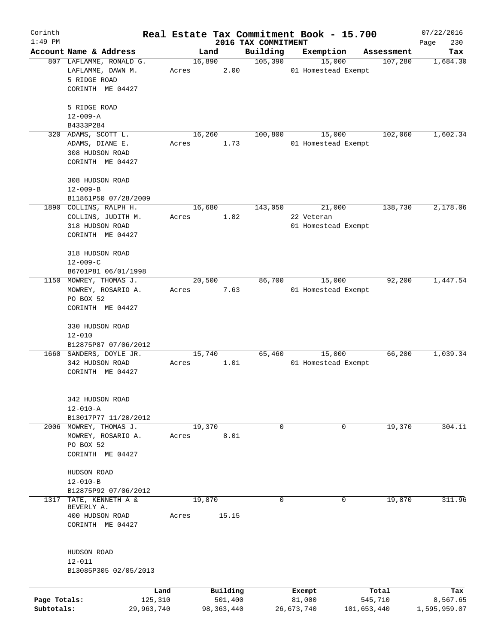| Corinth      |                                            |            |            |          |                                 | Real Estate Tax Commitment Book - 15.700 |             |                       | 07/22/2016      |
|--------------|--------------------------------------------|------------|------------|----------|---------------------------------|------------------------------------------|-------------|-----------------------|-----------------|
| $1:49$ PM    | Account Name & Address                     |            | Land       |          | 2016 TAX COMMITMENT<br>Building |                                          |             |                       | 230<br>Page     |
|              | 807 LAFLAMME, RONALD G.                    |            | 16,890     |          | 105,390                         | Exemption<br>15,000                      |             | Assessment<br>107,280 | Tax<br>1,684.30 |
|              | LAFLAMME, DAWN M.                          | Acres      |            | 2.00     |                                 | 01 Homestead Exempt                      |             |                       |                 |
|              | 5 RIDGE ROAD                               |            |            |          |                                 |                                          |             |                       |                 |
|              | CORINTH ME 04427                           |            |            |          |                                 |                                          |             |                       |                 |
|              | 5 RIDGE ROAD                               |            |            |          |                                 |                                          |             |                       |                 |
|              | $12 - 009 - A$                             |            |            |          |                                 |                                          |             |                       |                 |
|              | B4333P284<br>320 ADAMS, SCOTT L.           |            | 16,260     |          | 100,800                         | 15,000                                   |             | 102,060               | 1,602.34        |
|              | ADAMS, DIANE E.                            | Acres      |            | 1.73     |                                 | 01 Homestead Exempt                      |             |                       |                 |
|              | 308 HUDSON ROAD                            |            |            |          |                                 |                                          |             |                       |                 |
|              | CORINTH ME 04427                           |            |            |          |                                 |                                          |             |                       |                 |
|              | 308 HUDSON ROAD                            |            |            |          |                                 |                                          |             |                       |                 |
|              | $12 - 009 - B$                             |            |            |          |                                 |                                          |             |                       |                 |
|              | B11861P50 07/28/2009                       |            |            |          |                                 |                                          |             |                       |                 |
|              | 1890 COLLINS, RALPH H.                     |            | 16,680     |          | 143,050                         | 21,000                                   |             | 138,730               | 2,178.06        |
|              | COLLINS, JUDITH M.                         | Acres      |            | 1.82     |                                 | 22 Veteran                               |             |                       |                 |
|              | 318 HUDSON ROAD                            |            |            |          |                                 | 01 Homestead Exempt                      |             |                       |                 |
|              | CORINTH ME 04427                           |            |            |          |                                 |                                          |             |                       |                 |
|              | 318 HUDSON ROAD                            |            |            |          |                                 |                                          |             |                       |                 |
|              | $12 - 009 - C$                             |            |            |          |                                 |                                          |             |                       |                 |
|              | B6701P81 06/01/1998                        |            |            |          |                                 |                                          |             |                       |                 |
| 1150         | MOWREY, THOMAS J.                          |            | 20,500     |          | 86,700                          | 15,000                                   |             | 92,200                | 1,447.54        |
|              | MOWREY, ROSARIO A.<br>PO BOX 52            | Acres      |            | 7.63     |                                 | 01 Homestead Exempt                      |             |                       |                 |
|              | CORINTH ME 04427                           |            |            |          |                                 |                                          |             |                       |                 |
|              |                                            |            |            |          |                                 |                                          |             |                       |                 |
|              | 330 HUDSON ROAD                            |            |            |          |                                 |                                          |             |                       |                 |
|              | $12 - 010$                                 |            |            |          |                                 |                                          |             |                       |                 |
|              | B12875P87 07/06/2012                       |            |            |          |                                 |                                          |             |                       |                 |
|              | 1660 SANDERS, DOYLE JR.<br>342 HUDSON ROAD | Acres      | 15,740     | 1.01     | 65,460                          | 15,000<br>01 Homestead Exempt            |             | 66,200                | 1,039.34        |
|              | CORINTH ME 04427                           |            |            |          |                                 |                                          |             |                       |                 |
|              |                                            |            |            |          |                                 |                                          |             |                       |                 |
|              |                                            |            |            |          |                                 |                                          |             |                       |                 |
|              | 342 HUDSON ROAD<br>$12 - 010 - A$          |            |            |          |                                 |                                          |             |                       |                 |
|              | B13017P77 11/20/2012                       |            |            |          |                                 |                                          |             |                       |                 |
|              | 2006 MOWREY, THOMAS J.                     |            | 19,370     |          | $\mathsf{O}$                    |                                          | 0           | 19,370                | 304.11          |
|              | MOWREY, ROSARIO A.                         | Acres      |            | 8.01     |                                 |                                          |             |                       |                 |
|              | PO BOX 52                                  |            |            |          |                                 |                                          |             |                       |                 |
|              | CORINTH ME 04427                           |            |            |          |                                 |                                          |             |                       |                 |
|              | HUDSON ROAD                                |            |            |          |                                 |                                          |             |                       |                 |
|              | $12 - 010 - B$                             |            |            |          |                                 |                                          |             |                       |                 |
|              | B12875P92 07/06/2012                       |            |            |          |                                 |                                          |             |                       |                 |
| 1317         | TATE, KENNETH A &                          |            | 19,870     |          | 0                               |                                          | $\mathbf 0$ | 19,870                | 311.96          |
|              | BEVERLY A.<br>400 HUDSON ROAD              | Acres      |            | 15.15    |                                 |                                          |             |                       |                 |
|              | CORINTH ME 04427                           |            |            |          |                                 |                                          |             |                       |                 |
|              |                                            |            |            |          |                                 |                                          |             |                       |                 |
|              | HUDSON ROAD                                |            |            |          |                                 |                                          |             |                       |                 |
|              | $12 - 011$                                 |            |            |          |                                 |                                          |             |                       |                 |
|              | B13085P305 02/05/2013                      |            |            |          |                                 |                                          |             |                       |                 |
|              |                                            |            |            |          |                                 |                                          |             |                       |                 |
|              |                                            | Land       |            | Building |                                 | Exempt                                   |             | Total                 | Tax             |
| Page Totals: |                                            | 125,310    |            | 501,400  |                                 | 81,000                                   |             | 545,710               | 8,567.65        |
| Subtotals:   |                                            | 29,963,740 | 98,363,440 |          |                                 | 26,673,740                               | 101,653,440 |                       | 1,595,959.07    |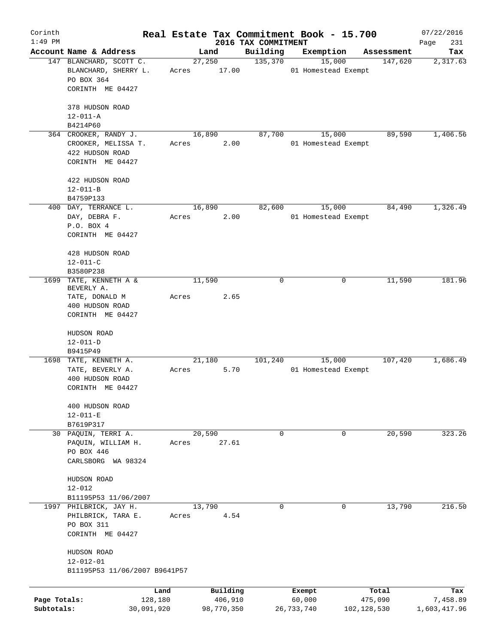| Corinth      |                                                        |            |                 |            |                                 | Real Estate Tax Commitment Book - 15.700 |             |                       | 07/22/2016      |
|--------------|--------------------------------------------------------|------------|-----------------|------------|---------------------------------|------------------------------------------|-------------|-----------------------|-----------------|
| $1:49$ PM    | Account Name & Address                                 |            |                 |            | 2016 TAX COMMITMENT<br>Building |                                          |             |                       | Page<br>231     |
|              | 147 BLANCHARD, SCOTT C.                                |            | 27,250          | Land       | 135,370                         | Exemption<br>15,000                      |             | Assessment<br>147,620 | Tax<br>2,317.63 |
|              | BLANCHARD, SHERRY L.<br>PO BOX 364<br>CORINTH ME 04427 |            | Acres           | 17.00      |                                 | 01 Homestead Exempt                      |             |                       |                 |
|              |                                                        |            |                 |            |                                 |                                          |             |                       |                 |
|              | 378 HUDSON ROAD                                        |            |                 |            |                                 |                                          |             |                       |                 |
|              | $12 - 011 - A$                                         |            |                 |            |                                 |                                          |             |                       |                 |
|              | B4214P60                                               |            |                 |            | 87,700                          |                                          |             | 89,590                | 1,406.56        |
|              | 364 CROOKER, RANDY J.<br>CROOKER, MELISSA T.           |            | 16,890<br>Acres | 2.00       |                                 | 15,000<br>01 Homestead Exempt            |             |                       |                 |
|              | 422 HUDSON ROAD                                        |            |                 |            |                                 |                                          |             |                       |                 |
|              | CORINTH ME 04427                                       |            |                 |            |                                 |                                          |             |                       |                 |
|              | 422 HUDSON ROAD                                        |            |                 |            |                                 |                                          |             |                       |                 |
|              | $12 - 011 - B$                                         |            |                 |            |                                 |                                          |             |                       |                 |
|              | B4759P133                                              |            |                 |            |                                 |                                          |             |                       |                 |
|              | 400 DAY, TERRANCE L.                                   |            | 16,890          |            | 82,600                          | 15,000                                   |             | 84,490                | 1,326.49        |
|              | DAY, DEBRA F.                                          |            | Acres           | 2.00       |                                 | 01 Homestead Exempt                      |             |                       |                 |
|              | P.O. BOX 4                                             |            |                 |            |                                 |                                          |             |                       |                 |
|              | CORINTH ME 04427                                       |            |                 |            |                                 |                                          |             |                       |                 |
|              | 428 HUDSON ROAD                                        |            |                 |            |                                 |                                          |             |                       |                 |
|              | $12 - 011 - C$                                         |            |                 |            |                                 |                                          |             |                       |                 |
|              | B3580P238                                              |            |                 |            |                                 |                                          |             |                       |                 |
| 1699         | TATE, KENNETH A &                                      |            | 11,590          |            | 0                               |                                          | 0           | 11,590                | 181.96          |
|              | BEVERLY A.<br>TATE, DONALD M                           |            | Acres           | 2.65       |                                 |                                          |             |                       |                 |
|              | 400 HUDSON ROAD                                        |            |                 |            |                                 |                                          |             |                       |                 |
|              | CORINTH ME 04427                                       |            |                 |            |                                 |                                          |             |                       |                 |
|              | HUDSON ROAD                                            |            |                 |            |                                 |                                          |             |                       |                 |
|              | $12 - 011 - D$                                         |            |                 |            |                                 |                                          |             |                       |                 |
|              | B9415P49                                               |            |                 |            |                                 |                                          |             |                       |                 |
|              | 1698 TATE, KENNETH A.                                  |            | 21,180          |            | 101,240                         | 15,000                                   |             | 107,420               | 1,686.49        |
|              | TATE, BEVERLY A.                                       |            | Acres           | 5.70       |                                 | 01 Homestead Exempt                      |             |                       |                 |
|              | 400 HUDSON ROAD                                        |            |                 |            |                                 |                                          |             |                       |                 |
|              | CORINTH ME 04427                                       |            |                 |            |                                 |                                          |             |                       |                 |
|              | 400 HUDSON ROAD                                        |            |                 |            |                                 |                                          |             |                       |                 |
|              | $12 - 011 - E$                                         |            |                 |            |                                 |                                          |             |                       |                 |
|              | B7619P317                                              |            |                 |            |                                 |                                          |             |                       |                 |
|              | 30 PAQUIN, TERRI A.                                    |            | 20,590          |            | 0                               |                                          | $\mathbf 0$ | 20,590                | 323.26          |
|              | PAQUIN, WILLIAM H.                                     |            | Acres           | 27.61      |                                 |                                          |             |                       |                 |
|              | PO BOX 446<br>CARLSBORG WA 98324                       |            |                 |            |                                 |                                          |             |                       |                 |
|              |                                                        |            |                 |            |                                 |                                          |             |                       |                 |
|              | HUDSON ROAD                                            |            |                 |            |                                 |                                          |             |                       |                 |
|              | $12 - 012$                                             |            |                 |            |                                 |                                          |             |                       |                 |
|              | B11195P53 11/06/2007<br>1997 PHILBRICK, JAY H.         |            | 13,790          |            | 0                               |                                          | $\mathbf 0$ | 13,790                | 216.50          |
|              | PHILBRICK, TARA E.                                     |            | Acres           | 4.54       |                                 |                                          |             |                       |                 |
|              | PO BOX 311                                             |            |                 |            |                                 |                                          |             |                       |                 |
|              | CORINTH ME 04427                                       |            |                 |            |                                 |                                          |             |                       |                 |
|              | HUDSON ROAD                                            |            |                 |            |                                 |                                          |             |                       |                 |
|              | $12 - 012 - 01$                                        |            |                 |            |                                 |                                          |             |                       |                 |
|              | B11195P53 11/06/2007 B9641P57                          |            |                 |            |                                 |                                          |             |                       |                 |
|              |                                                        | Land       |                 | Building   |                                 | Exempt                                   |             | Total                 | Tax             |
| Page Totals: |                                                        | 128,180    |                 | 406,910    |                                 | 60,000                                   |             | 475,090               | 7,458.89        |
| Subtotals:   |                                                        | 30,091,920 |                 | 98,770,350 |                                 | 26,733,740                               | 102,128,530 |                       | 1,603,417.96    |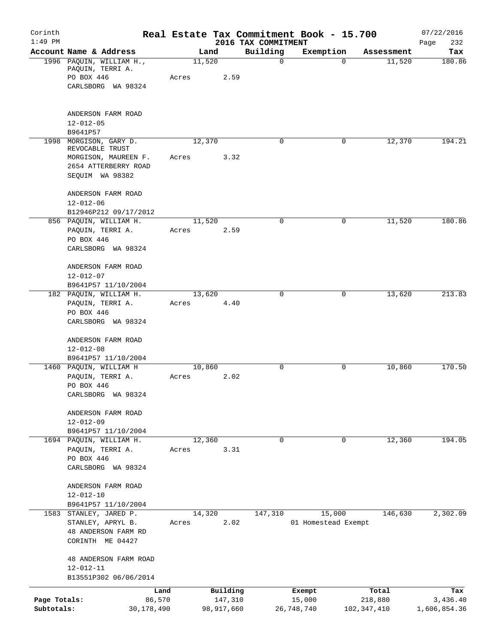| Corinth<br>$1:49$ PM       |                                                                   |                 |                       | 2016 TAX COMMITMENT | Real Estate Tax Commitment Book - 15.700 |                          | 07/22/2016<br>232<br>Page       |
|----------------------------|-------------------------------------------------------------------|-----------------|-----------------------|---------------------|------------------------------------------|--------------------------|---------------------------------|
|                            | Account Name & Address                                            |                 | Land                  | Building            | Exemption                                | Assessment               | Tax                             |
|                            | 1996 PAQUIN, WILLIAM H.,<br>PAQUIN, TERRI A.<br>PO BOX 446        | 11,520<br>Acres | 2.59                  | $\mathbf 0$         | $\Omega$                                 | 11,520                   | 180.86                          |
|                            | CARLSBORG WA 98324                                                |                 |                       |                     |                                          |                          |                                 |
|                            | ANDERSON FARM ROAD                                                |                 |                       |                     |                                          |                          |                                 |
|                            | $12 - 012 - 05$<br>B9641P57                                       |                 |                       |                     |                                          |                          |                                 |
| 1998                       | MORGISON, GARY D.<br>REVOCABLE TRUST                              | 12,370          |                       | 0                   | 0                                        | 12,370                   | 194.21                          |
|                            | MORGISON, MAUREEN F.<br>2654 ATTERBERRY ROAD<br>SEQUIM WA 98382   | Acres           | 3.32                  |                     |                                          |                          |                                 |
|                            | ANDERSON FARM ROAD<br>$12 - 012 - 06$                             |                 |                       |                     |                                          |                          |                                 |
|                            | B12946P212 09/17/2012<br>856 PAQUIN, WILLIAM H.                   | 11,520          |                       | $\Omega$            | 0                                        | 11,520                   | 180.86                          |
|                            | PAQUIN, TERRI A.<br>PO BOX 446                                    | Acres           | 2.59                  |                     |                                          |                          |                                 |
|                            | CARLSBORG WA 98324                                                |                 |                       |                     |                                          |                          |                                 |
|                            | ANDERSON FARM ROAD<br>$12 - 012 - 07$                             |                 |                       |                     |                                          |                          |                                 |
|                            | B9641P57 11/10/2004                                               |                 |                       |                     |                                          |                          |                                 |
|                            | 182 PAQUIN, WILLIAM H.<br>PAQUIN, TERRI A.                        | 13,620<br>Acres | 4.40                  | $\mathbf 0$         | 0                                        | 13,620                   | 213.83                          |
|                            | PO BOX 446<br>CARLSBORG WA 98324                                  |                 |                       |                     |                                          |                          |                                 |
|                            | ANDERSON FARM ROAD<br>$12 - 012 - 08$                             |                 |                       |                     |                                          |                          |                                 |
|                            | B9641P57 11/10/2004                                               |                 |                       |                     |                                          |                          |                                 |
|                            | 1460 PAQUIN, WILLIAM H<br>PAQUIN, TERRI A.<br>PO BOX 446          | 10,860<br>Acres | 2.02                  | $\mathbf 0$         | $\mathbf 0$                              | 10,860                   | 170.50                          |
|                            | CARLSBORG WA 98324                                                |                 |                       |                     |                                          |                          |                                 |
|                            | ANDERSON FARM ROAD<br>$12 - 012 - 09$                             |                 |                       |                     |                                          |                          |                                 |
|                            | B9641P57 11/10/2004                                               |                 |                       |                     |                                          |                          |                                 |
|                            | 1694 PAQUIN, WILLIAM H.<br>PAQUIN, TERRI A.                       | 12,360<br>Acres | 3.31                  | $\mathbf 0$         | $\mathbf 0$                              | 12,360                   | 194.05                          |
|                            | PO BOX 446<br>CARLSBORG WA 98324                                  |                 |                       |                     |                                          |                          |                                 |
|                            | ANDERSON FARM ROAD                                                |                 |                       |                     |                                          |                          |                                 |
|                            | $12 - 012 - 10$<br>B9641P57 11/10/2004                            |                 |                       |                     |                                          |                          |                                 |
|                            | 1583 STANLEY, JARED P.                                            | 14,320          |                       | 147,310             | 15,000                                   | 146,630                  | 2,302.09                        |
|                            | STANLEY, APRYL B.<br>48 ANDERSON FARM RD<br>CORINTH ME 04427      | Acres           | 2.02                  |                     | 01 Homestead Exempt                      |                          |                                 |
|                            | 48 ANDERSON FARM ROAD<br>$12 - 012 - 11$<br>B13551P302 06/06/2014 |                 |                       |                     |                                          |                          |                                 |
|                            |                                                                   |                 | Building              |                     |                                          | Total                    |                                 |
| Page Totals:<br>Subtotals: | Land<br>86,570<br>30,178,490                                      |                 | 147,310<br>98,917,660 |                     | Exempt<br>15,000<br>26,748,740           | 218,880<br>102, 347, 410 | Tax<br>3,436.40<br>1,606,854.36 |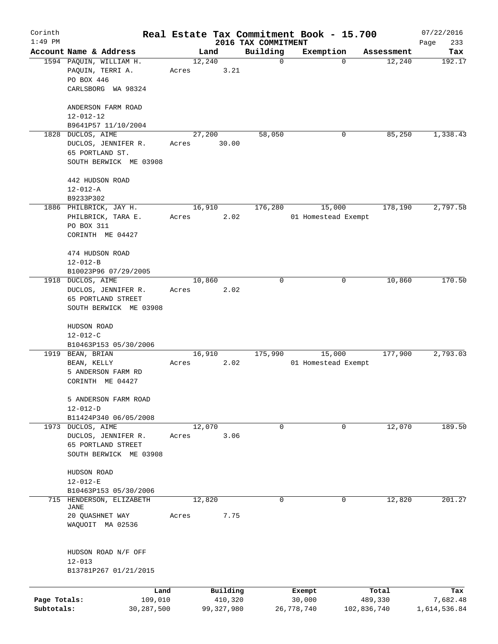| Corinth      |                                              |       |        |              |                                 | Real Estate Tax Commitment Book - 15.700 |             | 07/22/2016    |
|--------------|----------------------------------------------|-------|--------|--------------|---------------------------------|------------------------------------------|-------------|---------------|
| $1:49$ PM    | Account Name & Address                       |       | Land   |              | 2016 TAX COMMITMENT<br>Building | Exemption                                | Assessment  | 233<br>Page   |
|              | 1594 PAQUIN, WILLIAM H.                      |       | 12,240 |              | $\mathbf 0$                     | 0                                        | 12,240      | Tax<br>192.17 |
|              | PAQUIN, TERRI A.<br>PO BOX 446               | Acres |        | 3.21         |                                 |                                          |             |               |
|              | CARLSBORG WA 98324                           |       |        |              |                                 |                                          |             |               |
|              | ANDERSON FARM ROAD<br>$12 - 012 - 12$        |       |        |              |                                 |                                          |             |               |
|              | B9641P57 11/10/2004                          |       |        |              |                                 |                                          |             |               |
| 1828         | DUCLOS, AIME                                 |       | 27,200 |              | 58,050                          | 0                                        | 85,250      | 1,338.43      |
|              | DUCLOS, JENNIFER R.<br>65 PORTLAND ST.       | Acres |        | 30.00        |                                 |                                          |             |               |
|              | SOUTH BERWICK ME 03908                       |       |        |              |                                 |                                          |             |               |
|              | 442 HUDSON ROAD<br>$12 - 012 - A$            |       |        |              |                                 |                                          |             |               |
|              | B9233P302                                    |       |        |              |                                 |                                          |             |               |
|              | 1886 PHILBRICK, JAY H.                       |       | 16,910 |              | 176,280                         | 15,000                                   | 178,190     | 2,797.58      |
|              | PHILBRICK, TARA E.                           | Acres |        | 2.02         |                                 | 01 Homestead Exempt                      |             |               |
|              | PO BOX 311                                   |       |        |              |                                 |                                          |             |               |
|              | CORINTH ME 04427                             |       |        |              |                                 |                                          |             |               |
|              | 474 HUDSON ROAD                              |       |        |              |                                 |                                          |             |               |
|              | $12 - 012 - B$                               |       |        |              |                                 |                                          |             |               |
|              | B10023P96 07/29/2005                         |       |        |              |                                 |                                          |             |               |
| 1918         | DUCLOS, AIME                                 |       | 10,860 |              | 0                               | 0                                        | 10,860      | 170.50        |
|              | DUCLOS, JENNIFER R.                          | Acres |        | 2.02         |                                 |                                          |             |               |
|              | 65 PORTLAND STREET                           |       |        |              |                                 |                                          |             |               |
|              | SOUTH BERWICK ME 03908                       |       |        |              |                                 |                                          |             |               |
|              | HUDSON ROAD                                  |       |        |              |                                 |                                          |             |               |
|              | $12 - 012 - C$                               |       |        |              |                                 |                                          |             |               |
|              | B10463P153 05/30/2006                        |       |        |              |                                 |                                          |             |               |
| 1919         | BEAN, BRIAN                                  |       | 16,910 |              | 175,990                         | 15,000                                   | 177,900     | 2,793.03      |
|              | BEAN, KELLY                                  | Acres |        | 2.02         |                                 | 01 Homestead Exempt                      |             |               |
|              | 5 ANDERSON FARM RD                           |       |        |              |                                 |                                          |             |               |
|              | CORINTH ME 04427                             |       |        |              |                                 |                                          |             |               |
|              | 5 ANDERSON FARM ROAD                         |       |        |              |                                 |                                          |             |               |
|              | $12 - 012 - D$                               |       |        |              |                                 |                                          |             |               |
|              | B11424P340 06/05/2008                        |       |        |              |                                 |                                          |             |               |
|              | 1973 DUCLOS, AIME                            |       | 12,070 |              | 0                               | 0                                        | 12,070      | 189.50        |
|              | DUCLOS, JENNIFER R.                          | Acres |        | 3.06         |                                 |                                          |             |               |
|              | 65 PORTLAND STREET<br>SOUTH BERWICK ME 03908 |       |        |              |                                 |                                          |             |               |
|              |                                              |       |        |              |                                 |                                          |             |               |
|              | HUDSON ROAD                                  |       |        |              |                                 |                                          |             |               |
|              | $12 - 012 - E$                               |       |        |              |                                 |                                          |             |               |
|              | B10463P153 05/30/2006                        |       |        |              |                                 |                                          |             |               |
| 715          | HENDERSON, ELIZABETH<br><b>JANE</b>          |       | 12,820 |              | 0                               | 0                                        | 12,820      | 201.27        |
|              | 20 QUASHNET WAY                              | Acres |        | 7.75         |                                 |                                          |             |               |
|              | WAQUOIT MA 02536                             |       |        |              |                                 |                                          |             |               |
|              |                                              |       |        |              |                                 |                                          |             |               |
|              | HUDSON ROAD N/F OFF                          |       |        |              |                                 |                                          |             |               |
|              | $12 - 013$                                   |       |        |              |                                 |                                          |             |               |
|              | B13781P267 01/21/2015                        |       |        |              |                                 |                                          |             |               |
|              | Land                                         |       |        | Building     |                                 | Exempt                                   | Total       | Tax           |
| Page Totals: | 109,010                                      |       |        | 410,320      |                                 | 30,000                                   | 489,330     | 7,682.48      |
| Subtotals:   | 30,287,500                                   |       |        | 99, 327, 980 |                                 | 26,778,740                               | 102,836,740 | 1,614,536.84  |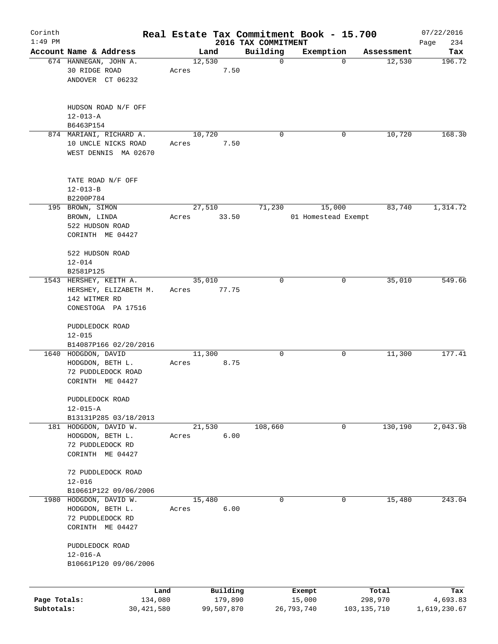| Corinth                    |                                                                                                            |                 |                       |                                 | Real Estate Tax Commitment Book - 15.700 |                        | 07/22/2016               |
|----------------------------|------------------------------------------------------------------------------------------------------------|-----------------|-----------------------|---------------------------------|------------------------------------------|------------------------|--------------------------|
| $1:49$ PM                  | Account Name & Address                                                                                     |                 | Land                  | 2016 TAX COMMITMENT<br>Building | Exemption                                | Assessment             | 234<br>Page<br>Tax       |
|                            | 674 HANNEGAN, JOHN A.<br>30 RIDGE ROAD<br>ANDOVER CT 06232                                                 | 12,530<br>Acres | 7.50                  | $\mathbf 0$                     |                                          | 12,530<br>$\mathbf 0$  | 196.72                   |
|                            | HUDSON ROAD N/F OFF<br>$12 - 013 - A$<br>B6463P154                                                         |                 |                       |                                 |                                          |                        |                          |
|                            | 874 MARIANI, RICHARD A.<br>10 UNCLE NICKS ROAD<br>WEST DENNIS MA 02670                                     | 10,720<br>Acres | 7.50                  | $\Omega$                        |                                          | 10,720<br>0            | 168.30                   |
|                            | TATE ROAD N/F OFF<br>$12 - 013 - B$<br>B2200P784                                                           |                 |                       |                                 |                                          |                        |                          |
|                            | 195 BROWN, SIMON<br>BROWN, LINDA<br>522 HUDSON ROAD<br>CORINTH ME 04427                                    | 27,510<br>Acres | 33.50                 | 71,230                          | 15,000<br>01 Homestead Exempt            | 83,740                 | 1,314.72                 |
|                            | 522 HUDSON ROAD<br>$12 - 014$<br>B2581P125                                                                 |                 |                       |                                 |                                          |                        |                          |
|                            | 1543 HERSHEY, KEITH A.<br>HERSHEY, ELIZABETH M.<br>142 WITMER RD<br>CONESTOGA PA 17516                     | 35,010<br>Acres | 77.75                 | 0                               |                                          | 35,010<br>0            | 549.66                   |
|                            | PUDDLEDOCK ROAD<br>$12 - 015$<br>B14087P166 02/20/2016                                                     |                 |                       |                                 |                                          |                        |                          |
|                            | 1640 HODGDON, DAVID<br>HODGDON, BETH L.<br>72 PUDDLEDOCK ROAD<br>CORINTH ME 04427                          | 11,300<br>Acres | 8.75                  | 0                               |                                          | 11,300<br>0            | 177.41                   |
|                            | PUDDLEDOCK ROAD<br>$12 - 015 - A$                                                                          |                 |                       |                                 |                                          |                        |                          |
|                            | B13131P285 03/18/2013<br>181 HODGDON, DAVID W.<br>HODGDON, BETH L.<br>72 PUDDLEDOCK RD<br>CORINTH ME 04427 | 21,530<br>Acres | 6.00                  | 108,660                         |                                          | 130,190<br>0           | 2,043.98                 |
|                            | 72 PUDDLEDOCK ROAD<br>$12 - 016$                                                                           |                 |                       |                                 |                                          |                        |                          |
| 1980                       | B10661P122 09/06/2006<br>HODGDON, DAVID W.<br>HODGDON, BETH L.<br>72 PUDDLEDOCK RD<br>CORINTH ME 04427     | 15,480<br>Acres | 6.00                  | 0                               |                                          | 0<br>15,480            | 243.04                   |
|                            | PUDDLEDOCK ROAD<br>$12 - 016 - A$<br>B10661P120 09/06/2006                                                 |                 |                       |                                 |                                          |                        |                          |
|                            | Land                                                                                                       |                 | Building              |                                 | Exempt                                   | Total                  | Tax                      |
| Page Totals:<br>Subtotals: | 134,080<br>30,421,580                                                                                      |                 | 179,890<br>99,507,870 |                                 | 15,000<br>26,793,740                     | 298,970<br>103,135,710 | 4,693.83<br>1,619,230.67 |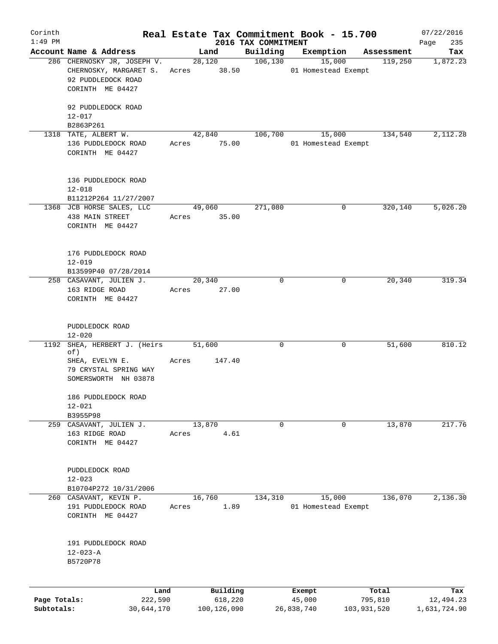| Corinth                    |                                                                   |                 |                        |                                 | Real Estate Tax Commitment Book - 15.700 |                        | 07/22/2016                |
|----------------------------|-------------------------------------------------------------------|-----------------|------------------------|---------------------------------|------------------------------------------|------------------------|---------------------------|
| $1:49$ PM                  | Account Name & Address                                            |                 | Land                   | 2016 TAX COMMITMENT<br>Building | Exemption                                | Assessment             | 235<br>Page<br>Tax        |
|                            | 286 CHERNOSKY JR, JOSEPH V.<br>CHERNOSKY, MARGARET S.             | Acres 38.50     | 28,120                 | 106, 130                        | 15,000<br>01 Homestead Exempt            | 119,250                | 1,872.23                  |
|                            | 92 PUDDLEDOCK ROAD<br>CORINTH ME 04427                            |                 |                        |                                 |                                          |                        |                           |
|                            | 92 PUDDLEDOCK ROAD<br>$12 - 017$                                  |                 |                        |                                 |                                          |                        |                           |
|                            | B2863P261                                                         |                 |                        |                                 |                                          |                        |                           |
|                            | 1318 TATE, ALBERT W.<br>136 PUDDLEDOCK ROAD<br>CORINTH ME 04427   | Acres           | 42,840<br>75.00        | 106,700                         | 15,000<br>01 Homestead Exempt            | 134,540                | 2,112.28                  |
|                            | 136 PUDDLEDOCK ROAD<br>$12 - 018$                                 |                 |                        |                                 |                                          |                        |                           |
|                            | B11212P264 11/27/2007                                             |                 |                        |                                 |                                          |                        |                           |
|                            | 1368 JCB HORSE SALES, LLC<br>438 MAIN STREET<br>CORINTH ME 04427  | Acres           | 49,060<br>35.00        | 271,080                         | 0                                        | 320,140                | 5,026.20                  |
|                            | 176 PUDDLEDOCK ROAD                                               |                 |                        |                                 |                                          |                        |                           |
|                            | $12 - 019$<br>B13599P40 07/28/2014                                |                 |                        |                                 |                                          |                        |                           |
|                            | 258 CASAVANT, JULIEN J.                                           | 20,340          |                        | $\mathbf 0$                     | 0                                        | 20,340                 | 319.34                    |
|                            | 163 RIDGE ROAD<br>CORINTH ME 04427                                | Acres           | 27.00                  |                                 |                                          |                        |                           |
|                            | PUDDLEDOCK ROAD<br>$12 - 020$                                     |                 |                        |                                 |                                          |                        |                           |
| 1192                       | SHEA, HERBERT J. (Heirs<br>of)                                    | 51,600          |                        | 0                               | 0                                        | 51,600                 | 810.12                    |
|                            | SHEA, EVELYN E.<br>79 CRYSTAL SPRING WAY<br>SOMERSWORTH NH 03878  | Acres           | 147.40                 |                                 |                                          |                        |                           |
|                            | 186 PUDDLEDOCK ROAD<br>$12 - 021$                                 |                 |                        |                                 |                                          |                        |                           |
|                            | B3955P98                                                          |                 |                        |                                 |                                          |                        |                           |
|                            | 259 CASAVANT, JULIEN J.                                           | 13,870          |                        | $\mathbf 0$                     | 0                                        | 13,870                 | 217.76                    |
|                            | 163 RIDGE ROAD<br>CORINTH ME 04427                                | Acres           | 4.61                   |                                 |                                          |                        |                           |
|                            | PUDDLEDOCK ROAD<br>$12 - 023$                                     |                 |                        |                                 |                                          |                        |                           |
|                            | B10704P272 10/31/2006                                             |                 |                        |                                 |                                          |                        |                           |
|                            | 260 CASAVANT, KEVIN P.<br>191 PUDDLEDOCK ROAD<br>CORINTH ME 04427 | 16,760<br>Acres | 1.89                   | 134,310                         | 15,000<br>01 Homestead Exempt            | 136,070                | 2,136.30                  |
|                            | 191 PUDDLEDOCK ROAD<br>$12 - 023 - A$                             |                 |                        |                                 |                                          |                        |                           |
|                            | B5720P78                                                          |                 |                        |                                 |                                          |                        |                           |
|                            | Land                                                              |                 | Building               |                                 | Exempt                                   | Total                  | Tax                       |
| Page Totals:<br>Subtotals: | 222,590<br>30,644,170                                             |                 | 618,220<br>100,126,090 |                                 | 45,000<br>26,838,740                     | 795,810<br>103,931,520 | 12,494.23<br>1,631,724.90 |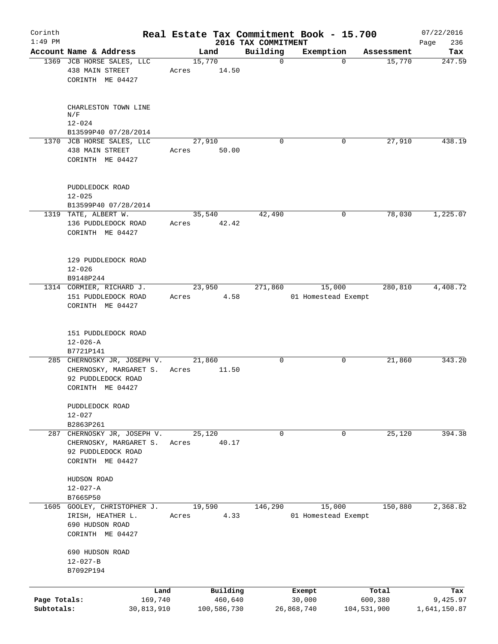| Corinth<br>$1:49$ PM       |                                                                                                 |                       |                        | 2016 TAX COMMITMENT | Real Estate Tax Commitment Book - 15.700 |                        |            | 07/22/2016<br>236<br>Page |
|----------------------------|-------------------------------------------------------------------------------------------------|-----------------------|------------------------|---------------------|------------------------------------------|------------------------|------------|---------------------------|
|                            | Account Name & Address                                                                          | Land                  |                        | Building            | Exemption                                |                        | Assessment | Tax                       |
|                            | 1369 JCB HORSE SALES, LLC<br>438 MAIN STREET<br>CORINTH ME 04427                                | 15,770<br>Acres       | 14.50                  | $\mathbf 0$         |                                          | $\Omega$               | 15,770     | 247.59                    |
|                            | CHARLESTON TOWN LINE<br>N/F<br>$12 - 024$                                                       |                       |                        |                     |                                          |                        |            |                           |
|                            | B13599P40 07/28/2014                                                                            |                       |                        |                     |                                          |                        |            |                           |
|                            | 1370 JCB HORSE SALES, LLC<br>438 MAIN STREET<br>CORINTH ME 04427                                | 27,910<br>Acres 50.00 |                        | $\Omega$            |                                          | 0                      | 27,910     | 438.19                    |
|                            | PUDDLEDOCK ROAD<br>$12 - 025$<br>B13599P40 07/28/2014                                           |                       |                        |                     |                                          |                        |            |                           |
|                            | 1319 TATE, ALBERT W.<br>136 PUDDLEDOCK ROAD<br>CORINTH ME 04427                                 | 35,540<br>Acres 42.42 |                        | 42,490              |                                          | 0                      | 78,030     | 1,225.07                  |
|                            | 129 PUDDLEDOCK ROAD<br>$12 - 026$<br>B9148P244                                                  |                       |                        |                     |                                          |                        |            |                           |
|                            | 1314 CORMIER, RICHARD J.<br>151 PUDDLEDOCK ROAD<br>CORINTH ME 04427                             | 23,950<br>Acres       | 4.58                   | 271,860             | 15,000<br>01 Homestead Exempt            |                        | 280,810    | 4,408.72                  |
|                            | 151 PUDDLEDOCK ROAD<br>$12 - 026 - A$<br>B7721P141                                              |                       |                        |                     |                                          |                        |            |                           |
|                            | 285 CHERNOSKY JR, JOSEPH V.<br>CHERNOSKY, MARGARET S.<br>92 PUDDLEDOCK ROAD<br>CORINTH ME 04427 | 21,860<br>Acres       | 11.50                  | 0                   |                                          | 0                      | 21,860     | 343.20                    |
|                            | PUDDLEDOCK ROAD<br>$12 - 027$<br>B2863P261                                                      |                       |                        |                     |                                          |                        |            |                           |
|                            | 287 CHERNOSKY JR, JOSEPH V.<br>CHERNOSKY, MARGARET S.<br>92 PUDDLEDOCK ROAD<br>CORINTH ME 04427 | 25,120<br>Acres       | 40.17                  | 0                   |                                          | 0                      | 25,120     | 394.38                    |
|                            | HUDSON ROAD<br>$12 - 027 - A$<br>B7665P50                                                       |                       |                        |                     |                                          |                        |            |                           |
|                            | 1605 GOOLEY, CHRISTOPHER J.<br>IRISH, HEATHER L.<br>690 HUDSON ROAD<br>CORINTH ME 04427         | 19,590<br>Acres       | 4.33                   | 146,290             | 15,000<br>01 Homestead Exempt            |                        | 150,880    | 2,368.82                  |
|                            | 690 HUDSON ROAD<br>$12 - 027 - B$<br>B7092P194                                                  |                       |                        |                     |                                          |                        |            |                           |
|                            | Land                                                                                            |                       | Building               |                     | Exempt                                   |                        | Total      | Tax                       |
| Page Totals:<br>Subtotals: | 169,740<br>30,813,910                                                                           |                       | 460,640<br>100,586,730 |                     | 30,000<br>26,868,740                     | 600,380<br>104,531,900 |            | 9,425.97<br>1,641,150.87  |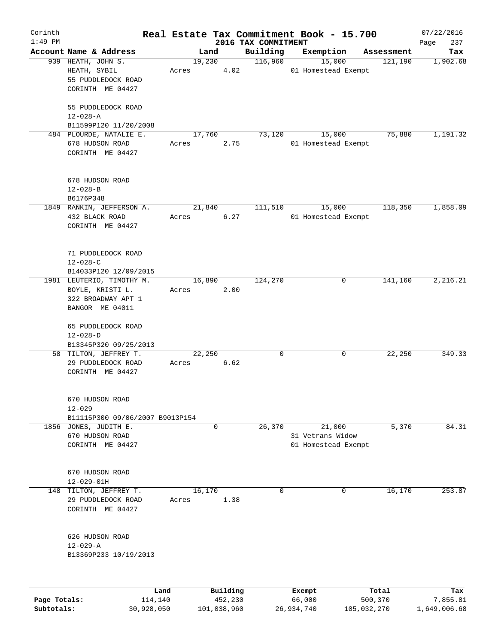| Corinth      |                                   |       |                |                     | Real Estate Tax Commitment Book - 15.700 |                  |                     |                       | 07/22/2016         |
|--------------|-----------------------------------|-------|----------------|---------------------|------------------------------------------|------------------|---------------------|-----------------------|--------------------|
| $1:49$ PM    | Account Name & Address            |       |                |                     | 2016 TAX COMMITMENT<br>Building          |                  | Exemption           |                       | 237<br>Page<br>Tax |
|              | 939 HEATH, JOHN S.                |       | Land<br>19,230 |                     | 116,960                                  |                  | 15,000              | Assessment<br>121,190 | 1,902.68           |
|              | HEATH, SYBIL                      | Acres |                | 4.02                |                                          |                  | 01 Homestead Exempt |                       |                    |
|              | 55 PUDDLEDOCK ROAD                |       |                |                     |                                          |                  |                     |                       |                    |
|              | CORINTH ME 04427                  |       |                |                     |                                          |                  |                     |                       |                    |
|              |                                   |       |                |                     |                                          |                  |                     |                       |                    |
|              | 55 PUDDLEDOCK ROAD                |       |                |                     |                                          |                  |                     |                       |                    |
|              | $12 - 028 - A$                    |       |                |                     |                                          |                  |                     |                       |                    |
|              | B11599P120 11/20/2008             |       |                |                     |                                          |                  |                     |                       |                    |
|              | 484 PLOURDE, NATALIE E.           |       | 17,760         |                     | 73,120                                   |                  | 15,000              | 75,880                | 1,191.32           |
|              | 678 HUDSON ROAD                   | Acres |                | 2.75                |                                          |                  | 01 Homestead Exempt |                       |                    |
|              | CORINTH ME 04427                  |       |                |                     |                                          |                  |                     |                       |                    |
|              |                                   |       |                |                     |                                          |                  |                     |                       |                    |
|              |                                   |       |                |                     |                                          |                  |                     |                       |                    |
|              | 678 HUDSON ROAD<br>$12 - 028 - B$ |       |                |                     |                                          |                  |                     |                       |                    |
|              | B6176P348                         |       |                |                     |                                          |                  |                     |                       |                    |
|              | 1849 RANKIN, JEFFERSON A.         |       | 21,840         |                     | 111,510                                  |                  | 15,000              | 118,350               | 1,858.09           |
|              |                                   |       |                |                     |                                          |                  |                     |                       |                    |
|              | 432 BLACK ROAD                    | Acres |                | 6.27                |                                          |                  | 01 Homestead Exempt |                       |                    |
|              | CORINTH ME 04427                  |       |                |                     |                                          |                  |                     |                       |                    |
|              |                                   |       |                |                     |                                          |                  |                     |                       |                    |
|              | 71 PUDDLEDOCK ROAD                |       |                |                     |                                          |                  |                     |                       |                    |
|              | $12 - 028 - C$                    |       |                |                     |                                          |                  |                     |                       |                    |
|              | B14033P120 12/09/2015             |       |                |                     |                                          |                  |                     |                       |                    |
|              | 1981 LEUTERIO, TIMOTHY M.         |       | 16,890         |                     | 124,270                                  |                  | 0                   | 141,160               | 2,216.21           |
|              | BOYLE, KRISTI L.                  | Acres |                | 2.00                |                                          |                  |                     |                       |                    |
|              | 322 BROADWAY APT 1                |       |                |                     |                                          |                  |                     |                       |                    |
|              | BANGOR ME 04011                   |       |                |                     |                                          |                  |                     |                       |                    |
|              |                                   |       |                |                     |                                          |                  |                     |                       |                    |
|              | 65 PUDDLEDOCK ROAD                |       |                |                     |                                          |                  |                     |                       |                    |
|              | $12 - 028 - D$                    |       |                |                     |                                          |                  |                     |                       |                    |
|              | B13345P320 09/25/2013             |       |                |                     |                                          |                  |                     |                       |                    |
|              | 58 TILTON, JEFFREY T.             |       | 22,250         |                     | 0                                        |                  | 0                   | 22,250                | 349.33             |
|              | 29 PUDDLEDOCK ROAD                | Acres |                | 6.62                |                                          |                  |                     |                       |                    |
|              | CORINTH ME 04427                  |       |                |                     |                                          |                  |                     |                       |                    |
|              |                                   |       |                |                     |                                          |                  |                     |                       |                    |
|              | 670 HUDSON ROAD                   |       |                |                     |                                          |                  |                     |                       |                    |
|              | $12 - 029$                        |       |                |                     |                                          |                  |                     |                       |                    |
|              | B11115P300 09/06/2007 B9013P154   |       |                |                     |                                          |                  |                     |                       |                    |
|              | 1856 JONES, JUDITH E.             |       | 0              |                     | 26,370                                   |                  | 21,000              | 5,370                 | 84.31              |
|              | 670 HUDSON ROAD                   |       |                |                     |                                          |                  | 31 Vetrans Widow    |                       |                    |
|              | CORINTH ME 04427                  |       |                |                     |                                          |                  | 01 Homestead Exempt |                       |                    |
|              |                                   |       |                |                     |                                          |                  |                     |                       |                    |
|              | 670 HUDSON ROAD                   |       |                |                     |                                          |                  |                     |                       |                    |
|              | $12 - 029 - 01H$                  |       |                |                     |                                          |                  |                     |                       |                    |
| 148          | TILTON, JEFFREY T.                |       | 16, 170        |                     | 0                                        |                  | 0                   | 16,170                | 253.87             |
|              | 29 PUDDLEDOCK ROAD                | Acres |                | 1.38                |                                          |                  |                     |                       |                    |
|              | CORINTH ME 04427                  |       |                |                     |                                          |                  |                     |                       |                    |
|              |                                   |       |                |                     |                                          |                  |                     |                       |                    |
|              |                                   |       |                |                     |                                          |                  |                     |                       |                    |
|              | 626 HUDSON ROAD                   |       |                |                     |                                          |                  |                     |                       |                    |
|              | $12 - 029 - A$                    |       |                |                     |                                          |                  |                     |                       |                    |
|              | B13369P233 10/19/2013             |       |                |                     |                                          |                  |                     |                       |                    |
|              |                                   |       |                |                     |                                          |                  |                     |                       |                    |
|              |                                   |       |                |                     |                                          |                  |                     |                       |                    |
| Page Totals: | 114,140                           | Land  |                | Building<br>452,230 |                                          | Exempt<br>66,000 |                     | Total<br>500,370      | Tax<br>7,855.81    |
| Subtotals:   | 30,928,050                        |       |                | 101,038,960         |                                          | 26,934,740       |                     | 105,032,270           | 1,649,006.68       |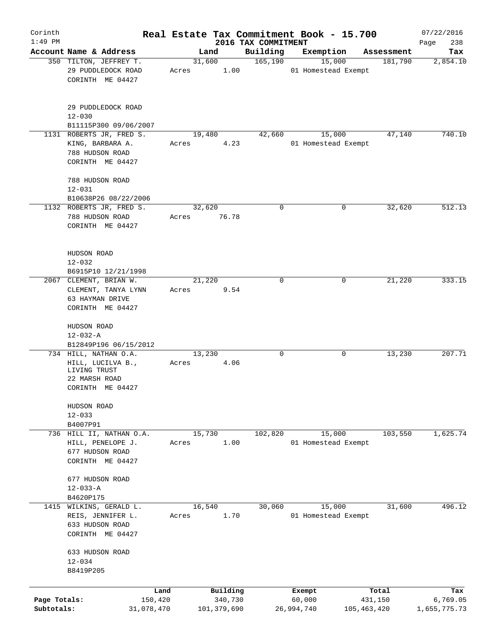| Corinth                    |                                                                                     |                 |                                    |                                 | Real Estate Tax Commitment Book - 15.700 |                                 | 07/22/2016                      |
|----------------------------|-------------------------------------------------------------------------------------|-----------------|------------------------------------|---------------------------------|------------------------------------------|---------------------------------|---------------------------------|
| $1:49$ PM                  | Account Name & Address                                                              |                 | Land                               | 2016 TAX COMMITMENT<br>Building | Exemption                                | Assessment                      | Page<br>238<br>Tax              |
|                            | 350 TILTON, JEFFREY T.                                                              | 31,600          |                                    | 165, 190                        | 15,000                                   | 181,790                         | 2,854.10                        |
|                            | 29 PUDDLEDOCK ROAD<br>CORINTH ME 04427                                              | Acres           | 1.00                               |                                 | 01 Homestead Exempt                      |                                 |                                 |
|                            | 29 PUDDLEDOCK ROAD<br>$12 - 030$                                                    |                 |                                    |                                 |                                          |                                 |                                 |
|                            | B11115P300 09/06/2007                                                               |                 |                                    |                                 |                                          |                                 |                                 |
|                            | 1131 ROBERTS JR, FRED S.<br>KING, BARBARA A.<br>788 HUDSON ROAD<br>CORINTH ME 04427 | 19,480<br>Acres | 4.23                               | 42,660                          | 15,000<br>01 Homestead Exempt            | 47,140                          | 740.10                          |
|                            | 788 HUDSON ROAD<br>$12 - 031$                                                       |                 |                                    |                                 |                                          |                                 |                                 |
|                            | B10638P26 08/22/2006                                                                |                 |                                    |                                 |                                          |                                 |                                 |
|                            | 1132 ROBERTS JR, FRED S.<br>788 HUDSON ROAD<br>CORINTH ME 04427                     | 32,620<br>Acres | 76.78                              | $\mathbf 0$                     | 0                                        | 32,620                          | 512.13                          |
|                            | HUDSON ROAD<br>$12 - 032$<br>B6915P10 12/21/1998                                    |                 |                                    |                                 |                                          |                                 |                                 |
|                            | 2067 CLEMENT, BRIAN W.                                                              | 21,220          |                                    | $\mathbf 0$                     | 0                                        | 21,220                          | 333.15                          |
|                            | CLEMENT, TANYA LYNN<br>63 HAYMAN DRIVE<br>CORINTH ME 04427                          | Acres           | 9.54                               |                                 |                                          |                                 |                                 |
|                            | HUDSON ROAD<br>$12 - 032 - A$                                                       |                 |                                    |                                 |                                          |                                 |                                 |
|                            | B12849P196 06/15/2012<br>734 HILL, NATHAN O.A.                                      | 13,230          |                                    | 0                               | 0                                        | 13,230                          | 207.71                          |
|                            | HILL, LUCILVA B.,<br>LIVING TRUST<br>22 MARSH ROAD<br>CORINTH ME 04427              | Acres           | 4.06                               |                                 |                                          |                                 |                                 |
|                            | HUDSON ROAD<br>$12 - 033$                                                           |                 |                                    |                                 |                                          |                                 |                                 |
|                            | B4007P91<br>736 HILL II, NATHAN O.A.                                                | 15,730          |                                    | 102,820                         | 15,000                                   | 103,550                         | 1,625.74                        |
|                            | HILL, PENELOPE J.<br>677 HUDSON ROAD<br>CORINTH ME 04427                            | Acres           | 1.00                               |                                 | 01 Homestead Exempt                      |                                 |                                 |
|                            | 677 HUDSON ROAD<br>$12 - 033 - A$<br>B4620P175                                      |                 |                                    |                                 |                                          |                                 |                                 |
|                            | 1415 WILKINS, GERALD L.<br>REIS, JENNIFER L.<br>633 HUDSON ROAD<br>CORINTH ME 04427 | 16,540<br>Acres | 1.70                               | 30,060                          | 15,000<br>01 Homestead Exempt            | 31,600                          | 496.12                          |
|                            | 633 HUDSON ROAD<br>$12 - 034$<br>B8419P205                                          |                 |                                    |                                 |                                          |                                 |                                 |
|                            |                                                                                     |                 |                                    |                                 |                                          |                                 |                                 |
| Page Totals:<br>Subtotals: | Land<br>150,420<br>31,078,470                                                       |                 | Building<br>340,730<br>101,379,690 |                                 | Exempt<br>60,000<br>26,994,740           | Total<br>431,150<br>105,463,420 | Tax<br>6,769.05<br>1,655,775.73 |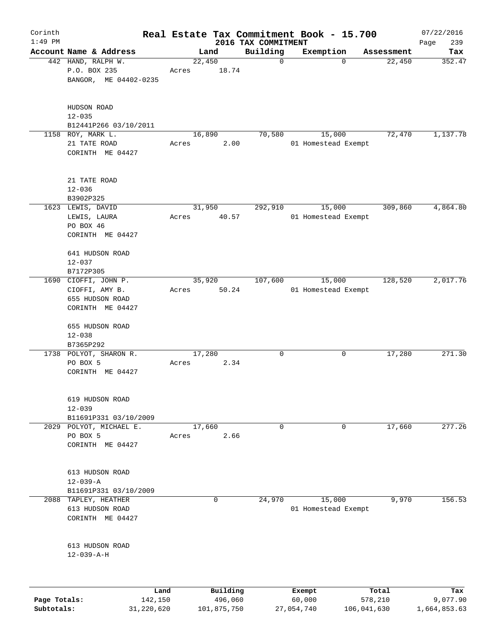| Corinth      |                                       |                 |             |                                 | Real Estate Tax Commitment Book - 15.700 |                      | 07/22/2016    |
|--------------|---------------------------------------|-----------------|-------------|---------------------------------|------------------------------------------|----------------------|---------------|
| $1:49$ PM    | Account Name & Address                |                 | Land        | 2016 TAX COMMITMENT<br>Building | Exemption                                |                      | 239<br>Page   |
|              | 442 HAND, RALPH W.<br>P.O. BOX 235    | 22,450<br>Acres | 18.74       | $\mathbf 0$                     | $\mathbf 0$                              | Assessment<br>22,450 | Tax<br>352.47 |
|              | BANGOR, ME 04402-0235                 |                 |             |                                 |                                          |                      |               |
|              | HUDSON ROAD<br>$12 - 035$             |                 |             |                                 |                                          |                      |               |
|              | B12441P266 03/10/2011                 |                 |             |                                 |                                          |                      |               |
|              | 1158 ROY, MARK L.                     | 16,890          |             | 70,580                          | 15,000                                   | 72,470               | 1,137.78      |
|              | 21 TATE ROAD<br>CORINTH ME 04427      | Acres           | 2.00        |                                 | 01 Homestead Exempt                      |                      |               |
|              | 21 TATE ROAD                          |                 |             |                                 |                                          |                      |               |
|              | $12 - 036$<br>B3902P325               |                 |             |                                 |                                          |                      |               |
|              | 1623 LEWIS, DAVID                     | 31,950          |             | 292,910                         | 15,000                                   | 309,860              | 4,864.80      |
|              | LEWIS, LAURA                          | Acres           | 40.57       |                                 | 01 Homestead Exempt                      |                      |               |
|              | PO BOX 46                             |                 |             |                                 |                                          |                      |               |
|              | CORINTH ME 04427                      |                 |             |                                 |                                          |                      |               |
|              | 641 HUDSON ROAD                       |                 |             |                                 |                                          |                      |               |
|              | $12 - 037$<br>B7172P305               |                 |             |                                 |                                          |                      |               |
|              | 1690 CIOFFI, JOHN P.                  | 35,920          |             | 107,600                         | 15,000                                   | 128,520              | 2,017.76      |
|              | CIOFFI, AMY B.                        | Acres           | 50.24       |                                 | 01 Homestead Exempt                      |                      |               |
|              | 655 HUDSON ROAD                       |                 |             |                                 |                                          |                      |               |
|              | CORINTH ME 04427                      |                 |             |                                 |                                          |                      |               |
|              | 655 HUDSON ROAD                       |                 |             |                                 |                                          |                      |               |
|              | $12 - 038$                            |                 |             |                                 |                                          |                      |               |
|              | B7365P292                             |                 |             |                                 |                                          |                      |               |
|              | 1738 POLYOT, SHARON R.<br>PO BOX 5    | 17,280<br>Acres | 2.34        | 0                               | 0                                        | 17,280               | 271.30        |
|              | CORINTH ME 04427                      |                 |             |                                 |                                          |                      |               |
|              | 619 HUDSON ROAD                       |                 |             |                                 |                                          |                      |               |
|              | $12 - 039$                            |                 |             |                                 |                                          |                      |               |
|              | B11691P331 03/10/2009                 |                 |             |                                 |                                          |                      |               |
| 2029         | POLYOT, MICHAEL E.                    | 17,660          |             | 0                               | 0                                        | 17,660               | 277.26        |
|              | PO BOX 5                              | Acres           | 2.66        |                                 |                                          |                      |               |
|              | CORINTH ME 04427                      |                 |             |                                 |                                          |                      |               |
|              | 613 HUDSON ROAD                       |                 |             |                                 |                                          |                      |               |
|              | $12 - 039 - A$                        |                 |             |                                 |                                          |                      |               |
|              | B11691P331 03/10/2009                 |                 |             |                                 |                                          |                      |               |
| 2088         | TAPLEY, HEATHER                       |                 | $\mathbf 0$ | 24,970                          | 15,000                                   | 9,970                | 156.53        |
|              | 613 HUDSON ROAD<br>CORINTH ME 04427   |                 |             |                                 | 01 Homestead Exempt                      |                      |               |
|              |                                       |                 |             |                                 |                                          |                      |               |
|              | 613 HUDSON ROAD<br>$12 - 039 - A - H$ |                 |             |                                 |                                          |                      |               |
|              |                                       |                 |             |                                 |                                          |                      |               |
|              | Land                                  |                 | Building    |                                 | Exempt                                   | Total                | Tax           |
| Page Totals: | 142,150                               |                 | 496,060     |                                 | 60,000                                   | 578,210              | 9,077.90      |

**Subtotals:** 31,220,620 101,875,750 27,054,740 106,041,630 1,664,853.63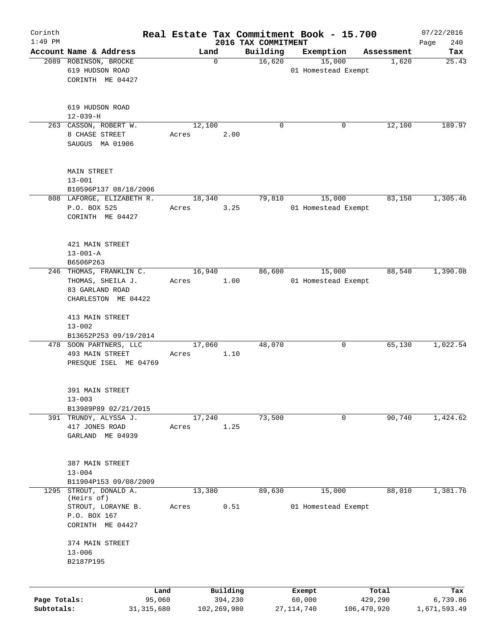| Corinth<br>$1:49$ PM |                                              |        |                     | 2016 TAX COMMITMENT | Real Estate Tax Commitment Book - 15.700 |                  | 07/22/2016<br>240<br>Page |
|----------------------|----------------------------------------------|--------|---------------------|---------------------|------------------------------------------|------------------|---------------------------|
|                      | Account Name & Address                       | Land   |                     | Building            | Exemption                                | Assessment       | Tax                       |
|                      | 2089 ROBINSON, BROCKE                        |        | $\mathbf 0$         | 16,620              | 15,000                                   | 1,620            | 25.43                     |
|                      | 619 HUDSON ROAD                              |        |                     |                     | 01 Homestead Exempt                      |                  |                           |
|                      | CORINTH ME 04427                             |        |                     |                     |                                          |                  |                           |
|                      |                                              |        |                     |                     |                                          |                  |                           |
|                      |                                              |        |                     |                     |                                          |                  |                           |
|                      | 619 HUDSON ROAD                              |        |                     |                     |                                          |                  |                           |
|                      | $12 - 039 - H$                               |        |                     |                     |                                          |                  |                           |
|                      | 263 CASSON, ROBERT W.                        | 12,100 |                     | 0                   | 0                                        | 12,100           | 189.97                    |
|                      | 8 CHASE STREET                               | Acres  | 2.00                |                     |                                          |                  |                           |
|                      | SAUGUS MA 01906                              |        |                     |                     |                                          |                  |                           |
|                      |                                              |        |                     |                     |                                          |                  |                           |
|                      | <b>MAIN STREET</b>                           |        |                     |                     |                                          |                  |                           |
|                      | $13 - 001$<br>B10596P137 08/18/2006          |        |                     |                     |                                          |                  |                           |
|                      | 808 LAFORGE, ELIZABETH R.                    | 18,340 |                     | 79,810              | 15,000                                   | 83,150           | 1,305.46                  |
|                      | P.O. BOX 525                                 | Acres  | 3.25                |                     | 01 Homestead Exempt                      |                  |                           |
|                      | CORINTH ME 04427                             |        |                     |                     |                                          |                  |                           |
|                      |                                              |        |                     |                     |                                          |                  |                           |
|                      |                                              |        |                     |                     |                                          |                  |                           |
|                      | 421 MAIN STREET                              |        |                     |                     |                                          |                  |                           |
|                      | $13 - 001 - A$                               |        |                     |                     |                                          |                  |                           |
|                      | B6506P263                                    | 16,940 |                     | 86,600              | 15,000                                   | 88,540           | 1,390.08                  |
|                      | 246 THOMAS, FRANKLIN C.<br>THOMAS, SHEILA J. | Acres  | 1.00                |                     | 01 Homestead Exempt                      |                  |                           |
|                      | 83 GARLAND ROAD                              |        |                     |                     |                                          |                  |                           |
|                      | CHARLESTON ME 04422                          |        |                     |                     |                                          |                  |                           |
|                      |                                              |        |                     |                     |                                          |                  |                           |
|                      | 413 MAIN STREET                              |        |                     |                     |                                          |                  |                           |
|                      | $13 - 002$                                   |        |                     |                     |                                          |                  |                           |
|                      | B13652P253 09/19/2014                        |        |                     |                     |                                          |                  |                           |
|                      | 478 SOON PARTNERS, LLC                       | 17,060 |                     | 48,070              | 0                                        | 65,130           | 1,022.54                  |
|                      | 493 MAIN STREET                              | Acres  | 1.10                |                     |                                          |                  |                           |
|                      | PRESQUE ISEL ME 04769                        |        |                     |                     |                                          |                  |                           |
|                      |                                              |        |                     |                     |                                          |                  |                           |
|                      | 391 MAIN STREET                              |        |                     |                     |                                          |                  |                           |
|                      | $13 - 003$                                   |        |                     |                     |                                          |                  |                           |
|                      | B13989P89 02/21/2015                         |        |                     |                     |                                          |                  |                           |
|                      | 391 TRUNDY, ALYSSA J.                        | 17,240 |                     | 73,500              | $\mathbf 0$                              | 90,740           | 1,424.62                  |
|                      | 417 JONES ROAD                               | Acres  | 1.25                |                     |                                          |                  |                           |
|                      | GARLAND ME 04939                             |        |                     |                     |                                          |                  |                           |
|                      |                                              |        |                     |                     |                                          |                  |                           |
|                      | 387 MAIN STREET                              |        |                     |                     |                                          |                  |                           |
|                      | $13 - 004$                                   |        |                     |                     |                                          |                  |                           |
|                      | B11904P153 09/08/2009                        |        |                     |                     |                                          |                  |                           |
| 1295                 | STROUT, DONALD A.<br>(Heirs of)              | 13,380 |                     | 89,630              | 15,000                                   | 88,010           | 1,381.76                  |
|                      | STROUT, LORAYNE B.                           | Acres  | 0.51                |                     | 01 Homestead Exempt                      |                  |                           |
|                      | P.O. BOX 167                                 |        |                     |                     |                                          |                  |                           |
|                      | CORINTH ME 04427                             |        |                     |                     |                                          |                  |                           |
|                      |                                              |        |                     |                     |                                          |                  |                           |
|                      | 374 MAIN STREET<br>$13 - 006$                |        |                     |                     |                                          |                  |                           |
|                      | B2187P195                                    |        |                     |                     |                                          |                  |                           |
|                      |                                              |        |                     |                     |                                          |                  |                           |
|                      |                                              |        |                     |                     |                                          |                  |                           |
| Page Totals:         | Land<br>95,060                               |        | Building<br>394,230 |                     | Exempt<br>60,000                         | Total<br>429,290 | Tax<br>6,739.86           |
| Subtotals:           | 31, 315, 680                                 |        | 102,269,980         |                     | 27, 114, 740                             | 106,470,920      | 1,671,593.49              |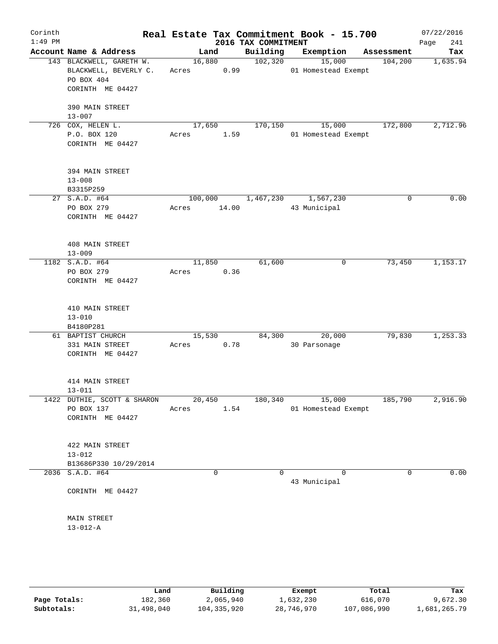| Corinth<br>$1:49$ PM |                                                                                     |            |                | 2016 TAX COMMITMENT | Real Estate Tax Commitment Book - 15.700 |            | 07/22/2016<br>241<br>Page |
|----------------------|-------------------------------------------------------------------------------------|------------|----------------|---------------------|------------------------------------------|------------|---------------------------|
|                      | Account Name & Address                                                              |            | Land           | Building            | Exemption                                | Assessment | Tax                       |
|                      | 143 BLACKWELL, GARETH W.<br>BLACKWELL, BEVERLY C.<br>PO BOX 404<br>CORINTH ME 04427 | Acres 0.99 | 16,880         | 102,320             | 15,000<br>01 Homestead Exempt            | 104,200    | 1,635.94                  |
|                      | 390 MAIN STREET<br>$13 - 007$                                                       |            |                |                     |                                          |            |                           |
|                      | 726 COX, HELEN L.                                                                   | 17,650     |                | 170,150             | 15,000                                   | 172,800    | 2,712.96                  |
|                      | P.O. BOX 120<br>CORINTH ME 04427                                                    | Acres      | 1.59           |                     | 01 Homestead Exempt                      |            |                           |
|                      | 394 MAIN STREET<br>$13 - 008$<br>B3315P259                                          |            |                |                     |                                          |            |                           |
|                      | 27 S.A.D. #64                                                                       |            | 100,000        |                     | 1,467,230 1,567,230                      | 0          | 0.00                      |
|                      | PO BOX 279<br>CORINTH ME 04427                                                      | Acres      | 14.00          |                     | 43 Municipal                             |            |                           |
|                      | 408 MAIN STREET<br>$13 - 009$                                                       |            |                |                     |                                          |            |                           |
|                      | 1182 S.A.D. #64                                                                     |            | 11,850         | 61,600              | 0                                        | 73,450     | 1,153.17                  |
|                      | PO BOX 279<br>CORINTH ME 04427                                                      | Acres 0.36 |                |                     |                                          |            |                           |
|                      | 410 MAIN STREET<br>$13 - 010$<br>B4180P281                                          |            |                |                     |                                          |            |                           |
|                      | 61 BAPTIST CHURCH                                                                   |            | 15,530         | 84,300              | 20,000                                   | 79,830     | 1,253.33                  |
|                      | 331 MAIN STREET<br>CORINTH ME 04427                                                 | Acres      | 0.78           |                     | 30 Parsonage                             |            |                           |
|                      | 414 MAIN STREET<br>$13 - 011$                                                       |            |                |                     |                                          |            |                           |
|                      | 1422 DUTHIE, SCOTT & SHARON<br>PO BOX 137<br>CORINTH ME 04427                       | Acres      | 20,450<br>1.54 |                     | 180,340 15,000<br>01 Homestead Exempt    | 185,790    | 2,916.90                  |
|                      | 422 MAIN STREET<br>$13 - 012$                                                       |            |                |                     |                                          |            |                           |
|                      | B13686P330 10/29/2014                                                               |            |                |                     |                                          |            |                           |
|                      | 2036 S.A.D. #64                                                                     |            | $\mathbf 0$    | $\Omega$            | $\Omega$<br>43 Municipal                 | 0          | 0.00                      |
|                      | CORINTH ME 04427                                                                    |            |                |                     |                                          |            |                           |
|                      | MAIN STREET<br>$13 - 012 - A$                                                       |            |                |                     |                                          |            |                           |
|                      |                                                                                     |            |                |                     |                                          |            |                           |

|              | Land       | Building    | Exempt     | Total       | Tax          |
|--------------|------------|-------------|------------|-------------|--------------|
| Page Totals: | 182,360    | 2,065,940   | 1,632,230  | 616,070     | 9,672.30     |
| Subtotals:   | 31,498,040 | 104,335,920 | 28,746,970 | 107,086,990 | 1,681,265.79 |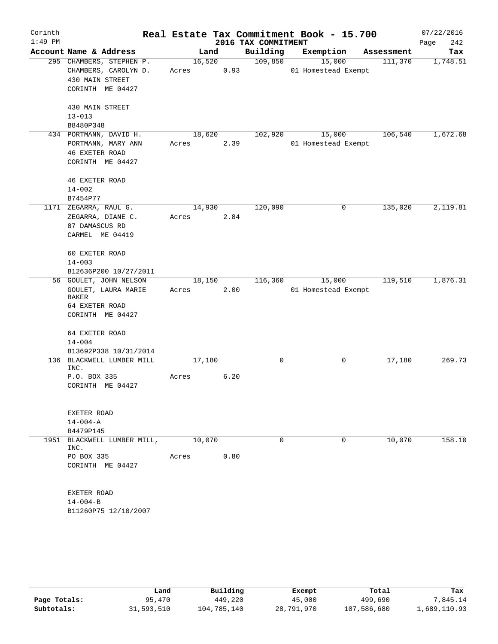| Corinth   |                                     |        |      | Real Estate Tax Commitment Book - 15.700 |                     |            | 07/22/2016  |
|-----------|-------------------------------------|--------|------|------------------------------------------|---------------------|------------|-------------|
| $1:49$ PM |                                     |        |      | 2016 TAX COMMITMENT                      |                     |            | 242<br>Page |
|           | Account Name & Address              | Land   |      | Building                                 | Exemption           | Assessment | Tax         |
|           | 295 CHAMBERS, STEPHEN P.            | 16,520 |      | 109,850                                  | 15,000              | 111,370    | 1,748.51    |
|           | CHAMBERS, CAROLYN D.                | Acres  | 0.93 |                                          | 01 Homestead Exempt |            |             |
|           | 430 MAIN STREET<br>CORINTH ME 04427 |        |      |                                          |                     |            |             |
|           |                                     |        |      |                                          |                     |            |             |
|           | 430 MAIN STREET                     |        |      |                                          |                     |            |             |
|           | $13 - 013$                          |        |      |                                          |                     |            |             |
|           | B8480P348                           |        |      |                                          |                     |            |             |
|           | 434 PORTMANN, DAVID H.              | 18,620 |      | 102,920                                  | 15,000              | 106,540    | 1,672.68    |
|           | PORTMANN, MARY ANN                  | Acres  | 2.39 |                                          | 01 Homestead Exempt |            |             |
|           | <b>46 EXETER ROAD</b>               |        |      |                                          |                     |            |             |
|           | CORINTH ME 04427                    |        |      |                                          |                     |            |             |
|           |                                     |        |      |                                          |                     |            |             |
|           | <b>46 EXETER ROAD</b>               |        |      |                                          |                     |            |             |
|           | $14 - 002$<br>B7454P77              |        |      |                                          |                     |            |             |
|           | 1171 ZEGARRA, RAUL G.               | 14,930 |      | 120,090                                  | $\mathbf 0$         | 135,020    | 2,119.81    |
|           | ZEGARRA, DIANE C.                   | Acres  | 2.84 |                                          |                     |            |             |
|           | 87 DAMASCUS RD                      |        |      |                                          |                     |            |             |
|           | CARMEL ME 04419                     |        |      |                                          |                     |            |             |
|           |                                     |        |      |                                          |                     |            |             |
|           | 60 EXETER ROAD                      |        |      |                                          |                     |            |             |
|           | $14 - 003$                          |        |      |                                          |                     |            |             |
|           | B12636P200 10/27/2011               |        |      |                                          |                     |            |             |
|           | 56 GOULET, JOHN NELSON              | 18,150 |      | 116,360                                  | 15,000              | 119,510    | 1,876.31    |
|           | GOULET, LAURA MARIE<br>BAKER        | Acres  | 2.00 |                                          | 01 Homestead Exempt |            |             |
|           | 64 EXETER ROAD                      |        |      |                                          |                     |            |             |
|           | CORINTH ME 04427                    |        |      |                                          |                     |            |             |
|           |                                     |        |      |                                          |                     |            |             |
|           | 64 EXETER ROAD                      |        |      |                                          |                     |            |             |
|           | $14 - 004$                          |        |      |                                          |                     |            |             |
|           | B13692P338 10/31/2014               |        |      |                                          |                     |            |             |
|           | 136 BLACKWELL LUMBER MILL<br>INC.   | 17,180 |      | 0                                        | 0                   | 17,180     | 269.73      |
|           | P.O. BOX 335                        | Acres  | 6.20 |                                          |                     |            |             |
|           | CORINTH ME 04427                    |        |      |                                          |                     |            |             |
|           |                                     |        |      |                                          |                     |            |             |
|           |                                     |        |      |                                          |                     |            |             |
|           | EXETER ROAD                         |        |      |                                          |                     |            |             |
|           | $14 - 004 - A$                      |        |      |                                          |                     |            |             |
|           | B4479P145                           |        |      |                                          |                     |            |             |
|           | 1951 BLACKWELL LUMBER MILL,<br>INC. | 10,070 |      | $\Omega$                                 | 0                   | 10,070     | 158.10      |
|           | PO BOX 335                          | Acres  | 0.80 |                                          |                     |            |             |
|           | CORINTH ME 04427                    |        |      |                                          |                     |            |             |
|           |                                     |        |      |                                          |                     |            |             |
|           |                                     |        |      |                                          |                     |            |             |
|           | <b>EXETER ROAD</b>                  |        |      |                                          |                     |            |             |
|           | $14 - 004 - B$                      |        |      |                                          |                     |            |             |
|           | B11260P75 12/10/2007                |        |      |                                          |                     |            |             |
|           |                                     |        |      |                                          |                     |            |             |

|              | Land       | Building    | Exempt     | Total       | Tax          |
|--------------|------------|-------------|------------|-------------|--------------|
| Page Totals: | 95,470     | 449,220     | 45,000     | 499,690     | 7,845.14     |
| Subtotals:   | 31,593,510 | 104,785,140 | 28,791,970 | 107,586,680 | 1,689,110.93 |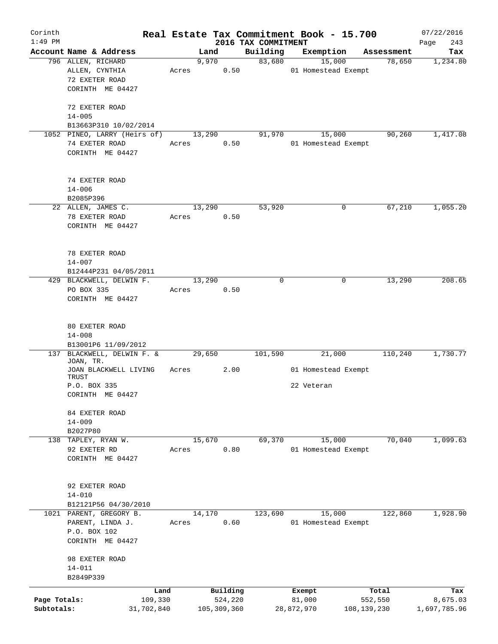| Corinth                    |                                     |         |                        |      |                                 | Real Estate Tax Commitment Book - 15.700 |               |                      | 07/22/2016               |
|----------------------------|-------------------------------------|---------|------------------------|------|---------------------------------|------------------------------------------|---------------|----------------------|--------------------------|
| $1:49$ PM                  | Account Name & Address              |         | Land                   |      | 2016 TAX COMMITMENT<br>Building |                                          |               |                      | 243<br>Page              |
|                            | 796 ALLEN, RICHARD                  |         | 9,970                  |      | 83,680                          | Exemption<br>15,000                      |               | Assessment<br>78,650 | Tax<br>1,234.80          |
|                            | ALLEN, CYNTHIA                      | Acres   |                        | 0.50 |                                 | 01 Homestead Exempt                      |               |                      |                          |
|                            | 72 EXETER ROAD                      |         |                        |      |                                 |                                          |               |                      |                          |
|                            | CORINTH ME 04427                    |         |                        |      |                                 |                                          |               |                      |                          |
|                            |                                     |         |                        |      |                                 |                                          |               |                      |                          |
|                            | 72 EXETER ROAD                      |         |                        |      |                                 |                                          |               |                      |                          |
|                            | $14 - 005$                          |         |                        |      |                                 |                                          |               |                      |                          |
|                            | B13663P310 10/02/2014               |         |                        |      |                                 |                                          |               |                      |                          |
|                            | 1052 PINEO, LARRY (Heirs of)        |         | 13,290                 |      | 91,970                          | 15,000                                   |               | 90,260               | 1,417.08                 |
|                            | 74 EXETER ROAD                      | Acres   |                        | 0.50 |                                 | 01 Homestead Exempt                      |               |                      |                          |
|                            | CORINTH ME 04427                    |         |                        |      |                                 |                                          |               |                      |                          |
|                            |                                     |         |                        |      |                                 |                                          |               |                      |                          |
|                            | 74 EXETER ROAD                      |         |                        |      |                                 |                                          |               |                      |                          |
|                            | $14 - 006$                          |         |                        |      |                                 |                                          |               |                      |                          |
|                            | B2085P396                           |         |                        |      |                                 |                                          |               |                      |                          |
|                            | 22 ALLEN, JAMES C.                  |         | 13,290                 |      | 53,920                          |                                          | 0             | 67,210               | 1,055.20                 |
|                            | 78 EXETER ROAD                      | Acres   |                        | 0.50 |                                 |                                          |               |                      |                          |
|                            | CORINTH ME 04427                    |         |                        |      |                                 |                                          |               |                      |                          |
|                            |                                     |         |                        |      |                                 |                                          |               |                      |                          |
|                            |                                     |         |                        |      |                                 |                                          |               |                      |                          |
|                            | 78 EXETER ROAD                      |         |                        |      |                                 |                                          |               |                      |                          |
|                            | $14 - 007$<br>B12444P231 04/05/2011 |         |                        |      |                                 |                                          |               |                      |                          |
|                            | 429 BLACKWELL, DELWIN F.            |         | 13,290                 |      | $\mathbf 0$                     |                                          | 0             | 13,290               | 208.65                   |
|                            | PO BOX 335                          | Acres   |                        | 0.50 |                                 |                                          |               |                      |                          |
|                            | CORINTH ME 04427                    |         |                        |      |                                 |                                          |               |                      |                          |
|                            |                                     |         |                        |      |                                 |                                          |               |                      |                          |
|                            |                                     |         |                        |      |                                 |                                          |               |                      |                          |
|                            | 80 EXETER ROAD                      |         |                        |      |                                 |                                          |               |                      |                          |
|                            | $14 - 008$<br>B13001P6 11/09/2012   |         |                        |      |                                 |                                          |               |                      |                          |
|                            | 137 BLACKWELL, DELWIN F. &          |         | 29,650                 |      | 101,590                         | 21,000                                   |               | 110,240              | 1,730.77                 |
|                            | JOAN, TR.                           |         |                        |      |                                 |                                          |               |                      |                          |
|                            | JOAN BLACKWELL LIVING               | Acres   |                        | 2.00 |                                 | 01 Homestead Exempt                      |               |                      |                          |
|                            | TRUST                               |         |                        |      |                                 |                                          |               |                      |                          |
|                            | P.O. BOX 335                        |         |                        |      |                                 | 22 Veteran                               |               |                      |                          |
|                            | CORINTH ME 04427                    |         |                        |      |                                 |                                          |               |                      |                          |
|                            | 84 EXETER ROAD                      |         |                        |      |                                 |                                          |               |                      |                          |
|                            | $14 - 009$                          |         |                        |      |                                 |                                          |               |                      |                          |
|                            | B2027P80                            |         |                        |      |                                 |                                          |               |                      |                          |
|                            | 138 TAPLEY, RYAN W.                 |         | 15,670                 |      | 69,370                          | 15,000                                   |               | 70,040               | 1,099.63                 |
|                            | 92 EXETER RD                        | Acres   |                        | 0.80 |                                 | 01 Homestead Exempt                      |               |                      |                          |
|                            | CORINTH ME 04427                    |         |                        |      |                                 |                                          |               |                      |                          |
|                            |                                     |         |                        |      |                                 |                                          |               |                      |                          |
|                            | 92 EXETER ROAD                      |         |                        |      |                                 |                                          |               |                      |                          |
|                            | $14 - 010$                          |         |                        |      |                                 |                                          |               |                      |                          |
|                            | B12121P56 04/30/2010                |         |                        |      |                                 |                                          |               |                      |                          |
|                            | 1021 PARENT, GREGORY B.             |         | 14,170                 |      | 123,690                         | 15,000                                   |               | 122,860              | 1,928.90                 |
|                            | PARENT, LINDA J.                    | Acres   |                        | 0.60 |                                 | 01 Homestead Exempt                      |               |                      |                          |
|                            | P.O. BOX 102<br>CORINTH ME 04427    |         |                        |      |                                 |                                          |               |                      |                          |
|                            |                                     |         |                        |      |                                 |                                          |               |                      |                          |
|                            | 98 EXETER ROAD                      |         |                        |      |                                 |                                          |               |                      |                          |
|                            | $14 - 011$                          |         |                        |      |                                 |                                          |               |                      |                          |
|                            | B2849P339                           |         |                        |      |                                 |                                          |               |                      |                          |
|                            |                                     | Land    | Building               |      |                                 | Exempt                                   |               | Total                | Tax                      |
| Page Totals:<br>Subtotals: | 31,702,840                          | 109,330 | 524,220<br>105,309,360 |      |                                 | 81,000<br>28,872,970                     | 108, 139, 230 | 552,550              | 8,675.03<br>1,697,785.96 |
|                            |                                     |         |                        |      |                                 |                                          |               |                      |                          |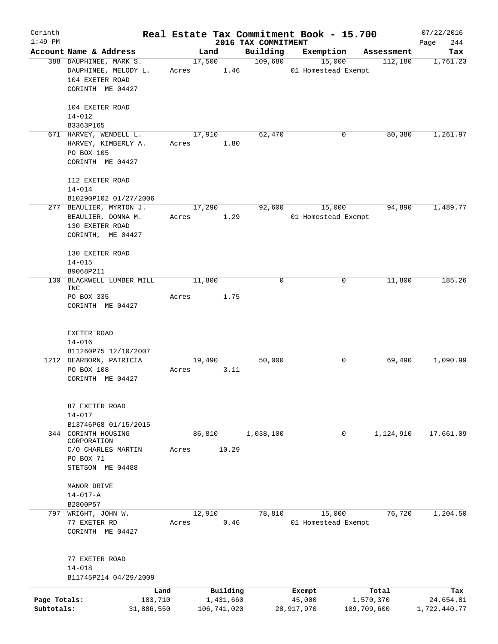| Corinth      |                                   |       |        |             |                                 | Real Estate Tax Commitment Book - 15.700 |             |            | 07/22/2016      |
|--------------|-----------------------------------|-------|--------|-------------|---------------------------------|------------------------------------------|-------------|------------|-----------------|
| $1:49$ PM    | Account Name & Address            |       | Land   |             | 2016 TAX COMMITMENT<br>Building |                                          |             | Assessment | 244<br>Page     |
|              | 388 DAUPHINEE, MARK S.            |       | 17,500 |             | 109,680                         | Exemption<br>15,000                      |             | 112,180    | Tax<br>1,761.23 |
|              | DAUPHINEE, MELODY L.              | Acres |        | 1.46        |                                 | 01 Homestead Exempt                      |             |            |                 |
|              | 104 EXETER ROAD                   |       |        |             |                                 |                                          |             |            |                 |
|              | CORINTH ME 04427                  |       |        |             |                                 |                                          |             |            |                 |
|              |                                   |       |        |             |                                 |                                          |             |            |                 |
|              | 104 EXETER ROAD                   |       |        |             |                                 |                                          |             |            |                 |
|              | $14 - 012$                        |       |        |             |                                 |                                          |             |            |                 |
|              | B3363P165                         |       |        |             |                                 |                                          |             |            |                 |
|              | 671 HARVEY, WENDELL L.            |       | 17,910 |             | 62,470                          |                                          | 0           | 80,380     | 1,261.97        |
|              | HARVEY, KIMBERLY A.<br>PO BOX 105 | Acres |        | 1.80        |                                 |                                          |             |            |                 |
|              | CORINTH ME 04427                  |       |        |             |                                 |                                          |             |            |                 |
|              |                                   |       |        |             |                                 |                                          |             |            |                 |
|              | 112 EXETER ROAD                   |       |        |             |                                 |                                          |             |            |                 |
|              | $14 - 014$                        |       |        |             |                                 |                                          |             |            |                 |
|              | B10290P102 01/27/2006             |       |        |             |                                 |                                          |             |            |                 |
|              | 277 BEAULIER, MYRTON J.           |       | 17,290 |             | 92,600                          | 15,000                                   |             | 94,890     | 1,489.77        |
|              | BEAULIER, DONNA M.                | Acres |        | 1.29        |                                 | 01 Homestead Exempt                      |             |            |                 |
|              | 130 EXETER ROAD                   |       |        |             |                                 |                                          |             |            |                 |
|              | CORINTH, ME 04427                 |       |        |             |                                 |                                          |             |            |                 |
|              |                                   |       |        |             |                                 |                                          |             |            |                 |
|              | 130 EXETER ROAD<br>$14 - 015$     |       |        |             |                                 |                                          |             |            |                 |
|              | B9068P211                         |       |        |             |                                 |                                          |             |            |                 |
|              | 130 BLACKWELL LUMBER MILL         |       | 11,800 |             | 0                               |                                          | 0           | 11,800     | 185.26          |
|              | INC                               |       |        |             |                                 |                                          |             |            |                 |
|              | PO BOX 335                        | Acres |        | 1.75        |                                 |                                          |             |            |                 |
|              | CORINTH ME 04427                  |       |        |             |                                 |                                          |             |            |                 |
|              |                                   |       |        |             |                                 |                                          |             |            |                 |
|              | EXETER ROAD                       |       |        |             |                                 |                                          |             |            |                 |
|              | $14 - 016$                        |       |        |             |                                 |                                          |             |            |                 |
|              | B11260P75 12/10/2007              |       |        |             |                                 |                                          |             |            |                 |
|              | 1212 DEARBORN, PATRICIA           |       | 19,490 |             | 50,000                          |                                          | 0           | 69,490     | 1,090.99        |
|              | PO BOX 108                        | Acres |        | 3.11        |                                 |                                          |             |            |                 |
|              | CORINTH ME 04427                  |       |        |             |                                 |                                          |             |            |                 |
|              |                                   |       |        |             |                                 |                                          |             |            |                 |
|              | 87 EXETER ROAD                    |       |        |             |                                 |                                          |             |            |                 |
|              | $14 - 017$                        |       |        |             |                                 |                                          |             |            |                 |
|              | B13746P68 01/15/2015              |       |        |             |                                 |                                          |             |            |                 |
|              | 344 CORINTH HOUSING               |       | 86,810 |             | 1,038,100                       |                                          | 0           | 1,124,910  | 17,661.09       |
|              | CORPORATION                       |       |        |             |                                 |                                          |             |            |                 |
|              | C/O CHARLES MARTIN                | Acres |        | 10.29       |                                 |                                          |             |            |                 |
|              | PO BOX 71<br>STETSON ME 04488     |       |        |             |                                 |                                          |             |            |                 |
|              |                                   |       |        |             |                                 |                                          |             |            |                 |
|              | MANOR DRIVE                       |       |        |             |                                 |                                          |             |            |                 |
|              | $14 - 017 - A$                    |       |        |             |                                 |                                          |             |            |                 |
|              | B2800P57                          |       |        |             |                                 |                                          |             |            |                 |
|              | 797 WRIGHT, JOHN W.               |       | 12,910 |             | 78,810                          | 15,000                                   |             | 76,720     | 1,204.50        |
|              | 77 EXETER RD                      | Acres |        | 0.46        |                                 | 01 Homestead Exempt                      |             |            |                 |
|              | CORINTH ME 04427                  |       |        |             |                                 |                                          |             |            |                 |
|              |                                   |       |        |             |                                 |                                          |             |            |                 |
|              | 77 EXETER ROAD                    |       |        |             |                                 |                                          |             |            |                 |
|              | $14 - 018$                        |       |        |             |                                 |                                          |             |            |                 |
|              | B11745P214 04/29/2009             |       |        |             |                                 |                                          |             |            |                 |
|              | Land                              |       |        | Building    |                                 | Exempt                                   |             | Total      | Tax             |
| Page Totals: | 183,710                           |       |        | 1,431,660   |                                 | 45,000                                   |             | 1,570,370  | 24,654.81       |
| Subtotals:   | 31,886,550                        |       |        | 106,741,020 |                                 | 28,917,970                               | 109,709,600 |            | 1,722,440.77    |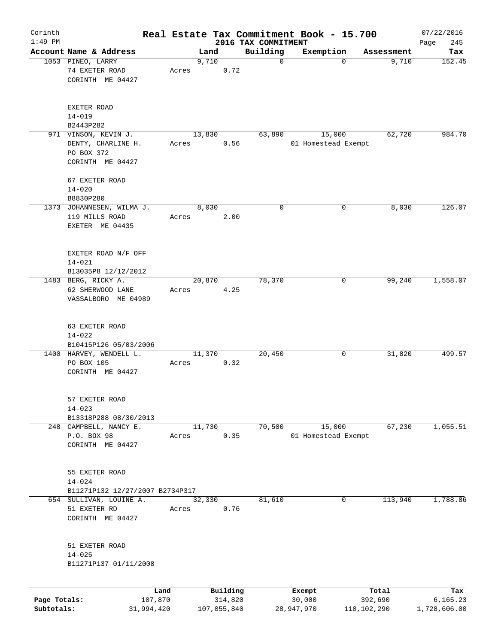| Corinth      |                                                                              |            |       |        |             |                                 | Real Estate Tax Commitment Book - 15.700 |              | 07/22/2016         |
|--------------|------------------------------------------------------------------------------|------------|-------|--------|-------------|---------------------------------|------------------------------------------|--------------|--------------------|
| $1:49$ PM    | Account Name & Address                                                       |            |       | Land   |             | 2016 TAX COMMITMENT<br>Building | Exemption                                | Assessment   | 245<br>Page<br>Tax |
|              | 1053 PINEO, LARRY                                                            |            |       | 9,710  |             | 0                               | $\Omega$                                 | 9,710        | 152.45             |
|              | 74 EXETER ROAD<br>CORINTH ME 04427                                           |            | Acres |        | 0.72        |                                 |                                          |              |                    |
|              | EXETER ROAD<br>$14 - 019$                                                    |            |       |        |             |                                 |                                          |              |                    |
|              | B2443P282                                                                    |            |       |        |             |                                 |                                          |              |                    |
|              | 971 VINSON, KEVIN J.<br>DENTY, CHARLINE H.<br>PO BOX 372<br>CORINTH ME 04427 |            | Acres | 13,830 | 0.56        | 63,890                          | 15,000<br>01 Homestead Exempt            | 62,720       | 984.70             |
|              | 67 EXETER ROAD<br>$14 - 020$                                                 |            |       |        |             |                                 |                                          |              |                    |
|              | B8830P280                                                                    |            |       |        |             |                                 |                                          |              |                    |
|              | 1373 JOHANNESEN, WILMA J.<br>119 MILLS ROAD<br>EXETER ME 04435               |            | Acres | 8,030  | 2.00        | 0                               | $\mathbf 0$                              | 8,030        | 126.07             |
|              | EXETER ROAD N/F OFF<br>$14 - 021$<br>B13035P8 12/12/2012                     |            |       |        |             |                                 |                                          |              |                    |
|              | 1483 BERG, RICKY A.                                                          |            |       | 20,870 |             | 78,370                          | 0                                        | 99,240       | 1,558.07           |
|              | 62 SHERWOOD LANE<br>VASSALBORO ME 04989                                      |            | Acres |        | 4.25        |                                 |                                          |              |                    |
|              | 63 EXETER ROAD<br>$14 - 022$<br>B10415P126 05/03/2006                        |            |       |        |             |                                 |                                          |              |                    |
|              | 1400 HARVEY, WENDELL L.<br>PO BOX 105<br>CORINTH ME 04427                    |            | Acres | 11,370 | 0.32        | 20,450                          | 0                                        | 31,820       | 499.57             |
|              | 57 EXETER ROAD<br>$14 - 023$<br>B13318P288 08/30/2013                        |            |       |        |             |                                 |                                          |              |                    |
|              | 248 CAMPBELL, NANCY E.                                                       |            |       | 11,730 |             | 70,500                          | 15,000                                   | 67,230       | 1,055.51           |
|              | P.O. BOX 98<br>CORINTH ME 04427                                              |            | Acres |        | 0.35        |                                 | 01 Homestead Exempt                      |              |                    |
|              | 55 EXETER ROAD<br>$14 - 024$                                                 |            |       |        |             |                                 |                                          |              |                    |
|              | B11271P132 12/27/2007 B2734P317                                              |            |       |        |             | 81,610                          |                                          |              |                    |
|              | 654 SULLIVAN, LOUINE A.<br>51 EXETER RD<br>CORINTH ME 04427                  |            | Acres | 32,330 | 0.76        |                                 |                                          | 113,940<br>0 | 1,788.86           |
|              | 51 EXETER ROAD<br>$14 - 025$<br>B11271P137 01/11/2008                        |            |       |        |             |                                 |                                          |              |                    |
|              |                                                                              | Land       |       |        | Building    |                                 | Exempt                                   | Total        | Tax                |
| Page Totals: |                                                                              | 107,870    |       |        | 314,820     |                                 | 30,000                                   | 392,690      | 6,165.23           |
| Subtotals:   |                                                                              | 31,994,420 |       |        | 107,055,840 |                                 | 28,947,970                               | 110,102,290  | 1,728,606.00       |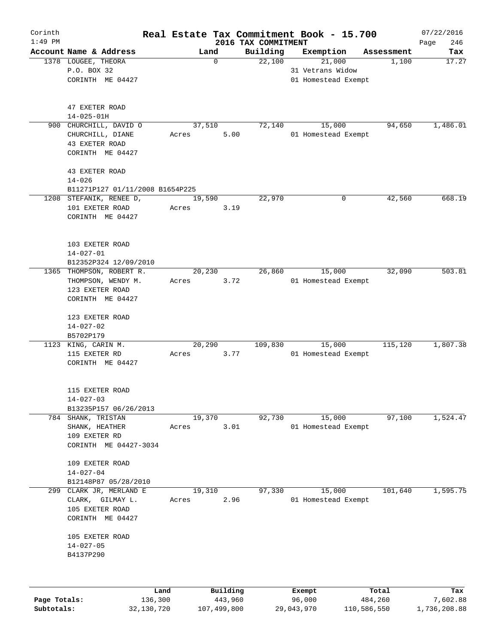| Corinth      |                                                            |       |          |                                 | Real Estate Tax Commitment Book - 15.700 |            | 07/22/2016         |
|--------------|------------------------------------------------------------|-------|----------|---------------------------------|------------------------------------------|------------|--------------------|
| $1:49$ PM    | Account Name & Address                                     |       | Land     | 2016 TAX COMMITMENT<br>Building |                                          | Assessment | 246<br>Page<br>Tax |
|              | 1378 LOUGEE, THEORA                                        |       | 0        | 22,100                          | Exemption<br>21,000                      | 1,100      | 17.27              |
|              | P.O. BOX 32                                                |       |          |                                 | 31 Vetrans Widow                         |            |                    |
|              | CORINTH ME 04427                                           |       |          |                                 | 01 Homestead Exempt                      |            |                    |
|              |                                                            |       |          |                                 |                                          |            |                    |
|              |                                                            |       |          |                                 |                                          |            |                    |
|              | 47 EXETER ROAD                                             |       |          |                                 |                                          |            |                    |
| 900          | $14 - 025 - 01H$<br>CHURCHILL, DAVID O                     |       | 37,510   | 72,140                          | 15,000                                   | 94,650     | 1,486.01           |
|              | CHURCHILL, DIANE                                           | Acres | 5.00     |                                 | 01 Homestead Exempt                      |            |                    |
|              | 43 EXETER ROAD                                             |       |          |                                 |                                          |            |                    |
|              | CORINTH ME 04427                                           |       |          |                                 |                                          |            |                    |
|              |                                                            |       |          |                                 |                                          |            |                    |
|              | 43 EXETER ROAD                                             |       |          |                                 |                                          |            |                    |
|              | $14 - 026$                                                 |       |          |                                 |                                          |            |                    |
|              | B11271P127 01/11/2008 B1654P225<br>1208 STEFANIK, RENEE D, |       | 19,590   | 22,970                          | 0                                        | 42,560     | 668.19             |
|              | 101 EXETER ROAD                                            | Acres | 3.19     |                                 |                                          |            |                    |
|              | CORINTH ME 04427                                           |       |          |                                 |                                          |            |                    |
|              |                                                            |       |          |                                 |                                          |            |                    |
|              |                                                            |       |          |                                 |                                          |            |                    |
|              | 103 EXETER ROAD                                            |       |          |                                 |                                          |            |                    |
|              | $14 - 027 - 01$                                            |       |          |                                 |                                          |            |                    |
|              | B12352P324 12/09/2010<br>1365 THOMPSON, ROBERT R.          |       | 20,230   | 26,860                          | 15,000                                   | 32,090     | 503.81             |
|              | THOMPSON, WENDY M.                                         | Acres | 3.72     |                                 | 01 Homestead Exempt                      |            |                    |
|              | 123 EXETER ROAD                                            |       |          |                                 |                                          |            |                    |
|              | CORINTH ME 04427                                           |       |          |                                 |                                          |            |                    |
|              |                                                            |       |          |                                 |                                          |            |                    |
|              | 123 EXETER ROAD                                            |       |          |                                 |                                          |            |                    |
|              | $14 - 027 - 02$<br>B5702P179                               |       |          |                                 |                                          |            |                    |
|              | 1123 KING, CARIN M.                                        |       | 20,290   | 109,830                         | 15,000                                   | 115,120    | 1,807.38           |
|              | 115 EXETER RD                                              | Acres | 3.77     |                                 | 01 Homestead Exempt                      |            |                    |
|              | CORINTH ME 04427                                           |       |          |                                 |                                          |            |                    |
|              |                                                            |       |          |                                 |                                          |            |                    |
|              | 115 EXETER ROAD                                            |       |          |                                 |                                          |            |                    |
|              | $14 - 027 - 03$                                            |       |          |                                 |                                          |            |                    |
|              | B13235P157 06/26/2013                                      |       |          |                                 |                                          |            |                    |
|              | 784 SHANK, TRISTAN                                         |       | 19,370   | 92,730                          | 15,000                                   | 97,100     | 1,524.47           |
|              | SHANK, HEATHER                                             | Acres | 3.01     |                                 | 01 Homestead Exempt                      |            |                    |
|              | 109 EXETER RD                                              |       |          |                                 |                                          |            |                    |
|              | CORINTH ME 04427-3034                                      |       |          |                                 |                                          |            |                    |
|              | 109 EXETER ROAD                                            |       |          |                                 |                                          |            |                    |
|              | $14 - 027 - 04$                                            |       |          |                                 |                                          |            |                    |
|              | B12148P87 05/28/2010                                       |       |          |                                 |                                          |            |                    |
| 299          | CLARK JR, MERLAND E                                        |       | 19,310   | 97,330                          | 15,000                                   | 101,640    | 1,595.75           |
|              | CLARK, GILMAY L.                                           | Acres | 2.96     |                                 | 01 Homestead Exempt                      |            |                    |
|              | 105 EXETER ROAD                                            |       |          |                                 |                                          |            |                    |
|              | CORINTH ME 04427                                           |       |          |                                 |                                          |            |                    |
|              | 105 EXETER ROAD                                            |       |          |                                 |                                          |            |                    |
|              | $14 - 027 - 05$                                            |       |          |                                 |                                          |            |                    |
|              | B4137P290                                                  |       |          |                                 |                                          |            |                    |
|              |                                                            |       |          |                                 |                                          |            |                    |
|              |                                                            |       |          |                                 |                                          |            |                    |
|              |                                                            | Land  | Building |                                 | Exempt                                   | Total      | Tax                |
| Page Totals: | 136,300                                                    |       | 443,960  |                                 | 96,000                                   | 484,260    | 7,602.88           |

**Subtotals:** 32,130,720 107,499,800 29,043,970 110,586,550 1,736,208.88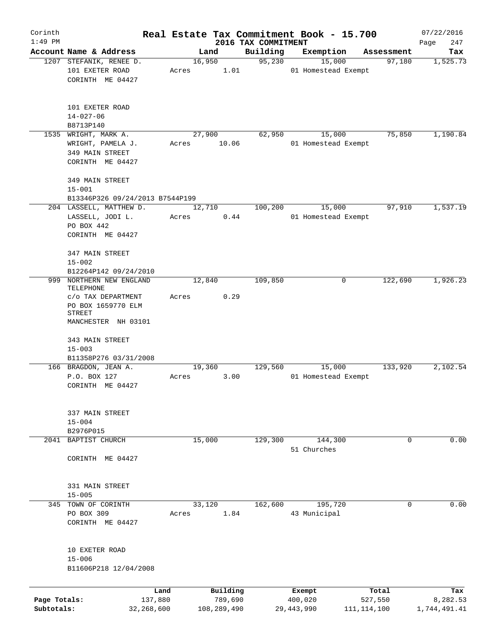| Corinth                    |                                                                                        |       |                        |                     | Real Estate Tax Commitment Book - 15.700 |                          | 07/22/2016               |
|----------------------------|----------------------------------------------------------------------------------------|-------|------------------------|---------------------|------------------------------------------|--------------------------|--------------------------|
| $1:49$ PM                  | Account Name & Address                                                                 |       |                        | 2016 TAX COMMITMENT |                                          |                          | 247<br>Page              |
|                            | 1207 STEFANIK, RENEE D.                                                                |       | Land<br>16,950         | Building<br>95,230  | Exemption<br>15,000                      | Assessment<br>97,180     | Tax<br>1,525.73          |
|                            | 101 EXETER ROAD<br>CORINTH ME 04427                                                    | Acres | 1.01                   |                     | 01 Homestead Exempt                      |                          |                          |
|                            | 101 EXETER ROAD<br>$14 - 027 - 06$<br>B8713P140                                        |       |                        |                     |                                          |                          |                          |
| 1535                       | WRIGHT, MARK A.                                                                        |       | 27,900                 | 62,950              | 15,000                                   | 75,850                   | 1,190.84                 |
|                            | WRIGHT, PAMELA J.<br>349 MAIN STREET<br>CORINTH ME 04427                               | Acres | 10.06                  |                     | 01 Homestead Exempt                      |                          |                          |
|                            | 349 MAIN STREET<br>$15 - 001$                                                          |       |                        |                     |                                          |                          |                          |
|                            | B13346P326 09/24/2013 B7544P199                                                        |       |                        |                     |                                          |                          |                          |
|                            | 204 LASSELL, MATTHEW D.<br>LASSELL, JODI L.<br>PO BOX 442<br>CORINTH ME 04427          | Acres | 12,710<br>0.44         | 100,200             | 15,000<br>01 Homestead Exempt            | 97,910                   | 1,537.19                 |
|                            | 347 MAIN STREET<br>$15 - 002$<br>B12264P142 09/24/2010                                 |       |                        |                     |                                          |                          |                          |
| 999                        | NORTHERN NEW ENGLAND                                                                   |       | 12,840                 | 109,850             | 0                                        | 122,690                  | 1,926.23                 |
|                            | TELEPHONE<br>C/O TAX DEPARTMENT<br>PO BOX 1659770 ELM<br>STREET<br>MANCHESTER NH 03101 | Acres | 0.29                   |                     |                                          |                          |                          |
|                            | 343 MAIN STREET<br>$15 - 003$<br>B11358P276 03/31/2008                                 |       |                        |                     |                                          |                          |                          |
|                            | 166 BRAGDON, JEAN A.                                                                   |       | 19,360                 | 129,560             | 15,000                                   | 133,920                  | 2,102.54                 |
|                            | P.O. BOX 127<br>CORINTH ME 04427                                                       | Acres | 3.00                   |                     | 01 Homestead Exempt                      |                          |                          |
|                            | 337 MAIN STREET<br>$15 - 004$                                                          |       |                        |                     |                                          |                          |                          |
|                            | B2976P015<br>2041 BAPTIST CHURCH                                                       |       | 15,000                 | 129,300             | 144,300                                  | 0                        | 0.00                     |
|                            | CORINTH ME 04427                                                                       |       |                        |                     | 51 Churches                              |                          |                          |
|                            | 331 MAIN STREET                                                                        |       |                        |                     |                                          |                          |                          |
|                            | $15 - 005$<br>345 TOWN OF CORINTH                                                      |       | 33,120                 | 162,600             | 195,720                                  | 0                        | 0.00                     |
|                            | PO BOX 309<br>CORINTH ME 04427                                                         | Acres | 1.84                   |                     | 43 Municipal                             |                          |                          |
|                            | 10 EXETER ROAD<br>$15 - 006$<br>B11606P218 12/04/2008                                  |       |                        |                     |                                          |                          |                          |
|                            | Land                                                                                   |       | Building               |                     | Exempt                                   | Total                    | Tax                      |
| Page Totals:<br>Subtotals: | 137,880<br>32,268,600                                                                  |       | 789,690<br>108,289,490 |                     | 400,020<br>29, 443, 990                  | 527,550<br>111, 114, 100 | 8,282.53<br>1,744,491.41 |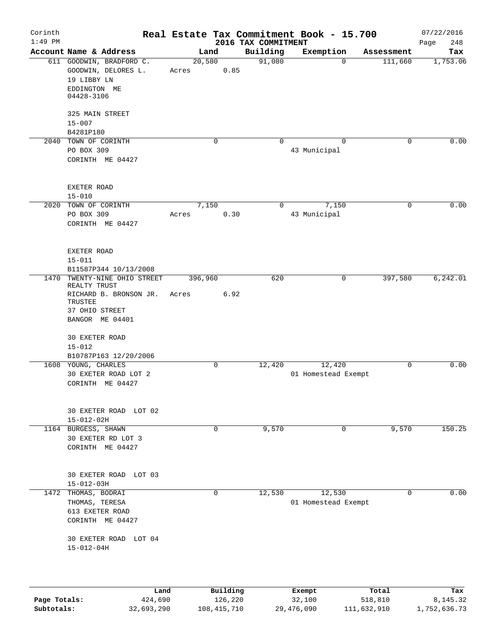| Corinth<br>$1:49$ PM |                                                                                |       |         |                     | 2016 TAX COMMITMENT | Real Estate Tax Commitment Book - 15.700 |                  | 07/22/2016<br>248<br>Page |
|----------------------|--------------------------------------------------------------------------------|-------|---------|---------------------|---------------------|------------------------------------------|------------------|---------------------------|
|                      | Account Name & Address                                                         |       | Land    |                     | Building            | Exemption                                | Assessment       | Tax                       |
|                      | 611 GOODWIN, BRADFORD C.<br>GOODWIN, DELORES L.<br>19 LIBBY LN<br>EDDINGTON ME | Acres | 20,580  | 0.85                | 91,080              | $\Omega$                                 | 111,660          | 1,753.06                  |
|                      | 04428-3106<br>325 MAIN STREET                                                  |       |         |                     |                     |                                          |                  |                           |
|                      | $15 - 007$                                                                     |       |         |                     |                     |                                          |                  |                           |
|                      | B4281P180                                                                      |       |         |                     |                     |                                          |                  |                           |
|                      | 2040 TOWN OF CORINTH<br>PO BOX 309                                             |       |         | 0                   | $\Omega$            | 0<br>43 Municipal                        | $\mathbf 0$      | 0.00                      |
|                      | CORINTH ME 04427                                                               |       |         |                     |                     |                                          |                  |                           |
|                      | EXETER ROAD<br>$15 - 010$                                                      |       |         |                     |                     |                                          |                  |                           |
|                      | 2020 TOWN OF CORINTH                                                           |       | 7,150   |                     | 0                   | 7,150                                    | 0                | 0.00                      |
|                      | PO BOX 309<br>CORINTH ME 04427                                                 | Acres |         | 0.30                |                     | 43 Municipal                             |                  |                           |
|                      | EXETER ROAD<br>$15 - 011$                                                      |       |         |                     |                     |                                          |                  |                           |
|                      | B11587P344 10/13/2008                                                          |       |         |                     |                     |                                          |                  |                           |
|                      | 1470 TWENTY-NINE OHIO STREET<br>REALTY TRUST                                   |       | 396,960 |                     | 620                 | $\mathbf 0$                              | 397,580          | 6, 242.01                 |
|                      | RICHARD B. BRONSON JR.<br>TRUSTEE                                              | Acres |         | 6.92                |                     |                                          |                  |                           |
|                      | 37 OHIO STREET<br>BANGOR ME 04401                                              |       |         |                     |                     |                                          |                  |                           |
|                      | <b>30 EXETER ROAD</b>                                                          |       |         |                     |                     |                                          |                  |                           |
|                      | $15 - 012$<br>B10787P163 12/20/2006                                            |       |         |                     |                     |                                          |                  |                           |
|                      | 1608 YOUNG, CHARLES                                                            |       |         | 0                   | 12,420              | 12,420                                   | $\Omega$         | 0.00                      |
|                      | 30 EXETER ROAD LOT 2<br>CORINTH ME 04427                                       |       |         |                     |                     | 01 Homestead Exempt                      |                  |                           |
|                      | 30 EXETER ROAD LOT 02                                                          |       |         |                     |                     |                                          |                  |                           |
|                      | $15 - 012 - 02H$<br>1164 BURGESS, SHAWN                                        |       |         | 0                   | 9,570               |                                          | 0<br>9,570       | 150.25                    |
|                      | 30 EXETER RD LOT 3<br>CORINTH ME 04427                                         |       |         |                     |                     |                                          |                  |                           |
|                      |                                                                                |       |         |                     |                     |                                          |                  |                           |
|                      | 30 EXETER ROAD LOT 03<br>$15 - 012 - 03H$                                      |       |         |                     |                     |                                          |                  |                           |
| 1472                 | THOMAS, BODRAI                                                                 |       |         | 0                   | 12,530              | 12,530                                   | 0                | 0.00                      |
|                      | THOMAS, TERESA                                                                 |       |         |                     |                     | 01 Homestead Exempt                      |                  |                           |
|                      | 613 EXETER ROAD<br>CORINTH ME 04427                                            |       |         |                     |                     |                                          |                  |                           |
|                      | 30 EXETER ROAD LOT 04<br>$15 - 012 - 04H$                                      |       |         |                     |                     |                                          |                  |                           |
|                      |                                                                                |       |         |                     |                     |                                          |                  |                           |
| Page Totals:         | Land<br>424,690                                                                |       |         | Building<br>126,220 |                     | Exempt<br>32,100                         | Total<br>518,810 | Tax<br>8,145.32           |

**Subtotals:** 32,693,290 108,415,710 29,476,090 111,632,910 1,752,636.73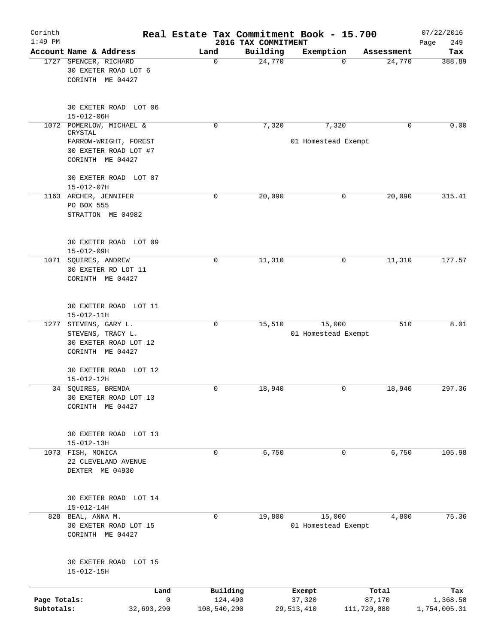| Corinth<br>$1:49$ PM       |                                                                                    | Real Estate Tax Commitment Book - 15.700 | 2016 TAX COMMITMENT |                               |                       | 07/22/2016<br>249<br>Page |
|----------------------------|------------------------------------------------------------------------------------|------------------------------------------|---------------------|-------------------------------|-----------------------|---------------------------|
|                            | Account Name & Address                                                             | Land                                     | Building            | Exemption                     | Assessment            | Tax                       |
|                            | 1727 SPENCER, RICHARD<br>30 EXETER ROAD LOT 6<br>CORINTH ME 04427                  | 0                                        | 24,770              | $\Omega$                      | 24,770                | 388.89                    |
|                            | 30 EXETER ROAD LOT 06<br>$15 - 012 - 06H$                                          |                                          |                     |                               |                       |                           |
|                            | 1072 POMERLOW, MICHAEL &<br>CRYSTAL                                                | 0                                        | 7,320               | 7,320                         | 0                     | 0.00                      |
|                            | FARROW-WRIGHT, FOREST<br>30 EXETER ROAD LOT #7<br>CORINTH ME 04427                 |                                          |                     | 01 Homestead Exempt           |                       |                           |
|                            | 30 EXETER ROAD LOT 07<br>$15 - 012 - 07H$                                          |                                          |                     |                               |                       |                           |
|                            | 1163 ARCHER, JENNIFER<br>PO BOX 555<br>STRATTON ME 04982                           | 0                                        | 20,090              | 0                             | 20,090                | 315.41                    |
|                            | 30 EXETER ROAD LOT 09<br>15-012-09H                                                |                                          |                     |                               |                       |                           |
|                            | 1071 SQUIRES, ANDREW<br>30 EXETER RD LOT 11<br>CORINTH ME 04427                    | 0                                        | 11,310              | 0                             | 11,310                | 177.57                    |
|                            | 30 EXETER ROAD LOT 11<br>$15 - 012 - 11H$                                          |                                          |                     |                               |                       |                           |
| 1277                       | STEVENS, GARY L.<br>STEVENS, TRACY L.<br>30 EXETER ROAD LOT 12<br>CORINTH ME 04427 | 0                                        | 15,510              | 15,000<br>01 Homestead Exempt | 510                   | 8.01                      |
|                            | 30 EXETER ROAD LOT 12<br>15-012-12H                                                |                                          |                     |                               |                       |                           |
|                            | 34 SQUIRES, BRENDA<br>30 EXETER ROAD LOT 13<br>CORINTH ME 04427                    | 0                                        | 18,940              | 0                             | 18,940                | 297.36                    |
|                            | 30 EXETER ROAD LOT 13<br>$15 - 012 - 13H$                                          |                                          |                     |                               |                       |                           |
|                            | 1073 FISH, MONICA<br>22 CLEVELAND AVENUE<br>DEXTER ME 04930                        | 0                                        | 6,750               | 0                             | 6,750                 | 105.98                    |
|                            | 30 EXETER ROAD LOT 14<br>$15 - 012 - 14H$                                          |                                          |                     |                               |                       |                           |
|                            | 828 BEAL, ANNA M.<br>30 EXETER ROAD LOT 15<br>CORINTH ME 04427                     | $\Omega$                                 | 19,800              | 15,000<br>01 Homestead Exempt | 4,800                 | 75.36                     |
|                            | 30 EXETER ROAD LOT 15<br>$15 - 012 - 15H$                                          |                                          |                     |                               |                       |                           |
|                            | Land                                                                               | Building                                 |                     | Exempt                        | Total                 | Tax                       |
| Page Totals:<br>Subtotals: | 32,693,290                                                                         | $\mathsf{O}$<br>124,490<br>108,540,200   |                     | 37,320<br>29, 513, 410        | 87,170<br>111,720,080 | 1,368.58<br>1,754,005.31  |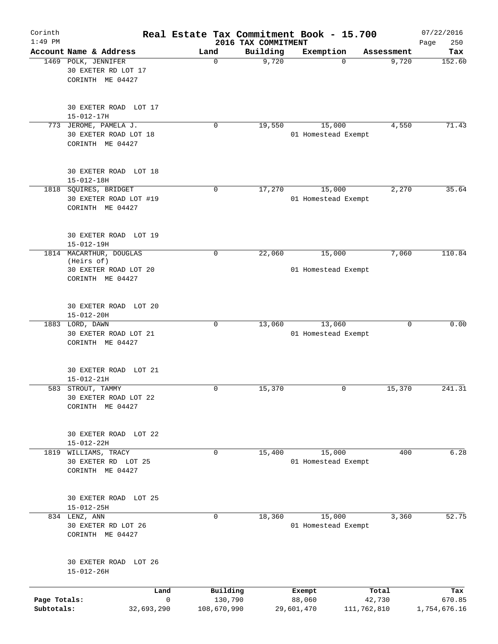| Corinth<br>$1:49$ PM       |                                                                                    |                                        | 2016 TAX COMMITMENT | Real Estate Tax Commitment Book - 15.700 |                       | 07/22/2016<br>250<br>Page |
|----------------------------|------------------------------------------------------------------------------------|----------------------------------------|---------------------|------------------------------------------|-----------------------|---------------------------|
|                            | Account Name & Address                                                             | Land                                   | Building            | Exemption                                | Assessment            | Tax                       |
|                            | 1469 POLK, JENNIFER<br>30 EXETER RD LOT 17<br>CORINTH ME 04427                     | 0                                      | 9,720               | $\Omega$                                 | 9,720                 | 152.60                    |
|                            | 30 EXETER ROAD LOT 17<br>$15 - 012 - 17H$                                          |                                        |                     |                                          |                       |                           |
|                            | 773 JEROME, PAMELA J.<br>30 EXETER ROAD LOT 18<br>CORINTH ME 04427                 | 0                                      | 19,550              | 15,000<br>01 Homestead Exempt            | 4,550                 | 71.43                     |
|                            | 30 EXETER ROAD LOT 18<br>$15 - 012 - 18H$                                          |                                        |                     |                                          |                       |                           |
|                            | 1818 SQUIRES, BRIDGET<br>30 EXETER ROAD LOT #19<br>CORINTH ME 04427                | $\mathbf 0$                            | 17,270              | 15,000<br>01 Homestead Exempt            | 2,270                 | 35.64                     |
|                            | 30 EXETER ROAD LOT 19<br>$15 - 012 - 19H$                                          |                                        |                     |                                          |                       |                           |
|                            | 1814 MACARTHUR, DOUGLAS<br>(Heirs of)<br>30 EXETER ROAD LOT 20<br>CORINTH ME 04427 | 0                                      | 22,060              | 15,000<br>01 Homestead Exempt            | 7,060                 | 110.84                    |
|                            | 30 EXETER ROAD LOT 20<br>$15 - 012 - 20H$                                          |                                        |                     |                                          |                       |                           |
|                            | 1883 LORD, DAWN<br>30 EXETER ROAD LOT 21<br>CORINTH ME 04427                       | $\mathbf 0$                            | 13,060              | 13,060<br>01 Homestead Exempt            | 0                     | 0.00                      |
|                            | 30 EXETER ROAD<br>LOT 21<br>$15 - 012 - 21H$                                       |                                        |                     |                                          |                       |                           |
| 583                        | STROUT, TAMMY<br>30 EXETER ROAD LOT 22<br>CORINTH ME 04427                         | 0                                      | 15,370              | 0                                        | 15,370                | 241.31                    |
|                            | 30 EXETER ROAD LOT 22<br>$15 - 012 - 22H$                                          |                                        |                     |                                          |                       |                           |
| 1819                       | WILLIAMS, TRACY<br>30 EXETER RD LOT 25<br>CORINTH ME 04427                         | 0                                      | 15,400              | 15,000<br>01 Homestead Exempt            | 400                   | 6.28                      |
|                            | 30 EXETER ROAD LOT 25<br>$15 - 012 - 25H$                                          |                                        |                     |                                          |                       |                           |
|                            | 834 LENZ, ANN<br>30 EXETER RD LOT 26<br>CORINTH ME 04427                           | $\Omega$                               | 18,360              | 15,000<br>01 Homestead Exempt            | 3,360                 | 52.75                     |
|                            | 30 EXETER ROAD LOT 26<br>$15 - 012 - 26H$                                          |                                        |                     |                                          |                       |                           |
|                            | Land                                                                               | Building                               |                     | Exempt                                   | Total                 | Tax                       |
| Page Totals:<br>Subtotals: | 32,693,290                                                                         | $\mathsf{O}$<br>130,790<br>108,670,990 |                     | 88,060<br>29,601,470                     | 42,730<br>111,762,810 | 670.85<br>1,754,676.16    |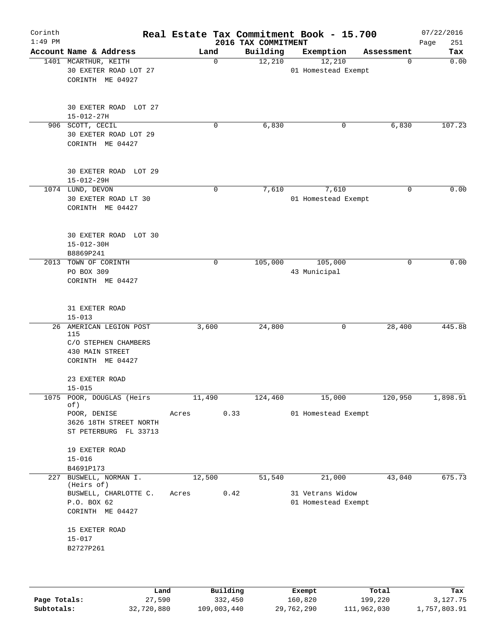| Corinth<br>$1:49$ PM |                                                                                               |        |             | 2016 TAX COMMITMENT | Real Estate Tax Commitment Book - 15.700 |            | 07/22/2016<br>251<br>Page |
|----------------------|-----------------------------------------------------------------------------------------------|--------|-------------|---------------------|------------------------------------------|------------|---------------------------|
|                      | Account Name & Address                                                                        | Land   |             | Building            | Exemption                                | Assessment | Tax                       |
|                      | 1401 MCARTHUR, KEITH<br>30 EXETER ROAD LOT 27<br>CORINTH ME 04927                             |        | $\mathbf 0$ | 12,210              | 12,210<br>01 Homestead Exempt            | 0          | 0.00                      |
|                      | 30 EXETER ROAD LOT 27<br>$15 - 012 - 27H$                                                     |        |             |                     |                                          |            |                           |
|                      | 906 SCOTT, CECIL<br>30 EXETER ROAD LOT 29<br>CORINTH ME 04427                                 |        | 0           | 6,830               | 0                                        | 6,830      | 107.23                    |
|                      | 30 EXETER ROAD LOT 29<br>$15 - 012 - 29H$                                                     |        |             |                     |                                          |            |                           |
|                      | 1074 LUND, DEVON<br>30 EXETER ROAD LT 30<br>CORINTH ME 04427                                  |        | $\mathbf 0$ | 7,610               | 7,610<br>01 Homestead Exempt             | $\Omega$   | 0.00                      |
|                      | 30 EXETER ROAD LOT 30<br>$15 - 012 - 30H$<br>B8869P241                                        |        |             |                     |                                          |            |                           |
|                      | 2013 TOWN OF CORINTH<br>PO BOX 309<br>CORINTH ME 04427                                        |        | 0           | 105,000             | 105,000<br>43 Municipal                  | 0          | 0.00                      |
|                      | 31 EXETER ROAD<br>$15 - 013$                                                                  |        |             |                     |                                          |            |                           |
|                      | 26 AMERICAN LEGION POST<br>115<br>C/O STEPHEN CHAMBERS<br>430 MAIN STREET<br>CORINTH ME 04427 | 3,600  |             | 24,800              | 0                                        | 28,400     | 445.88                    |
|                      | 23 EXETER ROAD<br>$15 - 015$                                                                  |        |             |                     |                                          |            |                           |
|                      | 1075 POOR, DOUGLAS (Heirs                                                                     | 11,490 |             | 124,460             | 15,000                                   | 120,950    | 1,898.91                  |
|                      | of)<br>POOR, DENISE<br>3626 18TH STREET NORTH<br>ST PETERBURG FL 33713                        | Acres  | 0.33        |                     | 01 Homestead Exempt                      |            |                           |
|                      | 19 EXETER ROAD<br>$15 - 016$<br>B4691P173                                                     |        |             |                     |                                          |            |                           |
|                      | 227 BUSWELL, NORMAN I.                                                                        | 12,500 |             | 51,540              | 21,000                                   | 43,040     | 675.73                    |
|                      | (Heirs of)<br>BUSWELL, CHARLOTTE C.<br>P.O. BOX 62<br>CORINTH ME 04427<br>15 EXETER ROAD      | Acres  | 0.42        |                     | 31 Vetrans Widow<br>01 Homestead Exempt  |            |                           |
|                      | $15 - 017$<br>B2727P261                                                                       |        |             |                     |                                          |            |                           |
|                      | Land                                                                                          |        | Building    |                     | Exempt                                   | Total      | Tax                       |

|              | Land       | Building    | Exempt     | Total       | Tax          |
|--------------|------------|-------------|------------|-------------|--------------|
| Page Totals: | 27,590     | 332,450     | 160,820    | 199,220     | 3,127.75     |
| Subtotals:   | 32,720,880 | 109,003,440 | 29,762,290 | 111,962,030 | 1,757,803.91 |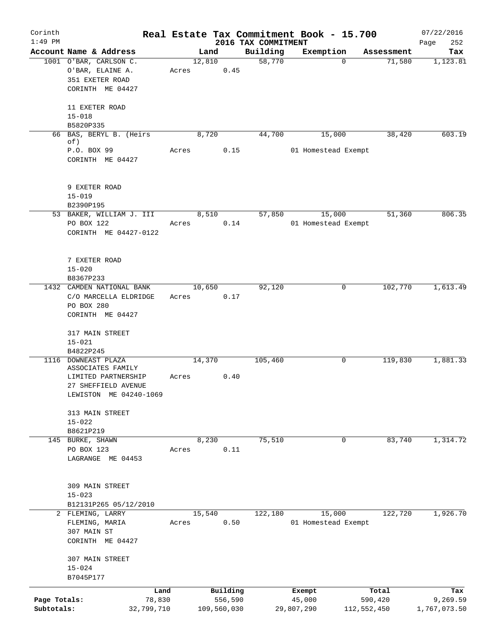| Corinth      |                                          |       |        |             |                     | Real Estate Tax Commitment Book - 15.700 |                        | 07/22/2016   |
|--------------|------------------------------------------|-------|--------|-------------|---------------------|------------------------------------------|------------------------|--------------|
| $1:49$ PM    |                                          |       |        |             | 2016 TAX COMMITMENT |                                          |                        | 252<br>Page  |
|              | Account Name & Address                   |       | Land   |             | Building            | Exemption                                | Assessment             | Tax          |
|              | 1001 O'BAR, CARLSON C.                   |       | 12,810 |             | 58,770              |                                          | 71,580<br>$\mathbf{0}$ | 1,123.81     |
|              | O'BAR, ELAINE A.                         | Acres |        | 0.45        |                     |                                          |                        |              |
|              | 351 EXETER ROAD                          |       |        |             |                     |                                          |                        |              |
|              | CORINTH ME 04427                         |       |        |             |                     |                                          |                        |              |
|              | 11 EXETER ROAD                           |       |        |             |                     |                                          |                        |              |
|              | $15 - 018$                               |       |        |             |                     |                                          |                        |              |
|              | B5820P335                                |       |        |             |                     |                                          |                        |              |
|              | 66 BAS, BERYL B. (Heirs                  |       | 8,720  |             | 44,700              | 15,000                                   | 38,420                 | 603.19       |
|              | of)                                      |       |        |             |                     |                                          |                        |              |
|              | P.O. BOX 99                              | Acres |        | 0.15        |                     | 01 Homestead Exempt                      |                        |              |
|              | CORINTH ME 04427                         |       |        |             |                     |                                          |                        |              |
|              | 9 EXETER ROAD                            |       |        |             |                     |                                          |                        |              |
|              | $15 - 019$                               |       |        |             |                     |                                          |                        |              |
|              | B2390P195                                |       |        |             |                     |                                          |                        |              |
|              | 53 BAKER, WILLIAM J. III                 |       | 8,510  |             | 57,850              | 15,000                                   | 51,360                 | 806.35       |
|              | PO BOX 122                               | Acres |        | 0.14        |                     | 01 Homestead Exempt                      |                        |              |
|              | CORINTH ME 04427-0122                    |       |        |             |                     |                                          |                        |              |
|              |                                          |       |        |             |                     |                                          |                        |              |
|              | 7 EXETER ROAD                            |       |        |             |                     |                                          |                        |              |
|              | $15 - 020$                               |       |        |             |                     |                                          |                        |              |
|              | B8367P233                                |       |        |             |                     |                                          |                        |              |
|              | 1432 CAMDEN NATIONAL BANK                |       | 10,650 |             | 92,120              |                                          | 0<br>102,770           | 1,613.49     |
|              | C/O MARCELLA ELDRIDGE                    | Acres |        | 0.17        |                     |                                          |                        |              |
|              | PO BOX 280                               |       |        |             |                     |                                          |                        |              |
|              | CORINTH ME 04427                         |       |        |             |                     |                                          |                        |              |
|              | 317 MAIN STREET                          |       |        |             |                     |                                          |                        |              |
|              | $15 - 021$                               |       |        |             |                     |                                          |                        |              |
|              | B4822P245                                |       |        |             |                     |                                          |                        |              |
|              | 1116 DOWNEAST PLAZA<br>ASSOCIATES FAMILY |       | 14,370 |             | 105,460             |                                          | 0<br>119,830           | 1,881.33     |
|              | LIMITED PARTNERSHIP                      | Acres |        | 0.40        |                     |                                          |                        |              |
|              | 27 SHEFFIELD AVENUE                      |       |        |             |                     |                                          |                        |              |
|              | LEWISTON ME 04240-1069                   |       |        |             |                     |                                          |                        |              |
|              | 313 MAIN STREET                          |       |        |             |                     |                                          |                        |              |
|              | $15 - 022$                               |       |        |             |                     |                                          |                        |              |
|              | B8621P219                                |       |        |             |                     |                                          |                        |              |
|              | 145 BURKE, SHAWN                         |       | 8,230  |             | 75,510              |                                          | 83,740<br>0            | 1,314.72     |
|              | PO BOX 123                               | Acres |        | 0.11        |                     |                                          |                        |              |
|              | LAGRANGE ME 04453                        |       |        |             |                     |                                          |                        |              |
|              |                                          |       |        |             |                     |                                          |                        |              |
|              | 309 MAIN STREET                          |       |        |             |                     |                                          |                        |              |
|              | $15 - 023$                               |       |        |             |                     |                                          |                        |              |
|              | B12131P265 05/12/2010                    |       |        |             |                     |                                          |                        |              |
|              | 2 FLEMING, LARRY                         |       | 15,540 |             | 122,180             | 15,000                                   | 122,720                | 1,926.70     |
|              | FLEMING, MARIA                           | Acres |        | 0.50        |                     | 01 Homestead Exempt                      |                        |              |
|              | 307 MAIN ST                              |       |        |             |                     |                                          |                        |              |
|              | CORINTH ME 04427                         |       |        |             |                     |                                          |                        |              |
|              | 307 MAIN STREET                          |       |        |             |                     |                                          |                        |              |
|              | $15 - 024$<br>B7045P177                  |       |        |             |                     |                                          |                        |              |
|              |                                          |       |        |             |                     |                                          |                        |              |
|              | Land                                     |       |        | Building    |                     | Exempt                                   | Total                  | Tax          |
| Page Totals: | 78,830                                   |       |        | 556,590     |                     | 45,000                                   | 590,420                | 9,269.59     |
| Subtotals:   | 32,799,710                               |       |        | 109,560,030 |                     | 29,807,290                               | 112,552,450            | 1,767,073.50 |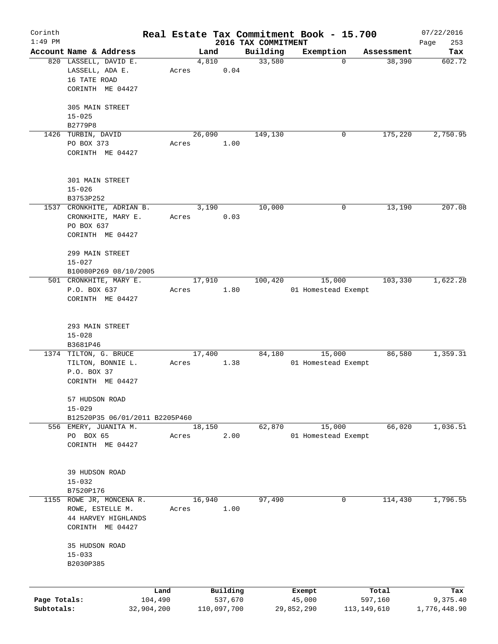| Corinth      |                                |            |       |        |             |                                 | Real Estate Tax Commitment Book - 15.700 |             |            | 07/22/2016         |
|--------------|--------------------------------|------------|-------|--------|-------------|---------------------------------|------------------------------------------|-------------|------------|--------------------|
| $1:49$ PM    | Account Name & Address         |            |       | Land   |             | 2016 TAX COMMITMENT<br>Building | Exemption                                |             | Assessment | 253<br>Page<br>Tax |
|              | 820 LASSELL, DAVID E.          |            |       | 4,810  |             | 33,580                          | 0                                        |             | 38,390     | 602.72             |
|              | LASSELL, ADA E.                |            | Acres |        | 0.04        |                                 |                                          |             |            |                    |
|              | 16 TATE ROAD                   |            |       |        |             |                                 |                                          |             |            |                    |
|              | CORINTH ME 04427               |            |       |        |             |                                 |                                          |             |            |                    |
|              |                                |            |       |        |             |                                 |                                          |             |            |                    |
|              | 305 MAIN STREET                |            |       |        |             |                                 |                                          |             |            |                    |
|              | $15 - 025$                     |            |       |        |             |                                 |                                          |             |            |                    |
|              | B2779P8                        |            |       |        |             |                                 |                                          |             |            |                    |
|              | 1426 TURBIN, DAVID             |            |       | 26,090 |             | 149,130                         | 0                                        |             | 175,220    | 2,750.95           |
|              | PO BOX 373                     |            | Acres |        | 1.00        |                                 |                                          |             |            |                    |
|              | CORINTH ME 04427               |            |       |        |             |                                 |                                          |             |            |                    |
|              |                                |            |       |        |             |                                 |                                          |             |            |                    |
|              |                                |            |       |        |             |                                 |                                          |             |            |                    |
|              | 301 MAIN STREET                |            |       |        |             |                                 |                                          |             |            |                    |
|              | $15 - 026$                     |            |       |        |             |                                 |                                          |             |            |                    |
|              | B3753P252                      |            |       |        |             |                                 |                                          |             |            |                    |
|              | 1537 CRONKHITE, ADRIAN B.      |            |       | 3,190  |             | 10,000                          | 0                                        |             | 13,190     | 207.08             |
|              | CRONKHITE, MARY E.             |            | Acres |        | 0.03        |                                 |                                          |             |            |                    |
|              | PO BOX 637                     |            |       |        |             |                                 |                                          |             |            |                    |
|              | CORINTH ME 04427               |            |       |        |             |                                 |                                          |             |            |                    |
|              |                                |            |       |        |             |                                 |                                          |             |            |                    |
|              | 299 MAIN STREET                |            |       |        |             |                                 |                                          |             |            |                    |
|              | $15 - 027$                     |            |       |        |             |                                 |                                          |             |            |                    |
|              | B10080P269 08/10/2005          |            |       |        |             |                                 |                                          |             |            |                    |
|              | 501 CRONKHITE, MARY E.         |            |       | 17,910 |             | 100,420                         | 15,000                                   |             | 103,330    | 1,622.28           |
|              | P.O. BOX 637                   |            | Acres |        | 1.80        |                                 | 01 Homestead Exempt                      |             |            |                    |
|              | CORINTH ME 04427               |            |       |        |             |                                 |                                          |             |            |                    |
|              |                                |            |       |        |             |                                 |                                          |             |            |                    |
|              | 293 MAIN STREET                |            |       |        |             |                                 |                                          |             |            |                    |
|              | $15 - 028$                     |            |       |        |             |                                 |                                          |             |            |                    |
|              | B3681P46                       |            |       |        |             |                                 |                                          |             |            |                    |
|              | 1374 TILTON, G. BRUCE          |            |       | 17,400 |             | 84,180                          | 15,000                                   |             | 86,580     | 1,359.31           |
|              | TILTON, BONNIE L.              |            | Acres |        | 1.38        |                                 | 01 Homestead Exempt                      |             |            |                    |
|              | P.O. BOX 37                    |            |       |        |             |                                 |                                          |             |            |                    |
|              | CORINTH ME 04427               |            |       |        |             |                                 |                                          |             |            |                    |
|              |                                |            |       |        |             |                                 |                                          |             |            |                    |
|              | 57 HUDSON ROAD                 |            |       |        |             |                                 |                                          |             |            |                    |
|              | $15 - 029$                     |            |       |        |             |                                 |                                          |             |            |                    |
|              | B12520P35 06/01/2011 B2205P460 |            |       |        |             |                                 |                                          |             |            |                    |
|              | 556 EMERY, JUANITA M.          |            |       | 18,150 |             | 62,870                          | 15,000                                   |             | 66,020     | 1,036.51           |
|              | PO BOX 65                      |            | Acres |        | 2.00        |                                 | 01 Homestead Exempt                      |             |            |                    |
|              | CORINTH ME 04427               |            |       |        |             |                                 |                                          |             |            |                    |
|              |                                |            |       |        |             |                                 |                                          |             |            |                    |
|              |                                |            |       |        |             |                                 |                                          |             |            |                    |
|              | 39 HUDSON ROAD                 |            |       |        |             |                                 |                                          |             |            |                    |
|              | $15 - 032$                     |            |       |        |             |                                 |                                          |             |            |                    |
|              | B7520P176                      |            |       |        |             |                                 |                                          |             |            |                    |
|              | 1155 ROWE JR, MONCENA R.       |            |       | 16,940 |             | 97,490                          | 0                                        |             | 114,430    | 1,796.55           |
|              | ROWE, ESTELLE M.               |            | Acres |        | 1.00        |                                 |                                          |             |            |                    |
|              | 44 HARVEY HIGHLANDS            |            |       |        |             |                                 |                                          |             |            |                    |
|              | CORINTH ME 04427               |            |       |        |             |                                 |                                          |             |            |                    |
|              | 35 HUDSON ROAD                 |            |       |        |             |                                 |                                          |             |            |                    |
|              | $15 - 033$                     |            |       |        |             |                                 |                                          |             |            |                    |
|              | B2030P385                      |            |       |        |             |                                 |                                          |             |            |                    |
|              |                                |            |       |        |             |                                 |                                          |             |            |                    |
|              |                                |            |       |        |             |                                 |                                          |             |            |                    |
|              |                                | Land       |       |        | Building    |                                 | Exempt                                   |             | Total      | Tax                |
| Page Totals: |                                | 104,490    |       |        | 537,670     |                                 | 45,000                                   |             | 597,160    | 9,375.40           |
| Subtotals:   |                                | 32,904,200 |       |        | 110,097,700 |                                 | 29,852,290                               | 113,149,610 |            | 1,776,448.90       |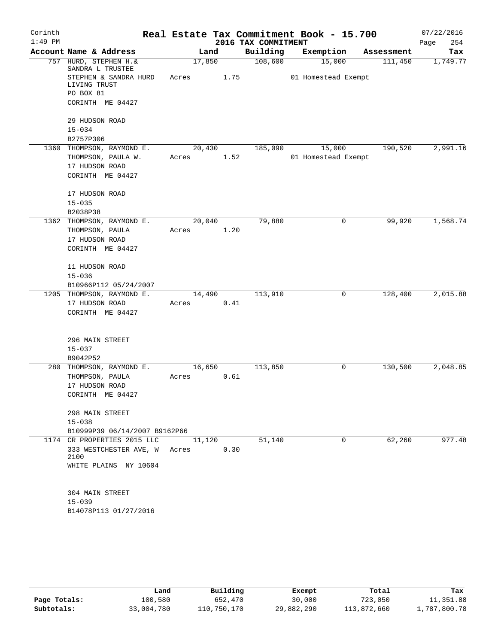| Corinth   |                                                 |        |                |                     | Real Estate Tax Commitment Book - 15.700 |                       | 07/22/2016      |
|-----------|-------------------------------------------------|--------|----------------|---------------------|------------------------------------------|-----------------------|-----------------|
| $1:49$ PM | Account Name & Address                          |        |                | 2016 TAX COMMITMENT |                                          |                       | 254<br>Page     |
|           | 757 HURD, STEPHEN H. &                          |        | Land<br>17,850 | Building<br>108,600 | Exemption<br>15,000                      | Assessment<br>111,450 | Tax<br>1,749.77 |
|           | SANDRA L TRUSTEE<br>STEPHEN & SANDRA HURD       | Acres  | 1.75           |                     | 01 Homestead Exempt                      |                       |                 |
|           | LIVING TRUST<br>PO BOX 81                       |        |                |                     |                                          |                       |                 |
|           | CORINTH ME 04427                                |        |                |                     |                                          |                       |                 |
|           | 29 HUDSON ROAD                                  |        |                |                     |                                          |                       |                 |
|           | $15 - 034$                                      |        |                |                     |                                          |                       |                 |
|           | B2757P306                                       |        |                |                     |                                          |                       | 2,991.16        |
|           | 1360 THOMPSON, RAYMOND E.<br>THOMPSON, PAULA W. | Acres  | 20,430<br>1.52 | 185,090             | 15,000<br>01 Homestead Exempt            | 190,520               |                 |
|           | 17 HUDSON ROAD                                  |        |                |                     |                                          |                       |                 |
|           | CORINTH ME 04427                                |        |                |                     |                                          |                       |                 |
|           | 17 HUDSON ROAD                                  |        |                |                     |                                          |                       |                 |
|           | $15 - 035$                                      |        |                |                     |                                          |                       |                 |
|           | B2038P38                                        |        |                |                     |                                          |                       |                 |
|           | 1362 THOMPSON, RAYMOND E.                       | 20,040 |                | 79,880              | 0                                        | 99,920                | 1,568.74        |
|           | THOMPSON, PAULA                                 | Acres  | 1.20           |                     |                                          |                       |                 |
|           | 17 HUDSON ROAD                                  |        |                |                     |                                          |                       |                 |
|           | CORINTH ME 04427                                |        |                |                     |                                          |                       |                 |
|           | 11 HUDSON ROAD                                  |        |                |                     |                                          |                       |                 |
|           | $15 - 036$                                      |        |                |                     |                                          |                       |                 |
|           | B10966P112 05/24/2007                           |        |                |                     |                                          |                       |                 |
|           | 1205 THOMPSON, RAYMOND E.                       |        | 14,490         | 113,910             | 0                                        | 128,400               | 2,015.88        |
|           | 17 HUDSON ROAD                                  | Acres  | 0.41           |                     |                                          |                       |                 |
|           | CORINTH ME 04427                                |        |                |                     |                                          |                       |                 |
|           | 296 MAIN STREET                                 |        |                |                     |                                          |                       |                 |
|           | $15 - 037$                                      |        |                |                     |                                          |                       |                 |
|           | B9042P52                                        |        |                |                     |                                          |                       |                 |
|           | 280 THOMPSON, RAYMOND E.                        | 16,650 |                | 113,850             | 0                                        | 130,500               | 2,048.85        |
|           | THOMPSON, PAULA                                 | Acres  | 0.61           |                     |                                          |                       |                 |
|           | 17 HUDSON ROAD                                  |        |                |                     |                                          |                       |                 |
|           | CORINTH ME 04427                                |        |                |                     |                                          |                       |                 |
|           | 298 MAIN STREET                                 |        |                |                     |                                          |                       |                 |
|           | $15 - 038$                                      |        |                |                     |                                          |                       |                 |
|           | B10999P39 06/14/2007 B9162P66                   |        |                |                     |                                          |                       |                 |
|           | 1174 CR PROPERTIES 2015 LLC                     | 11,120 |                | 51,140              | $\Omega$                                 | 62,260                | 977.48          |
|           | 333 WESTCHESTER AVE, W Acres<br>2100            |        | 0.30           |                     |                                          |                       |                 |
|           | WHITE PLAINS NY 10604                           |        |                |                     |                                          |                       |                 |
|           |                                                 |        |                |                     |                                          |                       |                 |
|           | 304 MAIN STREET                                 |        |                |                     |                                          |                       |                 |
|           | $15 - 039$                                      |        |                |                     |                                          |                       |                 |
|           | B14078P113 01/27/2016                           |        |                |                     |                                          |                       |                 |
|           |                                                 |        |                |                     |                                          |                       |                 |

|              | Land       | Building    | Exempt     | Total       | Tax          |
|--------------|------------|-------------|------------|-------------|--------------|
| Page Totals: | 100,580    | 652,470     | 30,000     | 723,050     | 11,351.88    |
| Subtotals:   | 33,004,780 | 110,750,170 | 29,882,290 | 113,872,660 | 1,787,800.78 |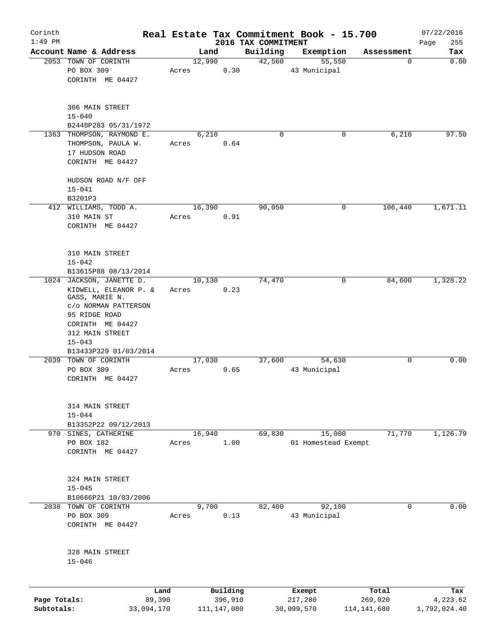| Corinth      |                                                 |        |               |                                 | Real Estate Tax Commitment Book - 15.700 |                 | 07/22/2016         |
|--------------|-------------------------------------------------|--------|---------------|---------------------------------|------------------------------------------|-----------------|--------------------|
| $1:49$ PM    | Account Name & Address                          |        | Land          | 2016 TAX COMMITMENT<br>Building |                                          |                 | 255<br>Page<br>Tax |
|              | 2053 TOWN OF CORINTH                            | 12,990 |               | 42,560                          | Exemption<br>55,550                      | Assessment<br>0 | 0.00               |
|              | PO BOX 309                                      | Acres  | 0.30          |                                 | 43 Municipal                             |                 |                    |
|              | CORINTH ME 04427                                |        |               |                                 |                                          |                 |                    |
|              |                                                 |        |               |                                 |                                          |                 |                    |
|              | 306 MAIN STREET                                 |        |               |                                 |                                          |                 |                    |
|              | $15 - 040$                                      |        |               |                                 |                                          |                 |                    |
|              | B2448P283 05/31/1972                            |        |               |                                 |                                          |                 |                    |
|              | 1363 THOMPSON, RAYMOND E.<br>THOMPSON, PAULA W. | Acres  | 6,210<br>0.64 | $\mathbf 0$                     | 0                                        | 6,210           | 97.50              |
|              | 17 HUDSON ROAD                                  |        |               |                                 |                                          |                 |                    |
|              | CORINTH ME 04427                                |        |               |                                 |                                          |                 |                    |
|              | HUDSON ROAD N/F OFF                             |        |               |                                 |                                          |                 |                    |
|              | $15 - 041$                                      |        |               |                                 |                                          |                 |                    |
|              | B3201P3                                         |        |               |                                 |                                          |                 |                    |
|              | 412 WILLIAMS, TODD A.                           | 16,390 |               | 90,050                          | 0                                        | 106,440         | 1,671.11           |
|              | 310 MAIN ST                                     | Acres  | 0.91          |                                 |                                          |                 |                    |
|              | CORINTH ME 04427                                |        |               |                                 |                                          |                 |                    |
|              |                                                 |        |               |                                 |                                          |                 |                    |
|              | 310 MAIN STREET                                 |        |               |                                 |                                          |                 |                    |
|              | $15 - 042$                                      |        |               |                                 |                                          |                 |                    |
|              | B13615P88 08/13/2014                            |        |               |                                 |                                          |                 |                    |
|              | 1024 JACKSON, JANETTE D.                        | 10,130 |               | 74,470                          | 0                                        | 84,600          | 1,328.22           |
|              | KIDWELL, ELEANOR P. &<br>GASS, MARIE N.         | Acres  | 0.23          |                                 |                                          |                 |                    |
|              | c/o NORMAN PATTERSON                            |        |               |                                 |                                          |                 |                    |
|              | 95 RIDGE ROAD                                   |        |               |                                 |                                          |                 |                    |
|              | CORINTH ME 04427                                |        |               |                                 |                                          |                 |                    |
|              | 312 MAIN STREET                                 |        |               |                                 |                                          |                 |                    |
|              | $15 - 043$                                      |        |               |                                 |                                          |                 |                    |
|              | B13433P329 01/03/2014                           |        |               |                                 |                                          |                 |                    |
|              | 2039 TOWN OF CORINTH                            | 17,030 |               | 37,600                          | 54,630                                   | 0               | 0.00               |
|              | PO BOX 309<br>CORINTH ME 04427                  | Acres  | 0.65          |                                 | 43 Municipal                             |                 |                    |
|              |                                                 |        |               |                                 |                                          |                 |                    |
|              | 314 MAIN STREET                                 |        |               |                                 |                                          |                 |                    |
|              | $15 - 044$                                      |        |               |                                 |                                          |                 |                    |
|              | B13352P22 09/12/2013                            |        |               |                                 |                                          |                 |                    |
|              | 970 SINES, CATHERINE                            | 16,940 |               | 69,830                          | 15,000                                   | 71,770          | 1,126.79           |
|              | PO BOX 182                                      | Acres  | 1.00          |                                 | 01 Homestead Exempt                      |                 |                    |
|              | CORINTH ME 04427                                |        |               |                                 |                                          |                 |                    |
|              |                                                 |        |               |                                 |                                          |                 |                    |
|              | 324 MAIN STREET                                 |        |               |                                 |                                          |                 |                    |
|              | $15 - 045$                                      |        |               |                                 |                                          |                 |                    |
|              | B10666P21 10/03/2006                            |        |               |                                 |                                          |                 |                    |
|              | 2038 TOWN OF CORINTH                            |        | 9,700         | 82,400                          | 92,100                                   | 0               | 0.00               |
|              | PO BOX 309                                      | Acres  | 0.13          |                                 | 43 Municipal                             |                 |                    |
|              | CORINTH ME 04427                                |        |               |                                 |                                          |                 |                    |
|              | 328 MAIN STREET                                 |        |               |                                 |                                          |                 |                    |
|              | $15 - 046$                                      |        |               |                                 |                                          |                 |                    |
|              |                                                 |        |               |                                 |                                          |                 |                    |
|              | Land                                            |        | Building      |                                 | Exempt                                   | Total           | Tax                |
| Page Totals: | 89,390                                          |        | 396,910       |                                 | 217,280                                  | 269,020         | 4,223.62           |
| Subtotals:   | 33,094,170                                      |        | 111, 147, 080 |                                 | 30,099,570                               | 114, 141, 680   | 1,792,024.40       |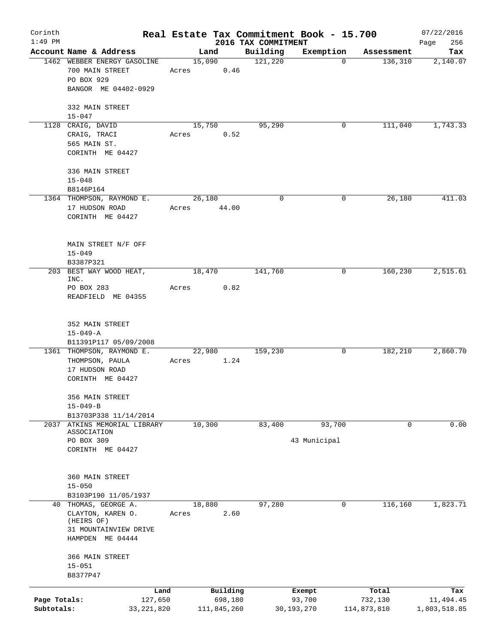| Corinth      |                                              |            |             |                     | Real Estate Tax Commitment Book - 15.700 |                       | 07/22/2016      |
|--------------|----------------------------------------------|------------|-------------|---------------------|------------------------------------------|-----------------------|-----------------|
| $1:49$ PM    | Account Name & Address                       |            |             | 2016 TAX COMMITMENT |                                          |                       | 256<br>Page     |
|              | 1462 WEBBER ENERGY GASOLINE                  | 15,090     | Land        | Building<br>121,220 | Exemption<br>$\Omega$                    | Assessment<br>136,310 | Tax<br>2,140.07 |
|              | 700 MAIN STREET                              | Acres      | 0.46        |                     |                                          |                       |                 |
|              | PO BOX 929                                   |            |             |                     |                                          |                       |                 |
|              | BANGOR ME 04402-0929                         |            |             |                     |                                          |                       |                 |
|              |                                              |            |             |                     |                                          |                       |                 |
|              | 332 MAIN STREET                              |            |             |                     |                                          |                       |                 |
|              | $15 - 047$                                   |            |             |                     |                                          |                       |                 |
|              | 1128 CRAIG, DAVID                            | 15,750     |             | 95,290              | 0                                        | 111,040               | 1,743.33        |
|              | CRAIG, TRACI                                 | Acres      | 0.52        |                     |                                          |                       |                 |
|              | 565 MAIN ST.<br>CORINTH ME 04427             |            |             |                     |                                          |                       |                 |
|              |                                              |            |             |                     |                                          |                       |                 |
|              | 336 MAIN STREET                              |            |             |                     |                                          |                       |                 |
|              | $15 - 048$                                   |            |             |                     |                                          |                       |                 |
|              | B8146P164                                    |            |             |                     |                                          |                       |                 |
|              | 1364 THOMPSON, RAYMOND E.                    | 26,180     |             | 0                   | 0                                        | 26,180                | 411.03          |
|              | 17 HUDSON ROAD                               | Acres      | 44.00       |                     |                                          |                       |                 |
|              | CORINTH ME 04427                             |            |             |                     |                                          |                       |                 |
|              |                                              |            |             |                     |                                          |                       |                 |
|              | MAIN STREET N/F OFF                          |            |             |                     |                                          |                       |                 |
|              | $15 - 049$                                   |            |             |                     |                                          |                       |                 |
|              | B3387P321                                    |            |             |                     |                                          |                       |                 |
|              | 203 BEST WAY WOOD HEAT,                      | 18,470     |             | 141,760             | 0                                        | 160,230               | 2,515.61        |
|              | INC.                                         |            |             |                     |                                          |                       |                 |
|              | PO BOX 283<br>READFIELD ME 04355             | Acres      | 0.82        |                     |                                          |                       |                 |
|              |                                              |            |             |                     |                                          |                       |                 |
|              |                                              |            |             |                     |                                          |                       |                 |
|              | 352 MAIN STREET                              |            |             |                     |                                          |                       |                 |
|              | $15 - 049 - A$                               |            |             |                     |                                          |                       |                 |
|              | B11391P117 05/09/2008                        |            |             |                     |                                          |                       |                 |
|              | 1361 THOMPSON, RAYMOND E.                    | 22,980     |             | 159,230             | 0                                        | 182,210               | 2,860.70        |
|              | THOMPSON, PAULA<br>17 HUDSON ROAD            | Acres 1.24 |             |                     |                                          |                       |                 |
|              | CORINTH ME 04427                             |            |             |                     |                                          |                       |                 |
|              |                                              |            |             |                     |                                          |                       |                 |
|              | 356 MAIN STREET                              |            |             |                     |                                          |                       |                 |
|              | $15 - 049 - B$                               |            |             |                     |                                          |                       |                 |
|              | B13703P338 11/14/2014                        |            |             |                     |                                          |                       |                 |
|              | 2037 ATKINS MEMORIAL LIBRARY<br>ASSOCIATION  | 10,300     |             | 83,400              | 93,700                                   | 0                     | 0.00            |
|              | PO BOX 309                                   |            |             |                     | 43 Municipal                             |                       |                 |
|              | CORINTH ME 04427                             |            |             |                     |                                          |                       |                 |
|              |                                              |            |             |                     |                                          |                       |                 |
|              |                                              |            |             |                     |                                          |                       |                 |
|              | 360 MAIN STREET                              |            |             |                     |                                          |                       |                 |
|              | $15 - 050$                                   |            |             |                     |                                          |                       |                 |
|              | B3103P190 11/05/1937<br>40 THOMAS, GEORGE A. | 18,880     |             | 97,280              | 0                                        | 116,160               | 1,823.71        |
|              | CLAYTON, KAREN O.                            | Acres      | 2.60        |                     |                                          |                       |                 |
|              | (HEIRS OF)                                   |            |             |                     |                                          |                       |                 |
|              | 31 MOUNTAINVIEW DRIVE                        |            |             |                     |                                          |                       |                 |
|              | HAMPDEN ME 04444                             |            |             |                     |                                          |                       |                 |
|              | 366 MAIN STREET                              |            |             |                     |                                          |                       |                 |
|              | $15 - 051$                                   |            |             |                     |                                          |                       |                 |
|              | B8377P47                                     |            |             |                     |                                          |                       |                 |
|              |                                              | Land       | Building    |                     | Exempt                                   | Total                 | Tax             |
| Page Totals: | 127,650                                      |            | 698,180     |                     | 93,700                                   | 732,130               | 11,494.45       |
| Subtotals:   | 33, 221, 820                                 |            | 111,845,260 |                     | 30, 193, 270                             | 114,873,810           | 1,803,518.85    |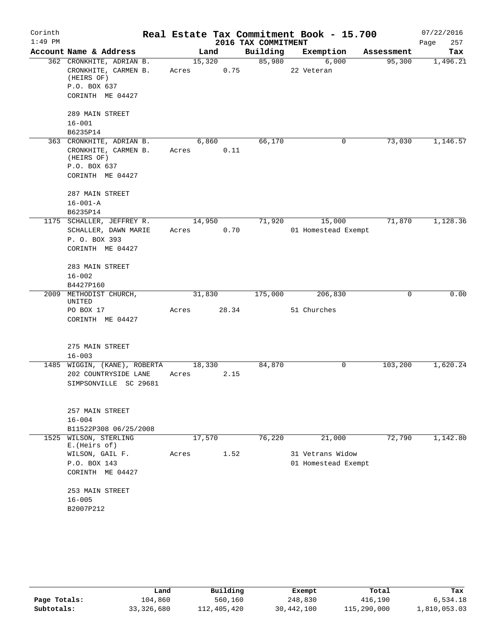| Corinth   |                                    |        |        |                     | Real Estate Tax Commitment Book - 15.700 |            | 07/22/2016  |
|-----------|------------------------------------|--------|--------|---------------------|------------------------------------------|------------|-------------|
| $1:49$ PM |                                    |        |        | 2016 TAX COMMITMENT |                                          |            | 257<br>Page |
|           | Account Name & Address             |        | Land   | Building            | Exemption                                | Assessment | Tax         |
|           | 362 CRONKHITE, ADRIAN B.           |        | 15,320 | 85,980              | 6,000                                    | 95,300     | 1,496.21    |
|           | CRONKHITE, CARMEN B.<br>(HEIRS OF) | Acres  | 0.75   |                     | 22 Veteran                               |            |             |
|           | P.O. BOX 637                       |        |        |                     |                                          |            |             |
|           | CORINTH ME 04427                   |        |        |                     |                                          |            |             |
|           | 289 MAIN STREET                    |        |        |                     |                                          |            |             |
|           | $16 - 001$                         |        |        |                     |                                          |            |             |
|           | B6235P14                           |        |        |                     |                                          |            |             |
|           | 363 CRONKHITE, ADRIAN B.           |        | 6,860  | 66,170              | 0                                        | 73,030     | 1,146.57    |
|           | CRONKHITE, CARMEN B.<br>(HEIRS OF) | Acres  | 0.11   |                     |                                          |            |             |
|           | P.O. BOX 637                       |        |        |                     |                                          |            |             |
|           | CORINTH ME 04427                   |        |        |                     |                                          |            |             |
|           | 287 MAIN STREET                    |        |        |                     |                                          |            |             |
|           | $16 - 001 - A$                     |        |        |                     |                                          |            |             |
|           | B6235P14                           |        |        |                     |                                          |            |             |
|           | 1175 SCHALLER, JEFFREY R.          |        | 14,950 | 71,920              | 15,000                                   | 71,870     | 1,128.36    |
|           | SCHALLER, DAWN MARIE               | Acres  | 0.70   |                     | 01 Homestead Exempt                      |            |             |
|           | P. O. BOX 393                      |        |        |                     |                                          |            |             |
|           | CORINTH ME 04427                   |        |        |                     |                                          |            |             |
|           | 283 MAIN STREET                    |        |        |                     |                                          |            |             |
|           | $16 - 002$                         |        |        |                     |                                          |            |             |
|           | B4427P160                          |        |        |                     |                                          |            |             |
|           | 2009 METHODIST CHURCH,<br>UNITED   | 31,830 |        | 175,000             | 206,830                                  | 0          | 0.00        |
|           | PO BOX 17                          | Acres  | 28.34  |                     | 51 Churches                              |            |             |
|           | CORINTH ME 04427                   |        |        |                     |                                          |            |             |
|           |                                    |        |        |                     |                                          |            |             |
|           | 275 MAIN STREET<br>$16 - 003$      |        |        |                     |                                          |            |             |
|           | 1485 WIGGIN, (KANE), ROBERTA       |        | 18,330 | 84,870              | 0                                        | 103,200    | 1,620.24    |
|           | 202 COUNTRYSIDE LANE               | Acres  | 2.15   |                     |                                          |            |             |
|           | SIMPSONVILLE SC 29681              |        |        |                     |                                          |            |             |
|           |                                    |        |        |                     |                                          |            |             |
|           | 257 MAIN STREET                    |        |        |                     |                                          |            |             |
|           | $16 - 004$                         |        |        |                     |                                          |            |             |
|           | B11522P308 06/25/2008              |        |        |                     |                                          |            |             |
| 1525      | WILSON, STERLING<br>E. (Heirs of)  | 17,570 |        | 76,220              | 21,000                                   | 72,790     | 1,142.80    |
|           | WILSON, GAIL F.                    | Acres  | 1.52   |                     | 31 Vetrans Widow                         |            |             |
|           | P.O. BOX 143                       |        |        |                     | 01 Homestead Exempt                      |            |             |
|           | CORINTH ME 04427                   |        |        |                     |                                          |            |             |
|           | 253 MAIN STREET                    |        |        |                     |                                          |            |             |
|           | $16 - 005$                         |        |        |                     |                                          |            |             |
|           | B2007P212                          |        |        |                     |                                          |            |             |
|           |                                    |        |        |                     |                                          |            |             |

|              | Land         | Building    | Exempt     | Total       | Tax          |
|--------------|--------------|-------------|------------|-------------|--------------|
| Page Totals: | 104,860      | 560,160     | 248,830    | 416,190     | 6,534.18     |
| Subtotals:   | 33, 326, 680 | 112,405,420 | 30,442,100 | 115,290,000 | 1,810,053.03 |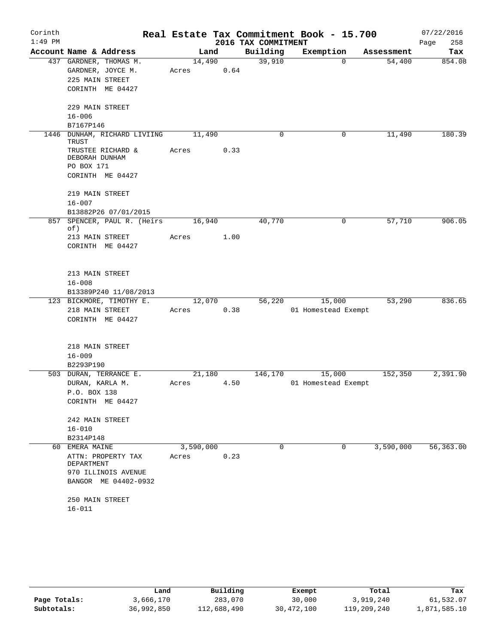| Corinth   |                                     |           |      |                     | Real Estate Tax Commitment Book - 15.700 |            | 07/22/2016  |
|-----------|-------------------------------------|-----------|------|---------------------|------------------------------------------|------------|-------------|
| $1:49$ PM |                                     |           |      | 2016 TAX COMMITMENT |                                          |            | 258<br>Page |
|           | Account Name & Address              | Land      |      | Building            | Exemption                                | Assessment | Tax         |
|           | 437 GARDNER, THOMAS M.              | 14,490    |      | 39,910              | $\Omega$                                 | 54,400     | 854.08      |
|           | GARDNER, JOYCE M.                   | Acres     | 0.64 |                     |                                          |            |             |
|           | 225 MAIN STREET                     |           |      |                     |                                          |            |             |
|           | CORINTH ME 04427                    |           |      |                     |                                          |            |             |
|           | 229 MAIN STREET                     |           |      |                     |                                          |            |             |
|           | $16 - 006$                          |           |      |                     |                                          |            |             |
|           | B7167P146                           |           |      |                     |                                          |            |             |
| 1446      | DUNHAM, RICHARD LIVIING             | 11,490    |      | 0                   | 0                                        | 11,490     | 180.39      |
|           | TRUST                               |           |      |                     |                                          |            |             |
|           | TRUSTEE RICHARD &<br>DEBORAH DUNHAM | Acres     | 0.33 |                     |                                          |            |             |
|           | PO BOX 171                          |           |      |                     |                                          |            |             |
|           | CORINTH ME 04427                    |           |      |                     |                                          |            |             |
|           |                                     |           |      |                     |                                          |            |             |
|           | 219 MAIN STREET                     |           |      |                     |                                          |            |             |
|           | $16 - 007$                          |           |      |                     |                                          |            |             |
|           | B13882P26 07/01/2015                |           |      |                     |                                          |            |             |
| 857       | SPENCER, PAUL R. (Heirs             | 16,940    |      | 40,770              | 0                                        | 57,710     | 906.05      |
|           | of)                                 |           |      |                     |                                          |            |             |
|           | 213 MAIN STREET                     | Acres     | 1.00 |                     |                                          |            |             |
|           | CORINTH ME 04427                    |           |      |                     |                                          |            |             |
|           |                                     |           |      |                     |                                          |            |             |
|           | 213 MAIN STREET                     |           |      |                     |                                          |            |             |
|           | $16 - 008$                          |           |      |                     |                                          |            |             |
|           | B13389P240 11/08/2013               |           |      |                     |                                          |            |             |
|           | 123 BICKMORE, TIMOTHY E.            | 12,070    |      | 56,220              | 15,000                                   | 53,290     | 836.65      |
|           | 218 MAIN STREET                     | Acres     | 0.38 |                     | 01 Homestead Exempt                      |            |             |
|           | CORINTH ME 04427                    |           |      |                     |                                          |            |             |
|           |                                     |           |      |                     |                                          |            |             |
|           |                                     |           |      |                     |                                          |            |             |
|           | 218 MAIN STREET                     |           |      |                     |                                          |            |             |
|           | $16 - 009$                          |           |      |                     |                                          |            |             |
|           | B2293P190                           |           |      |                     |                                          |            |             |
|           | 503 DURAN, TERRANCE E.              | 21,180    |      | 146,170             | 15,000                                   | 152,350    | 2,391.90    |
|           | DURAN, KARLA M.                     | Acres     | 4.50 |                     | 01 Homestead Exempt                      |            |             |
|           | P.O. BOX 138                        |           |      |                     |                                          |            |             |
|           | CORINTH ME 04427                    |           |      |                     |                                          |            |             |
|           | 242 MAIN STREET                     |           |      |                     |                                          |            |             |
|           | $16 - 010$                          |           |      |                     |                                          |            |             |
|           | B2314P148                           |           |      |                     |                                          |            |             |
| 60        | EMERA MAINE                         | 3,590,000 |      | 0                   | $\mathbf 0$                              | 3,590,000  | 56, 363.00  |
|           | ATTN: PROPERTY TAX                  | Acres     | 0.23 |                     |                                          |            |             |
|           | DEPARTMENT                          |           |      |                     |                                          |            |             |
|           | 970 ILLINOIS AVENUE                 |           |      |                     |                                          |            |             |
|           | BANGOR ME 04402-0932                |           |      |                     |                                          |            |             |
|           |                                     |           |      |                     |                                          |            |             |
|           | 250 MAIN STREET                     |           |      |                     |                                          |            |             |
|           | $16 - 011$                          |           |      |                     |                                          |            |             |

|              | Land       | Building    | Exempt     | Total       | Tax          |
|--------------|------------|-------------|------------|-------------|--------------|
| Page Totals: | 3,666,170  | 283,070     | 30,000     | 3,919,240   | 61,532.07    |
| Subtotals:   | 36,992,850 | 112,688,490 | 30,472,100 | 119,209,240 | 1,871,585.10 |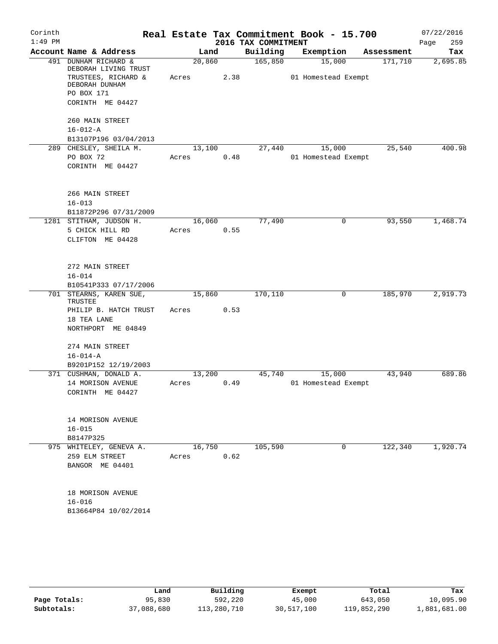| Corinth   |                                                |        |      |                     | Real Estate Tax Commitment Book - 15.700 |            | 07/22/2016  |
|-----------|------------------------------------------------|--------|------|---------------------|------------------------------------------|------------|-------------|
| $1:49$ PM |                                                |        |      | 2016 TAX COMMITMENT |                                          |            | Page<br>259 |
|           | Account Name & Address                         |        | Land | Building            | Exemption                                | Assessment | Tax         |
| 491       | DUNHAM RICHARD &<br>DEBORAH LIVING TRUST       | 20,860 |      | 165,850             | 15,000                                   | 171,710    | 2,695.85    |
|           | TRUSTEES, RICHARD &<br>DEBORAH DUNHAM          | Acres  | 2.38 |                     | 01 Homestead Exempt                      |            |             |
|           | PO BOX 171                                     |        |      |                     |                                          |            |             |
|           | CORINTH ME 04427                               |        |      |                     |                                          |            |             |
|           | 260 MAIN STREET                                |        |      |                     |                                          |            |             |
|           | $16 - 012 - A$<br>B13107P196 03/04/2013        |        |      |                     |                                          |            |             |
|           | 289 CHESLEY, SHEILA M.                         | 13,100 |      | 27,440              | 15,000                                   | 25,540     | 400.98      |
|           | PO BOX 72                                      | Acres  | 0.48 |                     | 01 Homestead Exempt                      |            |             |
|           | CORINTH ME 04427                               |        |      |                     |                                          |            |             |
|           | 266 MAIN STREET                                |        |      |                     |                                          |            |             |
|           | $16 - 013$                                     |        |      |                     |                                          |            |             |
|           | B11872P296 07/31/2009                          |        |      |                     |                                          |            |             |
| 1281      | STITHAM, JUDSON H.                             | 16,060 |      | 77,490              | 0                                        | 93,550     | 1,468.74    |
|           | 5 CHICK HILL RD<br>CLIFTON ME 04428            | Acres  | 0.55 |                     |                                          |            |             |
|           |                                                |        |      |                     |                                          |            |             |
|           | 272 MAIN STREET                                |        |      |                     |                                          |            |             |
|           | $16 - 014$                                     |        |      |                     |                                          |            |             |
|           | B10541P333 07/17/2006                          |        |      |                     |                                          |            |             |
|           | 701 STEARNS, KAREN SUE,<br>TRUSTEE             | 15,860 |      | 170,110             | 0                                        | 185,970    | 2,919.73    |
|           | PHILIP B. HATCH TRUST                          | Acres  | 0.53 |                     |                                          |            |             |
|           | 18 TEA LANE                                    |        |      |                     |                                          |            |             |
|           | NORTHPORT ME 04849                             |        |      |                     |                                          |            |             |
|           | 274 MAIN STREET                                |        |      |                     |                                          |            |             |
|           | $16 - 014 - A$                                 |        |      |                     |                                          |            |             |
|           | B9201P152 12/19/2003<br>371 CUSHMAN, DONALD A. | 13,200 |      | 45,740              | 15,000                                   | 43,940     | 689.86      |
|           | 14 MORISON AVENUE                              | Acres  | 0.49 |                     | 01 Homestead Exempt                      |            |             |
|           | CORINTH ME 04427                               |        |      |                     |                                          |            |             |
|           |                                                |        |      |                     |                                          |            |             |
|           | 14 MORISON AVENUE                              |        |      |                     |                                          |            |             |
|           | $16 - 015$                                     |        |      |                     |                                          |            |             |
|           | B8147P325<br>975 WHITELEY, GENEVA A.           | 16,750 |      | 105,590             | 0                                        | 122,340    | 1,920.74    |
|           | 259 ELM STREET                                 | Acres  | 0.62 |                     |                                          |            |             |
|           | BANGOR ME 04401                                |        |      |                     |                                          |            |             |
|           | 18 MORISON AVENUE                              |        |      |                     |                                          |            |             |
|           | $16 - 016$                                     |        |      |                     |                                          |            |             |
|           | B13664P84 10/02/2014                           |        |      |                     |                                          |            |             |
|           |                                                |        |      |                     |                                          |            |             |

|              | Land       | Building    | Exempt     | Total       | Tax          |
|--------------|------------|-------------|------------|-------------|--------------|
| Page Totals: | 95,830     | 592,220     | 45,000     | 643,050     | 10,095.90    |
| Subtotals:   | 37,088,680 | 113,280,710 | 30,517,100 | 119,852,290 | 1,881,681.00 |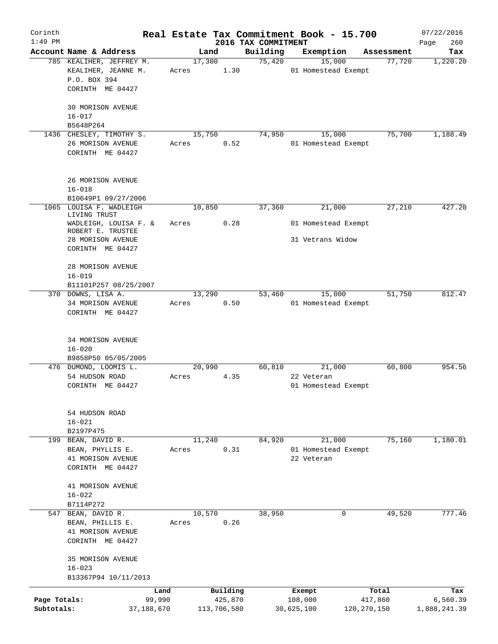| Corinth      |                                                    |       |                     |                    | Real Estate Tax Commitment Book - 15.700 |                      | 07/22/2016      |
|--------------|----------------------------------------------------|-------|---------------------|--------------------|------------------------------------------|----------------------|-----------------|
| $1:49$ PM    |                                                    |       | 2016 TAX COMMITMENT |                    |                                          |                      | 260<br>Page     |
|              | Account Name & Address<br>785 KEALIHER, JEFFREY M. |       | Land<br>17,300      | Building<br>75,420 | Exemption<br>15,000                      | Assessment<br>77,720 | Tax<br>1,220.20 |
|              | KEALIHER, JEANNE M.                                | Acres | 1.30                |                    | 01 Homestead Exempt                      |                      |                 |
|              | P.O. BOX 394                                       |       |                     |                    |                                          |                      |                 |
|              | CORINTH ME 04427                                   |       |                     |                    |                                          |                      |                 |
|              |                                                    |       |                     |                    |                                          |                      |                 |
|              | <b>30 MORISON AVENUE</b>                           |       |                     |                    |                                          |                      |                 |
|              | $16 - 017$                                         |       |                     |                    |                                          |                      |                 |
|              | B5648P264                                          |       |                     |                    |                                          |                      |                 |
|              | 1436 CHESLEY, TIMOTHY S.                           |       | 15,750              | 74,950             | 15,000                                   | 75,700               | 1,188.49        |
|              | 26 MORISON AVENUE                                  | Acres | 0.52                |                    | 01 Homestead Exempt                      |                      |                 |
|              | CORINTH ME 04427                                   |       |                     |                    |                                          |                      |                 |
|              |                                                    |       |                     |                    |                                          |                      |                 |
|              | 26 MORISON AVENUE                                  |       |                     |                    |                                          |                      |                 |
|              | $16 - 018$                                         |       |                     |                    |                                          |                      |                 |
|              | B10649P1 09/27/2006                                |       |                     |                    |                                          |                      |                 |
| 1065         | LOUISA F. WADLEIGH                                 |       | 10,850              | 37,360             | 21,000                                   | 27,210               | 427.20          |
|              | LIVING TRUST                                       |       |                     |                    |                                          |                      |                 |
|              | WADLEIGH, LOUISA F. &                              | Acres | 0.28                |                    | 01 Homestead Exempt                      |                      |                 |
|              | ROBERT E. TRUSTEE                                  |       |                     |                    | 31 Vetrans Widow                         |                      |                 |
|              | 28 MORISON AVENUE<br>CORINTH ME 04427              |       |                     |                    |                                          |                      |                 |
|              |                                                    |       |                     |                    |                                          |                      |                 |
|              | 28 MORISON AVENUE                                  |       |                     |                    |                                          |                      |                 |
|              | $16 - 019$                                         |       |                     |                    |                                          |                      |                 |
|              | B11101P257 08/25/2007                              |       |                     |                    |                                          |                      |                 |
|              | 370 DOWNS, LISA A.                                 |       | 13,290              | 53,460             | 15,000                                   | 51,750               | 812.47          |
|              | 34 MORISON AVENUE                                  | Acres | 0.50                |                    | 01 Homestead Exempt                      |                      |                 |
|              | CORINTH ME 04427                                   |       |                     |                    |                                          |                      |                 |
|              |                                                    |       |                     |                    |                                          |                      |                 |
|              | <b>34 MORISON AVENUE</b>                           |       |                     |                    |                                          |                      |                 |
|              | $16 - 020$                                         |       |                     |                    |                                          |                      |                 |
|              | B9858P50 05/05/2005                                |       |                     |                    |                                          |                      |                 |
|              | 476 DUMOND, LOOMIS L.                              |       | 20,990              | 60,810             | 21,000                                   | 60,800               | 954.56          |
|              | 54 HUDSON ROAD                                     | Acres | 4.35                |                    | 22 Veteran                               |                      |                 |
|              | CORINTH ME 04427                                   |       |                     |                    | 01 Homestead Exempt                      |                      |                 |
|              |                                                    |       |                     |                    |                                          |                      |                 |
|              |                                                    |       |                     |                    |                                          |                      |                 |
|              | 54 HUDSON ROAD                                     |       |                     |                    |                                          |                      |                 |
|              | $16 - 021$                                         |       |                     |                    |                                          |                      |                 |
|              | B2197P475                                          |       |                     |                    |                                          |                      |                 |
|              | 199 BEAN, DAVID R.<br>BEAN, PHYLLIS E.             |       | 11,240<br>0.31      | 84,920             | 21,000<br>01 Homestead Exempt            | 75,160               | 1,180.01        |
|              | 41 MORISON AVENUE                                  | Acres |                     |                    | 22 Veteran                               |                      |                 |
|              | CORINTH ME 04427                                   |       |                     |                    |                                          |                      |                 |
|              |                                                    |       |                     |                    |                                          |                      |                 |
|              | 41 MORISON AVENUE                                  |       |                     |                    |                                          |                      |                 |
|              | $16 - 022$                                         |       |                     |                    |                                          |                      |                 |
|              | B7114P272                                          |       |                     |                    |                                          |                      |                 |
|              | 547 BEAN, DAVID R.                                 |       | 10,570              | 38,950             |                                          | 49,520<br>0          | 777.46          |
|              | BEAN, PHILLIS E.                                   | Acres | 0.26                |                    |                                          |                      |                 |
|              | 41 MORISON AVENUE                                  |       |                     |                    |                                          |                      |                 |
|              | CORINTH ME 04427                                   |       |                     |                    |                                          |                      |                 |
|              | 35 MORISON AVENUE                                  |       |                     |                    |                                          |                      |                 |
|              | $16 - 023$                                         |       |                     |                    |                                          |                      |                 |
|              | B13367P94 10/11/2013                               |       |                     |                    |                                          |                      |                 |
|              |                                                    | Land  | Building            |                    | Exempt                                   | Total                | Tax             |
| Page Totals: | 99,990                                             |       | 425,870             |                    | 108,000                                  | 417,860              | 6,560.39        |
| Subtotals:   | 37,188,670                                         |       | 113,706,580         |                    | 30,625,100                               | 120, 270, 150        | 1,888,241.39    |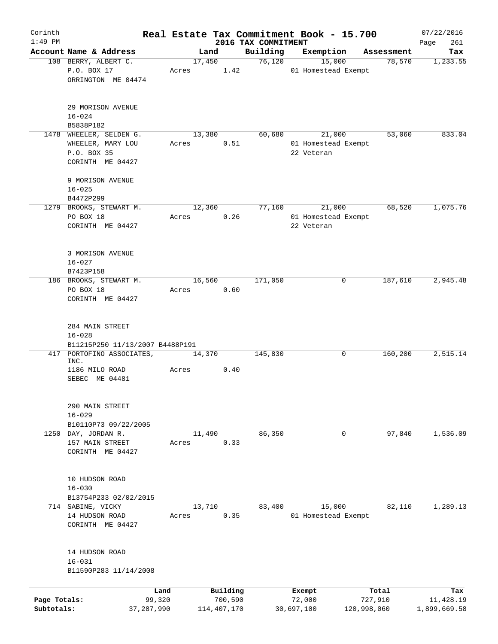| Corinth      |                                 |              |       |             |          | Real Estate Tax Commitment Book - 15.700 |            |                     |             | 07/22/2016         |
|--------------|---------------------------------|--------------|-------|-------------|----------|------------------------------------------|------------|---------------------|-------------|--------------------|
| $1:49$ PM    | Account Name & Address          |              |       | Land        |          | 2016 TAX COMMITMENT<br>Building          | Exemption  |                     | Assessment  | 261<br>Page<br>Tax |
|              | 108 BERRY, ALBERT C.            |              |       | 17,450      |          | 76,120                                   |            | 15,000              | 78,570      | 1,233.55           |
|              | P.O. BOX 17                     |              | Acres |             | 1.42     |                                          |            | 01 Homestead Exempt |             |                    |
|              | ORRINGTON ME 04474              |              |       |             |          |                                          |            |                     |             |                    |
|              | 29 MORISON AVENUE               |              |       |             |          |                                          |            |                     |             |                    |
|              | $16 - 024$                      |              |       |             |          |                                          |            |                     |             |                    |
|              | B5838P182                       |              |       |             |          |                                          |            |                     |             |                    |
|              | 1478 WHEELER, SELDEN G.         |              |       | 13,380      |          | 60,680                                   |            | 21,000              | 53,060      | 833.04             |
|              | WHEELER, MARY LOU               |              | Acres |             | 0.51     |                                          |            | 01 Homestead Exempt |             |                    |
|              | P.O. BOX 35                     |              |       |             |          |                                          | 22 Veteran |                     |             |                    |
|              | CORINTH ME 04427                |              |       |             |          |                                          |            |                     |             |                    |
|              | 9 MORISON AVENUE                |              |       |             |          |                                          |            |                     |             |                    |
|              | $16 - 025$                      |              |       |             |          |                                          |            |                     |             |                    |
|              | B4472P299                       |              |       |             |          |                                          |            |                     |             |                    |
|              | 1279 BROOKS, STEWART M.         |              |       | 12,360      |          | 77,160                                   |            | 21,000              | 68,520      | 1,075.76           |
|              | PO BOX 18                       |              | Acres |             | 0.26     |                                          |            | 01 Homestead Exempt |             |                    |
|              | CORINTH ME 04427                |              |       |             |          |                                          | 22 Veteran |                     |             |                    |
|              |                                 |              |       |             |          |                                          |            |                     |             |                    |
|              | 3 MORISON AVENUE                |              |       |             |          |                                          |            |                     |             |                    |
|              | $16 - 027$                      |              |       |             |          |                                          |            |                     |             |                    |
|              | B7423P158                       |              |       |             |          |                                          |            |                     |             |                    |
|              | 186 BROOKS, STEWART M.          |              |       | 16,560      |          | 171,050                                  |            | 0                   | 187,610     | 2,945.48           |
|              | PO BOX 18                       |              | Acres |             | 0.60     |                                          |            |                     |             |                    |
|              | CORINTH ME 04427                |              |       |             |          |                                          |            |                     |             |                    |
|              |                                 |              |       |             |          |                                          |            |                     |             |                    |
|              | 284 MAIN STREET<br>$16 - 028$   |              |       |             |          |                                          |            |                     |             |                    |
|              | B11215P250 11/13/2007 B4488P191 |              |       |             |          |                                          |            |                     |             |                    |
|              | 417 PORTOFINO ASSOCIATES,       |              |       | 14,370      |          | 145,830                                  |            | 0                   | 160,200     | 2,515.14           |
|              | INC.                            |              |       |             |          |                                          |            |                     |             |                    |
|              | 1186 MILO ROAD                  |              | Acres |             | 0.40     |                                          |            |                     |             |                    |
|              | SEBEC ME 04481                  |              |       |             |          |                                          |            |                     |             |                    |
|              |                                 |              |       |             |          |                                          |            |                     |             |                    |
|              | 290 MAIN STREET                 |              |       |             |          |                                          |            |                     |             |                    |
|              | $16 - 029$                      |              |       |             |          |                                          |            |                     |             |                    |
|              | B10110P73 09/22/2005            |              |       |             |          |                                          |            |                     |             |                    |
| 1250         | DAY, JORDAN R.                  |              |       | 11,490      |          | 86,350                                   |            | $\mathbf 0$         | 97,840      | 1,536.09           |
|              | 157 MAIN STREET                 |              | Acres |             | 0.33     |                                          |            |                     |             |                    |
|              | CORINTH ME 04427                |              |       |             |          |                                          |            |                     |             |                    |
|              | 10 HUDSON ROAD                  |              |       |             |          |                                          |            |                     |             |                    |
|              | $16 - 030$                      |              |       |             |          |                                          |            |                     |             |                    |
|              | B13754P233 02/02/2015           |              |       |             |          |                                          |            |                     |             |                    |
|              | 714 SABINE, VICKY               |              |       | 13,710      |          | 83,400                                   |            | 15,000              | 82,110      | 1,289.13           |
|              | 14 HUDSON ROAD                  |              | Acres |             | 0.35     |                                          |            | 01 Homestead Exempt |             |                    |
|              | CORINTH ME 04427                |              |       |             |          |                                          |            |                     |             |                    |
|              |                                 |              |       |             |          |                                          |            |                     |             |                    |
|              | 14 HUDSON ROAD                  |              |       |             |          |                                          |            |                     |             |                    |
|              | $16 - 031$                      |              |       |             |          |                                          |            |                     |             |                    |
|              | B11590P283 11/14/2008           |              |       |             |          |                                          |            |                     |             |                    |
|              |                                 | Land         |       |             | Building |                                          | Exempt     |                     | Total       | Tax                |
| Page Totals: |                                 | 99,320       |       |             | 700,590  |                                          | 72,000     |                     | 727,910     | 11,428.19          |
| Subtotals:   |                                 | 37, 287, 990 |       | 114,407,170 |          |                                          | 30,697,100 |                     | 120,998,060 | 1,899,669.58       |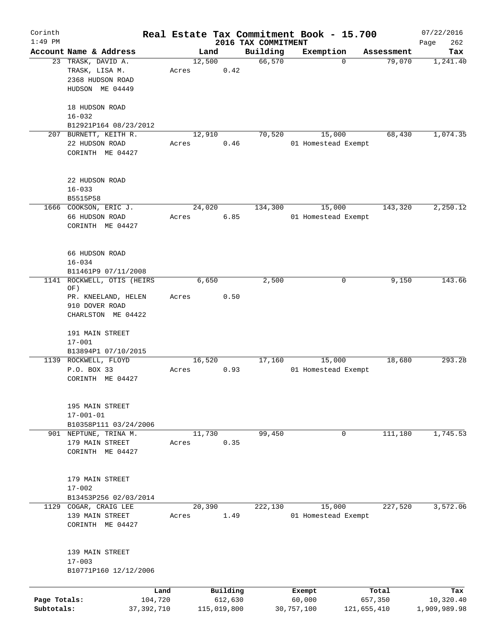| Corinth<br>$1:49$ PM       |                                                              |       |                        |                                 | Real Estate Tax Commitment Book - 15.700 |                        | 07/22/2016                |
|----------------------------|--------------------------------------------------------------|-------|------------------------|---------------------------------|------------------------------------------|------------------------|---------------------------|
|                            | Account Name & Address                                       |       | Land                   | 2016 TAX COMMITMENT<br>Building | Exemption                                | Assessment             | 262<br>Page<br>Tax        |
|                            | 23 TRASK, DAVID A.<br>TRASK, LISA M.<br>2368 HUDSON ROAD     | Acres | 12,500<br>0.42         | 66,570                          | $\Omega$                                 | 79,070                 | 1,241.40                  |
|                            | HUDSON ME 04449                                              |       |                        |                                 |                                          |                        |                           |
|                            | 18 HUDSON ROAD<br>$16 - 032$                                 |       |                        |                                 |                                          |                        |                           |
|                            | B12921P164 08/23/2012                                        |       |                        |                                 |                                          |                        |                           |
|                            | 207 BURNETT, KEITH R.<br>22 HUDSON ROAD<br>CORINTH ME 04427  | Acres | 12,910<br>0.46         | 70,520                          | 15,000<br>01 Homestead Exempt            | 68,430                 | 1,074.35                  |
|                            | 22 HUDSON ROAD<br>$16 - 033$                                 |       |                        |                                 |                                          |                        |                           |
|                            | B5515P58                                                     |       |                        |                                 |                                          |                        |                           |
|                            | 1666 COOKSON, ERIC J.<br>66 HUDSON ROAD<br>CORINTH ME 04427  | Acres | 24,020<br>6.85         | 134,300                         | 15,000<br>01 Homestead Exempt            | 143,320                | 2,250.12                  |
|                            | 66 HUDSON ROAD<br>$16 - 034$<br>B11461P9 07/11/2008          |       |                        |                                 |                                          |                        |                           |
| 1141                       | ROCKWELL, OTIS (HEIRS                                        |       | 6,650                  | 2,500                           | 0                                        | 9,150                  | 143.66                    |
|                            | OF)                                                          |       |                        |                                 |                                          |                        |                           |
|                            | PR. KNEELAND, HELEN                                          | Acres | 0.50                   |                                 |                                          |                        |                           |
|                            | 910 DOVER ROAD<br>CHARLSTON ME 04422                         |       |                        |                                 |                                          |                        |                           |
|                            | 191 MAIN STREET<br>$17 - 001$                                |       |                        |                                 |                                          |                        |                           |
|                            | B13894P1 07/10/2015                                          |       |                        |                                 |                                          |                        |                           |
|                            | 1139 ROCKWELL, FLOYD<br>P.O. BOX 33<br>CORINTH ME 04427      | Acres | 16,520<br>0.93         | 17,160                          | 15,000<br>01 Homestead Exempt            | 18,680                 | 293.28                    |
|                            | 195 MAIN STREET<br>$17 - 001 - 01$<br>B10358P111 03/24/2006  |       |                        |                                 |                                          |                        |                           |
|                            | 901 NEPTUNE, TRINA M.                                        |       | 11,730                 | 99,450                          | $\mathbf 0$                              | 111,180                | 1,745.53                  |
|                            | 179 MAIN STREET<br>CORINTH ME 04427                          | Acres | 0.35                   |                                 |                                          |                        |                           |
|                            | 179 MAIN STREET<br>$17 - 002$                                |       |                        |                                 |                                          |                        |                           |
|                            | B13453P256 02/03/2014                                        |       |                        |                                 |                                          |                        |                           |
|                            | 1129 COGAR, CRAIG LEE<br>139 MAIN STREET<br>CORINTH ME 04427 | Acres | 20,390<br>1.49         | 222,130                         | 15,000<br>01 Homestead Exempt            | 227,520                | 3,572.06                  |
|                            | 139 MAIN STREET<br>$17 - 003$                                |       |                        |                                 |                                          |                        |                           |
|                            | B10771P160 12/12/2006                                        |       |                        |                                 |                                          |                        |                           |
|                            | Land                                                         |       | Building               |                                 | Exempt                                   | Total                  | Tax                       |
| Page Totals:<br>Subtotals: | 104,720<br>37, 392, 710                                      |       | 612,630<br>115,019,800 |                                 | 60,000<br>30,757,100                     | 657,350<br>121,655,410 | 10,320.40<br>1,909,989.98 |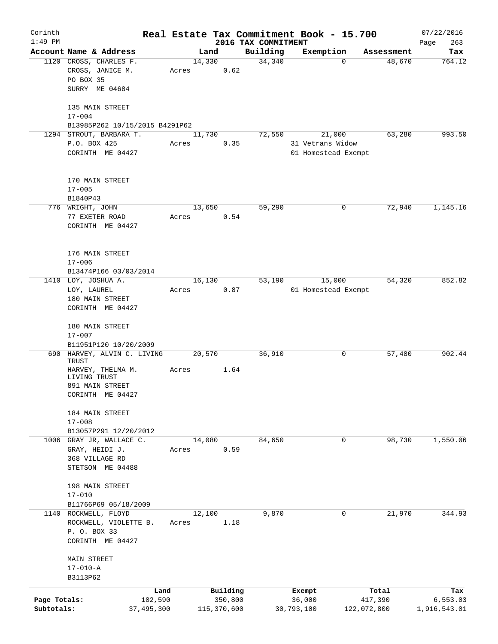| Corinth      |                                   |       |             |                                 | Real Estate Tax Commitment Book - 15.700 |                      | 07/22/2016    |
|--------------|-----------------------------------|-------|-------------|---------------------------------|------------------------------------------|----------------------|---------------|
| $1:49$ PM    | Account Name & Address            |       | Land        | 2016 TAX COMMITMENT<br>Building |                                          |                      | 263<br>Page   |
|              | 1120 CROSS, CHARLES F.            |       | 14,330      | 34,340                          | Exemption<br>$\Omega$                    | Assessment<br>48,670 | Tax<br>764.12 |
|              | CROSS, JANICE M.                  | Acres | 0.62        |                                 |                                          |                      |               |
|              | PO BOX 35                         |       |             |                                 |                                          |                      |               |
|              | SURRY ME 04684                    |       |             |                                 |                                          |                      |               |
|              |                                   |       |             |                                 |                                          |                      |               |
|              | 135 MAIN STREET                   |       |             |                                 |                                          |                      |               |
|              | $17 - 004$                        |       |             |                                 |                                          |                      |               |
|              | B13985P262 10/15/2015 B4291P62    |       |             |                                 |                                          |                      |               |
|              | 1294 STROUT, BARBARA T.           |       | 11,730      | 72,550                          | 21,000                                   | 63,280               | 993.50        |
|              | P.O. BOX 425                      | Acres | 0.35        |                                 | 31 Vetrans Widow                         |                      |               |
|              | CORINTH ME 04427                  |       |             |                                 | 01 Homestead Exempt                      |                      |               |
|              |                                   |       |             |                                 |                                          |                      |               |
|              |                                   |       |             |                                 |                                          |                      |               |
|              | 170 MAIN STREET                   |       |             |                                 |                                          |                      |               |
|              | $17 - 005$                        |       |             |                                 |                                          |                      |               |
|              | B1840P43                          |       |             |                                 |                                          |                      |               |
|              | 776 WRIGHT, JOHN                  |       | 13,650      | 59,290                          | 0                                        | 72,940               | 1,145.16      |
|              | 77 EXETER ROAD                    | Acres | 0.54        |                                 |                                          |                      |               |
|              | CORINTH ME 04427                  |       |             |                                 |                                          |                      |               |
|              |                                   |       |             |                                 |                                          |                      |               |
|              | 176 MAIN STREET                   |       |             |                                 |                                          |                      |               |
|              | $17 - 006$                        |       |             |                                 |                                          |                      |               |
|              | B13474P166 03/03/2014             |       |             |                                 |                                          |                      |               |
|              | 1410 LOY, JOSHUA A.               |       | 16,130      | 53,190                          | 15,000                                   | 54,320               | 852.82        |
|              | LOY, LAUREL                       | Acres | 0.87        |                                 | 01 Homestead Exempt                      |                      |               |
|              | 180 MAIN STREET                   |       |             |                                 |                                          |                      |               |
|              | CORINTH ME 04427                  |       |             |                                 |                                          |                      |               |
|              |                                   |       |             |                                 |                                          |                      |               |
|              | 180 MAIN STREET                   |       |             |                                 |                                          |                      |               |
|              | $17 - 007$                        |       |             |                                 |                                          |                      |               |
|              | B11951P120 10/20/2009             |       |             |                                 |                                          |                      |               |
|              | 690 HARVEY, ALVIN C. LIVING       |       | 20,570      | 36,910                          | 0                                        | 57,480               | 902.44        |
|              | TRUST                             |       |             |                                 |                                          |                      |               |
|              | HARVEY, THELMA M.<br>LIVING TRUST | Acres | 1.64        |                                 |                                          |                      |               |
|              | 891 MAIN STREET                   |       |             |                                 |                                          |                      |               |
|              | CORINTH ME 04427                  |       |             |                                 |                                          |                      |               |
|              |                                   |       |             |                                 |                                          |                      |               |
|              | 184 MAIN STREET                   |       |             |                                 |                                          |                      |               |
|              | $17 - 008$                        |       |             |                                 |                                          |                      |               |
|              | B13057P291 12/20/2012             |       |             |                                 |                                          |                      |               |
|              | 1006 GRAY JR, WALLACE C.          |       | 14,080      | 84,650                          | $\mathbf 0$                              | 98,730               | 1,550.06      |
|              | GRAY, HEIDI J.                    | Acres | 0.59        |                                 |                                          |                      |               |
|              | 368 VILLAGE RD                    |       |             |                                 |                                          |                      |               |
|              | STETSON ME 04488                  |       |             |                                 |                                          |                      |               |
|              |                                   |       |             |                                 |                                          |                      |               |
|              | 198 MAIN STREET                   |       |             |                                 |                                          |                      |               |
|              | $17 - 010$                        |       |             |                                 |                                          |                      |               |
|              | B11766P69 05/18/2009              |       |             |                                 |                                          |                      |               |
|              | 1140 ROCKWELL, FLOYD              |       | 12,100      | 9,870                           | 0                                        | 21,970               | 344.93        |
|              | ROCKWELL, VIOLETTE B.             | Acres | 1.18        |                                 |                                          |                      |               |
|              | P. O. BOX 33                      |       |             |                                 |                                          |                      |               |
|              | CORINTH ME 04427                  |       |             |                                 |                                          |                      |               |
|              |                                   |       |             |                                 |                                          |                      |               |
|              | MAIN STREET                       |       |             |                                 |                                          |                      |               |
|              | $17 - 010 - A$                    |       |             |                                 |                                          |                      |               |
|              | B3113P62                          |       |             |                                 |                                          |                      |               |
|              | Land                              |       | Building    |                                 | Exempt                                   | Total                | Tax           |
| Page Totals: | 102,590                           |       | 350,800     |                                 | 36,000                                   | 417,390              | 6, 553.03     |
| Subtotals:   | 37, 495, 300                      |       | 115,370,600 |                                 | 30,793,100                               | 122,072,800          | 1,916,543.01  |